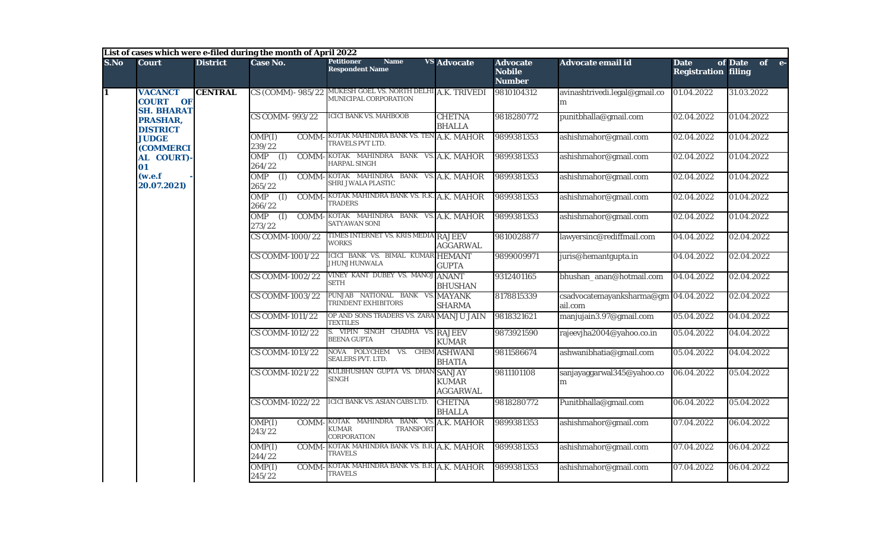|                         |                                                        |                              | List of cases which were e-filed during the month of April 2022 |                                                                            |                                                  |                                                   |                                                 |                                           |                                                        |              |            |                           |            |            |
|-------------------------|--------------------------------------------------------|------------------------------|-----------------------------------------------------------------|----------------------------------------------------------------------------|--------------------------------------------------|---------------------------------------------------|-------------------------------------------------|-------------------------------------------|--------------------------------------------------------|--------------|------------|---------------------------|------------|------------|
| S.No                    | <b>Court</b>                                           | <b>District</b>              | Case No.                                                        | <b>Petitioner</b><br><b>Name</b><br><b>Respondent Name</b>                 | <b>VS Advocate</b>                               | <b>Advocate</b><br><b>Nobile</b><br><b>Number</b> | <b>Advocate email id</b>                        | <b>Date</b><br><b>Registration filing</b> | of Date<br>$of$ $e$ -                                  |              |            |                           |            |            |
| $\overline{\mathbf{1}}$ | <b>VACANCT</b><br><b>COURT OF</b><br><b>SH. BHARAT</b> | <b>CENTRAL</b>               | CS (COMM) - 985/22                                              | MUKESH GOEL VS. NORTH DELHI A.K. TRIVEDI<br>MUNICIPAL CORPORATION          |                                                  | 9810104312                                        | avinashtrivedi.legal@gmail.co<br>m              | 01.04.2022                                | 31.03.2022                                             |              |            |                           |            |            |
|                         | PRASHAR,<br><b>DISTRICT</b>                            |                              | <b>CS COMM-993/22</b>                                           | <b>ICICI BANK VS. MAHBOOB</b>                                              | <b>CHETNA</b><br><b>BHALLA</b>                   | 9818280772                                        | punitbhalla@gmail.com                           | 02.04.2022                                | 01.04.2022                                             |              |            |                           |            |            |
|                         | <b>JUDGE</b><br>(COMMERCI                              |                              | OMP(I)<br>239/22                                                | <b>COMM-KOTAK MAHINDRA BANK VS. TEN</b><br>TRAVELS PVT LTD.                | A.K. MAHOR                                       | 9899381353                                        | ashishmahor@gmail.com                           | 02.04.2022                                | 01.04.2022                                             |              |            |                           |            |            |
|                         | AL COURT)-<br>01                                       |                              | OMP<br>(I)<br><b>COMM</b><br>264/22                             | KOTAK MAHINDRA BANK VS. A.K. MAHOR<br><b>HARPAL SINGH</b>                  |                                                  | 9899381353                                        | ashishmahor@gmail.com                           | 02.04.2022                                | 01.04.2022                                             |              |            |                           |            |            |
|                         | (w.e.f)<br>20.07.2021)                                 |                              | $OMP$ (I)<br>265/22                                             | COMM-KOTAK MAHINDRA BANK VS. A.K. MAHOR<br>SHRI JWALA PLASTIC              |                                                  | 9899381353                                        | ashishmahor@gmail.com                           | 02.04.2022                                | 01.04.2022                                             |              |            |                           |            |            |
|                         |                                                        |                              | $OMP$ (I)<br>COMM-<br>266/22                                    | KOTAK MAHINDRA BANK VS. R.K. A.K. MAHOR<br><b>TRADERS</b>                  |                                                  | 9899381353                                        | ashishmahor@gmail.com                           | 02.04.2022                                | 01.04.2022                                             |              |            |                           |            |            |
|                         |                                                        | $OMP$ (I)<br>COMM-<br>273/22 | KOTAK MAHINDRA BANK VS. A.K. MAHOR<br><b>SATYAWAN SONI</b>      |                                                                            | 9899381353                                       | ashishmahor@gmail.com                             | 02.04.2022                                      | 01.04.2022                                |                                                        |              |            |                           |            |            |
|                         |                                                        | CS COMM-1000/22              | TIMES INTERNET VS. KRIS MEDIA RAJEEV<br><b>WORKS</b>            | <b>AGGARWAL</b>                                                            | 9810028877                                       | lawyersinc@rediffmail.com                         | 04.04.2022                                      | 02.04.2022                                |                                                        |              |            |                           |            |            |
|                         |                                                        |                              | <b>CS COMM-1001/22</b>                                          | ICICI BANK VS. BIMAL KUMAR HEMANT<br><b>JHUNJHUNWALA</b>                   | <b>GUPTA</b>                                     | 9899009971                                        | juris@hemantgupta.in                            | 04.04.2022                                | 02.04.2022                                             |              |            |                           |            |            |
|                         |                                                        |                              | CS COMM-1002/22                                                 | VINEY KANT DUBEY VS. MANOJ ANANT<br><b>SETH</b>                            | <b>BHUSHAN</b>                                   | 9312401165                                        | bhushan_anan@hotmail.com                        | 04.04.2022                                | 02.04.2022                                             |              |            |                           |            |            |
|                         |                                                        |                              | CS COMM-1003/22                                                 | PUNJAB NATIONAL BANK VS.<br><b>TRINDENT EXHIBITORS</b>                     | <b>MAYANK</b><br><b>SHARMA</b>                   | 8178815339                                        | csadvocatemayanksharma@gm 04.04.2022<br>ail.com |                                           | 02.04.2022                                             |              |            |                           |            |            |
|                         |                                                        |                              | <b>CS COMM-1011/22</b>                                          | OP AND SONS TRADERS VS. ZARA MANJU JAIN<br><b>TEXTILES</b>                 |                                                  | 9818321621                                        | manjujain3.97@gmail.com                         | 05.04.2022                                | 04.04.2022                                             |              |            |                           |            |            |
|                         |                                                        |                              |                                                                 |                                                                            |                                                  |                                                   |                                                 | CS COMM-1012/22                           | S. VIPIN SINGH CHADHA VS. RAJEEV<br><b>BEENA GUPTA</b> | <b>KUMAR</b> | 9873921590 | rajeevjha2004@yahoo.co.in | 05.04.2022 | 04.04.2022 |
|                         |                                                        |                              | <b>CS COMM-1013/22</b>                                          | NOVA POLYCHEM VS. CHEM<br><b>SEALERS PVT. LTD.</b>                         | <b>ASHWANI</b><br><b>BHATIA</b>                  | 9811586674                                        | ashwanibhatia@gmail.com                         | 05.04.2022                                | 04.04.2022                                             |              |            |                           |            |            |
|                         |                                                        |                              | <b>CS COMM-1021/22</b>                                          | KULBHUSHAN GUPTA VS. DHAN<br>SINGH                                         | <b>SANJAY</b><br><b>KUMAR</b><br><b>AGGARWAL</b> | 9811101108                                        | sanjayaggarwal345@yahoo.co<br>m                 | 06.04.2022                                | 05.04.2022                                             |              |            |                           |            |            |
|                         |                                                        |                              | CS COMM-1022/22                                                 | ICICI BANK VS. ASIAN CABS LTD.                                             | <b>CHETNA</b><br><b>BHALLA</b>                   | 9818280772                                        | Punitbhalla@gmail.com                           | 06.04.2022                                | 05.04.2022                                             |              |            |                           |            |            |
|                         |                                                        |                              | OMP(I)<br><b>COMM</b><br>243/22                                 | KOTAK MAHINDRA BANK VS.<br><b>TRANSPORT</b><br>KUMAR<br><b>CORPORATION</b> | A.K. MAHOR                                       | 9899381353                                        | ashishmahor@gmail.com                           | 07.04.2022                                | 06.04.2022                                             |              |            |                           |            |            |
|                         |                                                        |                              | OMP(I)<br>COMM-<br>244/22                                       | KOTAK MAHINDRA BANK VS. B.R. A.K. MAHOR<br><b>TRAVELS</b>                  |                                                  | 9899381353                                        | ashishmahor@gmail.com                           | 07.04.2022                                | 06.04.2022                                             |              |            |                           |            |            |
|                         |                                                        |                              | OMP(I)<br>COMM-<br>245/22                                       | KOTAK MAHINDRA BANK VS. B.R. A.K. MAHOR<br><b>TRAVELS</b>                  |                                                  | 9899381353                                        | ashishmahor@gmail.com                           | 07.04.2022                                | 06.04.2022                                             |              |            |                           |            |            |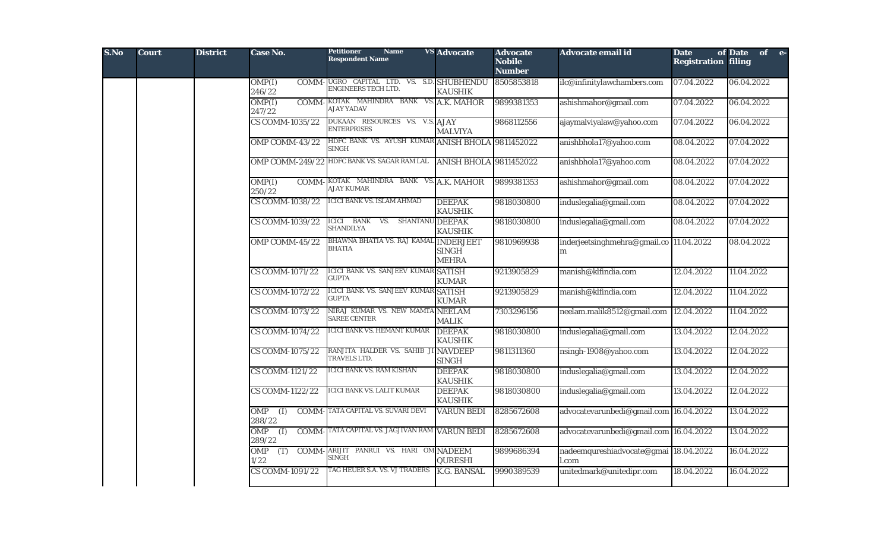| S.No | <b>Court</b> | <b>District</b> | <b>Case No.</b>                                   | <b>Petitioner</b><br><b>Name</b><br><b>Respondent Name</b>       | <b>VS</b> Advocate              | <b>Advocate</b><br><b>Nobile</b><br><b>Number</b> | Advocate email id                              | <b>Date</b><br><b>Registration filing</b> | of Date of e- |  |
|------|--------------|-----------------|---------------------------------------------------|------------------------------------------------------------------|---------------------------------|---------------------------------------------------|------------------------------------------------|-------------------------------------------|---------------|--|
|      |              |                 | OMP(I)<br>246/22                                  | COMM-UGRO CAPITAL LTD. VS. S.D. SHUBHENDU<br>ENGINEERS TECH LTD. | <b>KAUSHIK</b>                  | 8505853818                                        | ilc@infinitylawchambers.com                    | 07.04.2022                                | 06.04.2022    |  |
|      |              |                 | OMP(I)<br>247/22                                  | COMM-KOTAK MAHINDRA BANK VS. A.K. MAHOR<br><b>AJAY YADAV</b>     |                                 | 9899381353                                        | ashishmahor@gmail.com                          | 07.04.2022                                | 06.04.2022    |  |
|      |              |                 | <b>CS COMM-1035/22</b>                            | DUKAAN RESOURCES VS. V.S. AJAY<br><b>ENTERPRISES</b>             | <b>MALVIYA</b>                  | 9868112556                                        | ajaymalviyalaw@yahoo.com                       | 07.04.2022                                | 06.04.2022    |  |
|      |              |                 | OMP COMM-43/22                                    | HDFC BANK VS. AYUSH KUMAR ANISH BHOLA 9811452022<br>SINGH        |                                 |                                                   | anishbhola17@yahoo.com                         | 08.04.2022                                | 07.04.2022    |  |
|      |              |                 | <b>OMP COMM-249/22</b>                            | HDFC BANK VS. SAGAR RAM LAL                                      | <b>ANISH BHOLA 9811452022</b>   |                                                   | anishbhola17@yahoo.com                         | 08.04.2022                                | 07.04.2022    |  |
|      |              |                 | OMP(I)<br>250/22                                  | <b>COMM-KOTAK MAHINDRA BANK VS. A.K. MAHOR</b><br>AJAY KUMAR     |                                 | 9899381353                                        | ashishmahor@gmail.com                          | 08.04.2022                                | 07.04.2022    |  |
|      |              |                 | <b>CS COMM-1038/22</b>                            | <b>ICICI BANK VS. ISLAM AHMAD</b>                                | <b>DEEPAK</b><br><b>KAUSHIK</b> | 9818030800                                        | induslegalia@gmail.com                         | 08.04.2022                                | 07.04.2022    |  |
|      |              |                 | <b>CS COMM-1039/22</b>                            | <b>ICICI BANK</b><br>VS. SHANTANU DEEPAK<br><b>SHANDILYA</b>     | <b>KAUSHIK</b>                  | 9818030800                                        | induslegalia@gmail.com                         | 08.04.2022                                | 07.04.2022    |  |
|      |              |                 | OMP COMM-45/22                                    | BHAWNA BHATIA VS. RAJ KAMAL INDERJEET<br><b>BHATIA</b>           | <b>SINGH</b><br><b>MEHRA</b>    | 9810969938                                        | inderjeetsinghmehra@gmail.co 11.04.2022<br>m   |                                           | 08.04.2022    |  |
|      |              |                 | CS COMM-1071/22                                   | ICICI BANK VS. SANJEEV KUMAR SATISH<br><b>GUPTA</b>              | <b>KUMAR</b>                    | 9213905829                                        | manish@klfindia.com                            | 12.04.2022                                | 11.04.2022    |  |
|      |              |                 | <b>CS COMM-1072/22</b>                            | ICICI BANK VS. SANJEEV KUMAR SATISH<br><b>GUPTA</b>              | <b>KUMAR</b>                    | 9213905829                                        | manish@klfindia.com                            | 12.04.2022                                | 11.04.2022    |  |
|      |              |                 | CS COMM-1073/22                                   | NIRAJ KUMAR VS. NEW MAMTA NEELAM<br><b>SAREE CENTER</b>          | <b>MALIK</b>                    | 7303296156                                        | neelam.malik8512@gmail.com                     | 12.04.2022                                | 11.04.2022    |  |
|      |              |                 | <b>CS COMM-1074/22</b>                            | ICICI BANK VS. HEMANT KUMAR                                      | <b>DEEPAK</b><br><b>KAUSHIK</b> | 9818030800                                        | induslegalia@gmail.com                         | 13.04.2022                                | 12.04.2022    |  |
|      |              |                 | <b>CS COMM-1075/22</b>                            | RANJITA HALDER VS. SAHIB JI NAVDEEP<br>TRAVELS LTD.              | <b>SINGH</b>                    | 9811311360                                        | nsingh-1908@yahoo.com                          | 13.04.2022                                | 12.04.2022    |  |
|      |              |                 | <b>CS COMM-1121/22</b>                            | <b>ICICI BANK VS. RAM KISHAN</b>                                 | <b>DEEPAK</b><br><b>KAUSHIK</b> | 9818030800                                        | induslegalia@gmail.com                         | 13.04.2022                                | 12.04.2022    |  |
|      |              |                 | <b>CS COMM-1122/22</b>                            | <b>ICICI BANK VS. LALIT KUMAR</b>                                | <b>DEEPAK</b><br><b>KAUSHIK</b> | 9818030800                                        | induslegalia@gmail.com                         | 13.04.2022                                | 12.04.2022    |  |
|      |              |                 | $\overline{(\mathbf{I})}$<br><b>OMP</b><br>288/22 | <b>COMM-TATA CAPITAL VS. SUVARI DEVI</b>                         | <b>VARUN BEDI</b>               | 8285672608                                        | advocatevarunbedi@gmail.com 16.04.2022         |                                           | 13.04.2022    |  |
|      |              |                 | <b>OMP</b><br>$\overline{(\mathbf{I})}$<br>289/22 | COMM-TATA CAPITAL VS. JAGJIVAN RAM VARUN BEDI                    |                                 | 8285672608                                        | advocatevarunbedi@gmail.com 16.04.2022         |                                           | 13.04.2022    |  |
|      |              |                 | <b>OMP</b><br>(T)<br>1/22                         | COMM-ARIJIT PANRUI VS. HARI OM NADEEM<br><b>SINGH</b>            | <b>QURESHI</b>                  | 9899686394                                        | nadeemqureshiadvocate@gmai 18.04.2022<br>l.com |                                           | 16.04.2022    |  |
|      |              |                 | <b>CS COMM-1091/22</b>                            | TAG HEUER S.A. VS. VJ TRADERS                                    | <b>K.G. BANSAL</b>              | 9990389539                                        | unitedmark@unitedipr.com                       | 18.04.2022                                | 16.04.2022    |  |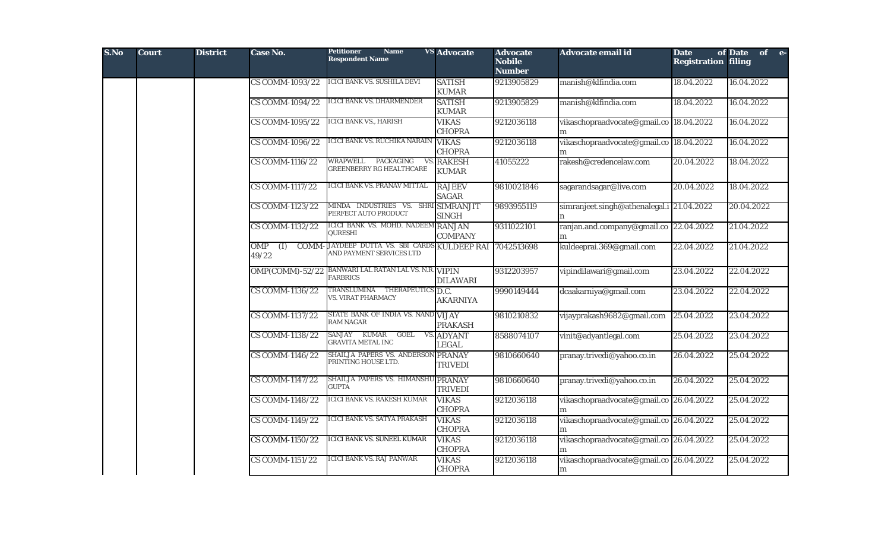| S.No | <b>Court</b> | <b>District</b> | <b>Case No.</b>                                           | <b>Petitioner</b><br><b>Name</b><br><b>Respondent Name</b>                     | <b>VS Advocate</b>            | <b>Advocate</b><br><b>Nobile</b><br><b>Number</b> | <b>Advocate email id</b>                     | <b>Date</b><br><b>Registration filing</b> | of Date of e- |  |
|------|--------------|-----------------|-----------------------------------------------------------|--------------------------------------------------------------------------------|-------------------------------|---------------------------------------------------|----------------------------------------------|-------------------------------------------|---------------|--|
|      |              |                 | <b>CS COMM-1093/22</b>                                    | ICICI BANK VS. SUSHILA DEVI                                                    | <b>SATISH</b><br><b>KUMAR</b> | 9213905829                                        | manish@klfindia.com                          | 18.04.2022                                | 16.04.2022    |  |
|      |              |                 | <b>CS COMM-1094/22</b>                                    | <b>ICICI BANK VS. DHARMENDER</b>                                               | <b>SATISH</b><br><b>KUMAR</b> | 9213905829                                        | manish@klfindia.com                          | 18.04.2022                                | 16.04.2022    |  |
|      |              |                 | CS COMM-1095/22                                           | <b>ICICI BANK VS., HARISH</b>                                                  | <b>VIKAS</b><br><b>CHOPRA</b> | 9212036118                                        | vikaschopraadvocate@gmail.co 18.04.2022      |                                           | 16.04.2022    |  |
|      |              |                 | <b>CS COMM-1096/22</b>                                    | ICICI BANK VS. RUCHIKA NARAIN                                                  | <b>VIKAS</b><br><b>CHOPRA</b> | 9212036118                                        | vikaschopraadvocate@gmail.co 18.04.2022      |                                           | 16.04.2022    |  |
|      |              |                 | <b>CS COMM-1116/22</b>                                    | WRAPWELL PACKAGING<br><b>VS</b><br>GREENBERRY RG HEALTHCARE                    | <b>RAKESH</b><br><b>KUMAR</b> | 41055222                                          | rakesh@credencelaw.com                       | 20.04.2022                                | 18.04.2022    |  |
|      |              |                 | <b>CS COMM-1117/22</b>                                    | ICICI BANK VS. PRANAV MITTAL                                                   | <b>RAJEEV</b><br><b>SAGAR</b> | 9810021846                                        | sagarandsagar@live.com                       | 20.04.2022                                | 18.04.2022    |  |
|      |              |                 | <b>CS COMM-1123/22</b>                                    | MINDA INDUSTRIES VS. SHRI SIMRANJIT<br>PERFECT AUTO PRODUCT                    | <b>SINGH</b>                  | 9893955119                                        | simranjeet.singh@athenalegal.i 21.04.2022    |                                           | 20.04.2022    |  |
|      |              |                 | <b>CS COMM-1132/22</b>                                    | ICICI BANK VS. MOHD. NADEEM RANJAN<br>QURESHI                                  | <b>COMPANY</b>                | 9311022101                                        | ranjan.and.company@gmail.co 22.04.2022       |                                           | 21.04.2022    |  |
|      |              |                 | <b>OMP</b><br>$\overline{(\mathbf{I})}$<br>COMM-<br>49/22 | JAYDEEP DUTTA VS. SBI CARDS KULDEEP RAI 7042513698<br>AND PAYMENT SERVICES LTD |                               |                                                   | kuldeeprai.369@gmail.com                     | 22.04.2022                                | 21.04.2022    |  |
|      |              |                 |                                                           | OMP(COMM)-52/22 BANWARI LAL RATAN LAL VS. N.R. VIPIN<br><b>FARBRICS</b>        | <b>DILAWARI</b>               | 9312203957                                        | vipindilawari@gmail.com                      | 23.04.2022                                | 22.04.2022    |  |
|      |              |                 | <b>CS COMM-1136/22</b>                                    | TRANSLUMINA THERAPEUTICS D.C.<br><b>VS. VIRAT PHARMACY</b>                     | <b>AKARNIYA</b>               | 9990149444                                        | dcaakarniya@gmail.com                        | 23.04.2022                                | 22.04.2022    |  |
|      |              |                 | CS COMM-1137/22                                           | STATE BANK OF INDIA VS. NAND VIJAY<br><b>RAM NAGAR</b>                         | <b>PRAKASH</b>                | 9810210832                                        | vijayprakash9682@gmail.com                   | 25.04.2022                                | 23.04.2022    |  |
|      |              |                 | <b>CS COMM-1138/22</b>                                    | SANJAY KUMAR<br>GOEL<br><b>VS</b><br><b>GRAVITA METAL INC</b>                  | <b>ADYANT</b><br><b>LEGAL</b> | 8588074107                                        | vinit@adyantlegal.com                        | 25.04.2022                                | 23.04.2022    |  |
|      |              |                 | CS COMM-1146/22                                           | SHAILJA PAPERS VS. ANDERSON PRANAY<br>PRINTING HOUSE LTD.                      | <b>TRIVEDI</b>                | 9810660640                                        | pranay.trivedi@yahoo.co.in                   | 26.04.2022                                | 25.04.2022    |  |
|      |              |                 | <b>CS COMM-1147/22</b>                                    | SHAILJA PAPERS VS. HIMANSHU PRANAY<br>GUPTA                                    | <b>TRIVEDI</b>                | 9810660640                                        | pranay.trivedi@yahoo.co.in                   | 26.04.2022                                | 25.04.2022    |  |
|      |              |                 | <b>CS COMM-1148/22</b>                                    | <b>ICICI BANK VS. RAKESH KUMAR</b>                                             | <b>VIKAS</b><br><b>CHOPRA</b> | 9212036118                                        | vikaschopraadvocate@gmail.co 26.04.2022      |                                           | 25.04.2022    |  |
|      |              |                 | <b>CS COMM-1149/22</b>                                    | <b>ICICI BANK VS. SATYA PRAKASH</b>                                            | <b>VIKAS</b><br><b>CHOPRA</b> | 9212036118                                        | vikaschopraadvocate@gmail.co 26.04.2022      |                                           | 25.04.2022    |  |
|      |              |                 | <b>CS COMM-1150/22</b>                                    | ICICI BANK VS. SUNEEL KUMAR                                                    | <b>VIKAS</b><br><b>CHOPRA</b> | 9212036118                                        | vikaschopraadvocate@gmail.co 26.04.2022<br>m |                                           | 25.04.2022    |  |
|      |              |                 | <b>CS COMM-1151/22</b>                                    | <b>ICICI BANK VS. RAJ PANWAR</b>                                               | <b>VIKAS</b><br><b>CHOPRA</b> | 9212036118                                        | vikaschopraadvocate@gmail.co 26.04.2022<br>m |                                           | 25.04.2022    |  |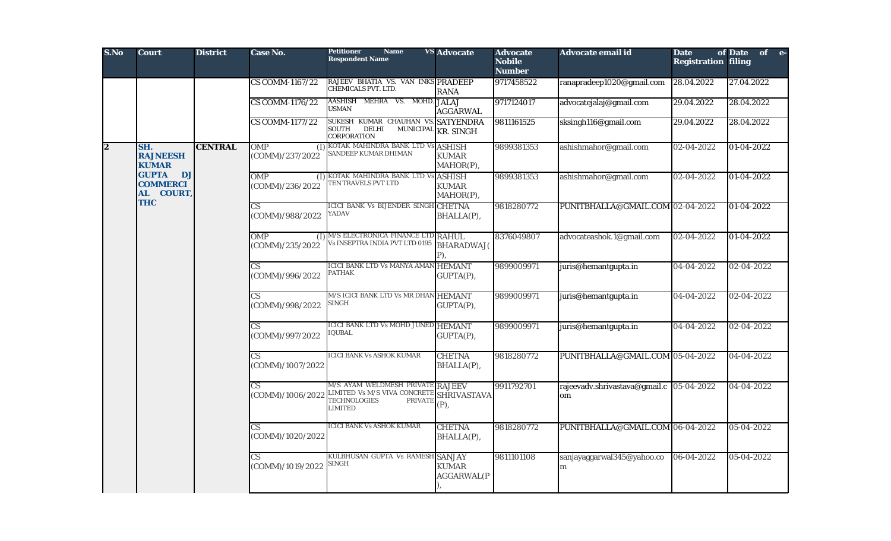| S.No           | <b>Court</b>                                                  | <b>District</b> | Case No.                                   | <b>Petitioner</b><br><b>Name</b><br><b>Respondent Name</b>                                                                  | <b>VS</b> Advocate                         | <b>Advocate</b><br><b>Nobile</b><br><b>Number</b> | Advocate email id                              | <b>Date</b><br><b>Registration filing</b> | of Date<br>of e- |
|----------------|---------------------------------------------------------------|-----------------|--------------------------------------------|-----------------------------------------------------------------------------------------------------------------------------|--------------------------------------------|---------------------------------------------------|------------------------------------------------|-------------------------------------------|------------------|
|                |                                                               |                 | <b>CS COMM-1167/22</b>                     | RAJEEV BHATIA VS. VAN INKS PRADEEP<br>CHEMICALS PVT. LTD.                                                                   | <b>RANA</b>                                | 9717458522                                        | ranapradeep1020@gmail.com                      | 28.04.2022                                | 27.04.2022       |
|                |                                                               |                 | <b>CS COMM-1176/22</b>                     | AASHISH MEHRA VS. MOHD.<br><b>USMAN</b>                                                                                     | <b>JALAJ</b><br><b>AGGARWAL</b>            | 9717124017                                        | advocatejalaj@gmail.com                        | 29.04.2022                                | 28.04.2022       |
|                |                                                               |                 | <b>CS COMM-1177/22</b>                     | SUKESH KUMAR CHAUHAN VS. SATYENDRA<br>SOUTH<br>MUNICIPAL<br>DELHI<br>CORPORATION                                            | <b>KR. SINGH</b>                           | 9811161525                                        | sksingh116@gmail.com                           | 29.04.2022                                | 28.04.2022       |
| $\overline{2}$ | SH.<br><b>RAJNEESH</b><br><b>KUMAR</b>                        | <b>CENTRAL</b>  | <b>OMP</b><br>(COMM)/237/2022              | (I) KOTAK MAHINDRA BANK LTD Vs<br>SANDEEP KUMAR DHIMAN                                                                      | <b>ASHISH</b><br><b>KUMAR</b><br>MAHOR(P), | 9899381353                                        | ashishmahor@gmail.com                          | 02-04-2022                                | 01-04-2022       |
|                | <b>GUPTA DJ</b><br><b>COMMERCI</b><br>AL COURT,<br><b>THC</b> |                 | <b>OMP</b><br>(COMM)/236/2022              | (I) KOTAK MAHINDRA BANK LTD Vs ASHISH<br><b>TEN TRAVELS PVT LTD</b>                                                         | <b>KUMAR</b><br>MAHOR(P),                  | 9899381353                                        | ashishmahor@gmail.com                          | 02-04-2022                                | 01-04-2022       |
|                |                                                               |                 | $\overline{\text{CS}}$<br>(COMM)/988/2022  | ICICI BANK Vs BIJENDER SINGH CHETNA<br>YADAV                                                                                | BHALLA(P),                                 | 9818280772                                        | PUNITBHALLA@GMAIL.COM 02-04-2022               |                                           | 01-04-2022       |
|                |                                                               |                 | <b>OMP</b><br>(COMM)/235/2022              | (I) M/S ELECTRONICA FINANCE LTD RAHUL<br>/s INSEPTRA INDIA PVT LTD 0195                                                     | <b>BHARADWAJ</b> (<br>P),                  | 8376049807                                        | advocateashok.1@gmail.com                      | 02-04-2022                                | 01-04-2022       |
|                |                                                               |                 | $\overline{\text{CS}}$<br>(COMM)/996/2022  | ICICI BANK LTD Vs MANYA AMAN HEMANT<br><b>PATHAK</b>                                                                        | GUPTA(P),                                  | 9899009971                                        | juris@hemantgupta.in                           | 04-04-2022                                | 02-04-2022       |
|                |                                                               |                 | $\overline{\text{CS}}$<br>(COMM)/998/2022  | M/S ICICI BANK LTD Vs MR DHAN HEMANT<br><b>SINGH</b>                                                                        | GUPTA(P),                                  | 9899009971                                        | juris@hemantgupta.in                           | 04-04-2022                                | 02-04-2022       |
|                |                                                               |                 | $\overline{\text{CS}}$<br>(COMM)/997/2022  | ICICI BANK LTD Vs MOHD JUNED HEMANT<br><b>IQUBAL</b>                                                                        | GUPTA(P),                                  | 9899009971                                        | juris@hemantgupta.in                           | 04-04-2022                                | 02-04-2022       |
|                |                                                               |                 | $\overline{\text{CS}}$<br>(COMM)/1007/2022 | <b>ICICI BANK Vs ASHOK KUMAR</b>                                                                                            | <b>CHETNA</b><br>BHALLA(P),                | 9818280772                                        | PUNITBHALLA@GMAIL.COM 05-04-2022               |                                           | 04-04-2022       |
|                |                                                               |                 | $\overline{\text{CS}}$<br>(COMM)/1006/2022 | M/S AYAM WELDMESH PRIVATE RAJEEV<br>LIMITED Vs M/S VIVA CONCRETE<br><b>TECHNOLOGIES</b><br><b>PRIVATE</b><br><b>LIMITED</b> | <b>SHRIVASTAVA</b><br>(P),                 | 9911792701                                        | rajeevadv.shrivastava@gmail.c 05-04-2022<br>om |                                           | 04-04-2022       |
|                |                                                               |                 | $\overline{\text{CS}}$<br>(COMM)/1020/2022 | <b>ICICI BANK Vs ASHOK KUMAR</b>                                                                                            | <b>CHETNA</b><br>BHALLA(P),                | 9818280772                                        | PUNITBHALLA@GMAIL.COM 06-04-2022               |                                           | 05-04-2022       |
|                |                                                               |                 | $\overline{\text{CS}}$<br>(COMM)/1019/2022 | KULBHUSAN GUPTA Vs RAMESH SANJAY<br><b>SINGH</b>                                                                            | <b>KUMAR</b><br><b>AGGARWAL(P</b>          | 9811101108                                        | sanjayaggarwal345@yahoo.co<br>m                | 06-04-2022                                | 05-04-2022       |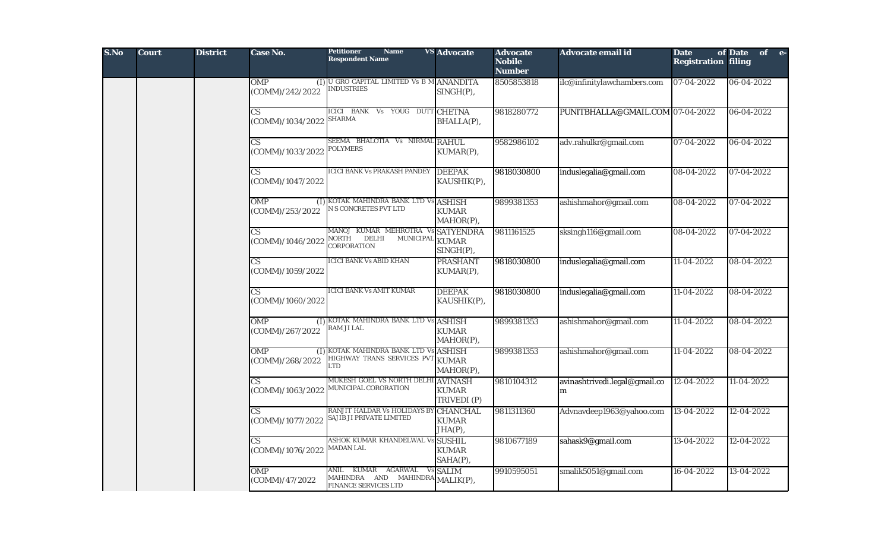| S.No | <b>Court</b> | <b>District</b> | Case No.                                   | <b>Petitioner</b><br><b>Name</b><br><b>Respondent Name</b>                                 | <b>VS</b> Advocate                         | <b>Advocate</b><br><b>Nobile</b><br><b>Number</b> | Advocate email id                  | <b>Date</b><br><b>Registration filing</b> | of Date<br>of e- |
|------|--------------|-----------------|--------------------------------------------|--------------------------------------------------------------------------------------------|--------------------------------------------|---------------------------------------------------|------------------------------------|-------------------------------------------|------------------|
|      |              |                 | OMP<br>(COMM)/242/2022                     | (I) U GRO CAPITAL LIMITED Vs B M ANANDITA<br><b>INDUSTRIES</b>                             | $SINGH(P)$ ,                               | 8505853818                                        | ilc@infinitylawchambers.com        | $\sqrt{07-04-2022}$                       | 06-04-2022       |
|      |              |                 | $\overline{\text{CS}}$<br>(COMM)/1034/2022 | <b>ICICI BANK Vs</b><br>YOUG DUTT CHETNA<br><b>SHARMA</b>                                  | BHALLA(P),                                 | 9818280772                                        | PUNITBHALLA@GMAIL.COM 07-04-2022   |                                           | 06-04-2022       |
|      |              |                 | CS<br>(COMM)/1033/2022                     | SEEMA BHALOTIA Vs NIRMAL RAHUL<br><b>POLYMERS</b>                                          | KUMAR(P),                                  | 9582986102                                        | adv.rahulkr@gmail.com              | 07-04-2022                                | 06-04-2022       |
|      |              |                 | $\overline{\text{CS}}$<br>(COMM)/1047/2022 | ICICI BANK Vs PRAKASH PANDEY                                                               | <b>DEEPAK</b><br>KAUSHIK(P),               | 9818030800                                        | induslegalia@gmail.com             | 08-04-2022                                | 07-04-2022       |
|      |              |                 | OMP<br>(COMM)/253/2022                     | (I) KOTAK MAHINDRA BANK LTD Vs<br>N S CONCRETES PVT LTD                                    | <b>ASHISH</b><br><b>KUMAR</b><br>MAHOR(P), | 9899381353                                        | ashishmahor@gmail.com              | $08 - 04 - 2022$                          | 07-04-2022       |
|      |              |                 | $\overline{\text{CS}}$<br>(COMM)/1046/2022 | MANOJ KUMAR MEHROTRA VS SATYENDRA<br>NORTH<br>DELHI<br>MUNICIPAL<br>CORPORATION            | <b>KUMAR</b><br>SINGH(P),                  | 9811161525                                        | sksingh116@gmail.com               | 08-04-2022                                | 07-04-2022       |
|      |              |                 | $\overline{\text{CS}}$<br>(COMM)/1059/2022 | <b>ICICI BANK Vs ABID KHAN</b>                                                             | <b>PRASHANT</b><br>KUMAR(P),               | 9818030800                                        | induslegalia@gmail.com             | 11-04-2022                                | 08-04-2022       |
|      |              |                 | $\overline{\text{CS}}$<br>(COMM)/1060/2022 | <b>ICICI BANK Vs AMIT KUMAR</b>                                                            | <b>DEEPAK</b><br>KAUSHIK(P),               | 9818030800                                        | induslegalia@gmail.com             | 11-04-2022                                | 08-04-2022       |
|      |              |                 | <b>OMP</b><br>(COMM)/267/2022              | (I) KOTAK MAHINDRA BANK LTD Vs ASHISH<br>RAM JI LAL                                        | <b>KUMAR</b><br>MAHOR(P),                  | 9899381353                                        | ashishmahor@gmail.com              | 11-04-2022                                | 08-04-2022       |
|      |              |                 | <b>OMP</b><br>(COMM)/268/2022              | (I) KOTAK MAHINDRA BANK LTD Vs<br>HIGHWAY TRANS SERVICES PVT<br>LTD.                       | <b>ASHISH</b><br><b>KUMAR</b><br>MAHOR(P), | 9899381353                                        | ashishmahor@gmail.com              | 11-04-2022                                | 08-04-2022       |
|      |              |                 | $\overline{\text{CS}}$<br>(COMM)/1063/2022 | MUKESH GOEL VS NORTH DELHI AVINASH<br>MUNICIPAL CORORATION                                 | <b>KUMAR</b><br>TRIVEDI (P)                | 9810104312                                        | avinashtrivedi.legal@gmail.co<br>m | 12-04-2022                                | 11-04-2022       |
|      |              |                 | CS<br>(COMM)/1077/2022                     | RANJIT HALDAR Vs HOLIDAYS BY<br>SAJIB JI PRIVATE LIMITED                                   | <b>CHANCHAL</b><br><b>KUMAR</b><br>JHA(P), | 9811311360                                        | Advnavdeep1963@yahoo.com           | 13-04-2022                                | 12-04-2022       |
|      |              |                 | <b>CS</b><br>(COMM)/1076/2022              | ASHOK KUMAR KHANDELWAL Vs SUSHIL<br><b>MADAN LAL</b>                                       | <b>KUMAR</b><br>SAHA(P),                   | 9810677189                                        | sahask9@gmail.com                  | 13-04-2022                                | 12-04-2022       |
|      |              |                 | <b>OMP</b><br>(COMM)/47/2022               | KUMAR<br>AGARWAL<br>ANIL<br>MAHINDRA AND MAHINDRA MALIK(P),<br><b>FINANCE SERVICES LTD</b> | Vs SALIM                                   | 9910595051                                        | smalik5051@gmail.com               | 16-04-2022                                | 13-04-2022       |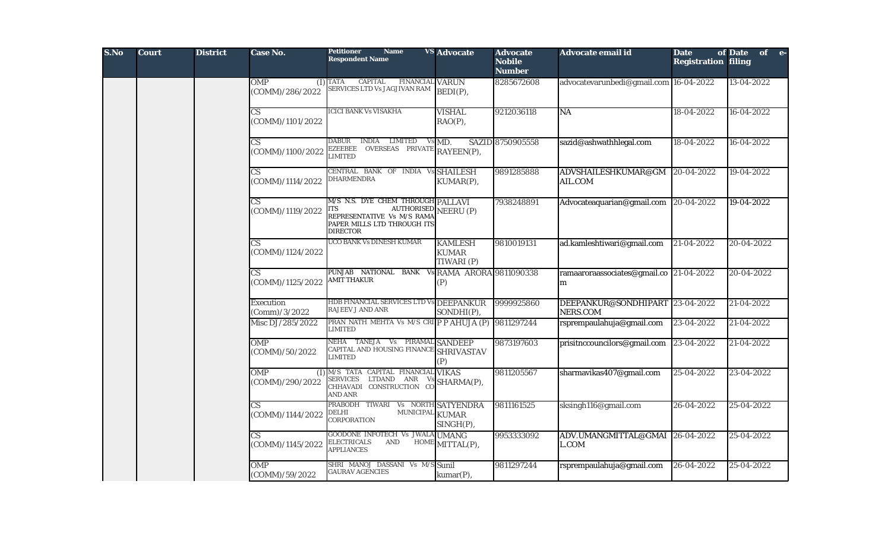| S.No | <b>Court</b> | <b>District</b> | Case No.                                   | <b>Petitioner</b><br><b>Name</b><br><b>Respondent Name</b>                                                                                              | <b>VS</b> Advocate                                                         | <b>Advocate</b><br><b>Nobile</b><br><b>Number</b> | Advocate email id                            | <b>Date</b><br><b>Registration filing</b> | of Date of e- |
|------|--------------|-----------------|--------------------------------------------|---------------------------------------------------------------------------------------------------------------------------------------------------------|----------------------------------------------------------------------------|---------------------------------------------------|----------------------------------------------|-------------------------------------------|---------------|
|      |              |                 | <b>OMP</b><br>(COMM)/286/2022              | CAPITAL<br>$(I)$ TATA<br><b>FINANCIAL VARUN</b><br>SERVICES LTD Vs JAGJIVAN RAM                                                                         | BEDI(P),                                                                   | 8285672608                                        | advocatevarunbedi@gmail.com 16-04-2022       |                                           | 13-04-2022    |
|      |              |                 | $\mathbf{C}\mathbf{S}$<br>(COMM)/1101/2022 | <b>ICICI BANK Vs VISAKHA</b>                                                                                                                            | <b>VISHAL</b><br>$RAO(P)$ ,                                                | 9212036118                                        | NA                                           | 18-04-2022                                | 16-04-2022    |
|      |              |                 | $\mathbf{C}\mathbf{S}$<br>(COMM)/1100/2022 | DABUR INDIA LIMITED<br>EZEEBEE OVERSEAS PRIVATE RAYEEN(P),<br><b>LIMITED</b>                                                                            | Vs MD.                                                                     | SAZID 8750905558                                  | sazid@ashwathhlegal.com                      | 18-04-2022                                | 16-04-2022    |
|      |              |                 | CS<br>(COMM)/1114/2022                     | CENTRAL BANK OF INDIA Vs SHAILESH<br>DHARMENDRA                                                                                                         | KUMAR(P),                                                                  | 9891285888                                        | ADVSHAILESHKUMAR@GM<br>AIL.COM               | 20-04-2022                                | 19-04-2022    |
|      |              |                 | $\overline{\text{CS}}$<br>(COMM)/1119/2022 | M/S N.S. DYE CHEM THROUGH PALLAVI<br><b>AUTHORISED</b> NEERU (P)<br>ITS<br>REPRESENTATIVE Vs M/S RAMA<br>PAPER MILLS LTD THROUGH ITS<br><b>DIRECTOR</b> |                                                                            | 7938248891                                        | Advocateaquarian@gmail.com                   | 20-04-2022                                | 19-04-2022    |
|      |              |                 | $\overline{\text{CS}}$<br>(COMM)/1124/2022 | UCO BANK Vs DINESH KUMAR                                                                                                                                | <b>KAMLESH</b><br><b>KUMAR</b><br>TIWARI (P)                               | 9810019131                                        | ad.kamleshtiwari@gmail.com                   | 21-04-2022                                | 20-04-2022    |
|      |              |                 | $\overline{\text{CS}}$<br>(COMM)/1125/2022 | PUNJAB NATIONAL BANK<br>AMIT THAKUR                                                                                                                     | Vs RAMA ARORA 9811090338<br>(P)                                            |                                                   | ramaaroraassociates@gmail.co 21-04-2022<br>m |                                           | 20-04-2022    |
|      |              |                 | Execution<br>(Comm)/3/2022                 | HDB FINANCIAL SERVICES LTD Vs DEEPANKUR<br><b>RAJEEV J AND ANR</b>                                                                                      | SONDHI(P),                                                                 | 9999925860                                        | DEEPANKUR@SONDHIPART 23-04-2022<br>NERS.COM  |                                           | 21-04-2022    |
|      |              |                 | Misc DJ/285/2022                           | PRAN NATH MEHTA Vs M/S CRI P P AHUJA (P)<br>LIMITED                                                                                                     |                                                                            | 9811297244                                        | rsprempaulahuja@gmail.com                    | 23-04-2022                                | 21-04-2022    |
|      |              |                 | <b>OMP</b><br>(COMM)/50/2022               | NEHA TANEJA Vs PIRAMAL SANDEEP<br>CAPITAL AND HOUSING FINANCE SHRIVASTAV<br><b>LIMITED</b>                                                              | (P)                                                                        | 9873197603                                        | prisitnccouncilors@gmail.com                 | 23-04-2022                                | $21-04-2022$  |
|      |              |                 | <b>OMP</b><br>(I)<br>(COMM)/290/2022       | M/S TATA CAPITAL FINANCIAL VIKAS<br>SERVICES LTDAND ANR<br>CHHAVADI CONSTRUCTION CO<br>AND ANR                                                          | $\frac{Vs}{\gamma \gamma}$ SHARMA(P),                                      | 9811205567                                        | sharmavikas407@gmail.com                     | 25-04-2022                                | 23-04-2022    |
|      |              |                 | <b>CS</b><br>(COMM)/1144/2022              | PRABODH TIWARI Vs NORTH SATYENDRA<br>MUNICIPAL KUMAR<br>DELHI<br>CORPORATION                                                                            | SINGH(P),                                                                  | 9811161525                                        | sksingh116@gmail.com                         | 26-04-2022                                | 25-04-2022    |
|      |              |                 | $\overline{\text{CS}}$<br>(COMM)/1145/2022 | GOODONE INFOTECH Vs JWALA UMANG<br><b>ELECTRICALS</b><br><b>AND</b><br><b>APPLIANCES</b>                                                                | $\operatorname{HOME}\nolimits[\operatorname{MITTAL}\nolimits(\mathbf{P}),$ | 99533333092                                       | ADV.UMANGMITTAL@GMAI 26-04-2022<br>L.COM     |                                           | 25-04-2022    |
|      |              |                 | <b>OMP</b><br>(COMM)/59/2022               | SHRI MANOJ DASSANI Vs M/S Sunil<br><b>GAURAV AGENCIES</b>                                                                                               | kumar(P),                                                                  | 9811297244                                        | rsprempaulahuja@gmail.com                    | 26-04-2022                                | 25-04-2022    |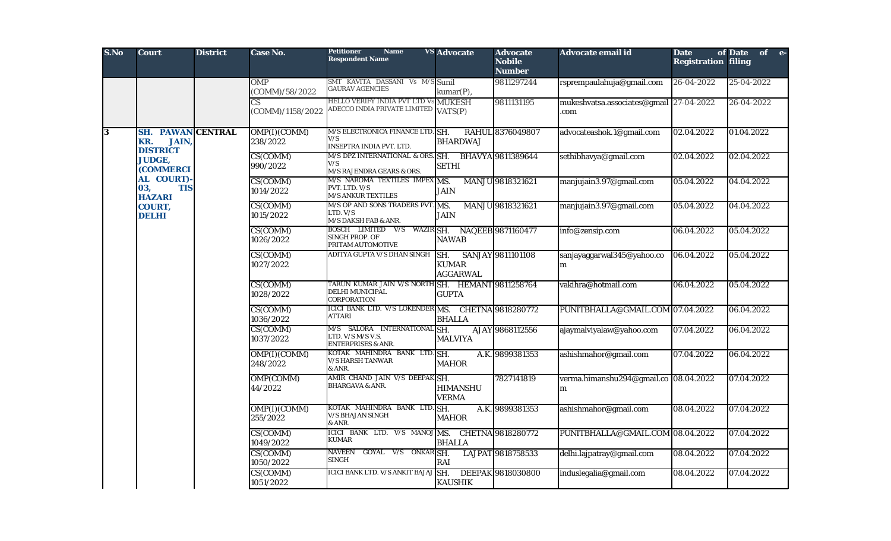| S.No                    | <b>Court</b>                                                       | <b>District</b> | Case No.                     | <b>Petitioner</b><br><b>Name</b><br><b>Respondent Name</b>                             | <b>VS</b> Advocate                                                                        | <b>Advocate</b><br><b>Nobile</b><br><b>Number</b> | <b>Advocate email id</b>                       | <b>Date</b><br><b>Registration filing</b> | of Date of e- |            |                             |                                                              |                                                                   |                                                                                    |                                            |                       |                          |            |            |
|-------------------------|--------------------------------------------------------------------|-----------------|------------------------------|----------------------------------------------------------------------------------------|-------------------------------------------------------------------------------------------|---------------------------------------------------|------------------------------------------------|-------------------------------------------|---------------|------------|-----------------------------|--------------------------------------------------------------|-------------------------------------------------------------------|------------------------------------------------------------------------------------|--------------------------------------------|-----------------------|--------------------------|------------|------------|
|                         |                                                                    |                 | <b>OMP</b><br>(COMM)/58/2022 | SMT KAVITA DASSANI Vs M/S Sunil<br><b>GAURAV AGENCIES</b>                              | kumar(P),                                                                                 | 9811297244                                        | rsprempaulahuja@gmail.com                      | 26-04-2022                                | 25-04-2022    |            |                             |                                                              |                                                                   |                                                                                    |                                            |                       |                          |            |            |
|                         |                                                                    |                 | CS.<br>(COMM)/1158/2022      | <b>HELLO VERIFY INDIA PVT LTD Vs MUKESH</b><br>ADECCO INDIA PRIVATE LIMITED            | VATS(P)                                                                                   | 9811131195                                        | mukeshvatsa.associates@gmail 27-04-2022<br>com |                                           | 26-04-2022    |            |                             |                                                              |                                                                   |                                                                                    |                                            |                       |                          |            |            |
| $\overline{\mathbf{3}}$ | <b>SH. PAWAN CENTRAL</b><br><b>JAIN,</b><br>KR.<br><b>DISTRICT</b> |                 | OMP(I)(COMM)<br>238/2022     | M/S ELECTRONICA FINANCE LTD. SH.<br>V/S<br><b>INSEPTRA INDIA PVT. LTD.</b>             | <b>BHARDWAJ</b>                                                                           | RAHUL 8376049807                                  | advocateashok.1@gmail.com                      | 02.04.2022                                | 01.04.2022    |            |                             |                                                              |                                                                   |                                                                                    |                                            |                       |                          |            |            |
|                         | <b>JUDGE,</b><br><b>(COMMERCI</b><br>AL COURT)                     |                 | CS(COMM)<br>990/2022         | M/S DPZ INTERNATIONAL & ORS. SH. BHAVYA 9811389644<br>V/S<br>M/S RAJENDRA GEARS & ORS. | <b>SETHI</b>                                                                              |                                                   | sethibhavya@gmail.com                          | 02.04.2022                                | 02.04.2022    |            |                             |                                                              |                                                                   |                                                                                    |                                            |                       |                          |            |            |
|                         | <b>TIS</b><br>03,<br><b>HAZARI</b>                                 |                 | CS(COMM)<br>1014/2022        | M/S NAROMA TEXTILES IMPEX MS.<br>PVT. LTD. V/S<br><b>M/S ANKUR TEXTILES</b>            | <b>JAIN</b>                                                                               | MANJU 9818321621                                  | manjujain3.97@gmail.com                        | 05.04.2022                                | 04.04.2022    |            |                             |                                                              |                                                                   |                                                                                    |                                            |                       |                          |            |            |
|                         | COURT,<br><b>DELHI</b>                                             |                 | CS(COMM)<br>1015/2022        | M/S OP AND SONS TRADERS PVT. MS.<br>LTD. V/S<br>M/S DAKSH FAB & ANR.                   | <b>JAIN</b>                                                                               | MANJU 9818321621                                  | manjujain3.97@gmail.com                        | 05.04.2022                                | 04.04.2022    |            |                             |                                                              |                                                                   |                                                                                    |                                            |                       |                          |            |            |
|                         |                                                                    |                 | CS(COMM)<br>1026/2022        | BOSCH LIMITED V/S WAZIR SH. NAQEEB 9871160477<br>SINGH PROP. OF<br>PRITAM AUTOMOTIVE   | NAWAB                                                                                     |                                                   | info@zensip.com                                | 06.04.2022                                | 05.04.2022    |            |                             |                                                              |                                                                   |                                                                                    |                                            |                       |                          |            |            |
|                         |                                                                    |                 | CS(COMM)<br>1027/2022        | ADITYA GUPTA V/S DHAN SINGH                                                            | SH. SANJAY 9811101108<br><b>KUMAR</b><br><b>AGGARWAL</b>                                  |                                                   | sanjayaggarwal345@yahoo.co<br>m                | 06.04.2022                                | 05.04.2022    |            |                             |                                                              |                                                                   |                                                                                    |                                            |                       |                          |            |            |
|                         |                                                                    |                 |                              | CS(COMM)<br>1028/2022                                                                  | TARUN KUMAR JAIN V/S NORTH SH. HEMANT 9811258764<br>DELHI MUNICIPAL<br><b>CORPORATION</b> | <b>GUPTA</b>                                      |                                                | vakihra@hotmail.com                       | 06.04.2022    | 05.04.2022 |                             |                                                              |                                                                   |                                                                                    |                                            |                       |                          |            |            |
|                         |                                                                    |                 | CS(COMM)<br>1036/2022        | ICICI BANK LTD. V/S LOKENDER MS. CHETNA 9818280772<br><b>ATTARI</b>                    | <b>BHALLA</b>                                                                             |                                                   | PUNITBHALLA@GMAIL.COM 07.04.2022               |                                           | 06.04.2022    |            |                             |                                                              |                                                                   |                                                                                    |                                            |                       |                          |            |            |
|                         |                                                                    |                 |                              |                                                                                        |                                                                                           |                                                   |                                                |                                           |               |            |                             |                                                              | CS(COMM)<br>1037/2022                                             | M/S SALORA INTERNATIONAL SH.<br>LTD. V/S M/S V.S.<br><b>ENTERPRISES &amp; ANR.</b> | <b>MALVIYA</b>                             | AJAY 9868112556       | ajaymalviyalaw@yahoo.com | 07.04.2022 | 06.04.2022 |
|                         |                                                                    |                 |                              |                                                                                        |                                                                                           |                                                   |                                                |                                           |               |            |                             | OMP(I)(COMM)<br>248/2022                                     | KOTAK MAHINDRA BANK LTD. SH.<br><b>V/S HARSH TANWAR</b><br>& ANR. | <b>MAHOR</b>                                                                       | A.K. 9899381353                            | ashishmahor@gmail.com | 07.04.2022               | 06.04.2022 |            |
|                         |                                                                    |                 |                              |                                                                                        |                                                                                           |                                                   |                                                |                                           |               |            | <b>OMP(COMM)</b><br>44/2022 | AMIR CHAND JAIN V/S DEEPAK SH.<br><b>BHARGAVA &amp; ANR.</b> | <b>HIMANSHU</b><br><b>VERMA</b>                                   | 7827141819                                                                         | verma.himanshu294@gmail.co 08.04.2022<br>m |                       | 07.04.2022               |            |            |
|                         |                                                                    |                 | OMP(I)(COMM)<br>255/2022     | KOTAK MAHINDRA BANK LTD. SH.<br><b>V/S BHAJAN SINGH</b><br>& ANR.                      | <b>MAHOR</b>                                                                              | A.K. 9899381353                                   | ashishmahor@gmail.com                          | 08.04.2022                                | 07.04.2022    |            |                             |                                                              |                                                                   |                                                                                    |                                            |                       |                          |            |            |
|                         |                                                                    |                 | CS(COMM)<br>1049/2022        | ICICI BANK LTD. V/S MANOJ MS. CHETNA 9818280772<br><b>KUMAR</b>                        | <b>BHALLA</b>                                                                             |                                                   | PUNITBHALLA@GMAIL.COM 08.04.2022               |                                           | 07.04.2022    |            |                             |                                                              |                                                                   |                                                                                    |                                            |                       |                          |            |            |
|                         |                                                                    |                 | CS(COMM)<br>1050/2022        | GOYAL V/S ONKAR SH.<br><b>NAVEEN</b><br><b>SINGH</b>                                   | <b>RAI</b>                                                                                | LAJPAT 9818758533                                 | delhi.lajpatray@gmail.com                      | 08.04.2022                                | 07.04.2022    |            |                             |                                                              |                                                                   |                                                                                    |                                            |                       |                          |            |            |
|                         |                                                                    |                 | CS(COMM)<br>1051/2022        | ICICI BANK LTD. V/S ANKIT BAJAJ                                                        | SH.<br><b>KAUSHIK</b>                                                                     | DEEPAK 9818030800                                 | induslegalia@gmail.com                         | 08.04.2022                                | 07.04.2022    |            |                             |                                                              |                                                                   |                                                                                    |                                            |                       |                          |            |            |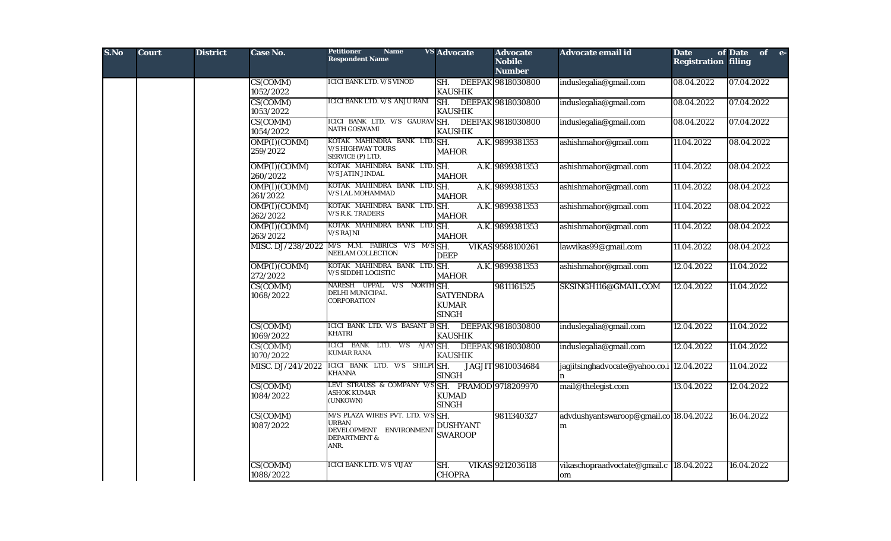| S.No | <b>Court</b> | <b>District</b> | Case No.                 | <b>Petitioner</b><br><b>Name</b><br><b>Respondent Name</b>                                                      | <b>VS Advocate</b>                                    | <b>Advocate</b><br><b>Nobile</b><br><b>Number</b> | Advocate email id                              | <b>Date</b><br><b>Registration filing</b> | of Date of e- |
|------|--------------|-----------------|--------------------------|-----------------------------------------------------------------------------------------------------------------|-------------------------------------------------------|---------------------------------------------------|------------------------------------------------|-------------------------------------------|---------------|
|      |              |                 | CS(COMM)<br>1052/2022    | <b>ICICI BANK LTD. V/S VINOD</b>                                                                                | SH. DEEPAK 9818030800<br><b>KAUSHIK</b>               |                                                   | induslegalia@gmail.com                         | 08.04.2022                                | 07.04.2022    |
|      |              |                 | CS(COMM)<br>1053/2022    | ICICI BANK LTD. V/S ANJU RANI                                                                                   | SH. DEEPAK 9818030800<br><b>KAUSHIK</b>               |                                                   | induslegalia@gmail.com                         | 08.04.2022                                | 07.04.2022    |
|      |              |                 | CS(COMM)<br>1054/2022    | ICICI BANK LTD. V/S GAURAV SH.<br><b>NATH GOSWAMI</b>                                                           | <b>KAUSHIK</b>                                        | DEEPAK 9818030800                                 | induslegalia@gmail.com                         | 08.04.2022                                | 07.04.2022    |
|      |              |                 | OMP(I)(COMM)<br>259/2022 | KOTAK MAHINDRA BANK LTD. SH.<br><b>V/S HIGHWAY TOURS</b><br>SERVICE (P) LTD.                                    | <b>MAHOR</b>                                          | A.K. 9899381353                                   | ashishmahor@gmail.com                          | 11.04.2022                                | 08.04.2022    |
|      |              |                 | OMP(I)(COMM)<br>260/2022 | KOTAK MAHINDRA BANK LTD. SH.<br><b>V/S JATIN JINDAL</b>                                                         | <b>MAHOR</b>                                          | A.K. 9899381353                                   | ashishmahor@gmail.com                          | 11.04.2022                                | 08.04.2022    |
|      |              |                 | OMP(I)(COMM)<br>261/2022 | KOTAK MAHINDRA BANK LTD. SH.<br><b>V/S LAL MOHAMMAD</b>                                                         | <b>MAHOR</b>                                          | A.K. 9899381353                                   | ashishmahor@gmail.com                          | 11.04.2022                                | 08.04.2022    |
|      |              |                 | OMP(I)(COMM)<br>262/2022 | KOTAK MAHINDRA BANK LTD. SH.<br><b>V/S R.K. TRADERS</b>                                                         | <b>MAHOR</b>                                          | A.K. 9899381353                                   | ashishmahor@gmail.com                          | 11.04.2022                                | 08.04.2022    |
|      |              |                 | OMP(I)(COMM)<br>263/2022 | KOTAK MAHINDRA BANK LTD. SH.<br><b>V/S RAJNI</b>                                                                | <b>MAHOR</b>                                          | A.K. 9899381353                                   | ashishmahor@gmail.com                          | 11.04.2022                                | 08.04.2022    |
|      |              |                 | MISC. DJ/238/2022        | M/S M.M. FABRICS V/S M/S SH.<br>NEELAM COLLECTION                                                               | <b>DEEP</b>                                           | VIKAS 9588100261                                  | lawvikas99@gmail.com                           | 11.04.2022                                | 08.04.2022    |
|      |              |                 | OMP(I)(COMM)<br>272/2022 | KOTAK MAHINDRA BANK LTD. SH.<br>V/S SIDDHI LOGISTIC                                                             | <b>MAHOR</b>                                          | A.K. 9899381353                                   | ashishmahor@gmail.com                          | 12.04.2022                                | 11.04.2022    |
|      |              |                 | CS(COMM)<br>1068/2022    | NARESH UPPAL V/S NORTH SH.<br>DELHI MUNICIPAL<br><b>CORPORATION</b>                                             | <b>SATYENDRA</b><br><b>KUMAR</b><br><b>SINGH</b>      | 9811161525                                        | SKSINGH116@GMAIL.COM                           | 12.04.2022                                | 11.04.2022    |
|      |              |                 | CS(COMM)<br>1069/2022    | ICICI BANK LTD. V/S BASANT B SH.<br><b>KHATRI</b>                                                               | <b>KAUSHIK</b>                                        | DEEPAK 9818030800                                 | induslegalia@gmail.com                         | 12.04.2022                                | 11.04.2022    |
|      |              |                 | CS(COMM)<br>1070/2022    | ICICI BANK LTD. V/S AJAY SH.<br><b>KUMAR RANA</b>                                                               | <b>KAUSHIK</b>                                        | DEEPAK 9818030800                                 | induslegalia@gmail.com                         | 12.04.2022                                | 11.04.2022    |
|      |              |                 | MISC. DJ/241/2022        | ICICI BANK LTD. V/S SHILPI SH.<br><b>KHANNA</b>                                                                 | <b>SINGH</b>                                          | JAGJIT 9810034684                                 | jagjitsinghadvocate@yahoo.co.i 12.04.2022      |                                           | 11.04.2022    |
|      |              |                 | CS(COMM)<br>1084/2022    | LEVI STRAUSS & COMPANY V/S<br><b>ASHOK KUMAR</b><br>(UNKOWN)                                                    | SH. PRAMOD 9718209970<br><b>KUMAD</b><br><b>SINGH</b> |                                                   | mail@thelegist.com                             | 13.04.2022                                | 12.04.2022    |
|      |              |                 | CS(COMM)<br>1087/2022    | M/S PLAZA WIRES PVT. LTD. V/S SH.<br><b>URBAN</b><br>DEVELOPMENT ENVIRONMENT<br><b>DEPARTMENT &amp;</b><br>ANR. | <b>DUSHYANT</b><br><b>SWAROOP</b>                     | 9811340327                                        | advdushyantswaroop@gmail.co 18.04.2022<br>m    |                                           | 16.04.2022    |
|      |              |                 | CS(COMM)<br>1088/2022    | ICICI BANK LTD. V/S VIJAY                                                                                       | SH.<br><b>CHOPRA</b>                                  | VIKAS 9212036118                                  | vikaschopraadvoctate@gmail.c  18.04.2022<br>om |                                           | 16.04.2022    |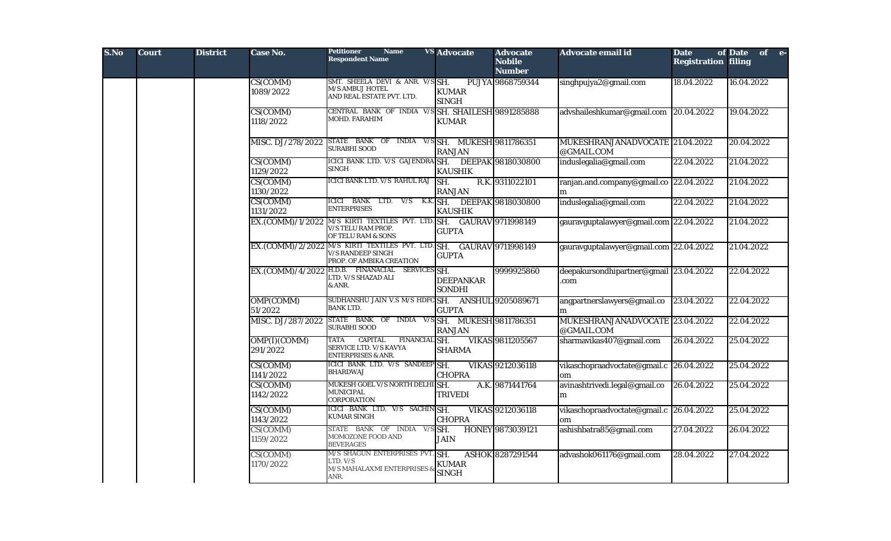| S.No | <b>Court</b> | <b>District</b> | <b>Case No.</b>          | <b>Petitioner</b><br><b>Name</b><br><b>Respondent Name</b>                                                                  | <b>VS Advocate</b>                | <b>Advocate</b><br><b>Nobile</b><br><b>Number</b> | Advocate email id                             | <b>Date</b><br><b>Registration filing</b> | of Date of e- |  |
|------|--------------|-----------------|--------------------------|-----------------------------------------------------------------------------------------------------------------------------|-----------------------------------|---------------------------------------------------|-----------------------------------------------|-------------------------------------------|---------------|--|
|      |              |                 | CS(COMM)<br>1089/2022    | SMT. SHEELA DEVI & ANR. V/SSH.<br><b>M/S AMBUJ HOTEL</b><br>AND REAL ESTATE PVT. LTD.                                       | <b>KUMAR</b><br><b>SINGH</b>      | PUJYA 9868759344                                  | singhpujya2@gmail.com                         | 18.04.2022                                | 16.04.2022    |  |
|      |              |                 | CS(COMM)<br>1118/2022    | CENTRAL BANK OF INDIA V/SSH, SHAILESH 9891285888<br>MOHD. FARAHIM                                                           | <b>KUMAR</b>                      |                                                   | advshaileshkumar@gmail.com 20.04.2022         |                                           | 19.04.2022    |  |
|      |              |                 |                          | MISC. DJ/278/2022 STATE BANK OF INDIA V/S SH. MUKESH 9811786351<br><b>SURABHI SOOD</b>                                      | <b>RANJAN</b>                     |                                                   | MUKESHRANJANADVOCATE 21.04.2022<br>@GMAIL.COM |                                           | 20.04.2022    |  |
|      |              |                 | CS(COMM)<br>1129/2022    | ICICI BANK LTD. V/S GAJENDRA SH. DEEPAK 9818030800<br>SINGH                                                                 | <b>KAUSHIK</b>                    |                                                   | induslegalia@gmail.com                        | 22.04.2022                                | 21.04.2022    |  |
|      |              |                 | CS(COMM)<br>1130/2022    | ICICI BANK LTD. V/S RAHUL RAJ                                                                                               | SH.<br><b>RANJAN</b>              | R.K. 9311022101                                   | ranjan.and.company@gmail.co 22.04.2022<br>m   |                                           | 21.04.2022    |  |
|      |              |                 | CS(COMM)<br>1131/2022    | ICICI BANK LTD. V/S K.K. SH. DEEPAK 9818030800<br><b>ENTERPRISES</b>                                                        | <b>KAUSHIK</b>                    |                                                   | induslegalia@gmail.com                        | 22.04.2022                                | 21.04.2022    |  |
|      |              |                 |                          | EX.(COMM)/1/2022 M/S KIRTI TEXTILES PVT. LTD. SH. GAURAV 9711998149<br>V/S TELU RAM PROP.<br>OF TELU RAM & SONS             | <b>GUPTA</b>                      |                                                   | gauravguptalawyer@gmail.com 22.04.2022        |                                           | 21.04.2022    |  |
|      |              |                 |                          | EX.(COMM)/2/2022 M/S KIRTI TEXTILES PVT. LTD. SH. GAURAV 9711998149<br><b>V/S RANDEEP SINGH</b><br>PROP. OF AMBIKA CREATION | <b>GUPTA</b>                      |                                                   | gauravguptalawyer@gmail.com 22.04.2022        |                                           | 21.04.2022    |  |
|      |              |                 |                          | EX.(COMM)/4/2022 H.D.B. FINANACIAL SERVICES SH.<br>LTD. V/S SHAZAD ALI<br>& ANR.                                            | <b>DEEPANKAR</b><br><b>SONDHI</b> | 9999925860                                        | deepakursondhipartner@gmail 23.04.2022<br>com |                                           | 22.04.2022    |  |
|      |              |                 | OMP(COMM)<br>51/2022     | SUDHANSHU JAIN V.S M/S HDFCSH. ANSHUL 9205089671<br><b>BANK LTD.</b>                                                        | <b>GUPTA</b>                      |                                                   | angpartnerslawyers@gmail.co<br>m              | 23.04.2022                                | 22.04.2022    |  |
|      |              |                 |                          | MISC. DJ/287/2022 STATE BANK OF INDIA V/S SH. MUKESH 9811786351<br><b>SURABHI SOOD</b>                                      | <b>RANJAN</b>                     |                                                   | MUKESHRANJANADVOCATE 23.04.2022<br>@GMAIL.COM |                                           | 22.04.2022    |  |
|      |              |                 | OMP(I)(COMM)<br>291/2022 | <b>CAPITAL</b><br><b>TATA</b><br>FINANCIAL SH.<br>SERVICE LTD. V/S KAVYA<br><b>ENTERPRISES &amp; ANR.</b>                   | <b>SHARMA</b>                     | <b>VIKAS 9811205567</b>                           | sharmavikas407@gmail.com                      | 26.04.2022                                | 25.04.2022    |  |
|      |              |                 | CS(COMM)<br>1141/2022    | ICICI BANK LTD. V/S SANDEEP SH.<br><b>BHARDWAJ</b>                                                                          | <b>CHOPRA</b>                     | VIKAS 9212036118                                  | vikaschopraadvoctate@gmail.c 26.04.2022<br>om |                                           | 25.04.2022    |  |
|      |              |                 | CS(COMM)<br>1142/2022    | MUKESH GOEL V/S NORTH DELHISH.<br><b>MUNICIPAL</b><br><b>CORPORATION</b>                                                    | <b>TRIVEDI</b>                    | A.K. 9871441764                                   | avinashtrivedi.legal@gmail.co<br>m            | 26.04.2022                                | 25.04.2022    |  |
|      |              |                 | CS(COMM)<br>1143/2022    | ICICI BANK LTD. V/S SACHINGH.<br><b>KUMAR SINGH</b>                                                                         | <b>CHOPRA</b>                     | VIKAS 9212036118                                  | vikaschopraadvoctate@gmail.c 26.04.2022<br>om |                                           | 25.04.2022    |  |
|      |              |                 | CS(COMM)<br>1159/2022    | STATE BANK OF INDIA V/S SH.<br>MOMOZONE FOOD AND<br><b>BEVERAGES</b>                                                        | <b>JAIN</b>                       | HONEY 9873039121                                  | ashishbatra85@gmail.com                       | 27.04.2022                                | 26.04.2022    |  |
|      |              |                 | CS(COMM)<br>1170/2022    | M/S SHAGUN ENTERPRISES PVT. SH.<br>LTD. V/S<br>M/S MAHALAXMI ENTERPRISES &<br>ANR.                                          | <b>KUMAR</b><br><b>SINGH</b>      | ASHOK 8287291544                                  | advashok061176@gmail.com                      | 28.04.2022                                | 27.04.2022    |  |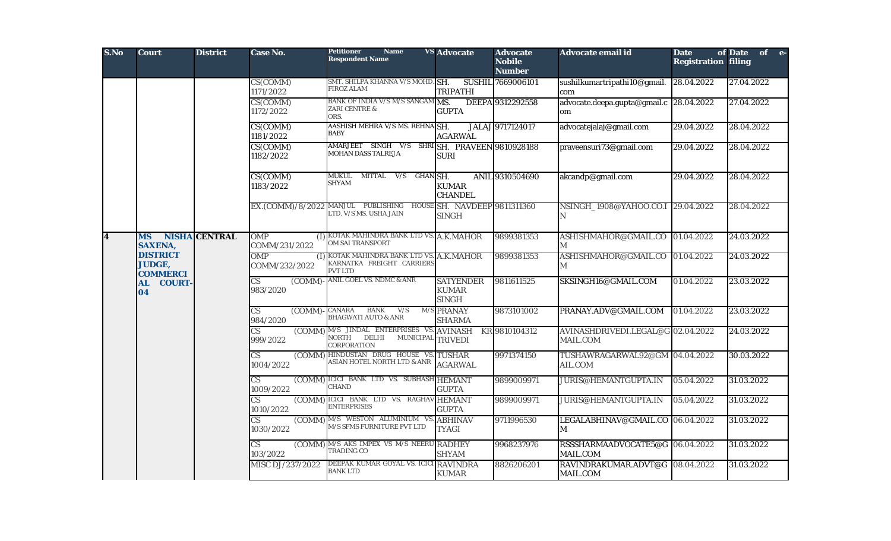| S.No                    | <b>Court</b>                                        | <b>District</b>      | Case No.                                                       | <b>Name</b><br><b>Petitioner</b><br><b>Respondent Name</b>                                                 | <b>VS</b> Advocate                               | <b>Advocate</b><br><b>Nobile</b><br><b>Number</b> | Advocate email id                                  | <b>Date</b><br><b>Registration filing</b> | of Date<br>$of$ e- |  |  |  |  |  |  |  |  |                                               |                                                                |                |            |                                           |            |            |
|-------------------------|-----------------------------------------------------|----------------------|----------------------------------------------------------------|------------------------------------------------------------------------------------------------------------|--------------------------------------------------|---------------------------------------------------|----------------------------------------------------|-------------------------------------------|--------------------|--|--|--|--|--|--|--|--|-----------------------------------------------|----------------------------------------------------------------|----------------|------------|-------------------------------------------|------------|------------|
|                         |                                                     |                      | CS(COMM)<br>1171/2022                                          | SMT. SHILPA KHANNA V/S MOHD. SH.<br><b>FIROZ ALAM</b>                                                      | <b>TRIPATHI</b>                                  | SUSHIL 7669006101                                 | sushilkumartripathi10@gmail.<br>com                | 28.04.2022                                | 27.04.2022         |  |  |  |  |  |  |  |  |                                               |                                                                |                |            |                                           |            |            |
|                         |                                                     |                      | CS(COMM)<br>1172/2022                                          | BANK OF INDIA V/S M/S SANGAM MS.<br>ZARI CENTRE &<br>ORS.                                                  | <b>GUPTA</b>                                     | DEEPA 9312292558                                  | advocate.deepa.gupta@gmail.c 28.04.2022<br>om      |                                           | 27.04.2022         |  |  |  |  |  |  |  |  |                                               |                                                                |                |            |                                           |            |            |
|                         |                                                     |                      | CS(COMM)<br>1181/2022                                          | AASHISH MEHRA V/S MS. REHNA SH.<br><b>BABY</b>                                                             | <b>AGARWAL</b>                                   | JALAJ 9717124017                                  | advocatejalaj@gmail.com                            | 29.04.2022                                | 28.04.2022         |  |  |  |  |  |  |  |  |                                               |                                                                |                |            |                                           |            |            |
|                         |                                                     |                      | CS(COMM)<br>1182/2022                                          | AMARJEET SINGH V/S SHRISH, PRAVEEN 9810928188<br><b>MOHAN DASS TALREJA</b>                                 | <b>SURI</b>                                      |                                                   | praveensuri73@gmail.com                            | 29.04.2022                                | 28.04.2022         |  |  |  |  |  |  |  |  |                                               |                                                                |                |            |                                           |            |            |
|                         |                                                     |                      | CS(COMM)<br>1183/2022                                          | MUKUL MITTAL V/S GHAN SH.<br><b>SHYAM</b>                                                                  | <b>KUMAR</b><br><b>CHANDEL</b>                   | ANIL 9310504690                                   | akcandp@gmail.com                                  | 29.04.2022                                | 28.04.2022         |  |  |  |  |  |  |  |  |                                               |                                                                |                |            |                                           |            |            |
|                         |                                                     |                      |                                                                | EX.(COMM)/8/2022 MANJUL PUBLISHING HOUSE SH. NAVDEEP 9811311360<br>LTD. V/S MS. USHA JAIN                  | <b>SINGH</b>                                     |                                                   | NSINGH_1908@YAHOO.CO.I 29.04.2022<br>N             |                                           | 28.04.2022         |  |  |  |  |  |  |  |  |                                               |                                                                |                |            |                                           |            |            |
| $\overline{\mathbf{4}}$ | <b>MS</b><br><b>SAXENA,</b>                         | <b>NISHA CENTRAL</b> | <b>OMP</b><br>COMM/231/2022                                    | (I) KOTAK MAHINDRA BANK LTD VS. A.K.MAHOR<br><b>OM SAI TRANSPORT</b>                                       |                                                  | 9899381353                                        | ASHISHMAHOR@GMAIL.CO<br>$\mathbf{M}$               | 01.04.2022                                | 24.03.2022         |  |  |  |  |  |  |  |  |                                               |                                                                |                |            |                                           |            |            |
|                         | <b>DISTRICT</b><br><b>JUDGE,</b><br><b>COMMERCI</b> |                      | <b>OMP</b><br>(1)<br>COMM/232/2022                             | KOTAK MAHINDRA BANK LTD VS. A.K.MAHOR<br>KARNATKA FREIGHT CARRIERS<br><b>PVT LTD</b>                       |                                                  | 9899381353                                        | ASHISHMAHOR@GMAIL.CO<br>М                          | 01.04.2022                                | 24.03.2022         |  |  |  |  |  |  |  |  |                                               |                                                                |                |            |                                           |            |            |
|                         | AL<br><b>COURT-</b><br>04                           |                      | $\overline{\text{CS}}$<br>$\overline{\text{COMM}}$<br>983/2020 | <b>ANIL GOEL VS. NDMC &amp; ANR</b>                                                                        | <b>SATYENDER</b><br><b>KUMAR</b><br><b>SINGH</b> | 9811611525                                        | SKSINGH16@GMAIL.COM                                | 01.04.2022                                | 23.03.2022         |  |  |  |  |  |  |  |  |                                               |                                                                |                |            |                                           |            |            |
|                         |                                                     |                      | $\overline{\text{CS}}$<br>$\overline{(COMM)}$<br>984/2020      | <b>BANK</b><br>V/S<br>CANARA<br><b>BHAGWATI AUTO &amp; ANR</b>                                             | M/S PRANAY<br><b>SHARMA</b>                      | 9873101002                                        | PRANAY.ADV@GMAIL.COM                               | 01.04.2022                                | 23.03.2022         |  |  |  |  |  |  |  |  |                                               |                                                                |                |            |                                           |            |            |
|                         |                                                     |                      | $\overline{\text{CS}}$<br>999/2022                             | (COMM) M/S JINDAL ENTERPRISES VS. AVINASH KR 9810104312<br>DELHI MUNICIPAL TRIVEDI<br>NORTH<br>CORPORATION |                                                  |                                                   | AVINASHDRIVEDI.LEGAL@G 02.04.2022<br>MAIL.COM      |                                           | 24.03.2022         |  |  |  |  |  |  |  |  |                                               |                                                                |                |            |                                           |            |            |
|                         |                                                     |                      |                                                                |                                                                                                            |                                                  |                                                   |                                                    |                                           |                    |  |  |  |  |  |  |  |  | (COMM)<br>$\overline{\text{CS}}$<br>1004/2022 | HINDUSTAN DRUG HOUSE VS. TUSHAR<br>ASIAN HOTEL NORTH LTD & ANR | <b>AGARWAL</b> | 9971374150 | TUSHAWRAGARWAL92@GM 04.04.2022<br>AIL.COM |            | 30.03.2022 |
|                         |                                                     |                      |                                                                |                                                                                                            |                                                  |                                                   |                                                    |                                           |                    |  |  |  |  |  |  |  |  | (COMM)<br>$\overline{\text{CS}}$<br>1009/2022 | ICICI BANK LTD VS. SUBHASH HEMANT<br><b>CHAND</b>              | <b>GUPTA</b>   | 9899009971 | <b>JURIS@HEMANTGUPTA.IN</b>               | 05.04.2022 | 31.03.2022 |
|                         |                                                     |                      | CS<br>1010/2022                                                | (COMM) ICICI BANK LTD VS. RAGHAV HEMANT<br><b>ENTERPRISES</b>                                              | <b>GUPTA</b>                                     | 9899009971                                        | <b>JURIS@HEMANTGUPTA.IN</b>                        | 05.04.2022                                | 31.03.2022         |  |  |  |  |  |  |  |  |                                               |                                                                |                |            |                                           |            |            |
|                         |                                                     |                      | $\overline{\text{CS}}$<br>1030/2022                            | (COMM) M/S WESTON ALUMINIUM VS.<br>M/S SFMS FURNITURE PVT LTD                                              | <b>ABHINAV</b><br><b>TYAGI</b>                   | 9711996530                                        | LEGALABHINAV@GMAIL.CO 06.04.2022<br>M              |                                           | 31.03.2022         |  |  |  |  |  |  |  |  |                                               |                                                                |                |            |                                           |            |            |
|                         |                                                     |                      | $\overline{\text{CS}}$<br>103/2022                             | (COMM) M/S AKS IMPEX VS M/S NEERU RADHEY<br><b>TRADING CO</b>                                              | <b>SHYAM</b>                                     | 9968237976                                        | RSSSHARMAADVOCATE5@G 06.04.2022<br><b>MAIL.COM</b> |                                           | 31.03.2022         |  |  |  |  |  |  |  |  |                                               |                                                                |                |            |                                           |            |            |
|                         |                                                     |                      | MISC DJ/237/2022                                               | DEEPAK KUMAR GOYAL VS. ICICI RAVINDRA<br><b>BANK LTD</b>                                                   | <b>KUMAR</b>                                     | 8826206201                                        | RAVINDRAKUMAR.ADVT@G 08.04.2022<br>MAIL.COM        |                                           | 31.03.2022         |  |  |  |  |  |  |  |  |                                               |                                                                |                |            |                                           |            |            |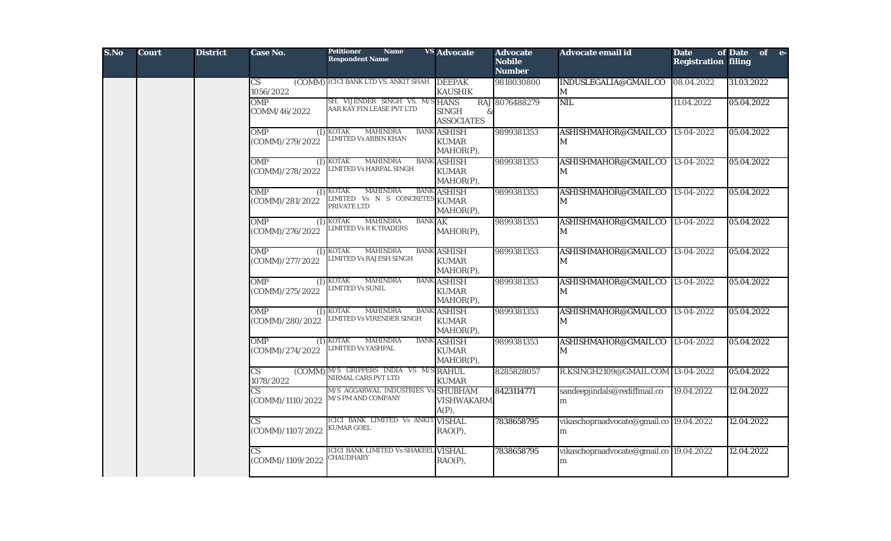| S.No | <b>Court</b> | <b>District</b> | Case No.                             | <b>Petitioner</b><br><b>Name</b><br><b>Respondent Name</b>                         | <b>VS</b> Advocate                              | <b>Advocate</b><br><b>Nobile</b><br><b>Number</b> | Advocate email id                              | <b>Date</b><br><b>Registration filing</b> | of Date of e- |
|------|--------------|-----------------|--------------------------------------|------------------------------------------------------------------------------------|-------------------------------------------------|---------------------------------------------------|------------------------------------------------|-------------------------------------------|---------------|
|      |              |                 | CS<br>1056/2022                      | (COMM) ICICI BANK LTD VS. ANKIT SHAH DEEPAK                                        | <b>KAUSHIK</b>                                  | 9818030800                                        | INDUSLEGALIA@GMAIL.CO<br>M                     | 08.04.2022                                | 31.03.2022    |
|      |              |                 | OMP<br>COMM/46/2022                  | SH. VIJENDER SINGH VS. M/S HANS<br>AAR KAY FIN LEASE PVT LTD                       | <b>SINGH</b><br>&<br><b>ASSOCIATES</b>          | RAJ 8076488279                                    | <b>NIL</b>                                     | 11.04.2022                                | 05.04.2022    |
|      |              |                 | <b>OMP</b><br>(COMM)/279/2022        | $(I)$ KOTAK<br><b>MAHINDRA</b><br><b>IMITED Vs ARBIN KHAN</b>                      | <b>BANK ASHISH</b><br><b>KUMAR</b><br>MAHOR(P), | 9899381353                                        | ASHISHMAHOR@GMAIL.CO 13-04-2022<br>M           |                                           | 05.04.2022    |
|      |              |                 | <b>OMP</b><br>(I)<br>(COMM)/278/2022 | <b>KOTAK</b><br><b>MAHINDRA</b><br>LIMITED Vs HARPAL SINGH                         | <b>BANK ASHISH</b><br><b>KUMAR</b><br>MAHOR(P), | 9899381353                                        | ASHISHMAHOR@GMAIL.CO<br>M                      | 13-04-2022                                | 05.04.2022    |
|      |              |                 | <b>OMP</b><br>(1)<br>(COMM)/281/2022 | <b>KOTAK</b><br><b>MAHINDRA</b><br>LIMITED Vs N S CONCRETES<br>PRIVATE LTD         | <b>BANK ASHISH</b><br><b>KUMAR</b><br>MAHOR(P), | 9899381353                                        | ASHISHMAHOR@GMAIL.CO<br>M                      | $13-04-2022$                              | 05.04.2022    |
|      |              |                 | <b>OMP</b><br>(1)<br>(COMM)/276/2022 | <b>KOTAK</b><br><b>MAHINDRA</b><br><b>BANK AK</b><br><b>LIMITED Vs R K TRADERS</b> | MAHOR(P),                                       | 9899381353                                        | ASHISHMAHOR@GMAIL.CO<br>M                      | 13-04-2022                                | 05.04.2022    |
|      |              |                 | <b>OMP</b><br>(1)<br>(COMM)/277/2022 | <b>MAHINDRA</b><br><b>KOTAK</b><br><b>LIMITED Vs RAJESH SINGH</b>                  | <b>BANK ASHISH</b><br><b>KUMAR</b><br>MAHOR(P), | 9899381353                                        | ASHISHMAHOR@GMAIL.CO<br>M                      | 13-04-2022                                | 05.04.2022    |
|      |              |                 | <b>OMP</b><br>(I)<br>(COMM)/275/2022 | <b>KOTAK</b><br><b>MAHINDRA</b><br><b>IMITED Vs SUNIL</b>                          | <b>BANK ASHISH</b><br><b>KUMAR</b><br>MAHOR(P), | 9899381353                                        | ASHISHMAHOR@GMAIL.CO 13-04-2022<br>$\mathbf M$ |                                           | 05.04.2022    |
|      |              |                 | <b>OMP</b><br>(I)<br>(COMM)/280/2022 | <b>KOTAK</b><br><b>MAHINDRA</b><br>LIMITED Vs VIRENDER SINGH                       | <b>BANK ASHISH</b><br><b>KUMAR</b><br>MAHOR(P), | 9899381353                                        | ASHISHMAHOR@GMAIL.CO<br>$\mathbf M$            | 13-04-2022                                | 05.04.2022    |
|      |              |                 | <b>OMP</b><br>(I)<br>(COMM)/274/2022 | <b>KOTAK</b><br><b>MAHINDRA</b><br><b>JIMITED Vs YASHPAL</b>                       | <b>BANK ASHISH</b><br><b>KUMAR</b><br>MAHOR(P), | 9899381353                                        | ASHISHMAHOR@GMAIL.CO<br>M                      | 13-04-2022                                | 05.04.2022    |
|      |              |                 | (COMM)<br>CS.<br>1078/2022           | M/S GRIPPERS INDIA VS M/S RAHUL<br>NIRMAL CARS PVT LTD                             | <b>KUMAR</b>                                    | 8285828057                                        | R.KSINGH2109@GMAIL.COM 13-04-2022              |                                           | 05.04.2022    |
|      |              |                 | (COMM)/1110/2022                     | M/S AGGARWAL INDUSTRIES Vs SHUBHAM<br>M/S PM AND COMPANY                           | <b>VISHWAKARM</b><br>$A(P)$ ,                   | 8423114771                                        | sandeepjindals@rediffmail.co<br>m              | 19.04.2022                                | 12.04.2022    |
|      |              |                 | CS<br>(COMM)/1107/2022               | ICICI BANK LIMITED Vs ANKIT VISHAL<br><b>KUMAR GOEL</b>                            | $RAO(P)$ ,                                      | 7838658795                                        | vikaschopraadvocate@gmail.co 19.04.2022<br>m   |                                           | 12.04.2022    |
|      |              |                 | CS.<br>COMM)/1109/2022               | <b>ICICI BANK LIMITED Vs SHAKEEL VISHAL</b><br><b>CHAUDHARY</b>                    | $RAO(P)$ ,                                      | 7838658795                                        | vikaschopraadvocate@gmail.co 19.04.2022<br>m   |                                           | 12.04.2022    |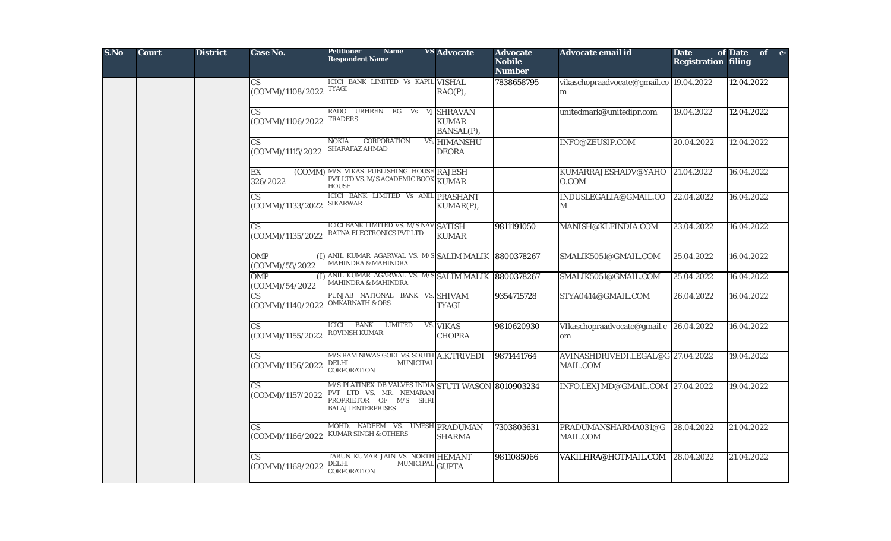| S.No | <b>Court</b> | <b>District</b> | Case No.                                   | <b>Petitioner</b><br><b>Name</b><br><b>Respondent Name</b>                                                                            | <b>VS Advocate</b>                       | <b>Advocate</b><br><b>Nobile</b><br><b>Number</b> | Advocate email id                             | <b>Date</b><br><b>Registration filing</b> | of Date of e- |
|------|--------------|-----------------|--------------------------------------------|---------------------------------------------------------------------------------------------------------------------------------------|------------------------------------------|---------------------------------------------------|-----------------------------------------------|-------------------------------------------|---------------|
|      |              |                 | $\overline{\text{CS}}$<br>(COMM)/1108/2022 | ICICI BANK LIMITED Vs KAPIL VISHAL<br><b>TYAGI</b>                                                                                    | $RAO(P)$ ,                               | 7838658795                                        | vikaschopraadvocate@gmail.co 19.04.2022<br>m  |                                           | 12.04.2022    |
|      |              |                 | CS<br>(COMM)/1106/2022                     | RADO URHREN<br>RG<br>Vs<br><b>TRADERS</b>                                                                                             | VJ SHRAVAN<br><b>KUMAR</b><br>BANSAL(P), |                                                   | unitedmark@unitedipr.com                      | 19.04.2022                                | 12.04.2022    |
|      |              |                 | $\mathbf{C}\mathbf{S}$<br>(COMM)/1115/2022 | <b>CORPORATION</b><br>NOKIA<br>SHARAFAZ AHMAD                                                                                         | VS, HIMANSHU<br><b>DEORA</b>             |                                                   | INFO@ZEUSIP.COM                               | 20.04.2022                                | 12.04.2022    |
|      |              |                 | EX<br>326/2022                             | (COMM) M/S VIKAS PUBLISHING HOUSE RAJESH<br>PVT LTD VS. M/S ACADEMIC BOOK KUMAR<br><b>HOUSE</b>                                       |                                          |                                                   | KUMARRAJESHADV@YAHO<br>0.COM                  | 21.04.2022                                | 16.04.2022    |
|      |              |                 | $\overline{\text{CS}}$<br>(COMM)/1133/2022 | ICICI BANK LIMITED Vs ANIL PRASHANT<br><b>SIKARWAR</b>                                                                                | KUMAR(P),                                |                                                   | INDUSLEGALIA@GMAIL.CO<br>М                    | 22.04.2022                                | 16.04.2022    |
|      |              |                 | $\mathbf{C}\mathbf{S}$<br>(COMM)/1135/2022 | ICICI BANK LIMITED VS. M/S NAV SATISH<br>RATNA ELECTRONICS PVT LTD                                                                    | <b>KUMAR</b>                             | 9811191050                                        | MANISH@KLFINDIA.COM                           | 23.04.2022                                | 16.04.2022    |
|      |              |                 | <b>OMP</b><br>(COMM)/55/2022               | (I) ANIL KUMAR AGARWAL VS. M/S SALIM MALIK 8800378267<br>MAHINDRA & MAHINDRA                                                          |                                          |                                                   | SMALIK5051@GMAIL.COM                          | 25.04.2022                                | 16.04.2022    |
|      |              |                 | <b>OMP</b><br>(COMM)/54/2022               | (I) ANIL KUMAR AGARWAL VS. M/S SALIM MALIK<br><b>MAHINDRA &amp; MAHINDRA</b>                                                          |                                          | 8800378267                                        | SMALIK5051@GMAIL.COM                          | 25.04.2022                                | 16.04.2022    |
|      |              |                 | $\overline{CS}$<br>(COMM)/1140/2022        | PUNJAB NATIONAL<br>BANK VS. SHIVAM<br><b>OMKARNATH &amp; ORS.</b>                                                                     | <b>TYAGI</b>                             | 9354715728                                        | STYA0414@GMAIL.COM                            | 26.04.2022                                | 16.04.2022    |
|      |              |                 | $\overline{\text{CS}}$<br>(COMM)/1155/2022 | <b>BANK</b><br><b>LIMITED</b><br>ICICI<br>ROVINSH KUMAR                                                                               | <b>VS. VIKAS</b><br><b>CHOPRA</b>        | 9810620930                                        | VIkaschopraadvocate@gmail.c 26.04.2022<br>om  |                                           | 16.04.2022    |
|      |              |                 | $\overline{\text{CS}}$<br>(COMM)/1156/2022 | M/S RAM NIWAS GOEL VS. SOUTH A.K.TRIVEDI<br>DELHI<br><b>MUNICIPAL</b><br><b>CORPORATION</b>                                           |                                          | 9871441764                                        | AVINASHDRIVEDI.LEGAL@G 27.04.2022<br>MAIL.COM |                                           | 19.04.2022    |
|      |              |                 | $\overline{\text{CS}}$<br>(COMM)/1157/2022 | M/S PLATINEX DB VALVES INDIA STUTI WASON 8010903234<br>PVT LTD VS. MR. NEMARAM<br>PROPRIETOR OF M/S SHRI<br><b>BALAJI ENTERPRISES</b> |                                          |                                                   | INFO.LEXJMD@GMAIL.COM 27.04.2022              |                                           | 19.04.2022    |
|      |              |                 | <b>CS</b><br>(COMM)/1166/2022              | MOHD. NADEEM VS. UMESH PRADUMAN<br><b>KUMAR SINGH &amp; OTHERS</b>                                                                    | <b>SHARMA</b>                            | 7303803631                                        | PRADUMANSHARMA031@G<br>MAIL.COM               | 28.04.2022                                | 21.04.2022    |
|      |              |                 | $\overline{\text{CS}}$<br>(COMM)/1168/2022 | TARUN KUMAR JAIN VS. NORTH HEMANT<br><b>DELHI</b><br>MUNICIPAL GUPTA<br>CORPORATION                                                   |                                          | 9811085066                                        | VAKILHRA@HOTMAIL.COM                          | 28.04.2022                                | 21.04.2022    |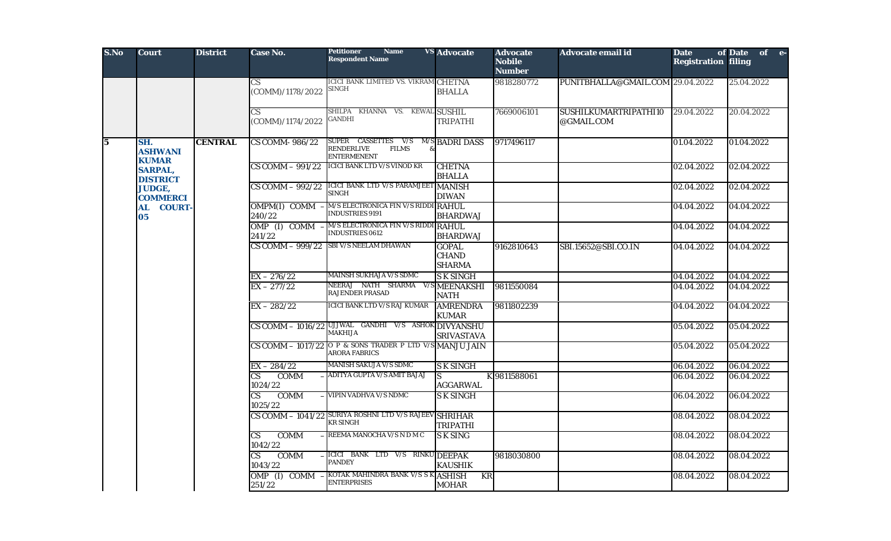| S.No                    | <b>Court</b>                          | <b>District</b> | Case No.                                   | <b>Petitioner</b><br><b>Name</b><br><b>Respondent Name</b>                         | <b>VS Advocate</b>                            | <b>Advocate</b><br><b>Nobile</b><br><b>Number</b> | <b>Advocate email id</b>            | <b>Date</b><br><b>Registration filing</b> | of Date of e- |                                                  |                              |                             |                        |              |            |            |            |
|-------------------------|---------------------------------------|-----------------|--------------------------------------------|------------------------------------------------------------------------------------|-----------------------------------------------|---------------------------------------------------|-------------------------------------|-------------------------------------------|---------------|--------------------------------------------------|------------------------------|-----------------------------|------------------------|--------------|------------|------------|------------|
|                         |                                       |                 | CS<br>(COMM)/1178/2022                     | ICICI BANK LIMITED VS. VIKRAM CHETNA<br>SINGH                                      | <b>BHALLA</b>                                 | 9818280772                                        | PUNITBHALLA@GMAIL.COM 29.04.2022    |                                           | 25.04.2022    |                                                  |                              |                             |                        |              |            |            |            |
|                         |                                       |                 | $\overline{\text{CS}}$<br>(COMM)/1174/2022 | SHILPA KHANNA VS. KEWAL SUSHIL<br><b>GANDHI</b>                                    | <b>TRIPATHI</b>                               | 7669006101                                        | SUSHILKUMARTRIPATHI10<br>@GMAIL.COM | 29.04.2022                                | 20.04.2022    |                                                  |                              |                             |                        |              |            |            |            |
| $\overline{\mathbf{5}}$ | SH.<br><b>ASHWANI</b><br><b>KUMAR</b> | <b>CENTRAL</b>  | CS COMM-986/22                             | SUPER CASSETTES V/S<br>RENDERLIVE<br><b>FILMS</b><br><b>ENTERMENENT</b>            | <b>M/S BADRI DASS</b>                         | 9717496117                                        |                                     | 01.04.2022                                | 01.04.2022    |                                                  |                              |                             |                        |              |            |            |            |
|                         | <b>SARPAL,</b><br><b>DISTRICT</b>     |                 | $CS$ COMM $-$ 991/22                       | <b>ICICI BANK LTD V/S VINOD KR</b>                                                 | <b>CHETNA</b><br><b>BHALLA</b>                |                                                   |                                     | 02.04.2022                                | 02.04.2022    |                                                  |                              |                             |                        |              |            |            |            |
|                         | <b>JUDGE,</b><br><b>COMMERCI</b>      |                 | $CS$ COMM $-$ 992/22                       | ICICI BANK LTD V/S PARAMJEET MANISH<br>SINGH                                       | <b>DIWAN</b>                                  |                                                   |                                     | 02.04.2022                                | 02.04.2022    |                                                  |                              |                             |                        |              |            |            |            |
|                         | <b>COURT-</b><br><b>AL</b><br>05      |                 | OMPM(I) COMM<br>240/22                     | M/S ELECTRONICA FIN V/S RIDDI RAHUL<br><b>INDUSTRIES 9191</b>                      | <b>BHARDWAJ</b>                               |                                                   |                                     | 04.04.2022                                | 04.04.2022    |                                                  |                              |                             |                        |              |            |            |            |
|                         |                                       |                 | OMP (I) COMM<br>241/22                     | M/S ELECTRONICA FIN V/S RIDDI RAHUL<br><b>INDUSTRIES 0612</b>                      | <b>BHARDWAJ</b>                               |                                                   |                                     | 04.04.2022                                | 04.04.2022    |                                                  |                              |                             |                        |              |            |            |            |
|                         |                                       |                 | CS COMM - 999/22                           | <b>SBI V/S NEELAM DHAWAN</b>                                                       | <b>GOPAL</b><br><b>CHAND</b><br><b>SHARMA</b> | 9162810643                                        | SBI.15652@SBI.CO.IN                 | 04.04.2022                                | 04.04.2022    |                                                  |                              |                             |                        |              |            |            |            |
|                         |                                       |                 | $EX - 276/22$                              | <b>MAINSH SUKHAJA V/S SDMC</b>                                                     | <b>SK SINGH</b>                               |                                                   |                                     | 04.04.2022                                | 04.04.2022    |                                                  |                              |                             |                        |              |            |            |            |
|                         |                                       |                 | $EX - 277/22$                              | NEERAJ NATH SHARMA V/S MEENAKSHI<br><b>RAJENDER PRASAD</b>                         | <b>NATH</b>                                   | 9811550084                                        |                                     | 04.04.2022                                | 04.04.2022    |                                                  |                              |                             |                        |              |            |            |            |
|                         |                                       |                 | $EX - 282/22$                              | ICICI BANK LTD V/S RAJ KUMAR                                                       | <b>AMRENDRA</b><br><b>KUMAR</b>               | 9811802239                                        |                                     | 04.04.2022                                | 04.04.2022    |                                                  |                              |                             |                        |              |            |            |            |
|                         |                                       |                 |                                            | CS COMM - 1016/22 UJJWAL GANDHI V/S ASHOK DIVYANSHU<br><b>MAKHIJA</b>              | <b>SRIVASTAVA</b>                             |                                                   |                                     | 05.04.2022                                | 05.04.2022    |                                                  |                              |                             |                        |              |            |            |            |
|                         |                                       |                 |                                            | CS COMM $-$ 1017/22 O P & SONS TRADER P LTD V/S MANJU JAIN<br><b>ARORA FABRICS</b> |                                               |                                                   |                                     | 05.04.2022                                | 05.04.2022    |                                                  |                              |                             |                        |              |            |            |            |
|                         |                                       |                 | $EX - 284/22$                              | <b>MANISH SAKUJA V/S SDMC</b>                                                      | <b>SK SINGH</b>                               |                                                   |                                     | 06.04.2022                                | 06.04.2022    |                                                  |                              |                             |                        |              |            |            |            |
|                         |                                       |                 |                                            |                                                                                    |                                               |                                                   |                                     |                                           |               |                                                  | <b>COMM</b><br>CS<br>1024/22 | ADITYA GUPTA V/S AMIT BAJAJ | lS.<br><b>AGGARWAL</b> | K 9811588061 |            | 06.04.2022 | 06.04.2022 |
|                         |                                       |                 |                                            |                                                                                    |                                               |                                                   |                                     |                                           |               | <b>COMM</b><br>$\overline{\text{CS}}$<br>1025/22 | VIPIN VADHVA V/S NDMC        | <b>SK SINGH</b>             |                        |              | 06.04.2022 | 06.04.2022 |            |
|                         |                                       |                 |                                            | CS COMM - 1041/22 SURIYA ROSHNI LTD V/S RAJEEV SHRIHAR<br><b>KR SINGH</b>          | <b>TRIPATHI</b>                               |                                                   |                                     | 08.04.2022                                | 08.04.2022    |                                                  |                              |                             |                        |              |            |            |            |
|                         |                                       |                 | <b>COMM</b><br>CS<br>1042/22               | REEMA MANOCHA V/S N D M C                                                          | <b>SK SING</b>                                |                                                   |                                     | 08.04.2022                                | 08.04.2022    |                                                  |                              |                             |                        |              |            |            |            |
|                         |                                       |                 | <b>COMM</b><br>CS<br>1043/22               | ICICI BANK LTD V/S RINKU DEEPAK<br><b>PANDEY</b>                                   | <b>KAUSHIK</b>                                | 9818030800                                        |                                     | 08.04.2022                                | 08.04.2022    |                                                  |                              |                             |                        |              |            |            |            |
|                         |                                       |                 | OMP (I) COMM -<br>251/22                   | KOTAK MAHINDRA BANK V/S S K ASHISH<br><b>ENTERPRISES</b>                           | KR<br><b>MOHAR</b>                            |                                                   |                                     | 08.04.2022                                | 08.04.2022    |                                                  |                              |                             |                        |              |            |            |            |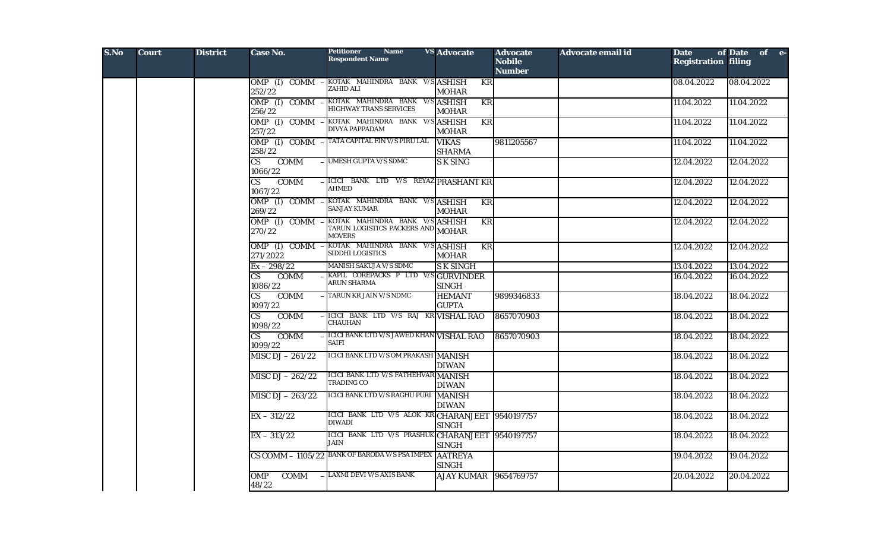| S.No | <b>Court</b> | <b>District</b> | Case No.                                         | <b>Petitioner</b><br><b>Name</b><br><b>Respondent Name</b>                           | <b>VS</b> Advocate                     | <b>Advocate</b><br><b>Nobile</b><br><b>Number</b> | <b>Advocate email id</b> | <b>Date</b><br><b>Registration filing</b> | of Date of e- |
|------|--------------|-----------------|--------------------------------------------------|--------------------------------------------------------------------------------------|----------------------------------------|---------------------------------------------------|--------------------------|-------------------------------------------|---------------|
|      |              |                 | 252/22                                           | OMP (I) COMM - KOTAK MAHINDRA BANK V/S ASHISH<br>ZAHID ALI                           | KR<br><b>MOHAR</b>                     |                                                   |                          | 08.04.2022                                | 08.04.2022    |
|      |              |                 | 256/22                                           | OMP (I) COMM - KOTAK MAHINDRA BANK V/S ASHISH<br><b>HIGHWAY TRANS SERVICES</b>       | <b>KR</b><br><b>MOHAR</b>              |                                                   |                          | 11.04.2022                                | 11.04.2022    |
|      |              |                 | $OMP$ (I) COMM<br>257/22                         | KOTAK MAHINDRA BANK V/S ASHISH<br>DIVYA PAPPADAM                                     | $\overline{\text{KR}}$<br><b>MOHAR</b> |                                                   |                          | 11.04.2022                                | 11.04.2022    |
|      |              |                 | 258/22                                           | OMP (I) COMM - TATA CAPITAL FIN V/S PIRU LAL                                         | <b>VIKAS</b><br><b>SHARMA</b>          | 9811205567                                        |                          | 11.04.2022                                | 11.04.2022    |
|      |              |                 | $\overline{\text{CS}}$<br><b>COMM</b><br>1066/22 | - UMESH GUPTA V/S SDMC                                                               | <b>SK SING</b>                         |                                                   |                          | 12.04.2022                                | 12.04.2022    |
|      |              |                 | $\overline{\text{CS}}$<br><b>COMM</b><br>1067/22 | -ICICI BANK LTD V/S REYAZ PRASHANT KR<br><b>AHMED</b>                                |                                        |                                                   |                          | 12.04.2022                                | 12.04.2022    |
|      |              |                 | OMP (I) COMM<br>269/22                           | -KOTAK MAHINDRA BANK V/S ASHISH<br><b>SANJAY KUMAR</b>                               | KR<br><b>MOHAR</b>                     |                                                   |                          | 12.04.2022                                | 12.04.2022    |
|      |              |                 | OMP (I) COMM<br>270/22                           | -KOTAK MAHINDRA BANK V/SASHISH<br>TARUN LOGISTICS PACKERS AND MOHAR<br><b>MOVERS</b> | <b>KR</b>                              |                                                   |                          | 12.04.2022                                | 12.04.2022    |
|      |              |                 | OMP (I) COMM<br>271/2022                         | KOTAK MAHINDRA BANK V/S ASHISH<br>SIDDHI LOGISTICS                                   | KR<br><b>MOHAR</b>                     |                                                   |                          | 12.04.2022                                | 12.04.2022    |
|      |              |                 | $Ex - 298/22$                                    | <b>MANISH SAKUJA V/S SDMC</b>                                                        | <b>SK SINGH</b>                        |                                                   |                          | 13.04.2022                                | 13.04.2022    |
|      |              |                 | <b>CS</b><br><b>COMM</b><br>1086/22              | KAPIL COREPACKS P LTD V/SGURVINDER<br><b>ARUN SHARMA</b>                             | <b>SINGH</b>                           |                                                   |                          | 16.04.2022                                | 16.04.2022    |
|      |              |                 | $\overline{\text{CS}}$<br><b>COMM</b><br>1097/22 | - TARUN KR JAIN V/S NDMC                                                             | <b>HEMANT</b><br><b>GUPTA</b>          | 9899346833                                        |                          | 18.04.2022                                | 18.04.2022    |
|      |              |                 | CS.<br><b>COMM</b><br>1098/22                    | ICICI BANK LTD V/S RAJ KR VISHAL RAO<br><b>CHAUHAN</b>                               |                                        | 8657070903                                        |                          | 18.04.2022                                | 18.04.2022    |
|      |              |                 | $\overline{\text{CS}}$<br><b>COMM</b><br>1099/22 | <b>ICICI BANK LTD V/S JAWED KHAN VISHAL RAO</b><br>SAIFI                             |                                        | 8657070903                                        |                          | 18.04.2022                                | 18.04.2022    |
|      |              |                 | MISC DJ $-261/22$                                | ICICI BANK LTD V/S OM PRAKASH MANISH                                                 | <b>DIWAN</b>                           |                                                   |                          | 18.04.2022                                | 18.04.2022    |
|      |              |                 | MISC DJ $-262/22$                                | ICICI BANK LTD V/S FATHEHVAR MANISH<br><b>TRADING CO</b>                             | <b>DIWAN</b>                           |                                                   |                          | 18.04.2022                                | 18.04.2022    |
|      |              |                 | MISC DJ $- 263/22$                               | ICICI BANK LTD V/S RAGHU PURI MANISH                                                 | <b>DIWAN</b>                           |                                                   |                          | 18.04.2022                                | 18.04.2022    |
|      |              |                 | $EX - 312/22$                                    | ICICI BANK LTD V/S ALOK KR CHARANJEET 9540197757<br><b>DIWADI</b>                    | <b>SINGH</b>                           |                                                   |                          | 18.04.2022                                | 18.04.2022    |
|      |              |                 | $EX - 313/22$                                    | ICICI BANK LTD V/S PRASHUK CHARANJEET 9540197757<br><b>JAIN</b>                      | <b>SINGH</b>                           |                                                   |                          | 18.04.2022                                | 18.04.2022    |
|      |              |                 |                                                  | CS COMM - 1105/22 BANK OF BARODA V/S PSA IMPEX AATREYA                               | <b>SINGH</b>                           |                                                   |                          | 19.04.2022                                | 19.04.2022    |
|      |              |                 | <b>COMM</b><br>OMP<br>48/22                      | - LAXMI DEVI V/S AXIS BANK                                                           | AJAY KUMAR 9654769757                  |                                                   |                          | 20.04.2022                                | 20.04.2022    |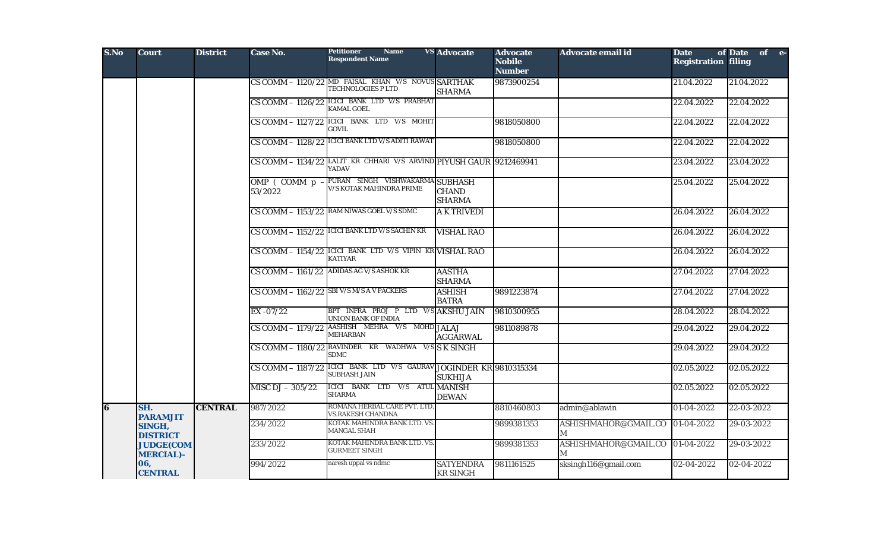| S.No | <b>Court</b>                         | <b>District</b> | <b>Case No.</b>                | <b>Petitioner</b><br><b>Name</b><br><b>Respondent Name</b>                                              | <b>VS</b> Advocate                  | <b>Advocate</b><br><b>Nobile</b><br><b>Number</b> | Advocate email id         | <b>Date</b><br><b>Registration filing</b> | of Date of e-     |
|------|--------------------------------------|-----------------|--------------------------------|---------------------------------------------------------------------------------------------------------|-------------------------------------|---------------------------------------------------|---------------------------|-------------------------------------------|-------------------|
|      |                                      |                 |                                | CS COMM - 1120/22 MD FAISAL KHAN V/S NOVUS SARTHAK<br>TECHNOLOGIES P LTD                                | <b>SHARMA</b>                       | 9873900254                                        |                           | 21.04.2022                                | 21.04.2022        |
|      |                                      |                 | CS COMM - 1126/22              | ICICI BANK LTD V/S PRABHAT<br><b>KAMAL GOEL</b>                                                         |                                     |                                                   |                           | 22.04.2022                                | 22.04.2022        |
|      |                                      |                 |                                | $CS$ COMM $-$ 1127/22 ICICI BANK LTD V/S MOHIT<br>GOVIL.                                                |                                     | 9818050800                                        |                           | 22.04.2022                                | 22.04.2022        |
|      |                                      |                 | CS COMM - 1128/22              | <b>ICICI BANK LTD V/S ADITI RAWAT</b>                                                                   |                                     | 9818050800                                        |                           | 22.04.2022                                | 22.04.2022        |
|      |                                      |                 |                                | CS COMM - 1134/22 LALIT KR CHHARI V/S ARVIND PIYUSH GAUR 9212469941<br><b>YADAV</b>                     |                                     |                                                   |                           | 23.04.2022                                | 23.04.2022        |
|      |                                      |                 | OMP $($ COMM $p -$<br>53/2022  | PURAN SINGH VISHWAKARMA SUBHASH<br><b>V/S KOTAK MAHINDRA PRIME</b>                                      | <b>CHAND</b><br><b>SHARMA</b>       |                                                   |                           | 25.04.2022                                | 25.04.2022        |
|      |                                      |                 |                                | CS COMM - 1153/22 RAM NIWAS GOEL V/S SDMC                                                               | <b>A K TRIVEDI</b>                  |                                                   |                           | 26.04.2022                                | 26.04.2022        |
|      |                                      |                 |                                | CS COMM - 1152/22 ICICI BANK LTD V/S SACHIN KR                                                          | <b>VISHAL RAO</b>                   |                                                   |                           | 26.04.2022                                | 26.04.2022        |
|      |                                      |                 |                                | CS COMM - 1154/22 ICICI BANK LTD V/S VIPIN KR VISHAL RAO<br><b>KATIYAR</b>                              |                                     |                                                   |                           | 26.04.2022                                | 26.04.2022        |
|      |                                      |                 |                                | CS COMM - 1161/22 ADIDAS AG V/S ASHOK KR                                                                | <b>AASTHA</b><br><b>SHARMA</b>      |                                                   |                           | 27.04.2022                                | 27.04.2022        |
|      |                                      |                 |                                | CS COMM - 1162/22 SBI V/S M/S A V PACKERS                                                               | <b>ASHISH</b><br><b>BATRA</b>       | 9891223874                                        |                           | 27.04.2022                                | 27.04.2022        |
|      |                                      |                 | $EX -07/22$                    | BPT INFRA PROJ P LTD V/S AKSHU JAIN<br><b>UNION BANK OF INDIA</b>                                       |                                     | 9810300955                                        |                           | 28.04.2022                                | 28.04.2022        |
|      |                                      |                 | $CS \overline{COMM} - 1179/22$ | AASHISH MEHRA V/S MOHD JALAJ<br><b>MEHARBAN</b>                                                         | <b>AGGARWAL</b>                     | 9811089878                                        |                           | 29.04.2022                                | 29.04.2022        |
|      |                                      |                 |                                | $\overline{\text{CS COMM}} - 1180/22 \overline{\text{RAVINDER}}$ KR WADHWA V/S S K SINGH<br><b>SDMC</b> |                                     |                                                   |                           | 29.04.2022                                | 29.04.2022        |
|      |                                      |                 | CS COMM - 1187/22              | ICICI BANK LTD V/S GAURAV JOGINDER KR 9810315334<br><b>SUBHASH JAIN</b>                                 | <b>SUKHIJA</b>                      |                                                   |                           | 02.05.2022                                | 02.05.2022        |
|      |                                      |                 | MISC DJ $-305/22$              | ICICI BANK LTD V/S ATUL MANISH<br>SHARMA                                                                | <b>DEWAN</b>                        |                                                   |                           | 02.05.2022                                | <b>02.05.2022</b> |
| 6    | SH.<br><b>PARAMJIT</b>               | <b>CENTRAL</b>  | 987/2022                       | ROMANA HERBAL CARE PVT. LTD<br>VS.RAKESH CHANDNA                                                        |                                     | 8810460803                                        | admin@ablawin             | 01-04-2022                                | 22-03-2022        |
|      | SINGH,<br><b>DISTRICT</b>            |                 | 234/2022                       | KOTAK MAHINDRA BANK LTD. VS.<br><b>MANGAL SHAH</b>                                                      |                                     | 9899381353                                        | ASHISHMAHOR@GMAIL.CO<br>М | 01-04-2022                                | 29-03-2022        |
|      | <b>JUDGE(COM</b><br><b>MERCIAL)-</b> |                 | 233/2022                       | KOTAK MAHINDRA BANK LTD. VS.<br><b>GURMEET SINGH</b>                                                    |                                     | 9899381353                                        | ASHISHMAHOR@GMAIL.CO<br>M | 01-04-2022                                | 29-03-2022        |
|      | 06,<br><b>CENTRAL</b>                |                 | 994/2022                       | naresh uppal vs ndmc                                                                                    | <b>SATYENDRA</b><br><b>KR SINGH</b> | 9811161525                                        | sksingh116@gmail.com      | 02-04-2022                                | 02-04-2022        |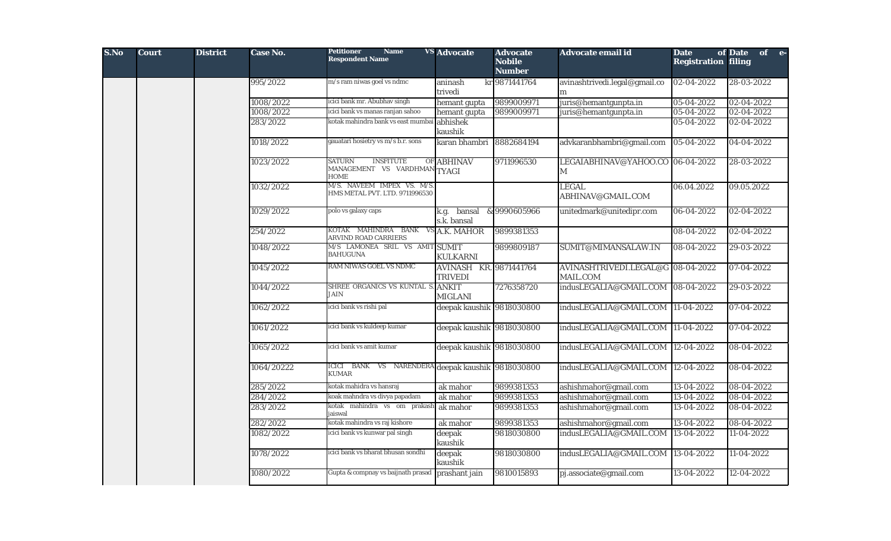| S.No | <b>Court</b> | <b>District</b> | Case No.   | <b>Petitioner</b><br><b>Name</b><br><b>Respondent Name</b>                 | <b>VS</b> Advocate                              | <b>Advocate</b><br><b>Nobile</b><br><b>Number</b> | Advocate email id                                    | <b>Date</b><br><b>Registration filing</b> | of Date of e- |
|------|--------------|-----------------|------------|----------------------------------------------------------------------------|-------------------------------------------------|---------------------------------------------------|------------------------------------------------------|-------------------------------------------|---------------|
|      |              |                 | 995/2022   | m/s ram niwas goel vs ndmc                                                 | aninash                                         | kr 9871441764                                     | avinashtrivedi.legal@gmail.co                        | 02-04-2022                                | 28-03-2022    |
|      |              |                 |            |                                                                            | trivedi                                         |                                                   | m                                                    |                                           |               |
|      |              |                 | 1008/2022  | icici bank mr. Abubhav singh                                               | hemant gupta                                    | 9899009971                                        | juris@hemantgunpta.in                                | 05-04-2022                                | 02-04-2022    |
|      |              |                 | 1008/2022  | icici bank vs manas ranjan sahoo                                           | hemant gupta                                    | 9899009971                                        | juris@hemantgunpta.in                                | 05-04-2022                                | 02-04-2022    |
|      |              |                 | 283/2022   | kotak mahindra bank vs east mumbai                                         | abhishek<br>kaushik                             |                                                   |                                                      | 05-04-2022                                | 02-04-2022    |
|      |              |                 | 1018/2022  | gauatari hosietry vs m/s b.r. sons                                         | karan bhambri                                   | 8882684194                                        | advkaranbhambri@gmail.com                            | 05-04-2022                                | 04-04-2022    |
|      |              |                 | 1023/2022  | <b>SATURN</b><br><b>INSFITUTE</b><br>MANAGEMENT VS VARDHMAN<br><b>HOME</b> | OF ABHINAV<br><b>TYAGI</b>                      | 9711996530                                        | LEGAIABHINAV@YAHOO.CO 06-04-2022<br>M                |                                           | 28-03-2022    |
|      |              |                 | 1032/2022  | M/S. NAVEEM IMPEX VS. M/S.<br>HMS METAL PVT. LTD. 9711996530               |                                                 |                                                   | <b>LEGAL</b><br>ABHINAV@GMAIL.COM                    | 06.04.2022                                | 09.05.2022    |
|      |              |                 | 1029/2022  | polo vs galaxy caps                                                        | bansal<br>k.g.<br>s.k. bansal                   | &9990605966                                       | unitedmark@unitedipr.com                             | 06-04-2022                                | 02-04-2022    |
|      |              |                 | 254/2022   | KOTAK MAHINDRA BANK VS A.K. MAHOR<br><b>ARVIND ROAD CARRIERS</b>           |                                                 | 9899381353                                        |                                                      | 08-04-2022                                | 02-04-2022    |
|      |              |                 | 1048/2022  | M/S LAMONEA SRIL VS AMIT SUMIT<br><b>BAHUGUNA</b>                          | <b>KULKARNI</b>                                 | 9899809187                                        | SUMIT@MIMANSALAW.IN                                  | 08-04-2022                                | 29-03-2022    |
|      |              |                 | 1045/2022  | RAM NIWAS GOEL VS NDMC                                                     | <b>AVINASH KR. 9871441764</b><br><b>TRIVEDI</b> |                                                   | AVINASHTRIVEDI.LEGAL@G 08-04-2022<br><b>MAIL.COM</b> |                                           | 07-04-2022    |
|      |              |                 | 1044/2022  | SHREE ORGANICS VS KUNTAL S. ANKIT<br>JAIN                                  | <b>MIGLANI</b>                                  | 7276358720                                        | indusLEGALIA@GMAIL.COM 08-04-2022                    |                                           | 29-03-2022    |
|      |              |                 | 1062/2022  | icici bank vs rishi pal                                                    | deepak kaushik 9818030800                       |                                                   | indusLEGALIA@GMAIL.COM                               | $ 11-04-2022 $                            | 07-04-2022    |
|      |              |                 | 1061/2022  | icici bank vs kuldeep kumar                                                | deepak kaushik 9818030800                       |                                                   | indusLEGALIA@GMAIL.COM 11-04-2022                    |                                           | 07-04-2022    |
|      |              |                 | 1065/2022  | icici bank vs amit kumar                                                   | deepak kaushik 9818030800                       |                                                   | indusLEGALIA@GMAIL.COM 12-04-2022                    |                                           | 08-04-2022    |
|      |              |                 | 1064/20222 | ICICI BANK VS NARENDERA deepak kaushik 9818030800<br><b>KUMAR</b>          |                                                 |                                                   | indusLEGALIA@GMAIL.COM                               | 12-04-2022                                | 08-04-2022    |
|      |              |                 | 285/2022   | kotak mahidra vs hansraj                                                   | ak mahor                                        | 9899381353                                        | ashishmahor@gmail.com                                | 13-04-2022                                | 08-04-2022    |
|      |              |                 | 284/2022   | koak mahndra vs divya papadam                                              | ak mahor                                        | 9899381353                                        | ashishmahor@gmail.com                                | 13-04-2022                                | 08-04-2022    |
|      |              |                 | 283/2022   | kotak mahindra vs om prakash<br>iaiswal                                    | ak mahor                                        | 9899381353                                        | ashishmahor@gmail.com                                | 13-04-2022                                | 08-04-2022    |
|      |              |                 | 282/2022   | kotak mahindra vs raj kishore                                              | ak mahor                                        | 9899381353                                        | ashishmahor@gmail.com                                | 13-04-2022                                | 08-04-2022    |
|      |              |                 | 1082/2022  | icici bank vs kunwar pal singh                                             | deepak<br>kaushik                               | 9818030800                                        | indusLEGALIA@GMAIL.COM                               | 13-04-2022                                | 11-04-2022    |
|      |              |                 | 1078/2022  | icici bank vs bharat bhusan sondhi                                         | deepak<br>kaushik                               | 9818030800                                        | indusLEGALIA@GMAIL.COM                               | 13-04-2022                                | 11-04-2022    |
|      |              |                 | 1080/2022  | Gupta & compnay vs baijnath prasad                                         | prashant jain                                   | 9810015893                                        | pj.associate@gmail.com                               | 13-04-2022                                | 12-04-2022    |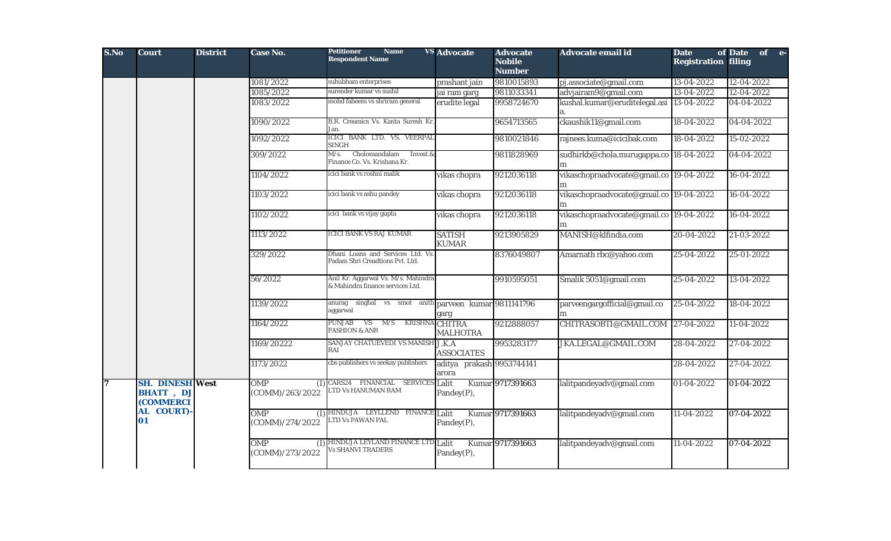| S.No | <b>Court</b>                                             | <b>District</b> | <b>Case No.</b>                      | <b>Petitioner</b><br><b>Name</b><br><b>Respondent Name</b>              | <b>VS</b> Advocate                 | <b>Advocate</b><br><b>Nobile</b><br><b>Number</b> | Advocate email id                            | <b>Date</b><br><b>Registration filing</b> | of Date<br>of e- |
|------|----------------------------------------------------------|-----------------|--------------------------------------|-------------------------------------------------------------------------|------------------------------------|---------------------------------------------------|----------------------------------------------|-------------------------------------------|------------------|
|      |                                                          |                 | 1081/2022                            | suhubham enterprises                                                    | prashant jain                      | 9810015893                                        | pj.associate@gmail.com                       | 13-04-2022                                | $12 - 04 - 2022$ |
|      |                                                          |                 | 1085/2022                            | surender kumar vs sushil                                                | jai ram garg                       | 9811033341                                        | advjairam9@gmail.com                         | 13-04-2022                                | 12-04-2022       |
|      |                                                          |                 | 1083/2022                            | mohd faheem vs shriram general                                          | erudite legal                      | 9958724670                                        | kushal.kumar@eruditelegal.asi 13-04-2022     |                                           | 04-04-2022       |
|      |                                                          |                 | 1090/2022                            | B.R. Creamics Vs. Kanta Suresh Kr.<br>Jan.                              |                                    | 9654713565                                        | ckaushik11@gmail.com                         | 18-04-2022                                | 04-04-2022       |
|      |                                                          |                 | 1092/2022                            | ICICI BANK LTD. VS. VEERPAL<br><b>SINGH</b>                             |                                    | 9810021846                                        | rajnees.kuma@icicibak.com                    | 18-04-2022                                | 15-02-2022       |
|      |                                                          |                 | 309/2022                             | Cholomandalam<br>M/s.<br>Invest.&<br>Finance Co. Vs. Krishana Kr.       |                                    | 9811828969                                        | sudhirkb@chola.murugappa.co 18-04-2022<br>m  |                                           | 04-04-2022       |
|      |                                                          |                 | 1104/2022                            | icici bank vs roshni malik                                              | vikas chopra                       | 9212036118                                        | vikaschopraadvocate@gmail.co 19-04-2022<br>m |                                           | 16-04-2022       |
|      |                                                          |                 | 1103/2022                            | icici bank vs ashu pandey                                               | vikas chopra                       | 9212036118                                        | vikaschopraadvocate@gmail.co 19-04-2022<br>m |                                           | 16-04-2022       |
|      |                                                          |                 | 1102/2022                            | icici bank vs vijay gupta                                               | vikas chopra                       | 9212036118                                        | vikaschopraadvocate@gmail.co 19-04-2022      |                                           | 16-04-2022       |
|      |                                                          |                 | 1113/2022                            | <b>ICICI BANK VS RAJ KUMAR</b>                                          | <b>SATISH</b><br><b>KUMAR</b>      | 9213905829                                        | MANISH@klfindia.com                          | 20-04-2022                                | 21-03-2022       |
|      |                                                          |                 | 329/2022                             | Dhani Loans and Services Ltd. Vs.<br>Padam Shri Creadtions Pvt. Ltd.    |                                    | 8376049807                                        | Amarnath rbc@yahoo.com                       | 25-04-2022                                | 25-01-2022       |
|      |                                                          |                 | 56/2022                              | Anil Kr. Aggarwal Vs. M/s. Mahindra<br>& Mahindra finance services Ltd. |                                    | 9910595051                                        | Smalik 5051@gmail.com                        | 25-04-2022                                | 13-04-2022       |
|      |                                                          |                 | 1139/2022                            | anurag singhal vs smot anith parveen kumar 9811141796<br>aggarwal       | garg                               |                                                   | parveengargofficial@gmail.co                 | 25-04-2022                                | 18-04-2022       |
|      |                                                          |                 | 1164/2022                            | PUNJAB VS<br>M/S<br><b>KRISHNA</b><br><b>FASHION &amp; ANR</b>          | <b>CHITRA</b><br><b>MALHOTRA</b>   | 9212888057                                        | CHITRASOBTI@GMAIL.COM                        | 27-04-2022                                | 11-04-2022       |
|      |                                                          |                 | 1169/20222                           | SANJAY CHATUEVEDI VS MANISH J.K.A<br>RAI                                | <b>ASSOCIATES</b>                  | 9953283177                                        | JKA.LEGAL@GMAIL.COM                          | 28-04-2022                                | 27-04-2022       |
|      |                                                          |                 | 1173/2022                            | cbs publishers vs seekay publishers                                     | aditya prakash 9953744141<br>arora |                                                   |                                              | 28-04-2022                                | 27-04-2022       |
| 17   | <b>SH. DINESH West</b><br><b>BHATT</b> , DJ<br>(COMMERCI |                 | <b>OMP</b><br>(1)<br>(COMM)/263/2022 | CARS24 FINANCIAL SERVICES<br>TD Vs HANUMAN RAM                          | Lalit<br>Pandey(P),                | Kumar 9717391663                                  | lalitpandeyadv@gmail.com                     | 01-04-2022                                | 01-04-2022       |
|      | AL COURT)-<br>01                                         |                 | <b>OMP</b><br>(COMM)/274/2022        | (I) HINDUJA LEYLLEND FINANCE Lalit<br>LTD Vs PAWAN PAL                  | Pandey(P),                         | Kumar 9717391663                                  | lalitpandeyadv@gmail.com                     | 11-04-2022                                | 07-04-2022       |
|      |                                                          |                 | <b>OMP</b><br>(1)<br>(COMM)/273/2022 | HINDUJA LEYLAND FINANCE LTD Lalit<br>Vs SHANVI TRADERS                  | Pandey(P),                         | Kumar 9717391663                                  | lalitpandeyadv@gmail.com                     | 11-04-2022                                | 07-04-2022       |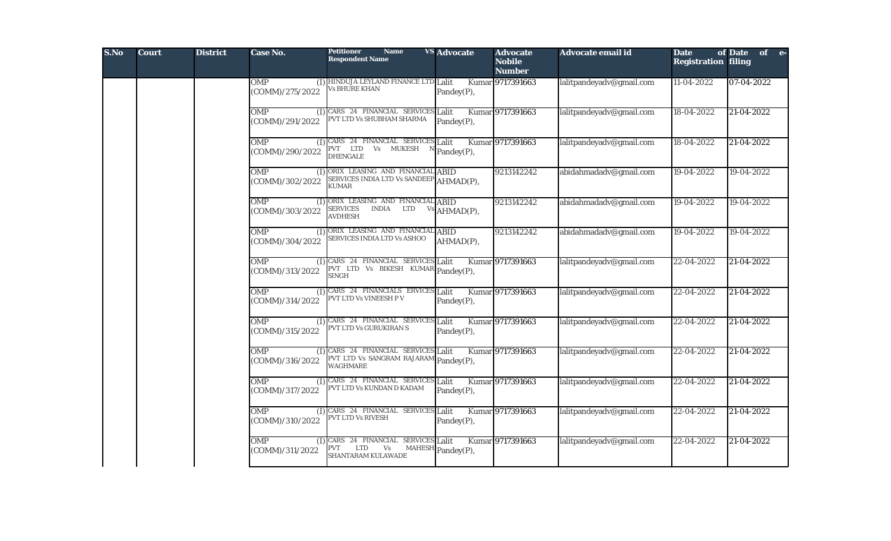| S.No | <b>Court</b> | <b>District</b> | Case No.                             | <b>Petitioner</b><br><b>Name</b><br><b>Respondent Name</b>                                       | <b>VS</b> Advocate | <b>Advocate</b><br><b>Nobile</b><br><b>Number</b> | Advocate email id        | <b>Date</b><br><b>Registration filing</b> | of Date of e- |
|------|--------------|-----------------|--------------------------------------|--------------------------------------------------------------------------------------------------|--------------------|---------------------------------------------------|--------------------------|-------------------------------------------|---------------|
|      |              |                 | <b>OMP</b><br>(COMM)/275/2022        | (I) HINDUJA LEYLAND FINANCE LTD Lalit<br><b>Vs BHURE KHAN</b>                                    | Pandey(P),         | Kumar 9717391663                                  | lalitpandeyadv@gmail.com | 11-04-2022                                | 07-04-2022    |
|      |              |                 | <b>OMP</b><br>(COMM)/291/2022        | (I) CARS 24 FINANCIAL SERVICES Lalit<br>PVT LTD Vs SHUBHAM SHARMA                                | Pandey(P),         | Kumar 9717391663                                  | lalitpandeyadv@gmail.com | 18-04-2022                                | 21-04-2022    |
|      |              |                 | <b>OMP</b><br>(COMM)/290/2022        | (I) CARS 24 FINANCIAL SERVICES Lalit<br>PVT LTD<br>Vs MUKESH<br><b>DHENGALE</b>                  | Pandey(P),         | Kumar 9717391663                                  | lalitpandeyadv@gmail.com | 18-04-2022                                | 21-04-2022    |
|      |              |                 | <b>OMP</b><br>(COMM)/302/2022        | (I) ORIX LEASING AND FINANCIAL ABID<br>SERVICES INDIA LTD Vs SANDEEP<br><b>KUMAR</b>             | AHMAD(P),          | 9213142242                                        | abidahmadadv@gmail.com   | 19-04-2022                                | 19-04-2022    |
|      |              |                 | OMP<br>(COMM)/303/2022               | (I) ORIX LEASING AND FINANCIAL ABID<br><b>SERVICES</b><br><b>INDIA</b><br>LTD<br><b>AVDHESH</b>  | Vs AHMAD(P),       | 9213142242                                        | abidahmadadv@gmail.com   | 19-04-2022                                | 19-04-2022    |
|      |              |                 | OMP<br>(COMM)/304/2022               | (I) ORIX LEASING AND FINANCIAL ABID<br>SERVICES INDIA LTD Vs ASHOO                               | AHMAD(P),          | 9213142242                                        | abidahmadadv@gmail.com   | 19-04-2022                                | 19-04-2022    |
|      |              |                 | <b>OMP</b><br>(COMM)/313/2022        | (I) CARS 24 FINANCIAL SERVICES Lalit<br>PVT LTD Vs BIKESH KUMAR Pandey(P),<br><b>SINGH</b>       |                    | Kumar 9717391663                                  | lalitpandeyadv@gmail.com | 22-04-2022                                | 21-04-2022    |
|      |              |                 | <b>OMP</b><br>(1)<br>(COMM)/314/2022 | CARS 24 FINANCIALS ERVICES Lalit<br>PVT LTD Vs VINEESH P V                                       | Pandey(P),         | Kumar 9717391663                                  | lalitpandeyadv@gmail.com | $22 - 04 - 2022$                          | 21-04-2022    |
|      |              |                 | OMP<br>(COMM)/315/2022               | (I) CARS 24 FINANCIAL SERVICES Lalit<br>PVT LTD Vs GURUKIRAN S                                   | Pandey(P),         | Kumar 9717391663                                  | lalitpandeyadv@gmail.com | 22-04-2022                                | 21-04-2022    |
|      |              |                 | OMP<br>(COMM)/316/2022               | (I) CARS 24 FINANCIAL SERVICES Lalit<br>PVT LTD Vs SANGRAM RAJARAM Pandey(P),<br><b>WAGHMARE</b> |                    | Kumar 9717391663                                  | lalitpandeyadv@gmail.com | 22-04-2022                                | 21-04-2022    |
|      |              |                 | <b>OMP</b><br>(1)<br>(COMM)/317/2022 | CARS 24 FINANCIAL SERVICES Lalit<br>PVT LTD Vs KUNDAN D KADAM                                    | Pandey(P),         | Kumar 9717391663                                  | lalitpandeyadv@gmail.com | $22 - 04 - 2022$                          | 21-04-2022    |
|      |              |                 | <b>OMP</b><br>(COMM)/310/2022        | (I) CARS 24 FINANCIAL SERVICES Lalit<br>PVT LTD Vs RIVESH                                        | Pandey(P),         | Kumar 9717391663                                  | lalitpandeyadv@gmail.com | 22-04-2022                                | 21-04-2022    |
|      |              |                 | <b>OMP</b><br>(COMM)/311/2022        | (I) CARS 24 FINANCIAL SERVICES Lalit<br><b>PVT</b><br><b>LTD</b><br>Vs<br>SHANTARAM KULAWADE     | MAHESH Pandey(P),  | Kumar 9717391663                                  | lalitpandeyadv@gmail.com | 22-04-2022                                | 21-04-2022    |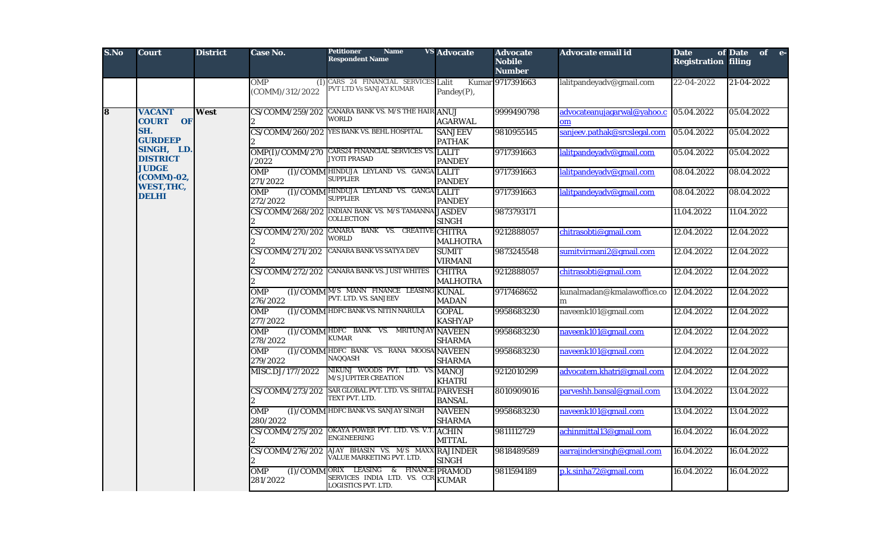| S.No                    | <b>Court</b>                                    | <b>District</b> | Case No.                             | <b>Petitioner</b><br><b>Name</b><br><b>Respondent Name</b>                                   | <b>VS</b> Advocate                 | <b>Advocate</b><br><b>Nobile</b><br><b>Number</b> | Advocate email id                                          | <b>Date</b><br><b>Registration filing</b> | of Date of e-                                             |                         |            |                           |            |            |  |                        |                                                            |               |                  |                                                                 |               |            |
|-------------------------|-------------------------------------------------|-----------------|--------------------------------------|----------------------------------------------------------------------------------------------|------------------------------------|---------------------------------------------------|------------------------------------------------------------|-------------------------------------------|-----------------------------------------------------------|-------------------------|------------|---------------------------|------------|------------|--|------------------------|------------------------------------------------------------|---------------|------------------|-----------------------------------------------------------------|---------------|------------|
|                         |                                                 |                 | <b>OMP</b><br>(I)<br>(COMM)/312/2022 | CARS 24 FINANCIAL SERVICES Lalit<br>PVT LTD Vs SANJAY KUMAR                                  | Pandey(P),                         | Kumar 9717391663                                  | lalitpandeyadv@gmail.com                                   | 22-04-2022                                | 21-04-2022                                                |                         |            |                           |            |            |  |                        |                                                            |               |                  |                                                                 |               |            |
| $\overline{\mathbf{8}}$ | <b>VACANT</b><br><b>COURT OF</b>                | West            | CS/COMM/259/202                      | CANARA BANK VS. M/S THE HAIR ANUJ<br><b>WORLD</b>                                            | <b>AGARWAL</b>                     | 9999490798                                        | advocateanujagarwal@yahoo.c<br>$_{\rm om}$                 | 05.04.2022                                | 05.04.2022                                                |                         |            |                           |            |            |  |                        |                                                            |               |                  |                                                                 |               |            |
|                         | SH.<br><b>GURDEEP</b>                           |                 |                                      | CS/COMM/260/202 YES BANK VS. BEHL HOSPITAL                                                   | <b>SANJEEV</b><br><b>PATHAK</b>    | 9810955145                                        | sanjeev.pathak@srcslegal.com                               | 05.04.2022                                | 05.04.2022                                                |                         |            |                           |            |            |  |                        |                                                            |               |                  |                                                                 |               |            |
|                         | SINGH, LD.<br><b>DISTRICT</b>                   |                 | OMP(I)/COMM/270<br>/2022             | CARS24 FINANCIAL SERVICES VS.<br><b>JYOTI PRASAD</b>                                         | <b>LALIT</b><br><b>PANDEY</b>      | 9717391663                                        | lalitpandeyadv@gmail.com                                   | 05.04.2022                                | 05.04.2022                                                |                         |            |                           |            |            |  |                        |                                                            |               |                  |                                                                 |               |            |
|                         | <b>JUDGE</b><br>(COMM)-02,<br><b>WEST, THC,</b> |                 | <b>OMP</b><br>271/2022               | (I)/COMM HINDUJA LEYLAND VS. GANGA LALIT<br><b>SUPPLIER</b>                                  | <b>PANDEY</b>                      | 9717391663                                        | lalitpandeyadv@gmail.com                                   | 08.04.2022                                | 08.04.2022                                                |                         |            |                           |            |            |  |                        |                                                            |               |                  |                                                                 |               |            |
|                         | <b>DELHI</b>                                    |                 | <b>OMP</b><br>272/2022               | (I)/COMM HINDUJA LEYLAND VS. GANGA LALIT<br><b>SUPPLIER</b>                                  | <b>PANDEY</b>                      | 9717391663                                        | lalitpandeyadv@gmail.com                                   | 08.04.2022                                | 08.04.2022                                                |                         |            |                           |            |            |  |                        |                                                            |               |                  |                                                                 |               |            |
|                         |                                                 |                 |                                      | CS/COMM/268/202 INDIAN BANK VS. M/S TAMANNA JASDEV<br>COLLECTION                             | <b>SINGH</b>                       | 9873793171                                        |                                                            | 11.04.2022                                | 11.04.2022                                                |                         |            |                           |            |            |  |                        |                                                            |               |                  |                                                                 |               |            |
|                         |                                                 |                 |                                      | CS/COMM/270/202 CANARA BANK VS. CREATIVE CHITRA<br><b>WORLD</b>                              | <b>MALHOTRA</b>                    | 9212888057                                        | chitrasobti@gmail.com                                      | 12.04.2022                                | 12.04.2022                                                |                         |            |                           |            |            |  |                        |                                                            |               |                  |                                                                 |               |            |
|                         |                                                 |                 |                                      | CS/COMM/271/202                                                                              | CANARA BANK VS SATYA DEV           | <b>SUMIT</b><br><b>VIRMANI</b>                    | 9873245548                                                 | sumitvirmani2@gmail.com                   | 12.04.2022                                                | 12.04.2022              |            |                           |            |            |  |                        |                                                            |               |                  |                                                                 |               |            |
|                         |                                                 |                 |                                      | CS/COMM/272/202                                                                              | <b>CANARA BANK VS. JUST WHITES</b> | <b>CHITRA</b><br><b>MALHOTRA</b>                  | 9212888057                                                 | chitrasobti@gmail.com                     | 12.04.2022                                                | 12.04.2022              |            |                           |            |            |  |                        |                                                            |               |                  |                                                                 |               |            |
|                         |                                                 |                 | <b>OMP</b><br>276/2022               | (I)/COMM M/S MANN FINANCE LEASING KUNAL<br>PVT. LTD. VS. SANJEEV                             | <b>MADAN</b>                       | 9717468652                                        | kunalmadan@kmalawoffice.co<br>m                            | 12.04.2022                                | 12.04.2022                                                |                         |            |                           |            |            |  |                        |                                                            |               |                  |                                                                 |               |            |
|                         |                                                 |                 | OMP<br>277/2022                      | (I)/COMM HDFC BANK VS. NITIN NARULA                                                          | <b>GOPAL</b><br><b>KASHYAP</b>     | 9958683230                                        | naveenk101@gmail.com                                       | 12.04.2022                                | 12.04.2022                                                |                         |            |                           |            |            |  |                        |                                                            |               |                  |                                                                 |               |            |
|                         |                                                 |                 | <b>OMP</b><br>278/2022               | (I)/COMM HDFC BANK VS. MRITUNJAY NAVEEN<br><b>KUMAR</b>                                      | <b>SHARMA</b>                      | 9958683230                                        | naveenk101@gmail.com                                       | 12.04.2022                                | 12.04.2022                                                |                         |            |                           |            |            |  |                        |                                                            |               |                  |                                                                 |               |            |
|                         |                                                 |                 |                                      |                                                                                              |                                    |                                                   |                                                            |                                           |                                                           |                         |            |                           |            |            |  | <b>OMP</b><br>279/2022 | (I)/COMM HDFC BANK VS. RANA MOOSA NAVEEN<br><b>NAQQASH</b> | <b>SHARMA</b> | 9958683230       | naveenk101@gmail.com                                            | 12.04.2022    | 12.04.2022 |
|                         |                                                 |                 |                                      |                                                                                              |                                    |                                                   |                                                            |                                           |                                                           |                         |            |                           |            |            |  |                        |                                                            |               | MISC.DJ/177/2022 | NIKUNJ WOODS PVT. LTD. VS. MANOJ<br><b>M/S JUPITER CREATION</b> | <b>KHATRI</b> | 9212010299 |
|                         |                                                 |                 |                                      |                                                                                              |                                    |                                                   |                                                            | CS/COMM/273/202                           | SAR GLOBAL PVT. LTD. VS. SHITAL PARVESH<br>TEXT PVT. LTD. | <b>BANSAL</b>           | 8010909016 | parveshh.bansal@gmail.com | 13.04.2022 | 13.04.2022 |  |                        |                                                            |               |                  |                                                                 |               |            |
|                         |                                                 |                 |                                      |                                                                                              | <b>OMP</b><br>280/2022             | (I) / COMM HDFC BANK VS. SANJAY SINGH             | <b>NAVEEN</b><br><b>SHARMA</b>                             | 9958683230                                | naveenk101@gmail.com                                      | 13.04.2022              | 13.04.2022 |                           |            |            |  |                        |                                                            |               |                  |                                                                 |               |            |
|                         |                                                 |                 |                                      |                                                                                              |                                    | CS/COMM/275/202                                   | OKAYA POWER PVT. LTD. VS. V.T. ACHIN<br><b>ENGINEERING</b> | <b>MITTAL</b>                             | 9811112729                                                | achinmittal13@gmail.com | 16.04.2022 | 16.04.2022                |            |            |  |                        |                                                            |               |                  |                                                                 |               |            |
|                         |                                                 |                 | CS/COMM/276/202                      | AJAY BHASIN VS. M/S MAXX RAJINDER<br>VALUE MARKETING PVT. LTD.                               | <b>SINGH</b>                       | 9818489589                                        | aarrajindersingh@gmail.com                                 | 16.04.2022                                | 16.04.2022                                                |                         |            |                           |            |            |  |                        |                                                            |               |                  |                                                                 |               |            |
|                         |                                                 |                 | <b>OMP</b><br>(I)/COMM<br>281/2022   | LEASING & FINANCE PRAMOD<br>ORIX<br>SERVICES INDIA LTD. VS. CCR KUMAR<br>LOGISTICS PVT. LTD. |                                    | 9811594189                                        | p.k.sinha72@gmail.com                                      | 16.04.2022                                | 16.04.2022                                                |                         |            |                           |            |            |  |                        |                                                            |               |                  |                                                                 |               |            |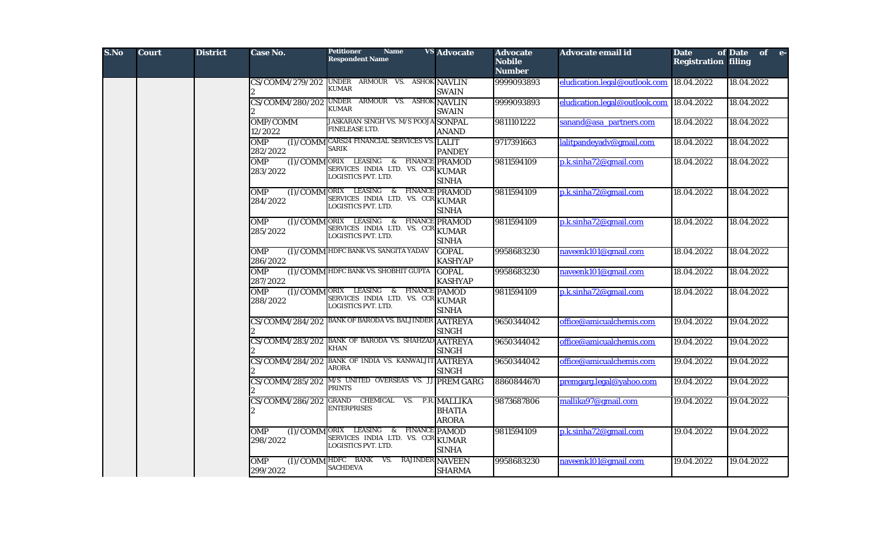| S.No | <b>Court</b> | <b>District</b> | Case No.                           | <b>Petitioner</b><br><b>Name</b><br><b>Respondent Name</b>                                         | <b>VS</b> Advocate                            | <b>Advocate</b><br><b>Nobile</b><br><b>Number</b> | Advocate email id             | <b>Date</b><br><b>Registration filing</b> | of Date of e- |
|------|--------------|-----------------|------------------------------------|----------------------------------------------------------------------------------------------------|-----------------------------------------------|---------------------------------------------------|-------------------------------|-------------------------------------------|---------------|
|      |              |                 | CS/COMM/279/202                    | UNDER ARMOUR VS. ASHOK NAVLIN<br><b>KUMAR</b>                                                      | <b>SWAIN</b>                                  | 9999093893                                        | eludication.legal@outlook.com | 18.04.2022                                | 18.04.2022    |
|      |              |                 | CS/COMM/280/202                    | UNDER ARMOUR VS. ASHOK NAVLIN<br><b>KUMAR</b>                                                      | <b>SWAIN</b>                                  | 9999093893                                        | eludication.legal@outlook.com | 18.04.2022                                | 18.04.2022    |
|      |              |                 | OMP/COMM<br>12/2022                | <b>JASKARAN SINGH VS. M/S POOJA SONPAL</b><br>FINELEASE LTD.                                       | <b>ANAND</b>                                  | 9811101222                                        | sanand@asa_partners.com       | 18.04.2022                                | 18.04.2022    |
|      |              |                 | <b>OMP</b><br>282/2022             | (I)/COMM CARS24 FINANCIAL SERVICES VS. LALIT<br>SARIK                                              | <b>PANDEY</b>                                 | 9717391663                                        | lalitpandeyadv@gmail.com      | 18.04.2022                                | 18.04.2022    |
|      |              |                 | <b>OMP</b><br>283/2022             | (I)/COMMORIX LEASING & FINANCE PRAMOD<br>SERVICES INDIA LTD. VS. CCR KUMAR<br>LOGISTICS PVT. LTD.  | <b>SINHA</b>                                  | 9811594109                                        | p.k.sinha72@gmail.com         | 18.04.2022                                | 18.04.2022    |
|      |              |                 | <b>OMP</b><br>284/2022             | (I)/COMM ORIX LEASING & FINANCE PRAMOD<br>SERVICES INDIA LTD. VS. CCR KUMAR<br>LOGISTICS PVT. LTD. | <b>SINHA</b>                                  | 9811594109                                        | p.k.sinha72@gmail.com         | 18.04.2022                                | 18.04.2022    |
|      |              |                 | <b>OMP</b><br>(I)/COMM<br>285/2022 | ORIX LEASING &<br>SERVICES INDIA LTD. VS. CCR KUMAR<br>LOGISTICS PVT. LTD.                         | <b>FINANCE PRAMOD</b><br><b>SINHA</b>         | 9811594109                                        | p.k.sinha72@gmail.com         | 18.04.2022                                | 18.04.2022    |
|      |              |                 | <b>OMP</b><br>286/2022             | (I)/COMM HDFC BANK VS. SANGITA YADAV                                                               | <b>GOPAL</b><br><b>KASHYAP</b>                | 9958683230                                        | naveenk101@gmail.com          | 18.04.2022                                | 18.04.2022    |
|      |              |                 | <b>OMP</b><br>287/2022             | (I)/COMM HDFC BANK VS. SHOBHIT GUPTA                                                               | <b>GOPAL</b><br><b>KASHYAP</b>                | 9958683230                                        | naveenk101@gmail.com          | 18.04.2022                                | 18.04.2022    |
|      |              |                 | <b>OMP</b><br>(I)/COMM<br>288/2022 | ORIX LEASING & FINANCE PAMOD<br>SERVICES INDIA LTD. VS. CCR KUMAR<br>LOGISTICS PVT. LTD.           | <b>SINHA</b>                                  | 9811594109                                        | p.k.sinha72@gmail.com         | 18.04.2022                                | 18.04.2022    |
|      |              |                 |                                    | CS/COMM/284/202 BANK OF BARODA VS. BALJINDER AATREYA                                               | <b>SINGH</b>                                  | 9650344042                                        | office@amicualchemis.com      | 19.04.2022                                | 19.04.2022    |
|      |              |                 | CS/COMM/283/202                    | <b>BANK OF BARODA VS. SHAHZAD AATREYA</b><br>KHAN                                                  | <b>SINGH</b>                                  | 9650344042                                        | office@amicualchemis.com      | 19.04.2022                                | 19.04.2022    |
|      |              |                 | CS/COMM/284/202                    | BANK OF INDIA VS. KANWALJIT AATREYA<br>ARORA                                                       | <b>SINGH</b>                                  | 9650344042                                        | office@amicualchemis.com      | 19.04.2022                                | 19.04.2022    |
|      |              |                 | CS/COMM/285/202                    | M/S UNITED OVERSEAS VS. JJ PREM GARG<br>PRINTS                                                     |                                               | 8860844670                                        | premgarg.legal@yahoo.com      | 19.04.2022                                | 19.04.2022    |
|      |              |                 | CS/COMM/286/202                    | GRAND CHEMICAL<br>VS.<br><b>ENTERPRISES</b>                                                        | P.R. MALLIKA<br><b>BHATIA</b><br><b>ARORA</b> | 9873687806                                        | mallika97@gmail.com           | 19.04.2022                                | 19.04.2022    |
|      |              |                 | <b>OMP</b><br>298/2022             | $(I)/COMM$ ORIX LEASING &<br>SERVICES INDIA LTD. VS. CCR KUMAR<br>LOGISTICS PVT. LTD.              | <b>FINANCE PAMOD</b><br><b>SINHA</b>          | 9811594109                                        | p.k.sinha72@gmail.com         | 19.04.2022                                | 19.04.2022    |
|      |              |                 | OMP<br>299/2022                    | (I)/COMM HDFC BANK VS.<br><b>RAJINDER NAVEEN</b><br><b>SACHDEVA</b>                                | <b>SHARMA</b>                                 | 9958683230                                        | naveenk101@gmail.com          | 19.04.2022                                | 19.04.2022    |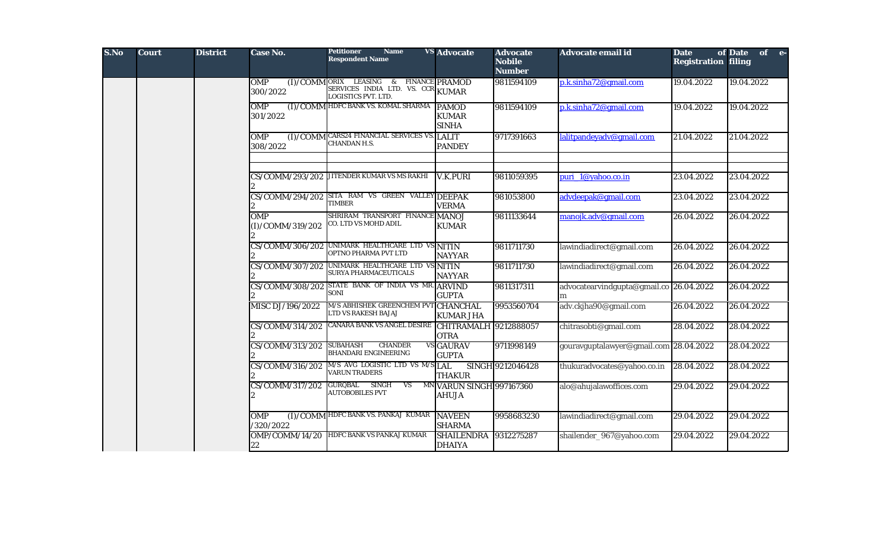| S.No | <b>Court</b> | <b>District</b> | Case No.                           | <b>Petitioner</b><br><b>Name</b><br><b>Respondent Name</b>                                | <b>VS Advocate</b>                       | <b>Advocate</b><br><b>Nobile</b><br><b>Number</b> | Advocate email id                            | <b>Date</b><br><b>Registration filing</b> | of Date of e- |
|------|--------------|-----------------|------------------------------------|-------------------------------------------------------------------------------------------|------------------------------------------|---------------------------------------------------|----------------------------------------------|-------------------------------------------|---------------|
|      |              |                 | OMP<br>(I)/COMM<br>300/2022        | ORIX LEASING & FINANCE PRAMOD<br>SERVICES INDIA LTD. VS. CCR KUMAR<br>LOGISTICS PVT. LTD. |                                          | 9811594109                                        | p.k.sinha72@gmail.com                        | 19.04.2022                                | 19.04.2022    |
|      |              |                 | <b>OMP</b><br>301/2022             | (I)/COMM HDFC BANK VS. KOMAL SHARMA PAMOD                                                 | <b>KUMAR</b><br><b>SINHA</b>             | 9811594109                                        | p.k.sinha72@gmail.com                        | 19.04.2022                                | 19.04.2022    |
|      |              |                 | <b>OMP</b><br>(I)/COMM<br>308/2022 | <b>CARS24 FINANCIAL SERVICES VS. LALIT</b><br>CHANDAN H.S.                                | <b>PANDEY</b>                            | 9717391663                                        | lalitpandeyadv@gmail.com                     | 21.04.2022                                | 21.04.2022    |
|      |              |                 | CS/COMM/293/202                    | JITENDER KUMAR VS MS RAKHI                                                                | <b>V.K.PURI</b>                          | 9811059395                                        | puri_1@yahoo.co.in                           | 23.04.2022                                | 23.04.2022    |
|      |              |                 | CS/COMM/294/202                    | SITA RAM VS GREEN VALLEY DEEPAK<br>TIMBER                                                 | <b>VERMA</b>                             | 981053800                                         | advdeepak@gmail.com                          | 23.04.2022                                | 23.04.2022    |
|      |              |                 | <b>OMP</b><br>(I)/COMM/319/202     | SHRIRAM TRANSPORT FINANCE<br>CO. LTD VS MOHD ADIL                                         | <b>MANOJ</b><br><b>KUMAR</b>             | 9811133644                                        | manojk.adv@gmail.com                         | 26.04.2022                                | 26.04.2022    |
|      |              |                 | CS/COMM/306/202                    | UNIMARK HEALTHCARE LTD VS NITIN<br>OPTNO PHARMA PVT LTD                                   | <b>NAYYAR</b>                            | 9811711730                                        | lawindiadirect@gmail.com                     | 26.04.2022                                | 26.04.2022    |
|      |              |                 | CS/COMM/307/202                    | UNIMARK HEALTHCARE LTD VS NITIN<br>SURYA PHARMACEUTICALS                                  | <b>NAYYAR</b>                            | 9811711730                                        | lawindiadirect@gmail.com                     | 26.04.2022                                | 26.04.2022    |
|      |              |                 | CS/COMM/308/202                    | STATE BANK OF INDIA VS MR. ARVIND<br>SONI                                                 | <b>GUPTA</b>                             | 9811317311                                        | advocatearvindgupta@gmail.co 26.04.2022<br>m |                                           | 26.04.2022    |
|      |              |                 | MISC DJ/196/2022                   | M/S ABHISHEK GREENCHEM PVT CHANCHAL<br>LTD VS RAKESH BAJAJ                                | <b>KUMAR JHA</b>                         | 9953560704                                        | adv.ckjha90@gmail.com                        | 26.04.2022                                | 26.04.2022    |
|      |              |                 | CS/COMM/314/202                    | CANARA BANK VS ANGEL DESIRE CHITRAMALH 9212888057                                         | <b>OTRA</b>                              |                                                   | chitrasobti@gmail.com                        | 28.04.2022                                | 28.04.2022    |
|      |              |                 | CS/COMM/313/202                    | <b>CHANDER</b><br>SUBAHASH<br><b>BHANDARI ENGINEERING</b>                                 | <b>VS GAURAV</b><br><b>GUPTA</b>         | 9711998149                                        | gouravguptalawyer@gmail.com 28.04.2022       |                                           | 28.04.2022    |
|      |              |                 | CS/COMM/316/202                    | M/S AVG LOGISTIC LTD VS M/S LAL<br><b>VARUN TRADERS</b>                                   | <b>THAKUR</b>                            | SINGH 9212046428                                  | thukuradvocates@yahoo.co.in                  | 28.04.2022                                | 28.04.2022    |
|      |              |                 | CS/COMM/317/202                    | <b>GURQBAL</b><br><b>SINGH</b><br><b>VS</b><br><b>AUTOBOBILES PVT</b>                     | MN VARUN SINGH 997167360<br><b>AHUJA</b> |                                                   | alo@ahujalawoffices.com                      | 29.04.2022                                | 29.04.2022    |
|      |              |                 | <b>OMP</b><br>/320/2022            | (I)/COMM HDFC BANK VS. PANKAJ KUMAR                                                       | <b>NAVEEN</b><br><b>SHARMA</b>           | 9958683230                                        | lawindiadirect@gmail.com                     | 29.04.2022                                | 29.04.2022    |
|      |              |                 | OMP/COMM/14/20<br>22               | HDFC BANK VS PANKAJ KUMAR                                                                 | <b>SHAILENDRA</b><br><b>DHAIYA</b>       | 9312275287                                        | shailender_967@yahoo.com                     | 29.04.2022                                | 29.04.2022    |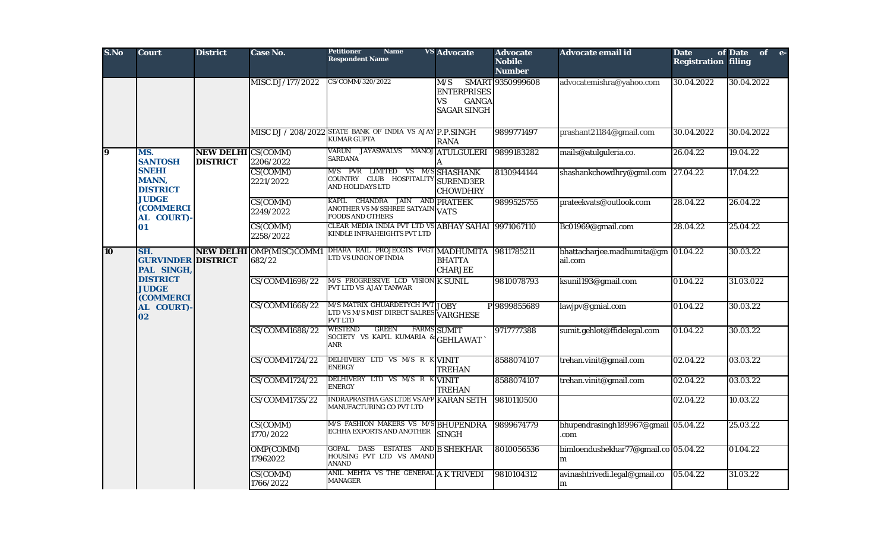| S.No           | <b>Court</b>                                        | <b>District</b>                              | Case No.                                  | <b>Name</b><br><b>Petitioner</b><br><b>Respondent Name</b>                                    | <b>VS</b> Advocate                                                    | <b>Advocate</b><br><b>Nobile</b><br><b>Number</b> | Advocate email id                              | <b>Date</b><br><b>Registration filing</b> | of Date of e- |
|----------------|-----------------------------------------------------|----------------------------------------------|-------------------------------------------|-----------------------------------------------------------------------------------------------|-----------------------------------------------------------------------|---------------------------------------------------|------------------------------------------------|-------------------------------------------|---------------|
|                |                                                     |                                              | MISC.DJ/177/2022                          | CS/COMM/320/2022                                                                              | M/S<br><b>ENTERPRISES</b><br>VS<br><b>GANGA</b><br><b>SAGAR SINGH</b> | SMART 9350999608                                  | advocatemishra@yahoo.com                       | 30.04.2022                                | 30.04.2022    |
|                |                                                     |                                              |                                           | MISC DJ / 208/2022 STATE BANK OF INDIA VS AJAY P.P.SINGH<br><b>KUMAR GUPTA</b>                | <b>RANA</b>                                                           | 9899771497                                        | prashant21184@gmail.com                        | 30.04.2022                                | 30.04.2022    |
| $\overline{9}$ | MS.<br><b>SANTOSH</b>                               | <b>NEW DELHI CS(COMM)</b><br><b>DISTRICT</b> | 2206/2022                                 | VARUN JAYASWALVS<br><b>SARDANA</b>                                                            | MANOJ ATULGULERI                                                      | 9899183282                                        | mails@atulguleria.co.                          | 26.04.22                                  | 19.04.22      |
|                | <b>SNEHI</b><br><b>MANN,</b><br><b>DISTRICT</b>     |                                              | CS(COMM)<br>2221/2022                     | M/S PVR LIMITED VS M/S SHASHANK<br>COUNTRY CLUB HOSPITALITY SUREND3ER<br>AND HOLIDAYS LTD     | <b>CHOWDHRY</b>                                                       | 8130944144                                        | shashankchowdhry@gmil.com                      | 27.04.22                                  | 17.04.22      |
|                | <b>JUDGE</b><br><b>(COMMERCI</b><br>AL COURT)-      |                                              | CS(COMM)<br>2249/2022                     | KAPIL CHANDRA JAIN AND PRATEEK<br>ANOTHER VS M/SSHREE SATYAIN VATS<br><b>FOODS AND OTHERS</b> |                                                                       | 9899525755                                        | prateekvats@outlook.com                        | 28.04.22                                  | 26.04.22      |
|                | 01                                                  |                                              | CS(COMM)<br>2258/2022                     | CLEAR MEDIA INDIA PVT LTD VS ABHAY SAHAI 9971067110<br>KINDLE INFRAHEIGHTS PVT LTD            |                                                                       |                                                   | Bc01969@gmail.com                              | 28.04.22                                  | 25.04.22      |
| <b>10</b>      | SH.<br><b>GURVINDER DISTRICT</b><br>PAL SINGH,      |                                              | <b>NEW DELHI OMP(MISC)COMM1</b><br>682/22 | DHARA RAIL PROJECGTS PVGT MADHUMITA<br>LTD VS UNION OF INDIA                                  | <b>BHATTA</b><br><b>CHARJEE</b>                                       | 9811785211                                        | bhattacharjee.madhumita@gm 01.04.22<br>ail.com |                                           | 30.03.22      |
|                | <b>DISTRICT</b><br><b>JUDGE</b><br><b>(COMMERCI</b> |                                              | CS/COMM1698/22                            | M/S PROGRESSIVE LCD VISION K SUNIL<br>PVT LTD VS AJAY TANWAR                                  |                                                                       | 9810078793                                        | ksunil193@gmail.com                            | 01.04.22                                  | 31.03.022     |
|                | AL COURT)-<br>02                                    |                                              | CS/COMM1668/22                            | M/S MATRIX GHUARDETYCH PVT JOBY<br>LTD VS M/S MIST DIRECT SALRES VARGHESE<br><b>PVT LTD</b>   |                                                                       | P 9899855689                                      | lawjpv@gmial.com                               | 01.04.22                                  | 30.03.22      |
|                |                                                     |                                              | CS/COMM1688/22                            | <b>WESTEND</b><br><b>GREEN</b><br>SOCIETY VS KAPIL KUMARIA & GEHLAWAT<br>ANR                  | <b>FARMS SUMIT</b>                                                    | 9717777388                                        | sumit.gehlot@ffidelegal.com                    | 01.04.22                                  | 30.03.22      |
|                |                                                     |                                              | CS/COMM1724/22                            | DELHIVERY LTD VS M/S R K VINIT<br><b>ENERGY</b>                                               | <b>TREHAN</b>                                                         | 8588074107                                        | trehan.vinit@gmail.com                         | 02.04.22                                  | 03.03.22      |
|                |                                                     |                                              | CS/COMM1724/22                            | DELHIVERY LTD VS M/S R KVINIT<br><b>ENERGY</b>                                                | <b>TREHAN</b>                                                         | 8588074107                                        | trehan.vinit@gmail.com                         | 02.04.22                                  | 03.03.22      |
|                |                                                     |                                              | CS/COMM1735/22                            | <b>INDRAPRASTHA GAS LTDE VS AFP KARAN SETH</b><br>MANUFACTURING CO PVT LTD                    |                                                                       | 9810110500                                        |                                                | 02.04.22                                  | 10.03.22      |
|                |                                                     |                                              | CS(COMM)<br>1770/2022                     | M/S FASHION MAKERS VS M/S BHUPENDRA<br>ECHHA EXPORTS AND ANOTHER                              | <b>SINGH</b>                                                          | 9899674779                                        | bhupendrasingh189967@gmail 05.04.22<br>.com    |                                           | 25.03.22      |
|                |                                                     |                                              | OMP(COMM)<br>17962022                     | GOPAL DASS ESTATES AND B SHEKHAR<br>HOUSING PVT LTD VS AMAND<br><b>ANAND</b>                  |                                                                       | 8010056536                                        | bimloendushekhar77@gmail.co 05.04.22<br>m      |                                           | 01.04.22      |
|                |                                                     |                                              | CS(COMM)<br>1766/2022                     | ANIL MEHTA VS THE GENERAL A K TRIVEDI<br><b>MANAGER</b>                                       |                                                                       | 9810104312                                        | avinashtrivedi.legal@gmail.co<br>m             | 05.04.22                                  | 31.03.22      |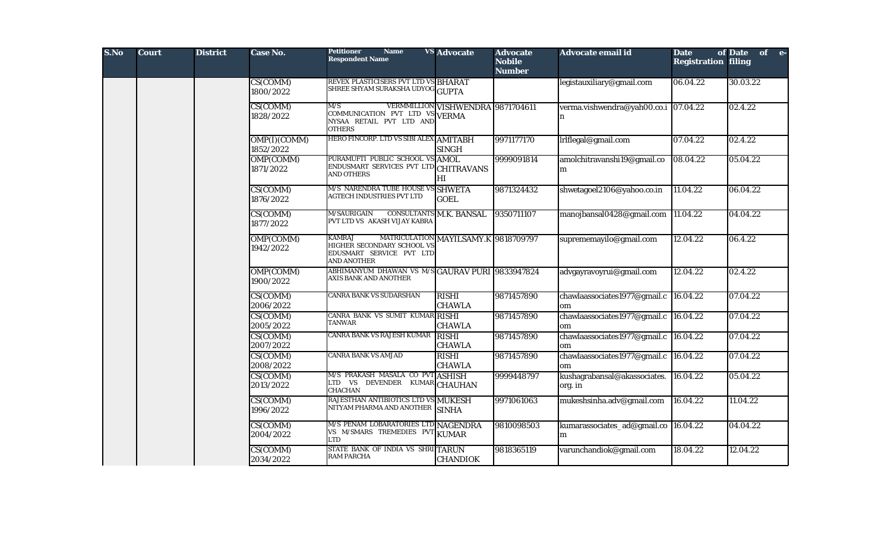| S.No | <b>Court</b> | <b>District</b> | <b>Case No.</b>           | <b>Petitioner</b><br><b>Name</b><br><b>Respondent Name</b>                                    | <b>VS Advocate</b>                   | <b>Advocate</b><br><b>Nobile</b><br><b>Number</b> | Advocate email id                           | <b>Date</b><br><b>Registration filing</b> | of Date of e- |
|------|--------------|-----------------|---------------------------|-----------------------------------------------------------------------------------------------|--------------------------------------|---------------------------------------------------|---------------------------------------------|-------------------------------------------|---------------|
|      |              |                 | CS(COMM)<br>1800/2022     | REVEX PLASTICISERS PVT LTD VS BHARAT<br>SHREE SHYAM SURAKSHA UDYOG GUPTA                      |                                      |                                                   | legistauxiliary@gmail.com                   | 06.04.22                                  | 30.03.22      |
|      |              |                 | CS(COMM)<br>1828/2022     | M/S<br>COMMUNICATION PVT LTD VS VERMA<br>NYSAA RETAIL PVT LTD AND<br><b>OTHERS</b>            | VERMMILLION VISHWENDRA 9871704611    |                                                   | verma.vishwendra@yah00.co.i 07.04.22<br>n   |                                           | 02.4.22       |
|      |              |                 | OMP(I)(COMM)<br>1852/2022 | HERO FINCORP. LTD VS SIBI ALEX AMITABH                                                        | <b>SINGH</b>                         | 9971177170                                        | Irlflegal@gmail.com                         | 07.04.22                                  | 02.4.22       |
|      |              |                 | OMP(COMM)<br>1871/2022    | PURAMUFTI PUBLIC SCHOOL VS AMOL<br>ENDUSMART SERVICES PVT LTD<br><b>AND OTHERS</b>            | <b>CHITRAVANS</b><br>HI              | 9999091814                                        | amolchitravanshi19@gmail.co<br>m            | 08.04.22                                  | 05.04.22      |
|      |              |                 | CS(COMM)<br>1876/2022     | M/S NARENDRA TUBE HOUSE VS SHWETA<br>AGTECH INDUSTRIES PVT LTD                                | <b>GOEL</b>                          | 9871324432                                        | shwetagoel2106@yahoo.co.in                  | 11.04.22                                  | 06.04.22      |
|      |              |                 | CS(COMM)<br>1877/2022     | <b>M/SAURIGAIN</b><br>PVT LTD VS AKASH VIJAY KABRA                                            | CONSULTANTS M.K. BANSAL              | 9350711107                                        | manojbansal0428@gmail.com 11.04.22          |                                           | 04.04.22      |
|      |              |                 | OMP(COMM)<br>1942/2022    | <b>KAMRAJ</b><br>HIGHER SECONDARY SCHOOL VS<br>EDUSMART SERVICE PVT LTD<br><b>AND ANOTHER</b> | MATRICULATION MAYILSAMY.K 9818709797 |                                                   | suprememayilo@gmail.com                     | 12.04.22                                  | 06.4.22       |
|      |              |                 | OMP(COMM)<br>1900/2022    | ABHIMANYUM DHAWAN VS M/S GAURAV PURI 9833947824<br>AXIS BANK AND ANOTHER                      |                                      |                                                   | advgayravoyrui@gmail.com                    | 12.04.22                                  | 02.4.22       |
|      |              |                 | CS(COMM)<br>2006/2022     | CANRA BANK VS SUDARSHAN                                                                       | <b>RISHI</b><br><b>CHAWLA</b>        | 9871457890                                        | chawlaassociates1977@gmail.c<br>om          | 16.04.22                                  | 07.04.22      |
|      |              |                 | CS(COMM)<br>2005/2022     | CANRA BANK VS SUMIT KUMAR RISHI<br>TANWAR                                                     | <b>CHAWLA</b>                        | 9871457890                                        | chawlaassociates1977@gmail.c<br>om          | 16.04.22                                  | 07.04.22      |
|      |              |                 | CS(COMM)<br>2007/2022     | <b>CANRA BANK VS RAJESH KUMAR</b>                                                             | <b>RISHI</b><br><b>CHAWLA</b>        | 9871457890                                        | chawlaassociates1977@gmail.c 16.04.22<br>om |                                           | 07.04.22      |
|      |              |                 | CS(COMM)<br>2008/2022     | <b>CANRA BANK VS AMJAD</b>                                                                    | <b>RISHI</b><br><b>CHAWLA</b>        | 9871457890                                        | chawlaassociates1977@gmail.c<br>om          | 16.04.22                                  | 07.04.22      |
|      |              |                 | CS(COMM)<br>2013/2022     | M/S PRAKASH MASALA CO PVT ASHISH<br>LTD VS DEVENDER KUMAR CHAUHAN<br><b>CHACHAN</b>           |                                      | 9999448797                                        | kushagrabansal@akassociates.<br>org. in     | 16.04.22                                  | 05.04.22      |
|      |              |                 | CS(COMM)<br>1996/2022     | RAJESTHAN ANTIBIOTICS LTD VS MUKESH<br>NITYAM PHARMA AND ANOTHER                              | <b>SINHA</b>                         | 9971061063                                        | mukeshsinha.adv@gmail.com                   | 16.04.22                                  | 11.04.22      |
|      |              |                 | CS(COMM)<br>2004/2022     | M/S PENAM LOBARATORIES LTD NAGENDRA<br>VS M/SMARS TREMEDIES PVT KUMAR<br><b>LTD</b>           |                                      | 9810098503                                        | kumarassociates_ad@gmail.co 16.04.22<br>m   |                                           | 04.04.22      |
|      |              |                 | CS(COMM)<br>2034/2022     | STATE BANK OF INDIA VS SHRITARUN<br><b>RAM PARCHA</b>                                         | <b>CHANDIOK</b>                      | 9818365119                                        | varunchandiok@gmail.com                     | 18.04.22                                  | 12.04.22      |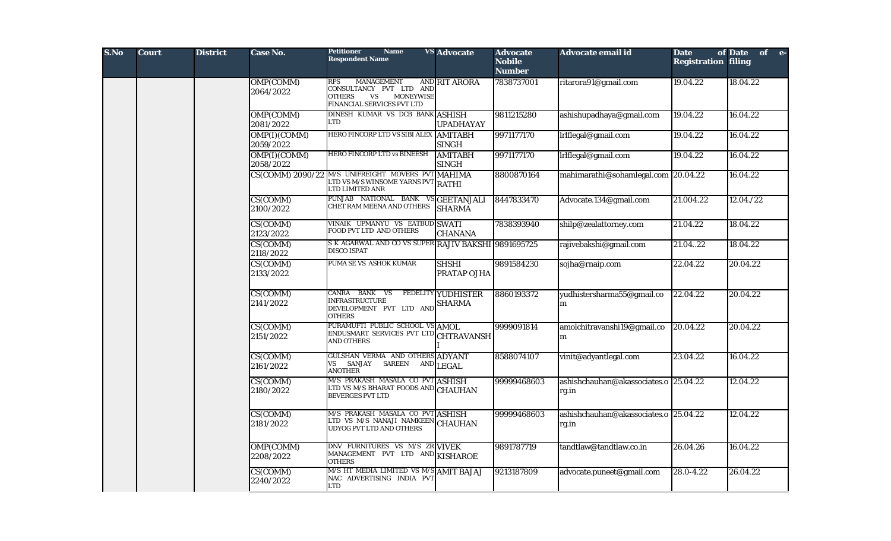| S.No | <b>Court</b> | <b>District</b> | Case No.                  | Petitioner<br><b>Name</b><br><b>Respondent Name</b>                                                                          | <b>VS</b> Advocate                         | <b>Advocate</b><br><b>Nobile</b><br><b>Number</b> | Advocate email id                              | <b>Date</b><br><b>Registration filing</b> | of Date of e- |
|------|--------------|-----------------|---------------------------|------------------------------------------------------------------------------------------------------------------------------|--------------------------------------------|---------------------------------------------------|------------------------------------------------|-------------------------------------------|---------------|
|      |              |                 | OMP(COMM)<br>2064/2022    | RPS<br>MANAGEMENT<br>CONSULTANCY PVT LTD AND<br><b>OTHERS</b><br><b>VS</b><br><b>MONEYWISE</b><br>FINANCIAL SERVICES PVT LTD | AND RIT ARORA                              | 7838737001                                        | ritarora91@gmail.com                           | 19.04.22                                  | 18.04.22      |
|      |              |                 | OMP(COMM)<br>2081/2022    | DINESH KUMAR VS DCB BANK ASHISH<br>LTD                                                                                       | <b>UPADHAYAY</b>                           | 9811215280                                        | ashishupadhaya@gmail.com                       | 19.04.22                                  | 16.04.22      |
|      |              |                 | OMP(I)(COMM)<br>2059/2022 | <b>HERO FINCORP LTD VS SIBI ALEX</b>                                                                                         | <b>AMITABH</b><br><b>SINGH</b>             | 9971177170                                        | Irlflegal@gmail.com                            | 19.04.22                                  | 16.04.22      |
|      |              |                 | OMP(I)(COMM)<br>2058/2022 | HERO FINCORP LTD vs BINEESH                                                                                                  | <b>AMITABH</b><br><b>SINGH</b>             | 9971177170                                        | Irlflegal@gmail.com                            | 19.04.22                                  | 16.04.22      |
|      |              |                 | CS(COMM) 2090/22          | M/S UNIFREIGHT MOVERS PVT MAHIMA<br><b>LTD VS M/S WINSOME YARNS PVT RATHI</b><br>LTD LIMITED ANR                             |                                            | 8800870164                                        | mahimarathi@sohamlegal.com 20.04.22            |                                           | 16.04.22      |
|      |              |                 | CS(COMM)<br>2100/2022     | PUNJAB NATIONAL BANK VSGEETANJALI<br>CHET RAM MEENA AND OTHERS                                                               | <b>SHARMA</b>                              | 8447833470                                        | Advocate.134@gmail.com                         | 21.004.22                                 | 12.04./22     |
|      |              |                 | CS(COMM)<br>2123/2022     | VINAIK UPMANYU VS EATBUD SWATI<br>FOOD PVT LTD AND OTHERS                                                                    | <b>CHANANA</b>                             | 7838393940                                        | shilp@zealattorney.com                         | 21.04.22                                  | 18.04.22      |
|      |              |                 | CS(COMM)<br>2118/2022     | S K AGARWAL AND CO VS SUPER RAJIV BAKSHI 9891695725<br>DISCO ISPAT                                                           |                                            |                                                   | rajivebakshi@gmail.com                         | 21.0422                                   | 18.04.22      |
|      |              |                 | CS(COMM)<br>2133/2022     | PUMA SE VS ASHOK KUMAR                                                                                                       | <b>SHSHI</b><br>PRATAP OJHA                | 9891584230                                        | sojha@rnaip.com                                | 22.04.22                                  | 20.04.22      |
|      |              |                 | CS(COMM)<br>2141/2022     | CANRA BANK VS<br><b>INFRASTRUCTURE</b><br>DEVELOPMENT PVT LTD AND<br><b>OTHERS</b>                                           | <b>FEDELITY YUDHISTER</b><br><b>SHARMA</b> | 8860193372                                        | yudhistersharma55@gmail.co<br>m                | 22.04.22                                  | 20.04.22      |
|      |              |                 | CS(COMM)<br>2151/2022     | PURAMUFTI PUBLIC SCHOOL VS AMOL<br>ENDUSMART SERVICES PVT LTD<br><b>AND OTHERS</b>                                           | <b>CHTRAVANSH</b>                          | 9999091814                                        | amolchitravanshi19@gmail.co<br>m               | 20.04.22                                  | 20.04.22      |
|      |              |                 | CS(COMM)<br>2161/2022     | GULSHAN VERMA AND OTHERS ADYANT<br>VS SANJAY SAREEN<br><b>ANOTHER</b>                                                        | $\left.\mathrm{AND}\right  \mathrm{LEGAL}$ | 8588074107                                        | vinit@adyantlegal.com                          | 23.04.22                                  | 16.04.22      |
|      |              |                 | CS(COMM)<br>2180/2022     | M/S PRAKASH MASALA CO PVT ASHISH<br>LTD VS M/S BHARAT FOODS AND<br><b>BEVERGES PVT LTD</b>                                   | <b>CHAUHAN</b>                             | 99999468603                                       | ashishchauhan@akassociates.o 25.04.22<br>rg.in |                                           | 12.04.22      |
|      |              |                 | CS(COMM)<br>2181/2022     | M/S PRAKASH MASALA CO PVT ASHISH<br>LTD VS M/S NANAJI NAMKEEN<br>UDYOG PVT LTD AND OTHERS                                    | <b>CHAUHAN</b>                             | 99999468603                                       | ashishchauhan@akassociates.o 25.04.22<br>rg.in |                                           | 12.04.22      |
|      |              |                 | OMP(COMM)<br>2208/2022    | DNV FURNITURES VS M/S ZR VIVEK<br>MANAGEMENT PVT LTD AND KISHAROE<br><b>OTHERS</b>                                           |                                            | 9891787719                                        | tandtlaw@tandtlaw.co.in                        | 26.04.26                                  | 16.04.22      |
|      |              |                 | CS(COMM)<br>2240/2022     | M/S HT MEDIA LIMITED VS M/S AMIT BAJAJ<br>NAC ADVERTISING INDIA PVT<br><b>LTD</b>                                            |                                            | 9213187809                                        | advocate.puneet@gmail.com                      | 28.0-4.22                                 | 26.04.22      |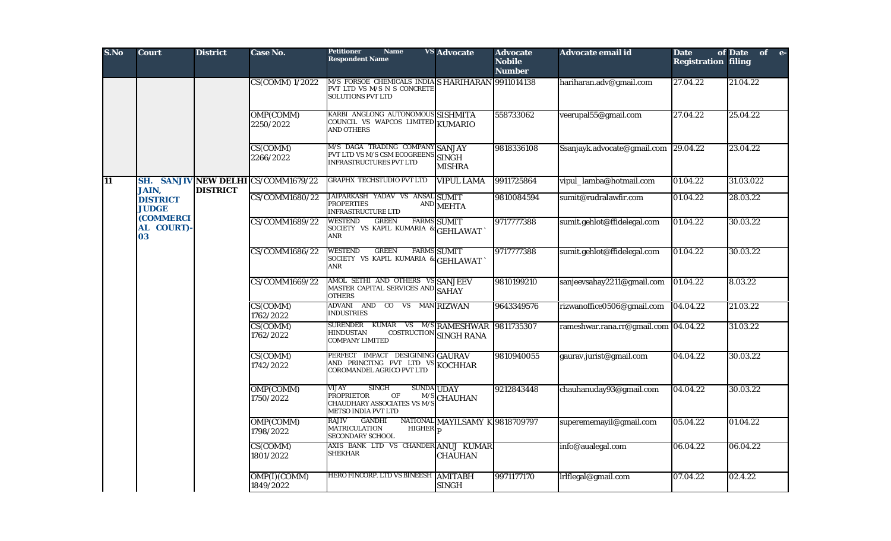| S.No            | <b>Court</b>                                    | <b>District</b> | <b>Case No.</b>                     | <b>Petitioner</b><br><b>Name</b><br><b>Respondent Name</b>                                                                                       | <b>VS</b> Advocate                         | <b>Advocate</b><br><b>Nobile</b><br><b>Number</b> | Advocate email id                    | <b>Date</b><br><b>Registration filing</b> | of Date of e- |
|-----------------|-------------------------------------------------|-----------------|-------------------------------------|--------------------------------------------------------------------------------------------------------------------------------------------------|--------------------------------------------|---------------------------------------------------|--------------------------------------|-------------------------------------------|---------------|
|                 |                                                 |                 | <b>CS(COMM) 1/2022</b>              | M/S FORSOE CHEMICALS INDIA S HARIHARAN 9911014138<br>PVT LTD VS M/S N S CONCRETE<br><b>SOLUTIONS PVT LTD</b>                                     |                                            |                                                   | hariharan.adv@gmail.com              | 27.04.22                                  | 21.04.22      |
|                 |                                                 |                 | OMP(COMM)<br>2250/2022              | KARBI ANGLONG AUTONOMOUS SISHMITA<br>COUNCIL VS WAPCOS LIMITED KUMARIO<br><b>AND OTHERS</b>                                                      |                                            | 558733062                                         | veerupal55@gmail.com                 | 27.04.22                                  | 25.04.22      |
|                 |                                                 |                 | CS(COMM)<br>2266/2022               | M/S DAGA TRADING COMPANY SANJAY<br>PVT LTD VS M/S CSM ECOGREENS SINGH<br><b>INFRASTRUCTURES PVT LTD</b>                                          | <b>MISHRA</b>                              | 9818336108                                        | Ssanjayk.advocate@gmail.com          | 29.04.22                                  | 23.04.22      |
| $\overline{11}$ |                                                 | <b>DISTRICT</b> | SH. SANJIV NEW DELHI CS/COMM1679/22 | <b>GRAPHX TECHSTUDIO PVT LTD</b>                                                                                                                 | <b>VIPUL LAMA</b>                          | 9911725864                                        | vipul_lamba@hotmail.com              | 01.04.22                                  | 31.03.022     |
|                 | <b>JAIN,</b><br><b>DISTRICT</b><br><b>JUDGE</b> |                 | CS/COMM1680/22                      | JAIPARKASH YADAV VS ANSAL SUMIT<br><b>PROPERTIES</b><br><b>INFRASTRUCTURE LTD</b>                                                                | $\left.\mathrm{AND}\right  \mathrm{MEHTA}$ | 9810084594                                        | sumit@rudralawfir.com                | 01.04.22                                  | 28.03.22      |
|                 | <b>(COMMERCI</b><br>AL COURT)<br>03             |                 | CS/COMM1689/22                      | <b>GREEN</b><br><b>WESTEND</b><br>SOCIETY VS KAPIL KUMARIA & GEHLAWAT<br>ANR                                                                     | <b>FARMS SUMIT</b>                         | 9717777388                                        | sumit.gehlot@ffidelegal.com          | 01.04.22                                  | 30.03.22      |
|                 |                                                 |                 | CS/COMM1686/22                      | <b>GREEN</b><br><b>WESTEND</b><br>SOCIETY VS KAPIL KUMARIA &<br>ANR                                                                              | <b>FARMS SUMIT</b><br>GEHLAWAT             | 9717777388                                        | sumit.gehlot@ffidelegal.com          | 01.04.22                                  | 30.03.22      |
|                 |                                                 |                 | CS/COMM1669/22                      | AMOL SETHI AND OTHERS VS SANJEEV<br>MASTER CAPITAL SERVICES AND SAHAY<br><b>OTHERS</b>                                                           |                                            | 9810199210                                        | sanjeevsahay2211@gmail.com           | 01.04.22                                  | 8.03.22       |
|                 |                                                 |                 | CS(COMM)<br>1762/2022               | ADVANI AND CO VS MANRIZWAN<br><b>INDUSTRIES</b>                                                                                                  |                                            | 9643349576                                        | rizwanoffice0506@gmail.com           | 04.04.22                                  | 21.03.22      |
|                 |                                                 |                 | CS(COMM)<br>1762/2022               | <b>SURENDER</b><br><b>KUMAR</b><br><b>HINDUSTAN</b><br>COSTRUCTION<br><b>COMPANY LIMITED</b>                                                     | VS M/S RAMESHWAR<br><b>SINGH RANA</b>      | 9811735307                                        | rameshwar.rana.rr@gmail.com 04.04.22 |                                           | 31.03.22      |
|                 |                                                 |                 | CS(COMM)<br>1742/2022               | PERFECT IMPACT DESIGINING GAURAV<br>AND PRINCTING PVT LTD VS KOCHHAR<br><b>COROMANDEL AGRICO PVT LTD</b>                                         |                                            | 9810940055                                        | gaurav.jurist@gmail.com              | 04.04.22                                  | 30.03.22      |
|                 |                                                 |                 | OMP(COMM)<br>1750/2022              | VIJAY<br><b>SINGH</b><br><b>SUNDA UDAY</b><br>OF<br><b>PROPRIETOR</b><br>M/S<br><b>CHAUDHARY ASSOCIATES VS M/S</b><br><b>METSO INDIA PVT LTD</b> | <b>CHAUHAN</b>                             | 9212843448                                        | chauhanuday93@gmail.com              | 04.04.22                                  | 30.03.22      |
|                 |                                                 |                 | OMP(COMM)<br>1798/2022              | <b>GANDHI</b><br><b>RAJIV</b><br><b>HIGHER</b><br><b>MATRICULATION</b><br><b>SECONDARY SCHOOL</b>                                                | NATIONAL MAYILSAMY K 9818709797            |                                                   | superememayil@gmail.com              | 05.04.22                                  | 01.04.22      |
|                 |                                                 |                 | CS(COMM)<br>1801/2022               | AXIS BANK LTD VS CHANDER ANUJ KUMAR<br><b>SHEKHAR</b>                                                                                            | <b>CHAUHAN</b>                             |                                                   | info@aualegal.com                    | 06.04.22                                  | 06.04.22      |
|                 |                                                 |                 | OMP(I)(COMM)<br>1849/2022           | HERO FINCORP. LTD VS BINEESH                                                                                                                     | <b>AMITABH</b><br><b>SINGH</b>             | 9971177170                                        | lrlflegal@gmail.com                  | 07.04.22                                  | 02.4.22       |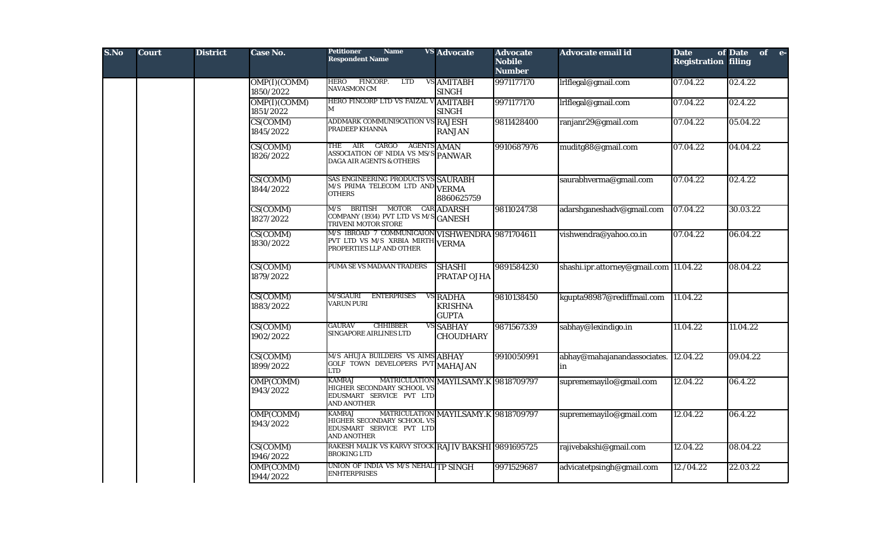| S.No | <b>Court</b> | <b>District</b> | <b>Case No.</b>           | <b>Petitioner</b><br><b>Name</b><br><b>Respondent Name</b>                                                                      | <b>VS</b> Advocate                                | <b>Advocate</b><br><b>Nobile</b><br><b>Number</b> | <b>Advocate email id</b>                   | <b>Date</b><br><b>Registration filing</b> | of Date of e- |
|------|--------------|-----------------|---------------------------|---------------------------------------------------------------------------------------------------------------------------------|---------------------------------------------------|---------------------------------------------------|--------------------------------------------|-------------------------------------------|---------------|
|      |              |                 | OMP(I)(COMM)<br>1850/2022 | FINCORP.<br><b>LTD</b><br><b>HERO</b><br><b>NAVASMON CM</b>                                                                     | VS AMITABH<br><b>SINGH</b>                        | 9971177170                                        | Irlflegal@gmail.com                        | 07.04.22                                  | 02.4.22       |
|      |              |                 | OMP(I)(COMM)<br>1851/2022 | HERO FINCORP LTD VS FAIZAL VAMITABH<br>M                                                                                        | <b>SINGH</b>                                      | 9971177170                                        | lrlflegal@gmail.com                        | 07.04.22                                  | 02.4.22       |
|      |              |                 | CS(COMM)<br>1845/2022     | ADDMARK COMMUNI9CATION VS RAJESH<br>PRADEEP KHANNA                                                                              | <b>RANJAN</b>                                     | 9811428400                                        | ranjanr29@gmail.com                        | 07.04.22                                  | 05.04.22      |
|      |              |                 | CS(COMM)<br>1826/2022     | THE<br>$\rm AIR$<br>CARGO<br><b>AGENTS AMAN</b><br>ASSOCIATION OF NIDIA VS $MS/S$ PANWAR<br><b>DAGA AIR AGENTS &amp; OTHERS</b> |                                                   | 9910687976                                        | muditg88@gmail.com                         | 07.04.22                                  | 04.04.22      |
|      |              |                 | CS(COMM)<br>1844/2022     | SAS ENGINEERING PRODUCTS VS SAURABH<br>M/S PRIMA TELECOM LTD AND VERMA<br><b>OTHERS</b>                                         | 8860625759                                        |                                                   | saurabhverma@gmail.com                     | 07.04.22                                  | 02.4.22       |
|      |              |                 | CS(COMM)<br>1827/2022     | BRITISH MOTOR<br>M/S<br>COMPANY (1934) PVT LTD VS M/S GANESH<br>TRIVENI MOTOR STORE                                             | <b>CAR ADARSH</b>                                 | 9811024738                                        | adarshganeshadv@gmail.com                  | 07.04.22                                  | 30.03.22      |
|      |              |                 | CS(COMM)<br>1830/2022     | M/S IBROAD 7 COMMUNICAION VISHWENDRA 9871704611<br>PVT LTD VS M/S XRBIA MIRTH VERMA<br>PROPERTIES LLP AND OTHER                 |                                                   |                                                   | vishwendra@yahoo.co.in                     | 07.04.22                                  | 06.04.22      |
|      |              |                 | CS(COMM)<br>1879/2022     | PUMA SE VS MADAAN TRADERS                                                                                                       | <b>SHASHI</b><br><b>PRATAP OJHA</b>               | 9891584230                                        | shashi.ipr.attorney@gmail.com 11.04.22     |                                           | 08.04.22      |
|      |              |                 | CS(COMM)<br>1883/2022     | <b>ENTERPRISES</b><br>M/SGAURI<br><b>VARUN PURI</b>                                                                             | <b>VS RADHA</b><br><b>KRISHNA</b><br><b>GUPTA</b> | 9810138450                                        | kgupta98987@rediffmail.com                 | 11.04.22                                  |               |
|      |              |                 | CS(COMM)<br>1902/2022     | <b>GAURAV</b><br><b>CHHIBBER</b><br>SINGAPORE AIRLINES LTD                                                                      | <b>VS SABHAY</b><br><b>CHOUDHARY</b>              | 9871567339                                        | sabhay@lexindigo.in                        | 11.04.22                                  | 11.04.22      |
|      |              |                 | CS(COMM)<br>1899/2022     | M/S AHUJA BUILDERS VS AIMS ABHAY<br>GOLF TOWN DEVELOPERS PVT MAHAJAN<br><b>LTD</b>                                              |                                                   | 9910050991                                        | abhay@mahajanandassociates. 12.04.22<br>in |                                           | 09.04.22      |
|      |              |                 | OMP(COMM)<br>1943/2022    | <b>KAMRAJ</b><br>HIGHER SECONDARY SCHOOL VS<br>EDUSMART SERVICE PVT LTD<br><b>AND ANOTHER</b>                                   | MATRICULATION MAYILSAMY.K 9818709797              |                                                   | suprememayilo@gmail.com                    | 12.04.22                                  | 06.4.22       |
|      |              |                 | OMP(COMM)<br>1943/2022    | <b>KAMRAJ</b><br>HIGHER SECONDARY SCHOOL VS<br>EDUSMART SERVICE PVT LTD<br><b>AND ANOTHER</b>                                   | MATRICULATION MAYILSAMY.K 9818709797              |                                                   | suprememayilo@gmail.com                    | 12.04.22                                  | 06.4.22       |
|      |              |                 | CS(COMM)<br>1946/2022     | RAKESH MALIK VS KARVY STOCK RAJIV BAKSHI 9891695725<br><b>BROKING LTD</b>                                                       |                                                   |                                                   | rajivebakshi@gmail.com                     | 12.04.22                                  | 08.04.22      |
|      |              |                 | OMP(COMM)<br>1944/2022    | UNION OF INDIA VS M/S NEHAL TP SINGH<br><b>ENHTERPRISES</b>                                                                     |                                                   | 9971529687                                        | advicatetpsingh@gmail.com                  | 12./04.22                                 | 22.03.22      |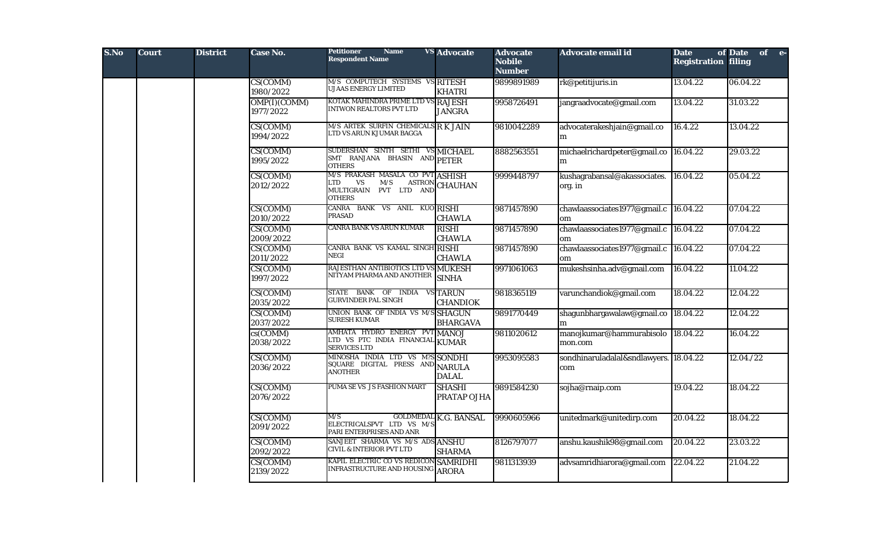| S.No | <b>Court</b> | <b>District</b> | Case No.                  | <b>Petitioner</b><br><b>Name</b><br><b>Respondent Name</b>                                             | <b>VS</b> Advocate                  | <b>Advocate</b><br><b>Nobile</b><br><b>Number</b> | Advocate email id                             | <b>Date</b><br><b>Registration filing</b> | of Date of e- |
|------|--------------|-----------------|---------------------------|--------------------------------------------------------------------------------------------------------|-------------------------------------|---------------------------------------------------|-----------------------------------------------|-------------------------------------------|---------------|
|      |              |                 | CS(COMM)<br>1980/2022     | M/S COMPUTECH SYSTEMS VS RITESH<br><b>UJAAS ENERGY LIMITED</b>                                         | <b>KHATRI</b>                       | 9899891989                                        | rk@petitijuris.in                             | 13.04.22                                  | 06.04.22      |
|      |              |                 | OMP(I)(COMM)<br>1977/2022 | KOTAK MAHINDRA PRIME LTD VS RAJESH<br><b>INTWON REALTORS PVT LTD</b>                                   | <b>JANGRA</b>                       | 9958726491                                        | jangraadvocate@gmail.com                      | 13.04.22                                  | 31.03.22      |
|      |              |                 | CS(COMM)<br>1994/2022     | M/S ARTEK SURFIN CHEMICALS R K JAIN<br>LTD VS ARUN KJUMAR BAGGA                                        |                                     | 9810042289                                        | advocaterakeshjain@gmail.co<br>m              | 16.4.22                                   | 13.04.22      |
|      |              |                 | CS(COMM)<br>1995/2022     | SUDERSHAN SINTH SETHI VS MICHAEL<br>SMT RANJANA BHASIN AND PETER<br><b>OTHERS</b>                      |                                     | 8882563551                                        | michaelrichardpeter@gmail.co 16.04.22<br>m    |                                           | 29.03.22      |
|      |              |                 | CS(COMM)<br>2012/2022     | M/S PRAKASH MASALA CO PVT ASHISH<br>LTD<br><b>VS</b><br>M/S<br>MULTIGRAIN PVT LTD AND<br><b>OTHERS</b> | <b>ASTRON</b> CHAUHAN               | 9999448797                                        | kushagrabansal@akassociates.<br>org. in       | 16.04.22                                  | 05.04.22      |
|      |              |                 | CS(COMM)<br>2010/2022     | CANRA BANK VS ANIL KUO RISHI<br><b>PRASAD</b>                                                          | <b>CHAWLA</b>                       | 9871457890                                        | chawlaassociates1977@gmail.c 16.04.22<br>om   |                                           | 07.04.22      |
|      |              |                 | CS(COMM)<br>2009/2022     | CANRA BANK VS ARUN KUMAR                                                                               | <b>RISHI</b><br><b>CHAWLA</b>       | 9871457890                                        | chawlaassociates1977@gmail.c<br>om            | 16.04.22                                  | 07.04.22      |
|      |              |                 | CS(COMM)<br>2011/2022     | CANRA BANK VS KAMAL SINGH RISHI<br>NEGI                                                                | <b>CHAWLA</b>                       | 9871457890                                        | chawlaassociates1977@gmail.c 16.04.22<br>om   |                                           | 07.04.22      |
|      |              |                 | CS(COMM)<br>1997/2022     | RAJESTHAN ANTIBIOTICS LTD VS MUKESH<br>NITYAM PHARMA AND ANOTHER                                       | <b>SINHA</b>                        | 9971061063                                        | mukeshsinha.adv@gmail.com                     | 16.04.22                                  | 11.04.22      |
|      |              |                 | CS(COMM)<br>2035/2022     | STATE BANK OF INDIA VS TARUN<br><b>GURVINDER PAL SINGH</b>                                             | <b>CHANDIOK</b>                     | 9818365119                                        | varunchandiok@gmail.com                       | 18.04.22                                  | 12.04.22      |
|      |              |                 | CS(COMM)<br>2037/2022     | UNION BANK OF INDIA VS M/S SHAGUN<br><b>SURESH KUMAR</b>                                               | <b>BHARGAVA</b>                     | 9891770449                                        | shagunbhargawalaw@gmail.co 18.04.22<br>m      |                                           | 12.04.22      |
|      |              |                 | $cs$ (COMM)<br>2038/2022  | AMHATA HYDRO ENERGY PVT MANOJ<br>LITD VS PTC INDIA FINANCIAL KUMAR<br><b>SERVICES LTD</b>              |                                     | 9811020612                                        | manojkumar@hammurabisolo<br>mon.com           | 18.04.22                                  | 16.04.22      |
|      |              |                 | CS(COMM)<br>2036/2022     | MINOSHA INDIA LTD VS M?S SONDHI<br>SQUARE DIGITAL PRESS AND NARULA<br><b>ANOTHER</b>                   | <b>DALAL</b>                        | 9953095583                                        | sondhinaruladalal&sndlawyers. 18.04.22<br>com |                                           | 12.04./22     |
|      |              |                 | CS(COMM)<br>2076/2022     | PUMA SE VS JS FASHION MART                                                                             | <b>SHASHI</b><br><b>PRATAP OJHA</b> | 9891584230                                        | sojha@rnaip.com                               | 19.04.22                                  | 18.04.22      |
|      |              |                 | CS(COMM)<br>2091/2022     | M/S<br>ELECTRICALSPVT LTD VS M/S<br>PARI ENTERPRISES AND ANR                                           | <b>GOLDMEDAL K.G. BANSAL</b>        | 9990605966                                        | unitedmark@unitedirp.com                      | 20.04.22                                  | 18.04.22      |
|      |              |                 | CS(COMM)<br>2092/2022     | SANJEET SHARMA VS M/S ADS ANSHU<br><b>CIVIL &amp; INTERIOR PVT LTD</b>                                 | <b>SHARMA</b>                       | 8126797077                                        | anshu.kaushik98@gmail.com                     | 20.04.22                                  | 23.03.22      |
|      |              |                 | CS(COMM)<br>2139/2022     | KAPIL ELECTRIC CO VS REDICON SAMRIDHI<br>INFRASTRUCTURE AND HOUSING ARORA                              |                                     | 9811313939                                        | advsamridhiarora@gmail.com                    | 22.04.22                                  | 21.04.22      |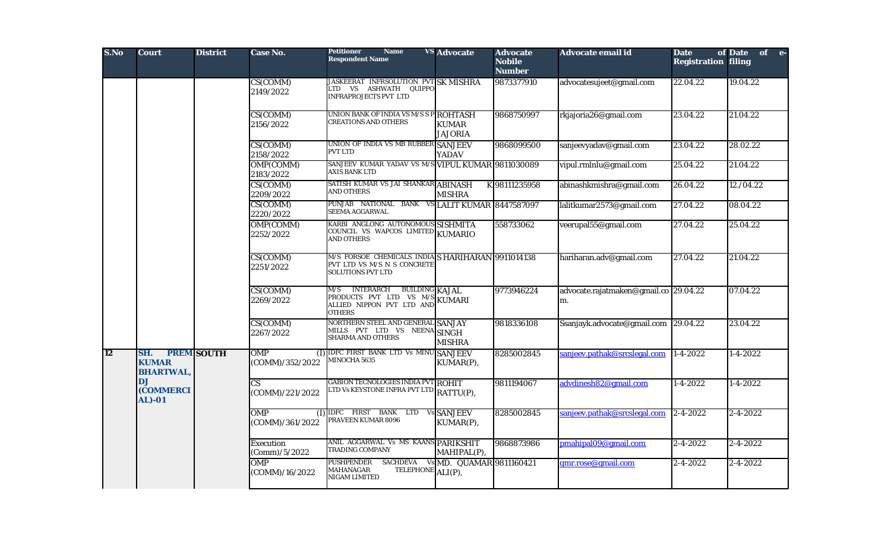| S.No      | <b>Court</b>                              | <b>District</b>   | Case No.                                  | <b>Petitioner</b><br><b>Name</b><br><b>Respondent Name</b>                                                                              | <b>VS</b> Advocate                | <b>Advocate</b><br><b>Nobile</b><br><b>Number</b> | Advocate email id                           | <b>Date</b><br><b>Registration filing</b> | of Date<br>of e- |
|-----------|-------------------------------------------|-------------------|-------------------------------------------|-----------------------------------------------------------------------------------------------------------------------------------------|-----------------------------------|---------------------------------------------------|---------------------------------------------|-------------------------------------------|------------------|
|           |                                           |                   | CS(COMM)<br>2149/2022                     | <b>JASKEERAT INFRSOLUTION PVT SK MISHRA</b><br>LTD VS ASHWATH QUIPPO<br><b>INFRAPROJECTS PVT LTD</b>                                    |                                   | 9873377910                                        | advocatesujeet@gmail.com                    | 22.04.22                                  | 19.04.22         |
|           |                                           |                   | CS(COMM)<br>2156/2022                     | UNION BANK OF INDIA VS M/S S P ROHTASH<br><b>CREATIONS AND OTHERS</b>                                                                   | <b>KUMAR</b><br><b>JAJORIA</b>    | 9868750997                                        | rkjajoria26@gmail.com                       | 23.04.22                                  | 21.04.22         |
|           |                                           |                   | CS(COMM)<br>2158/2022                     | UNION OF INDIA VS MB RUBBER SANJEEV<br><b>PVT LTD</b>                                                                                   | <b>YADAV</b>                      | 9868099500                                        | sanjeevyadav@gmail.com                      | 23.04.22                                  | 28.02.22         |
|           |                                           |                   | OMP(COMM)<br>2183/2022                    | SANJEEV KUMAR YADAV VS M/S VIPUL KUMAR 9811030089<br><b>AXIS BANK LTD</b>                                                               |                                   |                                                   | vipul.rmlnlu@gmail.com                      | 25.04.22                                  | 21.04.22         |
|           |                                           |                   | CS(COMM)<br>2209/2022                     | SATISH KUMAR VS JAI SHANKAR ABINASH<br><b>AND OTHERS</b>                                                                                | <b>MISHRA</b>                     | K 98111235958                                     | abinashkmishra@gmail.com                    | 26.04.22                                  | 12./04.22        |
|           |                                           |                   | CS(COMM)<br>2220/2022                     | PUNJAB NATIONAL BANK VSLALIT KUMAR 8447587097<br>SEEMA AGGARWAL                                                                         |                                   |                                                   | lalitkumar2573@gmail.com                    | $\sqrt{27.04.22}$                         | 08.04.22         |
|           |                                           |                   | OMP(COMM)<br>2252/2022                    | KARBI ANGLONG AUTONOMOUS SISHMITA<br>COUNCIL VS WAPCOS LIMITED KUMARIO<br><b>AND OTHERS</b>                                             |                                   | 558733062                                         | veerupal55@gmail.com                        | 27.04.22                                  | 25.04.22         |
|           |                                           |                   | CS(COMM)<br>2251/2022                     | M/S FORSOE CHEMICALS INDIA S HARIHARAN 9911014138<br>PVT LTD VS M/S N S CONCRETE<br><b>SOLUTIONS PVT LTD</b>                            |                                   |                                                   | hariharan.adv@gmail.com                     | 27.04.22                                  | 21.04.22         |
|           |                                           |                   | CS(COMM)<br>2269/2022                     | <b>INTERARCH</b><br><b>BUILDING KAJAL</b><br>M/S<br>PRODUCTS PVT LTD VS M/S KUMARI<br>ALLIED NIPPON PVT LTD AND KUMARI<br><b>OTHERS</b> |                                   | 9773946224                                        | advocate.rajatmaken@gmail.co 29.04.22<br>m. |                                           | 07.04.22         |
|           |                                           |                   | CS(COMM)<br>2267/2022                     | NORTHERN STEEL AND GENERAL SANJAY<br>MILLS PVT LTD VS NEENA SINGH<br>SHARMA AND OTHERS                                                  | <b>MISHRA</b>                     | 9818336108                                        | Ssanjayk.advocate@gmail.com 29.04.22        |                                           | 23.04.22         |
| <b>12</b> | SH.<br><b>KUMAR</b><br><b>BHARTWAL,</b>   | <b>PREM SOUTH</b> | <b>OMP</b><br>(COMM)/352/2022             | (I) IDFC FIRST BANK LTD Vs MINU SANJEEV<br>MINOCHA 5635                                                                                 | KUMAR(P),                         | 8285002845                                        | sanjeev.pathak@srcslegal.com                | $1 - 4 - 2022$                            | $1 - 4 - 2022$   |
|           | D.J<br><b>(COMMERCI</b><br><b>AL</b> )-01 |                   | $\overline{\text{CS}}$<br>(COMM)/221/2022 | <b>GABION TECNOLOGIES INDIA PVT ROHIT</b><br>LTD Vs KEYSTONE INFRA PVT LTD RATTU(P),                                                    |                                   | 9811194067                                        | advdinesh82@gmail.com                       | $1 - 4 - 2022$                            | $1 - 4 - 2022$   |
|           |                                           |                   | <b>OMP</b><br>(COMM)/361/2022             | (I) IDFC FIRST BANK LTD Vs SANJEEV<br>PRAVEEN KUMAR 8096                                                                                | KUMAR(P),                         | 8285002845                                        | sanjeev.pathak@srcslegal.com                | $\sqrt{2-4-20}$ 22                        | $2 - 4 - 2022$   |
|           |                                           |                   | <b>Execution</b><br>(Comm)/5/2022         | ANIL AGGARWAL Vs MS KAANS PARIKSHIT<br>TRADING COMPANY                                                                                  | MAHIPAL(P),                       | 9868873986                                        | pmahipal09@gmail.com                        | 2-4-2022                                  | $2 - 4 - 2022$   |
|           |                                           |                   | <b>OMP</b><br>(COMM)/16/2022              | <b>PUSHPENDER</b><br>TELEPHONE ALI(P),<br><b>MAHANAGAR</b><br>NIGAM LIMITED                                                             | SACHDEVA Vs MD. QUAMAR 9811160421 |                                                   | qmr.rose@gmail.com                          | $2 - 4 - 2022$                            | $2 - 4 - 2022$   |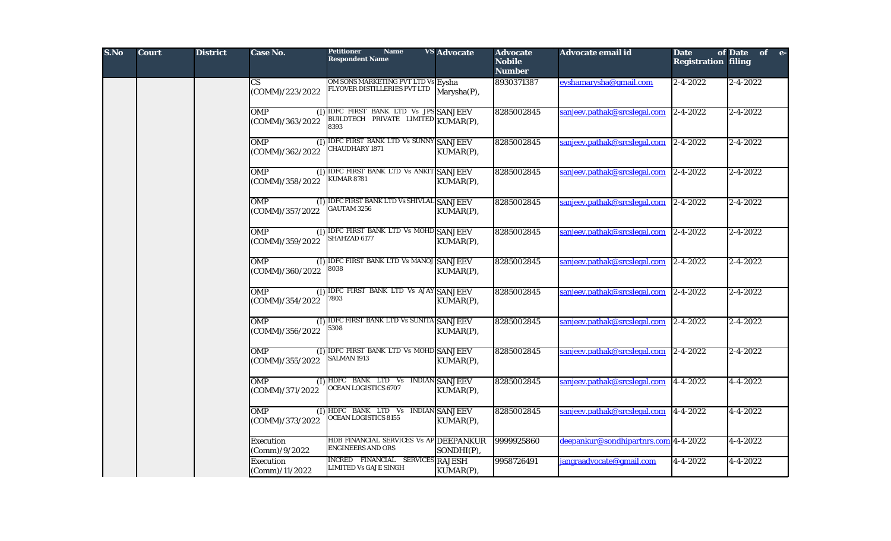| S.No | <b>Court</b> | <b>District</b> | Case No.                                    | <b>Petitioner</b><br><b>Name</b><br><b>Respondent Name</b>                  | <b>VS</b> Advocate | <b>Advocate</b><br><b>Nobile</b><br><b>Number</b> | Advocate email id                    | <b>Date</b><br><b>Registration filing</b> | of Date of e-  |
|------|--------------|-----------------|---------------------------------------------|-----------------------------------------------------------------------------|--------------------|---------------------------------------------------|--------------------------------------|-------------------------------------------|----------------|
|      |              |                 | $\overline{\text{CS}}$<br>(COMM)/223/2022   | OM SONS MARKETING PVT LTD Vs Eysha<br>FLYOVER DISTILLERIES PVT LTD          | Marysha(P),        | 8930371387                                        | eyshamarysha@gmail.com               | $2 - 4 - 2022$                            | $2 - 4 - 2022$ |
|      |              |                 | <b>OMP</b><br>(COMM)/363/2022               | (I) IDFC FIRST BANK LTD Vs JPS SANJEEV<br>BUILDTECH PRIVATE LIMITED<br>8393 | KUMAR(P),          | 8285002845                                        | sanjeev.pathak@srcslegal.com         | $2 - 4 - 2022$                            | $2 - 4 - 2022$ |
|      |              |                 | <b>OMP</b><br>(1)<br>(COMM)/362/2022        | <b>IDFC FIRST BANK LTD Vs SUNNY SANJEEV</b><br><b>CHAUDHARY 1871</b>        | KUMAR(P),          | 8285002845                                        | sanjeev.pathak@srcslegal.com         | $2 - 4 - 2022$                            | $2 - 4 - 2022$ |
|      |              |                 | <b>OMP</b><br>(COMM)/358/2022               | (I) IDFC FIRST BANK LTD Vs ANKIT SANJEEV<br><b>KUMAR 8781</b>               | KUMAR(P),          | 8285002845                                        | sanjeev.pathak@srcslegal.com         | $2-4-2022$                                | $2 - 4 - 2022$ |
|      |              |                 | <b>OMP</b><br>(COMM)/357/2022               | (I) IDFC FIRST BANK LTD Vs SHIVLAL SANJEEV<br><b>GAUTAM 3256</b>            | KUMAR(P),          | 8285002845                                        | sanjeev.pathak@srcslegal.com         | $2 - 4 - 2022$                            | $2 - 4 - 2022$ |
|      |              |                 | <b>OMP</b><br>(I)<br>(COMM)/359/2022        | <b>IDFC FIRST BANK LTD Vs MOHD SANJEEV</b><br><b>SHAHZAD 6177</b>           | KUMAR(P),          | 8285002845                                        | sanjeev.pathak@srcslegal.com         | $2 - 4 - 2022$                            | $2 - 4 - 2022$ |
|      |              |                 | <b>OMP</b><br>(COMM)/360/2022               | (I) IDFC FIRST BANK LTD Vs MANOJ SANJEEV<br>8038                            | KUMAR(P),          | 8285002845                                        | sanjeev.pathak@srcslegal.com         | $2 - 4 - 2022$                            | $2 - 4 - 2022$ |
|      |              |                 | <b>OMP</b><br>(COMM)/354/2022               | (I) IDFC FIRST BANK LTD Vs AJAY SANJEEV<br>7803                             | KUMAR(P),          | 8285002845                                        | sanjeev.pathak@srcslegal.com         | $\sqrt{2-4-2022}$                         | $2 - 4 - 2022$ |
|      |              |                 | <b>OMP</b><br>(COMM)/356/2022               | (I) IDFC FIRST BANK LTD Vs SUNITA SANJEEV<br>5308                           | KUMAR(P),          | 8285002845                                        | sanjeev.pathak@srcslegal.com         | $2 - 4 - 2022$                            | $2 - 4 - 2022$ |
|      |              |                 | <b>OMP</b><br>(COMM)/355/2022               | (I) IDFC FIRST BANK LTD Vs MOHD SANJEEV<br><b>SALMAN 1913</b>               | KUMAR(P),          | 8285002845                                        | sanjeev.pathak@srcslegal.com         | $2 - 4 - 2022$                            | $2 - 4 - 2022$ |
|      |              |                 | <b>OMP</b><br>(I)<br>(COMM)/371/2022        | HDFC BANK LTD Vs INDIAN SANJEEV<br><b>OCEAN LOGISTICS 6707</b>              | KUMAR(P),          | 8285002845                                        | sanjeev.pathak@srcslegal.com         | 4-4-2022                                  | $4 - 4 - 2022$ |
|      |              |                 | <b>OMP</b><br>(1)<br>(COMM)/373/2022        | HDFC BANK LTD Vs INDIAN SANJEEV<br><b>OCEAN LOGISTICS 8155</b>              | KUMAR(P),          | 8285002845                                        | sanjeev.pathak@srcslegal.com         | $ 4 - 4 - 2022 $                          | 4-4-2022       |
|      |              |                 | Execution<br>(Comm)/9/2022                  | HDB FINANCIAL SERVICES Vs AP DEEPANKUR<br><b>ENGINEERS AND ORS</b>          | SONDHI(P),         | 9999925860                                        | deepankur@sondhipartnrs.com 4-4-2022 |                                           | $4 - 4 - 2022$ |
|      |              |                 | <b>Execution</b><br>$\left $ (Comm)/11/2022 | INCRED FINANCIAL SERVICES RAJESH<br>LIMITED Vs GAJE SINGH                   | KUMAR(P),          | 9958726491                                        | jangraadvocate@gmail.com             | $\sqrt{4-4-2022}$                         | $4 - 4 - 2022$ |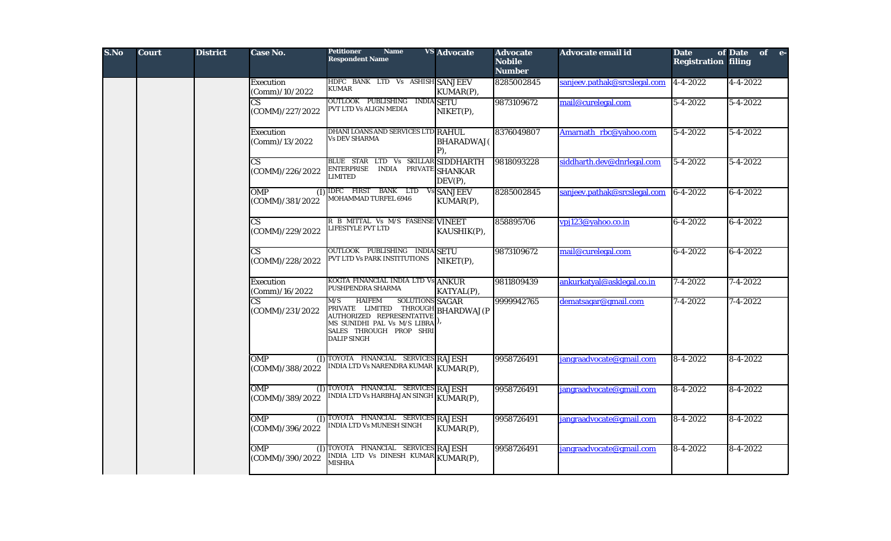| S.No | <b>Court</b> | <b>District</b> | Case No.                                  | <b>Petitioner</b><br><b>Name</b><br><b>Respondent Name</b>                                                                                                                                                | <b>VS</b> Advocate        | <b>Advocate</b><br><b>Nobile</b><br><b>Number</b> | Advocate email id            | <b>Date</b><br><b>Registration filing</b> | of Date of e-  |
|------|--------------|-----------------|-------------------------------------------|-----------------------------------------------------------------------------------------------------------------------------------------------------------------------------------------------------------|---------------------------|---------------------------------------------------|------------------------------|-------------------------------------------|----------------|
|      |              |                 | <b>Execution</b><br>(Comm)/10/2022        | HDFC BANK LTD Vs ASHISH SANJEEV<br>KUMAR                                                                                                                                                                  | KUMAR(P),                 | 8285002845                                        | sanjeev.pathak@srcslegal.com | $ 4 - 4 - 2022 $                          | 4-4-2022       |
|      |              |                 | СS<br>(COMM)/227/2022                     | OUTLOOK PUBLISHING<br><b>INDIA SETU</b><br>PVT LTD Vs ALIGN MEDIA                                                                                                                                         | NIKET(P),                 | 9873109672                                        | mail@curelegal.com           | $5 - 4 - 2022$                            | $5 - 4 - 2022$ |
|      |              |                 | Execution<br>(Comm)/13/2022               | DHANI LOANS AND SERVICES LTD RAHUL<br>Vs DEV SHARMA                                                                                                                                                       | <b>BHARADWAJ</b> (<br>P), | 8376049807                                        | Amarnath rbc@yahoo.com       | $5 - 4 - 2022$                            | $5 - 4 - 2022$ |
|      |              |                 | <b>CS</b><br>(COMM)/226/2022              | BLUE STAR LTD Vs SKILLAR SIDDHARTH<br>ENTERPRISE INDIA PRIVATE SHANKAR<br>LIMITED                                                                                                                         | $DEV(P)$ ,                | 9818093228                                        | siddharth.dev@dnrlegal.com   | $5 - 4 - 2022$                            | 5-4-2022       |
|      |              |                 | <b>OMP</b><br>(I)<br>(COMM)/381/2022      | <b>IDFC FIRST BANK LTD Vs SANJEEV</b><br><b>MOHAMMAD TURFEL 6946</b>                                                                                                                                      | KUMAR(P),                 | 8285002845                                        | sanjeev.pathak@srcslegal.com | $ 6-4-2022 $                              | 6-4-2022       |
|      |              |                 | $\overline{\text{CS}}$<br>(COMM)/229/2022 | R B MITTAL Vs M/S FASENSE VINEET<br><b>LIFESTYLE PVT LTD</b>                                                                                                                                              | KAUSHIK(P),               | 858895706                                         | vpj123@yahoo.co.in           | $6 - 4 - 2022$                            | $6 - 4 - 2022$ |
|      |              |                 | $\overline{\text{CS}}$<br>(COMM)/228/2022 | OUTLOOK PUBLISHING INDIA SETU<br>PVT LTD Vs PARK INSTITUTIONS                                                                                                                                             | NIKET(P),                 | 9873109672                                        | mail@curelegal.com           | $6 - 4 - 2022$                            | $6 - 4 - 2022$ |
|      |              |                 | <b>Execution</b><br>(Comm)/16/2022        | KOGTA FINANCIAL INDIA LTD Vs ANKUR<br>PUSHPENDRA SHARMA                                                                                                                                                   | KATYAL(P),                | 9811809439                                        | ankurkatyal@asklegal.co.in   | $7 - 4 - 2022$                            | 7-4-2022       |
|      |              |                 | $\overline{\text{CS}}$<br>(COMM)/231/2022 | <b>HAIFEM</b><br>SOLUTIONS SAGAR<br>M/S<br>PRIVATE LIMITED THROUGH BHARDWAJ(P<br>AUTHORIZED REPRESENTATIVE<br>MS SUNIDHI PAL Vs M/S LIBRA <sup>]),</sup><br>SALES THROUGH PROP SHRI<br><b>DALIP SINGH</b> |                           | 9999942765                                        | dematsagar@gmail.com         | 7-4-2022                                  | $7 - 4 - 2022$ |
|      |              |                 | <b>OMP</b><br>(I)<br>(COMM)/388/2022      | TOYOTA FINANCIAL SERVICES RAJESH<br>NDIA LTD Vs NARENDRA KUMAR                                                                                                                                            | KUMAR(P),                 | 9958726491                                        | jangraadvocate@gmail.com     | $8-4-2022$                                | $8-4-2022$     |
|      |              |                 | <b>OMP</b><br>(I)<br>(COMM)/389/2022      | TOYOTA FINANCIAL SERVICES RAJESH<br><b>NDIA LTD Vs HARBHAJAN SINGH</b>                                                                                                                                    | KUMAR(P),                 | 9958726491                                        | jangraadvocate@gmail.com     | $8-4-2022$                                | 8-4-2022       |
|      |              |                 | <b>OMP</b><br>(1)<br>(COMM)/396/2022      | TOYOTA FINANCIAL SERVICES RAJESH<br>INDIA LTD Vs MUNESH SINGH                                                                                                                                             | KUMAR(P),                 | 9958726491                                        | jangraadvocate@gmail.com     | $8-4-2022$                                | 8-4-2022       |
|      |              |                 | <b>OMP</b><br>(D<br>(COMM)/390/2022       | TOYOTA FINANCIAL SERVICES RAJESH<br>INDIA LTD Vs DINESH KUMAR KUMAR(P),<br>MISHRA                                                                                                                         |                           | 9958726491                                        | jangraadvocate@gmail.com     | $8 - 4 - 2022$                            | $8 - 4 - 2022$ |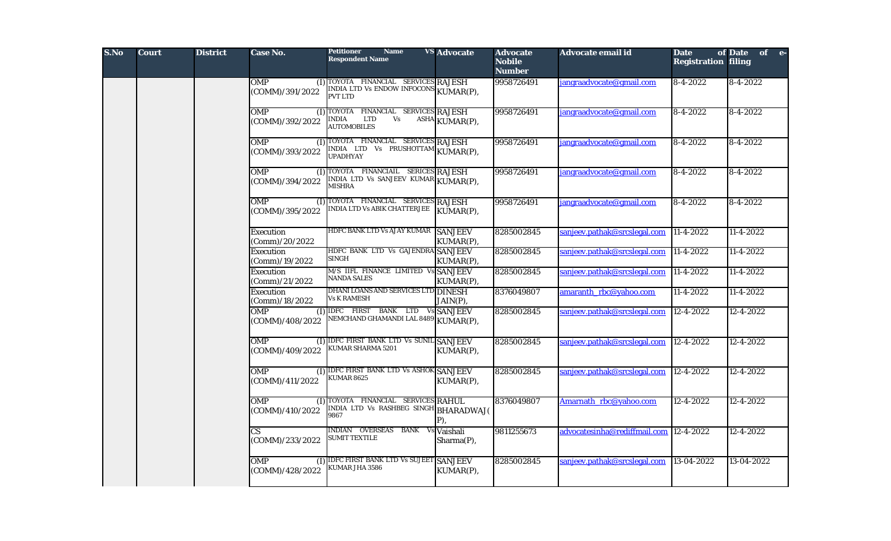| S.No | <b>Court</b> | <b>District</b> | <b>Case No.</b>                           | <b>Petitioner</b><br><b>Name</b><br><b>Respondent Name</b>                                      | <b>VS</b> Advocate          | <b>Advocate</b><br><b>Nobile</b><br><b>Number</b> | Advocate email id            | <b>Date</b><br><b>Registration filing</b> | of Date of e-   |
|------|--------------|-----------------|-------------------------------------------|-------------------------------------------------------------------------------------------------|-----------------------------|---------------------------------------------------|------------------------------|-------------------------------------------|-----------------|
|      |              |                 | <b>OMP</b><br>(COMM)/391/2022             | (I) TOYOTA FINANCIAL SERVICES RAJESH<br>INDIA LTD Vs ENDOW INFOCONS KUMAR(P),<br><b>PVT LTD</b> |                             | 9958726491                                        | jangraadvocate@gmail.com     | $\sqrt{8-4-2022}$                         | $8-4-2022$      |
|      |              |                 | <b>OMP</b><br>(COMM)/392/2022             | (I) TOYOTA FINANCIAL SERVICES RAJESH<br>INDIA<br>LTD<br>Vs<br><b>AUTOMOBILES</b>                | ASHA KUMAR(P),              | 9958726491                                        | jangraadvocate@gmail.com     | $8-4-2022$                                | 8-4-2022        |
|      |              |                 | <b>OMP</b><br>(I)<br>(COMM)/393/2022      | TOYOTA FINANCIAL SERVICES RAJESH<br>INDIA LTD Vs PRUSHOTTAM KUMAR(P),<br><b>UPADHYAY</b>        |                             | 9958726491                                        | jangraadvocate@gmail.com     | $8-4-2022$                                | 8-4-2022        |
|      |              |                 | OMP<br>(1)<br>(COMM)/394/2022             | TOYOTA FINANCIAIL SERICES RAJESH<br>INDIA LTD Vs SANJEEV KUMAR KUMAR(P),<br><b>MISHRA</b>       |                             | 9958726491                                        | jangraadvocate@gmail.com     | $8-4-2022$                                | 8-4-2022        |
|      |              |                 | <b>OMP</b><br>(1)<br>(COMM)/395/2022      | TOYOTA FINANCIAL SERVICES RAJESH<br>INDIA LTD Vs ABIK CHATTERJEE                                | KUMAR(P),                   | 9958726491                                        | jangraadvocate@gmail.com     | $8-4-2022$                                | 8-4-2022        |
|      |              |                 | Execution<br>(Comm)/20/2022               | HDFC BANK LTD Vs AJAY KUMAR                                                                     | <b>SANJEEV</b><br>KUMAR(P), | 8285002845                                        | sanjeev.pathak@srcslegal.com | $\sqrt{11-4-2022}$                        | $11 - 4 - 2022$ |
|      |              |                 | <b>Execution</b><br>(Comm)/19/2022        | HDFC BANK LTD Vs GAJENDRA SANJEEV<br><b>SINGH</b>                                               | KUMAR(P),                   | 8285002845                                        | sanjeev.pathak@srcslegal.com | $11-4-2022$                               | 11-4-2022       |
|      |              |                 | <b>Execution</b><br>(Comm)/21/2022        | M/S IIFL FINANCE LIMITED Vs SANJEEV<br><b>NANDA SALES</b>                                       | KUMAR(P),                   | 8285002845                                        | sanjeev.pathak@srcslegal.com | $11-4-2022$                               | 11-4-2022       |
|      |              |                 | Execution<br>(Comm)/18/2022               | DHANI LOANS AND SERVICES LTD DINESH<br><b>Vs K RAMESH</b>                                       | JAIN(P),                    | 8376049807                                        | amaranth rbc@yahoo.com       | 11-4-2022                                 | $11 - 4 - 2022$ |
|      |              |                 | <b>OMP</b><br>(COMM)/408/2022             | (I) IDFC FIRST BANK LTD Vs SANJEEV<br>NEMCHAND GHAMANDI LAL 8489 KUMAR(P),                      |                             | 8285002845                                        | sanjeev.pathak@srcslegal.com | $12 - 4 - 2022$                           | $12 - 4 - 2022$ |
|      |              |                 | <b>OMP</b><br>(COMM)/409/2022             | (I) IDFC FIRST BANK LTD Vs SUNIL SANJEEV<br>KUMAR SHARMA 5201                                   | KUMAR(P),                   | 8285002845                                        | sanjeev.pathak@srcslegal.com | 12-4-2022                                 | 12-4-2022       |
|      |              |                 | <b>OMP</b><br>(COMM)/411/2022             | (I) IDFC FIRST BANK LTD Vs ASHOK SANJEEV<br><b>KUMAR 8625</b>                                   | KUMAR(P),                   | 8285002845                                        | sanjeev.pathak@srcslegal.com | 12-4-2022                                 | 12-4-2022       |
|      |              |                 | <b>OMP</b><br>(1)<br>(COMM)/410/2022      | TOYOTA FINANCIAL SERVICES RAHUL<br>INDIA LTD Vs RASHBEG SINGH BHARADWAJ(<br>9867                | $P$ ),                      | 8376049807                                        | Amarnath rbc@yahoo.com       | 12-4-2022                                 | 12-4-2022       |
|      |              |                 | $\overline{\text{CS}}$<br>(COMM)/233/2022 | INDIAN OVERSEAS BANK<br>Vs<br><b>SUMIT TEXTILE</b>                                              | Vaishali<br>Sharma(P),      | 9811255673                                        | advocatesinha@rediffmail.com | $12 - 4 - 2022$                           | 12-4-2022       |
|      |              |                 | <b>OMP</b><br>(COMM)/428/2022             | (I) IDFC FIRST BANK LTD Vs SUJEET SANJEEV<br><b>KUMAR JHA 3586</b>                              | KUMAR(P),                   | 8285002845                                        | sanjeev.pathak@srcslegal.com | $13-04-2022$                              | 13-04-2022      |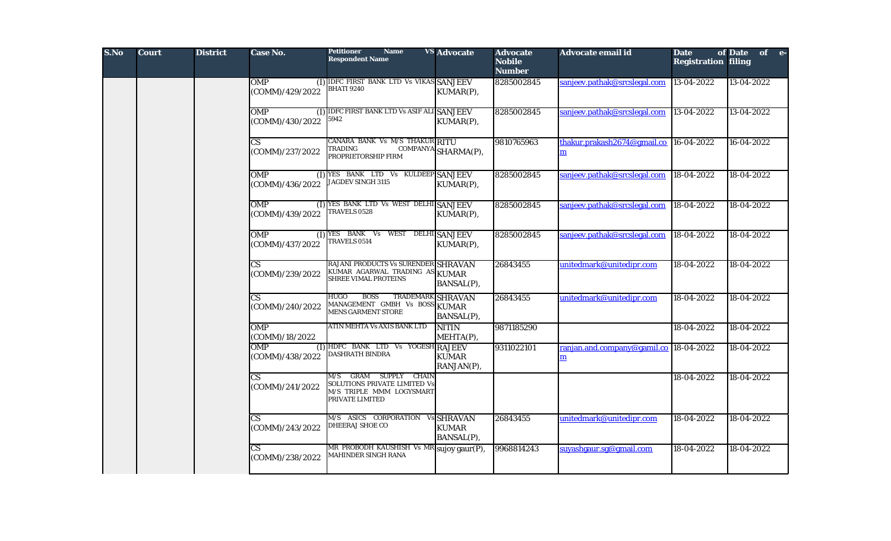| S.No | <b>Court</b> | <b>District</b> | Case No.                                  | <b>Petitioner</b><br><b>Name</b><br><b>Respondent Name</b>                                                           | <b>VS Advocate</b>                | <b>Advocate</b><br><b>Nobile</b><br><b>Number</b> | Advocate email id                           | <b>Date</b><br><b>Registration filing</b> | of Date of e- |
|------|--------------|-----------------|-------------------------------------------|----------------------------------------------------------------------------------------------------------------------|-----------------------------------|---------------------------------------------------|---------------------------------------------|-------------------------------------------|---------------|
|      |              |                 | <b>OMP</b><br>(COMM)/429/2022             | (I) IDFC FIRST BANK LTD Vs VIKAS SANJEEV<br><b>BHATI 9240</b>                                                        | KUMAR(P),                         | 8285002845                                        | sanjeev.pathak@srcslegal.com                | 13-04-2022                                | 13-04-2022    |
|      |              |                 | <b>OMP</b><br>(COMM)/430/2022             | (I) IDFC FIRST BANK LTD Vs ASIF ALI SANJEEV<br>5942                                                                  | KUMAR(P),                         | 8285002845                                        | sanjeev.pathak@srcslegal.com                | 13-04-2022                                | 13-04-2022    |
|      |              |                 | $\overline{\text{CS}}$<br>(COMM)/237/2022 | CANARA BANK Vs M/S THAKUR RITU<br>TRADING<br>PROPRIETORSHIP FIRM                                                     | COMPANYA SHARMA(P),               | 9810765963                                        | thakur.prakash2674@gmail.co<br>m            | 16-04-2022                                | 16-04-2022    |
|      |              |                 | <b>OMP</b><br>(COMM)/436/2022             | (I) YES BANK LTD Vs KULDEEP SANJEEV<br>JAGDEV SINGH 3115                                                             | KUMAR(P),                         | 8285002845                                        | sanjeev.pathak@srcslegal.com                | 18-04-2022                                | 18-04-2022    |
|      |              |                 | <b>OMP</b><br>(COMM)/439/2022             | (I) YES BANK LTD Vs WEST DELHI SANJEEV<br>TRAVELS 0528                                                               | KUMAR(P),                         | 8285002845                                        | sanjeev.pathak@srcslegal.com                | 18-04-2022                                | 18-04-2022    |
|      |              |                 | <b>OMP</b><br>(COMM)/437/2022             | $(I)$ YES BANK Vs<br>WEST<br><b>TRAVELS 0514</b>                                                                     | <b>DELHI SANJEEV</b><br>KUMAR(P), | 8285002845                                        | sanjeev.pathak@srcslegal.com                | 18-04-2022                                | 18-04-2022    |
|      |              |                 | $\mathbf{C}\mathbf{S}$<br>(COMM)/239/2022 | RAJANI PRODUCTS Vs SURENDER SHRAVAN<br>KUMAR AGARWAL TRADING AS<br><b>SHREE VIMAL PROTEINS</b>                       | <b>KUMAR</b><br>BANSAL(P),        | 26843455                                          | unitedmark@unitedipr.com                    | 18-04-2022                                | 18-04-2022    |
|      |              |                 | $\overline{\text{CS}}$<br>(COMM)/240/2022 | <b>BOSS</b><br><b>TRADEMARK SHRAVAN</b><br><b>HUGO</b><br>MANAGEMENT GMBH Vs BOSS KUMAR<br><b>MENS GARMENT STORE</b> | BANSAL(P),                        | 26843455                                          | unitedmark@unitedipr.com                    | 18-04-2022                                | 18-04-2022    |
|      |              |                 | <b>OMP</b><br>(COMM)/18/2022              | ATIN MEHTA Vs AXIS BANK LTD                                                                                          | <b>NITIN</b><br>MEHTA(P),         | 9871185290                                        |                                             | 18-04-2022                                | 18-04-2022    |
|      |              |                 | OMP<br>(COMM)/438/2022                    | (I) HDFC BANK LTD Vs YOGESH RAJEEV<br><b>DASHRATH BINDRA</b>                                                         | <b>KUMAR</b><br>RANJAN(P),        | 9311022101                                        | ranjan.and.company@gamil.co<br>$\mathbf{m}$ | 18-04-2022                                | 18-04-2022    |
|      |              |                 | $\overline{\text{CS}}$<br>(COMM)/241/2022 | <b>GRAM SUPPLY CHAIN</b><br>M/S<br>SOLUTIONS PRIVATE LIMITED Vs<br>M/S TRIPLE MMM LOGYSMART<br>PRIVATE LIMITED       |                                   |                                                   |                                             | 18-04-2022                                | 18-04-2022    |
|      |              |                 | $\overline{\text{CS}}$<br>(COMM)/243/2022 | M/S ASICS CORPORATION Vs SHRAVAN<br>DHEERAJ SHOE CO                                                                  | <b>KUMAR</b><br>BANSAL(P),        | 26843455                                          | unitedmark@unitedipr.com                    | 18-04-2022                                | 18-04-2022    |
|      |              |                 | $\overline{\text{CS}}$<br>(COMM)/238/2022 | MR PROBODH KAUSHISH Vs MR<br>MAHINDER SINGH RANA                                                                     | sujoy gaur(P),                    | 9968814243                                        | suyashgaur.sg@gmail.com                     | 18-04-2022                                | 18-04-2022    |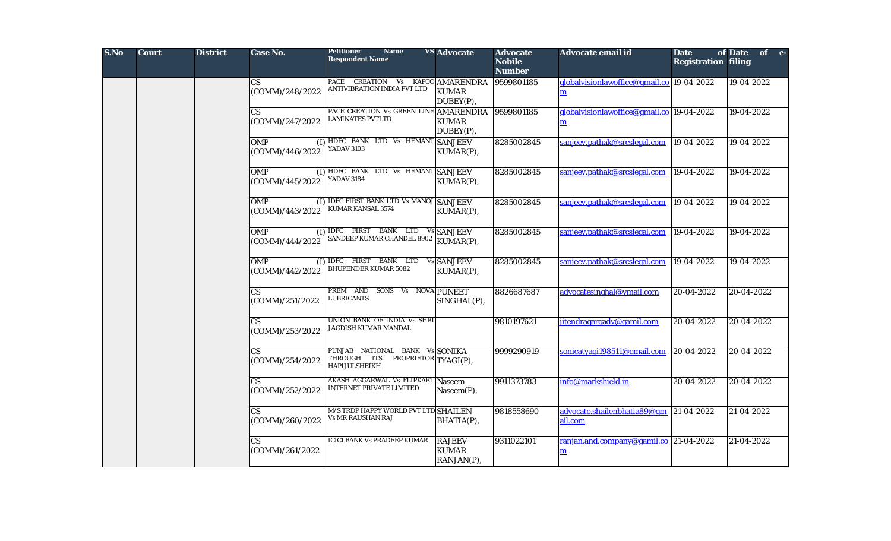| S.No | <b>Court</b> | <b>District</b> | Case No.                                  | <b>Petitioner</b><br><b>Name</b><br><b>Respondent Name</b>                             | <b>VS</b> Advocate                          | <b>Advocate</b><br><b>Nobile</b><br><b>Number</b> | Advocate email id                                                  | <b>Date</b><br><b>Registration filing</b> | of Date of e- |
|------|--------------|-----------------|-------------------------------------------|----------------------------------------------------------------------------------------|---------------------------------------------|---------------------------------------------------|--------------------------------------------------------------------|-------------------------------------------|---------------|
|      |              |                 | $\mathbf{C}\mathbf{S}$<br>(COMM)/248/2022 | PACE CREATION Vs KAPCO AMARENDRA<br>ANTIVIBRATION INDIA PVT LTD                        | <b>KUMAR</b><br>DUBEY(P),                   | 9599801185                                        | globalvisionlawoffice@gmail.co 19-04-2022<br>$\mathbf{m}$          |                                           | 19-04-2022    |
|      |              |                 | CS<br>(COMM)/247/2022                     | PACE CREATION Vs GREEN LINE AMARENDRA<br><b>LAMINATES PVTLTD</b>                       | <b>KUMAR</b><br>DUBEY(P),                   | 9599801185                                        | globalyisionlawoffice@gmail.co 19-04-2022<br>m                     |                                           | 19-04-2022    |
|      |              |                 | <b>OMP</b><br>(COMM)/446/2022             | (I) HDFC BANK LTD Vs HEMANT SANJEEV<br>YADAV 3103                                      | KUMAR(P),                                   | 8285002845                                        | sanjeev.pathak@srcslegal.com                                       | 19-04-2022                                | 19-04-2022    |
|      |              |                 | <b>OMP</b><br>(1)<br>(COMM)/445/2022      | HDFC BANK LTD Vs HEMANT SANJEEV<br><b>YADAV 3184</b>                                   | KUMAR(P),                                   | 8285002845                                        | sanjeev.pathak@srcslegal.com                                       | 19-04-2022                                | 19-04-2022    |
|      |              |                 | <b>OMP</b><br>(COMM)/443/2022             | (I) IDFC FIRST BANK LTD Vs MANOJ SANJEEV<br><b>KUMAR KANSAL 3574</b>                   | KUMAR(P),                                   | 8285002845                                        | sanjeev.pathak@srcslegal.com                                       | $\sqrt{19-04} - 2022$                     | 19-04-2022    |
|      |              |                 | <b>OMP</b><br>(COMM)/444/2022             | (I) IDFC FIRST BANK LTD Vs SANJEEV<br>SANDEEP KUMAR CHANDEL 8902 KUMAR(P),             |                                             | 8285002845                                        | sanjeev.pathak@srcslegal.com                                       | 19-04-2022                                | 19-04-2022    |
|      |              |                 | <b>OMP</b><br>(COMM)/442/2022             | (I) IDFC FIRST BANK LTD Vs SANJEEV<br><b>BHUPENDER KUMAR 5082</b>                      | KUMAR(P),                                   | 8285002845                                        | sanjeev.pathak@srcslegal.com                                       | 19-04-2022                                | 19-04-2022    |
|      |              |                 | <b>CS</b><br>(COMM)/251/2022              | PREM AND SONS Vs NOVA PUNEET<br><b>LUBRICANTS</b>                                      | SINGHAL(P),                                 | 8826687687                                        | advocatesinghal@ymail.com                                          | 20-04-2022                                | 20-04-2022    |
|      |              |                 | $\mathbf{C}\mathbf{S}$<br>(COMM)/253/2022 | UNION BANK OF INDIA Vs SHRI<br>JAGDISH KUMAR MANDAL                                    |                                             | 9810197621                                        | jitendragargadv@gamil.com                                          | 20-04-2022                                | 20-04-2022    |
|      |              |                 | $\mathbf{C}\mathbf{S}$<br>(COMM)/254/2022 | PUNJAB NATIONAL BANK Vs SONIKA<br>THROUGH ITS<br>PROPRIETOR TYAGI(P),<br>HAPIJULSHEIKH |                                             | 9999290919                                        | sonicatyagi198511@gmail.com                                        | 20-04-2022                                | 20-04-2022    |
|      |              |                 | CS.<br>(COMM)/252/2022                    | <b>AKASH AGGARWAL Vs FLIPKART</b><br>INTERNET PRIVATE LIMITED                          | <b>Naseem</b><br>Naseem(P),                 | 9911373783                                        | info@markshield.in                                                 | 20-04-2022                                | 20-04-2022    |
|      |              |                 | <b>CS</b><br>(COMM)/260/2022              | M/S TRDP HAPPY WORLD PVT LTD SHAILEN<br>Vs MR RAUSHAN RAJ                              | BHATIA(P),                                  | 9818558690                                        | advocate.shailenbhatia89@gm 21-04-2022<br>ail.com                  |                                           | 21-04-2022    |
|      |              |                 | $\mathbf{C}\mathbf{S}$<br>(COMM)/261/2022 | ICICI BANK Vs PRADEEP KUMAR                                                            | <b>RAJEEV</b><br><b>KUMAR</b><br>RANJAN(P), | 9311022101                                        | ranjan.and.company@gamil.co 21-04-2022<br>$\underline{\mathbf{m}}$ |                                           | 21-04-2022    |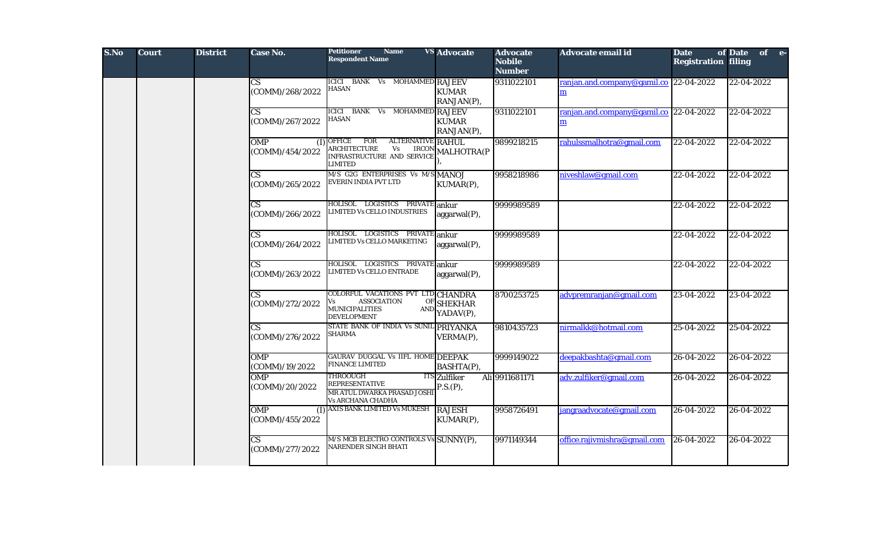| S.No | <b>Court</b> | <b>District</b> | Case No.                                  | <b>Petitioner</b><br><b>Name</b><br><b>Respondent Name</b>                                                                        | <b>VS</b> Advocate              | <b>Advocate</b><br><b>Nobile</b><br><b>Number</b> | Advocate email id                                                        | <b>Date</b><br><b>Registration filing</b> | of Date<br>of e- |
|------|--------------|-----------------|-------------------------------------------|-----------------------------------------------------------------------------------------------------------------------------------|---------------------------------|---------------------------------------------------|--------------------------------------------------------------------------|-------------------------------------------|------------------|
|      |              |                 | $\overline{\text{CS}}$<br>(COMM)/268/2022 | ICICI BANK Vs MOHAMMED RAJEEV<br><b>HASAN</b>                                                                                     | <b>KUMAR</b><br>RANJAN(P),      | 9311022101                                        | ranjan.and.company@gamil.co $\ 22-04-2022\ $<br>$\underline{\mathbf{m}}$ |                                           | 22-04-2022       |
|      |              |                 | $\overline{\text{CS}}$<br>(COMM)/267/2022 | ICICI BANK Vs MOHAMMED RAJEEV<br><b>HASAN</b>                                                                                     | <b>KUMAR</b><br>RANJAN(P),      | 9311022101                                        | ranjan.and.company@gamil.co 22-04-2022<br>m                              |                                           | 22-04-2022       |
|      |              |                 | <b>OMP</b><br>(I)<br>(COMM)/454/2022      | ALTERNATIVE RAHUL<br><b>OFFICE</b><br>FOR<br><b>ARCHITECTURE</b><br>Vs<br>INFRASTRUCTURE AND SERVICE<br>LIMITED                   | IRCON MALHOTRA(P                | 9899218215                                        | rahulssmalhotra@gmail.com                                                | 22-04-2022                                | 22-04-2022       |
|      |              |                 | $\mathbf{C}\mathbf{S}$<br>(COMM)/265/2022 | M/S G2G ENTERPRISES Vs M/S MANOJ<br><b>EVERIN INDIA PVT LTD</b>                                                                   | KUMAR(P),                       | 9958218986                                        | niveshlaw@gmail.com                                                      | 22-04-2022                                | 22-04-2022       |
|      |              |                 | $\mathbf{C}\mathbf{S}$<br>(COMM)/266/2022 | HOLISOL LOGISTICS PRIVATE ankur<br>LIMITED Vs CELLO INDUSTRIES                                                                    | $aggarwal(P)$ ,                 | 9999989589                                        |                                                                          | 22-04-2022                                | 22-04-2022       |
|      |              |                 | $\mathbf{C}\mathbf{S}$<br>(COMM)/264/2022 | HOLISOL LOGISTICS PRIVATE<br>LIMITED Vs CELLO MARKETING                                                                           | ankur<br>aggarwal(P),           | 9999989589                                        |                                                                          | 22-04-2022                                | 22-04-2022       |
|      |              |                 | $\mathbf{C}\mathbf{S}$<br>(COMM)/263/2022 | HOLISOL LOGISTICS PRIVATE<br>LIMITED Vs CELLO ENTRADE                                                                             | ankur<br>$aggarwal(P)$ ,        | 9999989589                                        |                                                                          | 22-04-2022                                | 22-04-2022       |
|      |              |                 | $\mathbf{C}\mathbf{S}$<br>(COMM)/272/2022 | COLORFUL VACATIONS PVT LTD CHANDRA<br><b>ASSOCIATION</b><br>Vs<br>OF<br><b>MUNICIPALITIES</b><br><b>AND</b><br><b>DEVELOPMENT</b> | <b>SHEKHAR</b><br>YADAV(P),     | 8700253725                                        | advpremranjan@gmail.com                                                  | 23-04-2022                                | 23-04-2022       |
|      |              |                 | $\overline{\text{CS}}$<br>(COMM)/276/2022 | STATE BANK OF INDIA Vs SUNIL PRIYANKA<br>SHARMA                                                                                   | VERMA(P),                       | 9810435723                                        | nirmalkk@hotmail.com                                                     | 25-04-2022                                | 25-04-2022       |
|      |              |                 | OMP<br>(COMM)/19/2022                     | GAURAV DUGGAL Vs IIFL HOME DEEPAK<br><b>FINANCE LIMITED</b>                                                                       | BASHTA(P),                      | 9999149022                                        | deepakbashta@gmail.com                                                   | 26-04-2022                                | 26-04-2022       |
|      |              |                 | <b>OMP</b><br>(COMM)/20/2022              | <b>THROOUGH</b><br><b>REPRESENTATIVE</b><br>MR ATUL DWARKA PRASAD JOSHI<br>Vs ARCHANA CHADHA                                      | <b>ITS</b> Zulfiker<br>P.S.(P), | Ali 9911681171                                    | adv.zulfiker@gmail.com                                                   | 26-04-2022                                | 26-04-2022       |
|      |              |                 | <b>OMP</b><br>(1)<br>(COMM)/455/2022      | AXIS BANK LIMITED Vs MUKESH                                                                                                       | <b>RAJESH</b><br>KUMAR(P),      | 9958726491                                        | jangraadvocate@gmail.com                                                 | 26-04-2022                                | 26-04-2022       |
|      |              |                 | $\overline{\text{CS}}$<br>(COMM)/277/2022 | M/S MCB ELECTRO CONTROLS Vs SUNNY(P),<br>NARENDER SINGH BHATI                                                                     |                                 | 9971149344                                        | office.rajivmishra@gmail.com                                             | 26-04-2022                                | 26-04-2022       |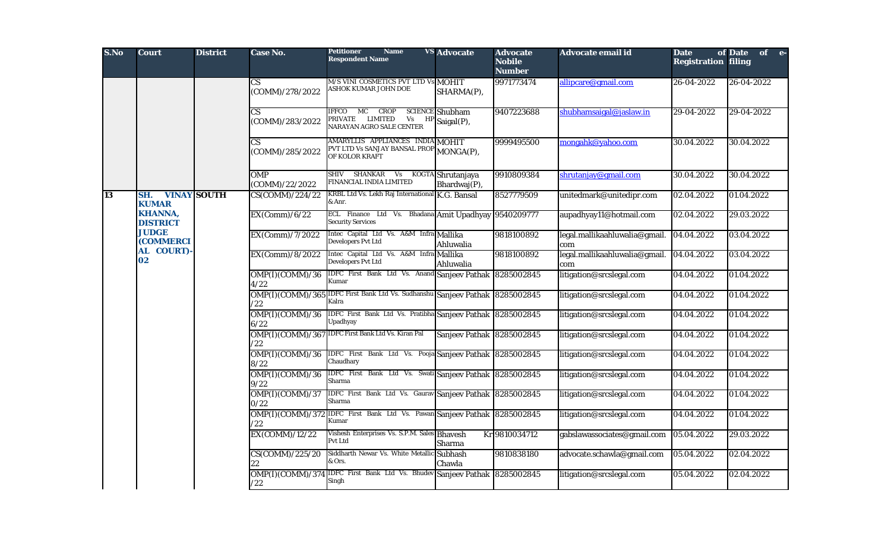| S.No | <b>Court</b>                      | <b>District</b>    | Case No.                | <b>Petitioner</b><br><b>Name</b><br><b>Respondent Name</b>                                                           | <b>VS</b> Advocate                   | <b>Advocate</b><br><b>Nobile</b><br><b>Number</b> | Advocate email id                    | <b>Date</b><br><b>Registration filing</b> | of Date<br>of e- |
|------|-----------------------------------|--------------------|-------------------------|----------------------------------------------------------------------------------------------------------------------|--------------------------------------|---------------------------------------------------|--------------------------------------|-------------------------------------------|------------------|
|      |                                   |                    | CS<br>(COMM)/278/2022   | M/S VINI COSMETICS PVT LTD Vs MOHIT<br>ASHOK KUMAR JOHN DOE                                                          | SHARMA(P),                           | 9971773474                                        | allipcare@gmail.com                  | 26-04-2022                                | 26-04-2022       |
|      |                                   |                    | CS<br>(COMM)/283/2022   | IFFCO<br>MC<br><b>CROP</b><br>PRIVATE LIMITED<br>Vs<br>HP<br>NARAYAN AGRO SALE CENTER                                | <b>SCIENCE</b> Shubham<br>Saigal(P), | 9407223688                                        | shubhamsaigal@jaslaw.in              | 29-04-2022                                | 29-04-2022       |
|      |                                   |                    | СS<br>(COMM)/285/2022   | AMARYLLIS APPLIANCES INDIA MOHIT<br><b>PVT LTD Vs SANJAY BANSAL PROP MONGA(P),</b><br>OF KOLOR KRAFT                 |                                      | 9999495500                                        | mongahk@yahoo.com                    | 30.04.2022                                | 30.04.2022       |
|      |                                   |                    | OMP<br>(COMM)/22/2022   | SHIV SHANKAR Vs KOGTA Shrutanjaya<br>FINANCIAL INDIA LIMITED                                                         | Bhardwaj(P),                         | 9910809384                                        | shrutanjay@gmail.com                 | 30.04.2022                                | 30.04.2022       |
| 13   | SH.<br><b>KUMAR</b>               | <b>VINAY SOUTH</b> | CS(COMM)/224/22         | KRBL Ltd Vs. Lekh Raj International K.G. Bansal<br>& Anr.                                                            |                                      | 8527779509                                        | unitedmark@unitedipr.com             | 02.04.2022                                | 01.04.2022       |
|      | <b>KHANNA,</b><br><b>DISTRICT</b> |                    | EX(Comm)/6/22           | ECL Finance Ltd Vs. Bhadana Amit Upadhyay 9540209777<br><b>Security Services</b>                                     |                                      |                                                   | aupadhyay11@hotmail.com              | 02.04.2022                                | 29.03.2022       |
|      | <b>JUDGE</b><br><b>(COMMERCI</b>  |                    | EX(Comm)/7/2022         | Intec Capital Ltd Vs. A&M Infra Mallika<br><b>Developers Pvt Ltd</b>                                                 | Ahluwalia                            | 9818100892                                        | legal.mallikaahluwalia@gmail.<br>com | 04.04.2022                                | 03.04.2022       |
|      | AL COURT)<br>02                   |                    | EX(Comm)/8/2022         | Intec Capital Ltd Vs. A&M Infra Mallika<br><b>Developers Pvt Ltd</b>                                                 | Ahluwalia                            | 9818100892                                        | legal.mallikaahluwalia@gmail.<br>com | 04.04.2022                                | 03.04.2022       |
|      |                                   |                    | OMP(I)(COMM)/36<br>4/22 | IDFC First Bank Ltd Vs. Anand Sanjeev Pathak<br>Kumar                                                                |                                      | 8285002845                                        | litigation@srcslegal.com             | 04.04.2022                                | 01.04.2022       |
|      |                                   |                    | /22                     | OMP(I)(COMM)/365 IDFC First Bank Ltd Vs. Sudhanshu Sanjeev Pathak 8285002845<br>Kalra                                |                                      |                                                   | litigation@srcslegal.com             | 04.04.2022                                | 01.04.2022       |
|      |                                   |                    | OMP(I)(COMM)/36<br>6/22 | IDFC First Bank Ltd Vs. Pratibha Sanjeev Pathak 8285002845<br>Jpadhyay                                               |                                      |                                                   | litigation@srcslegal.com             | 04.04.2022                                | 01.04.2022       |
|      |                                   |                    | OMP(I)(COMM)/367<br>/22 | <b>IDFC First Bank Ltd Vs. Kiran Pal</b>                                                                             | Sanjeev Pathak 8285002845            |                                                   | litigation@srcslegal.com             | 04.04.2022                                | 01.04.2022       |
|      |                                   |                    | OMP(I)(COMM)/36<br>8/22 | IDFC First Bank Ltd Vs. Pooja Sanjeev Pathak 8285002845<br>Chaudhary                                                 |                                      |                                                   | litigation@srcslegal.com             | 04.04.2022                                | 01.04.2022       |
|      |                                   |                    | OMP(I)(COMM)/36<br>9/22 | IDFC First Bank Ltd Vs. Swati Sanjeev Pathak 8285002845<br>Sharma                                                    |                                      |                                                   | litigation@srcslegal.com             | 04.04.2022                                | 01.04.2022       |
|      |                                   |                    | OMP(I)(COMM)/37<br>0/22 | IDFC First Bank Ltd Vs. Gaurav Sanjeev Pathak 8285002845<br>Sharma                                                   |                                      |                                                   | litigation@srcslegal.com             | 04.04.2022                                | 01.04.2022       |
|      |                                   |                    | 22'                     | OMP(I)(COMM)/372 IDFC First Bank Ltd Vs. Pawan Sanjeev Pathak 8285002845<br>Kumar                                    |                                      |                                                   | litigation@srcslegal.com             | 04.04.2022                                | 01.04.2022       |
|      |                                   |                    | EX(COMM)/12/22          | Vishesh Enterprises Vs. S.P.M. Sales Bhavesh<br>Pvt Ltd                                                              | Sharma                               | Kr 9810034712                                     | gabslawassociates@gmail.com          | 05.04.2022                                | 29.03.2022       |
|      |                                   |                    | CS(COMM)/225/20<br>22   | Siddharth Newar Vs. White Metallic Subhash<br>& Ors.                                                                 | Chawla                               | 9810838180                                        | advocate.schawla@gmail.com           | 05.04.2022                                | 02.04.2022       |
|      |                                   |                    | /22                     | OMP(I)(COMM)/374 IDFC First Bank Ltd Vs. Bhudev Sanjeev Pathak 8285002845<br>$\operatorname{\mathbf{Sing}}\nolimits$ |                                      |                                                   | litigation@srcslegal.com             | 05.04.2022                                | 02.04.2022       |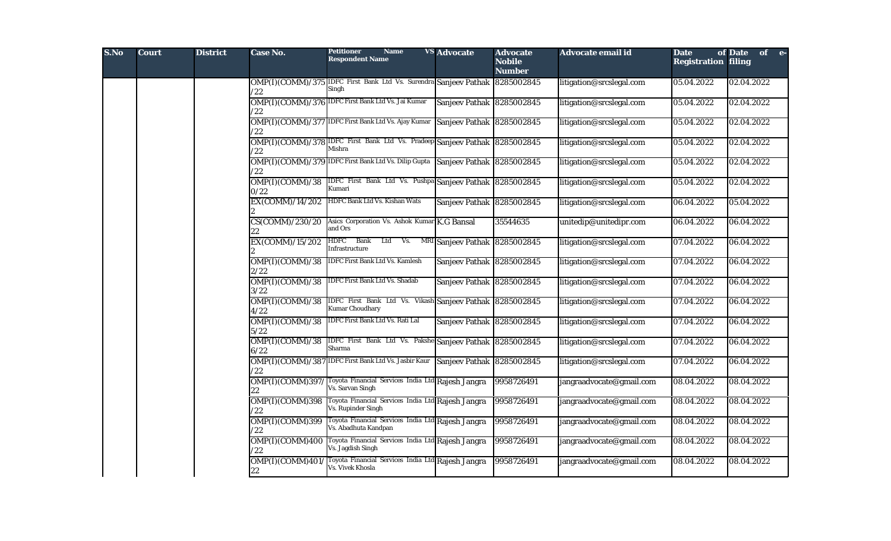| S.No | <b>Court</b> | <b>District</b> | Case No.                   | Petitioner<br><b>Name</b><br><b>Respondent Name</b>                                  | <b>VS Advocate</b>            | <b>Advocate</b><br><b>Nobile</b><br><b>Number</b> | Advocate email id        | <b>Date</b><br><b>Registration filing</b> | of Date of e- |
|------|--------------|-----------------|----------------------------|--------------------------------------------------------------------------------------|-------------------------------|---------------------------------------------------|--------------------------|-------------------------------------------|---------------|
|      |              |                 | $22^{\prime}$              | OMP(I)(COMM)/375 IDFC First Bank Ltd Vs. Surendra Sanjeev Pathak 8285002845<br>Singh |                               |                                                   | litigation@srcslegal.com | 05.04.2022                                | 02.04.2022    |
|      |              |                 | /22                        | OMP(I)(COMM)/376 IDFC First Bank Ltd Vs. Jai Kumar                                   | Sanjeev Pathak 8285002845     |                                                   | litigation@srcslegal.com | 05.04.2022                                | 02.04.2022    |
|      |              |                 | /22                        | OMP(I)(COMM)/377 IDFC First Bank Ltd Vs. Ajay Kumar                                  | Sanjeev Pathak 8285002845     |                                                   | litigation@srcslegal.com | 05.04.2022                                | 02.04.2022    |
|      |              |                 | /22                        | OMP(I)(COMM)/378 IDFC First Bank Ltd Vs. Pradeep Sanjeev Pathak 8285002845<br>Mishra |                               |                                                   | litigation@srcslegal.com | 05.04.2022                                | 02.04.2022    |
|      |              |                 | /22                        | OMP(I)(COMM)/379 IDFC First Bank Ltd Vs. Dilip Gupta                                 | Sanjeev Pathak 8285002845     |                                                   | litigation@srcslegal.com | 05.04.2022                                | 02.04.2022    |
|      |              |                 | OMP(I)(COMM)/38<br>0/22    | IDFC First Bank Ltd Vs. Pushpa Sanjeev Pathak 8285002845<br>Kumari                   |                               |                                                   | litigation@srcslegal.com | 05.04.2022                                | 02.04.2022    |
|      |              |                 | EX(COMM)/14/202            | HDFC Bank Ltd Vs. Kishan Wats                                                        | Sanjeev Pathak 8285002845     |                                                   | litigation@srcslegal.com | 06.04.2022                                | 05.04.2022    |
|      |              |                 | CS(COMM)/230/20            | Asics Corporation Vs. Ashok Kumar K.G Bansal<br>and Ors                              |                               | 35544635                                          | unitedip@unitedipr.com   | 06.04.2022                                | 06.04.2022    |
|      |              |                 | EX(COMM)/15/202            | HDFC Bank<br>Ltd<br>Vs.<br>nfrastructure                                             | MRI Sanjeev Pathak 8285002845 |                                                   | litigation@srcslegal.com | 07.04.2022                                | 06.04.2022    |
|      |              |                 | OMP(I)(COMM)/38<br>2/22    | <b>IDFC First Bank Ltd Vs. Kamlesh</b>                                               | Sanjeev Pathak 8285002845     |                                                   | litigation@srcslegal.com | 07.04.2022                                | 06.04.2022    |
|      |              |                 | OMP(I)(COMM)/38<br>3/22    | DFC First Bank Ltd Vs. Shadab                                                        | Sanjeev Pathak 8285002845     |                                                   | litigation@srcslegal.com | 07.04.2022                                | 06.04.2022    |
|      |              |                 | OMP(I)(COMM)/38<br>4/22    | IDFC First Bank Ltd Vs. Vikash Sanjeev Pathak 8285002845<br><b>Kumar Choudhary</b>   |                               |                                                   | litigation@srcslegal.com | 07.04.2022                                | 06.04.2022    |
|      |              |                 | OMP(I)(COMM)/38<br>5/22    | IDFC First Bank Ltd Vs. Rati Lal                                                     | Sanjeev Pathak 8285002845     |                                                   | litigation@srcslegal.com | 07.04.2022                                | 06.04.2022    |
|      |              |                 | OMP(I)(COMM)/38<br>6/22    | IDFC First Bank Ltd Vs. Pakshe Sanjeev Pathak 8285002845<br>Sharma                   |                               |                                                   | litigation@srcslegal.com | 07.04.2022                                | 06.04.2022    |
|      |              |                 | OMP(I)(COMM)/387<br>/22    | IDFC First Bank Ltd Vs. Jasbir Kaur Sanjeev Pathak 8285002845                        |                               |                                                   | litigation@srcslegal.com | 07.04.2022                                | 06.04.2022    |
|      |              |                 | OMP(I)(COMM)397/<br>22     | Toyota Financial Services India Ltd Rajesh Jangra<br>Vs. Sarvan Singh                |                               | 9958726491                                        | jangraadvocate@gmail.com | 08.04.2022                                | 08.04.2022    |
|      |              |                 | $OMP(I)$ (COMM)398<br>/22  | Toyota Financial Services India Ltd Rajesh Jangra<br>Vs. Rupinder Singh              |                               | 9958726491                                        | jangraadvocate@gmail.com | 08.04.2022                                | 08.04.2022    |
|      |              |                 | OMP(I)(COMM)399<br>/22     | Toyota Financial Services India Ltd Rajesh Jangra<br>Vs. Abadhuta Kandpan            |                               | 9958726491                                        | jangraadvocate@gmail.com | 08.04.2022                                | 08.04.2022    |
|      |              |                 | OMP(I)(COMM)400<br>/22     | Toyota Financial Services India Ltd Rajesh Jangra<br>Vs. Jagdish Singh               |                               | 9958726491                                        | jangraadvocate@gmail.com | 08.04.2022                                | 08.04.2022    |
|      |              |                 | OMP(I)(COMM)401/<br>$22\,$ | Toyota Financial Services India Ltd Rajesh Jangra<br>Vs. Vivek Khosla                |                               | 9958726491                                        | jangraadvocate@gmail.com | 08.04.2022                                | 08.04.2022    |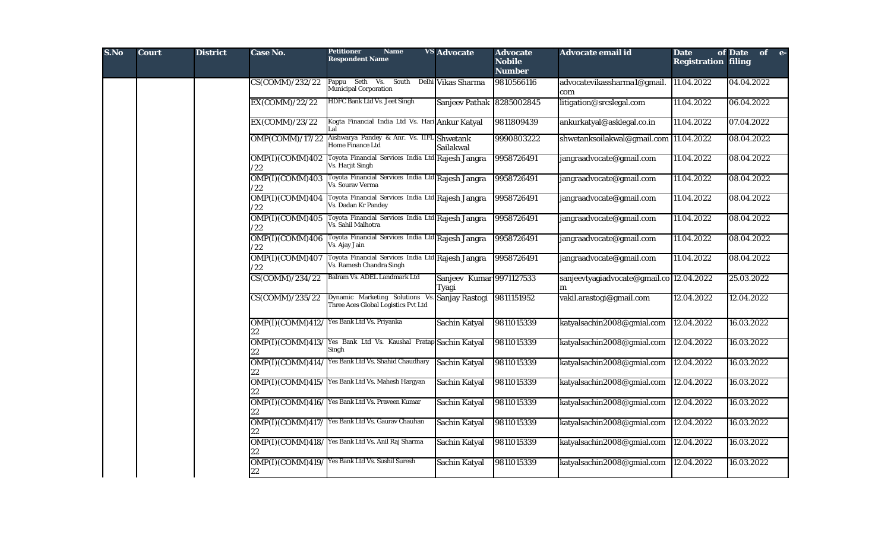| S.No | <b>Court</b> | <b>District</b> | Case No.                            | <b>Petitioner</b><br><b>Name</b><br><b>Respondent Name</b>                    | <b>VS Advocate</b>                | <b>Advocate</b><br><b>Nobile</b><br><b>Number</b> | Advocate email id                             | <b>Date</b><br><b>Registration filing</b> | of Date of e- |  |
|------|--------------|-----------------|-------------------------------------|-------------------------------------------------------------------------------|-----------------------------------|---------------------------------------------------|-----------------------------------------------|-------------------------------------------|---------------|--|
|      |              |                 | CS(COMM)/232/22                     | Pappu Seth Vs. South Delhi Vikas Sharma<br><b>Municipal Corporation</b>       |                                   | 9810566116                                        | advocatevikassharma1@gmail.<br>com            | 11.04.2022                                | 04.04.2022    |  |
|      |              |                 | EX(COMM)/22/22                      | <b>HDFC Bank Ltd Vs. Jeet Singh</b>                                           | Sanjeev Pathak 8285002845         |                                                   | litigation@srcslegal.com                      | 11.04.2022                                | 06.04.2022    |  |
|      |              |                 | EX(COMM)/23/22                      | Kogta Financial India Ltd Vs. Hari Ankur Katyal<br>Lal                        |                                   | 9811809439                                        | ankurkatyal@asklegal.co.in                    | 11.04.2022                                | 07.04.2022    |  |
|      |              |                 | OMP(COMM)/17/22                     | Aishwarya Pandey & Anr. Vs. IIF1<br>Home Finance Ltd                          | Shwetank<br>Sailakwal             | 9990803222                                        | shwetanksoilakwal@gmail.com 11.04.2022        |                                           | 08.04.2022    |  |
|      |              |                 | OMP(I)(COMM)402<br>/22              | Toyota Financial Services India Ltd Rajesh Jangra<br>Vs. Harjit Singh         |                                   | 9958726491                                        | jangraadvocate@gmail.com                      | 11.04.2022                                | 08.04.2022    |  |
|      |              |                 | OMP(I)(COMM)403<br>/22              | Toyota Financial Services India Ltd Rajesh Jangra<br>Vs. Sourav Verma         |                                   | 9958726491                                        | jangraadvocate@gmail.com                      | 11.04.2022                                | 08.04.2022    |  |
|      |              |                 | OMP(I)(COMM)404<br>/22              | Toyota Financial Services India Ltd Rajesh Jangra<br>Vs. Dadan Kr Pandey      |                                   | 9958726491                                        | jangraadvocate@gmail.com                      | 11.04.2022                                | 08.04.2022    |  |
|      |              |                 | OMP(I)(COMM)405<br>122              | Toyota Financial Services India Ltd Rajesh Jangra<br>Vs. Sahil Malhotra       |                                   | 9958726491                                        | jangraadvocate@gmail.com                      | 11.04.2022                                | 08.04.2022    |  |
|      |              |                 | OMP(I)(COMM)406<br>122              | Toyota Financial Services India Ltd Rajesh Jangra<br>Vs. Ajay Jain            |                                   | 9958726491                                        | jangraadvocate@gmail.com                      | 11.04.2022                                | 08.04.2022    |  |
|      |              |                 | OMP(I)(COMM)407<br>/22              | Toyota Financial Services India Ltd Rajesh Jangra<br>Vs. Ramesh Chandra Singh |                                   | 9958726491                                        | jangraadvocate@gmail.com                      | 11.04.2022                                | 08.04.2022    |  |
|      |              |                 | CS(COMM)/234/22                     | Balram Vs. ADEL Landmark Ltd                                                  | Sanjeev Kumar 9971127533<br>Tyagi |                                                   | sanjeevtyagiadvocate@gmail.co 12.04.2022<br>m |                                           | 25.03.2022    |  |
|      |              |                 | $\overline{\text{CS(COMM)}/235/22}$ | Dynamic Marketing Solutions Vs<br>Three Aces Global Logistics Pvt Ltd         | Sanjay Rastogi                    | 9811151952                                        | vakil.arastogi@gmail.com                      | 12.04.2022                                | 12.04.2022    |  |
|      |              |                 | 22                                  | OMP(I) (COMM) 412/ Yes Bank Ltd Vs. Priyanka                                  | Sachin Katyal                     | 9811015339                                        | katyalsachin2008@gmial.com                    | 12.04.2022                                | 16.03.2022    |  |
|      |              |                 | 22                                  | OMP(I)(COMM)413/ Yes Bank Ltd Vs. Kaushal Pratap Sachin Katyal<br>Singh       |                                   | 9811015339                                        | katyalsachin2008@gmial.com                    | 12.04.2022                                | 16.03.2022    |  |
|      |              |                 | 22                                  | OMP(I)(COMM)414/ Yes Bank Ltd Vs. Shahid Chaudhary                            | Sachin Katyal                     | 9811015339                                        | katyalsachin2008@gmial.com                    | 12.04.2022                                | 16.03.2022    |  |
|      |              |                 | 22                                  | OMP(I)(COMM)415/Yes Bank Ltd Vs. Mahesh Hargyan                               | Sachin Katyal                     | 9811015339                                        | katyalsachin2008@gmial.com                    | 12.04.2022                                | 16.03.2022    |  |
|      |              |                 |                                     | OMP(I) (COMM) 416/ Yes Bank Ltd Vs. Praveen Kumar                             | Sachin Katyal                     | 9811015339                                        | katyalsachin2008@gmial.com                    | 12.04.2022                                | 16.03.2022    |  |
|      |              |                 | 22                                  | OMP(I)(COMM)417/ Yes Bank Ltd Vs. Gaurav Chauhan                              | Sachin Katyal                     | 9811015339                                        | katyalsachin2008@gmial.com                    | 12.04.2022                                | 16.03.2022    |  |
|      |              |                 | 22                                  | OMP(I)(COMM)418/ Yes Bank Ltd Vs. Anil Raj Sharma                             | Sachin Katyal                     | 9811015339                                        | katyalsachin2008@gmial.com                    | 12.04.2022                                | 16.03.2022    |  |
|      |              |                 | $22\,$                              | OMP(I)(COMM)419/Yes Bank Ltd Vs. Sushil Suresh                                | Sachin Katyal                     | 9811015339                                        | katyalsachin2008@gmial.com                    | 12.04.2022                                | 16.03.2022    |  |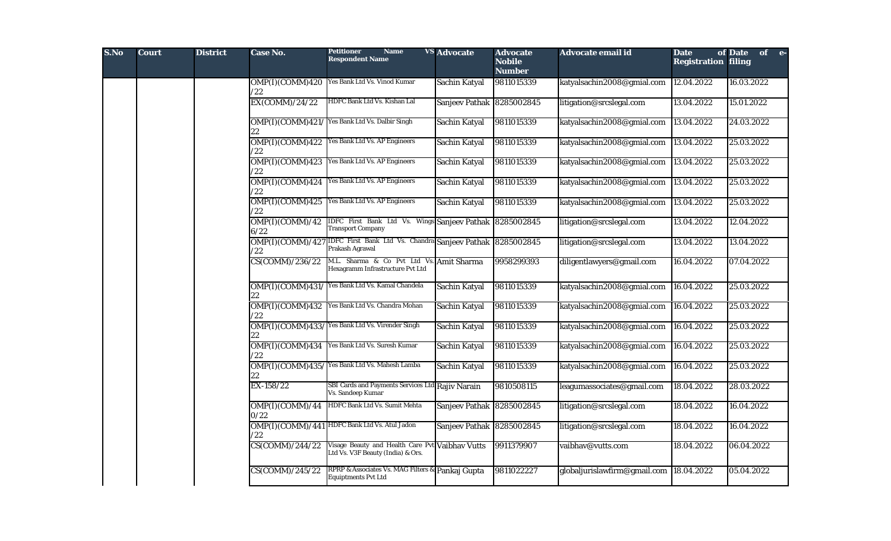| S.No | <b>Court</b> | <b>District</b> | Case No.                         | <b>Petitioner</b><br><b>Name</b><br><b>Respondent Name</b>                                    | <b>VS Advocate</b>        | <b>Advocate</b><br><b>Nobile</b><br><b>Number</b> | <b>Advocate email id</b>     | <b>Date</b><br><b>Registration filing</b> | of Date of e- |  |
|------|--------------|-----------------|----------------------------------|-----------------------------------------------------------------------------------------------|---------------------------|---------------------------------------------------|------------------------------|-------------------------------------------|---------------|--|
|      |              |                 | /22                              | OMP(I)(COMM)420 Yes Bank Ltd Vs. Vinod Kumar                                                  | Sachin Katyal             | 9811015339                                        | katyalsachin2008@gmial.com   | 12.04.2022                                | 16.03.2022    |  |
|      |              |                 | EX(COMM)/24/22                   | HDFC Bank Ltd Vs. Kishan Lal                                                                  | Sanjeev Pathak 8285002845 |                                                   | litigation@srcslegal.com     | 13.04.2022                                | 15.01.2022    |  |
|      |              |                 | OMP(I)(COMM)421/<br>22           | Yes Bank Ltd Vs. Dalbir Singh                                                                 | Sachin Katyal             | 9811015339                                        | katyalsachin2008@gmial.com   | 13.04.2022                                | 24.03.2022    |  |
|      |              |                 | OMP(I)(COMM)422<br>$^{\prime}22$ | Yes Bank Ltd Vs. AP Engineers                                                                 | Sachin Katyal             | 9811015339                                        | katyalsachin2008@gmial.com   | 13.04.2022                                | 25.03.2022    |  |
|      |              |                 | OMP(I)(COMM)423<br>$^{\prime}22$ | Yes Bank Ltd Vs. AP Engineers                                                                 | Sachin Katyal             | 9811015339                                        | katyalsachin2008@gmial.com   | 13.04.2022                                | 25.03.2022    |  |
|      |              |                 | OMP(I)(COMM)424<br>/22           | Yes Bank Ltd Vs. AP Engineers                                                                 | Sachin Katyal             | 9811015339                                        | katyalsachin2008@gmial.com   | 13.04.2022                                | 25.03.2022    |  |
|      |              |                 | OMP(I)(COMM)425<br>/22           | Yes Bank Ltd Vs. AP Engineers                                                                 | Sachin Katyal             | 9811015339                                        | katyalsachin2008@gmial.com   | 13.04.2022                                | 25.03.2022    |  |
|      |              |                 | OMP(I)(COMM)/42<br>6/22          | IDFC First Bank Ltd Vs. Wings Sanjeev Pathak 8285002845<br><b>Transport Company</b>           |                           |                                                   | litigation@srcslegal.com     | 13.04.2022                                | 12.04.2022    |  |
|      |              |                 | /22                              | OMP(I)(COMM)/427 IDFC First Bank Ltd Vs. Chandra Sanjeev Pathak 8285002845<br>Prakash Agrawal |                           |                                                   | litigation@srcslegal.com     | 13.04.2022                                | 13.04.2022    |  |
|      |              |                 | CS(COMM)/236/22                  | M.L. Sharma & Co Pvt Ltd Vs. Amit Sharma<br>Hexagramm Infrastructure Pvt Ltd                  |                           | 9958299393                                        | diligentlawyers@gmail.com    | 16.04.2022                                | 07.04.2022    |  |
|      |              |                 | 22                               | OMP(I) (COMM) 431/ Yes Bank Ltd Vs. Kamal Chandela                                            | Sachin Katyal             | 9811015339                                        | katyalsachin2008@gmial.com   | 16.04.2022                                | 25.03.2022    |  |
|      |              |                 | /22                              | OMP(I) (COMM) 432 Yes Bank Ltd Vs. Chandra Mohan                                              | Sachin Katyal             | 9811015339                                        | katyalsachin2008@gmial.com   | 16.04.2022                                | 25.03.2022    |  |
|      |              |                 | 22                               | OMP(I)(COMM)433/Yes Bank Ltd Vs. Virender Singh                                               | Sachin Katyal             | 9811015339                                        | katyalsachin2008@gmial.com   | 16.04.2022                                | 25.03.2022    |  |
|      |              |                 | /22                              | OMP(I)(COMM)434 Yes Bank Ltd Vs. Suresh Kumar                                                 | Sachin Katyal             | 9811015339                                        | katyalsachin2008@gmial.com   | 16.04.2022                                | 25.03.2022    |  |
|      |              |                 | 22                               | OMP(I)(COMM)435/Yes Bank Ltd Vs. Mahesh Lamba                                                 | Sachin Katyal             | 9811015339                                        | katyalsachin2008@gmial.com   | 16.04.2022                                | 25.03.2022    |  |
|      |              |                 | EX-158/22                        | SBI Cards and Payments Services Ltd Rajiv Narain<br>Vs. Sandeep Kumar                         |                           | 9810508115                                        | leagumassociates@gmail.com   | 18.04.2022                                | 28.03.2022    |  |
|      |              |                 | OMP(I)(COMM)/44<br>0/22          | HDFC Bank Ltd Vs. Sumit Mehta                                                                 | Sanjeev Pathak 8285002845 |                                                   | litigation@srcslegal.com     | 18.04.2022                                | 16.04.2022    |  |
|      |              |                 | $^{\prime}22$                    | OMP(I)(COMM)/441 HDFC Bank Ltd Vs. Atul Jadon                                                 | Sanjeev Pathak 8285002845 |                                                   | litigation@srcslegal.com     | 18.04.2022                                | 16.04.2022    |  |
|      |              |                 | CS(COMM)/244/22                  | Visage Beauty and Health Care Pv<br>Ltd Vs. V3F Beauty (India) & Ors.                         | t Vaibhav Vutts           | 9911379907                                        | vaibhav@vutts.com            | 18.04.2022                                | 06.04.2022    |  |
|      |              |                 | $CS(C\overline{OMM})/245/22$     | RPRP & Associates Vs. MAG Filters & Pankaj Gupta<br><b>Equiptments Pvt Ltd</b>                |                           | 9811022227                                        | globaljurislawfirm@gmail.com | 18.04.2022                                | 05.04.2022    |  |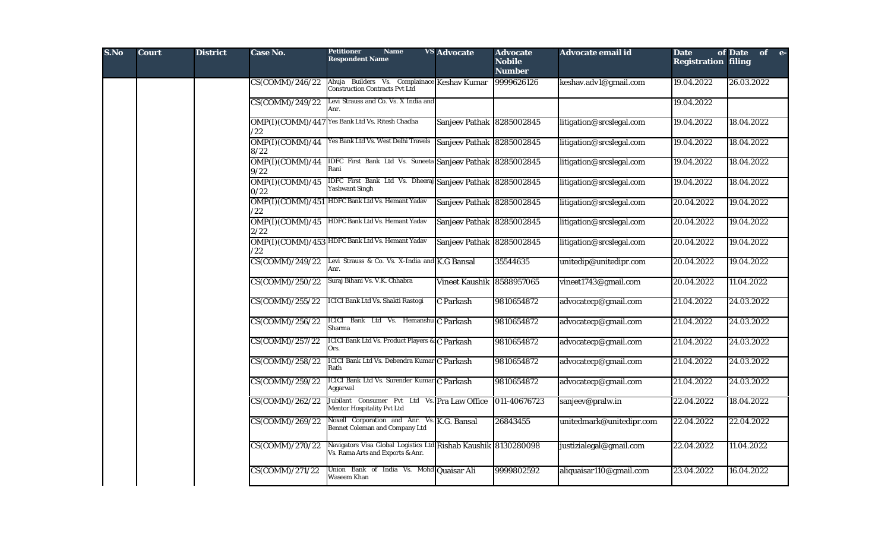| S.No | <b>Court</b> | <b>District</b> | Case No.                | <b>Petitioner</b><br><b>Name</b><br><b>Respondent Name</b>                                         | <b>VS Advocate</b>        | <b>Advocate</b><br><b>Nobile</b><br><b>Number</b> | <b>Advocate email id</b> | <b>Date</b><br><b>Registration filing</b> | of Date of e- |  |
|------|--------------|-----------------|-------------------------|----------------------------------------------------------------------------------------------------|---------------------------|---------------------------------------------------|--------------------------|-------------------------------------------|---------------|--|
|      |              |                 | CS(COMM)/246/22         | Ahuja Builders Vs. Complainace Keshav Kumar<br><b>Construction Contracts Pvt Ltd</b>               |                           | 9999626126                                        | keshav.adv1@gmail.com    | 19.04.2022                                | 26.03.2022    |  |
|      |              |                 | CS(COMM)/249/22         | Levi Strauss and Co. Vs. X India and<br>Anr.                                                       |                           |                                                   |                          | 19.04.2022                                |               |  |
|      |              |                 | /22                     | OMP(I)(COMM)/447 Yes Bank Ltd Vs. Ritesh Chadha                                                    | Sanjeev Pathak 8285002845 |                                                   | litigation@srcslegal.com | 19.04.2022                                | 18.04.2022    |  |
|      |              |                 | OMP(I)(COMM)/44<br>8/22 | Yes Bank Ltd Vs. West Delhi Travels                                                                | Sanjeev Pathak 8285002845 |                                                   | litigation@srcslegal.com | 19.04.2022                                | 18.04.2022    |  |
|      |              |                 | OMP(I)(COMM)/44<br>9/22 | IDFC First Bank Ltd Vs. Suneeta Sanjeev Pathak 8285002845<br>Rani                                  |                           |                                                   | litigation@srcslegal.com | 19.04.2022                                | 18.04.2022    |  |
|      |              |                 | OMP(I)(COMM)/45<br>0/22 | IDFC First Bank Ltd Vs. Dheeraj Sanjeev Pathak 8285002845<br><b>Yashwant Singh</b>                 |                           |                                                   | litigation@srcslegal.com | 19.04.2022                                | 18.04.2022    |  |
|      |              |                 | /22                     | OMP(I)(COMM)/451 HDFC Bank Ltd Vs. Hemant Yadav                                                    | Sanjeev Pathak 8285002845 |                                                   | litigation@srcslegal.com | 20.04.2022                                | 19.04.2022    |  |
|      |              |                 | OMP(I)(COMM)/45<br>2/22 | HDFC Bank Ltd Vs. Hemant Yadav                                                                     | Sanjeev Pathak 8285002845 |                                                   | litigation@srcslegal.com | 20.04.2022                                | 19.04.2022    |  |
|      |              |                 | /22                     | OMP(I)(COMM)/453 HDFC Bank Ltd Vs. Hemant Yadav                                                    | Sanjeev Pathak 8285002845 |                                                   | litigation@srcslegal.com | 20.04.2022                                | 19.04.2022    |  |
|      |              |                 | CS(COMM)/249/22         | Levi Strauss & Co. Vs. X-India and K.G Bansal<br>Anr.                                              |                           | 35544635                                          | unitedip@unitedipr.com   | 20.04.2022                                | 19.04.2022    |  |
|      |              |                 | CS(COMM)/250/22         | Suraj Bihani Vs. V.K. Chhabra                                                                      | Vineet Kaushik 8588957065 |                                                   | vineet1743@gmail.com     | 20.04.2022                                | 11.04.2022    |  |
|      |              |                 | CS(COMM)/255/22         | <b>ICICI Bank Ltd Vs. Shakti Rastogi</b>                                                           | C Parkash                 | 9810654872                                        | advocatecp@gmail.com     | 21.04.2022                                | 24.03.2022    |  |
|      |              |                 | CS(COMM)/256/22         | ICICI Bank Ltd Vs. Hemanshu C Parkash<br>Sharma                                                    |                           | 9810654872                                        | advocatecp@gmail.com     | 21.04.2022                                | 24.03.2022    |  |
|      |              |                 | CS(COMM)/257/22         | <b>ICICI Bank Ltd Vs. Product Players &amp; C Parkash</b><br>Ors.                                  |                           | 9810654872                                        | advocatecp@gmail.com     | 21.04.2022                                | 24.03.2022    |  |
|      |              |                 | CS(COMM)/258/22         | ICICI Bank Ltd Vs. Debendra Kumar C Parkash<br>Rath                                                |                           | 9810654872                                        | advocatecp@gmail.com     | 21.04.2022                                | 24.03.2022    |  |
|      |              |                 | CS(COMM)/259/22         | ICICI Bank Ltd Vs. Surender Kumar C Parkash<br>Aggarwal                                            |                           | 9810654872                                        | advocatecp@gmail.com     | 21.04.2022                                | 24.03.2022    |  |
|      |              |                 | CS(COMM)/262/22         | Jubilant Consumer Pvt Ltd Vs. Pra Law Office<br>Mentor Hospitality Pvt Ltd                         |                           | 011-40676723                                      | sanjeev@pralw.in         | 22.04.2022                                | 18.04.2022    |  |
|      |              |                 | CS(COMM)/269/22         | Noxell Corporation and Anr. Vs. K.G. Bansal<br><b>Bennet Coleman and Company Ltd</b>               |                           | 26843455                                          | unitedmark@unitedipr.com | 22.04.2022                                | 22.04.2022    |  |
|      |              |                 | CS(COMM)/270/22         | Navigators Visa Global Logistics Ltd Rishab Kaushik 8130280098<br>Vs. Rama Arts and Exports & Anr. |                           |                                                   | justizialegal@gmail.com  | 22.04.2022                                | 11.04.2022    |  |
|      |              |                 | CS(COMM)/271/22         | Union Bank of India Vs. Mohd Quaisar Ali<br><b>Waseem Khan</b>                                     |                           | 9999802592                                        | aliquaisar110@gmail.com  | 23.04.2022                                | 16.04.2022    |  |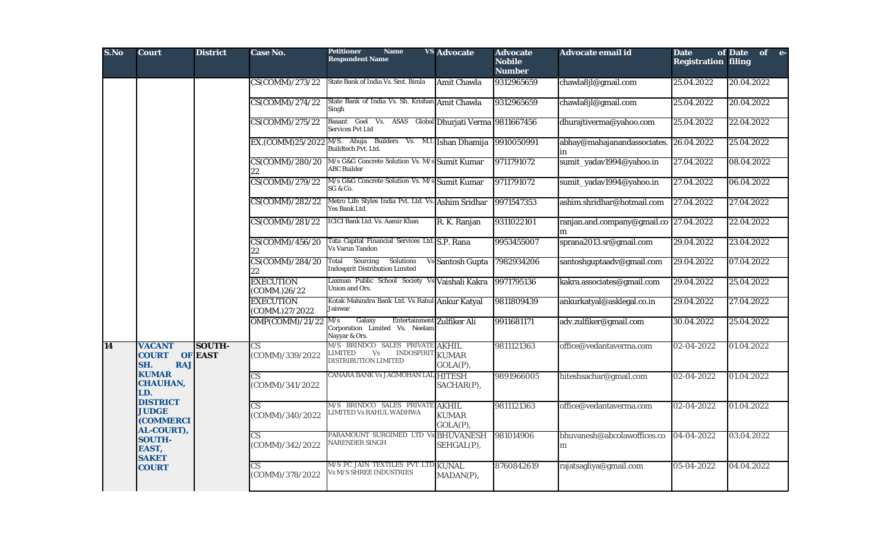| S.No | <b>Court</b>                                                      | <b>District</b>                 | <b>Case No.</b>                           | <b>Petitioner</b><br><b>Name</b><br><b>Respondent Name</b>                                                      | <b>VS</b> Advocate             | <b>Advocate</b><br><b>Nobile</b><br><b>Number</b> | Advocate email id                           | <b>Date</b><br><b>Registration filing</b> | of Date<br>of e- |
|------|-------------------------------------------------------------------|---------------------------------|-------------------------------------------|-----------------------------------------------------------------------------------------------------------------|--------------------------------|---------------------------------------------------|---------------------------------------------|-------------------------------------------|------------------|
|      |                                                                   |                                 | CS(COMM)/273/22                           | State Bank of India Vs. Smt. Bimla                                                                              | <b>Amit Chawla</b>             | 9312965659                                        | chawla8jl@gmail.com                         | 25.04.2022                                | 20.04.2022       |
|      |                                                                   |                                 | CS(COMM)/274/22                           | State Bank of India Vs. Sh. Krishan Amit Chawla<br>Singh                                                        |                                | 9312965659                                        | chawla8jl@gmail.com                         | 25.04.2022                                | 20.04.2022       |
|      |                                                                   |                                 | CS(COMM)/275/22                           | Basant<br>Goel Vs. ASAS Global Dhurjati Verma 9811667456<br><b>Services Pvt Ltd</b>                             |                                |                                                   | dhurajtiverma@yahoo.com                     | 25.04.2022                                | 22.04.2022       |
|      |                                                                   |                                 |                                           | EX.(COMM)25/2022 M/S. Ahuja Builders Vs. M.I. Ishan Dhamija<br>Buildtech Pvt. Ltd.                              |                                | 9910050991                                        | abhay@mahajanandassociates.<br>in           | 26.04.2022                                | 25.04.2022       |
|      |                                                                   |                                 | CS(COMM)/280/20                           | M/s G&G Concrete Solution Vs. M/s Sumit Kumar<br><b>ABC</b> Builder                                             |                                | 9711791072                                        | sumit_yadav1994@yahoo.in                    | 27.04.2022                                | 08.04.2022       |
|      |                                                                   |                                 | CS(COMM)/279/22                           | M/s G&G Concrete Solution Vs. M/s Sumit Kumar<br>SG & Co.                                                       |                                | 9711791072                                        | sumit_yadav1994@yahoo.in                    | 27.04.2022                                | 06.04.2022       |
|      |                                                                   |                                 | CS(COMM)/282/22                           | Metro Life Styles India Pvt. Ltd. Vs. Ashim Sridhar<br>Yes Bank Ltd.                                            |                                | 9971547353                                        | ashim.shridhar@hotmail.com                  | 27.04.2022                                | 27.04.2022       |
|      |                                                                   |                                 | CS(COMM)/281/22                           | <b>ICICI Bank Ltd. Vs. Aamir Khan</b>                                                                           | R. K. Ranjan                   | 9311022101                                        | ranjan.and.company@gmail.co 27.04.2022<br>m |                                           | 22.04.2022       |
|      |                                                                   |                                 | CS(COMM)/456/20<br>22                     | Tata Capital Financial Services Ltd. S.P. Rana<br><b>Vs Varun Tandon</b>                                        |                                | 9953455007                                        | sprana2013.sr@gmail.com                     | 29.04.2022                                | 23.04.2022       |
|      |                                                                   |                                 | CS(COMM)/284/20                           | Total Sourcing<br>Solutions<br><b>Indospirit Distribution Limited</b>                                           | Vs Santosh Gupta               | 7982934206                                        | santoshguptaadv@gmail.com                   | 29.04.2022                                | 07.04.2022       |
|      |                                                                   |                                 | <b>EXECUTION</b><br>(COMM.)26/22          | Laxman Public School Society Vs Vaishali Kakra<br>Union and Ors.                                                |                                | 9971795136                                        | kakra.associates@gmail.com                  | 29.04.2022                                | 25.04.2022       |
|      |                                                                   |                                 | <b>EXECUTION</b><br>(COMM.)27/2022        | Kotak Mahindra Bank Ltd. Vs Rahul Ankur Katyal<br>Jaiswar                                                       |                                | 9811809439                                        | ankurkatyal@asklegal.co.in                  | 29.04.2022                                | 27.04.2022       |
|      |                                                                   |                                 | OMP(COMM)/21/22                           | Galaxy<br>Entertainment Zulfiker Ali<br>M/s<br>Corporation Limited Vs. Neelam<br>Nayyar & Ors.                  |                                | 9911681171                                        | adv.zulfiker@gmail.com                      | 30.04.2022                                | 25.04.2022       |
| 14   | <b>VACANT</b><br><b>COURT</b><br>SH.<br><b>RAJ</b>                | <b>SOUTH-</b><br><b>OF EAST</b> | $\overline{\text{CS}}$<br>(COMM)/339/2022 | M/S BRINDCO SALES PRIVATE AKHIL<br>$\mathrm{Vs}$<br><b>INDOSPIRIT</b><br>LIMITED<br><b>DISTRIBUTION LIMITED</b> | <b>KUMAR</b><br>GOLA(P),       | 9811121363                                        | office@vedantaverma.com                     | 02-04-2022                                | 01.04.2022       |
|      | <b>KUMAR</b><br><b>CHAUHAN,</b><br>LD.                            |                                 | $\overline{\text{CS}}$<br>(COMM)/341/2022 | CANARA BANK Vs JAGMOHAN LAL                                                                                     | <b>HITESH</b><br>SACHAR(P),    | 9891966005                                        | hiteshsachar@gmail.com                      | 02-04-2022                                | 01.04.2022       |
|      | <b>DISTRICT</b><br><b>JUDGE</b><br><b>(COMMERCI</b><br>AL-COURT), |                                 | $\overline{\text{CS}}$<br>(COMM)/340/2022 | M/S BRINDCO SALES PRIVATE AKHIL<br>LIMITED Vs RAHUL WADHWA                                                      | <b>KUMAR</b><br>GOLA(P),       | 9811121363                                        | office@vedantaverma.com                     | 02-04-2022                                | 01.04.2022       |
|      | <b>SOUTH-</b><br>EAST,<br><b>SAKET</b>                            |                                 | CS.<br>(COMM)/342/2022                    | PARAMOUNT SURGIMED LTD Vs<br>NARENDER SINGH                                                                     | <b>BHUVANESH</b><br>SEHGAL(P), | 981014906                                         | bhuvanesh@abcolawoffices.co<br>m            | 04-04-2022                                | 03.04.2022       |
|      | <b>COURT</b>                                                      |                                 | $\overline{\text{CS}}$<br>(COMM)/378/2022 | M/S PC JAIN TEXTILES PVT LTD KUNAL<br>Vs M/S SHREE INDUSTRIES                                                   | MADAN(P),                      | 8760842619                                        | rajatsagliya@gmail.com                      | 05-04-2022                                | 04.04.2022       |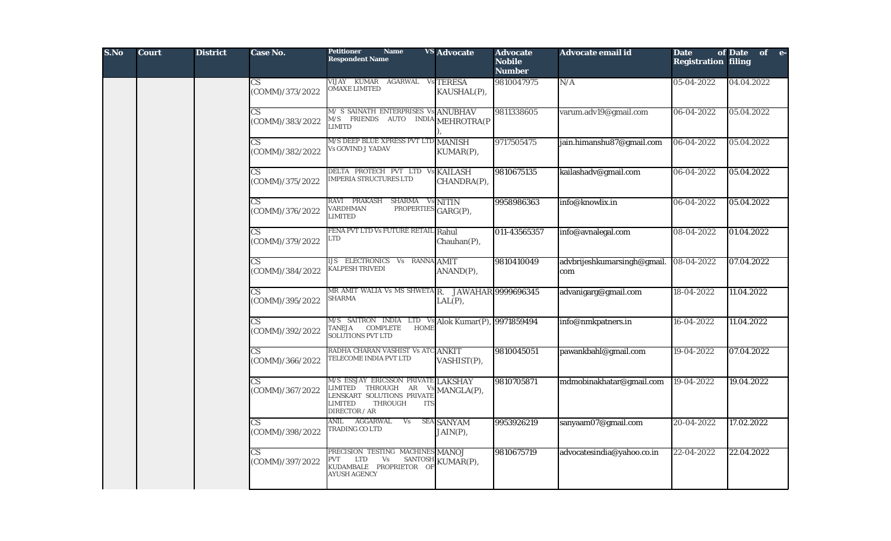| S.No | <b>Court</b> | <b>District</b> | Case No.                                  | <b>Petitioner</b><br><b>Name</b><br><b>Respondent Name</b>                                                                                                | <b>VS</b> Advocate            | <b>Advocate</b><br><b>Nobile</b><br><b>Number</b> | Advocate email id                  | <b>Date</b><br><b>Registration filing</b> | of Date of e- |  |
|------|--------------|-----------------|-------------------------------------------|-----------------------------------------------------------------------------------------------------------------------------------------------------------|-------------------------------|---------------------------------------------------|------------------------------------|-------------------------------------------|---------------|--|
|      |              |                 | CS<br>(COMM)/373/2022                     | VIJAY KUMAR AGARWAL VS TERESA<br><b>OMAXE LIMITED</b>                                                                                                     | KAUSHAL(P),                   | 9810047975                                        | N/A                                | 05-04-2022                                | 04.04.2022    |  |
|      |              |                 | $\overline{\text{CS}}$<br>(COMM)/383/2022 | M/ S SAINATH ENTERPRISES Vs ANUBHAV<br>M/S FRIENDS AUTO INDIA MEHROTRA(P<br><b>LIMITD</b>                                                                 |                               | 9811338605                                        | varum.adv19@gmail.com              | 06-04-2022                                | 05.04.2022    |  |
|      |              |                 | $\overline{\text{CS}}$<br>(COMM)/382/2022 | M/S DEEP BLUE XPRESS PVT LTD MANISH<br>Vs GOVIND J YADAV                                                                                                  | KUMAR(P),                     | 9717505475                                        | jain.himanshu87@gmail.com          | 06-04-2022                                | 05.04.2022    |  |
|      |              |                 | CS.<br>(COMM)/375/2022                    | DELTA PROTECH PVT LTD Vs KAILASH<br><b>IMPERIA STRUCTURES LTD</b>                                                                                         | CHANDRA(P),                   | 9810675135                                        | kailashadv@gmail.com               | 06-04-2022                                | 05.04.2022    |  |
|      |              |                 | $\overline{\text{CS}}$<br>(COMM)/376/2022 | RAVI PRAKASH SHARMA<br><b>VARDHMAN</b><br>PROPERTIES GARG(P),<br><b>LIMITED</b>                                                                           | Vs NITIN                      | 9958986363                                        | info@knowlix.in                    | 06-04-2022                                | 05.04.2022    |  |
|      |              |                 | $\overline{\text{CS}}$<br>(COMM)/379/2022 | FENA PVT LTD Vs FUTURE RETAIL Rahul<br>LTD                                                                                                                | Chauhan(P),                   | 011-43565357                                      | info@avnalegal.com                 | 08-04-2022                                | 01.04.2022    |  |
|      |              |                 | $\overline{\text{CS}}$<br>(COMM)/384/2022 | <b>IJS ELECTRONICS Vs RANNA AMIT</b><br><b>KALPESH TRIVEDI</b>                                                                                            | ANAND(P),                     | 9810410049                                        | advbrijeshkumarsingh@gmail.<br>com | 08-04-2022                                | 07.04.2022    |  |
|      |              |                 | <b>CS</b><br>(COMM)/395/2022              | MR AMIT WALIA Vs MS SHWETA R. JAWAHAR 9999696345<br><b>SHARMA</b>                                                                                         | $LAL(P)$ ,                    |                                                   | advanigarg@gmail.com               | 18-04-2022                                | 11.04.2022    |  |
|      |              |                 | $\overline{\text{CS}}$<br>(COMM)/392/2022 | M/S SAITRON INDIA LTD Vs Alok Kumar(P), 9971859494<br><b>COMPLETE</b><br><b>HOME</b><br>TANEJA<br><b>SOLUTIONS PVT LTD</b>                                |                               |                                                   | info@nmkpatners.in                 | 16-04-2022                                | 11.04.2022    |  |
|      |              |                 | CS <sup>-</sup><br>(COMM)/366/2022        | RADHA CHARAN VASHIST Vs ATC ANKIT<br>TELECOME INDIA PVT LTD                                                                                               | VASHIST(P),                   | 9810045051                                        | pawankbahl@gmail.com               | 19-04-2022                                | 07.04.2022    |  |
|      |              |                 | $\overline{\text{CS}}$<br>(COMM)/367/2022 | M/S ESSJAY ERICSSON PRIVATE LAKSHAY<br>IMITED THROUGH AR<br><b>LENSKART SOLUTIONS PRIVATE</b><br><b>LIMITED</b><br>THROUGH<br><b>ITS</b><br>DIRECTOR / AR | $\frac{Vs}{T}$ MANGLA(P),     | 9810705871                                        | mdmobinakhatar@gmail.com           | 19-04-2022                                | 19.04.2022    |  |
|      |              |                 | CS <sup>-</sup><br>(COMM)/398/2022        | ANIL<br>AGGARWAL<br>Vs<br>TRADING CO LTD                                                                                                                  | <b>SEA SANYAM</b><br>JAIN(P), | 9953926219                                        | sanyaam07@gmail.com                | 20-04-2022                                | 17.02.2022    |  |
|      |              |                 | $\overline{\text{CS}}$<br>(COMM)/397/2022 | PRECISION TESTING MACHINES MANOJ<br>PVT LTD Vs SANTOSH KUMAR(P),<br><b>AYUSH AGENCY</b>                                                                   |                               | 9810675719                                        | advocatesindia@yahoo.co.in         | 22-04-2022                                | 22.04.2022    |  |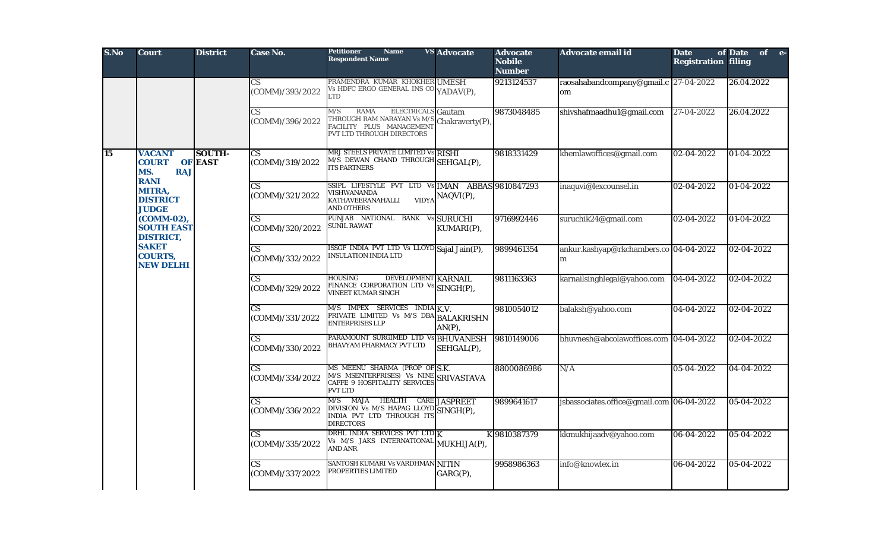| S.No | <b>Court</b>                                                      | <b>District</b>                 | Case No.                                      | <b>Petitioner</b><br><b>Name</b><br><b>Respondent Name</b>                                                                             | <b>VS</b> Advocate   | <b>Advocate</b><br><b>Nobile</b><br><b>Number</b> | Advocate email id                           | <b>Date</b><br><b>Registration filing</b> | of Date of e- |  |
|------|-------------------------------------------------------------------|---------------------------------|-----------------------------------------------|----------------------------------------------------------------------------------------------------------------------------------------|----------------------|---------------------------------------------------|---------------------------------------------|-------------------------------------------|---------------|--|
|      |                                                                   |                                 | $\mathop{\rm CS}\nolimits$<br>(COMM)/393/2022 | PRAMENDRA KUMAR KHOKHER UMESH<br>Vs HDFC ERGO GENERAL INS CO YADAV(P),<br><b>LTD</b>                                                   |                      | 9213124537                                        | raosahabandcompany@gmail.c 27-04-2022<br>om |                                           | 26.04.2022    |  |
|      |                                                                   |                                 | $\overline{\text{CS}}$<br>(COMM)/396/2022     | <b>RAMA</b><br>M/S<br><b>ELECTRICALS</b> Gautam<br>THROUGH RAM NARAYAN Vs M/S<br>FACILITY PLUS MANAGEMENT<br>PVT LTD THROUGH DIRECTORS | Chakraverty(P),      | 9873048485                                        | shivshafmaadhu1@gmail.com                   | 27-04-2022                                | 26.04.2022    |  |
| 15   | <b>VACANT</b><br><b>COURT</b><br>MS.<br><b>RAJ</b><br><b>RANI</b> | <b>SOUTH-</b><br><b>OF EAST</b> | $\overline{\text{CS}}$<br>(COMM)/319/2022     | MRJ STEELS PRIVATE LIMITED Vs RISHI<br>M/S DEWAN CHAND THROUGH SEHGAL(P),<br><b>ITS PARTNERS</b>                                       |                      | 9818331429                                        | khemlawoffices@gmail.com                    | 02-04-2022                                | 01-04-2022    |  |
|      | MITRA,<br><b>DISTRICT</b><br><b>JUDGE</b>                         |                                 | $\overline{\text{CS}}$<br>(COMM)/321/2022     | SSIPL LIFESTYLE PVT LTD Vs IMAN ABBAS 9810847293<br>VISHWANANDA<br><b>VIDYA</b><br>KATHAVEERANAHALLI<br>AND OTHERS                     | NAQVI(P),            |                                                   | inaquvi@lexcounsel.in                       | 02-04-2022                                | 01-04-2022    |  |
|      | (COMM-02),<br><b>SOUTH EAST</b><br><b>DISTRICT,</b>               |                                 | $\overline{\text{CS}}$<br>(COMM)/320/2022     | PUNJAB NATIONAL BANK Vs SURUCHI<br>SUNIL RAWAT                                                                                         | KUMARI(P),           | 9716992446                                        | suruchik24@gmail.com                        | 02-04-2022                                | 01-04-2022    |  |
|      | <b>SAKET</b><br><b>COURTS,</b><br><b>NEW DELHI</b>                |                                 | $\overline{\text{CS}}$<br>(COMM)/332/2022     | ISSGF INDIA PVT LTD Vs LLOYD Sajal Jain(P),<br>INSULATION INDIA LTD                                                                    |                      | 9899461354                                        | ankur.kashyap@rkchambers.co 04-04-2022<br>m |                                           | 02-04-2022    |  |
|      |                                                                   |                                 | CS<br>(COMM)/329/2022                         | <b>HOUSING</b><br>DEVELOPMENT KARNAIL<br>FINANCE CORPORATION LTD Vs SINGH(P),<br>VINEET KUMAR SINGH                                    |                      | 9811163363                                        | karnailsinghlegal@yahoo.com                 | 04-04-2022                                | 02-04-2022    |  |
|      |                                                                   |                                 | $\mathbf{C}\mathbf{S}$<br>(COMM)/331/2022     | $M/S$ IMPEX SERVICES INDIA $\overline{K}$ .V.<br>PRIVATE LIMITED Vs M/S DBA BALAKRISHN<br><b>ENTERPRISES LLP</b>                       | $AN(P)$ ,            | 9810054012                                        | balaksh@yahoo.com                           | 04-04-2022                                | 02-04-2022    |  |
|      |                                                                   |                                 | CS.<br>(COMM)/330/2022                        | PARAMOUNT SURGIMED LTD Vs BHUVANESH<br>BHAVYAM PHARMACY PVT LTD                                                                        | SEHGAL(P),           | 9810149006                                        | bhuvnesh@abcolawoffices.com 04-04-2022      |                                           | 02-04-2022    |  |
|      |                                                                   |                                 | $\mathbf{C}\mathbf{S}$<br>(COMM)/334/2022     | MS MEENU SHARMA (PROP OF S.K.<br>M/S MSENTERPRISES) Vs NINE SRIVASTAVA<br><b>CAFFE 9 HOSPITALITY SERVICES</b><br>PVT LTD               |                      | 8800086986                                        | N/A                                         | 05-04-2022                                | 04-04-2022    |  |
|      |                                                                   |                                 | CS<br>(COMM)/336/2022                         | MAJA HEALTH<br>M/S<br>DIVISION Vs M/S HAPAG LLOYD SINGH(P),<br>INDIA PVT LTD THROUGH ITS<br><b>DIRECTORS</b>                           | <b>CARE JASPREET</b> | 9899641617                                        | jsbassociates.office@gmail.com 06-04-2022   |                                           | 05-04-2022    |  |
|      |                                                                   |                                 | CS.<br>(COMM)/335/2022                        | DRHL INDIA SERVICES PVT LTD K<br>Vs M/S JAKS INTERNATIONAL MUKHIJA(P),<br>AND ANR                                                      |                      | K 9810387379                                      | kkmukhijaadv@yahoo.com                      | 06-04-2022                                | 05-04-2022    |  |
|      |                                                                   |                                 | $\overline{\text{CS}}$<br>(COMM)/337/2022     | SANTOSH KUMARI Vs VARDHMAN NITIN<br>PROPERTIES LIMITED                                                                                 | GARG(P),             | 9958986363                                        | info@knowlex.in                             | 06-04-2022                                | 05-04-2022    |  |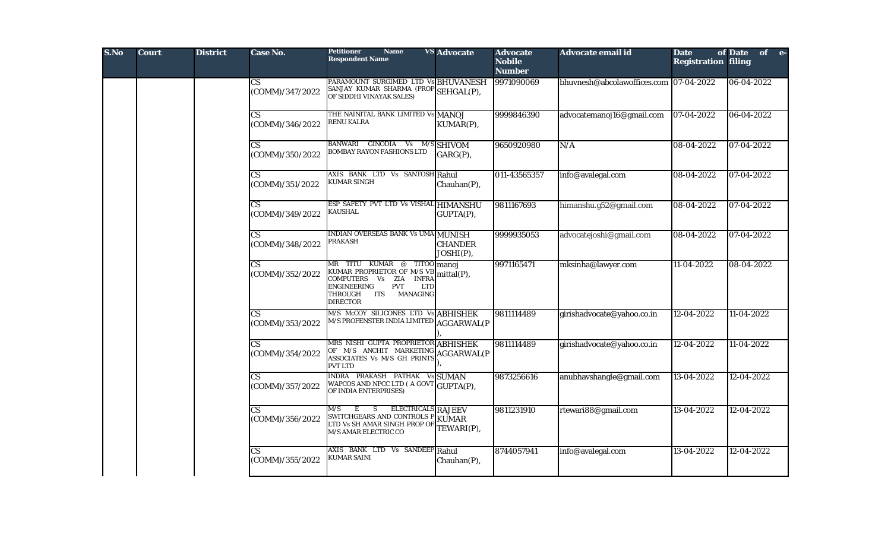| S.No | <b>Court</b> | <b>District</b> | Case No.                                  | <b>Petitioner</b><br><b>Name</b><br><b>Respondent Name</b>                                                                                                                 | <b>VS Advocate</b>            | <b>Advocate</b><br><b>Nobile</b><br><b>Number</b> | Advocate email id                      | <b>Date</b><br><b>Registration filing</b> | of Date of e- |  |
|------|--------------|-----------------|-------------------------------------------|----------------------------------------------------------------------------------------------------------------------------------------------------------------------------|-------------------------------|---------------------------------------------------|----------------------------------------|-------------------------------------------|---------------|--|
|      |              |                 | $\mathbf{C}\mathbf{S}$<br>(COMM)/347/2022 | PARAMOUNT SURGIMED LTD Vs BHUVANESH<br>SANJAY KUMAR SHARMA (PROP SEHGAL(P),<br>OF SIDDHI VINAYAK SALES)                                                                    |                               | 9971090069                                        | bhuvnesh@abcolawoffices.com 07-04-2022 |                                           | 06-04-2022    |  |
|      |              |                 | CS<br>(COMM)/346/2022                     | THE NAINITAL BANK LIMITED Vs MANOJ<br>RENU KALRA                                                                                                                           | KUMAR(P),                     | 9999846390                                        | advocatemanoj16@gmail.com              | $07-04-2022$                              | 06-04-2022    |  |
|      |              |                 | $\mathbf{C}\mathbf{S}$<br>(COMM)/350/2022 | BANWARI GINODIA Vs M/S SHIVOM<br><b>BOMBAY RAYON FASHIONS LTD</b>                                                                                                          | GARG(P),                      | 9650920980                                        | N/A                                    | 08-04-2022                                | 07-04-2022    |  |
|      |              |                 | $\mathbf{C}\mathbf{S}$<br>(COMM)/351/2022 | AXIS BANK LTD Vs SANTOSH Rahul<br>KUMAR SINGH                                                                                                                              | Chauhan(P),                   | 011-43565357                                      | info@avalegal.com                      | 08-04-2022                                | 07-04-2022    |  |
|      |              |                 | CS<br>(COMM)/349/2022                     | ESP SAFETY PVT LTD Vs VISHAL HIMANSHU<br>KAUSHAL                                                                                                                           | GUPTA(P),                     | 9811167693                                        | himanshu.g52@gmail.com                 | 08-04-2022                                | 07-04-2022    |  |
|      |              |                 | $\overline{\text{CS}}$<br>(COMM)/348/2022 | INDIAN OVERSEAS BANK Vs UMA MUNISH<br>PRAKASH                                                                                                                              | <b>CHANDER</b><br>JOSHI(P),   | 9999935053                                        | advocatejoshi@gmail.com                | 08-04-2022                                | 07-04-2022    |  |
|      |              |                 | $\mathbf{C}\mathbf{S}$<br>(COMM)/352/2022 | MR TITU KUMAR @<br>KUMAR PROPRIETOR OF M/S VB<br>COMPUTERS Vs ZIA INFRA<br><b>ENGINEERING</b><br><b>PVT</b><br><b>LTD</b><br>THROUGH<br>ITS<br>MANAGING<br><b>DIRECTOR</b> | TITOO manoj<br>mittal(P),     | 9971165471                                        | mksinha@lawyer.com                     | 11-04-2022                                | 08-04-2022    |  |
|      |              |                 | $\overline{\text{CS}}$<br>(COMM)/353/2022 | M/S McCOY SILICONES LTD V:<br>M/S PROFENSTER INDIA LIMITED                                                                                                                 | ABHISHEK<br><b>AGGARWAL(P</b> | 9811114489                                        | girishadvocate@yahoo.co.in             | 12-04-2022                                | 11-04-2022    |  |
|      |              |                 | $\mathbf{C}\mathbf{S}$<br>(COMM)/354/2022 | MRS NISHI GUPTA PROPRIETOR ABHISHEK<br>OF M/S ANCHIT MARKETING AGGARWAL(P<br>ASSOCIATES Vs M/S GH PRINTS<br><b>PVT LTD</b>                                                 |                               | 9811114489                                        | girishadvocate@yahoo.co.in             | 12-04-2022                                | 11-04-2022    |  |
|      |              |                 | $\overline{\text{CS}}$<br>(COMM)/357/2022 | INDRA PRAKASH PATHAK Vs SUMAN<br>WAPCOS AND NPCC LTD (A GOVT GUPTA(P),<br>OF INDIA ENTERPRISES)                                                                            |                               | 9873256616                                        | anubhavshangle@gmail.com               | 13-04-2022                                | 12-04-2022    |  |
|      |              |                 | CS.<br>(COMM)/356/2022                    | S —<br>ELECTRICALS RAJEEV<br>M/S<br>E<br>SWITCHGEARS AND CONTROLS P<br>LTD Vs SH AMAR SINGH PROP OF<br>M/S AMAR ELECTRIC CO                                                | KUMAR<br>TEWARI(P),           | 9811231910                                        | rtewari88@gmail.com                    | 13-04-2022                                | 12-04-2022    |  |
|      |              |                 | $\mathbf{C}\mathbf{S}$<br>(COMM)/355/2022 | AXIS BANK LTD Vs SANDEEP Rahul<br>KUMAR SAINI                                                                                                                              | Chauhan(P),                   | 8744057941                                        | info@avalegal.com                      | 13-04-2022                                | 12-04-2022    |  |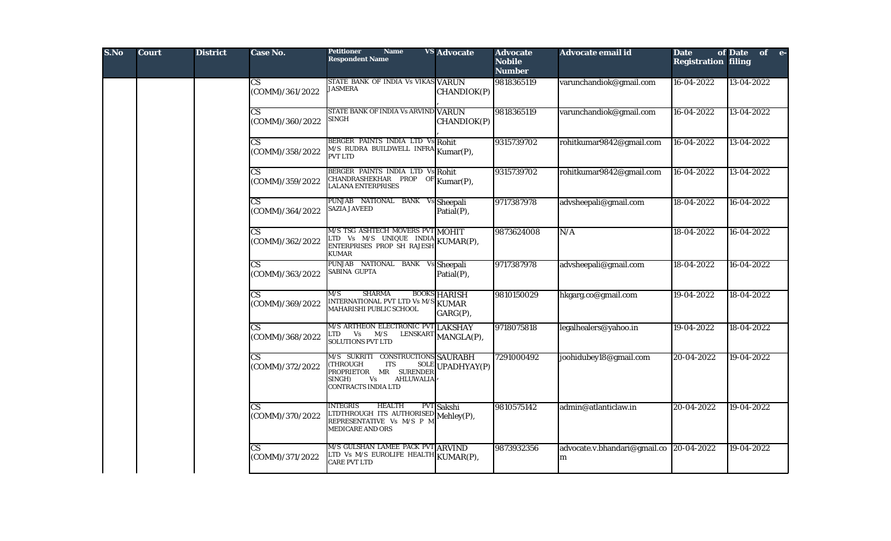| S.No | <b>Court</b> | <b>District</b> | <b>Case No.</b>                           | <b>Petitioner</b><br><b>Name</b><br><b>Respondent Name</b>                                                                                                             | <b>VS Advocate</b>              | <b>Advocate</b><br><b>Nobile</b><br><b>Number</b> | Advocate email id                 | <b>Date</b><br><b>Registration filing</b> | of Date of e- |
|------|--------------|-----------------|-------------------------------------------|------------------------------------------------------------------------------------------------------------------------------------------------------------------------|---------------------------------|---------------------------------------------------|-----------------------------------|-------------------------------------------|---------------|
|      |              |                 | $\mathbf{C}\mathbf{S}$<br>(COMM)/361/2022 | STATE BANK OF INDIA Vs VIKAS VARUN<br><b>JASMERA</b>                                                                                                                   | CHANDIOK(P)                     | 9818365119                                        | varunchandiok@gmail.com           | 16-04-2022                                | 13-04-2022    |
|      |              |                 | $\mathbf{C}\mathbf{S}$<br>(COMM)/360/2022 | STATE BANK OF INDIA Vs ARVIND VARUN<br><b>SINGH</b>                                                                                                                    | CHANDIOK(P)                     | 9818365119                                        | varunchandiok@gmail.com           | 16-04-2022                                | 13-04-2022    |
|      |              |                 | $\overline{\text{CS}}$<br>(COMM)/358/2022 | BERGER PAINTS INDIA LTD Vs Rohit<br>M/S RUDRA BUILDWELL INFRA Kumar(P),<br><b>PVT LTD</b>                                                                              |                                 | 9315739702                                        | rohitkumar9842@gmail.com          | 16-04-2022                                | 13-04-2022    |
|      |              |                 | $\mathbf{C}\mathbf{S}$<br>(COMM)/359/2022 | BERGER PAINTS INDIA LTD Vs Rohit<br>CHANDRASHEKHAR PROP OF Kumar(P),<br><b>LALANA ENTERPRISES</b>                                                                      |                                 | 9315739702                                        | rohitkumar9842@gmail.com          | 16-04-2022                                | 13-04-2022    |
|      |              |                 | $\mathbf{C}\mathbf{S}$<br>(COMM)/364/2022 | PUNJAB NATIONAL BANK Vs Sheepali<br><b>SAZIA JAVEED</b>                                                                                                                | Patial(P),                      | 9717387978                                        | advsheepali@gmail.com             | 18-04-2022                                | 16-04-2022    |
|      |              |                 | $\mathbf{C}\mathbf{S}$<br>(COMM)/362/2022 | M/S TSG ASHTECH MOVERS PVT MOHIT<br>LTD Vs $M/S$ UNIQUE INDIA KUMAR(P),<br>ENTERPRISES PROP SH RAJESH<br><b>KUMAR</b>                                                  |                                 | 9873624008                                        | N/A                               | 18-04-2022                                | 16-04-2022    |
|      |              |                 | $\mathbf{C}\mathbf{S}$<br>(COMM)/363/2022 | NATIONAL BANK<br><b>PUNJAB</b><br>SABINA GUPTA                                                                                                                         | <b>Sheepali</b><br>Patial(P),   | 9717387978                                        | advsheepali@gmail.com             | 18-04-2022                                | 16-04-2022    |
|      |              |                 | $\mathbf{C}\mathbf{S}$<br>(COMM)/369/2022 | <b>SHARMA</b><br>M/S<br>INTERNATIONAL PVT LTD Vs M/S KUMAR<br>MAHARISHI PUBLIC SCHOOL                                                                                  | <b>BOOKS HARISH</b><br>GARG(P), | 9810150029                                        | hkgarg.co@gmail.com               | 19-04-2022                                | 18-04-2022    |
|      |              |                 | CS.<br>(COMM)/368/2022                    | M/S ARTHEON ELECTRONIC PVT LAKSHAY<br>TD.<br>$Vs$ $M/S$<br><b>SOLUTIONS PVT LTD</b>                                                                                    | LENSKART MANGLA(P),             | 9718075818                                        | legalhealers@yahoo.in             | 19-04-2022                                | 18-04-2022    |
|      |              |                 | $\overline{\text{CS}}$<br>(COMM)/372/2022 | M/S SUKRITI CONSTRUCTIONS SAURABH<br><b>SOLE</b><br>(THROUGH<br>ITS<br>PROPRIETOR MR SURENDER<br><b>SINGH)</b><br>Vs<br><b>AHLUWALIA</b><br><b>CONTRACTS INDIA LTD</b> | UPADHYAY(P)                     | 7291000492                                        | joohidubey18@gmail.com            | 20-04-2022                                | 19-04-2022    |
|      |              |                 | СS<br>(COMM)/370/2022                     | <b>INTEGRIS</b><br><b>HEALTH</b><br>LTDTHROUGH ITS AUTHORISED Mehley(P),<br>REPRESENTATIVE Vs M/S P M Mehley(P),<br><b>MEDICARE AND ORS</b>                            | PVT Sakshi                      | 9810575142                                        | admin@atlanticlaw.in              | 20-04-2022                                | 19-04-2022    |
|      |              |                 | $\mathbf{C}\mathbf{S}$<br>(COMM)/371/2022 | M/S GULSHAN LAMEE PACK PVT ARVIND<br>LTD Vs M/S EUROLIFE HEALTH KUMAR(P),<br><b>CARE PVT LTD</b>                                                                       |                                 | 9873932356                                        | advocate.v.bhandari@gmail.co<br>m | 20-04-2022                                | 19-04-2022    |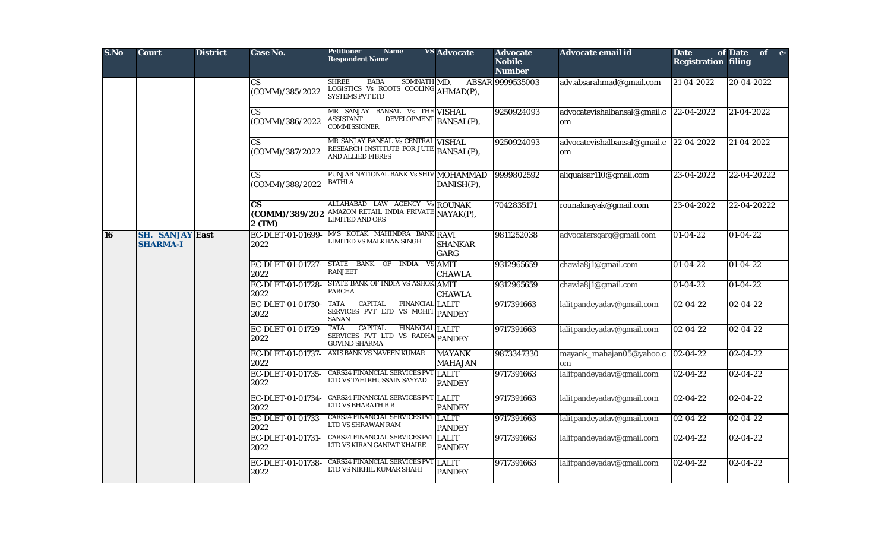| S.No      | <b>Court</b>                              | <b>District</b> | Case No.                                           | <b>Petitioner</b><br><b>Name</b><br><b>Respondent Name</b>                                                          | <b>VS</b> Advocate              | <b>Advocate</b><br><b>Nobile</b><br><b>Number</b> | Advocate email id                  | <b>Date</b><br><b>Registration filing</b> | of Date<br>of e- |
|-----------|-------------------------------------------|-----------------|----------------------------------------------------|---------------------------------------------------------------------------------------------------------------------|---------------------------------|---------------------------------------------------|------------------------------------|-------------------------------------------|------------------|
|           |                                           |                 | CS<br>(COMM)/385/2022                              | <b>SHREE</b><br><b>BABA</b><br>SOMNATH MD.<br>LOGISTICS Vs ROOTS COOLING AHMAD(P),<br><b>SYSTEMS PVT LTD</b>        |                                 | ABSAR 9999535003                                  | adv.absarahmad@gmail.com           | $21-04-2022$                              | 20-04-2022       |
|           |                                           |                 | $\mathbf{C}\mathbf{S}$<br>(COMM)/386/2022          | MR SANJAY BANSAL Vs THE VISHAL<br>DEVELOPMENT BANSAL(P),<br><b>ASSISTANT</b><br><b>COMMISSIONER</b>                 |                                 | 9250924093                                        | advocatevishalbansal@gmail.c<br>om | $22 - 04 - 2022$                          | 21-04-2022       |
|           |                                           |                 | CS<br>(COMM)/387/2022                              | MR SANJAY BANSAL Vs CENTRAL VISHAL<br>RESEARCH INSTITUTE FOR JUTE BANSAL(P),<br>AND ALLIED FIBRES                   |                                 | 9250924093                                        | advocatevishalbansal@gmail.c<br>om | 22-04-2022                                | 21-04-2022       |
|           |                                           |                 | CS.<br>(COMM)/388/2022                             | PUNJAB NATIONAL BANK Vs SHIV MOHAMMAD<br><b>BATHLA</b>                                                              | DANISH(P),                      | 9999802592                                        | aliquaisar110@gmail.com            | 23-04-2022                                | 22-04-20222      |
|           |                                           |                 | $\overline{\text{cs}}$<br>(COMM)/389/202<br>2 (TM) | ALLAHABAD LAW AGENCY Vs ROUNAK<br>AMAZON RETAIL INDIA PRIVATE NAYAK(P),<br><b>LIMITED AND ORS</b>                   |                                 | 7042835171                                        | rounaknayak@gmail.com              | 23-04-2022                                | 22-04-20222      |
| <b>16</b> | <b>SH. SANJAY East</b><br><b>SHARMA-I</b> |                 | EC-DLET-01-01699-<br>2022                          | M/S KOTAK MAHINDRA BANK RAVI<br>LIMITED VS MALKHAN SINGH                                                            | <b>SHANKAR</b><br>GARG          | 9811252038                                        | advocatersgarg@gmail.com           | $01-04-22$                                | $01 - 04 - 22$   |
|           |                                           |                 | EC-DLET-01-01727-<br>2022                          | STATE BANK OF INDIA VS AMIT<br><b>RANJEET</b>                                                                       | <b>CHAWLA</b>                   | 9312965659                                        | chawla8j1@gmail.com                | 01-04-22                                  | $01-04-22$       |
|           |                                           |                 | EC-DLET-01-01728-<br>2022                          | STATE BANK OF INDIA VS ASHOK AMIT<br><b>PARCHA</b>                                                                  | <b>CHAWLA</b>                   | 9312965659                                        | chawla8j1@gmail.com                | 01-04-22                                  | $01 - 04 - 22$   |
|           |                                           |                 | EC-DLET-01-01730-<br>2022                          | <b>TATA</b><br><b>CAPITAL</b><br><b>FINANCIAL LALIT</b><br>SERVICES PVT LTD VS MOHIT PANDEY<br><b>SANAN</b>         |                                 | 9717391663                                        | lalitpandeyadav@gmail.com          | $02 - 04 - 22$                            | $02 - 04 - 22$   |
|           |                                           |                 | EC-DLET-01-01729-<br>2022                          | <b>TATA</b><br><b>CAPITAL</b><br><b>FINANCIAL LALIT</b><br>SERVICES PVT LTD VS RADHA PANDEY<br><b>GOVIND SHARMA</b> |                                 | 9717391663                                        | lalitpandeyadav@gmail.com          | $02 - 04 - 22$                            | $02 - 04 - 22$   |
|           |                                           |                 | EC-DLET-01-01737-<br>2022                          | AXIS BANK VS NAVEEN KUMAR                                                                                           | <b>MAYANK</b><br><b>MAHAJAN</b> | 9873347330                                        | mayank_mahajan05@yahoo.c<br>om     | $ 02-04-22 $                              | $02 - 04 - 22$   |
|           |                                           |                 | EC-DLET-01-01735-<br>2022                          | <b>CARS24 FINANCIAL SERVICES PVT LALIT</b><br>LTD VS TAHIRHUSSAIN SAYYAD                                            | <b>PANDEY</b>                   | 9717391663                                        | lalitpandeyadav@gmail.com          | $02 - 04 - 22$                            | $02 - 04 - 22$   |
|           |                                           |                 | EC-DLET-01-01734-<br>2022                          | <b>CARS24 FINANCIAL SERVICES PVT LALIT</b><br>LTD VS BHARATH B R                                                    | <b>PANDEY</b>                   | 9717391663                                        | lalitpandeyadav@gmail.com          | 02-04-22                                  | $02 - 04 - 22$   |
|           |                                           |                 | EC-DLET-01-01733-<br>2022                          | <b>CARS24 FINANCIAL SERVICES PVT LALIT</b><br>LTD VS SHRAWAN RAM                                                    | <b>PANDEY</b>                   | 9717391663                                        | lalitpandeyadav@gmail.com          | 02-04-22                                  | $02 - 04 - 22$   |
|           |                                           |                 | EC-DLET-01-01731-<br>2022                          | <b>CARS24 FINANCIAL SERVICES PVT LALIT</b><br>LTD VS KIRAN GANPAT KHAIRE                                            | <b>PANDEY</b>                   | 9717391663                                        | lalitpandeyadav@gmail.com          | $02 - 04 - 22$                            | $02 - 04 - 22$   |
|           |                                           |                 | EC-DLET-01-01738-<br>2022                          | <b>CARS24 FINANCIAL SERVICES PVT LALIT</b><br>LTD VS NIKHIL KUMAR SHAHI                                             | <b>PANDEY</b>                   | 9717391663                                        | lalitpandeyadav@gmail.com          | $02 - 04 - 22$                            | $02 - 04 - 22$   |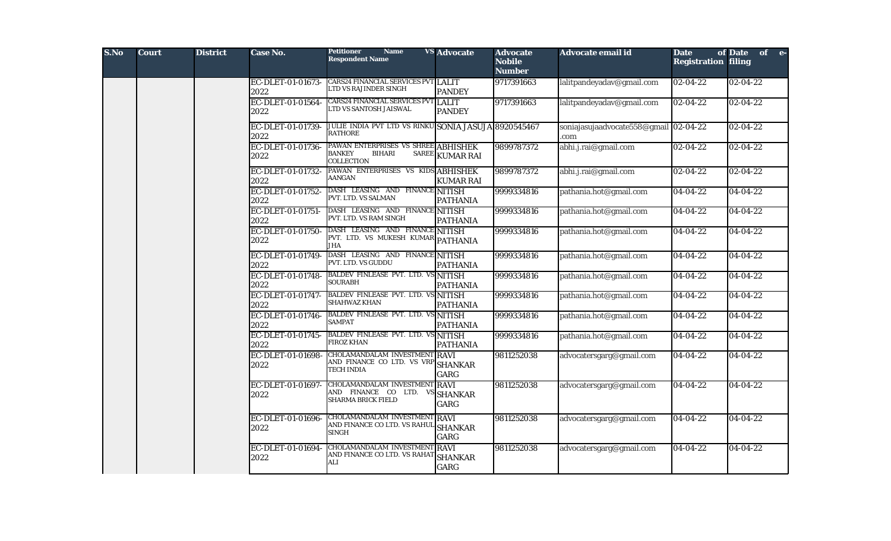| S.No | <b>Court</b> | <b>District</b> | Case No.                  | <b>Petitioner</b><br><b>Name</b><br><b>Respondent Name</b>                                          | <b>VS</b> Advocate     | <b>Advocate</b><br><b>Nobile</b><br><b>Number</b> | Advocate email id                            | <b>Date</b><br><b>Registration filing</b> | of Date<br>of e- |  |
|------|--------------|-----------------|---------------------------|-----------------------------------------------------------------------------------------------------|------------------------|---------------------------------------------------|----------------------------------------------|-------------------------------------------|------------------|--|
|      |              |                 | EC-DLET-01-01673-<br>2022 | CARS24 FINANCIAL SERVICES PVT LALIT<br>LTD VS RAJINDER SINGH                                        | <b>PANDEY</b>          | 9717391663                                        | lalitpandeyadav@gmail.com                    | $ 02-04-22 $                              | $02 - 04 - 22$   |  |
|      |              |                 | EC-DLET-01-01564-<br>2022 | <b>CARS24 FINANCIAL SERVICES PVT LALIT</b><br>TD VS SANTOSH JAISWAL                                 | <b>PANDEY</b>          | 9717391663                                        | lalitpandeyadav@gmail.com                    | $02 - 04 - 22$                            | $02 - 04 - 22$   |  |
|      |              |                 | EC-DLET-01-01739-<br>2022 | JULIE INDIA PVT LTD VS RINKU SONIA JASUJA 8920545467<br>RATHORE                                     |                        |                                                   | soniajasujaadvocate558@gmail 02-04-22<br>com |                                           | $02 - 04 - 22$   |  |
|      |              |                 | EC-DLET-01-01736-<br>2022 | PAWAN ENTERPRISES VS SHREE ABHISHEK<br><b>BANKEY</b><br><b>SAREE</b><br><b>BIHARI</b><br>COLLECTION | <b>KUMAR RAI</b>       | 9899787372                                        | abhi.j.rai@gmail.com                         | $02 - 04 - 22$                            | $02 - 04 - 22$   |  |
|      |              |                 | EC-DLET-01-01732-<br>2022 | PAWAN ENTERPRISES VS KIDS ABHISHEK<br>AANGAN                                                        | <b>KUMAR RAI</b>       | 9899787372                                        | abhi.j.rai@gmail.com                         | $02 - 04 - 22$                            | $02 - 04 - 22$   |  |
|      |              |                 | EC-DLET-01-01752-<br>2022 | DASH LEASING AND FINANCE NITISH<br>PVT. LTD. VS SALMAN                                              | <b>PATHANIA</b>        | 9999334816                                        | pathania.hot@gmail.com                       | 04-04-22                                  | $04 - 04 - 22$   |  |
|      |              |                 | EC-DLET-01-01751-<br>2022 | DASH LEASING AND FINANCE NITISH<br>PVT. LTD. VS RAM SINGH                                           | <b>PATHANIA</b>        | 9999334816                                        | pathania.hot@gmail.com                       | $04-04-22$                                | $04 - 04 - 22$   |  |
|      |              |                 | EC-DLET-01-01750-<br>2022 | DASH LEASING AND FINANCE NITISH<br>PVT. LTD. VS MUKESH KUMAR PATHANIA<br><b>JHA</b>                 |                        | 9999334816                                        | pathania.hot@gmail.com                       | $04-04-22$                                | $04 - 04 - 22$   |  |
|      |              |                 | EC-DLET-01-01749-<br>2022 | DASH LEASING AND FINANCE NITISH<br>PVT. LTD. VS GUDDU                                               | <b>PATHANIA</b>        | 9999334816                                        | pathania.hot@gmail.com                       | $04-04-22$                                | $04 - 04 - 22$   |  |
|      |              |                 | EC-DLET-01-01748-<br>2022 | <b>BALDEV FINLEASE PVT. LTD. VS NITISH</b><br><b>SOURABH</b>                                        | <b>PATHANIA</b>        | 9999334816                                        | pathania.hot@gmail.com                       | 04-04-22                                  | 04-04-22         |  |
|      |              |                 | EC-DLET-01-01747-<br>2022 | <b>BALDEV FINLEASE PVT. LTD. VS NITISH</b><br>SHAHWAZ KHAN                                          | <b>PATHANIA</b>        | 9999334816                                        | pathania.hot@gmail.com                       | $04 - 04 - 22$                            | $04 - 04 - 22$   |  |
|      |              |                 | EC-DLET-01-01746-<br>2022 | BALDEV FINLEASE PVT. LTD. VS NITISH<br>SAMPAT                                                       | <b>PATHANIA</b>        | 9999334816                                        | pathania.hot@gmail.com                       | $04 - 04 - 22$                            | $04 - 04 - 22$   |  |
|      |              |                 | EC-DLET-01-01745-<br>2022 | <b>BALDEV FINLEASE PVT. LTD. VS NITISH</b><br><b>FIROZ KHAN</b>                                     | <b>PATHANIA</b>        | 9999334816                                        | pathania.hot@gmail.com                       | $04-04-22$                                | $04 - 04 - 22$   |  |
|      |              |                 | EC-DLET-01-01698-<br>2022 | CHOLAMANDALAM INVESTMENT RAVI<br>AND FINANCE CO LTD. VS VRP SHANKAR<br>TECH INDIA                   | GARG                   | 9811252038                                        | advocatersgarg@gmail.com                     | $04 - 04 - 22$                            | $04 - 04 - 22$   |  |
|      |              |                 | EC-DLET-01-01697-<br>2022 | CHOLAMANDALAM INVESTMENT RAVI<br>AND FINANCE CO LTD. VS SHANKAR<br>SHARMA BRICK FIELD               | GARG                   | 9811252038                                        | advocatersgarg@gmail.com                     | $04 - 04 - 22$                            | $04 - 04 - 22$   |  |
|      |              |                 | EC-DLET-01-01696-<br>2022 | CHOLAMANDALAM INVESTMENT RAVI<br>AND FINANCE CO LTD. VS RAHUL SHANKAR<br>SINGH                      | GARG                   | 9811252038                                        | advocatersgarg@gmail.com                     | 04-04-22                                  | 04-04-22         |  |
|      |              |                 | EC-DLET-01-01694-<br>2022 | CHOLAMANDALAM INVESTMENT RAVI<br>AND FINANCE CO LTD. VS RAHAT<br>ALI                                | <b>SHANKAR</b><br>GARG | 9811252038                                        | advocatersgarg@gmail.com                     | $04 - 04 - 22$                            | $04 - 04 - 22$   |  |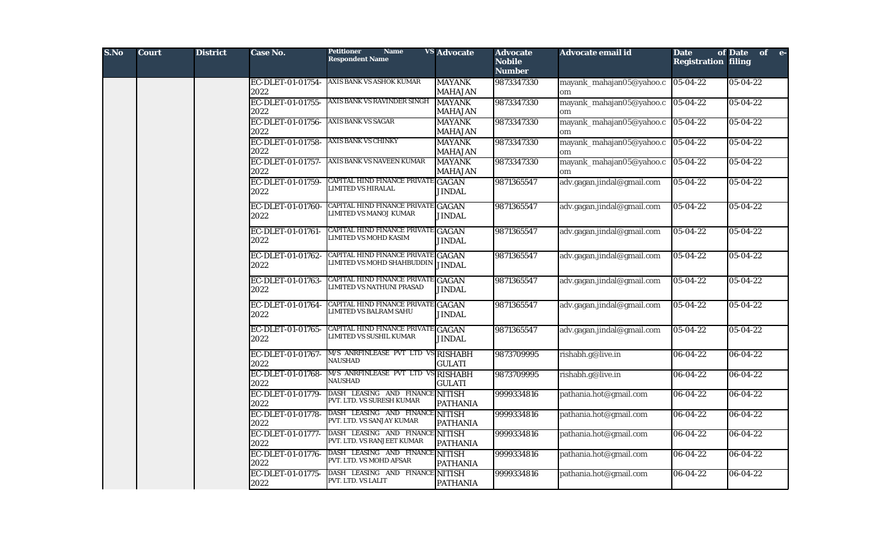| S.No | <b>Court</b> | <b>District</b> | <b>Case No.</b>           | <b>Petitioner</b><br><b>Name</b><br><b>Respondent Name</b>        | <b>VS</b> Advocate              | <b>Advocate</b><br><b>Nobile</b><br><b>Number</b> | Advocate email id              | <b>Date</b><br><b>Registration filing</b> | of Date<br>of e- |
|------|--------------|-----------------|---------------------------|-------------------------------------------------------------------|---------------------------------|---------------------------------------------------|--------------------------------|-------------------------------------------|------------------|
|      |              |                 | EC-DLET-01-01754-<br>2022 | AXIS BANK VS ASHOK KUMAR                                          | <b>MAYANK</b><br><b>MAHAJAN</b> | 9873347330                                        | mayank_mahajan05@yahoo.c<br>om | $ 05-04-22 $                              | 05-04-22         |
|      |              |                 | EC-DLET-01-01755-<br>2022 | AXIS BANK VS RAVINDER SINGH                                       | <b>MAYANK</b><br><b>MAHAJAN</b> | 9873347330                                        | mayank_mahajan05@yahoo.c<br>om | $ 05-04-22 $                              | 05-04-22         |
|      |              |                 | EC-DLET-01-01756-<br>2022 | <b>AXIS BANK VS SAGAR</b>                                         | <b>MAYANK</b><br><b>MAHAJAN</b> | 9873347330                                        | mayank_mahajan05@yahoo.c<br>om | $ 05-04-22 $                              | 05-04-22         |
|      |              |                 | EC-DLET-01-01758-<br>2022 | <b>AXIS BANK VS CHINKY</b>                                        | <b>MAYANK</b><br><b>MAHAJAN</b> | 9873347330                                        | mayank_mahajan05@yahoo.c<br>om | $05 - 04 - 22$                            | 05-04-22         |
|      |              |                 | EC-DLET-01-01757-<br>2022 | AXIS BANK VS NAVEEN KUMAR                                         | <b>MAYANK</b><br><b>MAHAJAN</b> | 9873347330                                        | mayank_mahajan05@yahoo.c<br>om | $ 05-04-22 $                              | 05-04-22         |
|      |              |                 | EC-DLET-01-01759-<br>2022 | CAPITAL HIND FINANCE PRIVATE GAGAN<br>LIMITED VS HIRALAL          | <b>JINDAL</b>                   | 9871365547                                        | adv.gagan.jindal@gmail.com     | $05 - 04 - 22$                            | 05-04-22         |
|      |              |                 | EC-DLET-01-01760-<br>2022 | CAPITAL HIND FINANCE PRIVATE GAGAN<br>LIMITED VS MANOJ KUMAR      | <b>JINDAL</b>                   | 9871365547                                        | adv.gagan.jindal@gmail.com     | 05-04-22                                  | $05 - 04 - 22$   |
|      |              |                 | EC-DLET-01-01761-<br>2022 | CAPITAL HIND FINANCE PRIVATE GAGAN<br>LIMITED VS MOHD KASIM       | <b>JINDAL</b>                   | 9871365547                                        | adv.gagan.jindal@gmail.com     | 05-04-22                                  | 05-04-22         |
|      |              |                 | EC-DLET-01-01762-<br>2022 | <b>CAPITAL HIND FINANCE PRIVATE</b><br>LIMITED VS MOHD SHAHBUDDIN | <b>GAGAN</b><br><b>JINDAL</b>   | 9871365547                                        | adv.gagan.jindal@gmail.com     | $05 - 04 - 22$                            | 05-04-22         |
|      |              |                 | EC-DLET-01-01763-<br>2022 | CAPITAL HIND FINANCE PRIVATE GAGAN<br>LIMITED VS NATHUNI PRASAD   | <b>JINDAL</b>                   | 9871365547                                        | adv.gagan.jindal@gmail.com     | $05 - 04 - 22$                            | 05-04-22         |
|      |              |                 | EC-DLET-01-01764-<br>2022 | CAPITAL HIND FINANCE PRIVATE GAGAN<br>LIMITED VS BALRAM SAHU      | <b>JINDAL</b>                   | 9871365547                                        | adv.gagan.jindal@gmail.com     | $05 - 04 - 22$                            | 05-04-22         |
|      |              |                 | EC-DLET-01-01765-<br>2022 | <b>CAPITAL HIND FINANCE PRIVATE</b><br>LIMITED VS SUSHIL KUMAR    | <b>GAGAN</b><br><b>JINDAL</b>   | 9871365547                                        | adv.gagan.jindal@gmail.com     | 05-04-22                                  | 05-04-22         |
|      |              |                 | EC-DLET-01-01767-<br>2022 | M/S ANRFINLEASE PVT LTD VS RISHABH<br><b>NAUSHAD</b>              | <b>GULATI</b>                   | 9873709995                                        | rishabh.g@live.in              | 06-04-22                                  | 06-04-22         |
|      |              |                 | EC-DLET-01-01768-<br>2022 | M/S ANRFINLEASE PVT LTD VS<br><b>NAUSHAD</b>                      | <b>RISHABH</b><br><b>GULATI</b> | 9873709995                                        | rishabh.g@live.in              | 06-04-22                                  | 06-04-22         |
|      |              |                 | EC-DLET-01-01779-<br>2022 | DASH LEASING AND FINANCE NITISH<br>PVT. LTD. VS SURESH KUMAR      | <b>PATHANIA</b>                 | 9999334816                                        | pathania.hot@gmail.com         | 06-04-22                                  | 06-04-22         |
|      |              |                 | EC-DLET-01-01778-<br>2022 | DASH LEASING AND FINANCE NITISH<br>PVT. LTD. VS SANJAY KUMAR      | <b>PATHANIA</b>                 | 9999334816                                        | pathania.hot@gmail.com         | $06 - 04 - 22$                            | $06 - 04 - 22$   |
|      |              |                 | EC-DLET-01-01777-<br>2022 | DASH LEASING AND FINANCE NITISH<br>PVT. LTD. VS RANJEET KUMAR     | <b>PATHANIA</b>                 | 9999334816                                        | pathania.hot@gmail.com         | 06-04-22                                  | $06 - 04 - 22$   |
|      |              |                 | EC-DLET-01-01776-<br>2022 | DASH LEASING AND FINANCE NITISH<br>PVT. LTD. VS MOHD AFSAR        | <b>PATHANIA</b>                 | 9999334816                                        | pathania.hot@gmail.com         | 06-04-22                                  | 06-04-22         |
|      |              |                 | EC-DLET-01-01775-<br>2022 | DASH LEASING AND FINANCE NITISH<br>PVT. LTD. VS LALIT             | <b>PATHANIA</b>                 | 9999334816                                        | pathania.hot@gmail.com         | 06-04-22                                  | 06-04-22         |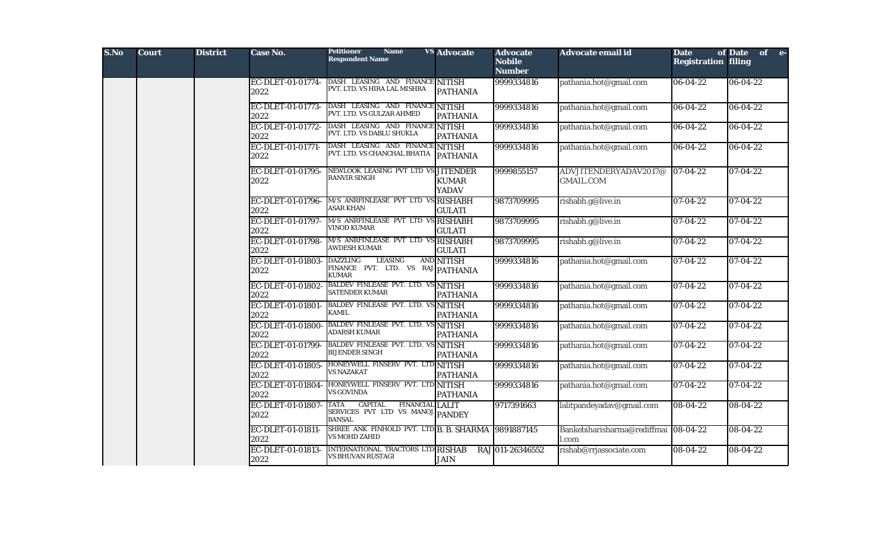| S.No | <b>Court</b> | <b>District</b> | <b>Case No.</b>           | <b>Petitioner</b><br><b>Name</b><br><b>Respondent Name</b>                                                   | <b>VS</b> Advocate           | <b>Advocate</b><br><b>Nobile</b><br><b>Number</b> | Advocate email id                         | <b>Date</b><br><b>Registration filing</b> | of Date of e-  |
|------|--------------|-----------------|---------------------------|--------------------------------------------------------------------------------------------------------------|------------------------------|---------------------------------------------------|-------------------------------------------|-------------------------------------------|----------------|
|      |              |                 | EC-DLET-01-01774-<br>2022 | DASH LEASING AND FINANCE NITISH<br>PVT. LTD. VS HIRA LAL MISHRA                                              | <b>PATHANIA</b>              | 9999334816                                        | pathania.hot@gmail.com                    | $06 - 04 - 22$                            | 06-04-22       |
|      |              |                 | EC-DLET-01-01773-<br>2022 | DASH LEASING AND FINANCE NITISH<br>PVT. LTD. VS GULZAR AHMED                                                 | <b>PATHANIA</b>              | 9999334816                                        | pathania.hot@gmail.com                    | 06-04-22                                  | 06-04-22       |
|      |              |                 | EC-DLET-01-01772-<br>2022 | DASH LEASING AND FINANCE NITISH<br>PVT. LTD. VS DABLU SHUKLA                                                 | <b>PATHANIA</b>              | 9999334816                                        | pathania.hot@gmail.com                    | 06-04-22                                  | 06-04-22       |
|      |              |                 | EC-DLET-01-01771-<br>2022 | DASH LEASING AND FINANCE NITISH<br>PVT. LTD. VS CHANCHAL BHATIA                                              | <b>PATHANIA</b>              | 9999334816                                        | pathania.hot@gmail.com                    | 06-04-22                                  | 06-04-22       |
|      |              |                 | EC-DLET-01-01795-<br>2022 | NEWLOOK LEASING PVT LTD VS JITENDER<br><b>RANVIR SINGH</b>                                                   | <b>KUMAR</b><br><b>YADAV</b> | 9999855157                                        | ADVJITENDERYADAV2017@<br><b>GMAIL.COM</b> | $ 07-04-22 $                              | 07-04-22       |
|      |              |                 | EC-DLET-01-01796-<br>2022 | M/S ANRFINLEASE PVT LTD VS RISHABH<br><b>ASAR KHAN</b>                                                       | <b>GULATI</b>                | 9873709995                                        | rishabh.g@live.in                         | $07 - 04 - 22$                            | 07-04-22       |
|      |              |                 | EC-DLET-01-01797-<br>2022 | M/S ANRFINLEASE PVT LTD VS RISHABH<br><b>VINOD KUMAR</b>                                                     | <b>GULATI</b>                | 9873709995                                        | rishabh.g@live.in                         | $07 - 04 - 22$                            | 07-04-22       |
|      |              |                 | EC-DLET-01-01798-<br>2022 | M/S ANRFINLEASE PVT LTD VS RISHABH<br><b>AWDESH KUMAR</b>                                                    | <b>GULATI</b>                | 9873709995                                        | rishabh.g@live.in                         | 07-04-22                                  | 07-04-22       |
|      |              |                 | EC-DLET-01-01803-<br>2022 | <b>DAZZLING</b><br><b>LEASING</b><br>FINANCE PVT. LTD. VS RAJ PATHANIA<br><b>KUMAR</b>                       | AND NITISH                   | 9999334816                                        | pathania.hot@gmail.com                    | $07 - 04 - 22$                            | 07-04-22       |
|      |              |                 | EC-DLET-01-01802-<br>2022 | BALDEV FINLEASE PVT. LTD. VS NITISH<br><b>SATENDER KUMAR</b>                                                 | <b>PATHANIA</b>              | 9999334816                                        | pathania.hot@gmail.com                    | $07 - 04 - 22$                            | 07-04-22       |
|      |              |                 | EC-DLET-01-01801-<br>2022 | <b>BALDEV FINLEASE PVT. LTD. VS NITISH</b><br><b>KAMIL</b>                                                   | <b>PATHANIA</b>              | 9999334816                                        | pathania.hot@gmail.com                    | $07 - 04 - 22$                            | 07-04-22       |
|      |              |                 | EC-DLET-01-01800-<br>2022 | <b>BALDEV FINLEASE PVT. LTD. VS NITISH</b><br>ADARSH KUMAR                                                   | <b>PATHANIA</b>              | 9999334816                                        | pathania.hot@gmail.com                    | $07 - 04 - 22$                            | 07-04-22       |
|      |              |                 | EC-DLET-01-01799-<br>2022 | BALDEV FINLEASE PVT. LTD. VS NITISH<br><b>BIJENDER SINGH</b>                                                 | <b>PATHANIA</b>              | 9999334816                                        | pathania.hot@gmail.com                    | $07 - 04 - 22$                            | 07-04-22       |
|      |              |                 | EC-DLET-01-01805-<br>2022 | HONEYWELL FINSERV PVT. LTD NITISH<br><b>VS NAZAKAT</b>                                                       | <b>PATHANIA</b>              | 9999334816                                        | pathania.hot@gmail.com                    | 07-04-22                                  | 07-04-22       |
|      |              |                 | EC-DLET-01-01804-<br>2022 | HONEYWELL FINSERV PVT. LTD NITISH<br><b>VS GOVINDA</b>                                                       | <b>PATHANIA</b>              | 9999334816                                        | pathania.hot@gmail.com                    | 07-04-22                                  | 07-04-22       |
|      |              |                 | EC-DLET-01-01807-<br>2022 | <b>CAPITAL</b><br><b>TATA</b><br><b>FINANCIAL LALIT</b><br>SERVICES PVT LTD VS MANOJ PANDEY<br><b>BANSAL</b> |                              | 9717391663                                        | lalitpandeyadav@gmail.com                 | 08-04-22                                  | 08-04-22       |
|      |              |                 | EC-DLET-01-01811-<br>2022 | SHREE ANK FINHOLD PVT. LTD B. B. SHARMA 9891887145<br><b>VS MOHD ZAHID</b>                                   |                              |                                                   | Bankebiharisharma@rediffmai<br>l.com      | $ 08-04-22 $                              | $08 - 04 - 22$ |
|      |              |                 | EC-DLET-01-01813-<br>2022 | INTERNATIONAL TRACTORS LTD RISHAB<br>VS BHUVAN RUSTAGI                                                       | <b>JAIN</b>                  | RAJ 011-26346552                                  | rishab@rrjassociate.com                   | 08-04-22                                  | $08 - 04 - 22$ |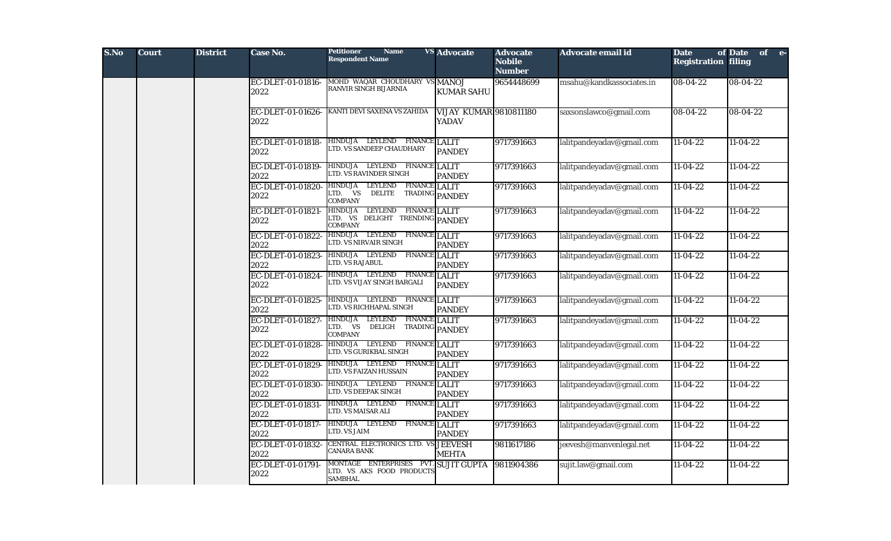| S.No | <b>Court</b> | <b>District</b> | <b>Case No.</b>           | <b>Petitioner</b><br><b>Name</b><br><b>Respondent Name</b>                            | <b>VS Advocate</b>                            | <b>Advocate</b><br><b>Nobile</b><br><b>Number</b> | <b>Advocate email id</b>  | <b>Date</b><br><b>Registration filing</b> | of Date of e- |
|------|--------------|-----------------|---------------------------|---------------------------------------------------------------------------------------|-----------------------------------------------|---------------------------------------------------|---------------------------|-------------------------------------------|---------------|
|      |              |                 | EC-DLET-01-01816-<br>2022 | MOHD WAQAR CHOUDHARY VS MANOJ<br>RANVIR SINGH BIJARNIA                                | <b>KUMAR SAHU</b>                             | 9654448699                                        | msahu@kandkassociates.in  | 08-04-22                                  | 08-04-22      |
|      |              |                 | EC-DLET-01-01626-<br>2022 | KANTI DEVI SAXENA VS ZAHIDA                                                           | <b>VIJAY KUMAR 9810811180</b><br><b>YADAV</b> |                                                   | saxsonslawco@gmail.com    | 08-04-22                                  | 08-04-22      |
|      |              |                 | EC-DLET-01-01818-<br>2022 | HINDUJA LEYLEND FINANCE LALIT<br>LTD. VS SANDEEP CHAUDHARY                            | <b>PANDEY</b>                                 | 9717391663                                        | lalitpandeyadav@gmail.com | $11-04-22$                                | $11-04-22$    |
|      |              |                 | EC-DLET-01-01819-<br>2022 | HINDUJA LEYLEND FINANCE LALIT<br>LTD. VS RAVINDER SINGH                               | <b>PANDEY</b>                                 | 9717391663                                        | lalitpandeyadav@gmail.com | $11-04-22$                                | $11-04-22$    |
|      |              |                 | EC-DLET-01-01820-<br>2022 | HINDUJA LEYLEND<br><b>FINANCE LALIT</b><br>LTD. VS<br><b>DELITE</b><br><b>COMPANY</b> | TRADING PANDEY                                | 9717391663                                        | lalitpandeyadav@gmail.com | $11-04-22$                                | $11-04-22$    |
|      |              |                 | EC-DLET-01-01821-<br>2022 | HINDUJA LEYLEND FINANCE LALIT<br>LTD. VS DELIGHT TRENDING PANDEY<br><b>COMPANY</b>    |                                               | 9717391663                                        | lalitpandeyadav@gmail.com | $11-04-22$                                | $11-04-22$    |
|      |              |                 | EC-DLET-01-01822-<br>2022 | HINDUJA LEYLEND FINANCE LALIT<br>LTD. VS NIRVAIR SINGH                                | <b>PANDEY</b>                                 | 9717391663                                        | lalitpandeyadav@gmail.com | $11-04-22$                                | $11-04-22$    |
|      |              |                 | EC-DLET-01-01823-<br>2022 | HINDUJA LEYLEND<br><b>FINANCE LALIT</b><br>LTD. VS RAJABUL                            | <b>PANDEY</b>                                 | 9717391663                                        | lalitpandeyadav@gmail.com | $11-04-22$                                | $11-04-22$    |
|      |              |                 | EC-DLET-01-01824-<br>2022 | HINDUJA LEYLEND FINANCE LALIT<br>LTD. VS VIJAY SINGH BARGALI                          | <b>PANDEY</b>                                 | 9717391663                                        | lalitpandeyadav@gmail.com | $11 - 04 - 22$                            | $11-04-22$    |
|      |              |                 | EC-DLET-01-01825-<br>2022 | HINDUJA LEYLEND FINANCE LALIT<br>LTD. VS RICHHAPAL SINGH                              | <b>PANDEY</b>                                 | 9717391663                                        | lalitpandeyadav@gmail.com | $11-04-22$                                | $11-04-22$    |
|      |              |                 | EC-DLET-01-01827-<br>2022 | HINDUJA LEYLEND<br><b>FINANCE LALIT</b><br>LTD. VS<br>DELIGH<br><b>COMPANY</b>        | TRADING PANDEY                                | 9717391663                                        | lalitpandeyadav@gmail.com | $11-04-22$                                | $11-04-22$    |
|      |              |                 | EC-DLET-01-01828-<br>2022 | HINDUJA LEYLEND<br><b>FINANCE LALIT</b><br>LTD. VS GURIKBAL SINGH                     | <b>PANDEY</b>                                 | 9717391663                                        | lalitpandeyadav@gmail.com | $11-04-22$                                | $11-04-22$    |
|      |              |                 | EC-DLET-01-01829-<br>2022 | HINDUJA LEYLEND FINANCE LALIT<br>LTD. VS FAIZAN HUSSAIN                               | <b>PANDEY</b>                                 | 9717391663                                        | lalitpandeyadav@gmail.com | $11-04-22$                                | $11-04-22$    |
|      |              |                 | EC-DLET-01-01830-<br>2022 | HINDUJA LEYLEND<br><b>FINANCE LALIT</b><br>LTD. VS DEEPAK SINGH                       | <b>PANDEY</b>                                 | 9717391663                                        | lalitpandeyadav@gmail.com | $11-04-22$                                | $11-04-22$    |
|      |              |                 | EC-DLET-01-01831-<br>2022 | HINDUJA LEYLEND<br><b>FINANCE LALIT</b><br>LTD. VS MAISAR ALI                         | <b>PANDEY</b>                                 | 9717391663                                        | lalitpandeyadav@gmail.com | $11-04-22$                                | $11-04-22$    |
|      |              |                 | EC-DLET-01-01817-<br>2022 | HINDUJA LEYLEND<br><b>FINANCE LALIT</b><br>LTD. VS JAIM                               | <b>PANDEY</b>                                 | 9717391663                                        | lalitpandeyadav@gmail.com | $11-04-22$                                | $11-04-22$    |
|      |              |                 | EC-DLET-01-01832-<br>2022 | CENTRAL ELECTRONICS LTD. VS JEEVESH<br><b>CANARA BANK</b>                             | <b>MEHTA</b>                                  | 9811617186                                        | jeevesh@manvenlegal.net   | $11-04-22$                                | $11-04-22$    |
|      |              |                 | EC-DLET-01-01791<br>2022  | MONTAGE ENTERPRISES PVT. SUJIT GUPTA<br>LTD. VS AKS FOOD PRODUCTS<br><b>SAMBHAL</b>   |                                               | 9811904386                                        | sujit.law@gmail.com       | $11-04-22$                                | $11-04-22$    |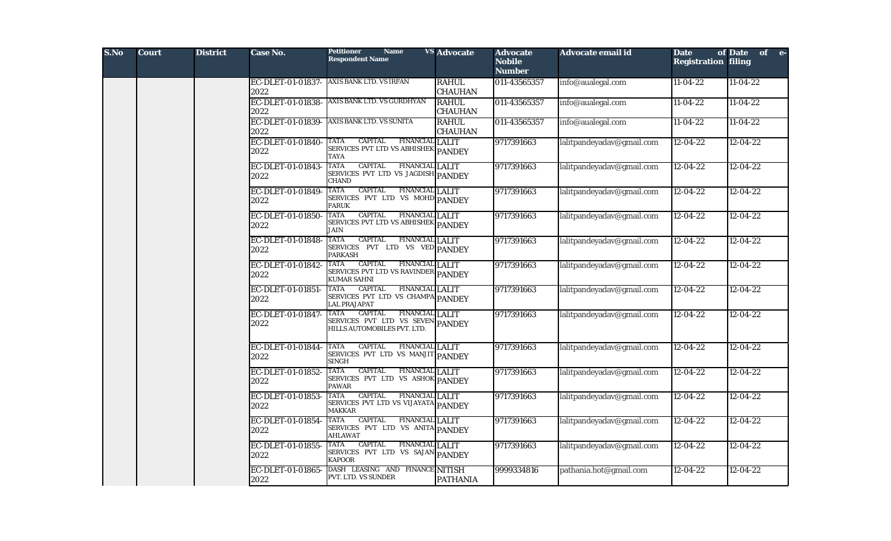| S.No | <b>Court</b> | <b>District</b> | Case No.                  | <b>Petitioner</b><br><b>Name</b><br><b>Respondent Name</b>                                                   | <b>VS</b> Advocate             | <b>Advocate</b><br><b>Nobile</b><br><b>Number</b> | Advocate email id         | <b>Date</b><br><b>Registration filing</b> | of Date of e-  |
|------|--------------|-----------------|---------------------------|--------------------------------------------------------------------------------------------------------------|--------------------------------|---------------------------------------------------|---------------------------|-------------------------------------------|----------------|
|      |              |                 | EC-DLET-01-01837-<br>2022 | AXIS BANK LTD. VS IRFAN                                                                                      | <b>RAHUL</b><br><b>CHAUHAN</b> | 011-43565357                                      | info@aualegal.com         | $11-04-22$                                | $11-04-22$     |
|      |              |                 | EC-DLET-01-01838-<br>2022 | AXIS BANK LTD. VS GURDHYAN                                                                                   | <b>RAHUL</b><br><b>CHAUHAN</b> | 011-43565357                                      | info@aualegal.com         | $11-04-22$                                | $11-04-22$     |
|      |              |                 | EC-DLET-01-01839-<br>2022 | <b>AXIS BANK LTD. VS SUNITA</b>                                                                              | <b>RAHUL</b><br><b>CHAUHAN</b> | 011-43565357                                      | info@aualegal.com         | $11-04-22$                                | $11-04-22$     |
|      |              |                 | EC-DLET-01-01840-<br>2022 | <b>CAPITAL</b><br><b>FINANCIAL LALIT</b><br>TATA<br>SERVICES PVT LTD VS ABHISHEK PANDEY<br>TAYA              |                                | 9717391663                                        | lalitpandeyadav@gmail.com | $12 - 04 - 22$                            | $12 - 04 - 22$ |
|      |              |                 | EC-DLET-01-01843-<br>2022 | <b>TATA</b><br><b>CAPITAL</b><br>FINANCIAL LALIT<br>SERVICES PVT LTD VS JAGDISH PANDEY<br>CHAND              |                                | 9717391663                                        | lalitpandeyadav@gmail.com | $12 - 04 - 22$                            | $12 - 04 - 22$ |
|      |              |                 | EC-DLET-01-01849-<br>2022 | <b>CAPITAL</b><br>TATA<br>FINANCIAL LALIT<br>SERVICES PVT LTD VS MOHD PANDEY<br><b>FARUK</b>                 |                                | 9717391663                                        | lalitpandeyadav@gmail.com | $\sqrt{12-04-22}$                         | $12 - 04 - 22$ |
|      |              |                 | EC-DLET-01-01850-<br>2022 | <b>CAPITAL</b><br>FINANCIAL LALIT<br>TATA<br>SERVICES PVT LTD VS ABHISHEK PANDEY<br>JAIN                     |                                | 9717391663                                        | lalitpandeyadav@gmail.com | $12 - 04 - 22$                            | $12 - 04 - 22$ |
|      |              |                 | EC-DLET-01-01848-<br>2022 | <b>CAPITAL</b><br><b>FINANCIAL LALIT</b><br>TATA<br>SERVICES PVT LTD VS VED PANDEY<br><b>PARKASH</b>         |                                | 9717391663                                        | lalitpandeyadav@gmail.com | $12 - 04 - 22$                            | $12 - 04 - 22$ |
|      |              |                 | EC-DLET-01-01842-<br>2022 | <b>CAPITAL</b><br>TATA<br><b>FINANCIAL LALIT</b><br>SERVICES PVT LTD VS RAVINDER PANDEY<br>KUMAR SAHNI       |                                | 9717391663                                        | lalitpandeyadav@gmail.com | $12 - 04 - 22$                            | $12 - 04 - 22$ |
|      |              |                 | EC-DLET-01-01851-<br>2022 | TATA<br><b>CAPITAL</b><br><b>FINANCIAL LALIT</b><br>SERVICES PVT LTD VS CHAMPA PANDEY<br><b>LAL PRAJAPAT</b> |                                | 9717391663                                        | lalitpandeyadav@gmail.com | $12 - 04 - 22$                            | $12 - 04 - 22$ |
|      |              |                 | EC-DLET-01-01847-<br>2022 | <b>CAPITAL</b><br>FINANCIAL LALIT<br>TATA<br>SERVICES PVT LTD VS SEVEN PANDEY<br>HILLS AUTOMOBILES PVT. LTD. |                                | 9717391663                                        | lalitpandeyadav@gmail.com | $12 - 04 - 22$                            | $12 - 04 - 22$ |
|      |              |                 | EC-DLET-01-01844-<br>2022 | <b>CAPITAL</b><br><b>FINANCIAL LALIT</b><br>TATA<br>SERVICES PVT LTD VS MANJIT PANDEY<br>SINGH               |                                | 9717391663                                        | lalitpandeyadav@gmail.com | $12 - 04 - 22$                            | $12 - 04 - 22$ |
|      |              |                 | EC-DLET-01-01852-<br>2022 | <b>TATA</b><br><b>CAPITAL</b><br>FINANCIAL LALIT<br>SERVICES PVT LTD VS ASHOK PANDEY<br>PAWAR                |                                | 9717391663                                        | lalitpandeyadav@gmail.com | $12 - 04 - 22$                            | $12 - 04 - 22$ |
|      |              |                 | EC-DLET-01-01853-<br>2022 | <b>CAPITAL</b><br><b>FINANCIAL LALIT</b><br>TATA<br>SERVICES PVT LTD VS VIJAYATA PANDEY<br>MAKKAR            |                                | 9717391663                                        | lalitpandeyadav@gmail.com | $12 - 04 - 22$                            | $12 - 04 - 22$ |
|      |              |                 | EC-DLET-01-01854-<br>2022 | <b>FINANCIAL LALIT</b><br>TATA<br><b>CAPITAL</b><br>SERVICES PVT LTD VS ANITA PANDEY<br><b>AHLAWAT</b>       |                                | 9717391663                                        | lalitpandeyadav@gmail.com | $12 - 04 - 22$                            | $12 - 04 - 22$ |
|      |              |                 | EC-DLET-01-01855-<br>2022 | TATA<br><b>CAPITAL</b><br><b>FINANCIAL LALIT</b><br>SERVICES PVT LTD VS SAJAN PANDEY<br><b>KAPOOR</b>        |                                | 9717391663                                        | lalitpandeyadav@gmail.com | $12 - 04 - 22$                            | $12 - 04 - 22$ |
|      |              |                 | EC-DLET-01-01865-<br>2022 | DASH LEASING AND FINANCE NITISH<br>PVT. LTD. VS SUNDER                                                       | <b>PATHANIA</b>                | 9999334816                                        | pathania.hot@gmail.com    | $12 - 04 - 22$                            | $12 - 04 - 22$ |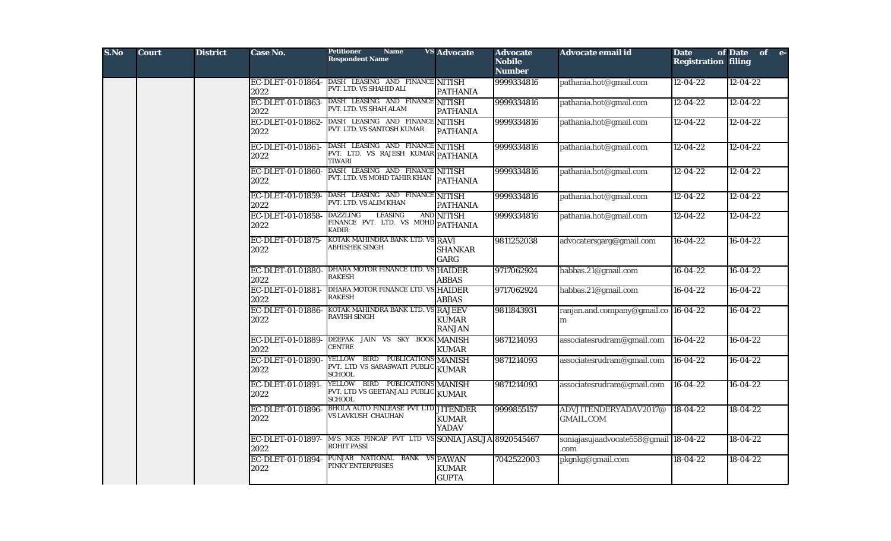| S.No | <b>Court</b> | <b>District</b> | Case No.                  | <b>Petitioner</b><br><b>Name</b><br><b>Respondent Name</b>                              | <b>VS</b> Advocate            | <b>Advocate</b><br><b>Nobile</b><br><b>Number</b> | Advocate email id                            | <b>Date</b><br><b>Registration filing</b> | of Date of e-  |
|------|--------------|-----------------|---------------------------|-----------------------------------------------------------------------------------------|-------------------------------|---------------------------------------------------|----------------------------------------------|-------------------------------------------|----------------|
|      |              |                 | EC-DLET-01-01864-<br>2022 | DASH LEASING AND FINANCE NITISH<br>PVT. LTD. VS SHAHID ALI                              | <b>PATHANIA</b>               | 9999334816                                        | pathania.hot@gmail.com                       | $12 - 04 - 22$                            | $12 - 04 - 22$ |
|      |              |                 | EC-DLET-01-01863-<br>2022 | DASH LEASING AND FINANCE NITISH<br>PVT. LTD. VS SHAH ALAM                               | <b>PATHANIA</b>               | 9999334816                                        | pathania.hot@gmail.com                       | $12 - 04 - 22$                            | $12 - 04 - 22$ |
|      |              |                 | EC-DLET-01-01862-<br>2022 | DASH LEASING AND FINANCE NITISH<br>PVT. LTD. VS SANTOSH KUMAR                           | <b>PATHANIA</b>               | 9999334816                                        | pathania.hot@gmail.com                       | $12 - 04 - 22$                            | $12 - 04 - 22$ |
|      |              |                 | EC-DLET-01-01861-<br>2022 | DASH LEASING AND FINANCE NITISH<br>PVT. LTD. VS RAJESH KUMAR PATHANIA<br><b>TIWARI</b>  |                               | 9999334816                                        | pathania.hot@gmail.com                       | $12 - 04 - 22$                            | $12 - 04 - 22$ |
|      |              |                 | EC-DLET-01-01860-<br>2022 | DASH LEASING AND FINANCE NITISH<br>PVT. LTD. VS MOHD TAHIR KHAN PATHANIA                |                               | 9999334816                                        | pathania.hot@gmail.com                       | $12 - 04 - 22$                            | $12 - 04 - 22$ |
|      |              |                 | EC-DLET-01-01859-<br>2022 | DASH LEASING AND FINANCE NITISH<br>PVT. LTD. VS ALIM KHAN                               | <b>PATHANIA</b>               | 9999334816                                        | pathania.hot@gmail.com                       | $12 - 04 - 22$                            | $12 - 04 - 22$ |
|      |              |                 | EC-DLET-01-01858-<br>2022 | <b>LEASING</b><br><b>DAZZLING</b><br>FINANCE PVT. LTD. VS MOHD PATHANIA<br><b>KADIR</b> | AND NITISH                    | 9999334816                                        | pathania.hot@gmail.com                       | $12 - 04 - 22$                            | $12 - 04 - 22$ |
|      |              |                 | EC-DLET-01-01875-<br>2022 | KOTAK MAHINDRA BANK LTD. VS RAVI<br>ABHISHEK SINGH                                      | <b>SHANKAR</b><br>GARG        | 9811252038                                        | advocatersgarg@gmail.com                     | $16-04-22$                                | $16-04-22$     |
|      |              |                 | EC-DLET-01-01880-<br>2022 | DHARA MOTOR FINANCE LTD. VS HAIDER<br><b>RAKESH</b>                                     | <b>ABBAS</b>                  | 9717062924                                        | habbas.21@gmail.com                          | $16 - 04 - 22$                            | $16 - 04 - 22$ |
|      |              |                 | EC-DLET-01-01881-<br>2022 | DHARA MOTOR FINANCE LTD. VS HAIDER<br><b>RAKESH</b>                                     | <b>ABBAS</b>                  | 9717062924                                        | habbas.21@gmail.com                          | $16-04-22$                                | $16-04-22$     |
|      |              |                 | EC-DLET-01-01886-<br>2022 | KOTAK MAHINDRA BANK LTD. VS RAJEEV<br><b>RAVISH SINGH</b>                               | <b>KUMAR</b><br><b>RANJAN</b> | 9811843931                                        | ranjan.and.company@gmail.co 16-04-22<br>m    |                                           | $16-04-22$     |
|      |              |                 | EC-DLET-01-01889-<br>2022 | DEEPAK JAIN VS SKY BOOK MANISH<br><b>CENTRE</b>                                         | <b>KUMAR</b>                  | 9871214093                                        | associatesrudram@gmail.com                   | 16-04-22                                  | $16-04-22$     |
|      |              |                 | EC-DLET-01-01890-<br>2022 | YELLOW BIRD PUBLICATIONS MANISH<br>PVT. LTD VS SARASWATI PUBLIC KUMAR<br><b>SCHOOL</b>  |                               | 9871214093                                        | associatesrudram@gmail.com                   | $16 - 04 - 22$                            | $16-04-22$     |
|      |              |                 | EC-DLET-01-01891-<br>2022 | YELLOW BIRD PUBLICATIONS MANISH<br>PVT. LTD VS GEETANJALI PUBLIC KUMAR<br><b>SCHOOL</b> |                               | 9871214093                                        | associatesrudram@gmail.com                   | $16 - 04 - 22$                            | $16 - 04 - 22$ |
|      |              |                 | EC-DLET-01-01896-<br>2022 | <b>BHOLA AUTO FINLEASE PVT LTD JITENDER</b><br>VS LAVKUSH CHAUHAN                       | <b>KUMAR</b><br><b>YADAV</b>  | 9999855157                                        | ADVJITENDERYADAV2017@<br><b>GMAIL.COM</b>    | $18-04-22$                                | $18-04-22$     |
|      |              |                 | EC-DLET-01-01897-<br>2022 | M/S MGS FINCAP PVT LTD VS SONIA JASUJA 8920545467<br><b>ROHIT PASSI</b>                 |                               |                                                   | soniajasujaadvocate558@gmail 18-04-22<br>com |                                           | $18-04-22$     |
|      |              |                 | EC-DLET-01-01894-<br>2022 | PUNJAB NATIONAL BANK VS PAWAN<br>PINKY ENTERPRISES                                      | <b>KUMAR</b><br><b>GUPTA</b>  | 7042522003                                        | pkgnkg@gmail.com                             | 18-04-22                                  | 18-04-22       |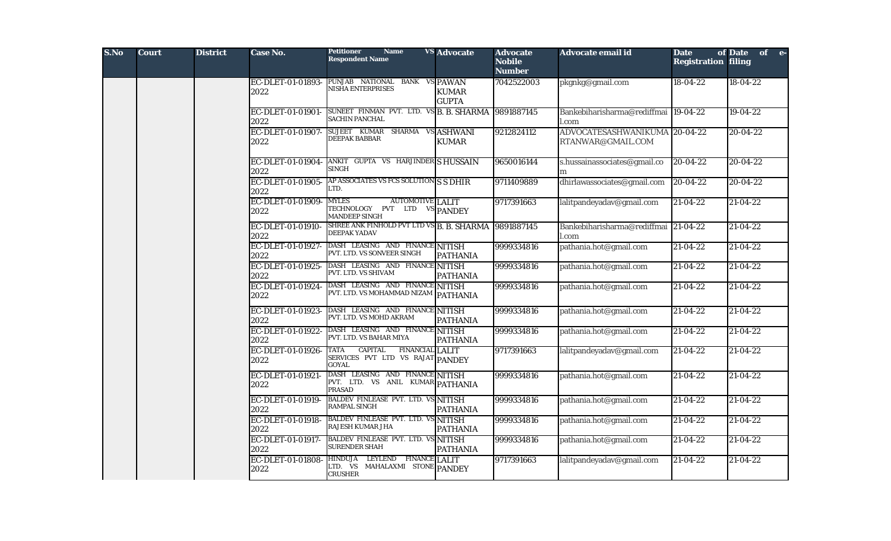| S.No | <b>Court</b> | <b>District</b> | Case No.                  | <b>Petitioner</b><br><b>Name</b><br><b>Respondent Name</b>                                      | <b>VS</b> Advocate           | <b>Advocate</b><br><b>Nobile</b><br><b>Number</b> | Advocate email id                                  | <b>Date</b><br><b>Registration filing</b> | of Date of e-  |
|------|--------------|-----------------|---------------------------|-------------------------------------------------------------------------------------------------|------------------------------|---------------------------------------------------|----------------------------------------------------|-------------------------------------------|----------------|
|      |              |                 | EC-DLET-01-01893-<br>2022 | PUNJAB NATIONAL BANK VS PAWAN<br>NISHA ENTERPRISES                                              | <b>KUMAR</b><br><b>GUPTA</b> | 7042522003                                        | pkgnkg@gmail.com                                   | $18-04-22$                                | 18-04-22       |
|      |              |                 | EC-DLET-01-01901-<br>2022 | SUNEET FINMAN PVT. LTD. VS B. B. SHARMA 9891887145<br><b>SACHIN PANCHAL</b>                     |                              |                                                   | Bankebiharisharma@rediffmai  19-04-22<br>l.com     |                                           | $19-04-22$     |
|      |              |                 | EC-DLET-01-01907-<br>2022 | SUJEET KUMAR SHARMA VS ASHWANI<br><b>DEEPAK BABBAR</b>                                          | <b>KUMAR</b>                 | 9212824112                                        | ADVOCATESASHWANIKUMA 20-04-22<br>RTANWAR@GMAIL.COM |                                           | 20-04-22       |
|      |              |                 | EC-DLET-01-01904-<br>2022 | ANKIT GUPTA VS HARJINDER SHUSSAIN<br><b>SINGH</b>                                               |                              | 9650016144                                        | s.hussainassociates@gmail.co<br>m                  | $20-04-22$                                | 20-04-22       |
|      |              |                 | EC-DLET-01-01905-<br>2022 | AP ASSOCIATES VS FCS SOLUTION S S DHIR<br>LTD.                                                  |                              | 9711409889                                        | dhirlawassociates@gmail.com                        | $20-04-22$                                | $20 - 04 - 22$ |
|      |              |                 | EC-DLET-01-01909-<br>2022 | <b>MYLES</b><br><b>AUTOMOTIVE</b> LALIT<br>TECHNOLOGY PVT LTD VS PANDEY<br><b>MANDEEP SINGH</b> |                              | 9717391663                                        | lalitpandeyadav@gmail.com                          | $21 - 04 - 22$                            | $21 - 04 - 22$ |
|      |              |                 | EC-DLET-01-01910-<br>2022 | SHREE ANK FINHOLD PVT LTD VS B. B. SHARMA 9891887145<br><b>DEEPAK YADAV</b>                     |                              |                                                   | Bankebiharisharma@rediffmai 21-04-22<br>l.com      |                                           | $21 - 04 - 22$ |
|      |              |                 | EC-DLET-01-01927-<br>2022 | DASH LEASING AND FINANCE NITISH<br>PVT. LTD. VS SONVEER SINGH                                   | <b>PATHANIA</b>              | 9999334816                                        | pathania.hot@gmail.com                             | 21-04-22                                  | $21 - 04 - 22$ |
|      |              |                 | EC-DLET-01-01925-<br>2022 | DASH LEASING AND FINANCE NITISH<br>PVT. LTD. VS SHIVAM                                          | <b>PATHANIA</b>              | 9999334816                                        | pathania.hot@gmail.com                             | $21-04-22$                                | $21 - 04 - 22$ |
|      |              |                 | EC-DLET-01-01924-<br>2022 | DASH LEASING AND FINANCE NITISH<br>PVT. LTD. VS MOHAMMAD NIZAM PATHANIA                         |                              | 9999334816                                        | pathania.hot@gmail.com                             | $\sqrt{21-04-22}$                         | $21 - 04 - 22$ |
|      |              |                 | EC-DLET-01-01923-<br>2022 | DASH LEASING AND FINANCE NITISH<br>PVT. LTD. VS MOHD AKRAM                                      | <b>PATHANIA</b>              | 9999334816                                        | pathania.hot@gmail.com                             | $21 - 04 - 22$                            | $21 - 04 - 22$ |
|      |              |                 | EC-DLET-01-01922-<br>2022 | DASH LEASING AND FINANCE NITISH<br>PVT. LTD. VS BAHAR MIYA                                      | <b>PATHANIA</b>              | 9999334816                                        | pathania.hot@gmail.com                             | $21 - 04 - 22$                            | $21 - 04 - 22$ |
|      |              |                 | EC-DLET-01-01926-<br>2022 | CAPITAL FINANCIAL LALIT<br><b>TATA</b><br>SERVICES PVT LTD VS RAJAT PANDEY<br><b>GOYAL</b>      |                              | 9717391663                                        | lalitpandeyadav@gmail.com                          | $21-04-22$                                | 21-04-22       |
|      |              |                 | EC-DLET-01-01921-<br>2022 | DASH LEASING AND FINANCE NITISH<br>PVT. LTD. VS ANIL KUMAR PATHANIA<br><b>PRASAD</b>            |                              | 9999334816                                        | pathania.hot@gmail.com                             | 21-04-22                                  | 21-04-22       |
|      |              |                 | EC-DLET-01-01919-<br>2022 | BALDEV FINLEASE PVT. LTD. VS NITISH<br><b>RAMPAL SINGH</b>                                      | <b>PATHANIA</b>              | 9999334816                                        | pathania.hot@gmail.com                             | $21-04-22$                                | $21 - 04 - 22$ |
|      |              |                 | EC-DLET-01-01918-<br>2022 | <b>BALDEV FINLEASE PVT. LTD. VS NITISH</b><br>RAJESH KUMAR JHA                                  | <b>PATHANIA</b>              | 9999334816                                        | pathania.hot@gmail.com                             | $\sqrt{21-04-22}$                         | $21 - 04 - 22$ |
|      |              |                 | EC-DLET-01-01917-<br>2022 | <b>BALDEV FINLEASE PVT. LTD. VS NITISH</b><br><b>SURENDER SHAH</b>                              | <b>PATHANIA</b>              | 9999334816                                        | pathania.hot@gmail.com                             | 21-04-22                                  | 21-04-22       |
|      |              |                 | EC-DLET-01-01808-<br>2022 | LEYLEND FINANCE LALIT<br><b>HINDUJA</b><br>LTD. VS MAHALAXMI STONE PANDEY<br><b>CRUSHER</b>     |                              | 9717391663                                        | lalitpandeyadav@gmail.com                          | $21-04-22$                                | $21 - 04 - 22$ |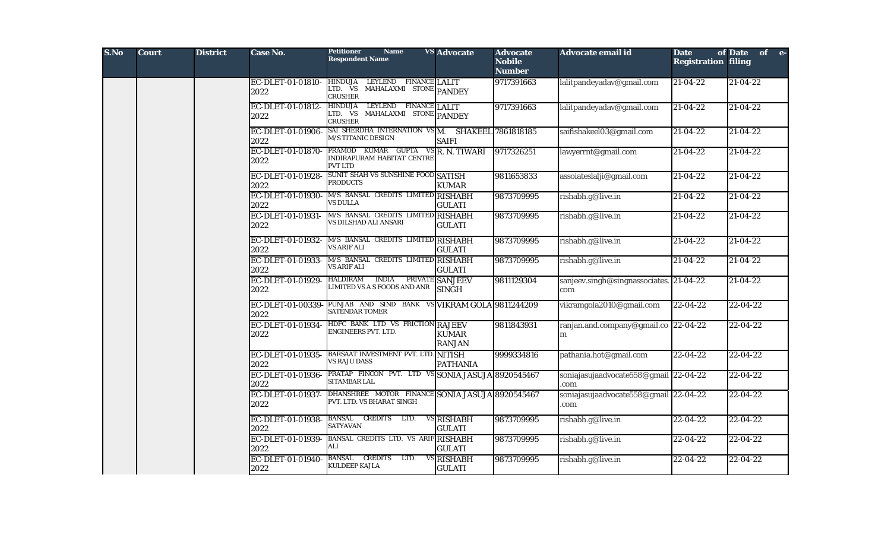| S.No | <b>Court</b> | <b>District</b> | Case No.                  | <b>Petitioner</b><br><b>Name</b><br><b>Respondent Name</b>                                  | <b>VS</b> Advocate              | <b>Advocate</b><br><b>Nobile</b><br><b>Number</b> | Advocate email id                              | <b>Date</b><br><b>Registration filing</b> | of Date of e-  |
|------|--------------|-----------------|---------------------------|---------------------------------------------------------------------------------------------|---------------------------------|---------------------------------------------------|------------------------------------------------|-------------------------------------------|----------------|
|      |              |                 | EC-DLET-01-01810-<br>2022 | <b>HINDUJA</b><br>LEYLEND FINANCE LALIT<br>LTD. VS MAHALAXMI STONE PANDEY<br><b>CRUSHER</b> |                                 | 9717391663                                        | lalitpandeyadav@gmail.com                      | 21-04-22                                  | $21 - 04 - 22$ |
|      |              |                 | EC-DLET-01-01812-<br>2022 | LEYLEND FINANCE LALIT<br>HINDUJA<br>LTD. VS MAHALAXMI STONE PANDEY<br><b>CRUSHER</b>        |                                 | 9717391663                                        | lalitpandeyadav@gmail.com                      | $21 - 04 - 22$                            | $21 - 04 - 22$ |
|      |              |                 | EC-DLET-01-01906-<br>2022 | SAI SHERDHA INTERNATION VSM. SHAKEEL 7861818185<br><b>M/S TITANIC DESIGN</b>                | <b>SAIFI</b>                    |                                                   | saifishakeel03@gmail.com                       | $21 - 04 - 22$                            | $21 - 04 - 22$ |
|      |              |                 | EC-DLET-01-01870-<br>2022 | PRAMOD KUMAR GUPTA VSR. N. TIWARI<br>INDIRAPURAM HABITAT CENTRE<br><b>PVT LTD</b>           |                                 | 9717326251                                        | lawyerrnt@gmail.com                            | 21-04-22                                  | $21 - 04 - 22$ |
|      |              |                 | EC-DLET-01-01928-<br>2022 | <b>SUNIT SHAH VS SUNSHINE FOOD SATISH</b><br><b>PRODUCTS</b>                                | <b>KUMAR</b>                    | 9811653833                                        | assoiateslalji@gmail.com                       | $21 - 04 - 22$                            | $21 - 04 - 22$ |
|      |              |                 | EC-DLET-01-01930-<br>2022 | M/S BANSAL CREDITS LIMITED RISHABH<br><b>VS DULLA</b>                                       | <b>GULATI</b>                   | 9873709995                                        | rishabh.g@live.in                              | 21-04-22                                  | $21 - 04 - 22$ |
|      |              |                 | EC-DLET-01-01931-<br>2022 | M/S BANSAL CREDITS LIMITED RISHABH<br>VS DILSHAD ALI ANSARI                                 | <b>GULATI</b>                   | 9873709995                                        | rishabh.g@live.in                              | $21 - 04 - 22$                            | $21 - 04 - 22$ |
|      |              |                 | EC-DLET-01-01932-<br>2022 | M/S BANSAL CREDITS LIMITED RISHABH<br><b>VS ARIF ALI</b>                                    | <b>GULATI</b>                   | 9873709995                                        | rishabh.g@live.in                              | $21 - 04 - 22$                            | $21 - 04 - 22$ |
|      |              |                 | EC-DLET-01-01933-<br>2022 | M/S BANSAL CREDITS LIMITED RISHABH<br><b>VS ARIF ALI</b>                                    | <b>GULATI</b>                   | 9873709995                                        | rishabh.g@live.in                              | 21-04-22                                  | $21 - 04 - 22$ |
|      |              |                 | EC-DLET-01-01929-<br>2022 | <b>INDIA</b><br><b>HALDIRAM</b><br>LIMITED VS A S FOODS AND ANR                             | PRIVATE SANJEEV<br><b>SINGH</b> | 9811129304                                        | sanjeev.singh@singnassociates. 21-04-22<br>com |                                           | $21 - 04 - 22$ |
|      |              |                 | EC-DLET-01-00339-<br>2022 | PUNJAB AND SIND BANK VS VIKRAM GOLA 9811244209<br><b>SATENDAR TOMER</b>                     |                                 |                                                   | vikramgola2010@gmail.com                       | $22 - 04 - 22$                            | $22 - 04 - 22$ |
|      |              |                 | EC-DLET-01-01934-<br>2022 | HDFC BANK LTD VS FRICTION RAJEEV<br>ENGINEERS PVT. LTD.                                     | <b>KUMAR</b><br><b>RANJAN</b>   | 9811843931                                        | ranjan.and.company@gmail.co 22-04-22<br>m      |                                           | 22-04-22       |
|      |              |                 | EC-DLET-01-01935-<br>2022 | BARSAAT INVESTMENT PVT. LTD. NITISH<br><b>VS RAJU DASS</b>                                  | <b>PATHANIA</b>                 | 9999334816                                        | pathania.hot@gmail.com                         | 22-04-22                                  | $22 - 04 - 22$ |
|      |              |                 | EC-DLET-01-01936-<br>2022 | PRATAP FINCON PVT. LTD VS SONIA JASUJA 8920545467<br>SITAMBAR LAL                           |                                 |                                                   | soniajasujaadvocate558@gmail 22-04-22<br>com   |                                           | 22-04-22       |
|      |              |                 | EC-DLET-01-01937-<br>2022 | DHANSHREE MOTOR FINANCE SONIA JASUJA 8920545467<br>PVT. LTD. VS BHARAT SINGH                |                                 |                                                   | soniajasujaadvocate558@gmail 22-04-22<br>.com  |                                           | $22 - 04 - 22$ |
|      |              |                 | EC-DLET-01-01938-<br>2022 | BANSAL CREDITS LTD.<br>SATYAVAN                                                             | VS RISHABH<br><b>GULATI</b>     | 9873709995                                        | rishabh.g@live.in                              | 22-04-22                                  | 22-04-22       |
|      |              |                 | EC-DLET-01-01939-<br>2022 | BANSAL CREDITS LTD. VS ARIF RISHABH<br>ALI                                                  | <b>GULATI</b>                   | 9873709995                                        | rishabh.g@live.in                              | $22 - 04 - 22$                            | 22-04-22       |
|      |              |                 | EC-DLET-01-01940-<br>2022 | CREDITS LTD.<br><b>BANSAL</b><br>KULDEEP KAJLA                                              | VS RISHABH<br><b>GULATI</b>     | 9873709995                                        | rishabh.g@live.in                              | 22-04-22                                  | 22-04-22       |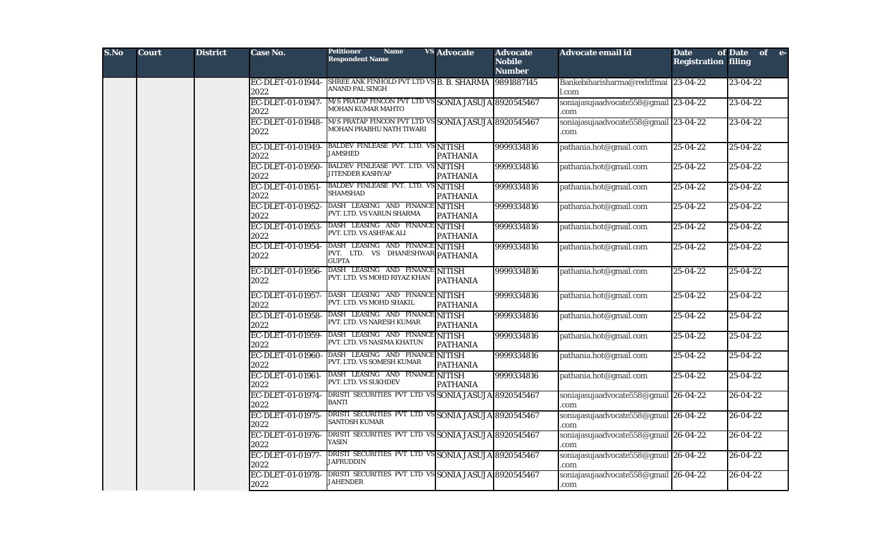| S.No | <b>Court</b> | <b>District</b> | Case No.                  | <b>Name</b><br><b>Petitioner</b><br><b>Respondent Name</b>                          | <b>VS</b> Advocate | <b>Advocate</b><br><b>Nobile</b><br><b>Number</b> | Advocate email id                             | <b>Date</b><br><b>Registration filing</b> | of Date of e-  |
|------|--------------|-----------------|---------------------------|-------------------------------------------------------------------------------------|--------------------|---------------------------------------------------|-----------------------------------------------|-------------------------------------------|----------------|
|      |              |                 | EC-DLET-01-01944-<br>2022 | SHREE ANK FINHOLD PVT LTD VS B. B. SHARMA<br>ANAND PAL SINGH                        |                    | 9891887145                                        | Bankebiharisharma@rediffmai 23-04-22<br>l.com |                                           | $23 - 04 - 22$ |
|      |              |                 | EC-DLET-01-01947-<br>2022 | M/S PRATAP FINCON PVT LTD VS SONIA JASUJA 8920545467<br><b>MOHAN KUMAR MAHTO</b>    |                    |                                                   | soniajasujaadvocate558@gmail 23-04-22<br>com  |                                           | 23-04-22       |
|      |              |                 | EC-DLET-01-01948-<br>2022 | M/S PRATAP FINCON PVT LTD VS SONIA JASUJA 8920545467<br>MOHAN PRABHU NATH TIWARI    |                    |                                                   | soniajasujaadvocate558@gmail 23-04-22<br>com  |                                           | 23-04-22       |
|      |              |                 | EC-DLET-01-01949-<br>2022 | BALDEV FINLEASE PVT. LTD. VS NITISH<br><b>JAMSHED</b>                               | <b>PATHANIA</b>    | 9999334816                                        | pathania.hot@gmail.com                        | $\sqrt{25-04-22}$                         | 25-04-22       |
|      |              |                 | EC-DLET-01-01950-<br>2022 | BALDEV FINLEASE PVT. LTD. VS NITISH<br>JITENDER KASHYAP                             | <b>PATHANIA</b>    | 9999334816                                        | pathania.hot@gmail.com                        | $25 - 04 - 22$                            | $25 - 04 - 22$ |
|      |              |                 | EC-DLET-01-01951-<br>2022 | BALDEV FINLEASE PVT. LTD. VS NITISH<br><b>SHAMSHAD</b>                              | <b>PATHANIA</b>    | 9999334816                                        | pathania.hot@gmail.com                        | $25 - 04 - 22$                            | 25-04-22       |
|      |              |                 | EC-DLET-01-01952-<br>2022 | DASH LEASING AND FINANCE NITISH<br>PVT. LTD. VS VARUN SHARMA                        | <b>PATHANIA</b>    | 9999334816                                        | pathania.hot@gmail.com                        | $25 - 04 - 22$                            | 25-04-22       |
|      |              |                 | EC-DLET-01-01953-<br>2022 | DASH LEASING AND FINANCE NITISH<br>PVT. LTD. VS ASHFAK ALI                          | <b>PATHANIA</b>    | 9999334816                                        | pathania.hot@gmail.com                        | $25 - 04 - 22$                            | $25 - 04 - 22$ |
|      |              |                 | EC-DLET-01-01954-<br>2022 | DASH LEASING AND FINANCE NITISH<br>PVT. LTD. VS DHANESHWAR PATHANIA<br><b>GUPTA</b> |                    | 9999334816                                        | pathania.hot@gmail.com                        | $25 - 04 - 22$                            | 25-04-22       |
|      |              |                 | EC-DLET-01-01956-<br>2022 | DASH LEASING AND FINANCE NITISH<br>PVT. LTD. VS MOHD RIYAZ KHAN                     | <b>PATHANIA</b>    | 9999334816                                        | pathania.hot@gmail.com                        | $25 - 04 - 22$                            | 25-04-22       |
|      |              |                 | EC-DLET-01-01957-<br>2022 | DASH LEASING AND FINANCE NITISH<br>PVT. LTD. VS MOHD SHAKIL                         | <b>PATHANIA</b>    | 9999334816                                        | pathania.hot@gmail.com                        | $25 - 04 - 22$                            | 25-04-22       |
|      |              |                 | EC-DLET-01-01958-<br>2022 | DASH LEASING AND FINANCE NITISH<br>PVT. LTD. VS NARESH KUMAR                        | <b>PATHANIA</b>    | 9999334816                                        | pathania.hot@gmail.com                        | $25 - 04 - 22$                            | $25 - 04 - 22$ |
|      |              |                 | EC-DLET-01-01959-<br>2022 | DASH LEASING AND FINANCE NITISH<br>PVT. LTD. VS NASIMA KHATUN                       | <b>PATHANIA</b>    | 9999334816                                        | pathania.hot@gmail.com                        | $25 - 04 - 22$                            | 25-04-22       |
|      |              |                 | EC-DLET-01-01960-<br>2022 | DASH LEASING AND FINANCE NITISH<br>PVT. LTD. VS SOMESH KUMAR                        | <b>PATHANIA</b>    | 9999334816                                        | pathania.hot@gmail.com                        | 25-04-22                                  | 25-04-22       |
|      |              |                 | EC-DLET-01-01961-<br>2022 | DASH LEASING AND FINANCE NITISH<br>PVT. LTD. VS SUKHDEV                             | <b>PATHANIA</b>    | 9999334816                                        | pathania.hot@gmail.com                        | 25-04-22                                  | 25-04-22       |
|      |              |                 | EC-DLET-01-01974-<br>2022 | DRISTI SECURITIES PVT LTD VS SONIA JASUJA 8920545467<br><b>BANTI</b>                |                    |                                                   | soniajasujaadvocate558@gmail 26-04-22<br>com  |                                           | $26 - 04 - 22$ |
|      |              |                 | EC-DLET-01-01975-<br>2022 | DRISTI SECURITIES PVT LTD VS SONIA JASUJA 8920545467<br><b>SANTOSH KUMAR</b>        |                    |                                                   | soniajasujaadvocate558@gmail 26-04-22<br>com  |                                           | 26-04-22       |
|      |              |                 | EC-DLET-01-01976-<br>2022 | DRISTI SECURITIES PVT LTD VS SONIA JASUJA 8920545467<br>YASIN                       |                    |                                                   | soniajasujaadvocate558@gmail 26-04-22<br>.com |                                           | $26 - 04 - 22$ |
|      |              |                 | EC-DLET-01-01977-<br>2022 | DRISTI SECURITIES PVT LTD VS SONIA JASUJA 8920545467<br><b>JAFRUDDIN</b>            |                    |                                                   | soniajasujaadvocate558@gmail 26-04-22<br>com  |                                           | $26 - 04 - 22$ |
|      |              |                 | EC-DLET-01-01978-<br>2022 | DRISTI SECURITIES PVT LTD VS SONIA JASUJA 8920545467<br><b>JAHENDER</b>             |                    |                                                   | soniajasujaadvocate558@gmail 26-04-22<br>.com |                                           | $26 - 04 - 22$ |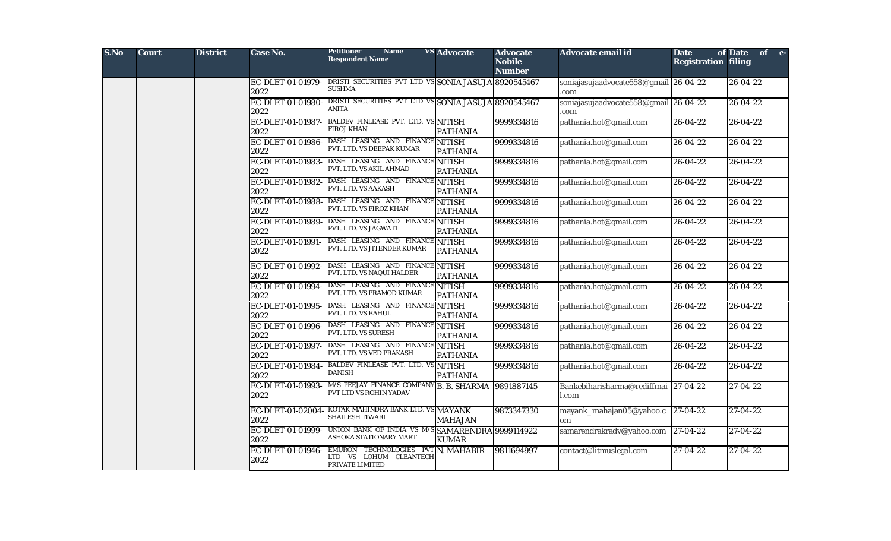| S.No | <b>Court</b> | <b>District</b> | Case No.                  | Petitioner<br><b>Name</b><br><b>Respondent Name</b>                            | <b>VS Advocate</b>               | <b>Advocate</b><br><b>Nobile</b><br><b>Number</b> | Advocate email id                             | <b>Date</b><br><b>Registration filing</b> | of Date of e-  |
|------|--------------|-----------------|---------------------------|--------------------------------------------------------------------------------|----------------------------------|---------------------------------------------------|-----------------------------------------------|-------------------------------------------|----------------|
|      |              |                 | EC-DLET-01-01979-<br>2022 | DRISTI SECURITIES PVT LTD VS SONIA JASUJA 8920545467<br><b>SUSHMA</b>          |                                  |                                                   | soniajasujaadvocate558@gmail 26-04-22<br>com  |                                           | 26-04-22       |
|      |              |                 | EC-DLET-01-01980-<br>2022 | DRISTI SECURITIES PVT LTD VS SONIA JASUJA 8920545467<br>ANITA                  |                                  |                                                   | soniajasujaadvocate558@gmail 26-04-22<br>com  |                                           | $26 - 04 - 22$ |
|      |              |                 | EC-DLET-01-01987-<br>2022 | <b>BALDEV FINLEASE PVT. LTD. VS NITISH</b><br>FIROJ KHAN                       | <b>PATHANIA</b>                  | 9999334816                                        | pathania.hot@gmail.com                        | $26 - 04 - 22$                            | $26 - 04 - 22$ |
|      |              |                 | EC-DLET-01-01986-<br>2022 | DASH LEASING AND FINANCE NITISH<br>PVT. LTD. VS DEEPAK KUMAR                   | <b>PATHANIA</b>                  | 9999334816                                        | pathania.hot@gmail.com                        | $26 - 04 - 22$                            | $26 - 04 - 22$ |
|      |              |                 | EC-DLET-01-01983-<br>2022 | DASH LEASING AND FINANCE NITISH<br>PVT. LTD. VS AKIL AHMAD                     | <b>PATHANIA</b>                  | 9999334816                                        | pathania.hot@gmail.com                        | 26-04-22                                  | 26-04-22       |
|      |              |                 | EC-DLET-01-01982-<br>2022 | DASH LEASING AND FINANCE NITISH<br>PVT. LTD. VS AAKASH                         | <b>PATHANIA</b>                  | 9999334816                                        | pathania.hot@gmail.com                        | $26 - 04 - 22$                            | $26 - 04 - 22$ |
|      |              |                 | EC-DLET-01-01988-<br>2022 | DASH LEASING AND FINANCE NITISH<br>PVT. LTD. VS FIROZ KHAN                     | <b>PATHANIA</b>                  | 9999334816                                        | pathania.hot@gmail.com                        | $26 - 04 - 22$                            | $26 - 04 - 22$ |
|      |              |                 | EC-DLET-01-01989-<br>2022 | DASH LEASING AND FINANCE NITISH<br>PVT. LTD. VS JAGWATI                        | <b>PATHANIA</b>                  | 9999334816                                        | pathania.hot@gmail.com                        | $26 - 04 - 22$                            | $26 - 04 - 22$ |
|      |              |                 | EC-DLET-01-01991-<br>2022 | DASH LEASING AND FINANCE<br>PVT. LTD. VS JITENDER KUMAR                        | <b>NITISH</b><br><b>PATHANIA</b> | 9999334816                                        | pathania.hot@gmail.com                        | 26-04-22                                  | 26-04-22       |
|      |              |                 | EC-DLET-01-01992-<br>2022 | DASH LEASING AND FINANCE NITISH<br>PVT. LTD. VS NAQUI HALDER                   | <b>PATHANIA</b>                  | 9999334816                                        | pathania.hot@gmail.com                        | $26 - 04 - 22$                            | 26-04-22       |
|      |              |                 | EC-DLET-01-01994-<br>2022 | DASH LEASING AND FINANCE NITISH<br>PVT. LTD. VS PRAMOD KUMAR                   | <b>PATHANIA</b>                  | 9999334816                                        | pathania.hot@gmail.com                        | $26 - 04 - 22$                            | $26 - 04 - 22$ |
|      |              |                 | EC-DLET-01-01995-<br>2022 | DASH LEASING AND FINANCE NITISH<br>PVT. LTD. VS RAHUL                          | <b>PATHANIA</b>                  | 9999334816                                        | pathania.hot@gmail.com                        | $26 - 04 - 22$                            | $26 - 04 - 22$ |
|      |              |                 | EC-DLET-01-01996-<br>2022 | DASH LEASING AND FINANCE NITISH<br>PVT. LTD. VS SURESH                         | <b>PATHANIA</b>                  | 9999334816                                        | pathania.hot@gmail.com                        | 26-04-22                                  | 26-04-22       |
|      |              |                 | EC-DLET-01-01997-<br>2022 | DASH LEASING AND FINANCE NITISH<br>PVT. LTD. VS VED PRAKASH                    | <b>PATHANIA</b>                  | 9999334816                                        | pathania.hot@gmail.com                        | 26-04-22                                  | $26 - 04 - 22$ |
|      |              |                 | EC-DLET-01-01984-<br>2022 | BALDEV FINLEASE PVT. LTD. VS NITISH<br><b>DANISH</b>                           | <b>PATHANIA</b>                  | 9999334816                                        | pathania.hot@gmail.com                        | $26 - 04 - 22$                            | $26 - 04 - 22$ |
|      |              |                 | EC-DLET-01-01993-<br>2022 | M/S PEEJAY FINANCE COMPANY B. B. SHARMA<br>PVT LTD VS ROHIN YADAV              |                                  | 9891887145                                        | Bankebiharisharma@rediffmai 27-04-22<br>l.com |                                           | 27-04-22       |
|      |              |                 | EC-DLET-01-02004-<br>2022 | KOTAK MAHINDRA BANK LTD. VS MAYANK<br>SHAILESH TIWARI                          | <b>MAHAJAN</b>                   | 9873347330                                        | mayank_mahajan05@yahoo.c<br>om                | $ 27-04-22 $                              | 27-04-22       |
|      |              |                 | EC-DLET-01-01999-<br>2022 | UNION BANK OF INDIA VS M/S SAMARENDRA 9999114922<br>ASHOKA STATIONARY MART     | <b>KUMAR</b>                     |                                                   | samarendrakradv@yahoo.com                     | $27-04-22$                                | 27-04-22       |
|      |              |                 | EC-DLET-01-01946-<br>2022 | EMURON TECHNOLOGIES PVT N. MAHABIR<br>TD VS LOHUM CLEANTECH<br>PRIVATE LIMITED |                                  | 9811694997                                        | contact@litmuslegal.com                       | $27-04-22$                                | $27 - 04 - 22$ |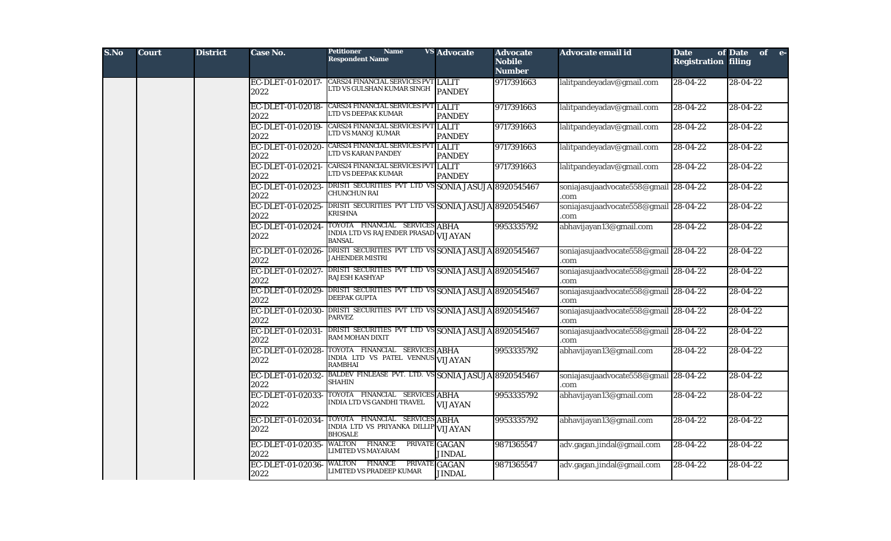| S.No | <b>Court</b> | <b>District</b> | Case No.                  | <b>Name</b><br><b>Petitioner</b><br><b>Respondent Name</b>                               | <b>VS Advocate</b>             | <b>Advocate</b><br><b>Nobile</b><br><b>Number</b> | Advocate email id                             | <b>Date</b><br><b>Registration filing</b> | of Date<br>of e- |
|------|--------------|-----------------|---------------------------|------------------------------------------------------------------------------------------|--------------------------------|---------------------------------------------------|-----------------------------------------------|-------------------------------------------|------------------|
|      |              |                 | EC-DLET-01-02017-<br>2022 | CARS24 FINANCIAL SERVICES PVT LALIT<br>LTD VS GULSHAN KUMAR SINGH                        | <b>PANDEY</b>                  | 9717391663                                        | lalitpandeyadav@gmail.com                     | 28-04-22                                  | 28-04-22         |
|      |              |                 | EC-DLET-01-02018-<br>2022 | <b>CARS24 FINANCIAL SERVICES PVT LALIT</b><br>LTD VS DEEPAK KUMAR                        | <b>PANDEY</b>                  | 9717391663                                        | lalitpandeyadav@gmail.com                     | 28-04-22                                  | 28-04-22         |
|      |              |                 | EC-DLET-01-02019-<br>2022 | <b>CARS24 FINANCIAL SERVICES PVT LALIT</b><br>TD VS MANOJ KUMAR                          | <b>PANDEY</b>                  | 9717391663                                        | lalitpandeyadav@gmail.com                     | $28-04-22$                                | 28-04-22         |
|      |              |                 | EC-DLET-01-02020-<br>2022 | <b>CARS24 FINANCIAL SERVICES PVT LALIT</b><br>LTD VS KARAN PANDEY                        | <b>PANDEY</b>                  | 9717391663                                        | lalitpandeyadav@gmail.com                     | 28-04-22                                  | 28-04-22         |
|      |              |                 | EC-DLET-01-02021-<br>2022 | CARS24 FINANCIAL SERVICES PVT LALIT<br>LTD VS DEEPAK KUMAR                               | <b>PANDEY</b>                  | 9717391663                                        | lalitpandeyadav@gmail.com                     | $28-04-22$                                | 28-04-22         |
|      |              |                 | EC-DLET-01-02023-<br>2022 | DRISTI SECURITIES PVT LTD VS SONIA JASUJA 8920545467<br><b>CHUNCHUN RAI</b>              |                                |                                                   | soniajasujaadvocate558@gmail 28-04-22<br>.com |                                           | $28 - 04 - 22$   |
|      |              |                 | EC-DLET-01-02025-<br>2022 | DRISTI SECURITIES PVT LTD VS SONIA JASUJA 8920545467<br>KRISHNA                          |                                |                                                   | soniajasujaadvocate558@gmail 28-04-22<br>.com |                                           | $28 - 04 - 22$   |
|      |              |                 | EC-DLET-01-02024-<br>2022 | TOYOTA FINANCIAL SERVICES ABHA<br>INDIA LTD VS RAJENDER PRASAD VIJAYAN<br><b>BANSAL</b>  |                                | 9953335792                                        | abhavijayan13@gmail.com                       | $28-04-22$                                | 28-04-22         |
|      |              |                 | EC-DLET-01-02026-<br>2022 | DRISTI SECURITIES PVT LTD VS SONIA JASUJA 8920545467<br><b>JAHENDER MISTRI</b>           |                                |                                                   | soniajasujaadvocate558@gmail 28-04-22<br>.com |                                           | 28-04-22         |
|      |              |                 | EC-DLET-01-02027-<br>2022 | DRISTI SECURITIES PVT LTD VS SONIA JASUJA 8920545467<br>RAJESH KASHYAP                   |                                |                                                   | soniajasujaadvocate558@gmail 28-04-22<br>.com |                                           | 28-04-22         |
|      |              |                 | EC-DLET-01-02029-<br>2022 | DRISTI SECURITIES PVT LTD VS SONIA JASUJA 8920545467<br>DEEPAK GUPTA                     |                                |                                                   | soniajasujaadvocate558@gmail 28-04-22<br>.com |                                           | 28-04-22         |
|      |              |                 | EC-DLET-01-02030-<br>2022 | DRISTI SECURITIES PVT LTD VS SONIA JASUJA 8920545467<br><b>PARVEZ</b>                    |                                |                                                   | soniajasujaadvocate558@gmail 28-04-22<br>.com |                                           | 28-04-22         |
|      |              |                 | EC-DLET-01-02031-<br>2022 | DRISTI SECURITIES PVT LTD VS SONIA JASUJA 8920545467<br>RAM MOHAN DIXIT                  |                                |                                                   | soniajasujaadvocate558@gmail 28-04-22<br>com  |                                           | 28-04-22         |
|      |              |                 | EC-DLET-01-02028-<br>2022 | TOYOTA FINANCIAL SERVICES ABHA<br>INDIA LTD VS PATEL VENNUS VIJAYAN<br><b>RAMBHAI</b>    |                                | 9953335792                                        | abhavijayan13@gmail.com                       | 28-04-22                                  | 28-04-22         |
|      |              |                 | EC-DLET-01-02032-<br>2022 | BALDEV FINLEASE PVT. LTD. VS SONIA JASUJA 8920545467<br><b>SHAHIN</b>                    |                                |                                                   | soniajasujaadvocate558@gmail 28-04-22<br>.com |                                           | 28-04-22         |
|      |              |                 | EC-DLET-01-02033-<br>2022 | TOYOTA FINANCIAL SERVICES ABHA<br>INDIA LTD VS GANDHI TRAVEL                             | <b>VIJAYAN</b>                 | 9953335792                                        | abhavijayan13@gmail.com                       | 28-04-22                                  | 28-04-22         |
|      |              |                 | EC-DLET-01-02034<br>2022  | TOYOTA FINANCIAL SERVICES ABHA<br>INDIA LTD VS PRIYANKA DILLIP VIJAYAN<br><b>BHOSALE</b> |                                | 9953335792                                        | abhavijayan13@gmail.com                       | $28-04-22$                                | 28-04-22         |
|      |              |                 | EC-DLET-01-02035-<br>2022 | <b>FINANCE</b><br><b>WALTON</b><br><b>LIMITED VS MAYARAM</b>                             | PRIVATE GAGAN<br><b>JINDAL</b> | 9871365547                                        | adv.gagan.jindal@gmail.com                    | $28 - 04 - 22$                            | 28-04-22         |
|      |              |                 | EC-DLET-01-02036-<br>2022 | <b>FINANCE</b><br>PRIVATE GAGAN<br>WALTON<br>LIMITED VS PRADEEP KUMAR                    | <b>JINDAL</b>                  | 9871365547                                        | adv.gagan.jindal@gmail.com                    | 28-04-22                                  | 28-04-22         |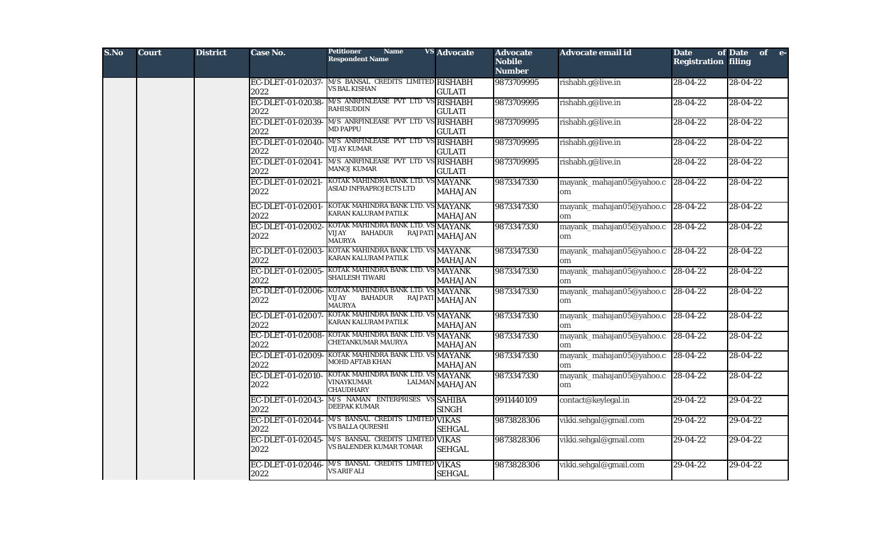| S.No | <b>Court</b> | <b>District</b> | Case No.                  | <b>Petitioner</b><br><b>Name</b><br><b>Respondent Name</b>                            | <b>VS Advocate</b>              | <b>Advocate</b><br><b>Nobile</b><br><b>Number</b> | Advocate email id              | <b>Date</b><br><b>Registration filing</b> | of Date<br>of e- |
|------|--------------|-----------------|---------------------------|---------------------------------------------------------------------------------------|---------------------------------|---------------------------------------------------|--------------------------------|-------------------------------------------|------------------|
|      |              |                 | EC-DLET-01-02037-<br>2022 | M/S BANSAL CREDITS LIMITED RISHABH<br>VS BAL KISHAN                                   | <b>GULATI</b>                   | 9873709995                                        | rishabh.g@live.in              | 28-04-22                                  | 28-04-22         |
|      |              |                 | EC-DLET-01-02038-<br>2022 | M/S ANRFINLEASE PVT LTD VS RISHABH<br><b>RAHISUDDIN</b>                               | <b>GULATI</b>                   | 9873709995                                        | rishabh.g@live.in              | 28-04-22                                  | 28-04-22         |
|      |              |                 | EC-DLET-01-02039-<br>2022 | M/S ANRFINLEASE PVT LTD VS RISHABH<br><b>MD PAPPU</b>                                 | <b>GULATI</b>                   | 9873709995                                        | rishabh.g@live.in              | 28-04-22                                  | 28-04-22         |
|      |              |                 | EC-DLET-01-02040-<br>2022 | M/S ANRFINLEASE PVT LTD VS<br><b>VIJAY KUMAR</b>                                      | <b>RISHABH</b><br><b>GULATI</b> | 9873709995                                        | rishabh.g@live.in              | 28-04-22                                  | 28-04-22         |
|      |              |                 | EC-DLET-01-02041-<br>2022 | M/S ANRFINLEASE PVT LTD VS RISHABH<br><b>MANOJ KUMAR</b>                              | <b>GULATI</b>                   | 9873709995                                        | rishabh.g@live.in              | $28-04-22$                                | $28 - 04 - 22$   |
|      |              |                 | EC-DLET-01-02021-<br>2022 | KOTAK MAHINDRA BANK LTD. VS MAYANK<br><b>ASIAD INFRAPROJECTS LTD</b>                  | <b>MAHAJAN</b>                  | 9873347330                                        | mayank_mahajan05@yahoo.c<br>om | 28-04-22                                  | 28-04-22         |
|      |              |                 | EC-DLET-01-02001-<br>2022 | KOTAK MAHINDRA BANK LTD. VS MAYANK<br>KARAN KALURAM PATILK                            | <b>MAHAJAN</b>                  | 9873347330                                        | mayank_mahajan05@yahoo.c<br>om | $28 - 04 - 22$                            | $28 - 04 - 22$   |
|      |              |                 | EC-DLET-01-02002-<br>2022 | KOTAK MAHINDRA BANK LTD. VS MAYANK<br><b>BAHADUR</b><br>VIJAY<br><b>MAURYA</b>        | RAJPATI MAHAJAN                 | 9873347330                                        | mayank_mahajan05@yahoo.c<br>om | $28-04-22$                                | 28-04-22         |
|      |              |                 | EC-DLET-01-02003-<br>2022 | KOTAK MAHINDRA BANK LTD. VS MAYANK<br>KARAN KALURAM PATILK                            | <b>MAHAJAN</b>                  | 9873347330                                        | mayank_mahajan05@yahoo.c<br>om | 28-04-22                                  | 28-04-22         |
|      |              |                 | EC-DLET-01-02005-<br>2022 | KOTAK MAHINDRA BANK LTD. VS MAYANK<br><b>SHAILESH TIWARI</b>                          | <b>MAHAJAN</b>                  | 9873347330                                        | mayank_mahajan05@yahoo.c<br>om | $28-04-22$                                | 28-04-22         |
|      |              |                 | EC-DLET-01-02006-<br>2022 | KOTAK MAHINDRA BANK LTD. VS MAYANK<br><b>BAHADUR</b><br>VIJAY<br><b>MAURYA</b>        | RAJPATI MAHAJAN                 | 9873347330                                        | mayank_mahajan05@yahoo.c<br>om | 28-04-22                                  | 28-04-22         |
|      |              |                 | EC-DLET-01-02007-<br>2022 | KOTAK MAHINDRA BANK LTD. VS MAYANK<br>KARAN KALURAM PATILK                            | <b>MAHAJAN</b>                  | 9873347330                                        | mayank_mahajan05@yahoo.c<br>om | $28 - 04 - 22$                            | 28-04-22         |
|      |              |                 | EC-DLET-01-02008-<br>2022 | KOTAK MAHINDRA BANK LTD. VS MAYANK<br>CHETANKUMAR MAURYA                              | <b>MAHAJAN</b>                  | 9873347330                                        | mayank_mahajan05@yahoo.c<br>om | $28 - 04 - 22$                            | 28-04-22         |
|      |              |                 | EC-DLET-01-02009-<br>2022 | KOTAK MAHINDRA BANK LTD. VS<br>MOHD AFTAB KHAN                                        | <b>MAYANK</b><br><b>MAHAJAN</b> | 9873347330                                        | mayank_mahajan05@yahoo.c<br>om | 28-04-22                                  | 28-04-22         |
|      |              |                 | EC-DLET-01-02010-<br>2022 | KOTAK MAHINDRA BANK LTD. VS MAYANK<br>VINAYKUMAR<br><b>LALMAN</b><br><b>CHAUDHARY</b> | <b>MAHAJAN</b>                  | 9873347330                                        | mayank_mahajan05@yahoo.c<br>om | 28-04-22                                  | 28-04-22         |
|      |              |                 | EC-DLET-01-02043-<br>2022 | M/S NAMAN ENTERPRISES VS SAHIBA<br><b>DEEPAK KUMAR</b>                                | <b>SINGH</b>                    | 9911440109                                        | contact@keylegal.in            | 29-04-22                                  | 29-04-22         |
|      |              |                 | EC-DLET-01-02044<br>2022  | M/S BANSAL CREDITS LIMITED VIKAS<br>VS BALLA QURESHI                                  | <b>SEHGAL</b>                   | 9873828306                                        | vikki.sehgal@gmail.com         | $29-04-22$                                | 29-04-22         |
|      |              |                 | EC-DLET-01-02045-<br>2022 | M/S BANSAL CREDITS LIMITED VIKAS<br>VS BALENDER KUMAR TOMAR                           | <b>SEHGAL</b>                   | 9873828306                                        | vikki.sehgal@gmail.com         | $29-04-22$                                | 29-04-22         |
|      |              |                 | EC-DLET-01-02046-<br>2022 | M/S BANSAL CREDITS LIMITED VIKAS<br><b>VS ARIF ALI</b>                                | <b>SEHGAL</b>                   | 9873828306                                        | vikki.sehgal@gmail.com         | 29-04-22                                  | 29-04-22         |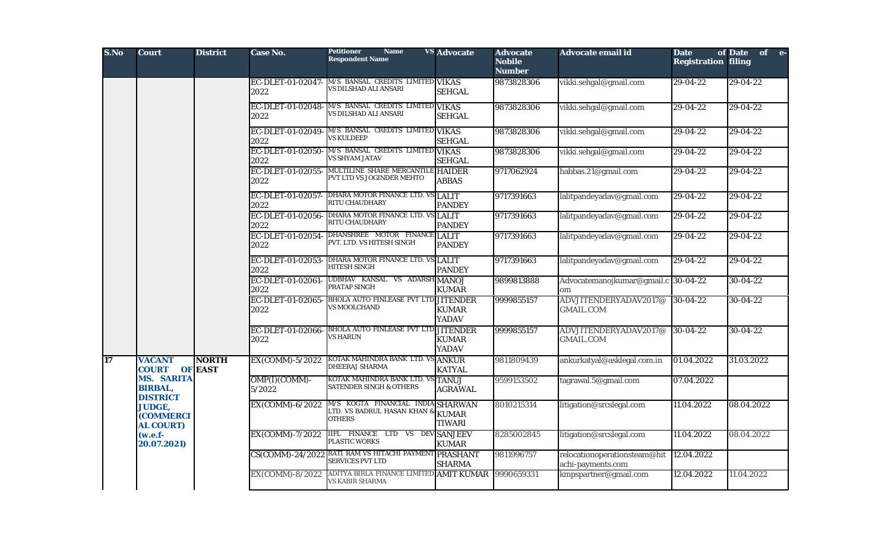| S.No | <b>Court</b>                                           | <b>District</b>                | Case No.                  | <b>Petitioner</b><br><b>Name</b><br><b>Respondent Name</b>                                 | <b>VS</b> Advocate           | <b>Advocate</b><br><b>Nobile</b><br><b>Number</b> | Advocate email id                                 | <b>Date</b><br><b>Registration filing</b> | of Date<br>of e- |
|------|--------------------------------------------------------|--------------------------------|---------------------------|--------------------------------------------------------------------------------------------|------------------------------|---------------------------------------------------|---------------------------------------------------|-------------------------------------------|------------------|
|      |                                                        |                                | EC-DLET-01-02047-<br>2022 | M/S BANSAL CREDITS LIMITED VIKAS<br>VS DILSHAD ALI ANSARI                                  | <b>SEHGAL</b>                | 9873828306                                        | vikki.sehgal@gmail.com                            | 29-04-22                                  | 29-04-22         |
|      |                                                        |                                | EC-DLET-01-02048-<br>2022 | M/S BANSAL CREDITS LIMITED VIKAS<br>VS DILSHAD ALI ANSARI                                  | <b>SEHGAL</b>                | 9873828306                                        | vikki.sehgal@gmail.com                            | 29-04-22                                  | 29-04-22         |
|      |                                                        |                                | EC-DLET-01-02049-<br>2022 | M/S BANSAL CREDITS LIMITED VIKAS<br><b>VS KULDEEP</b>                                      | <b>SEHGAL</b>                | 9873828306                                        | vikki.sehgal@gmail.com                            | 29-04-22                                  | $29 - 04 - 22$   |
|      |                                                        |                                | EC-DLET-01-02050-<br>2022 | M/S BANSAL CREDITS LIMITED VIKAS<br><b>VS SHYAM JATAV</b>                                  | <b>SEHGAL</b>                | 9873828306                                        | vikki.sehgal@gmail.com                            | $29-04-22$                                | $29 - 04 - 22$   |
|      |                                                        |                                | EC-DLET-01-02055-<br>2022 | MULTILINE SHARE MERCANTILE HAIDER<br>PVT LTD VS JOGINDER MEHTO                             | <b>ABBAS</b>                 | 9717062924                                        | habbas.21@gmail.com                               | $29-04-22$                                | $29-04-22$       |
|      |                                                        |                                | 2022                      | EC-DLET-01-02057- DHARA MOTOR FINANCE LTD. VS LALIT<br><b>RITU CHAUDHARY</b>               | <b>PANDEY</b>                | 9717391663                                        | lalitpandeyadav@gmail.com                         | 29-04-22                                  | $29-04-22$       |
|      |                                                        |                                | EC-DLET-01-02056-<br>2022 | DHARA MOTOR FINANCE LTD. VS LALIT<br>RITU CHAUDHARY                                        | <b>PANDEY</b>                | 9717391663                                        | lalitpandeyadav@gmail.com                         | $29-04-22$                                | $29-04-22$       |
|      |                                                        |                                | EC-DLET-01-02054-<br>2022 | DHANSHREE MOTOR FINANCE LALIT<br>PVT. LTD. VS HITESH SINGH                                 | <b>PANDEY</b>                | 9717391663                                        | lalitpandeyadav@gmail.com                         | $29-04-22$                                | $29-04-22$       |
|      |                                                        |                                | EC-DLET-01-02053-<br>2022 | DHARA MOTOR FINANCE LTD. VS LALIT<br><b>HITESH SINGH</b>                                   | <b>PANDEY</b>                | 9717391663                                        | lalitpandeyadav@gmail.com                         | 29-04-22                                  | 29-04-22         |
|      |                                                        |                                | EC-DLET-01-02061-<br>2022 | UDBHAV KANSAL VS ADARSH MANOJ<br>PRATAP SINGH                                              | <b>KUMAR</b>                 | 9899813888                                        | Advocatemanojkumar@gmail.c 30-04-22<br>om         |                                           | $30 - 04 - 22$   |
|      |                                                        |                                | EC-DLET-01-02065-<br>2022 | <b>BHOLA AUTO FINLEASE PVT LTD JITENDER</b><br><b>VS MOOLCHAND</b>                         | <b>KUMAR</b><br><b>YADAV</b> | 9999855157                                        | ADVJITENDERYADAV2017@<br><b>GMAIL.COM</b>         | $30-04-22$                                | $30 - 04 - 22$   |
|      |                                                        |                                | EC-DLET-01-02066-<br>2022 | <b>BHOLA AUTO FINLEASE PVT LTD JITENDER</b><br>VS HARUN                                    | <b>KUMAR</b><br><b>YADAV</b> | 9999855157                                        | ADVJITENDERYADAV2017@<br><b>GMAIL.COM</b>         | $30-04-22$                                | $30 - 04 - 22$   |
| 17   | <b>VACANT</b><br><b>COURT</b>                          | <b>NORTH</b><br><b>OF EAST</b> | EX(COMM)-5/2022           | KOTAK MAHINDRA BANK LTD. VS ANKUR<br>DHEERAJ SHARMA                                        | <b>KATYAL</b>                | 9811809439                                        | ankurkatyal@asklegal.com.in                       | 01.04.2022                                | 31.03.2022       |
|      | <b>MS. SARITA</b><br><b>BIRBAL,</b><br><b>DISTRICT</b> |                                | OMP(I)(COMM)-<br>5/2022   | KOTAK MAHINDRA BANK LTD. VS TANUJ<br><b>SATENDER SINGH &amp; OTHERS</b>                    | <b>AGRAWAL</b>               | 9599153502                                        | tagrawal.5@gmail.com                              | 07.04.2022                                |                  |
|      | <b>JUDGE,</b><br><b>(COMMERCI</b><br><b>AL COURT)</b>  |                                | EX(COMM)-6/2022           | M/S KOGTA FINANCIAL INDIA SHARWAN<br>LTD. VS BADRUL HASAN KHAN $\&$ KUMAR<br><b>OTHERS</b> | <b>TIWARI</b>                | 8010215314                                        | litigation@srcslegal.com                          | 11.04.2022                                | 08.04.2022       |
|      | $(w.e.f-$<br>20.07.2021)                               |                                | EX(COMM)-7/2022           | <b>IIFL FINANCE LTD VS DEV SANJEEV</b><br>PLASTIC WORKS                                    | <b>KUMAR</b>                 | 8285002845                                        | litigation@srcslegal.com                          | 11.04.2022                                | 08.04.2022       |
|      |                                                        |                                | CS(COMM)-24/2022          | RATI RAM VS HITACHI PAYMENT PRASHANT<br><b>SERVICES PVT LTD</b>                            | <b>SHARMA</b>                | 9811996757                                        | relocationoperationsteam@hit<br>achi-payments.com | 12.04.2022                                |                  |
|      |                                                        |                                | EX(COMM)-8/2022           | ADITYA BIRLA FINANCE LIMITED AMIT KUMAR<br><b>VS KABIR SHARMA</b>                          |                              | 9990659331                                        | kmpspartner@gmail.com                             | 12.04.2022                                | 11.04.2022       |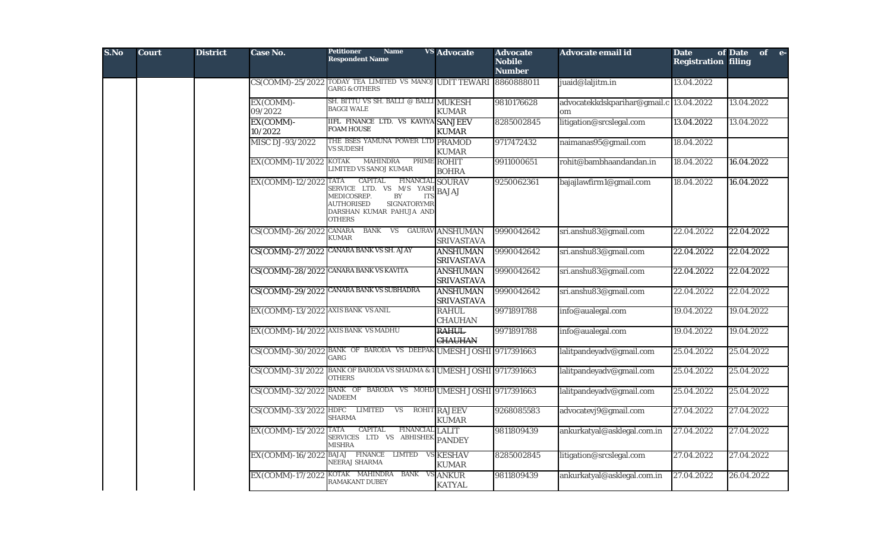| S.No | <b>Court</b> | <b>District</b> | <b>Case No.</b>                     | <b>Petitioner</b><br><b>Name</b><br><b>Respondent Name</b>                                                                                                                                       | <b>VS</b> Advocate                   | <b>Advocate</b><br><b>Nobile</b><br><b>Number</b> | Advocate email id                             | <b>Date</b><br><b>Registration filing</b> | of Date of e- |
|------|--------------|-----------------|-------------------------------------|--------------------------------------------------------------------------------------------------------------------------------------------------------------------------------------------------|--------------------------------------|---------------------------------------------------|-----------------------------------------------|-------------------------------------------|---------------|
|      |              |                 |                                     | CS(COMM)-25/2022 TODAY TEA LIMITED VS MANOJ UDIT TEWARI 8860888011<br><b>GARG &amp; OTHERS</b>                                                                                                   |                                      |                                                   | juaid@laljitm.in                              | 13.04.2022                                |               |
|      |              |                 | EX(COMM)-<br>09/2022                | SH. BITTU VS SH. BALLI @ BALLI MUKESH<br><b>BAGGI WALE</b>                                                                                                                                       | <b>KUMAR</b>                         | 9810176628                                        | advocatekkdskparihar@gmail.c 13.04.2022<br>om |                                           | 13.04.2022    |
|      |              |                 | EX(COMM)-<br>10/2022                | <b>IIFL FINANCE LTD. VS KAVIYA SANJEEV</b><br><b>FOAM HOUSE</b>                                                                                                                                  | <b>KUMAR</b>                         | 8285002845                                        | litigation@srcslegal.com                      | 13.04.2022                                | 13.04.2022    |
|      |              |                 | MISC DJ-93/2022                     | THE BSES YAMUNA POWER LTD PRAMOD<br><b>VS SUDESH</b>                                                                                                                                             | <b>KUMAR</b>                         | 9717472432                                        | naimanas95@gmail.com                          | 18.04.2022                                |               |
|      |              |                 | EX(COMM)-11/2022                    | <b>MAHINDRA</b><br><b>KOTAK</b><br>LIMITED VS SANOJ KUMAR                                                                                                                                        | PRIME ROHIT<br><b>BOHRA</b>          | 9911000651                                        | rohit@bambhaandandan.in                       | 18.04.2022                                | 16.04.2022    |
|      |              |                 | EX(COMM)-12/2022 TATA               | <b>CAPITAL</b><br><b>FINANCIAL SOURAV</b><br>SERVICE LTD. VS M/S YASH<br>MEDICOSREP.<br>BY<br><b>ITS</b><br><b>AUTHORISED</b><br><b>SIGNATORYMR</b><br>DARSHAN KUMAR PAHUJA AND<br><b>OTHERS</b> | $\left[\right]$ BAJAJ                | 9250062361                                        | bajajlawfirm1@gmail.com                       | 18.04.2022                                | 16.04.2022    |
|      |              |                 | CS(COMM)-26/2022 CANARA             | BANK VS GAURAV ANSHUMAN<br><b>KUMAR</b>                                                                                                                                                          | <b>SRIVASTAVA</b>                    | 9990042642                                        | sri.anshu83@gmail.com                         | 22.04.2022                                | 22.04.2022    |
|      |              |                 |                                     | CS(COMM)-27/2022 CANARA BANK VS SH. AJAY                                                                                                                                                         | <b>ANSHUMAN</b><br><b>SRIVASTAVA</b> | 9990042642                                        | sri.anshu83@gmail.com                         | 22.04.2022                                | 22.04.2022    |
|      |              |                 |                                     | CS(COMM)-28/2022 CANARA BANK VS KAVITA                                                                                                                                                           | <b>ANSHUMAN</b><br><b>SRIVASTAVA</b> | 9990042642                                        | sri.anshu83@gmail.com                         | 22.04.2022                                | 22.04.2022    |
|      |              |                 |                                     | CS(COMM)-29/2022 CANARA BANK VS SUBHADRA                                                                                                                                                         | <b>ANSHUMAN</b><br><b>SRIVASTAVA</b> | 9990042642                                        | sri.anshu83@gmail.com                         | 22.04.2022                                | 22.04.2022    |
|      |              |                 | EX(COMM)-13/2022 AXIS BANK VS ANIL  |                                                                                                                                                                                                  | <b>RAHUL</b><br><b>CHAUHAN</b>       | 9971891788                                        | info@aualegal.com                             | 19.04.2022                                | 19.04.2022    |
|      |              |                 | EX(COMM)-14/2022 AXIS BANK VS MADHU |                                                                                                                                                                                                  | <b>RAHUL</b><br><b>CHAUHAN</b>       | 9971891788                                        | info@aualegal.com                             | 19.04.2022                                | 19.04.2022    |
|      |              |                 |                                     | CS(COMM)-30/2022 BANK OF BARODA VS DEEPAK UMESH JOSHI 9717391663<br>GARG                                                                                                                         |                                      |                                                   | lalitpandeyadv@gmail.com                      | 25.04.2022                                | 25.04.2022    |
|      |              |                 |                                     | CS(COMM)-31/2022 BANK OF BARODA VS SHADMA & 1 UMESH JOSHI 9717391663<br><b>OTHERS</b>                                                                                                            |                                      |                                                   | lalitpandeyadv@gmail.com                      | 25.04.2022                                | 25.04.2022    |
|      |              |                 |                                     | CS(COMM)-32/2022 BANK OF BARODA VS MOHD UMESH JOSHI 9717391663<br><b>NADEEM</b>                                                                                                                  |                                      |                                                   | lalitpandeyadv@gmail.com                      | 25.04.2022                                | 25.04.2022    |
|      |              |                 | CS(COMM)-33/2022 HDFC LIMITED       | <b>VS</b><br><b>SHARMA</b>                                                                                                                                                                       | <b>ROHIT RAJEEV</b><br><b>KUMAR</b>  | 9268085583                                        | advocatevj9@gmail.com                         | 27.04.2022                                | 27.04.2022    |
|      |              |                 | EX(COMM)-15/2022                    | CAPITAL<br><b>TATA</b><br>FINANCIAL LALIT<br>SERVICES LTD VS ABHISHEK PANDEY<br><b>MISHRA</b>                                                                                                    |                                      | 9811809439                                        | ankurkatyal@asklegal.com.in                   | 27.04.2022                                | 27.04.2022    |
|      |              |                 |                                     | EX(COMM)-16/2022 BAJAJ FINANCE LIMTED<br>NEERAJ SHARMA                                                                                                                                           | <b>VS KESHAV</b><br><b>KUMAR</b>     | 8285002845                                        | litigation@srcslegal.com                      | 27.04.2022                                | 27.04.2022    |
|      |              |                 | EX(COMM)-17/2022                    | KOTAK MAHINDRA BANK VS ANKUR<br><b>RAMAKANT DUBEY</b>                                                                                                                                            | <b>KATYAL</b>                        | 9811809439                                        | ankurkatyal@asklegal.com.in                   | 27.04.2022                                | 26.04.2022    |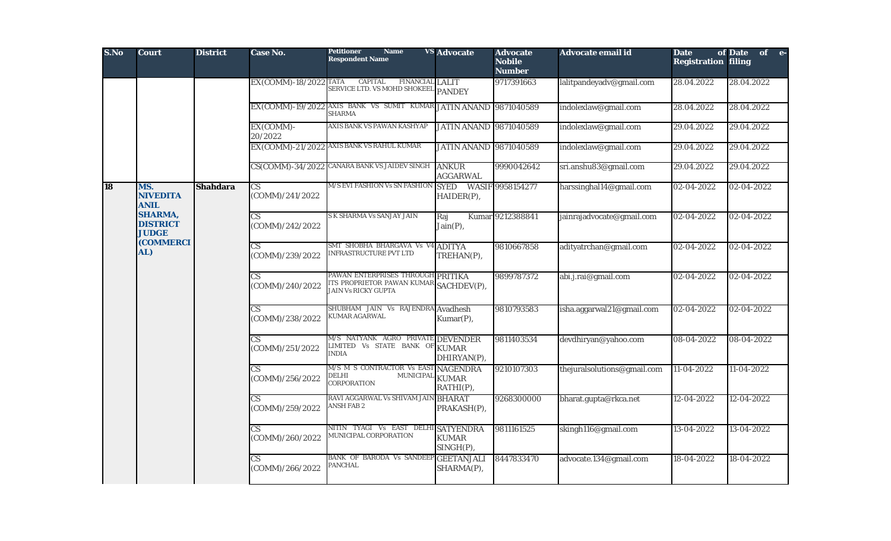| S.No      | <b>Court</b>                                      | <b>District</b> | <b>Case No.</b>                           | <b>Name</b><br><b>Petitioner</b><br><b>Respondent Name</b>                                                       | <b>VS</b> Advocate                  | <b>Advocate</b><br><b>Nobile</b><br><b>Number</b> | Advocate email id           | <b>Date</b><br><b>Registration filing</b> | of Date<br>of e- |
|-----------|---------------------------------------------------|-----------------|-------------------------------------------|------------------------------------------------------------------------------------------------------------------|-------------------------------------|---------------------------------------------------|-----------------------------|-------------------------------------------|------------------|
|           |                                                   |                 | EX(COMM)-18/2022 TATA                     | <b>CAPITAL</b><br><b>FINANCIAL LALIT</b><br>SERVICE LTD. VS MOHD SHOKEEL PANDEY                                  |                                     | 9717391663                                        | lalitpandeyadv@gmail.com    | 28.04.2022                                | 28.04.2022       |
|           |                                                   |                 |                                           | EX(COMM)-19/2022 AXIS BANK VS SUMIT KUMAR<br><b>SHARMA</b>                                                       | <b>JATIN ANAND 9871040589</b>       |                                                   | indolexlaw@gmail.com        | 28.04.2022                                | 28.04.2022       |
|           |                                                   |                 | EX(COMM)-<br>20/2022                      | AXIS BANK VS PAWAN KASHYAP                                                                                       | <b>JATIN ANAND 9871040589</b>       |                                                   | indolexlaw@gmail.com        | 29.04.2022                                | 29.04.2022       |
|           |                                                   |                 |                                           | EX(COMM)-21/2022 AXIS BANK VS RAHUL KUMAR                                                                        | <b>JATIN ANAND 9871040589</b>       |                                                   | indolexlaw@gmail.com        | 29.04.2022                                | 29.04.2022       |
|           |                                                   |                 |                                           | CS(COMM)-34/2022 CANARA BANK VS JAIDEV SINGH                                                                     | <b>ANKUR</b><br><b>AGGARWAL</b>     | 9990042642                                        | sri.anshu83@gmail.com       | 29.04.2022                                | 29.04.2022       |
| <b>18</b> | MS.<br><b>NIVEDITA</b><br><b>ANIL</b>             | <b>Shahdara</b> | $\overline{\text{CS}}$<br>(COMM)/241/2022 | M/S EVI FASHION Vs SN FASHION                                                                                    | SYED WASIF 9958154277<br>HAIDER(P), |                                                   | harssinghal14@gmail.com     | 02-04-2022                                | 02-04-2022       |
|           | <b>SHARMA,</b><br><b>DISTRICT</b><br><b>JUDGE</b> |                 | $\overline{\text{CS}}$<br>(COMM)/242/2022 | S K SHARMA Vs SANJAY JAIN                                                                                        | Raj<br>Join(P),                     | Kumar 9212388841                                  | jainrajadvocate@gmail.com   | 02-04-2022                                | 02-04-2022       |
|           | <b>(COMMERCI</b><br>AL)                           |                 | CS<br>(COMM)/239/2022                     | SMT SHOBHA BHARGAVA Vs V4 ADITYA<br>INFRASTRUCTURE PVT LTD                                                       | TREHAN(P),                          | 9810667858                                        | adityatrchan@gmail.com      | 02-04-2022                                | 02-04-2022       |
|           |                                                   |                 | CS<br>(COMM)/240/2022                     | PAWAN ENTERPRISES THROUGH PRITIKA<br><b>TIS PROPRIETOR PAWAN KUMAR</b> SACHDEV(P),<br><b>JAIN Vs RICKY GUPTA</b> |                                     | 9899787372                                        | abi.j.rai@gmail.com         | 02-04-2022                                | 02-04-2022       |
|           |                                                   |                 | CS<br>(COMM)/238/2022                     | SHUBHAM JAIN Vs RAJENDRA<br>KUMAR AGARWAL                                                                        | <b>Avadhesh</b><br>Kumar(P),        | 9810793583                                        | isha.aggarwal21@gmail.com   | 02-04-2022                                | 02-04-2022       |
|           |                                                   |                 | CS.<br>(COMM)/251/2022                    | M/S NATYANK AGRO PRIVATE DEVENDER<br>LIMITED Vs STATE BANK OF KUMAR<br><b>INDIA</b>                              | DHIRYAN(P),                         | 9811403534                                        | devdhiryan@yahoo.com        | 08-04-2022                                | 08-04-2022       |
|           |                                                   |                 | CS<br>(COMM)/256/2022                     | M/S M S CONTRACTOR Vs EAST NAGENDRA<br>DELHI<br>$\text{MUNICIPAL}$<br><b>CORPORATION</b>                         | <b>KUMAR</b><br>RATHI(P),           | 9210107303                                        | thejuralsolutions@gmail.com | 11-04-2022                                | 11-04-2022       |
|           |                                                   |                 | CS<br>(COMM)/259/2022                     | RAVI AGGARWAL Vs SHIVAM JAIN BHARAT<br>ANSH FAB 2                                                                | PRAKASH(P),                         | 9268300000                                        | bharat.gupta@rkca.net       | 12-04-2022                                | 12-04-2022       |
|           |                                                   |                 | CS.<br>(COMM)/260/2022                    | NITIN TYAGI Vs EAST DELHI SATYENDRA<br>MUNICIPAL CORPORATION                                                     | <b>KUMAR</b><br>SINGH(P),           | 9811161525                                        | skingh116@gmail.com         | 13-04-2022                                | 13-04-2022       |
|           |                                                   |                 | CS<br>(COMM)/266/2022                     | BANK OF BARODA Vs SANDEEP GEETANJALI<br><b>PANCHAL</b>                                                           | SHARMA(P),                          | 8447833470                                        | advocate.134@gmail.com      | 18-04-2022                                | 18-04-2022       |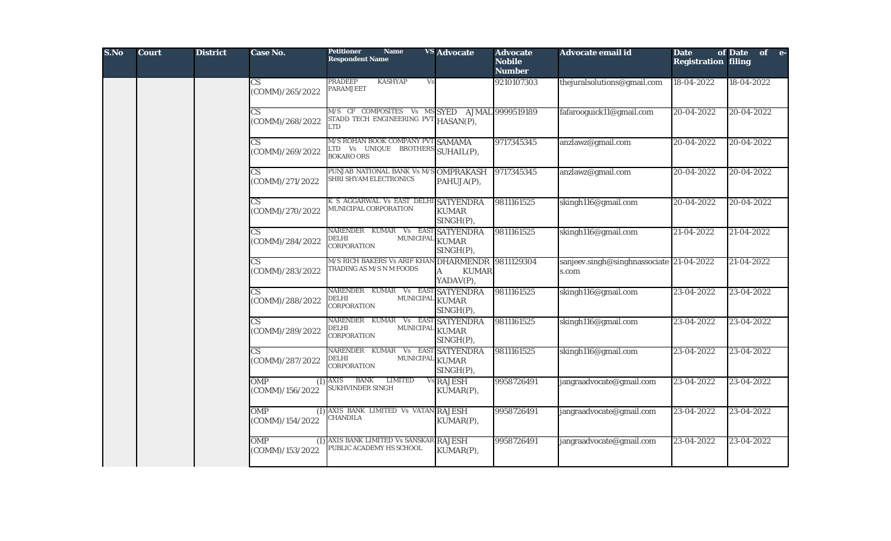| S.No | <b>Court</b> | <b>District</b> | Case No.                                      | <b>Petitioner</b><br><b>Name</b><br><b>Respondent Name</b>                                  | <b>VS</b> Advocate                                 | <b>Advocate</b><br><b>Nobile</b><br><b>Number</b> | Advocate email id                                 | <b>Date</b><br><b>Registration filing</b> | of Date<br>of e- |
|------|--------------|-----------------|-----------------------------------------------|---------------------------------------------------------------------------------------------|----------------------------------------------------|---------------------------------------------------|---------------------------------------------------|-------------------------------------------|------------------|
|      |              |                 | CS<br>(COMM)/265/2022                         | PRADEEP<br><b>KASHYAP</b><br>Vs<br>PARAMJEET                                                |                                                    | 9210107303                                        | thejuralsolutions@gmail.com                       | 18-04-2022                                | 18-04-2022       |
|      |              |                 | $\overline{\text{CS}}$<br>(COMM)/268/2022     | M/S CF COMPOSITES Vs MS SYED AJMAL 9999519189<br>STADD TECH ENGINEERING PVT<br>LTD          | HASAN(P),                                          |                                                   | fafarooguick11@gmail.com                          | 20-04-2022                                | 20-04-2022       |
|      |              |                 | $\overline{\text{CS}}$<br>(COMM)/269/2022     | M/S ROHAN BOOK COMPANY PVT SAMAMA<br>LTD Vs UNIQUE BROTHERS SUHAIL(P),<br><b>BOKARO ORS</b> |                                                    | 9717345345                                        | anzlawz@gmail.com                                 | 20-04-2022                                | 20-04-2022       |
|      |              |                 | $\mathbf{C}\mathbf{S}$<br>(COMM)/271/2022     | PUNJAB NATIONAL BANK Vs M/S<br>SHRI SHYAM ELECTRONICS                                       | <b>OMPRAKASH</b><br>PAHUJA(P),                     | 9717345345                                        | anzlawz@gmail.com                                 | 20-04-2022                                | 20-04-2022       |
|      |              |                 | $\overline{\text{CS}}$<br>(COMM)/270/2022     | K S AGGARWAL Vs EAST DELHI SATYENDRA<br><b>MUNICIPAL CORPORATION</b>                        | <b>KUMAR</b><br>SINGH(P),                          | 9811161525                                        | skingh116@gmail.com                               | 20-04-2022                                | 20-04-2022       |
|      |              |                 | $\overline{\text{CS}}$<br>(COMM)/284/2022     | NARENDER KUMAR Vs EAST SATYENDRA<br>DELHI<br><b>MUNICIPAL</b><br>CORPORATION                | <b>KUMAR</b><br>$SINGH(P)$ ,                       | 9811161525                                        | skingh116@gmail.com                               | 21-04-2022                                | 21-04-2022       |
|      |              |                 | $\mathbf{C}\mathbf{S}$<br>(COMM)/283/2022     | M/S RICH BAKERS Vs ARIF KHAN<br>FRADING AS M/S N M FOODS                                    | <b>DHARMENDR</b><br><b>KUMAR</b><br>A<br>YADAV(P), | 9811129304                                        | sanjeev.singh@singhnassociate 21-04-2022<br>s.com |                                           | 21-04-2022       |
|      |              |                 | $\overline{\text{CS}}$<br>(COMM)/288/2022     | NARENDER KUMAR Vs EAST SATYENDRA<br>DELHI<br>MUNICIPAL<br>CORPORATION                       | <b>KUMAR</b><br>SINGH(P),                          | 9811161525                                        | skingh116@gmail.com                               | 23-04-2022                                | 23-04-2022       |
|      |              |                 | $\overline{\text{CS}}$<br>(COMM)/289/2022     | NARENDER KUMAR Vs EAST SATYENDRA<br>DELHI<br>MUNICIPAL<br>CORPORATION                       | <b>KUMAR</b><br>$SINGH(P)$ ,                       | 9811161525                                        | skingh116@gmail.com                               | 23-04-2022                                | 23-04-2022       |
|      |              |                 | $\overline{\text{CS}}$<br>(COMM)/287/2022     | NARENDER KUMAR Vs EAST SATYENDRA<br>MUNICIPAL<br>DELHI<br>CORPORATION                       | <b>KUMAR</b><br>SINGH(P),                          | 9811161525                                        | skingh116@gmail.com                               | 23-04-2022                                | 23-04-2022       |
|      |              |                 | <b>OMP</b><br>$($ $\Gamma$<br>(COMM)/156/2022 | <b>BANK</b><br><b>LIMITED</b><br>AXIS<br>SUKHVINDER SINGH                                   | Vs RAJESH<br>KUMAR(P),                             | 9958726491                                        | jangraadvocate@gmail.com                          | 23-04-2022                                | 23-04-2022       |
|      |              |                 | <b>OMP</b><br>(I)<br>(COMM)/154/2022          | AXIS BANK LIMITED Vs VATAN<br>CHANDILA                                                      | <b>RAJESH</b><br>KUMAR(P),                         | 9958726491                                        | jangraadvocate@gmail.com                          | 23-04-2022                                | 23-04-2022       |
|      |              |                 | <b>OMP</b><br>(I)<br>(COMM)/153/2022          | AXIS BANK LIMITED Vs SANSKAR RAJESH<br>PUBLIC ACADEMY HS SCHOOL                             | KUMAR(P),                                          | 9958726491                                        | jangraadvocate@gmail.com                          | 23-04-2022                                | 23-04-2022       |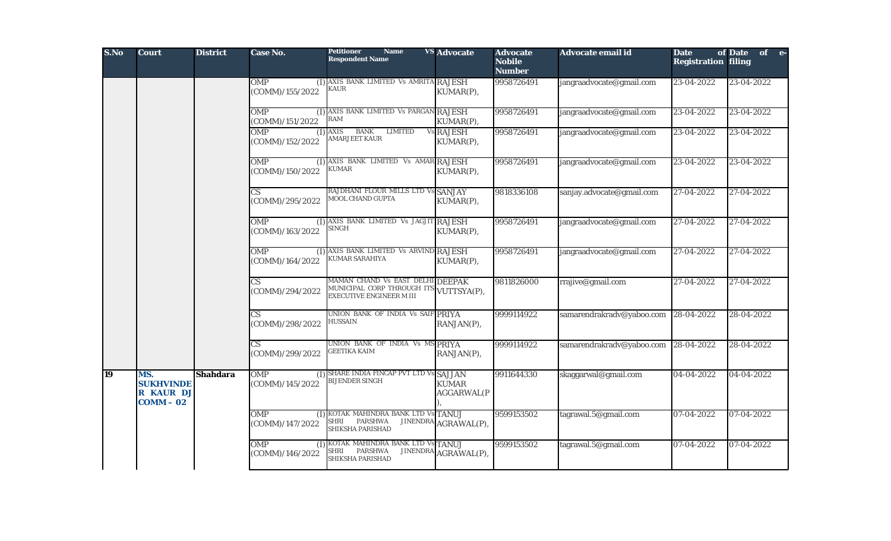| S.No | <b>Court</b>                                        | <b>District</b> | Case No.                                  | <b>Petitioner</b><br><b>Name</b><br><b>Respondent Name</b>                                                    | <b>VS</b> Advocate                | <b>Advocate</b><br><b>Nobile</b><br><b>Number</b> | Advocate email id         | <b>Date</b><br><b>Registration filing</b> | of Date<br>of e- |
|------|-----------------------------------------------------|-----------------|-------------------------------------------|---------------------------------------------------------------------------------------------------------------|-----------------------------------|---------------------------------------------------|---------------------------|-------------------------------------------|------------------|
|      |                                                     |                 | <b>OMP</b><br>(COMM)/155/2022             | (I) AXIS BANK LIMITED Vs AMRITA RAJESH<br><b>KAUR</b>                                                         | KUMAR(P),                         | 9958726491                                        | jangraadvocate@gmail.com  | 23-04-2022                                | 23-04-2022       |
|      |                                                     |                 | <b>OMP</b><br>(COMM)/151/2022             | (I) AXIS BANK LIMITED Vs PARGAN RAJESH<br><b>RAM</b>                                                          | KUMAR(P),                         | 9958726491                                        | jangraadvocate@gmail.com  | 23-04-2022                                | 23-04-2022       |
|      |                                                     |                 | <b>OMP</b><br>(I)<br>(COMM)/152/2022      | <b>BANK</b><br><b>AXIS</b><br><b>LIMITED</b><br><b>AMARJEET KAUR</b>                                          | Vs RAJESH<br>KUMAR(P),            | 9958726491                                        | jangraadvocate@gmail.com  | 23-04-2022                                | 23-04-2022       |
|      |                                                     |                 | <b>OMP</b><br>(COMM)/150/2022             | (I) AXIS BANK LIMITED Vs AMAR RAJESH<br><b>KUMAR</b>                                                          | KUMAR(P),                         | 9958726491                                        | jangraadvocate@gmail.com  | 23-04-2022                                | 23-04-2022       |
|      |                                                     |                 | CS.<br>(COMM)/295/2022                    | RAJDHANI FLOUR MILLS LTD Vs SANJAY<br>MOOL CHAND GUPTA                                                        | KUMAR(P),                         | 9818336108                                        | sanjay.advocate@gmail.com | 27-04-2022                                | 27-04-2022       |
|      |                                                     |                 | <b>OMP</b><br>(COMM)/163/2022             | (I) AXIS BANK LIMITED Vs JAGJIT RAJESH<br>SINGH                                                               | KUMAR(P),                         | 9958726491                                        | jangraadvocate@gmail.com  | 27-04-2022                                | 27-04-2022       |
|      |                                                     |                 | <b>OMP</b><br>(COMM)/164/2022             | (I) AXIS BANK LIMITED Vs ARVIND RAJESH<br><b>KUMAR SARAHIYA</b>                                               | KUMAR(P),                         | 9958726491                                        | jangraadvocate@gmail.com  | 27-04-2022                                | 27-04-2022       |
|      |                                                     |                 | $\overline{\text{CS}}$<br>(COMM)/294/2022 | MAMAN CHAND Vs EAST DELHI DEEPAK<br>MUNICIPAL CORP THROUGH ITS VUTTSYA(P),<br><b>EXECUTIVE ENGINEER M III</b> |                                   | 9811826000                                        | rrajive@gmail.com         | 27-04-2022                                | 27-04-2022       |
|      |                                                     |                 | CS.<br>(COMM)/298/2022                    | UNION BANK OF INDIA Vs SAIF PRIYA<br>HUSSAIN                                                                  | RANJAN(P),                        | 9999114922                                        | samarendrakradv@yaboo.com | 28-04-2022                                | 28-04-2022       |
|      |                                                     |                 | $\overline{\text{CS}}$<br>(COMM)/299/2022 | UNION BANK OF INDIA Vs MS PRIYA<br><b>GEETIKA KAIM</b>                                                        | RANJAN(P),                        | 9999114922                                        | samarendrakradv@yaboo.com | 28-04-2022                                | 28-04-2022       |
| 19   | MS.<br><b>SUKHVINDE</b><br>R KAUR DJ<br>$COMM - 02$ | <b>Shahdara</b> | OMP<br>(COMM)/145/2022                    | (I) SHARE INDIA FINCAP PVT LTD Vs SAJJAN<br><b>BIJENDER SINGH</b>                                             | <b>KUMAR</b><br><b>AGGARWAL(P</b> | 9911644330                                        | skaggarwal@gmail.com      | 04-04-2022                                | 04-04-2022       |
|      |                                                     |                 | <b>OMP</b><br>(COMM)/147/2022             | (I) KOTAK MAHINDRA BANK LTD Vs TANUJ<br><b>PARSHWA</b><br>SHRI<br>SHIKSHA PARISHAD                            | JINENDRA AGRAWAL(P),              | 9599153502                                        | tagrawal.5@gmail.com      | 07-04-2022                                | 07-04-2022       |
|      |                                                     |                 | <b>OMP</b><br>(COMM)/146/2022             | (I) KOTAK MAHINDRA BANK LTD Vs TANUJ<br>PARSHWA<br><b>JINENDRA</b><br>SHRI<br>SHIKSHA PARISHAD                | AGRAWAL(P),                       | 9599153502                                        | tagrawal.5@gmail.com      | 07-04-2022                                | 07-04-2022       |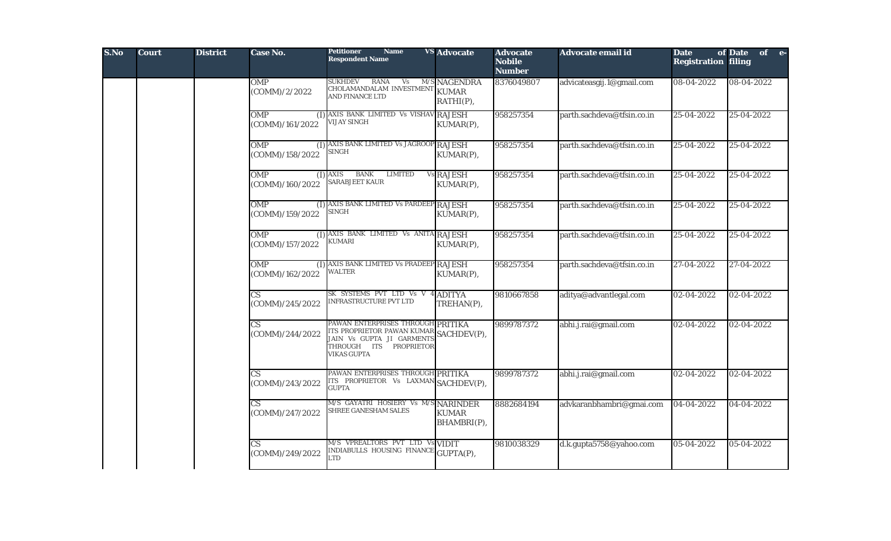| S.No | <b>Court</b> | <b>District</b> | <b>Case No.</b>                           | <b>Petitioner</b><br><b>Name</b><br><b>Respondent Name</b>                                                                                               | <b>VS Advocate</b>                        | <b>Advocate</b><br><b>Nobile</b><br><b>Number</b> | Advocate email id          | <b>Date</b><br><b>Registration filing</b> | of Date of e- |
|------|--------------|-----------------|-------------------------------------------|----------------------------------------------------------------------------------------------------------------------------------------------------------|-------------------------------------------|---------------------------------------------------|----------------------------|-------------------------------------------|---------------|
|      |              |                 | <b>OMP</b><br>(COMM)/2/2022               | <b>SUKHDEV</b><br><b>RANA</b><br>Vs<br>CHOLAMANDALAM INVESTMENT<br>AND FINANCE LTD                                                                       | M/S NAGENDRA<br><b>KUMAR</b><br>RATHI(P), | 8376049807                                        | advicateasgij.1@gmail.com  | 08-04-2022                                | 08-04-2022    |
|      |              |                 | <b>OMP</b><br>(COMM)/161/2022             | (I) AXIS BANK LIMITED Vs VISHAV RAJESH<br><b>VIJAY SINGH</b>                                                                                             | KUMAR(P),                                 | 958257354                                         | parth.sachdeva@tfsin.co.in | 25-04-2022                                | 25-04-2022    |
|      |              |                 | OMP<br>(COMM)/158/2022                    | (I) AXIS BANK LIMITED Vs JAGROOP RAJESH<br><b>SINGH</b>                                                                                                  | KUMAR(P),                                 | 958257354                                         | parth.sachdeva@tfsin.co.in | 25-04-2022                                | 25-04-2022    |
|      |              |                 | <b>OMP</b><br>(COMM)/160/2022             | <b>BANK</b><br><b>LIMITED</b><br>$(I)$ AXIS<br><b>SARABJEET KAUR</b>                                                                                     | Vs RAJESH<br>KUMAR(P),                    | 958257354                                         | parth.sachdeva@tfsin.co.in | 25-04-2022                                | 25-04-2022    |
|      |              |                 | <b>OMP</b><br>(COMM)/159/2022             | (I) AXIS BANK LIMITED Vs PARDEEP RAJESH<br><b>SINGH</b>                                                                                                  | KUMAR(P),                                 | 958257354                                         | parth.sachdeva@tfsin.co.in | 25-04-2022                                | 25-04-2022    |
|      |              |                 | OMP<br>(I)<br>(COMM)/157/2022             | AXIS BANK LIMITED Vs ANITA RAJESH<br><b>KUMARI</b>                                                                                                       | KUMAR(P),                                 | 958257354                                         | parth.sachdeva@tfsin.co.in | 25-04-2022                                | 25-04-2022    |
|      |              |                 | <b>OMP</b><br>(1)<br>(COMM)/162/2022      | AXIS BANK LIMITED Vs PRADEEP RAJESH<br><b>WALTER</b>                                                                                                     | KUMAR(P),                                 | 958257354                                         | parth.sachdeva@tfsin.co.in | 27-04-2022                                | 27-04-2022    |
|      |              |                 | $\mathbf{C}\mathbf{S}$<br>(COMM)/245/2022 | SK SYSTEMS PVT LTD Vs V<br>INFRASTRUCTURE PVT LTD                                                                                                        | <b>ADITYA</b><br>TREHAN(P),               | 9810667858                                        | aditya@advantlegal.com     | 02-04-2022                                | 02-04-2022    |
|      |              |                 | $\overline{\text{CS}}$<br>(COMM)/244/2022 | PAWAN ENTERPRISES THROUGH PRITIKA<br>ITS PROPRIETOR PAWAN KUMAR SACHDEV(P),<br>JAIN Vs GUPTA JI GARMENTS<br>THROUGH ITS PROPRIETOR<br><b>VIKAS GUPTA</b> |                                           | 9899787372                                        | abhi.j.rai@gmail.com       | 02-04-2022                                | 02-04-2022    |
|      |              |                 | $\overline{\text{CS}}$<br>(COMM)/243/2022 | PAWAN ENTERPRISES THROUGH PRITIKA<br>ITS PROPRIETOR Vs LAXMAN SACHDEV(P),<br><b>GUPTA</b>                                                                |                                           | 9899787372                                        | abhi.j.rai@gmail.com       | 02-04-2022                                | 02-04-2022    |
|      |              |                 | СS<br>(COMM)/247/2022                     | M/S GAYATRI HOSIERY Vs M/<br><b>SHREE GANESHAM SALES</b>                                                                                                 | SNARINDER<br><b>KUMAR</b><br>BHAMBRI(P),  | 8882684194                                        | advkaranbhambri@gmai.com   | 04-04-2022                                | 04-04-2022    |
|      |              |                 | $\overline{\text{CS}}$<br>(COMM)/249/2022 | M/S VPREALTORS PVT LTD Vs VIDIT<br>INDIABULLS HOUSING FINANCH<br>LTD                                                                                     | GUPTA(P),                                 | 9810038329                                        | d.k.gupta5758@yahoo.com    | 05-04-2022                                | 05-04-2022    |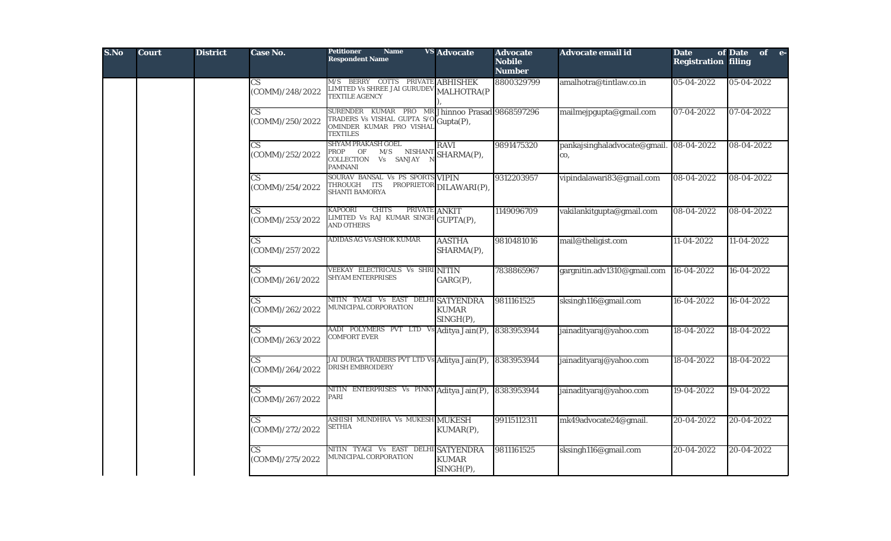| S.No | <b>Court</b> | <b>District</b> | Case No.                                  | <b>Petitioner</b><br><b>Name</b><br><b>Respondent Name</b>                                                   | <b>VS Advocate</b>                     | <b>Advocate</b><br><b>Nobile</b><br><b>Number</b> | Advocate email id                   | <b>Date</b><br><b>Registration filing</b> | of Date of e- |  |
|------|--------------|-----------------|-------------------------------------------|--------------------------------------------------------------------------------------------------------------|----------------------------------------|---------------------------------------------------|-------------------------------------|-------------------------------------------|---------------|--|
|      |              |                 | $\mathbf{C}\mathbf{S}$<br>(COMM)/248/2022 | M/S BERRY COTTS PRIVATE ABHISHEK<br>LIMITED Vs SHREE JAI GURUDEV<br><b>TEXTILE AGENCY</b>                    | <b>MALHOTRA(P</b>                      | 8800329799                                        | amalhotra@tintlaw.co.in             | 05-04-2022                                | 05-04-2022    |  |
|      |              |                 | $\mathbf{C}\mathbf{S}$<br>(COMM)/250/2022 | SURENDER KUMAR PRO MR<br>TRADERS Vs VISHAL GUPTA S/O<br>OMINDER KUMAR PRO VISHAL<br><b>TEXTILES</b>          | Jhinnoo Prasad 9868597296<br>Gupta(P), |                                                   | mailmejpgupta@gmail.com             | 07-04-2022                                | 07-04-2022    |  |
|      |              |                 | $\overline{\text{CS}}$<br>(COMM)/252/2022 | <b>SHYAM PRAKASH GOEL</b><br>PROP<br>OF<br>M/S<br><b>NISHANT</b><br>COLLECTION Vs SANJAY<br><b>PAMNANI</b>   | <b>RAVI</b><br>SHARMA(P),              | 9891475320                                        | pankajsinghaladvocate@gmail.<br>CO, | 08-04-2022                                | 08-04-2022    |  |
|      |              |                 | $\mathbf{C}\mathbf{S}$<br>(COMM)/254/2022 | SOURAV BANSAL Vs PS SPORTS VIPIN<br>THROUGH ITS<br><b>SHANTI BAMORYA</b>                                     | PROPRIETOR DILAWARI(P),                | 9312203957                                        | vipindalawari83@gmail.com           | 08-04-2022                                | 08-04-2022    |  |
|      |              |                 | $\overline{\text{CS}}$<br>(COMM)/253/2022 | <b>KAPOORI</b><br><b>CHITS</b><br>PRIVATE ANKIT<br>LIMITED Vs RAJ KUMAR SINGH GUPTA(P),<br><b>AND OTHERS</b> |                                        | 1149096709                                        | vakilankitgupta@gmail.com           | 08-04-2022                                | 08-04-2022    |  |
|      |              |                 | СS<br>(COMM)/257/2022                     | ADIDAS AG Vs ASHOK KUMAR                                                                                     | <b>AASTHA</b><br>SHARMA(P),            | 9810481016                                        | mail@theligist.com                  | 11-04-2022                                | 11-04-2022    |  |
|      |              |                 | $\overline{\text{CS}}$<br>(COMM)/261/2022 | VEEKAY ELECTRICALS Vs SHRI NITIN<br><b>SHYAM ENTERPRISES</b>                                                 | GARG(P),                               | 7838865967                                        | gargnitin.adv1310@gmail.com         | 16-04-2022                                | 16-04-2022    |  |
|      |              |                 | CS<br>(COMM)/262/2022                     | NITIN TYAGI Vs EAST DELHI SATYENDRA<br>MUNICIPAL CORPORATION                                                 | <b>KUMAR</b><br>SINGH(P),              | 9811161525                                        | sksingh116@gmail.com                | 16-04-2022                                | 16-04-2022    |  |
|      |              |                 | $\overline{\text{CS}}$<br>(COMM)/263/2022 | AADI POLYMERS PVT LTD V<br><b>COMFORT EVER</b>                                                               | Aditya Jain(P),                        | 8383953944                                        | jainadityaraj@yahoo.com             | 18-04-2022                                | 18-04-2022    |  |
|      |              |                 | $\overline{\text{CS}}$<br>(COMM)/264/2022 | JAI DURGA TRADERS PVT LTD Vs Aditya Jain(P),<br>DRISH EMBROIDERY                                             |                                        | 8383953944                                        | jainadityaraj@yahoo.com             | 18-04-2022                                | 18-04-2022    |  |
|      |              |                 | $\mathbf{C}\mathbf{S}$<br>(COMM)/267/2022 | ENTERPRISES Vs PINKY Aditya Jain(P),<br>NITIN<br>PARI                                                        |                                        | 8383953944                                        | jainadityaraj@yahoo.com             | 19-04-2022                                | 19-04-2022    |  |
|      |              |                 | СS<br>(COMM)/272/2022                     | ASHISH MUNDHRA Vs MUKESH MUKESH<br><b>SETHIA</b>                                                             | KUMAR(P),                              | 99115112311                                       | mk49advocate24@gmail.               | 20-04-2022                                | 20-04-2022    |  |
|      |              |                 | $\mathbf{C}\mathbf{S}$<br>(COMM)/275/2022 | NITIN TYAGI Vs EAST DELHI SATYENDRA<br>MUNICIPAL CORPORATION                                                 | <b>KUMAR</b><br>SINGH(P),              | 9811161525                                        | sksingh116@gmail.com                | 20-04-2022                                | 20-04-2022    |  |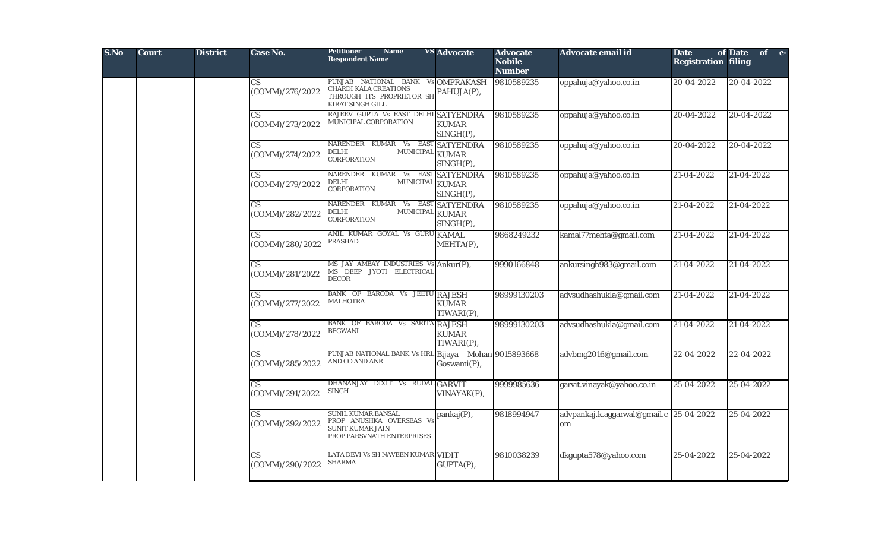| S.No | <b>Court</b> | <b>District</b> | <b>Case No.</b>                           | <b>Petitioner</b><br><b>Name</b><br><b>Respondent Name</b>                                                         | <b>VS</b> Advocate            | <b>Advocate</b><br><b>Nobile</b><br><b>Number</b> | Advocate email id                             | <b>Date</b><br><b>Registration filing</b> | of Date of e- |
|------|--------------|-----------------|-------------------------------------------|--------------------------------------------------------------------------------------------------------------------|-------------------------------|---------------------------------------------------|-----------------------------------------------|-------------------------------------------|---------------|
|      |              |                 | CS<br>(COMM)/276/2022                     | PUNJAB NATIONAL BANK Vs OMPRAKASH<br>CHARDI KALA CREATIONS<br>THROUGH ITS PROPRIETOR SH<br><b>KIRAT SINGH GILL</b> | PAHUJA(P),                    | 9810589235                                        | oppahuja@yahoo.co.in                          | 20-04-2022                                | 20-04-2022    |
|      |              |                 | $\overline{\text{CS}}$<br>(COMM)/273/2022 | RAJEEV GUPTA Vs EAST DELHI SATYENDRA<br>MUNICIPAL CORPORATION                                                      | <b>KUMAR</b><br>SINGH(P),     | 9810589235                                        | oppahuja@yahoo.co.in                          | 20-04-2022                                | 20-04-2022    |
|      |              |                 | $\overline{\text{CS}}$<br>(COMM)/274/2022 | NARENDER KUMAR Vs EAST<br>MUNICIPAL KUMAR<br>DELHI<br>CORPORATION                                                  | <b>SATYENDRA</b><br>SINGH(P), | 9810589235                                        | oppahuja@yahoo.co.in                          | 20-04-2022                                | 20-04-2022    |
|      |              |                 | $\overline{\text{CS}}$<br>(COMM)/279/2022 | KUMAR Vs EAST SATYENDRA<br>NARENDER<br>MUNICIPAL KUMAR<br>DELHI<br><b>CORPORATION</b>                              | SINGH(P),                     | 9810589235                                        | oppahuja@yahoo.co.in                          | 21-04-2022                                | 21-04-2022    |
|      |              |                 | $\overline{\text{CS}}$<br>(COMM)/282/2022 | NARENDER KUMAR Vs EAST SATYENDRA<br>DELHI<br>MUNICIPAL KUMAR<br><b>CORPORATION</b>                                 | SINGH(P),                     | 9810589235                                        | oppahuja@yahoo.co.in                          | 21-04-2022                                | 21-04-2022    |
|      |              |                 | $\mathbf{C}\mathbf{S}$<br>(COMM)/280/2022 | ANIL KUMAR GOYAL Vs GURU KAMAL<br>PRASHAD                                                                          | MEHTA(P),                     | 9868249232                                        | kamal77mehta@gmail.com                        | 21-04-2022                                | 21-04-2022    |
|      |              |                 | CS<br>(COMM)/281/2022                     | MS JAY AMBAY INDUSTRIES Vs Ankur(P),<br>MS DEEP JYOTI ELECTRICAL<br><b>DECOR</b>                                   |                               | 9990166848                                        | ankursingh983@gmail.com                       | 21-04-2022                                | 21-04-2022    |
|      |              |                 | $\overline{\text{CS}}$<br>(COMM)/277/2022 | BANK OF BARODA Vs JEETU RAJESH<br><b>MALHOTRA</b>                                                                  | <b>KUMAR</b><br>TIWARI(P),    | 98999130203                                       | advsudhashukla@gmail.com                      | 21-04-2022                                | 21-04-2022    |
|      |              |                 | $\overline{\text{CS}}$<br>(COMM)/278/2022 | BANK OF BARODA Vs SARITA RAJESH<br><b>BEGWANI</b>                                                                  | <b>KUMAR</b><br>TIWARI(P),    | 98999130203                                       | advsudhashukla@gmail.com                      | 21-04-2022                                | 21-04-2022    |
|      |              |                 | $\overline{\text{CS}}$<br>(COMM)/285/2022 | PUNJAB NATIONAL BANK Vs HRL Bijaya Mohan 9015893668<br>AND CO AND ANR                                              | Goswami(P),                   |                                                   | advbmg2016@gmail.com                          | 22-04-2022                                | 22-04-2022    |
|      |              |                 | CS.<br>(COMM)/291/2022                    | DHANANJAY DIXIT Vs RUDAL GARVIT<br>SINGH                                                                           | VINAYAK(P),                   | 9999985636                                        | garvit.vinayak@yahoo.co.in                    | 25-04-2022                                | 25-04-2022    |
|      |              |                 | $\overline{\text{CS}}$<br>(COMM)/292/2022 | SUNIL KUMAR BANSAL<br>PROP ANUSHKA OVERSEAS Vs<br><b>SUNIT KUMAR JAIN</b><br>PROP PARSVNATH ENTERPRISES            | pankaj(P),                    | 9818994947                                        | advpankaj.k.aggarwal@gmail.c 25-04-2022<br>om |                                           | 25-04-2022    |
|      |              |                 | CS<br>(COMM)/290/2022                     | LATA DEVI Vs SH NAVEEN KUMAR VIDIT<br><b>SHARMA</b>                                                                | GUPTA(P),                     | 9810038239                                        | dkgupta578@yahoo.com                          | 25-04-2022                                | 25-04-2022    |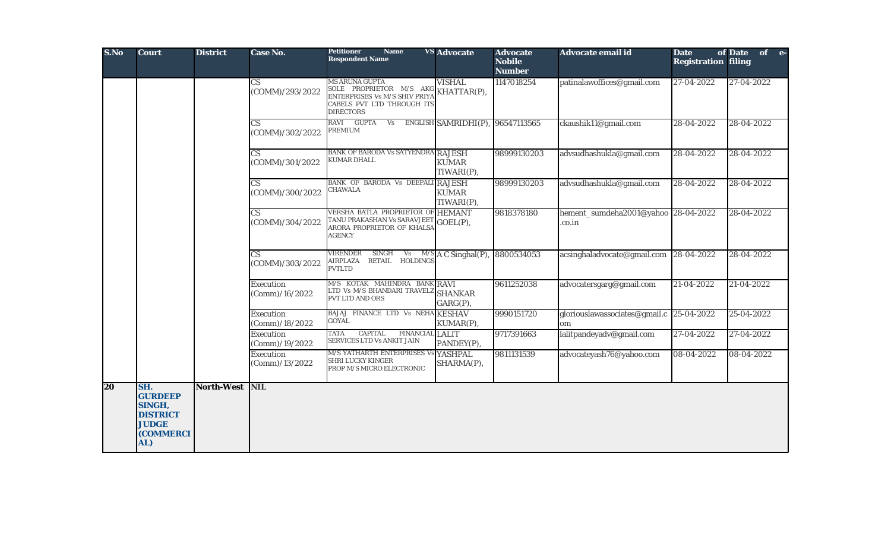| S.No | <b>Court</b>                                                                           | <b>District</b> | Case No.                                  | <b>Petitioner</b><br><b>Name</b><br><b>Respondent Name</b>                                                                               | <b>VS Advocate</b>                          | <b>Advocate</b><br><b>Nobile</b><br><b>Number</b> | <b>Advocate email id</b>                       | <b>Date</b><br><b>Registration filing</b> | of Date<br>of e- |
|------|----------------------------------------------------------------------------------------|-----------------|-------------------------------------------|------------------------------------------------------------------------------------------------------------------------------------------|---------------------------------------------|---------------------------------------------------|------------------------------------------------|-------------------------------------------|------------------|
|      |                                                                                        |                 | $\overline{\text{CS}}$<br>(COMM)/293/2022 | <b>MS ARUNA GUPTA</b><br>SOLE PROPRIETOR M/S AKG KHATTAR(P),<br>ENTERPRISES Vs M/S SHIV PRIYA<br>CABELS PVT LTD THROUGH ITS<br>DIRECTORS | <b>VISHAL</b>                               | 1147018254                                        | patinalawoffices@gmail.com                     | $27-04-2022$                              | 27-04-2022       |
|      |                                                                                        |                 | $\mathbf{C}\mathbf{S}$<br>(COMM)/302/2022 | RAVI GUPTA<br>Vs<br>PREMIUM                                                                                                              | ENGLISH SAMRIDHI(P),                        | 96547113565                                       | ckaushik11@gmail.com                           | 28-04-2022                                | 28-04-2022       |
|      |                                                                                        |                 | CS.<br>(COMM)/301/2022                    | <b>BANK OF BARODA Vs SATYENDRA RAJESH</b><br>KUMAR DHALL                                                                                 | <b>KUMAR</b><br>TIWARI(P),                  | 98999130203                                       | advsudhashukla@gmail.com                       | 28-04-2022                                | 28-04-2022       |
|      |                                                                                        |                 | $\overline{\text{CS}}$<br>(COMM)/300/2022 | BANK OF BARODA Vs DEEPALI<br>CHAWALA                                                                                                     | <b>RAJESH</b><br><b>KUMAR</b><br>TIWARI(P), | 98999130203                                       | advsudhashukla@gmail.com                       | 28-04-2022                                | 28-04-2022       |
|      |                                                                                        |                 | $\overline{\text{CS}}$<br>(COMM)/304/2022 | VERSHA BATLA PROPRIETOR OF HEMANT<br>TANU PRAKASHAN Vs SARAVJEET<br>ARORA PROPRIETOR OF KHALSA<br><b>AGENCY</b>                          | GOEL(P),                                    | 9818378180                                        | hement_sumdeha2001@yahoo 28-04-2022<br>.co.in  |                                           | 28-04-2022       |
|      |                                                                                        |                 | CS.<br>(COMM)/303/2022                    | <b>SINGH</b><br>V <sub>S</sub><br>VIRENDER<br>RETAIL HOLDINGS<br>AIRPLAZA<br>PVTLTD                                                      | $M/S$ A C Singhal(P),                       | 8800534053                                        | acsinghaladvocate@gmail.com                    | 28-04-2022                                | 28-04-2022       |
|      |                                                                                        |                 | <b>Execution</b><br>(Comm)/16/2022        | M/S KOTAK MAHINDRA BANK RAVI<br>LTD Vs M/S BHANDARI TRAVELZ<br>PVT LTD AND ORS                                                           | <b>SHANKAR</b><br>GARG(P),                  | 9611252038                                        | advocatersgarg@gmail.com                       | 21-04-2022                                | 21-04-2022       |
|      |                                                                                        |                 | <b>Execution</b><br>(Comm)/18/2022        | BAJAJ FINANCE LTD Vs NEHA KESHAV<br>GOYAL                                                                                                | KUMAR(P),                                   | 9990151720                                        | gloriouslawassociates@gmail.c 25-04-2022<br>om |                                           | 25-04-2022       |
|      |                                                                                        |                 | <b>Execution</b><br>(Comm)/19/2022        | <b>CAPITAL</b><br>FINANCIAL LALIT<br>TATA<br><b>SERVICES LTD Vs ANKIT JAIN</b>                                                           | PANDEY(P),                                  | 9717391663                                        | lalitpandeyadv@gmail.com                       | 27-04-2022                                | 27-04-2022       |
|      |                                                                                        |                 | <b>Execution</b><br>(Comm)/13/2022        | M/S YATHARTH ENTERPRISES Vs YASHPAL<br><b>SHRI LUCKY KINGER</b><br>PROP M/S MICRO ELECTRONIC                                             | SHARMA(P),                                  | 9811131539                                        | advocateyash76@yahoo.com                       | $08 - 04 - 2022$                          | 08-04-2022       |
| 20   | SH.<br><b>GURDEEP</b><br>SINGH,<br><b>DISTRICT</b><br><b>JUDGE</b><br>(COMMERCI<br>AL) | North-West      | <b>NIL</b>                                |                                                                                                                                          |                                             |                                                   |                                                |                                           |                  |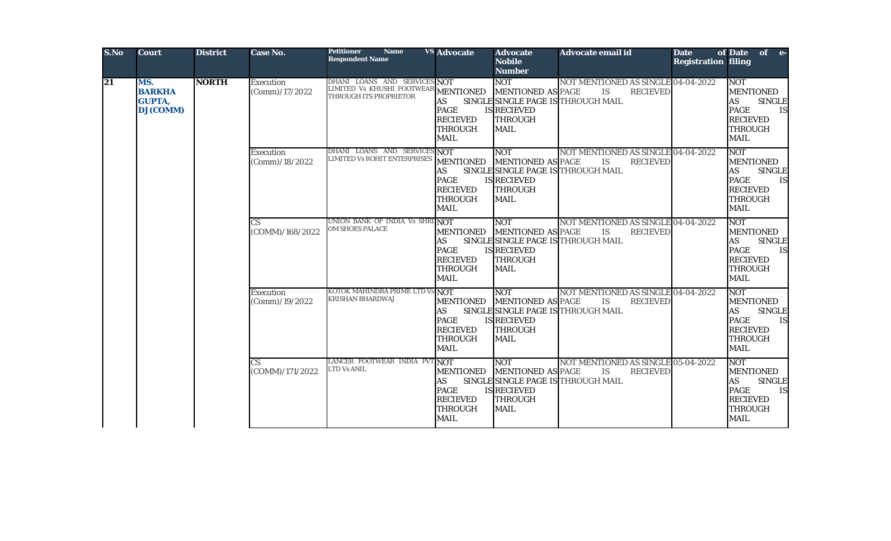| S.No | <b>Court</b>                                             | <b>District</b> | Case No.                                  | <b>Petitioner</b><br><b>Name</b><br><b>Respondent Name</b>                                     | <b>VS</b> Advocate                                                                               | <b>Advocate</b><br><b>Nobile</b><br><b>Number</b>                                             | <b>Advocate email id</b>                                                                                 | <b>Date</b><br><b>Registration filing</b> | of Date of e-                                                                                                                                |
|------|----------------------------------------------------------|-----------------|-------------------------------------------|------------------------------------------------------------------------------------------------|--------------------------------------------------------------------------------------------------|-----------------------------------------------------------------------------------------------|----------------------------------------------------------------------------------------------------------|-------------------------------------------|----------------------------------------------------------------------------------------------------------------------------------------------|
| 21   | MS.<br><b>BARKHA</b><br><b>GUPTA,</b><br><b>DJ(COMM)</b> | <b>NORTH</b>    | Execution<br>(Comm) / 17 / 2022           | DHANI LOANS AND SERVICES NOT<br>LIMITED Vs KHUSHI FOOTWEAR MENTIONED<br>THROUGH ITS PROPRIETOR | AS<br><b>PAGE</b><br><b>RECIEVED</b><br><b>THROUGH</b><br><b>MAIL</b>                            | <b>NOT</b><br><b>MENTIONED AS PAGE</b><br><b>IS RECIEVED</b><br><b>THROUGH</b><br><b>MAIL</b> | NOT MENTIONED AS SINGLE 04-04-2022<br>IS<br><b>RECIEVED</b><br>SINGLE SINGLE PAGE IS THROUGH MAIL        |                                           | <b>NOT</b><br><b>MENTIONED</b><br><b>SINGLE</b><br><b>AS</b><br><b>PAGE</b><br><b>IS</b><br><b>RECIEVED</b><br><b>THROUGH</b><br><b>MAIL</b> |
|      |                                                          |                 | Execution<br>(Comm)/18/2022               | DHANI LOANS AND SERVICES NOT<br><b>LIMITED Vs ROHIT ENTERPRISES</b>                            | <b>MENTIONED</b><br><b>AS</b><br><b>PAGE</b><br><b>RECIEVED</b><br><b>THROUGH</b><br><b>MAIL</b> | <b>NOT</b><br><b>MENTIONED AS PAGE</b><br><b>IS RECIEVED</b><br><b>THROUGH</b><br><b>MAIL</b> | NOT MENTIONED AS SINGLE 04-04-2022<br>IS<br><b>RECIEVED</b><br>SINGLE SINGLE PAGE IS THROUGH MAIL        |                                           | <b>NOT</b><br><b>MENTIONED</b><br><b>AS</b><br><b>SINGLE</b><br><b>PAGE</b><br><b>IS</b><br><b>RECIEVED</b><br><b>THROUGH</b><br><b>MAIL</b> |
|      |                                                          |                 | $\mathbf{C}\mathbf{S}$<br>(COMM)/168/2022 | UNION BANK OF INDIA Vs SHRI NOT<br><b>OM SHOES PALACE</b>                                      | <b>MENTIONED</b><br><b>AS</b><br><b>PAGE</b><br><b>RECIEVED</b><br><b>THROUGH</b><br><b>MAIL</b> | <b>NOT</b><br><b>MENTIONED AS PAGE</b><br><b>IS RECIEVED</b><br><b>THROUGH</b><br><b>MAIL</b> | NOT MENTIONED AS SINGLE 04-04-2022<br><b>IS</b><br><b>RECIEVED</b><br>SINGLE SINGLE PAGE IS THROUGH MAIL |                                           | <b>NOT</b><br><b>MENTIONED</b><br><b>AS</b><br><b>SINGLE</b><br><b>PAGE</b><br><b>IS</b><br><b>RECIEVED</b><br><b>THROUGH</b><br><b>MAIL</b> |
|      |                                                          |                 | Execution<br>(Comm)/19/2022               | KOTOK MAHINDRA PRIME LTD Vs NOT<br><b>KRISHAN BHARDWAJ</b>                                     | <b>MENTIONED</b><br><b>AS</b><br><b>PAGE</b><br><b>RECIEVED</b><br><b>THROUGH</b><br><b>MAIL</b> | <b>NOT</b><br><b>MENTIONED AS PAGE</b><br><b>IS RECIEVED</b><br><b>THROUGH</b><br><b>MAIL</b> | NOT MENTIONED AS SINGLE 04-04-2022<br>IS<br><b>RECIEVED</b><br>SINGLE SINGLE PAGE IS THROUGH MAIL        |                                           | <b>NOT</b><br><b>MENTIONED</b><br><b>AS</b><br><b>SINGLE</b><br><b>PAGE</b><br><b>IS</b><br><b>RECIEVED</b><br><b>THROUGH</b><br><b>MAIL</b> |
|      |                                                          |                 | $\overline{\text{CS}}$<br>(COMM)/171/2022 | LANCER FOOTWEAR INDIA PVT NOT<br>LTD Vs ANIL                                                   | <b>MENTIONED</b><br>AS<br><b>PAGE</b><br><b>RECIEVED</b><br><b>THROUGH</b><br><b>MAIL</b>        | <b>NOT</b><br><b>MENTIONED AS PAGE</b><br><b>IS RECIEVED</b><br><b>THROUGH</b><br><b>MAIL</b> | NOT MENTIONED AS SINGLE 05-04-2022<br><b>IS</b><br><b>RECIEVED</b><br>SINGLE SINGLE PAGE IS THROUGH MAIL |                                           | <b>NOT</b><br><b>MENTIONED</b><br><b>AS</b><br><b>SINGLE</b><br><b>PAGE</b><br><b>IS</b><br><b>RECIEVED</b><br><b>THROUGH</b><br><b>MAIL</b> |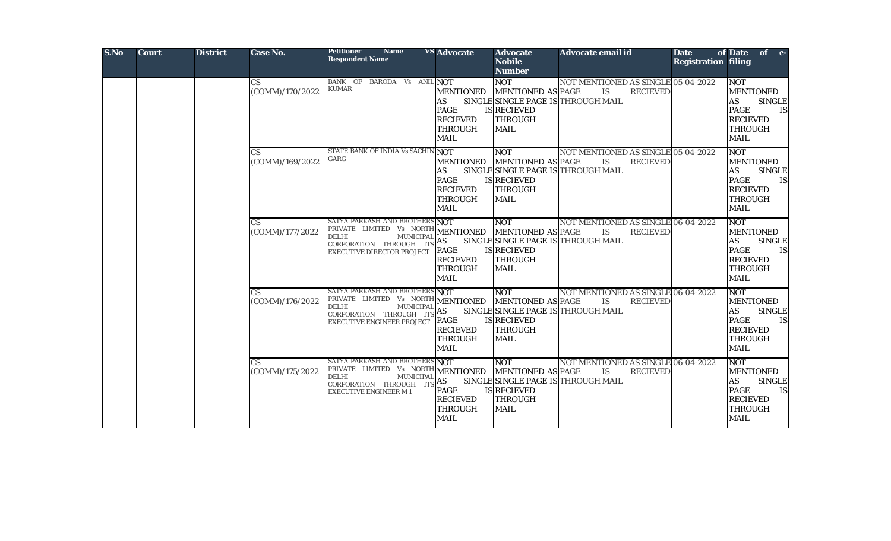| S.No | <b>Court</b> | <b>District</b> | <b>Case No.</b>                           | <b>Petitioner</b><br><b>Name</b><br><b>Respondent Name</b>                                                                                                               | <b>VS Advocate</b>                                                                                               | <b>Advocate</b><br><b>Nobile</b><br><b>Number</b>                                             | <b>Advocate email id</b>                                                                                 | <b>Date</b><br><b>Registration filing</b> | of Date of e-                                                                                                                                             |
|------|--------------|-----------------|-------------------------------------------|--------------------------------------------------------------------------------------------------------------------------------------------------------------------------|------------------------------------------------------------------------------------------------------------------|-----------------------------------------------------------------------------------------------|----------------------------------------------------------------------------------------------------------|-------------------------------------------|-----------------------------------------------------------------------------------------------------------------------------------------------------------|
|      |              |                 | CS<br>(COMM)/170/2022                     | BANK OF BARODA Vs ANIL NOT<br><b>KUMAR</b>                                                                                                                               | <b>MENTIONED</b><br>AS<br><b>PAGE</b><br><b>RECIEVED</b><br>THROUGH<br><b>MAIL</b>                               | <b>NOT</b><br><b>MENTIONED AS PAGE</b><br><b>IS RECIEVED</b><br><b>THROUGH</b><br>MAIL        | NOT MENTIONED AS SINGLE 05-04-2022<br><b>IS</b><br><b>RECIEVED</b><br>SINGLE SINGLE PAGE IS THROUGH MAIL |                                           | <b>NOT</b><br><b>MENTIONED</b><br><b>AS</b><br><b>SINGLE</b><br><b>PAGE</b><br><b>IS</b><br><b>RECIEVED</b><br><b>THROUGH</b><br><b>MAIL</b>              |
|      |              |                 | CS.<br>(COMM)/169/2022                    | STATE BANK OF INDIA Vs SACHIN<br>GARG                                                                                                                                    | $\sqrt{NOT}$<br><b>MENTIONED</b><br><b>AS</b><br><b>PAGE</b><br><b>RECIEVED</b><br><b>THROUGH</b><br><b>MAIL</b> | <b>NOT</b><br><b>MENTIONED AS PAGE</b><br><b>IS RECIEVED</b><br><b>THROUGH</b><br><b>MAIL</b> | NOT MENTIONED AS SINGLE 05-04-2022<br><b>IS</b><br><b>RECIEVED</b><br>SINGLE SINGLE PAGE IS THROUGH MAIL |                                           | <b>NOT</b><br><b>MENTIONED</b><br><b>AS</b><br><b>SINGLE</b><br><b>PAGE</b><br>IS<br><b>RECIEVED</b><br><b>THROUGH</b><br><b>MAIL</b>                     |
|      |              |                 | $\overline{\text{CS}}$<br>(COMM)/177/2022 | SATYA PARKASH AND BROTHERS NOT<br>PRIVATE LIMITED Vs NORTH MENTIONED<br><b>DELHI</b><br><b>MUNICIPAL</b><br>CORPORATION THROUGH ITS<br><b>EXECUTIVE DIRECTOR PROJECT</b> | <b>AS</b><br>PAGE<br><b>RECIEVED</b><br><b>THROUGH</b><br><b>MAIL</b>                                            | <b>NOT</b><br><b>MENTIONED AS PAGE</b><br><b>IS RECIEVED</b><br><b>THROUGH</b><br><b>MAIL</b> | NOT MENTIONED AS SINGLE 06-04-2022<br><b>IS</b><br><b>RECIEVED</b><br>SINGLE SINGLE PAGE IS THROUGH MAIL |                                           | <b>NOT</b><br><b>MENTIONED</b><br>AS<br><b>SINGLE</b><br><b>PAGE</b><br><b>IS</b><br><b>RECIEVED</b><br><b>THROUGH</b><br><b>MAIL</b>                     |
|      |              |                 | $\overline{\text{CS}}$<br>(COMM)/176/2022 | SATYA PARKASH AND BROTHERS NOT<br>PRIVATE LIMITED Vs NORTH MENTIONED<br><b>DELHI</b><br><b>MUNICIPAL</b><br>CORPORATION THROUGH ITS<br><b>EXECUTIVE ENGINEER PROJECT</b> | <b>AS</b><br>PAGE<br><b>RECIEVED</b><br><b>THROUGH</b><br><b>MAIL</b>                                            | NOT<br><b>MENTIONED AS PAGE</b><br><b>IS RECIEVED</b><br><b>THROUGH</b><br><b>MAIL</b>        | NOT MENTIONED AS SINGLE 06-04-2022<br>IS<br><b>RECIEVED</b><br>SINGLE SINGLE PAGE IS THROUGH MAIL        |                                           | <b>NOT</b><br><b>MENTIONED</b><br><b>SINGLE</b><br>AS<br><b>PAGE</b><br><b>IS</b><br><b>RECIEVED</b><br><b>THROUGH</b><br><b>MAIL</b>                     |
|      |              |                 | $\overline{\text{CS}}$<br>(COMM)/175/2022 | SATYA PARKASH AND BROTHERS NOT<br>PRIVATE LIMITED Vs NORTH MENTIONED<br>MUNICIPAL<br><b>DELHI</b><br>CORPORATION THROUGH ITS<br><b>EXECUTIVE ENGINEER M1</b>             | <b>AS</b><br><b>PAGE</b><br><b>RECIEVED</b><br><b>THROUGH</b><br><b>MAIL</b>                                     | <b>NOT</b><br><b>MENTIONED AS PAGE</b><br><b>IS RECIEVED</b><br><b>THROUGH</b><br><b>MAIL</b> | NOT MENTIONED AS SINGLE 06-04-2022<br><b>IS</b><br><b>RECIEVED</b><br>SINGLE SINGLE PAGE IS THROUGH MAIL |                                           | <b>NOT</b><br><b>MENTIONED</b><br>$\mathbf{A}\mathbf{S}$<br><b>SINGLE</b><br><b>PAGE</b><br><b>IS</b><br><b>RECIEVED</b><br><b>THROUGH</b><br><b>MAIL</b> |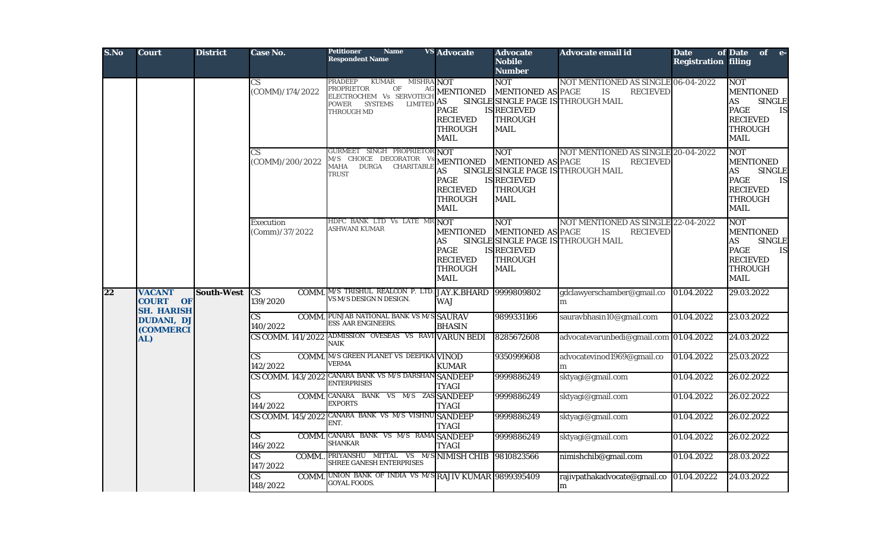| S.No | Court                                                    | <b>District</b>   | Case No.                                    | <b>Petitioner</b><br><b>Name</b><br><b>Respondent Name</b>                                                                                                                      | <b>VS</b> Advocate                                                                 | <b>Advocate</b><br><b>Nobile</b><br><b>Number</b>                                             | Advocate email id                                                                                                                | <b>Date</b><br><b>Registration filing</b> | of Date<br>of e-                                                                                                                             |
|------|----------------------------------------------------------|-------------------|---------------------------------------------|---------------------------------------------------------------------------------------------------------------------------------------------------------------------------------|------------------------------------------------------------------------------------|-----------------------------------------------------------------------------------------------|----------------------------------------------------------------------------------------------------------------------------------|-------------------------------------------|----------------------------------------------------------------------------------------------------------------------------------------------|
|      |                                                          |                   | $\overline{\text{CS}}$<br>(COMM)/174/2022   | <b>PRADEEP</b><br><b>KUMAR</b><br><b>MISHRA NOT</b><br>PROPRIETOR<br>$\mathop{\rm OF}\nolimits$<br>ELECTROCHEM Vs SERVOTECH<br><b>LIMITED</b><br>POWER<br>SYSTEMS<br>THROUGH MD | AG MENTIONED<br>AS<br><b>PAGE</b><br><b>RECIEVED</b><br>THROUGH<br>MAIL            | <b>NOT</b><br><b>MENTIONED AS PAGE</b><br>IS RECIEVED<br>THROUGH<br><b>MAIL</b>               | NOT MENTIONED AS SINGLE 06-04-2022<br>$\mathop{\hbox{\rm IS}}\nolimits$<br><b>RECIEVED</b><br>SINGLE SINGLE PAGE IS THROUGH MAIL |                                           | NOT<br><b>MENTIONED</b><br>AS<br><b>SINGLE</b><br><b>PAGE</b><br>IS<br><b>RECIEVED</b><br><b>THROUGH</b><br><b>MAIL</b>                      |
|      |                                                          |                   | CS<br>(COMM)/200/2022                       | GURMEET SINGH PROPRIETOR NOT<br>M/S CHOICE DECORATOR Vs MENTIONED<br>DURGA<br>MAHA<br>CHARITABLE<br><b>TRUST</b>                                                                | AS<br><b>PAGE</b><br><b>RECIEVED</b><br><b>THROUGH</b><br>MAIL                     | <b>NOT</b><br><b>MENTIONED AS PAGE</b><br>IS RECIEVED<br><b>THROUGH</b><br><b>MAIL</b>        | NOT MENTIONED AS SINGLE 20-04-2022<br>$\mathop{\hbox{\rm IS}}\nolimits$<br><b>RECIEVED</b><br>SINGLE SINGLE PAGE IS THROUGH MAIL |                                           | <b>NOT</b><br><b>MENTIONED</b><br><b>AS</b><br><b>SINGLE</b><br><b>PAGE</b><br><b>IS</b><br><b>RECIEVED</b><br><b>THROUGH</b><br><b>MAIL</b> |
|      |                                                          |                   | Execution<br>(Comm)/37/2022                 | HDFC BANK LTD Vs LATE MR NOT<br>ASHWANI KUMAR                                                                                                                                   | <b>MENTIONED</b><br>AS<br><b>PAGE</b><br><b>RECIEVED</b><br>THROUGH<br><b>MAIL</b> | <b>NOT</b><br><b>MENTIONED AS PAGE</b><br><b>IS RECIEVED</b><br><b>THROUGH</b><br><b>MAIL</b> | NOT MENTIONED AS SINGLE 22-04-2022<br>IS<br><b>RECIEVED</b><br>SINGLE SINGLE PAGE IS THROUGH MAIL                                |                                           | <b>NOT</b><br><b>MENTIONED</b><br><b>AS</b><br><b>SINGLE</b><br><b>PAGE</b><br>IS<br><b>RECIEVED</b><br><b>THROUGH</b><br><b>MAIL</b>        |
| 22   | <b>VACANT</b><br><b>COURT</b><br>OF<br><b>SH. HARISH</b> | <b>South-West</b> | <b>CS</b><br>139/2020                       | COMM. M/S TRISHUL REALCON P. LTD. JAY.K.BHARD<br>VS M/S DESIGN N DESIGN.                                                                                                        | <b>WAJ</b>                                                                         | 9999809802                                                                                    | gdclawyerschamber@gmail.co<br>m                                                                                                  | 01.04.2022                                | 29.03.2022                                                                                                                                   |
|      | <b>DUDANI, DJ</b><br><b>(COMMERCI</b>                    |                   | $\overline{\text{CS}}$<br>140/2022          | <b>COMM. PUNJAB NATIONAL BANK VS M/S SAURAV</b><br>ESS AAR ENGINEERS.                                                                                                           | <b>BHASIN</b>                                                                      | 9899331166                                                                                    | sauravbhasin10@gmail.com                                                                                                         | 01.04.2022                                | 23.03.2022                                                                                                                                   |
|      | AL)                                                      |                   | CS COMM. 141/2022                           | ADMISSION OVESEAS VS RAVI VARUN BEDI<br><b>NAIK</b>                                                                                                                             |                                                                                    | 8285672608                                                                                    | advocatevarunbedi@gmail.com 01.04.2022                                                                                           |                                           | 24.03.2022                                                                                                                                   |
|      |                                                          |                   | $\overline{\text{CS}}$<br>142/2022          | <b>COMM.</b> M/S GREEN PLANET VS DEEPIKA VINOD<br><b>VERMA</b>                                                                                                                  | <b>KUMAR</b>                                                                       | 9350999608                                                                                    | advocatevinod1969@gmail.co                                                                                                       | 01.04.2022                                | 25.03.2022                                                                                                                                   |
|      |                                                          |                   |                                             | CS COMM. 143/2022 CANARA BANK VS M/S DARSHAN SANDEEP<br><b>ENTERPRISES</b>                                                                                                      | <b>TYAGI</b>                                                                       | 9999886249                                                                                    | sktyagi@gmail.com                                                                                                                | 01.04.2022                                | 26.02.2022                                                                                                                                   |
|      |                                                          |                   | <b>CS</b><br>144/2022                       | COMM. CANARA BANK VS M/S ZAS SANDEEP<br><b>EXPORTS</b>                                                                                                                          | <b>TYAGI</b>                                                                       | 9999886249                                                                                    | sktyagi@gmail.com                                                                                                                | 01.04.2022                                | 26.02.2022                                                                                                                                   |
|      |                                                          |                   |                                             | CS COMM. 145/2022 CANARA BANK VS M/S VISHNU SANDEEP<br>ENT.                                                                                                                     | <b>TYAGI</b>                                                                       | 9999886249                                                                                    | sktyagi@gmail.com                                                                                                                | 01.04.2022                                | 26.02.2022                                                                                                                                   |
|      |                                                          |                   | $\overline{\text{CS}}$<br>COMM.<br>146/2022 | CANARA BANK VS M/S RAMA SANDEEP<br><b>SHANKAR</b>                                                                                                                               | <b>TYAGI</b>                                                                       | 9999886249                                                                                    | sktyagi@gmail.com                                                                                                                | 01.04.2022                                | 26.02.2022                                                                                                                                   |
|      |                                                          |                   | CS<br>147/2022                              | COMM. PRIYANSHU MITTAL VS M/S NIMISH CHIB<br>SHREE GANESH ENTERPRISES                                                                                                           |                                                                                    | 9810823566                                                                                    | nimishchib@gmail.com                                                                                                             | 01.04.2022                                | 28.03.2022                                                                                                                                   |
|      |                                                          |                   | CS.<br>148/2022                             | COMM. UNION BANK OF INDIA VS M/S RAJIV KUMAR 9899395409<br>GOYAL FOODS.                                                                                                         |                                                                                    |                                                                                               | rajivpathakadvocate@gmail.co<br>m                                                                                                | 01.04.20222                               | 24.03.2022                                                                                                                                   |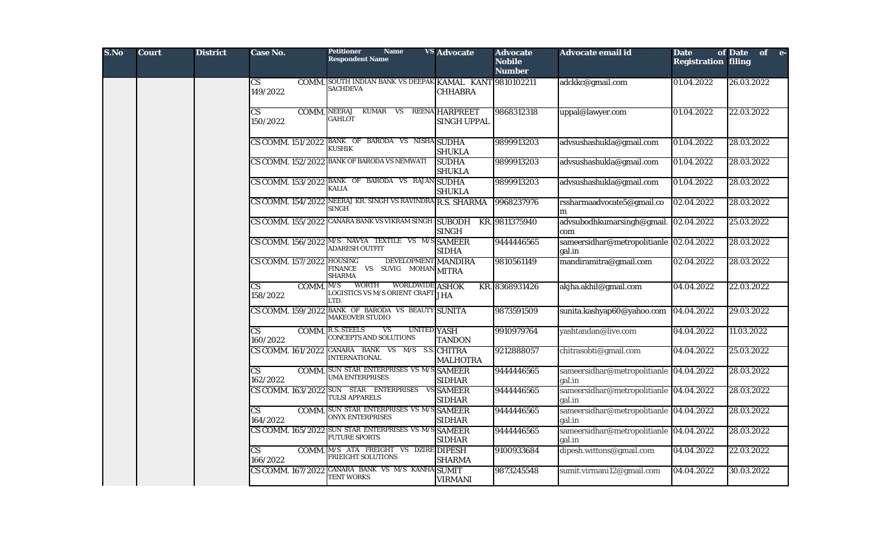| S.No | <b>Court</b> | <b>District</b> | Case No.                                          | <b>Petitioner</b><br><b>Name</b><br><b>Respondent Name</b>                                          | <b>VS</b> Advocate                          | <b>Advocate</b><br><b>Nobile</b><br><b>Number</b> | Advocate email id                                 | <b>Date</b><br><b>Registration filing</b> | of Date of e- |
|------|--------------|-----------------|---------------------------------------------------|-----------------------------------------------------------------------------------------------------|---------------------------------------------|---------------------------------------------------|---------------------------------------------------|-------------------------------------------|---------------|
|      |              |                 | CS<br>149/2022                                    | COMM. SOUTH INDIAN BANK VS DEEPAK KAMAL KANT 9810102211<br><b>SACHDEVA</b>                          | <b>CHHABRA</b>                              |                                                   | adckkc@gmail.com                                  | 01.04.2022                                | 26.03.2022    |
|      |              |                 | $\overline{\text{CS}}$<br>150/2022                | KUMAR VS<br>COMM. NEERAJ<br><b>GAHLOT</b>                                                           | <b>REENA HARPREET</b><br><b>SINGH UPPAL</b> | 9868312318                                        | uppal@lawyer.com                                  | 01.04.2022                                | 22.03.2022    |
|      |              |                 |                                                   | CS COMM. 151/2022 BANK OF BARODA VS NISHA SUDHA<br>KUSHIK                                           | <b>SHUKLA</b>                               | 9899913203                                        | advsushashukla@gmail.com                          | 01.04.2022                                | 28.03.2022    |
|      |              |                 |                                                   | CS COMM. 152/2022 BANK OF BARODA VS NEMWATI                                                         | <b>SUDHA</b><br><b>SHUKLA</b>               | 9899913203                                        | advsushashukla@gmail.com                          | 01.04.2022                                | 28.03.2022    |
|      |              |                 |                                                   | CS COMM. 153/2022 BANK OF BARODA VS RAJAN SUDHA<br><b>KALIA</b>                                     | <b>SHUKLA</b>                               | 9899913203                                        | advsushashukla@gmail.com                          | 01.04.2022                                | 28.03.2022    |
|      |              |                 |                                                   | CS COMM. 154/2022 NEERAJ KR. SINGH VS RAVINDRA R.S. SHARMA<br><b>SINGH</b>                          |                                             | 9968237976                                        | rssharmaadvocate5@gmail.co<br>m                   | 02.04.2022                                | 28.03.2022    |
|      |              |                 |                                                   | CS COMM. 155/2022 CANARA BANK VS VIKRAM SINGH SUBODH                                                | <b>SINGH</b>                                | KR. 9811375940                                    | advsubodhkumarsingh@gmail. 02.04.2022<br>com      |                                           | 25.03.2022    |
|      |              |                 |                                                   | CS COMM. 156/2022 M/S NAVYA TEXTILE VS M/S SAMEER<br><b>ADARESH OUTFIT</b>                          | <b>SIDHA</b>                                | 9444446565                                        | sameersidhar@metropolitianle 02.04.2022<br>gal.in |                                           | 28.03.2022    |
|      |              |                 | CS COMM. 157/2022 HOUSING                         | DEVELOPMENT MANDIRA<br>FINANCE VS SUVIG MOHAN MITRA<br><b>SHARMA</b>                                |                                             | 9810561149                                        | mandiramitra@gmail.com                            | 02.04.2022                                | 28.03.2022    |
|      |              |                 | COMM. $M/S$<br>$\overline{\text{CS}}$<br>158/2022 | WORTH<br>WORLDWIDE ASHOK<br>LOGISTICS VS M/S ORIENT CRAFT JHA<br>LTD.                               |                                             | KR. 8368931426                                    | akjha.akhil@gmail.com                             | 04.04.2022                                | 22.03.2022    |
|      |              |                 |                                                   | CS COMM. 159/2022 BANK OF BARODA VS BEAUTY SUNITA<br><b>MAKEOVER STUDIO</b>                         |                                             | 9873591509                                        | sunita.kashyap60@yahoo.com                        | 04.04.2022                                | 29.03.2022    |
|      |              |                 | $\overline{\text{CS}}$<br>160/2022                | <b>COMM. R.S. STEELS</b><br>$\overline{\mathbf{V}}$<br><b>UNITED YASH</b><br>CONCEPTS AND SOLUTIONS | <b>TANDON</b>                               | 9910979764                                        | yashtandan@live.com                               | 04.04.2022                                | 11.03.2022    |
|      |              |                 |                                                   | CS COMM. 161/2022 CANARA BANK VS M/S S.S. CHITRA<br><b>INTERNATIONAL</b>                            | <b>MALHOTRA</b>                             | 9212888057                                        | chitrasobti@gmail.com                             | 04.04.2022                                | 25.03.2022    |
|      |              |                 | $\overline{\text{CS}}$<br>162/2022                | <b>COMM.</b> SUN STAR ENTERPRISES VS M/S SAMEER<br><b>UMA ENTERPRISES</b>                           | <b>SIDHAR</b>                               | 9444446565                                        | sameersidhar@metropolitianle 04.04.2022<br>gal.in |                                           | 28.03.2022    |
|      |              |                 |                                                   | CS COMM. 163/2022 SUN STAR ENTERPRISES<br><b>TULSI APPARELS</b>                                     | VS SAMEER<br><b>SIDHAR</b>                  | 9444446565                                        | sameersidhar@metropolitianle 04.04.2022<br>gal.in |                                           | 28.03.2022    |
|      |              |                 | $\overline{\text{CS}}$<br>164/2022                | COMM. SUN STAR ENTERPRISES VS M/S SAMEER<br><b>ONYX ENTERPRISES</b>                                 | <b>SIDHAR</b>                               | 9444446565                                        | sameersidhar@metropolitianle 04.04.2022<br>gal.in |                                           | 28.03.2022    |
|      |              |                 |                                                   | CS COMM. 165/2022 SUN STAR ENTERPRISES VS M/S SAMEER<br><b>FUTURE SPORTS</b>                        | <b>SIDHAR</b>                               | 9444446565                                        | sameersidhar@metropolitianle 04.04.2022<br>gal.in |                                           | 28.03.2022    |
|      |              |                 | $\overline{\text{CS}}$<br>166/2022                | COMM. M/S ATA FREIGHT VS DZIRE DIPESH<br><b>FRIEIGHT SOLUTIONS</b>                                  | <b>SHARMA</b>                               | 9100933684                                        | dipesh.wittons@gmail.com                          | 04.04.2022                                | 22.03.2022    |
|      |              |                 |                                                   | CS COMM. 167/2022 CANARA BANK VS M/S KANHA SUMIT<br><b>TENT WORKS</b>                               | <b>VIRMANI</b>                              | 9873245548                                        | sumit.virmani12@gmail.com                         | 04.04.2022                                | 30.03.2022    |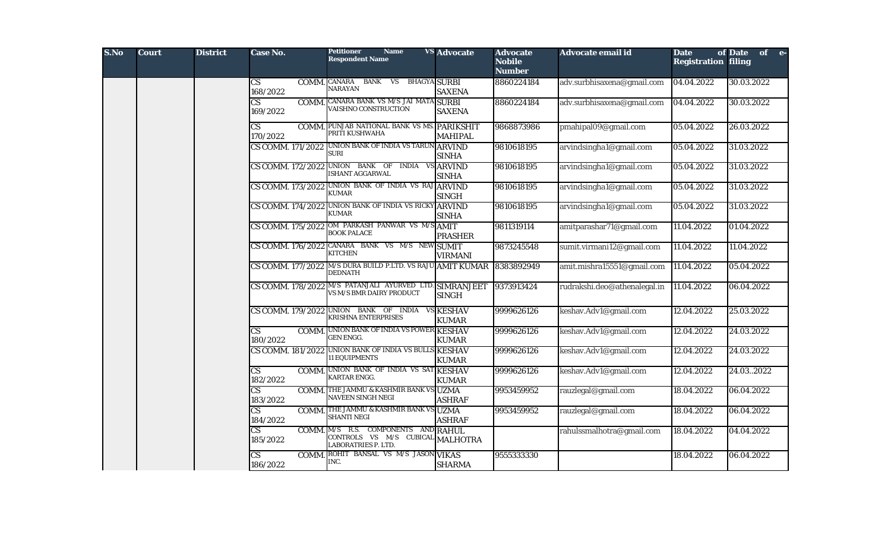| S.No | <b>Court</b> | <b>District</b> | Case No.                                    | <b>Petitioner</b><br><b>Name</b><br><b>Respondent Name</b>                                            | <b>VS</b> Advocate | <b>Advocate</b><br><b>Nobile</b><br><b>Number</b> | Advocate email id            | <b>Date</b><br><b>Registration filing</b> | of Date<br>of e- |
|------|--------------|-----------------|---------------------------------------------|-------------------------------------------------------------------------------------------------------|--------------------|---------------------------------------------------|------------------------------|-------------------------------------------|------------------|
|      |              |                 | $\mathbf{C}\mathbf{S}$<br>168/2022          | COMM. CANARA BANK VS BHAGYA SURBI<br><b>NARAYAN</b>                                                   | <b>SAXENA</b>      | 8860224184                                        | adv.surbhisaxena@gmail.com   | 04.04.2022                                | 30.03.2022       |
|      |              |                 | $\overline{\text{CS}}$<br>169/2022          | COMM. CANARA BANK VS M/S JAI MATA SURBI<br>VAISHNO CONSTRUCTION                                       | <b>SAXENA</b>      | 8860224184                                        | adv.surbhisaxena@gmail.com   | 04.04.2022                                | 30.03.2022       |
|      |              |                 | $\mathbf{C}\mathbf{S}$<br>170/2022          | COMM. PUNJAB NATIONAL BANK VS MS. PARIKSHIT<br>PRITI KUSHWAHA                                         | <b>MAHIPAL</b>     | 9868873986                                        | pmahipal09@gmail.com         | 05.04.2022                                | 26.03.2022       |
|      |              |                 |                                             | CS COMM. 171/2022 UNION BANK OF INDIA VS TARUN ARVIND<br><b>SURI</b>                                  | <b>SINHA</b>       | 9810618195                                        | arvindsingha1@gmail.com      | 05.04.2022                                | 31.03.2022       |
|      |              |                 |                                             | CS COMM. 172/2022 UNION BANK OF INDIA VS ARVIND<br><b>ISHANT AGGARWAL</b>                             | <b>SINHA</b>       | 9810618195                                        | arvindsingha1@gmail.com      | 05.04.2022                                | 31.03.2022       |
|      |              |                 |                                             | CS COMM. 173/2022 UNION BANK OF INDIA VS RAJ ARVIND<br><b>KUMAR</b>                                   | <b>SINGH</b>       | 9810618195                                        | arvindsingha1@gmail.com      | 05.04.2022                                | 31.03.2022       |
|      |              |                 |                                             | CS COMM. 174/2022 UNION BANK OF INDIA VS RICKY ARVIND<br><b>KUMAR</b>                                 | <b>SINHA</b>       | 9810618195                                        | arvindsingha1@gmail.com      | 05.04.2022                                | 31.03.2022       |
|      |              |                 | CS COMM. 175/2022                           | OM PARKASH PANWAR VS M/S AMIT<br><b>BOOK PALACE</b>                                                   | <b>PRASHER</b>     | 9811319114                                        | amitparashar71@gmail.com     | 11.04.2022                                | 01.04.2022       |
|      |              |                 |                                             | CS COMM. 176/2022 CANARA BANK VS M/S NEW SUMIT<br><b>KITCHEN</b>                                      | <b>VIRMANI</b>     | 9873245548                                        | sumit.virmani12@gmail.com    | 11.04.2022                                | 11.04.2022       |
|      |              |                 | CS COMM. 177/2022                           | M/S DURA BUILD P.LTD. VS RAJU AMIT KUMAR<br><b>DEDNATH</b>                                            |                    | 8383892949                                        | amit.mishra15551@gmail.com   | $\sqrt{11.04.2022}$                       | 05.04.2022       |
|      |              |                 |                                             | CS COMM. 178/2022 M/S PATANJALI AYURVED LTD. SIMRANJEET<br>VS M/S BMR DAIRY PRODUCT                   | <b>SINGH</b>       | 9373913424                                        | rudrakshi.deo@athenalegal.in | 11.04.2022                                | 06.04.2022       |
|      |              |                 |                                             | CS COMM. 179/2022 UNION BANK OF INDIA VS KESHAV<br><b>KRISHNA ENTERPRISES</b>                         | <b>KUMAR</b>       | 9999626126                                        | keshav.Adv1@gmail.com        | 12.04.2022                                | 25.03.2022       |
|      |              |                 | $\overline{\text{CS}}$<br>180/2022          | <b>COMM.</b> UNION BANK OF INDIA VS POWER KESHAV<br><b>GEN ENGG.</b>                                  | <b>KUMAR</b>       | 9999626126                                        | keshav.Adv1@gmail.com        | 12.04.2022                                | 24.03.2022       |
|      |              |                 |                                             | CS COMM. 181/2022 UNION BANK OF INDIA VS BULLS KESHAV<br><b>11 EQUIPMENTS</b>                         | <b>KUMAR</b>       | 9999626126                                        | keshav.Adv1@gmail.com        | 12.04.2022                                | 24.03.2022       |
|      |              |                 | $\mathbf{C}\mathbf{S}$<br>182/2022          | COMM. UNION BANK OF INDIA VS SAT KESHAV<br>KARTAR ENGG.                                               | <b>KUMAR</b>       | 9999626126                                        | keshav.Adv1@gmail.com        | 12.04.2022                                | 24.032022        |
|      |              |                 | $\overline{\text{CS}}$<br>COMM.<br>183/2022 | THE JAMMU & KASHMIR BANK VS UZMA<br>NAVEEN SINGH NEGI                                                 | ASHRAF             | 9953459952                                        | rauzlegal@gmail.com          | 18.04.2022                                | 06.04.2022       |
|      |              |                 | $\overline{\text{CS}}$<br>184/2022          | <b>COMM.</b> THE JAMMU & KASHMIR BANK VS UZMA<br><b>SHANTI NEGI</b>                                   | <b>ASHRAF</b>      | 9953459952                                        | rauzlegal@gmail.com          | 18.04.2022                                | 06.04.2022       |
|      |              |                 | $\overline{\text{CS}}$<br>185/2022          | COMM. M/S R.S. COMPONENTS AND RAHUL<br>CONTROLS VS M/S CUBICAL MALHOTRA<br><b>LABORATRIES P. LTD.</b> |                    |                                                   | rahulssmalhotra@gmail.com    | 18.04.2022                                | 04.04.2022       |
|      |              |                 | $\mathbf{C}\mathbf{S}$<br>186/2022          | COMM. ROHIT BANSAL VS M/S JASON VIKAS<br>INC.                                                         | <b>SHARMA</b>      | 9555333330                                        |                              | 18.04.2022                                | 06.04.2022       |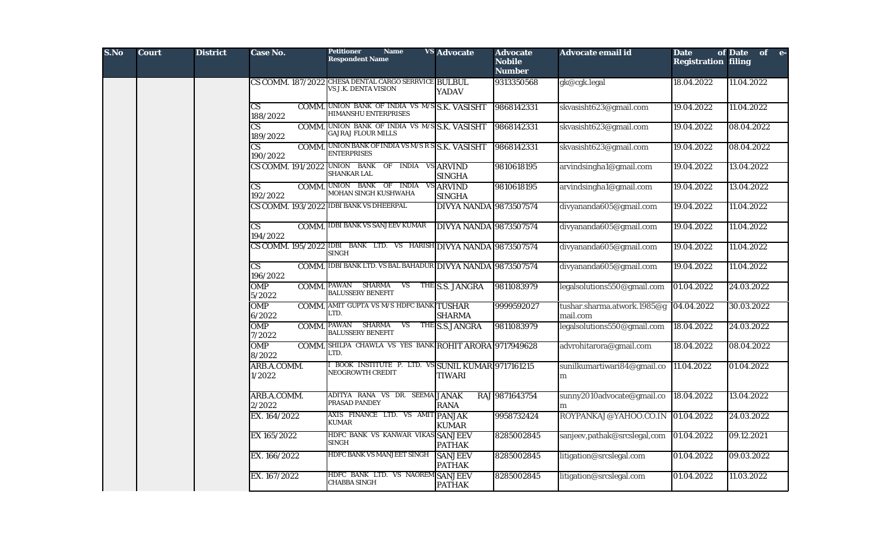| S.No | <b>Court</b> | <b>District</b> | Case No.                           | <b>Name</b><br><b>Petitioner</b><br><b>Respondent Name</b>                        | <b>VS</b> Advocate              | <b>Advocate</b><br><b>Nobile</b><br><b>Number</b> | Advocate email id                          | <b>Date</b><br><b>Registration filing</b> | of Date of e- |
|------|--------------|-----------------|------------------------------------|-----------------------------------------------------------------------------------|---------------------------------|---------------------------------------------------|--------------------------------------------|-------------------------------------------|---------------|
|      |              |                 |                                    | CS COMM. 187/2022 CHESA DENTAL CARGO SERRVICE BULBUL<br>VS J.K. DENTA VISION      | <b>YADAV</b>                    | 9313350568                                        | gk@cgk.legal                               | 18.04.2022                                | 11.04.2022    |
|      |              |                 | $\mathbf{C}\mathbf{S}$<br>188/2022 | COMM. UNION BANK OF INDIA VS M/S S.K. VASISHT<br>HIMANSHU ENTERPRISES             |                                 | 9868142331                                        | skvasisht623@gmail.com                     | 19.04.2022                                | 11.04.2022    |
|      |              |                 | $\overline{\text{CS}}$<br>189/2022 | COMM. UNION BANK OF INDIA VS M/S S.K. VASISHT<br><b>GAJRAJ FLOUR MILLS</b>        |                                 | 9868142331                                        | skvasisht623@gmail.com                     | 19.04.2022                                | 08.04.2022    |
|      |              |                 | 190/2022                           | <b>COMM.</b> UNION BANK OF INDIA VS M/S R S S.K. VASISHT<br><b>ENTERPRISES</b>    |                                 | 9868142331                                        | skvasisht623@gmail.com                     | 19.04.2022                                | 08.04.2022    |
|      |              |                 |                                    | CS COMM. 191/2022 UNION BANK OF INDIA VS ARVIND<br>SHANKAR LAL                    | <b>SINGHA</b>                   | 9810618195                                        | arvindsingha1@gmail.com                    | 19.04.2022                                | 13.04.2022    |
|      |              |                 | $\mathbf{C}\mathbf{S}$<br>192/2022 | COMM. UNION BANK OF INDIA VS ARVIND<br>MOHAN SINGH KUSHWAHA                       | <b>SINGHA</b>                   | 9810618195                                        | arvindsingha1@gmail.com                    | 19.04.2022                                | 13.04.2022    |
|      |              |                 |                                    | CS COMM. 193/2022 IDBI BANK VS DHEERPAL                                           | <b>DIVYA NANDA 9873507574</b>   |                                                   | divyananda605@gmail.com                    | 19.04.2022                                | 11.04.2022    |
|      |              |                 | $\overline{\text{CS}}$<br>194/2022 | <b>COMM. IDBI BANK VS SANJEEV KUMAR</b>                                           | <b>DIVYA NANDA 9873507574</b>   |                                                   | divyananda605@gmail.com                    | 19.04.2022                                | 11.04.2022    |
|      |              |                 |                                    | CS COMM. 195/2022 IDBI BANK LTD. VS HARISH DIVYA NANDA 9873507574<br><b>SINGH</b> |                                 |                                                   | divyananda605@gmail.com                    | 19.04.2022                                | 11.04.2022    |
|      |              |                 | $\overline{\text{CS}}$<br>196/2022 | COMM. IDBI BANK LTD. VS BAL BAHADUR DIVYA NANDA 9873507574                        |                                 |                                                   | divyananda605@gmail.com                    | 19.04.2022                                | 11.04.2022    |
|      |              |                 | <b>OMP</b><br>5/2022               | <b>COMM. PAWAN SHARMA</b><br><b>BALUSSERY BENEFIT</b>                             | VS THE S.S. JANGRA              | 9811083979                                        | legalsolutions550@gmail.com                | 01.04.2022                                | 24.03.2022    |
|      |              |                 | <b>OMP</b><br>6/2022               | <b>COMM.</b> AMIT GUPTA VS M/S HDFC BANK TUSHAR<br>LTD.                           | <b>SHARMA</b>                   | 9999592027                                        | tushar.sharma.atwork.1985@g<br>mail.com    | 04.04.2022                                | 30.03.2022    |
|      |              |                 | <b>OMP</b><br>7/2022               | COMM. PAWAN SHARMA VS THE S.S.JANGRA<br><b>BALUSSERY BENEFIT</b>                  |                                 | 9811083979                                        | legalsolutions550@gmail.com                | 18.04.2022                                | 24.03.2022    |
|      |              |                 | <b>OMP</b><br>8/2022               | COMM. SHILPA CHAWLA VS YES BANK ROHIT ARORA 9717949628<br>LTD.                    |                                 |                                                   | advrohitarora@gmail.com                    | 18.04.2022                                | 08.04.2022    |
|      |              |                 | ARB.A.COMM.<br>1/2022              | BOOK INSTITUTE P. LTD. VS SUNIL KUMAR 9717161215<br>NEOGROWTH CREDIT              | <b>TIWARI</b>                   |                                                   | sunilkumartiwari84@gmail.co<br>${\bf m}$   | 11.04.2022                                | 01.04.2022    |
|      |              |                 | ARB.A.COMM.<br>2/2022              | ADITYA RANA VS DR. SEEMA JANAK<br>PRASAD PANDEY                                   | <b>RANA</b>                     | RAJ 9871643754                                    | sunny2010advocate@gmail.co 18.04.2022<br>m |                                           | 13.04.2022    |
|      |              |                 | EX. 164/2022                       | AXIS FINANCE LTD. VS AMIT PANJAK<br><b>KUMAR</b>                                  | <b>KUMAR</b>                    | 9958732424                                        | ROYPANKAJ@YAHOO.CO.IN                      | 01.04.2022                                | 24.03.2022    |
|      |              |                 | EX 165/2022                        | HDFC BANK VS KANWAR VIKAS SANJEEV<br><b>SINGH</b>                                 | <b>PATHAK</b>                   | 8285002845                                        | sanjeev,pathak@srcslegal,com               | 01.04.2022                                | 09.12.2021    |
|      |              |                 | EX. 166/2022                       | HDFC BANK VS MANJEET SINGH                                                        | <b>SANJEEV</b><br><b>PATHAK</b> | 8285002845                                        | litigation@srcslegal.com                   | 01.04.2022                                | 09.03.2022    |
|      |              |                 | EX. 167/2022                       | HDFC BANK LTD. VS NAOREM SANJEEV<br><b>CHABBA SINGH</b>                           | <b>PATHAK</b>                   | 8285002845                                        | litigation@srcslegal.com                   | 01.04.2022                                | 11.03.2022    |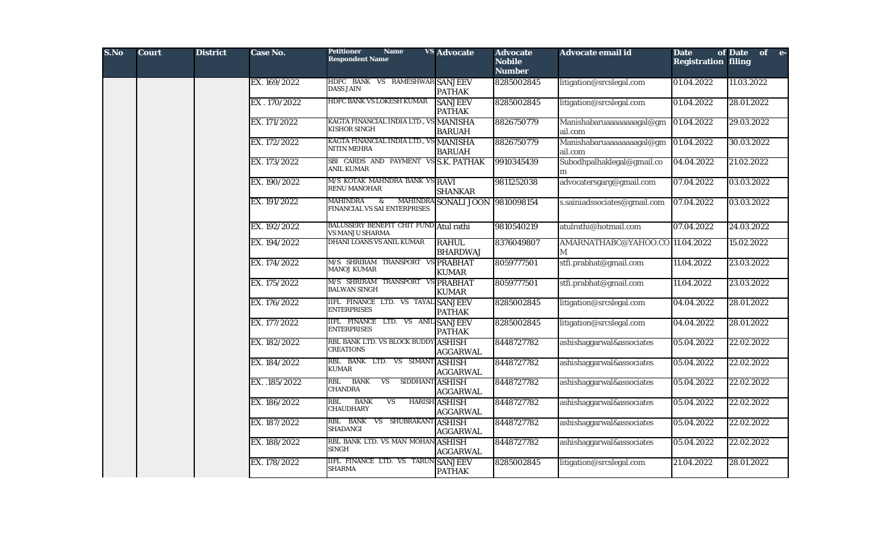| S.No | <b>Court</b> | <b>District</b> | Case No.      | <b>Petitioner</b><br><b>Name</b><br><b>Respondent Name</b>              | <b>VS</b> Advocate                      | <b>Advocate</b><br><b>Nobile</b><br><b>Number</b> | Advocate email id                     | <b>Date</b><br><b>Registration filing</b> | of Date of e- |
|------|--------------|-----------------|---------------|-------------------------------------------------------------------------|-----------------------------------------|---------------------------------------------------|---------------------------------------|-------------------------------------------|---------------|
|      |              |                 | EX. 169/2022  | HDFC BANK VS RAMESHWAR SANJEEV<br><b>DASS JAIN</b>                      | <b>PATHAK</b>                           | 8285002845                                        | litigation@srcslegal.com              | 01.04.2022                                | 11.03.2022    |
|      |              |                 | EX.170/2022   | HDFC BANK VS LOKESH KUMAR                                               | <b>SANJEEV</b><br><b>PATHAK</b>         | 8285002845                                        | litigation@srcslegal.com              | 01.04.2022                                | 28.01.2022    |
|      |              |                 | EX. 171/2022  | KAGTA FINANCIAL INDIA LTD., VS MANISHA<br>KISHOR SINGH                  | <b>BARUAH</b>                           | 8826750779                                        | Manishabaruaaaaaaaagal@gm<br>ail.com  | 01.04.2022                                | 29.03.2022    |
|      |              |                 | EX. 172/2022  | KAGTA FINANCIAL INDIA LTD., VS MANISHA<br>NITIN MEHRA                   | <b>BARUAH</b>                           | 8826750779                                        | Manishabaruaaaaaaaaagal@gm<br>ail.com | 01.04.2022                                | 30.03.2022    |
|      |              |                 | EX. 173/2022  | SBI CARDS AND PAYMENT VS S.K. PATHAK<br>ANIL KUMAR                      |                                         | 9910345439                                        | Subodhpalhaklegal@gmail.co<br>m       | 04.04.2022                                | 21.02.2022    |
|      |              |                 | EX. 190/2022  | M/S KOTAK MAHNDRA BANK VS RAVI<br>RENU MANOHAR                          | <b>SHANKAR</b>                          | 9811252038                                        | advocatersgarg@gmail.com              | 07.04.2022                                | 03.03.2022    |
|      |              |                 | EX. 191/2022  | <b>MAHINDRA</b><br>&<br>FINANCIAL VS SAI ENTERPRISES                    | MAHINDRA SONALI JOON 9810098154         |                                                   | s.sainiadssociates@gmail.com          | 07.04.2022                                | 03.03.2022    |
|      |              |                 | EX. 192/2022  | <b>BALUSSERY BENEFIT CHIT FUND Atul rathi</b><br><b>VS MANJU SHARMA</b> |                                         | 9810540219                                        | atulrathi@hotmail.com                 | 07.04.2022                                | 24.03.2022    |
|      |              |                 | EX. 194/2022  | <b>DHANI LOANS VS ANIL KUMAR</b>                                        | <b>RAHUL</b><br><b>BHARDWAJ</b>         | 8376049807                                        | AMARNATHABC@YAHOO.CO 11.04.2022<br>М  |                                           | 15.02.2022    |
|      |              |                 | EX. 174/2022  | M/S SHRIRAM TRANSPORT VS PRABHAT<br><b>MANOJ KUMAR</b>                  | <b>KUMAR</b>                            | 8059777501                                        | stfi.prabhat@gmail.com                | 11.04.2022                                | 23.03.2022    |
|      |              |                 | EX. 175/2022  | M/S SHRIRAM TRANSPORT VS PRABHAT<br><b>BALWAN SINGH</b>                 | <b>KUMAR</b>                            | 8059777501                                        | stfi.prabhat@gmail.com                | 11.04.2022                                | 23.03.2022    |
|      |              |                 | EX. 176/2022  | IIFL FINANCE LTD. VS TAYAL SANJEEV<br><b>ENTERPRISES</b>                | <b>PATHAK</b>                           | 8285002845                                        | litigation@srcslegal.com              | 04.04.2022                                | 28.01.2022    |
|      |              |                 | EX. 177/2022  | IIFL FINANCE LTD. VS ANIL SANJEEV<br><b>ENTERPRISES</b>                 | <b>PATHAK</b>                           | 8285002845                                        | litigation@srcslegal.com              | 04.04.2022                                | 28.01.2022    |
|      |              |                 | EX. 182/2022  | RBL BANK LTD. VS BLOCK BUDDY<br><b>CREATIONS</b>                        | <b>ASHISH</b><br><b>AGGARWAL</b>        | 8448727782                                        | ashishaggarwal&associates             | 05.04.2022                                | 22.02.2022    |
|      |              |                 | EX. 184/2022  | RBL BANK LTD. VS SIMANT<br><b>KUMAR</b>                                 | <b>ASHISH</b><br><b>AGGARWAL</b>        | 8448727782                                        | ashishaggarwal&associates             | 05.04.2022                                | 22.02.2022    |
|      |              |                 | EX. .185/2022 | <b>BANK</b><br>VS<br>SIDDHANT ASHISH<br>RBL<br><b>CHANDRA</b>           | <b>AGGARWAL</b>                         | 8448727782                                        | ashishaggarwal&associates             | 05.04.2022                                | 22.02.2022    |
|      |              |                 | EX. 186/2022  | <b>BANK</b><br><b>VS</b><br>RBL<br><b>CHAUDHARY</b>                     | <b>HARISH ASHISH</b><br><b>AGGARWAL</b> | 8448727782                                        | ashishaggarwal&associates             | 05.04.2022                                | 22.02.2022    |
|      |              |                 | EX. 187/2022  | RBL BANK VS SHUBRAKANT<br><b>SHADANGI</b>                               | <b>ASHISH</b><br><b>AGGARWAL</b>        | 8448727782                                        | ashishaggarwal&associates             | 05.04.2022                                | 22.02.2022    |
|      |              |                 | EX. 188/2022  | RBL BANK LTD. VS MAN MOHAN ASHISH<br><b>SINGH</b>                       | <b>AGGARWAL</b>                         | 8448727782                                        | ashishaggarwal&associates             | 05.04.2022                                | 22.02.2022    |
|      |              |                 | EX. 178/2022  | IIFL FINANCE LTD. VS TARUN SANJEEV<br><b>SHARMA</b>                     | <b>PATHAK</b>                           | 8285002845                                        | litigation@srcslegal.com              | 21.04.2022                                | 28.01.2022    |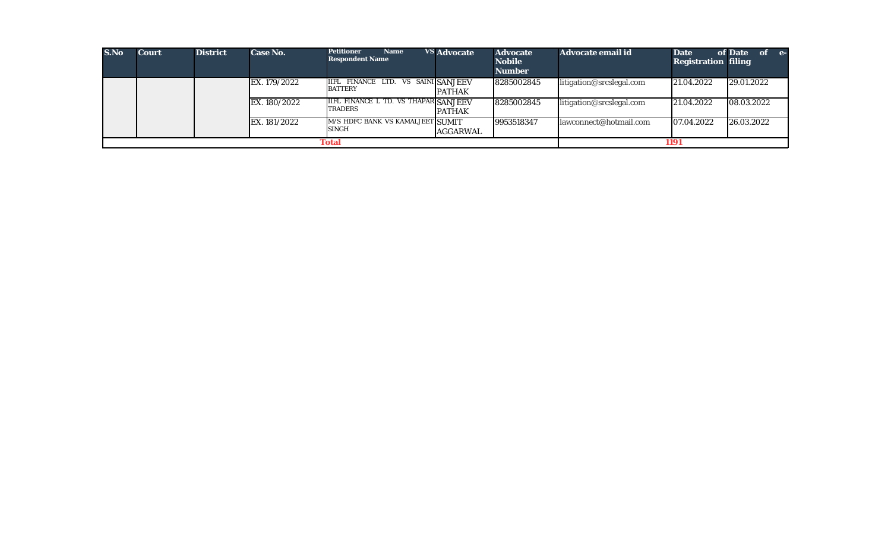| S.No | <b>Court</b> | <b>District</b> | Case No.     | <b>Petitioner</b><br><b>Name</b><br><b>Respondent Name</b>    | <b>VS Advocate</b> | <b>Advocate</b><br><b>Nobile</b><br><b>Number</b> | Advocate email id        | <b>Date</b><br><b>Registration filing</b> | of Date<br>$of$ $e$ |
|------|--------------|-----------------|--------------|---------------------------------------------------------------|--------------------|---------------------------------------------------|--------------------------|-------------------------------------------|---------------------|
|      |              |                 | EX. 179/2022 | <b>IIFL FINANCE LTD. VS SAINI SANJEEV</b><br><b>BATTERY</b>   | <b>PATHAK</b>      | 8285002845                                        | litigation@srcslegal.com | 21.04.2022                                | 29.01.2022          |
|      |              |                 | EX. 180/2022 | <b>IIFL FINANCE L TD. VS THAPAR SANJEEV</b><br><b>TRADERS</b> | <b>PATHAK</b>      | 8285002845                                        | litigation@srcslegal.com | 21.04.2022                                | 08.03.2022          |
|      |              |                 | EX. 181/2022 | M/S HDFC BANK VS KAMALJEET SUMIT<br><b>SINGH</b>              | AGGARWAL           | 9953518347                                        | lawconnect@hotmail.com   | 07.04.2022                                | 26.03.2022          |
|      |              |                 |              | Total                                                         |                    |                                                   |                          | 1191                                      |                     |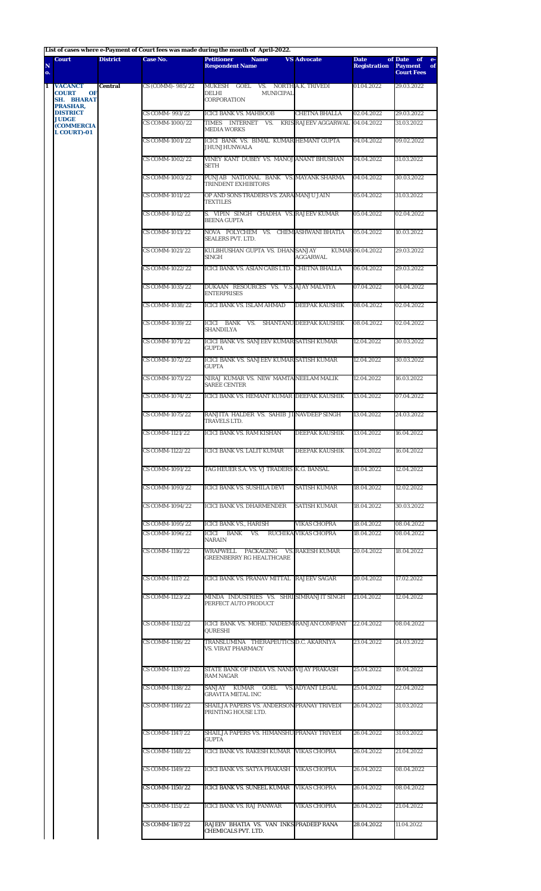**List of cases where e-Payment of Court fees was made during the month of April-2022.**

|         | <b>Court</b>                                              | <b>District</b> | Case No.                           | List of cases where e-payment of Court lees was made during the month of April-2022.<br><b>Petitioner</b><br><b>Name</b> | <b>VS Advocate</b>                          | <b>Date</b>              | of Date of e-                             |
|---------|-----------------------------------------------------------|-----------------|------------------------------------|--------------------------------------------------------------------------------------------------------------------------|---------------------------------------------|--------------------------|-------------------------------------------|
| N<br>o. |                                                           |                 |                                    | <b>Respondent Name</b>                                                                                                   |                                             | <b>Registration</b>      | <b>Payment</b><br>of<br><b>Court Fees</b> |
| 1       | <b>VACANCT</b><br><b>COURT</b><br>OF<br><b>SH. BHARAT</b> | <b>Central</b>  | CS (COMM) - 985/22                 | MUKESH GOEL VS. NORTHA.K. TRIVEDI<br><b>MUNICIPAL</b><br>DELHI<br>CORPORATION                                            |                                             | 01.04.2022               | 29.03.2022                                |
|         | PRASHAR,<br><b>DISTRICT</b>                               |                 | CS COMM-993/22                     | <b>ICICI BANK VS. MAHBOOB</b>                                                                                            | <b>CHETNA BHALLA</b>                        | 02.04.2022               | 29.03.2022                                |
|         | <b>JUDGE</b><br><b>(COMMERCIA)</b><br><b>L COURT)-01</b>  |                 | CS COMM-1000/22                    | TIMES INTERNET VS. KRIS RAJEEV AGGARWAL 04.04.2022<br><b>MEDIA WORKS</b>                                                 |                                             |                          | 31.03.2022                                |
|         |                                                           |                 | <b>CS COMM-1001/22</b>             | ICICI BANK VS. BIMAL KUMAR HEMANT GUPTA<br><b>JHUNJHUNWALA</b>                                                           |                                             | 04.04.2022               | 09.02.2022                                |
|         |                                                           |                 | CS COMM-1002/22                    | VINEY KANT DUBEY VS. MANOJ ANANT BHUSHAN<br>SETH                                                                         |                                             | 04.04.2022               | 31.03.2022                                |
|         |                                                           |                 | CS COMM-1003/22                    | PUNJAB NATIONAL BANK VS. MAYANK SHARMA<br>TRINDENT EXHIBITORS                                                            |                                             | 04.04.2022               | 30.03.2022                                |
|         |                                                           |                 | CS COMM-1011/22                    | OP AND SONS TRADERS VS. ZARA MANJU JAIN<br><b>TEXTILES</b>                                                               |                                             | 05.04.2022               | 31.03.2022                                |
|         |                                                           |                 | CS COMM-1012/22                    | S. VIPIN SINGH CHADHA VS. RAJEEV KUMAR<br><b>BEENA GUPTA</b>                                                             |                                             | 05.04.2022               | 02.04.2022                                |
|         |                                                           |                 | CS COMM-1013/22                    | NOVA POLYCHEM VS. CHEM ASHWANI BHATIA<br><b>SEALERS PVT. LTD.</b>                                                        |                                             | 05.04.2022               | 10.03.2022                                |
|         |                                                           |                 | CS COMM-1021/22                    | KULBHUSHAN GUPTA VS. DHAN SANJAY<br><b>SINGH</b>                                                                         | AGGARWAL                                    | KUMAR 06.04.2022         | 29.03.2022                                |
|         |                                                           |                 | CS COMM-1022/22                    | ICICI BANK VS. ASIAN CABS LTD. CHETNA BHALLA                                                                             |                                             | 06.04.2022               | 29.03.2022                                |
|         |                                                           |                 | CS COMM-1035/22                    | DUKAAN RESOURCES VS. V.S. AJAY MALVIYA<br><b>ENTERPRISES</b>                                                             |                                             | 07.04.2022               | 04.04.2022                                |
|         |                                                           |                 | CS COMM-1038/22                    | ICICI BANK VS. ISLAM AHMAD                                                                                               | <b>DEEPAK KAUSHIK</b>                       | 08.04.2022               | 02.04.2022                                |
|         |                                                           |                 | CS COMM-1039/22                    | ICICI BANK VS. SHANTANU DEEPAK KAUSHIK<br><b>SHANDILYA</b>                                                               |                                             | 08.04.2022               | 02.04.2022                                |
|         |                                                           |                 | CS COMM-1071/22                    | ICICI BANK VS. SANJEEV KUMAR SATISH KUMAR<br><b>GUPTA</b>                                                                |                                             | 12.04.2022               | 30.03.2022                                |
|         |                                                           |                 | CS COMM-1072/22                    | ICICI BANK VS. SANJEEV KUMAR SATISH KUMAR<br><b>GUPTA</b>                                                                |                                             | 12.04.2022               | 30.03.2022                                |
|         |                                                           |                 | CS COMM-1073/22                    | NIRAJ KUMAR VS. NEW MAMTA NEELAM MALIK<br><b>SAREE CENTER</b>                                                            |                                             | 12.04.2022               | 16.03.2022                                |
|         |                                                           |                 | CS COMM-1074/22                    | ICICI BANK VS. HEMANT KUMAR DEEPAK KAUSHIK                                                                               |                                             | 13.04.2022               | 07.04.2022                                |
|         |                                                           |                 | CS COMM-1075/22                    | RANJITA HALDER VS. SAHIB JI NAVDEEP SINGH<br>TRAVELS LTD.                                                                |                                             | 13.04.2022               | 24.03.2022                                |
|         |                                                           |                 | CS COMM-1121/22                    | ICICI BANK VS. RAM KISHAN                                                                                                | <b>DEEPAK KAUSHIK</b>                       | 13.04.2022               | 16.04.2022                                |
|         |                                                           |                 | CS COMM-1122/22                    | ICICI BANK VS. LALIT KUMAR                                                                                               | DEEPAK KAUSHIK                              | 13.04.2022               | 16.04.2022                                |
|         |                                                           |                 | CS COMM-1091/22                    | TAG HEUER S.A. VS. VJ TRADERS K.G. BANSAL                                                                                |                                             | 18.04.2022               | 12.04.2022                                |
|         |                                                           |                 | CS COMM-1093/22                    | ICICI BANK VS. SUSHILA DEVI                                                                                              | <b>SATISH KUMAR</b>                         | 18.04.2022               | 12.02.2022                                |
|         |                                                           |                 | CS COMM-1094/22                    | <b>ICICI BANK VS. DHARMENDER</b>                                                                                         | <b>SATISH KUMAR</b>                         | 18.04.2022               | 30.03.2022                                |
|         |                                                           |                 | CS COMM-1095/22<br>CS COMM-1096/22 | ICICI BANK VS., HARISH<br>ICICI BANK<br>VS.<br>NARAIN                                                                    | <b>VIKAS CHOPRA</b><br>RUCHIKA VIKAS CHOPRA | 18.04.2022<br>18.04.2022 | 08.04.2022<br>08.04.2022                  |
|         |                                                           |                 | CS COMM-1116/22                    | WRAPWELL PACKAGING<br><b>GREENBERRY RG HEALTHCARE</b>                                                                    | VS. RAKESH KUMAR                            | 20.04.2022               | 18.04.2022                                |
|         |                                                           |                 | CS COMM-1117/22                    | ICICI BANK VS. PRANAV MITTAL RAJEEV SAGAR                                                                                |                                             | 20.04.2022               | 17.02.2022                                |
|         |                                                           |                 | CS COMM-1123/22                    | MINDA INDUSTRIES VS. SHRI SIMRANJIT SINGH<br>PERFECT AUTO PRODUCT                                                        |                                             | 21.04.2022               | 12.04.2022                                |
|         |                                                           |                 | CS COMM-1132/22                    | ICICI BANK VS. MOHD. NADEEM RANJAN COMPANY<br>QURESHI                                                                    |                                             | 22.04.2022               | 08.04.2022                                |
|         |                                                           |                 | CS COMM-1136/22                    | TRANSLUMINA THERAPEUTICS D.C. AKARNIYA<br>VS. VIRAT PHARMACY                                                             |                                             | 23.04.2022               | 24.03.2022                                |
|         |                                                           |                 | CS COMM-1137/22                    | STATE BANK OF INDIA VS. NAND VIJAY PRAKASH<br>RAM NAGAR                                                                  |                                             | 25.04.2022               | 19.04.2022                                |
|         |                                                           |                 | CS COMM-1138/22                    | SANJAY KUMAR GOEL VS. ADYANT LEGAL<br>GRAVITA METAL INC                                                                  |                                             | 25.04.2022               | 22.04.2022                                |
|         |                                                           |                 | CS COMM-1146/22                    | SHAILJA PAPERS VS. ANDERSON PRANAY TRIVEDI<br>PRINTING HOUSE LTD.                                                        |                                             | 26.04.2022               | 31.03.2022                                |
|         |                                                           |                 | CS COMM-1147/22                    | SHAILJA PAPERS VS. HIMANSHU PRANAY TRIVEDI<br>GUPTA                                                                      |                                             | 26.04.2022               | 31.03.2022                                |
|         |                                                           |                 | CS COMM-1148/22                    | ICICI BANK VS. RAKESH KUMAR VIKAS CHOPRA                                                                                 |                                             | 26.04.2022               | 21.04.2022                                |
|         |                                                           |                 | CS COMM-1149/22                    | ICICI BANK VS. SATYA PRAKASH VIKAS CHOPRA                                                                                |                                             | 26.04.2022               | 08.04.2022                                |
|         |                                                           |                 | <b>CS COMM-1150/22</b>             | <b>ICICI BANK VS. SUNEEL KUMAR</b>                                                                                       | <b>VIKAS CHOPRA</b>                         | 26.04.2022               | 08.04.2022                                |
|         |                                                           |                 | CS COMM-1151/22                    | <b>ICICI BANK VS. RAJ PANWAR</b>                                                                                         | <b>VIKAS CHOPRA</b>                         | 26.04.2022               | 21.04.2022                                |
|         |                                                           |                 | CS COMM-1167/22                    | RAJEEV BHATIA VS. VAN INKS PRADEEP RANA<br>CHEMICALS PVT. LTD.                                                           |                                             | 28.04.2022               | 11.04.2022                                |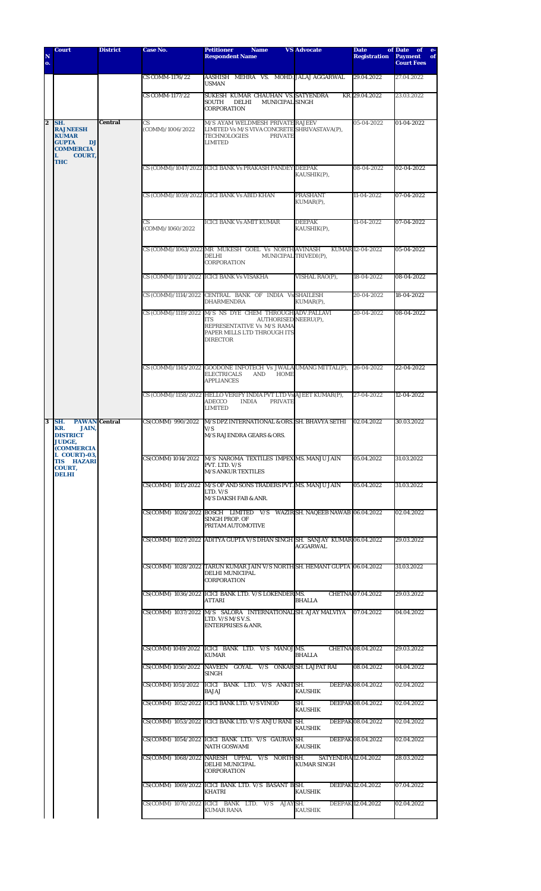| N<br>o.        | <b>Court</b>                                                                                                         | <b>District</b> | Case No.                | Petitioner<br><b>Name</b><br><b>Respondent Name</b>                                                                                                             | <b>VS Advocate</b>                                                                                 | <b>Date</b><br><b>Registration</b> | of Date<br>of<br>$e-$<br><b>Payment</b><br>of<br><b>Court Fees</b> |            |  |  |  |  |                                                                                                                           |  |  |            |  |  |  |  |                                                    |  |  |            |
|----------------|----------------------------------------------------------------------------------------------------------------------|-----------------|-------------------------|-----------------------------------------------------------------------------------------------------------------------------------------------------------------|----------------------------------------------------------------------------------------------------|------------------------------------|--------------------------------------------------------------------|------------|--|--|--|--|---------------------------------------------------------------------------------------------------------------------------|--|--|------------|--|--|--|--|----------------------------------------------------|--|--|------------|
|                |                                                                                                                      |                 | CS COMM-1176/22         | AASHISH MEHRA VS. MOHD.JALAJ AGGARWAL<br><b>USMAN</b>                                                                                                           |                                                                                                    | 29.04.2022                         | 27.04.2022                                                         |            |  |  |  |  |                                                                                                                           |  |  |            |  |  |  |  |                                                    |  |  |            |
|                |                                                                                                                      |                 | <b>CS COMM-1177/22</b>  | SUKESH KUMAR CHAUHAN VS. SATYENDRA<br><b>MUNICIPAL SINGH</b><br>SOUTH<br>DELHI<br>CORPORATION                                                                   |                                                                                                    | KR. 29.04.2022                     | 23.03.2022                                                         |            |  |  |  |  |                                                                                                                           |  |  |            |  |  |  |  |                                                    |  |  |            |
| $\overline{2}$ | SH.<br><b>RAJNEESH</b><br><b>KUMAR</b><br><b>GUPTA</b><br>DJ<br><b>COMMERCIA</b><br>L<br><b>COURT,</b><br><b>THC</b> | <b>Central</b>  | CS<br>(COMM)/1006/2022  | M/S AYAM WELDMESH PRIVATE RAJEEV<br>LIMITED Vs M/S VIVA CONCRETE SHRIVASTAVA(P),<br><b>TECHNOLOGIES</b><br><b>PRIVATE</b><br><b>LIMITED</b>                     |                                                                                                    | 05-04-2022                         | 01-04-2022                                                         |            |  |  |  |  |                                                                                                                           |  |  |            |  |  |  |  |                                                    |  |  |            |
|                |                                                                                                                      |                 |                         | CS (COMM)/1047/2022 ICICI BANK Vs PRAKASH PANDEY DEEPAK                                                                                                         | KAUSHIK(P),                                                                                        | 08-04-2022                         | 02-04-2022                                                         |            |  |  |  |  |                                                                                                                           |  |  |            |  |  |  |  |                                                    |  |  |            |
|                |                                                                                                                      |                 |                         | CS (COMM)/1059/2022 ICICI BANK Vs ABID KHAN                                                                                                                     | <b>PRASHANT</b><br>KUMAR(P),                                                                       | 11-04-2022                         | 07-04-2022                                                         |            |  |  |  |  |                                                                                                                           |  |  |            |  |  |  |  |                                                    |  |  |            |
|                |                                                                                                                      |                 | CS.<br>(COMM)/1060/2022 | <b>ICICI BANK Vs AMIT KUMAR</b>                                                                                                                                 | <b>DEEPAK</b><br>KAUSHIK(P),                                                                       | 11-04-2022                         | 07-04-2022                                                         |            |  |  |  |  |                                                                                                                           |  |  |            |  |  |  |  |                                                    |  |  |            |
|                |                                                                                                                      |                 |                         | CS (COMM)/1063/2022 MR MUKESH GOEL Vs NORTH AVINASH<br><b>DELHI</b><br>CORPORATION                                                                              | MUNICIPAL TRIVEDI(P),                                                                              | KUMAR 12-04-2022                   | 05-04-2022                                                         |            |  |  |  |  |                                                                                                                           |  |  |            |  |  |  |  |                                                    |  |  |            |
|                |                                                                                                                      |                 |                         | CS (COMM)/1101/2022 ICICI BANK Vs VISAKHA                                                                                                                       | VISHAL RAO(P).                                                                                     | 18-04-2022                         | 08-04-2022                                                         |            |  |  |  |  |                                                                                                                           |  |  |            |  |  |  |  |                                                    |  |  |            |
|                |                                                                                                                      |                 |                         | CS (COMM)/1114/2022 CENTRAL BANK OF INDIA Vs SHAILESH<br>DHARMENDRA                                                                                             | KUMAR(P),                                                                                          | 20-04-2022                         | 18-04-2022                                                         |            |  |  |  |  |                                                                                                                           |  |  |            |  |  |  |  |                                                    |  |  |            |
|                |                                                                                                                      |                 |                         | CS (COMM)/1119/2022 M/S NS DYE CHEM THROUGH ADV.PALLAVI<br>AUTHORISED NEERU(P),<br>ITS<br>REPRESENTATIVE Vs M/S RAMA<br>PAPER MILLS LTD THROUGH ITS<br>DIRECTOR |                                                                                                    | 20-04-2022                         | 08-04-2022                                                         |            |  |  |  |  |                                                                                                                           |  |  |            |  |  |  |  |                                                    |  |  |            |
|                |                                                                                                                      |                 |                         | CS (COMM)/1145/2022 GOODONE INFOTECH Vs JWALA UMANG MITTAL(P),<br><b>ELECTRICALS</b><br><b>AND</b><br><b>HOME</b><br><b>APPLIANCES</b>                          |                                                                                                    | 26-04-2022                         | 22-04-2022                                                         |            |  |  |  |  |                                                                                                                           |  |  |            |  |  |  |  |                                                    |  |  |            |
|                |                                                                                                                      |                 |                         | CS (COMM)/1158/2022 HELLO VERIFY INDIA PVT LTD Vs AJEET KUMAR(P),<br>ADECCO<br><b>PRIVATE</b><br><b>INDIA</b><br><b>LIMITED</b>                                 |                                                                                                    | 27-04-2022                         | 12-04-2022                                                         |            |  |  |  |  |                                                                                                                           |  |  |            |  |  |  |  |                                                    |  |  |            |
| 3              | SH.<br><b>PAWAN</b> Central<br>KR.<br><b>JAIN,</b><br><b>DISTRICT</b><br><b>JUDGE,</b><br><b>(COMMERCIA</b>          |                 | CS(COMM) 990/2022       | M/S DPZ INTERNATIONAL & ORS. SH. BHAVYA SETHI<br>V/S<br>M/S RAJENDRA GEARS & ORS.                                                                               |                                                                                                    | 02.04.2022                         | 30.03.2022                                                         |            |  |  |  |  |                                                                                                                           |  |  |            |  |  |  |  |                                                    |  |  |            |
|                | L COURT)-03,<br><b>TIS HAZARI</b><br><b>COURT,</b><br>DELHI                                                          |                 |                         | CS(COMM) 1014/2022   M/S NAROMA TEXTILES IMPEX MS. MANJU JAIN<br>PVT. LTD. V/S<br><b>M/S ANKUR TEXTILES</b>                                                     |                                                                                                    | 05.04.2022                         | 31.03.2022                                                         |            |  |  |  |  |                                                                                                                           |  |  |            |  |  |  |  |                                                    |  |  |            |
|                |                                                                                                                      |                 |                         |                                                                                                                                                                 | CS(COMM) 1015/2022 M/S OP AND SONS TRADERS PVT. MS. MANJU JAIN<br>LTD. V/S<br>M/S DAKSH FAB & ANR. |                                    | 05.04.2022                                                         | 31.03.2022 |  |  |  |  |                                                                                                                           |  |  |            |  |  |  |  |                                                    |  |  |            |
|                |                                                                                                                      |                 |                         | CS(COMM) 1026/2022 BOSCH LIMITED V/S WAZIR SH. NAQEEB NAWAB 06.04.2022<br><b>SINGH PROP. OF</b><br>PRITAM AUTOMOTIVE                                            |                                                                                                    |                                    | 02.04.2022                                                         |            |  |  |  |  |                                                                                                                           |  |  |            |  |  |  |  |                                                    |  |  |            |
|                |                                                                                                                      |                 |                         | CS(COMM) 1027/2022 ADITYA GUPTA V/S DHAN SINGH SH. SANJAY KUMAR 06.04.2022                                                                                      | AGGARWAL                                                                                           |                                    | 29.03.2022                                                         |            |  |  |  |  |                                                                                                                           |  |  |            |  |  |  |  |                                                    |  |  |            |
|                |                                                                                                                      |                 |                         |                                                                                                                                                                 |                                                                                                    |                                    |                                                                    |            |  |  |  |  | CS(COMM) 1028/2022 TARUN KUMAR JAIN V/S NORTH SH. HEMANT GUPTA 06.04.2022<br><b>DELHI MUNICIPAL</b><br><b>CORPORATION</b> |  |  | 31.03.2022 |  |  |  |  |                                                    |  |  |            |
|                |                                                                                                                      |                 |                         | CS(COMM) 1036/2022 ICICI BANK LTD. V/S LOKENDER MS.<br>ATTARI                                                                                                   | <b>BHALLA</b>                                                                                      | <b>CHETNA 07.04.2022</b>           | 29.03.2022                                                         |            |  |  |  |  |                                                                                                                           |  |  |            |  |  |  |  |                                                    |  |  |            |
|                |                                                                                                                      |                 |                         |                                                                                                                                                                 |                                                                                                    |                                    |                                                                    |            |  |  |  |  |                                                                                                                           |  |  |            |  |  |  |  | LTD. V/S M/S V.S.<br><b>ENTERPRISES &amp; ANR.</b> |  |  | 04.04.2022 |
|                |                                                                                                                      |                 |                         | CS(COMM) 1049/2022 ICICI BANK LTD. V/S MANOJMS.<br><b>KUMAR</b>                                                                                                 | BHALLA                                                                                             | CHETNA 08.04.2022                  | 29.03.2022                                                         |            |  |  |  |  |                                                                                                                           |  |  |            |  |  |  |  |                                                    |  |  |            |
|                |                                                                                                                      |                 |                         | CS(COMM) 1050/2022 NAVEEN GOYAL V/S ONKAR SH, LAJPAT RAI<br>SINGH                                                                                               |                                                                                                    | 08.04.2022                         | 04.04.2022                                                         |            |  |  |  |  |                                                                                                                           |  |  |            |  |  |  |  |                                                    |  |  |            |
|                |                                                                                                                      |                 | CS(COMM) 1051/2022      | ICICI BANK LTD. V/S ANKIT SH.<br>BAJAJ                                                                                                                          | <b>KAUSHIK</b>                                                                                     | DEEPAK 08.04.2022                  | 02.04.2022                                                         |            |  |  |  |  |                                                                                                                           |  |  |            |  |  |  |  |                                                    |  |  |            |
|                |                                                                                                                      |                 |                         | CS(COMM) 1052/2022 ICICI BANK LTD. V/S VINOD                                                                                                                    | SH.<br><b>KAUSHIK</b>                                                                              | DEEPAK 08.04.2022                  | 02.04.2022                                                         |            |  |  |  |  |                                                                                                                           |  |  |            |  |  |  |  |                                                    |  |  |            |
|                |                                                                                                                      |                 |                         | CS(COMM) 1053/2022 ICICI BANK LTD. V/S ANJU RANI SH.                                                                                                            | <b>KAUSHIK</b>                                                                                     | DEEPAK 08.04.2022                  | 02.04.2022                                                         |            |  |  |  |  |                                                                                                                           |  |  |            |  |  |  |  |                                                    |  |  |            |
|                |                                                                                                                      |                 |                         | CS(COMM) 1054/2022 ICICI BANK LTD. V/S GAURAVSH.<br><b>NATH GOSWAMI</b>                                                                                         | <b>KAUSHIK</b>                                                                                     | DEEPAK 08.04.2022                  | 02.04.2022                                                         |            |  |  |  |  |                                                                                                                           |  |  |            |  |  |  |  |                                                    |  |  |            |
|                |                                                                                                                      |                 |                         | CS(COMM) 1068/2022 NARESH UPPAL V/S NORTH SH.<br><b>DELHI MUNICIPAL</b><br><b>CORPORATION</b>                                                                   | <b>SATYENDRA 12.04.2022</b><br><b>KUMAR SINGH</b>                                                  |                                    | 28.03.2022                                                         |            |  |  |  |  |                                                                                                                           |  |  |            |  |  |  |  |                                                    |  |  |            |
|                |                                                                                                                      |                 |                         | CS(COMM) 1069/2022 ICICI BANK LTD. V/S BASANT BSH.<br><b>KHATRI</b>                                                                                             | <b>KAUSHIK</b>                                                                                     | DEEPAK 12.04.2022                  | 07.04.2022                                                         |            |  |  |  |  |                                                                                                                           |  |  |            |  |  |  |  |                                                    |  |  |            |
|                |                                                                                                                      |                 |                         | CS(COMM) 1070/2022 ICICI BANK LTD. V/S AJAYSH.<br>KUMAR RANA                                                                                                    | KAUSHIK                                                                                            | DEEPAK 12.04.2022                  | 02.04.2022                                                         |            |  |  |  |  |                                                                                                                           |  |  |            |  |  |  |  |                                                    |  |  |            |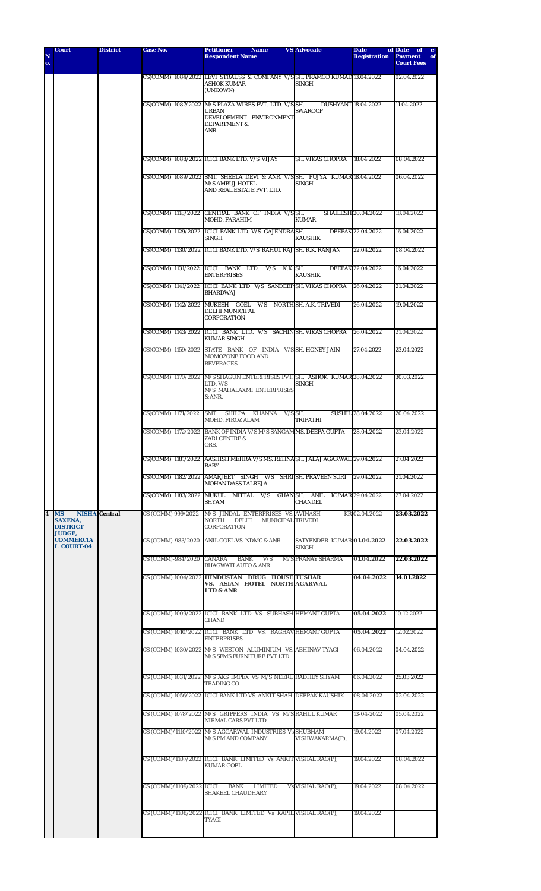| N                       | <b>Court</b>                                                    | <b>District</b>      | Case No.                  | <b>Petitioner</b><br><b>Name</b><br><b>Respondent Name</b>                                                                         | <b>VS Advocate</b>                           | <b>Date</b><br><b>Registration</b> | of Date<br>of<br>$e-$<br><b>Payment</b><br>of |
|-------------------------|-----------------------------------------------------------------|----------------------|---------------------------|------------------------------------------------------------------------------------------------------------------------------------|----------------------------------------------|------------------------------------|-----------------------------------------------|
| o.                      |                                                                 |                      |                           |                                                                                                                                    |                                              |                                    | <b>Court Fees</b>                             |
|                         |                                                                 |                      |                           | CS(COMM) 1084/2022 LEVI STRAUSS & COMPANY V/S SH. PRAMOD KUMAD 13.04.2022<br>ASHOK KUMAR<br>(UNKOWN)                               | SINGH                                        |                                    | 02.04.2022                                    |
|                         |                                                                 |                      |                           | CS(COMM) 1087/2022 M/S PLAZA WIRES PVT. LTD. V/S SH.<br><b>URBAN</b><br>DEVELOPMENT ENVIRONMENT<br><b>DEPARTMENT &amp;</b><br>ANR. | <b>DUSHYANT 18.04.2022</b><br><b>SWAROOP</b> |                                    | 11.04.2022                                    |
|                         |                                                                 |                      |                           | CS(COMM) 1088/2022 ICICI BANK LTD. V/S VIJAY                                                                                       | SH. VIKAS CHOPRA                             | 18.04.2022                         | 08.04.2022                                    |
|                         |                                                                 |                      |                           | CS(COMM) 1089/2022 SMT, SHEELA DEVI & ANR. V/S SH, PUJYA KUMAR 18.04.2022<br>M/S AMBUJ HOTEL<br>AND REAL ESTATE PVT. LTD.          | SINGH                                        |                                    | 06.04.2022                                    |
|                         |                                                                 |                      |                           | CS(COMM) 1118/2022 CENTRAL BANK OF INDIA V/SSH.<br><b>MOHD. FARAHIM</b>                                                            | <b>KUMAR</b>                                 | <b>SHAILESH 20.04.2022</b>         | 18.04.2022                                    |
|                         |                                                                 |                      |                           | CS(COMM) 1129/2022 IICICI BANK LTD, V/S GAJENDRAISH.<br>SINGH                                                                      | KAUSHIK                                      | DEEPAK 22.04.2022                  | 16.04.2022                                    |
|                         |                                                                 |                      |                           | CS(COMM) 1130/2022 ICICI BANK LTD. V/S RAHUL RAJISH. R.K. RANJAN                                                                   |                                              | 22.04.2022                         | 08.04.2022                                    |
|                         |                                                                 |                      |                           | CS(COMM) 1131/2022 ICICI BANK LTD. V/S<br><b>ENTERPRISES</b>                                                                       | K.K. SH.<br><b>KAUSHIK</b>                   | DEEPAK 22.04.2022                  | 16.04.2022                                    |
|                         |                                                                 |                      | CS(COMM) 1141/2022        | ICICI BANK LTD. V/S SANDEEP SH. VIKAS CHOPRA<br><b>BHARDWAJ</b>                                                                    |                                              | 26.04.2022                         | 21.04.2022                                    |
|                         |                                                                 |                      |                           | CS(COMM) 1142/2022 MUKESH GOEL V/S NORTH SH. A.K. TRIVEDI<br>DELHI MUNICIPAL<br>CORPORATION                                        |                                              | 26.04.2022                         | 19.04.2022                                    |
|                         |                                                                 |                      |                           | CS(COMM) 1143/2022 ICICI BANK LTD. V/S SACHIN SH. VIKAS CHOPRA<br><b>KUMAR SINGH</b>                                               |                                              | 26.04.2022                         | 21.04.2022                                    |
|                         |                                                                 |                      | CS(COMM) 1159/2022        | STATE BANK OF INDIA V/SSH. HONEY JAIN<br>MOMOZONE FOOD AND<br><b>BEVERAGES</b>                                                     |                                              | 27.04.2022                         | 23.04.2022                                    |
|                         |                                                                 |                      | CS(COMM) 1170/2022        | M/S SHAGUN ENTERPRISES PVT. SH. ASHOK KUMAR 28.04.2022<br>LTD. V/S<br>M/S MAHALAXMI ENTERPRISES<br>& ANR.                          | SINGH                                        |                                    | 30.03.2022                                    |
|                         |                                                                 |                      | CS(COMM) 1171/2022        | SMT. SHILPA KHANNA<br><b>MOHD. FIROZ ALAM</b>                                                                                      | $V/S$ SH.<br><b>TRIPATHI</b>                 | <b>SUSHIL 28.04.2022</b>           | 20.04.2022                                    |
|                         |                                                                 |                      | CS(COMM) 1172/2022        | BANK OF INDIA V/S M/S SANGAMMS. DEEPA GUPTA<br>ZARI CENTRE &<br>ORS.                                                               |                                              | 28.04.2022                         | 23.04.2022                                    |
|                         |                                                                 |                      | CS(COMM) 1181/2022        | AASHISH MEHRA V/S MS. REHNASH. JALAJ AGARWAL 29.04.2022<br>BABY                                                                    |                                              |                                    | 27.04.2022                                    |
|                         |                                                                 |                      |                           | CS(COMM) 1182/2022 AMARJEET SINGH V/S SHRISH. PRAVEEN SURI<br>MOHAN DASS TALREJA                                                   |                                              | 29.04.2022                         | 21.04.2022                                    |
|                         |                                                                 |                      |                           | CS(COMM) 1183/2022 MUKUL MITTAL V/S GHAN SH. ANIL KUMAR 29.04.2022<br>SHYAM                                                        | CHANDEL                                      |                                    | 27.04.2022                                    |
| $\overline{\mathbf{4}}$ | <b>MS</b><br><b>SAXENA,</b><br><b>DISTRICT</b><br><b>JUDGE,</b> | <b>NISHA</b> Central | CS (COMM) 999/2022        | M/S JINDAL ENTERPRISES VS. AVINASH<br>NORTH DELHI MUNICIPAL TRIVEDI<br>CORPORATION                                                 |                                              | KR 02.04.2022                      | 23.03.2022                                    |
|                         | <b>COMMERCIA</b><br><b>L COURT-04</b>                           |                      |                           | CS (COMM)-983/2020 ANIL GOEL VS. NDMC & ANR                                                                                        | SATYENDER KUMAR 01.04.2022<br>SINGH          |                                    | 22.03.2022                                    |
|                         |                                                                 |                      | CS (COMM)-984/2020 CANARA | BANK V/S<br><b>BHAGWATI AUTO &amp; ANR</b>                                                                                         | <b>M/S PRANAY SHARMA</b>                     | 01.04.2022                         | 22.03.2022                                    |
|                         |                                                                 |                      |                           | CS (COMM) 1004/2022 HINDUSTAN DRUG HOUSE TUSHAR<br>VS. ASIAN HOTEL NORTH AGARWAL<br><b>LTD &amp; ANR</b>                           |                                              | 04.04.2022                         | 14.01.2022                                    |
|                         |                                                                 |                      |                           | CS (COMM) 1009/2022 ICICI BANK LTD VS. SUBHASH HEMANT GUPTA<br>CHAND                                                               |                                              | 05.04.2022                         | 10.12.2022                                    |
|                         |                                                                 |                      |                           | CS (COMM) 1010/2022 ICICI BANK LTD VS. RAGHAVHEMANT GUPTA<br>ENTERPRISES                                                           |                                              | 05.04.2022                         | 12.02.2022                                    |
|                         |                                                                 |                      |                           | CS (COMM) 1030/2022 M/S WESTON ALUMINIUM VS. ABHINAV TYAGI<br>M/S SFMS FURNITURE PVT LTD                                           |                                              | 06.04.2022                         | 04.04.2022                                    |
|                         |                                                                 |                      |                           | CS (COMM) 1031/2022 M/S AKS IMPEX VS M/S NEERU RADHEY SHYAM<br>TRADING CO                                                          |                                              | 06.04.2022                         | 25.03.2022                                    |
|                         |                                                                 |                      |                           | CS (COMM) 1056/2022 ICICI BANK LTD VS. ANKIT SHAH DEEPAK KAUSHIK                                                                   |                                              | 08.04.2022                         | 02.04.2022                                    |
|                         |                                                                 |                      |                           | CS (COMM) 1078/2022 M/S GRIPPERS INDIA VS M/S RAHUL KUMAR<br>NIRMAL CARS PVT LTD                                                   |                                              | 13-04-2022                         | 05.04.2022                                    |
|                         |                                                                 |                      |                           | CS (COMM)/1110/2022 M/S AGGARWAL INDUSTRIES Vs SHUBHAM<br><b>M/S PM AND COMPANY</b>                                                | VISHWAKARMA(P),                              | 19.04.2022                         | 07.04.2022                                    |
|                         |                                                                 |                      |                           | CS (COMM)/1107/2022 ICICI BANK LIMITED Vs ANKIT VISHAL RAO(P),<br><b>KUMAR GOEL</b>                                                |                                              | 19.04.2022                         | 08.04.2022                                    |
|                         |                                                                 |                      |                           | CS (COMM)/1109/2022 ICICI BANK LIMITED<br>SHAKEEL CHAUDHARY                                                                        | Vs VISHAL RAO(P),                            | 19.04.2022                         | 08.04.2022                                    |
|                         |                                                                 |                      |                           | CS (COMM)/1108/2022 ICICI BANK LIMITED Vs KAPIL VISHAL RAO(P),<br>TYAGI                                                            |                                              | 19.04.2022                         |                                               |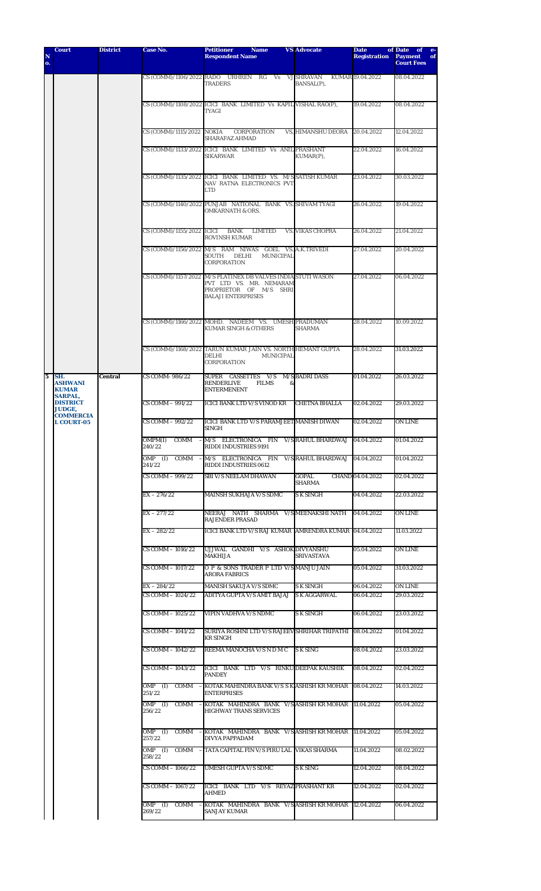| N<br>0.                 | <b>Court</b>                                                              | <b>District</b> | Case No.                           | <b>Petitioner</b><br><b>Name</b><br><b>Respondent Name</b>                                                                                     | <b>VS Advocate</b>            | <b>Date</b><br><b>Registration</b> | of Date<br>of <b>of</b><br>$-e-$<br><b>Payment</b><br>of<br><b>Court Fees</b> |
|-------------------------|---------------------------------------------------------------------------|-----------------|------------------------------------|------------------------------------------------------------------------------------------------------------------------------------------------|-------------------------------|------------------------------------|-------------------------------------------------------------------------------|
|                         |                                                                           |                 |                                    |                                                                                                                                                | <b>VJ SHRAVAN</b>             | KUMAR 19.04.2022                   | 08.04.2022                                                                    |
|                         |                                                                           |                 | CS (COMM)/1106/2022 RADO URHREN    | $_{\rm RG}$<br>Vs<br><b>TRADERS</b>                                                                                                            | BANSAL(P),                    |                                    |                                                                               |
|                         |                                                                           |                 |                                    | CS (COMM)/1108/2022 ICICI BANK LIMITED Vs KAPIL VISHAL RAO(P),<br>TYAGI                                                                        |                               | 19.04.2022                         | 08.04.2022                                                                    |
|                         |                                                                           |                 | CS (COMM)/1115/2022 NOKIA          | CORPORATION<br><b>SHARAFAZ AHMAD</b>                                                                                                           | VS, HIMANSHU DEORA            | 20.04.2022                         | 12.04.2022                                                                    |
|                         |                                                                           |                 |                                    | CS (COMM)/1133/2022 ICICI BANK LIMITED Vs ANIL PRASHANT<br><b>SIKARWAR</b>                                                                     | $KUMAR(P)$ ,                  | 22.04.2022                         | 16.04.2022                                                                    |
|                         |                                                                           |                 |                                    | CS (COMM)/1135/2022 ICICI BANK LIMITED VS. M/SSATISH KUMAR<br>NAV RATNA ELECTRONICS PVT<br>LTD                                                 |                               | 23.04.2022                         | 30.03.2022                                                                    |
|                         |                                                                           |                 |                                    | CS (COMM)/1140/2022 PUNJAB NATIONAL BANK VS. SHIVAM TYAGI<br><b>OMKARNATH &amp; ORS.</b>                                                       |                               | 26.04.2022                         | 19.04.2022                                                                    |
|                         |                                                                           |                 |                                    | CS (COMM)/1155/2022 ICICI BANK LIMITED<br><b>ROVINSH KUMAR</b>                                                                                 | <b>VS. VIKAS CHOPRA</b>       | 26.04.2022                         | 21.04.2022                                                                    |
|                         |                                                                           |                 |                                    | CS (COMM)/1156/2022 M/S RAM NIWAS GOEL VS. A.K.TRIVEDI<br>SOUTH DELHI<br><b>MUNICIPAL</b><br><b>CORPORATION</b>                                |                               | 27.04.2022                         | 20.04.2022                                                                    |
|                         |                                                                           |                 |                                    | CS (COMM)/1157/2022 M/S PLATINEX DB VALVES INDIA STUTI WASON<br>PVT LTD VS. MR. NEMARAM<br>PROPRIETOR OF M/S SHRI<br><b>BALAJI ENTERPRISES</b> |                               | 27.04.2022                         | 06.04.2022                                                                    |
|                         |                                                                           |                 |                                    | CS (COMM)/1166/2022 MOHD. NADEEM VS. UMESH PRADUMAN<br><b>KUMAR SINGH &amp; OTHERS</b>                                                         | <b>SHARMA</b>                 | 28.04.2022                         | 10.09.2022                                                                    |
|                         |                                                                           |                 |                                    | CS (COMM)/1168/2022 TARUN KUMAR JAIN VS. NORTH HEMANT GUPTA<br><b>DELHI</b><br>MUNICIPAL<br>CORPORATION                                        |                               | 28.04.2022                         | 31.03.2022                                                                    |
| $\overline{\mathbf{5}}$ | SH.<br><b>ASHWANI</b><br><b>KUMAR</b><br><b>SARPAL,</b>                   | <b>Central</b>  | CS COMM-986/22                     | SUPER CASSETTES V/S<br><b>RENDERLIVE</b><br><b>FILMS</b><br>&<br><b>ENTERMENENT</b>                                                            | <b>M/S BADRI DASS</b>         | 01.04.2022                         | 26.03.2022                                                                    |
|                         | <b>DISTRICT</b><br><b>JUDGE.</b><br><b>COMMERCIA</b><br><b>L COURT-05</b> |                 | CS COMM - 991/22                   | <b>ICICI BANK LTD V/S VINOD KR</b>                                                                                                             | <b>CHETNA BHALLA</b>          | 02.04.2022                         | 29.03.2022                                                                    |
|                         |                                                                           |                 | CS COMM - 992/22                   | ICICI BANK LTD V/S PARAMJEET MANISH DIWAN<br><b>SINGH</b>                                                                                      |                               | 02.04.2022                         | ON LINE                                                                       |
|                         |                                                                           |                 | OMPM(I)<br>240/22                  | COMM - M/S ELECTRONICA FIN V/S RAHUL BHARDWAJ 04.04.2022<br>RIDDI INDUSTRIES 9191                                                              |                               |                                    | 01.04.2022                                                                    |
|                         |                                                                           |                 | $OMP$ (I)<br>COMM<br>241/22        | $-M/S$ ELECTRONICA FIN<br><b>RIDDI INDUSTRIES 0612</b>                                                                                         | V/S RAHUL BHARDWAJ 04.04.2022 |                                    | 01.04.2022                                                                    |
|                         |                                                                           |                 | CS COMM - 999/22                   | <b>SBI V/S NEELAM DHAWAN</b>                                                                                                                   | <b>GOPAL</b><br><b>SHARMA</b> | CHAND 04.04.2022                   | 02.04.2022                                                                    |
|                         |                                                                           |                 | $EX - 276/22$                      | <b>MAINSH SUKHAJA V/S SDMC</b>                                                                                                                 | S K SINGH                     | 04.04.2022                         | 22.03.2022                                                                    |
|                         |                                                                           |                 | $EX - 277/22$                      | NEERAJ NATH SHARMA V/SMEENAKSHINATH<br><b>RAJENDER PRASAD</b>                                                                                  |                               | 04.04.2022                         | ON LINE                                                                       |
|                         |                                                                           |                 | $EX - 282/22$<br>CS COMM - 1016/22 | ICICI BANK LTD V/S RAJ KUMAR  AMRENDRA KUMAR  04.04.2022<br>UJJWAL GANDHI V/S ASHOK DIVYANSHU                                                  |                               |                                    | 11.03.2022                                                                    |
|                         |                                                                           |                 | CS COMM - 1017/22                  | MAKHIJA<br>O P & SONS TRADER P LTD V/S MANJU JAIN                                                                                              | SRIVASTAVA                    | 05.04.2022<br>05.04.2022           | ON LINE<br>31.03.2022                                                         |
|                         |                                                                           |                 | $EX - 284/22$                      | <b>ARORA FABRICS</b><br><b>MANISH SAKUJA V/S SDMC</b>                                                                                          | S K SINGH                     | 06.04.2022                         | ON LINE                                                                       |
|                         |                                                                           |                 | CS COMM - 1024/22                  | ADITYA GUPTA V/S AMIT BAJAJ                                                                                                                    | <b>SK AGGARWAL</b>            | 06.04.2022                         | 29.03.2022                                                                    |
|                         |                                                                           |                 | CS COMM - 1025/22                  | VIPIN VADHVA V/S NDMC                                                                                                                          | <b>S K SINGH</b>              | 06.04.2022                         | 23.03.2022                                                                    |
|                         |                                                                           |                 | CS COMM - 1041/22                  | SURIYA ROSHNI LTD V/S RAJEEV SHRIHAR TRIPATHI 08.04.2022<br><b>KR SINGH</b>                                                                    |                               |                                    | 01.04.2022                                                                    |
|                         |                                                                           |                 | CS COMM - 1042/22                  | REEMA MANOCHA V/S N D M C                                                                                                                      | S K SING                      | 08.04.2022                         | 23.03.2022                                                                    |
|                         |                                                                           |                 | CS COMM - 1043/22                  | ICICI BANK LTD V/S RINKU DEEPAK KAUSHIK<br><b>PANDEY</b>                                                                                       |                               | 08.04.2022                         | 02.04.2022                                                                    |
|                         |                                                                           |                 | $OMP$ (I)<br>COMM<br>251/22        | - KOTAK MAHINDRA BANK V/S S K ASHISH KR MOHAR   08.04.2022<br><b>ENTERPRISES</b>                                                               |                               |                                    | 14.03.2022                                                                    |
|                         |                                                                           |                 | 256/22                             | OMP (I) COMM - KOTAK MAHINDRA BANK V/S ASHISH KRMOHAR  11.04.2022<br><b>HIGHWAY TRANS SERVICES</b>                                             |                               |                                    | 05.04.2022                                                                    |
|                         |                                                                           |                 | $OMP$ (I)<br>257/22                | COMM - KOTAK MAHINDRA BANK V/S ASHISH KR MOHAR 11.04.2022<br>DIVYA PAPPADAM                                                                    |                               |                                    | 05.04.2022                                                                    |
|                         |                                                                           |                 | OMP (I)<br>258/22                  | COMM - TATA CAPITAL FIN V/S PIRU LAL VIKAS SHARMA                                                                                              |                               | 11.04.2022                         | 08.02.2022                                                                    |
|                         |                                                                           |                 | CS COMM - 1066/22                  | <b>UMESH GUPTA V/S SDMC</b>                                                                                                                    | S K SING                      | 12.04.2022                         | 08.04.2022                                                                    |
|                         |                                                                           |                 | CS COMM - 1067/22                  | ICICI BANK LTD V/S REYAZ PRASHANT KR<br>AHMED                                                                                                  |                               | 12.04.2022                         | 02.04.2022                                                                    |
|                         |                                                                           |                 | $OMP$ (I)<br>COMM -<br>269/22      | KOTAK MAHINDRA BANK V/SASHISH KR MOHAR 12.04.2022<br><b>SANJAY KUMAR</b>                                                                       |                               |                                    | 06.04.2022                                                                    |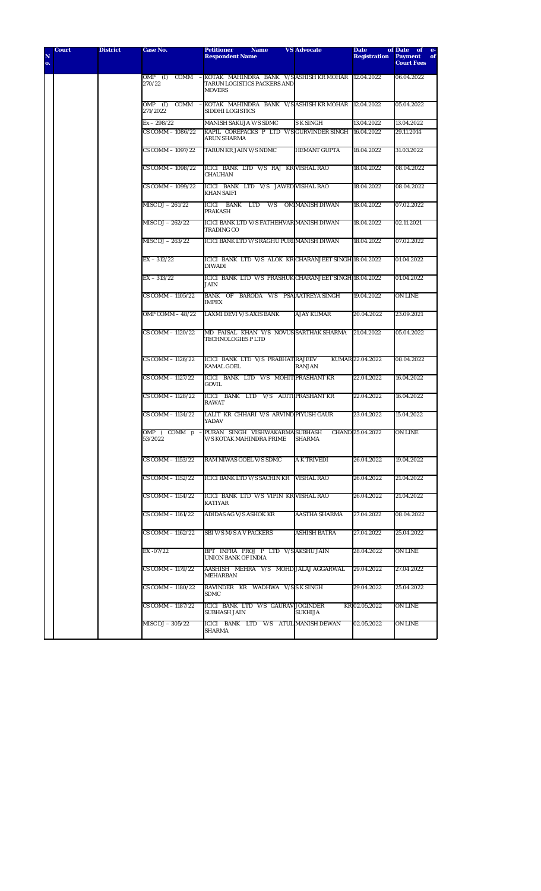|                 | <b>Court</b> | <b>District</b> | Case No.                    | <b>Petitioner</b><br><b>Name</b>                                                                                  | <b>VS Advocate</b>   | <b>Date</b>         | of Date of e-                             |
|-----------------|--------------|-----------------|-----------------------------|-------------------------------------------------------------------------------------------------------------------|----------------------|---------------------|-------------------------------------------|
| ${\bf N}$<br>о. |              |                 |                             | <b>Respondent Name</b>                                                                                            |                      | <b>Registration</b> | <b>Payment</b><br>of<br><b>Court Fees</b> |
|                 |              |                 | 270/22                      | OMP (I) COMM - KOTAK MAHINDRA BANK V/S ASHISH KR MOHAR 12.04.2022<br>TARUN LOGISTICS PACKERS AND<br><b>MOVERS</b> |                      |                     | 06.04.2022                                |
|                 |              |                 | COMM<br>OMP (I)<br>271/2022 | - KOTAK MAHINDRA BANK V/SASHISH KRMOHAR 12.04.2022<br>SIDDHI LOGISTICS                                            |                      |                     | 05.04.2022                                |
|                 |              |                 | $Ex - 298/22$               | <b>MANISH SAKUJA V/S SDMC</b>                                                                                     | <b>S K SINGH</b>     | 13.04.2022          | 13.04.2022                                |
|                 |              |                 | CS COMM - 1086/22           | KAPIL COREPACKS P LTD V/SGURVINDER SINGH 16.04.2022<br>ARUN SHARMA                                                |                      |                     | 29.11.2014                                |
|                 |              |                 | CS COMM - 1097/22           | TARUN KR JAIN V/S NDMC                                                                                            | <b>HEMANT GUPTA</b>  | 18.04.2022          | 31.03.2022                                |
|                 |              |                 | CS COMM - 1098/22           | ICICI BANK LTD V/S RAJ KR VISHAL RAO<br><b>CHAUHAN</b>                                                            |                      | 18.04.2022          | 08.04.2022                                |
|                 |              |                 | CS COMM - 1099/22           | ICICI BANK LTD V/S JAWED VISHAL RAO<br><b>KHAN SAIFI</b>                                                          |                      | 18.04.2022          | 08.04.2022                                |
|                 |              |                 | MISC DJ $-261/22$           | ICICI BANK LTD V/S OM MANISH DIWAN<br><b>PRAKASH</b>                                                              |                      | 18.04.2022          | 07.02.2022                                |
|                 |              |                 | MISC DJ - 262/22            | ICICI BANK LTD V/S FATHEHVAR MANISH DIWAN<br><b>TRADING CO</b>                                                    |                      | 18.04.2022          | 02.11.2021                                |
|                 |              |                 | MISC DJ - 263/22            | ICICI BANK LTD V/S RAGHU PURI MANISH DIWAN                                                                        |                      | 18.04.2022          | 07.02.2022                                |
|                 |              |                 | $EX - 312/22$               | ICICI BANK LTD V/S ALOK KR CHARANJEET SINGH 18.04.2022<br><b>DIWADI</b>                                           |                      |                     | 01.04.2022                                |
|                 |              |                 | $EX - 313/22$               | ICICI BANK LTD V/S PRASHUK CHARANJEET SINGH 18.04.2022<br><b>JAIN</b>                                             |                      |                     | 01.04.2022                                |
|                 |              |                 | CS COMM - 1105/22           | BANK OF BARODA V/S PSA AATREYA SINGH<br><b>IMPEX</b>                                                              |                      | 19.04.2022          | ON LINE                                   |
|                 |              |                 | OMP COMM - 48/22            | <b>LAXMI DEVI V/S AXIS BANK</b>                                                                                   | <b>AJAY KUMAR</b>    | 20.04.2022          | 23.09.2021                                |
|                 |              |                 | CS COMM - 1120/22           | MD FAISAL KHAN V/S NOVUS SARTHAK SHARMA<br><b>TECHNOLOGIES P LTD</b>                                              |                      | 21.04.2022          | 05.04.2022                                |
|                 |              |                 | CS COMM - 1126/22           | ICICI BANK LTD V/S PRABHAT RAJEEV<br><b>KAMAL GOEL</b>                                                            | <b>RANJAN</b>        | KUMAR 22.04.2022    | 08.04.2022                                |
|                 |              |                 | CS COMM - 1127/22           | ICICI BANK LTD V/S MOHIT PRASHANT KR<br><b>GOVIL</b>                                                              |                      | 22.04.2022          | 16.04.2022                                |
|                 |              |                 | CS COMM - 1128/22           | ICICI BANK LTD V/S ADITI PRASHANT KR<br><b>RAWAT</b>                                                              |                      | 22.04.2022          | 16.04.2022                                |
|                 |              |                 | CS COMM - 1134/22           | LALIT KR CHHARI V/S ARVIND PIYUSH GAUR<br>YADAV                                                                   |                      | 23.04.2022          | 15.04.2022                                |
|                 |              |                 | 53/2022                     | OMP (COMM p - PURAN SINGH VISHWAKARMA SUBHASH<br><b>V/S KOTAK MAHINDRA PRIME</b>                                  | <b>SHARMA</b>        | CHAND 25.04.2022    | <b>ON LINE</b>                            |
|                 |              |                 | CS COMM - 1153/22           | RAM NIWAS GOEL V/S SDMC                                                                                           | <b>A K TRIVEDI</b>   | 26.04.2022          | 19.04.2022                                |
|                 |              |                 | CS COMM - 1152/22           | ICICI BANK LTD V/S SACHIN KR                                                                                      | <b>VISHAL RAO</b>    | 26.04.2022          | 21.04.2022                                |
|                 |              |                 | CS COMM - 1154/22           | ICICI BANK LTD V/S VIPIN KR VISHAL RAO<br>KATIYAR                                                                 |                      | 26.04.2022          | 21.04.2022                                |
|                 |              |                 | CS COMM - 1161/22           | <b>ADIDAS AG V/S ASHOK KR</b>                                                                                     | <b>AASTHA SHARMA</b> | 27.04.2022          | 08.04.2022                                |
|                 |              |                 | CS COMM - 1162/22           | <b>SBI V/S M/S A V PACKERS</b>                                                                                    | <b>ASHISH BATRA</b>  | 27.04.2022          | 25.04.2022                                |
|                 |              |                 | EX-07/22                    | BPT INFRA PROJ P LTD V/S AKSHUJAIN<br>UNION BANK OF INDIA                                                         |                      | 28.04.2022          | <b>ON LINE</b>                            |
|                 |              |                 | CS COMM - 1179/22           | AASHISH MEHRA V/S MOHD JALAJ AGGARWAL<br><b>MEHARBAN</b>                                                          |                      | 29.04.2022          | 27.04.2022                                |
|                 |              |                 | CS COMM - 1180/22           | RAVINDER KR WADHWA V/SSK SINGH<br>SDMC                                                                            |                      | 29.04.2022          | 25.04.2022                                |
|                 |              |                 | CS COMM - 1187/22           | ICICI BANK LTD V/S GAURAV JOGINDER<br><b>SUBHASH JAIN</b>                                                         | <b>SUKHIJA</b>       | KR 02.05.2022       | ON LINE                                   |
|                 |              |                 | MISC DJ - 305/22            | ICICI BANK LTD V/S ATUL MANISH DEWAN<br>SHARMA                                                                    |                      | 02.05.2022          | ON LINE                                   |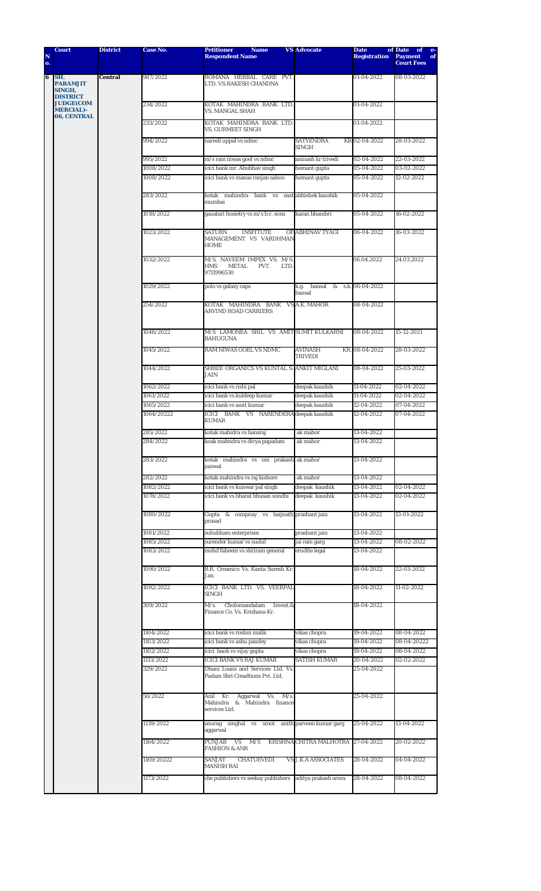| N<br>o. | <b>Court</b>                                        | <b>District</b> | Case No.   | <b>Petitioner</b><br><b>Name</b><br><b>Respondent Name</b>                      | <b>VS Advocate</b>               | <b>Date</b><br><b>Registration</b> | of Date<br>of<br>$e-$<br><b>Payment</b><br>of<br><b>Court Fees</b> |
|---------|-----------------------------------------------------|-----------------|------------|---------------------------------------------------------------------------------|----------------------------------|------------------------------------|--------------------------------------------------------------------|
|         |                                                     |                 |            |                                                                                 |                                  |                                    |                                                                    |
| 6       | SH.<br><b>PARAMJIT</b><br>SINGH,<br><b>DISTRICT</b> | Central         | 987/2022   | ROMANA HERBAL CARE PVT.<br>LTD. VS.RAKESH CHANDNA                               |                                  | 01-04-2022                         | 08-03-2022                                                         |
|         | <b>JUDGE(COM</b><br><b>MERCIAL)-</b><br>06, CENTRAL |                 | 234/2022   | KOTAK MAHINDRA BANK LTD.<br><b>VS. MANGAL SHAH</b>                              |                                  | 01-04-2022                         |                                                                    |
|         |                                                     |                 | 233/2022   | KOTAK MAHINDRA BANK LTD.<br>VS. GURMEET SINGH                                   |                                  | $01 - 04 - 2022$                   |                                                                    |
|         |                                                     |                 | 994/2022   | naresh uppal vs ndmc                                                            | <b>SATYENDRA</b><br><b>SINGH</b> | KR 02-04-2022                      | 28-03-2022                                                         |
|         |                                                     |                 | 995/2022   | m/s ram niwas goel vs ndmc                                                      | aninash kr trivedi               | 02-04-2022                         | 22-03-2022                                                         |
|         |                                                     |                 | 1008/2022  | icici bank mr. Abubhav singh                                                    | hemant gupta                     | 05-04-2022                         | 03-02-2022                                                         |
|         |                                                     |                 | 1008/2022  | icici bank vs manas ranjan sahoo                                                | hemant gupta                     | 05-04-2022                         | 12-02-2022                                                         |
|         |                                                     |                 | 283/2022   | kotak mahindra bank vs<br>mumbai                                                | east abhishek kaushik            | 05-04-2022                         |                                                                    |
|         |                                                     |                 | 1018/2022  | gauatari hosietry vs m/s b.r. sons                                              | karan bhambri                    | 05-04-2022                         | 16-02-2022                                                         |
|         |                                                     |                 | 1023/2022  | SATURN<br><b>INSFITUTE</b><br>MANAGEMENT VS VARDHMAN<br><b>HOME</b>             | OF ABHINAV TYAGI                 | 06-04-2022                         | 16-03-2022                                                         |
|         |                                                     |                 | 1032/2022  | M/S. NAVEEM IMPEX VS. M/S.<br>HMS<br><b>METAL</b><br>PVT.<br>LTD.<br>9711996530 |                                  | 06.04.2022                         | 24.03.2022                                                         |
|         |                                                     |                 | 1029/2022  | polo vs galaxy caps                                                             | k.g. bansal &<br>bansal          | s.k. 06-04-2022                    |                                                                    |
|         |                                                     |                 | 254/2022   | KOTAK MAHINDRA BANK<br><b>ARVIND ROAD CARRIERS</b>                              | VS A.K. MAHOR                    | 08-04-2022                         |                                                                    |
|         |                                                     |                 | 1048/2022  | M/S LAMONEA SRIL VS AMIT SUMIT KULKARNI<br><b>BAHUGUNA</b>                      |                                  | 08-04-2022                         | 15-12-2021                                                         |
|         |                                                     |                 | 1045/2022  | RAM NIWAS GOEL VS NDMC                                                          | <b>AVINASH</b><br><b>TRIVEDI</b> | KR. 08-04-2022                     | 28-03-2022                                                         |
|         |                                                     |                 | 1044/2022  | SHREE ORGANICS VS KUNTAL S. ANKIT MIGLANI<br><b>JAIN</b>                        |                                  | 08-04-2022                         | 25-03-2022                                                         |
|         |                                                     |                 | 1062/2022  | icici bank vs rishi pal                                                         | deepak kaushik                   | 11-04-2022                         | 02-04-2022                                                         |
|         |                                                     |                 | 1061/2022  | icici bank vs kuldeep kumar                                                     | deepak kaushik                   | 11-04-2022                         | 02-04-2022                                                         |
|         |                                                     |                 | 1065/2022  | icici bank vs amit kumar                                                        | deepak kaushik                   | 12-04-2022                         | 07-04-2022                                                         |
|         |                                                     |                 | 1064/20222 | ICICI BANK VS NARENDERA deepak kaushik<br><b>KUMAR</b>                          |                                  | 12-04-2022                         | 07-04-2022                                                         |
|         |                                                     |                 | 285/2022   | kotak mahidra vs hansraj                                                        | ak mahor                         | 13-04-2022                         |                                                                    |
|         |                                                     |                 | 284/2022   | koak mahndra vs divya papadam                                                   | ak mahor                         | 13-04-2022                         |                                                                    |
|         |                                                     |                 | 283/2022   | kotak mahindra vs om prakash ak mahor<br>jaiswal                                |                                  | 13-04-2022                         |                                                                    |
|         |                                                     |                 | 282/2022   | kotak mahindra vs raj kishore                                                   | ak mahor                         | 13-04-2022                         |                                                                    |
|         |                                                     |                 | 1082/2022  | icici bank vs kunwar pal singh                                                  | deepak kaushik                   | 13-04-2022                         | 02-04-2022                                                         |
|         |                                                     |                 | 1078/2022  | icici bank vs bharat bhusan sondhi                                              | deepak kaushik                   | 13-04-2022                         | 02-04-2022                                                         |
|         |                                                     |                 | 1080/2022  | Gupta & compnay vs baijnath prashant jain<br>prasad                             |                                  | 13-04-2022                         | 13-01-2022                                                         |
|         |                                                     |                 | 1081/2022  | suhubham enterprises                                                            | prashant jain                    | 13-04-2022                         |                                                                    |
|         |                                                     |                 | 1085/2022  | surender kumar vs sushil                                                        | jai ram garg                     | 13-04-2022                         | 08-02-2022                                                         |
|         |                                                     |                 | 1083/2022  | mohd faheem vs shriram general                                                  | erudite legal                    | 13-04-2022                         |                                                                    |
|         |                                                     |                 | 1090/2022  | B.R. Creamics Vs. Kanta Suresh Kr.<br>Jan.                                      |                                  | 18-04-2022                         | 22-03-2022                                                         |
|         |                                                     |                 | 1092/2022  | ICICI BANK LTD. VS. VEERPAL<br>SINGH                                            |                                  | 18-04-2022                         | 11-02-2022                                                         |
|         |                                                     |                 | 309/2022   | M/s.<br>Cholomandalam<br>Invest.&<br>Finance Co. Vs. Krishana Kr.               |                                  | 18-04-2022                         |                                                                    |
|         |                                                     |                 | 1104/2022  | icici bank vs roshni malik                                                      | vikas chopra                     | 19-04-2022                         | 08-04-2022                                                         |
|         |                                                     |                 | 1103/2022  | icici bank vs ashu pandey                                                       | vikas chopra                     | 19-04-2022                         | 08-04-20222                                                        |
|         |                                                     |                 | 1102/2022  | icici bank vs vijay gupta                                                       | vikas chopra                     | 19-04-2022                         | 08-04-2022                                                         |
|         |                                                     |                 | 1113/2022  | <b>ICICI BANK VS RAJ KUMAR</b>                                                  | <b>SATISH KUMAR</b>              | 20-04-2022                         | 02-02-2022                                                         |
|         |                                                     |                 | 329/2022   | Dhani Loans and Services Ltd. Vs.<br>Padam Shri Creadtions Pvt. Ltd.            |                                  | 25-04-2022                         |                                                                    |
|         |                                                     |                 | 56/2022    | Anil Kr. Aggarwal Vs. M/s.<br>Mahindra & Mahindra finance<br>services Ltd.      |                                  | 25-04-2022                         |                                                                    |
|         |                                                     |                 | 1139/2022  | anurag singhal vs smot anith parveen kumar garg<br>aggarwal                     |                                  | 25-04-2022                         | 13-04-2022                                                         |
|         |                                                     |                 | 1164/2022  | PUNJAB<br>VS M/S<br><b>FASHION &amp; ANR</b>                                    | KRISHNA CHITRA MALHOTRA          | 27-04-2022                         | 20-02-2022                                                         |
|         |                                                     |                 | 1169/20222 | <b>CHATUEVEDI</b><br>SANJAY<br><b>MANISH RAI</b>                                | <b>VS J.K.A ASSOCIATES</b>       | 28-04-2022                         | 04-04-2022                                                         |
|         |                                                     |                 | 1173/2022  | cbs publishers vs seekay publishers aditya prakash arora                        |                                  | 28-04-2022                         | 08-04-2022                                                         |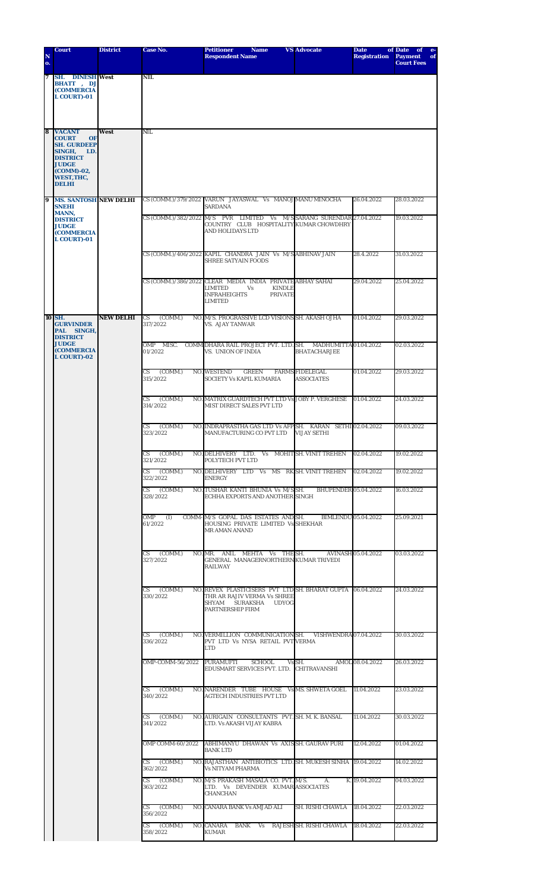| N                | <b>Court</b>                                                                                  | <b>District</b>  | Case No.                    | <b>Petitioner</b><br><b>Name</b><br><b>Respondent Name</b>                                                                                                    | <b>VS Advocate</b>                           | <b>Date</b><br><b>Registration</b> | of Date<br>of<br>$e-$<br><b>Payment</b><br>of |
|------------------|-----------------------------------------------------------------------------------------------|------------------|-----------------------------|---------------------------------------------------------------------------------------------------------------------------------------------------------------|----------------------------------------------|------------------------------------|-----------------------------------------------|
| o.               |                                                                                               |                  |                             |                                                                                                                                                               |                                              |                                    | <b>Court Fees</b>                             |
| $\boldsymbol{7}$ | <b>SH. DINESH West</b><br><b>BHATT</b> , <b>DJ</b><br><b>(COMMERCIA</b><br><b>L COURT)-01</b> |                  | NIL                         |                                                                                                                                                               |                                              |                                    |                                               |
| 8                | <b>VACANT</b><br><b>COURT</b><br><b>OF</b><br><b>SH. GURDEEP</b><br>SINGH,<br>LD.             | West             | NIL                         |                                                                                                                                                               |                                              |                                    |                                               |
|                  | <b>DISTRICT</b><br><b>JUDGE</b><br>(COMM)-02,<br>WEST, THC,<br><b>DELHI</b>                   |                  |                             |                                                                                                                                                               |                                              |                                    |                                               |
| 9                | <b>MS. SANTOSH NEW DELHI</b>                                                                  |                  |                             | CS (COMM.)/379/2022 VARUN JAYASWAL Vs MANOJ MANU MINOCHA                                                                                                      |                                              | 26.04.2022                         | 28.03.2022                                    |
|                  | <b>SNEHI</b><br><b>MANN,</b><br><b>DISTRICT</b>                                               |                  | CS (COMM.)/382/2022 M/S     | <b>SARDANA</b><br>PVR LIMITED Vs M/SSARANG SURENDAR 27.04.2022                                                                                                |                                              |                                    | 19.03.2022                                    |
|                  | <b>JUDGE</b><br><b>(COMMERCIA</b><br><b>L COURT)-01</b>                                       |                  |                             | COUNTRY CLUB HOSPITALITY KUMAR CHOWDHRY<br><b>AND HOLIDAYS LTD</b>                                                                                            |                                              |                                    |                                               |
|                  |                                                                                               |                  |                             | CS (COMM.)/406/2022 KAPIL CHANDRA JAIN Vs M/SABHINAV JAIN<br><b>SHREE SATYAIN FOODS</b>                                                                       |                                              | 28.4.2022                          | 31.03.2022                                    |
|                  |                                                                                               |                  |                             | CS (COMM.)/386/2022 CLEAR MEDIA INDIA PRIVATE ABHAY SAHAI<br><b>KINDLE</b><br><b>LIMITED</b><br>Vs<br><b>INFRAHEIGHTS</b><br><b>PRIVATE</b><br><b>LIMITED</b> |                                              | 29.04.2022                         | 25.04.2022                                    |
|                  | 10 SH.<br><b>GURVINDER</b><br>PAL SINGH,<br><b>DISTRICT</b>                                   | <b>NEW DELHI</b> | CS<br>(COMM.)<br>317/2022   | NO. M/S. PROGRASSIVE LCD VISIONS SH. AKASH OJHA<br><b>VS. AJAY TANWAR</b>                                                                                     |                                              | 01.04.2022                         | 29.03.2022                                    |
|                  | <b>JUDGE</b><br><b>(COMMERCIA</b><br><b>L COURT)-02</b>                                       |                  | OMP<br>MISC.<br>01/2022     | COMM DHARA RAIL PROJECT PVT. LTD. SH.<br>VS. UNION OF INDIA                                                                                                   | MADHUMITTA 01.04.2022<br><b>BHATACHARJEE</b> |                                    | 02.03.2022                                    |
|                  |                                                                                               |                  | CS.<br>(COMM.)<br>315/2022  | <b>NO. WESTEND</b><br><b>GREEN</b><br>SOCIETY Vs KAPIL KUMARIA                                                                                                | <b>FARMS FIDELEGAL</b><br><b>ASSOCIATES</b>  | 01.04.2022                         | 29.03.2022                                    |
|                  |                                                                                               |                  | (COMM.)<br>CS<br>314/2022   | NO. MATRIX GUARDTECH PVT LTD Vs JOBY P. VERGHESE<br>MIST DIRECT SALES PVT LTD                                                                                 |                                              | 01.04.2022                         | 24.03.2022                                    |
|                  |                                                                                               |                  | (COMM.)<br>CS<br>323/2022   | NO. INDRAPRASTHA GAS LTD Vs AFP SH. KARAN SETHI 02.04.2022<br>MANUFACTURING CO PVT LTD                                                                        | <b>VIJAY SETHI</b>                           |                                    | 09.03.2022                                    |
|                  |                                                                                               |                  | CS (COMM.)<br>321/2022      | NO. DELHIVERY LTD. Vs MOHIT SH. VINIT TREHEN<br><b>POLYTECH PVT LTD</b>                                                                                       |                                              | 02.04.2022                         | 19.02.2022                                    |
|                  |                                                                                               |                  | $CS$ $(COMM.)$<br>322/2022  | NO. DELHIVERY LTD Vs MS RKSH. VINIT TREHEN 02.04.2022<br><b>ENERGY</b>                                                                                        |                                              |                                    | 19.02.2022                                    |
|                  |                                                                                               |                  | CS (COMM.)<br>328/2022      | NO. TUSHAR KANTI BHUNIA Vs M/S SH.<br>ECHHA EXPORTS AND ANOTHER SINGH                                                                                         | <b>BHUPENDER 05.04.2022</b>                  |                                    | 16.03.2022                                    |
|                  |                                                                                               |                  | OMP (I)<br>61/2022          | COMM-M/S GOPAL DAS ESTATES AND SH.<br>HOUSING PRIVATE LIMITED Vs SHEKHAR<br><b>MR AMAN ANAND</b>                                                              | BIMLENDU 05.04.2022                          |                                    | 25.09.2021                                    |
|                  |                                                                                               |                  | $CS$ $(COMM.)$<br>327/2022  | NO. MR. ANIL MEHTA Vs THE SH.<br>GENERAL MANAGERNORTHERN KUMAR TRIVEDI<br><b>RAILWAY</b>                                                                      | AVINASH 05.04.2022                           |                                    | 03.03.2022                                    |
|                  |                                                                                               |                  | CS (COMM.)<br>330/2022      | NO. REVEX PLASTICISERS PVT LTD SH. BHARAT GUPTA 06.04.2022<br>THR AR RAJIV VERMA Vs SHREE<br>SHYAM<br>SURAKSHA UDYOG<br>PARTNERSHIP FIRM                      |                                              |                                    | 24.03.2022                                    |
|                  |                                                                                               |                  | CS (COMM.)<br>336/2022      | NO. VERMILLION COMMUNICATION SH. VISHWENDRA 07.04.2022<br>PVT LTD Vs NYSA RETAIL PVTVERMA<br><b>LTD</b>                                                       |                                              |                                    | 30.03.2022                                    |
|                  |                                                                                               |                  |                             | OMP-COMM-56/2022 PURAMUFTI SCHOOL Vs SH.<br>EDUSMART SERVICES PVT. LTD. CHITRAVANSHI                                                                          |                                              | AMOL 08.04.2022                    | 26.03.2022                                    |
|                  |                                                                                               |                  | $CS$ (COMM.)<br>340/2022    | NO. NARENDER TUBE HOUSE Vs MS. SHWETA GOEL 11.04.2022<br><b>AGTECH INDUSTRIES PVT LTD</b>                                                                     |                                              |                                    | 23.03.2022                                    |
|                  |                                                                                               |                  | CS (COMM.)<br>341/2022      | NO. AURIGAIN CONSULTANTS PVT. SH. M. K. BANSAL<br>LTD. Vs AKASH VIJAY KABRA                                                                                   |                                              | 11.04.2022                         | 30.03.2022                                    |
|                  |                                                                                               |                  |                             | OMP COMM-60/2022 ABHIMANYU DHAWAN Vs AXISSH, GAURAV PURI<br><b>BANK LTD</b>                                                                                   |                                              | 12.04.2022                         | 01.04.2022                                    |
|                  |                                                                                               |                  | CS (COMM.)<br>362/2022      | NO. RAJASTHAN ANTIBIOTICS LTD. SH. MUKESH SINHA 19.04.2022<br><b>Vs NITYAM PHARMA</b>                                                                         |                                              |                                    | 14.02.2022                                    |
|                  |                                                                                               |                  | (COMM.)<br>CS —<br>363/2022 | NO. M/S PRAKASH MASALA CO. PVT. M/S.<br>LTD. Vs DEVENDER KUMAR ASSOCIATES<br><b>CHANCHAN</b>                                                                  | А.                                           | K. 19.04.2022                      | 04.03.2022                                    |
|                  |                                                                                               |                  | $CS$ (COMM.)<br>356/2022    | NO. CANARA BANK Vs AMJAD ALI                                                                                                                                  | SH. RISHI CHAWLA 18.04.2022                  |                                    | 22.03.2022                                    |
|                  |                                                                                               |                  | CS (COMM.)<br>358/2022      | NO. CANARA BANK Vs RAJESH SH. RISHI CHAWLA 18.04.2022<br><b>KUMAR</b>                                                                                         |                                              |                                    | 22.03.2022                                    |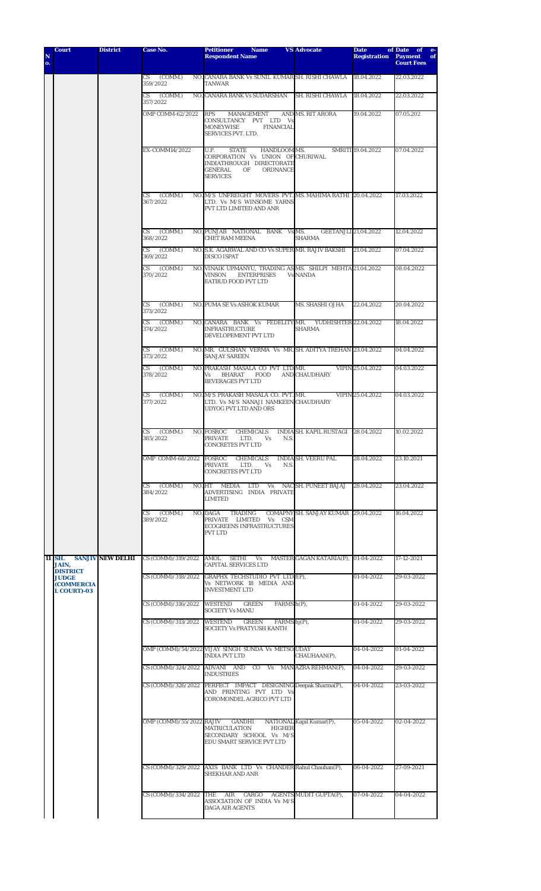| N<br>o. | <b>Court</b>                                                               | <b>District</b>         | Case No.                                      | <b>Petitioner</b><br><b>Name</b><br><b>Respondent Name</b>                                                               | <b>VS Advocate</b>                           | <b>Date</b><br><b>Registration</b> | of Date<br>of e-<br><b>Payment</b><br>of |
|---------|----------------------------------------------------------------------------|-------------------------|-----------------------------------------------|--------------------------------------------------------------------------------------------------------------------------|----------------------------------------------|------------------------------------|------------------------------------------|
|         |                                                                            |                         |                                               |                                                                                                                          |                                              |                                    | <b>Court Fees</b>                        |
|         |                                                                            |                         | (COMM.)<br>CS<br>359/2022                     | NO. CANARA BANK Vs SUNIL KUMAR SH. RISHI CHAWLA<br>TANWAR                                                                |                                              | 18.04.2022                         | 22.03.2022                               |
|         |                                                                            |                         | $CS$ (COMM.)<br>357/2022                      | NO. CANARA BANK Vs SUDARSHAN                                                                                             | SH. RISHI CHAWLA                             | 18.04.2022                         | 22.03.2022                               |
|         |                                                                            |                         | OMP COMM-62/2022                              | <b>RPS</b><br>MANAGEMENT<br>CONSULTANCY PVT LTD Vs                                                                       | AND MS. RIT ARORA                            | 19.04.2022                         | 07.05.202                                |
|         |                                                                            |                         |                                               | <b>MONEYWISE</b><br><b>FINANCIAL</b><br><b>SERVICES PVT. LTD.</b>                                                        |                                              |                                    |                                          |
|         |                                                                            |                         | EX-COMM14/2022                                | HANDLOOM MS.<br>U.P.<br><b>STATE</b><br>CORPORATION Vs UNION OF CHURIWAL                                                 |                                              | SMRITI 19.04.2022                  | 07.04.2022                               |
|         |                                                                            |                         |                                               | INDIATHROUGH DIRECTORATE<br>GENERAL<br><b>ORDNANCE</b><br>OF<br><b>SERVICES</b>                                          |                                              |                                    |                                          |
|         |                                                                            |                         | (COMM.)<br>CS<br>367/2022                     | NO. M/S UNFREIGHT MOVERS PVT. MS. MAHIMA RATHI 20.04.2022<br>LTD. Vs M/S WINSOME YARNS<br>PVT LTD LIMITED AND ANR        |                                              |                                    | 17.03.2022                               |
|         |                                                                            |                         | (COMM.)<br>CS<br>368/2022                     | NO. PUNJAB NATIONAL BANK Vs MS.<br><b>CHET RAM MEENA</b>                                                                 | <b>GEETANJLI 21.04.2022</b><br><b>SHARMA</b> |                                    | 12.04.2022                               |
|         |                                                                            |                         | CS<br>(COMM.)<br>369/2022                     | NO. S.K. AGARWAL AND CO Vs SUPER MR. RAJIV BAKSHI<br><b>DISCO ISPAT</b>                                                  |                                              | 21.04.2022                         | 07.04.2022                               |
|         |                                                                            |                         | (COMM.)<br>CS<br>370/2022                     | NO. VINAIK UPMANYU, TRADING AS MS. SHILPI MEHTA 21.04.2022<br><b>ENTERPRISES</b><br><b>VINSON</b><br>EATBUD FOOD PVT LTD | <b>Vs NANDA</b>                              |                                    | 08.04.2022                               |
|         |                                                                            |                         | CS.<br>(COMM.)<br>373/2022                    | <b>NO. PUMA SE Vs ASHOK KUMAR</b>                                                                                        | MS. SHASHI OJHA                              | 22.04.2022                         | 20.04.2022                               |
|         |                                                                            |                         | (COMM.)<br>CS<br>374/2022                     | NO. CANARA BANK Vs FEDELITYMR. YUDHISHTER 22.04.2022<br><b>INFRASTRUCTURE</b><br>DEVELOPEMENT PVT LTD                    | <b>SHARMA</b>                                |                                    | 18.04.2022                               |
|         |                                                                            |                         | (COMM.)<br>$\mathbf{C}\mathbf{S}$<br>373/2022 | NO. MR. GULSHAN VERMA Vs MR. SH. ADITYA TREHAN 23.04.2022<br><b>SANJAY SAREEN</b>                                        |                                              |                                    | 04.04.2022                               |
|         |                                                                            |                         | CS.<br>(COMM.)<br>378/2022                    | NO. PRAKASH MASALA CO PVT LTD MR.<br><b>BHARAT</b><br><b>FOOD</b><br>Vs<br><b>BEVERAGES PVT LTD</b>                      | <b>AND CHAUDHARY</b>                         | VIPIN 25.04.2022                   | 04.03.2022                               |
|         |                                                                            |                         | (COMM.)<br>CS<br>377/2022                     | NO. M/S PRAKASH MASALA CO. PVT. MR.<br>LTD. Vs M/S NANAJI NAMKEEN CHAUDHARY<br>UDYOG PVT LTD AND ORS                     |                                              | VIPIN 25.04.2022                   | 04.03.2022                               |
|         |                                                                            |                         | CS<br>(COMM.)<br>385/2022                     | NO. FOSROC<br><b>CHEMICALS</b><br><b>PRIVATE</b><br>LTD.<br>N.S.<br>Vs<br>CONCRETES PVT LTD                              | INDIA SH. KAPIL RUSTAGI 28.04.2022           |                                    | 10.02.2022                               |
|         |                                                                            |                         | OMP COMM-68/2022 FOSROC                       | <b>CHEMICALS</b><br>PRIVATE<br>LTD.<br>N.S.<br>Vs<br><b>CONCRETES PVT LTD</b>                                            | <b>INDIA SH. VEERU PAL</b>                   | 28.04.2022                         | 23.10.2021                               |
|         |                                                                            |                         | CS (COMM.)<br>384/2022                        | MEDIA LTD Vs NAC SH. PUNEET BAJAJ<br>NO. HT<br>ADVERTISING INDIA PRIVATE<br><b>LIMITED</b>                               |                                              | 28.04.2022                         | 23.04.2022                               |
|         |                                                                            |                         | CS (COMM.)<br>389/2022                        | NO. DAGA<br>TRADING<br>PRIVATE LIMITED Vs CSM<br><b>ECOGREENS INFRASTRUCTURES</b><br>PVT LTD                             | COMAPNY SH. SANJAY KUMAR 29.04.2022          |                                    | 16.04.2022                               |
|         | 11 SH.<br>JAIN,                                                            | <b>SANJIV NEW DELHI</b> |                                               | CS (COMM)/319/2022 AMOL SETHI Vs MASTER GAGAN KATARIA(P), 01-04-2022<br><b>CAPITAL SERVICES LTD</b>                      |                                              |                                    | 17-12-2021                               |
|         | <b>DISTRICT</b><br><b>JUDGE</b><br><b>(COMMERCIA</b><br><b>L COURT)-03</b> |                         |                                               | CS (COMM)/318/2022 GRAPHX TECHSTUDIO PVT LTD f(P),<br>Vs NETWORK 18 MEDIA AND<br><b>INVESTMENT LTD</b>                   |                                              | 01-04-2022                         | 29-03-2022                               |
|         |                                                                            |                         | CS (COMM)/316/2022 WESTEND                    | <b>GREEN</b><br>FARMS h(P),<br><b>SOCIETY Vs MANU</b>                                                                    |                                              | 01-04-2022                         | 29-03-2022                               |
|         |                                                                            |                         | CS (COMM)/313/2022                            | <b>GREEN</b><br><b>WESTEND</b><br>FARMS $hj(P)$ ,<br>SOCIETY Vs PRATYUSH KANTH                                           |                                              | 01-04-2022                         | 29-03-2022                               |
|         |                                                                            |                         |                                               | OMP (COMM)/54/2022 VIJAY SINGH SUNDA Vs METSO UDAY<br>INDIA PVT LTD                                                      | CHAUHAAN(P),                                 | 04-04-2022                         | 01-04-2022                               |
|         |                                                                            |                         |                                               | CS (COMM)/324/2022 ADVANI AND CO Vs MAN AZRA REHMAN(P),<br><b>INDUSTRIES</b>                                             |                                              | 04-04-2022                         | 29-03-2022                               |
|         |                                                                            |                         |                                               | CS (COMM)/326/2022 PERFECT IMPACT DESIGNING Deepak Sharma(P),<br>AND PRINTING PVT LTD Vs<br>COROMONDEL AGRICO PVT LTD    |                                              | 04-04-2022                         | 23-03-2022                               |
|         |                                                                            |                         | OMP (COMM)/55/2022 RAJIV GANDHI               | <b>MATRICULATION</b><br><b>HIGHER</b><br>SECONDARY SCHOOL Vs M/S<br>EDU SMART SERVICE PVT LTD                            | NATIONAL Kapil Kumar(P),                     | 05-04-2022                         | 02-04-2022                               |
|         |                                                                            |                         |                                               | CS (COMM)/329/2022 AXIS BANK LTD Vs CHANDER Rahul Chauhan(P),<br><b>SHEKHAR AND ANR</b>                                  |                                              | 06-04-2022                         | 27-09-2021                               |
|         |                                                                            |                         |                                               | CS (COMM)/334/2022 THE AIR CARGO AGENTS MUDIT GUPTA(P),<br>ASSOCIATION OF INDIA Vs M/S<br>DAGA AIR AGENTS                |                                              | 07-04-2022                         | 04-04-2022                               |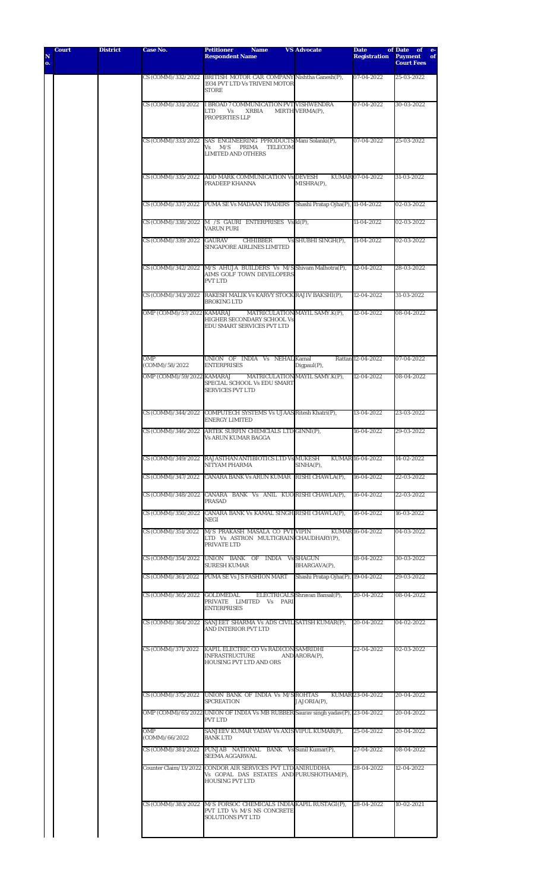| N<br>o. | <b>Court</b> | <b>District</b> | Case No.                     | Petitioner<br><b>Name</b><br><b>Respondent Name</b>                                                                                  | <b>VS Advocate</b>                | <b>Date</b><br><b>Registration</b> | of Date<br>of<br>$e-$<br><b>Payment</b><br>of<br><b>Court Fees</b> |
|---------|--------------|-----------------|------------------------------|--------------------------------------------------------------------------------------------------------------------------------------|-----------------------------------|------------------------------------|--------------------------------------------------------------------|
|         |              |                 |                              | CS (COMM)/332/2022 BRITISH MOTOR CAR COMPANY Nishtha Ganesh(P),<br>1934 PVT LTD Vs TRIVENI MOTOR<br><b>STORE</b>                     |                                   | 07-04-2022                         | 25-03-2022                                                         |
|         |              |                 | CS (COMM)/331/2022           | I BROAD 7 COMMUNICATION PVT VISHWENDRA<br>LTD<br><b>XRBIA</b><br>Vs<br>PROPERTIES LLP                                                | MIRTH VERMA(P),                   | 07-04-2022                         | 30-03-2022                                                         |
|         |              |                 |                              | CS (COMM)/333/2022 SAS ENGINEERING PPRODUCTS Mani Solanki(P),<br>Vs M/S PRIMA<br><b>TELECOM</b><br><b>LIMITED AND OTHERS</b>         |                                   | 07-04-2022                         | 25-03-2022                                                         |
|         |              |                 |                              | CS (COMM)/335/2022 ADD MARK COMMUNICATION Vs DEVESH<br>PRADEEP KHANNA                                                                | MISHRA(P),                        | KUMAR 07-04-2022                   | 31-03-2022                                                         |
|         |              |                 |                              | CS (COMM)/337/2022 PUMA SE Vs MADAAN TRADERS                                                                                         | Shashi Pratap Ojha(P), 11-04-2022 |                                    | 02-03-2022                                                         |
|         |              |                 |                              | CS (COMM)/338/2022 M /S GAURI ENTERPRISES Vs kl(P),<br><b>VARUN PURI</b>                                                             |                                   | 11-04-2022                         | 02-03-2022                                                         |
|         |              |                 | CS (COMM)/339/2022           | GAURAV<br><b>CHHIBBER</b><br><b>SINGAPORE AIRLINES LIMITED</b>                                                                       | Vs SHUBHI SINGH(P),               | 11-04-2022                         | 02-03-2022                                                         |
|         |              |                 |                              | CS (COMM)/342/2022 M/S AHUJA BUILDERS Vs M/S Shivam Malhotra(P),<br><b>AIMS GOLF TOWN DEVELOPERS</b><br><b>PVT LTD</b>               |                                   | 12-04-2022                         | 28-03-2022                                                         |
|         |              |                 |                              | CS (COMM)/343/2022 RAKESH MALIK Vs KARVY STOCK RAJIV BAKSHI(P),<br><b>BROKING LTD</b>                                                |                                   | 12-04-2022                         | 31-03-2022                                                         |
|         |              |                 | OMP (COMM)/57/2022 KAMARAJ   | HIGHER SECONDARY SCHOOL Vs<br>EDU SMART SERVICES PVT LTD                                                                             | MATRICULATION MAYIL SAMY.K(P),    | 12-04-2022                         | 08-04-2022                                                         |
|         |              |                 | OMP<br>(COMM)/58/2022        | UNION OF INDIA Vs NEHAL Kamal<br><b>ENTERPRISES</b>                                                                                  | Digpaul(P),                       | Rattan 12-04-2022                  | 07-04-2022                                                         |
|         |              |                 | OMP (COMM)/59/2022 KAMARAJ   | SPECIAL SCHOOL Vs EDU SMART<br><b>SERVICES PVT LTD</b>                                                                               | MATRICULATION MAYIL SAMY.K(P),    | 12-04-2022                         | 08-04-2022                                                         |
|         |              |                 |                              | CS (COMM)/344/2022 COMPUTECH SYSTEMS Vs UJAAS Ritesh Khatri(P),<br><b>ENERGY LIMITED</b>                                             |                                   | 13-04-2022                         | 23-03-2022                                                         |
|         |              |                 | CS (COMM)/346/2022           | ARTEK SURFIN CHEMCIALS LTD GINNI(P),<br><b>Vs ARUN KUMAR BAGGA</b>                                                                   |                                   | 16-04-2022                         | 29-03-2022                                                         |
|         |              |                 |                              | CS (COMM)/349/2022 RAJASTHAN ANTIBIOTICS LTD Vs MUKESH<br>NITYAM PHARMA                                                              | $SIMHA(P)$ ,                      | KUMAR 16-04-2022                   | 14-02-2022                                                         |
|         |              |                 |                              | CS (COMM)/347/2022 CANARA BANK Vs ARUN KUMAR RISHI CHAWLA(P),                                                                        |                                   | 16-04-2022                         | 22-03-2022                                                         |
|         |              |                 |                              | CS (COMM)/348/2022 CANARA BANK Vs ANIL KUORISHI CHAWLA(P),<br>PRASAD                                                                 |                                   | 16-04-2022                         | 22-03-2022                                                         |
|         |              |                 |                              | CS (COMM)/350/2022 CANARA BANK Vs KAMAL SINGH RISHI CHAWLA(P),<br>NEGI                                                               |                                   | 16-04-2022                         | 16-03-2022                                                         |
|         |              |                 |                              | CS (COMM)/351/2022 M/S PRAKASH MASALA CO PVT VIPIN<br>LTD Vs ASTRON MULTIGRAIN CHAUDHARY(P),<br>PRIVATE LTD                          |                                   | KUMAR 16-04-2022                   | 04-03-2022                                                         |
|         |              |                 |                              | CS (COMM)/354/2022 UNION BANK OF INDIA Vs SHAGUN<br><b>SURESH KUMAR</b>                                                              | BHARGAVA(P),                      | 18-04-2022                         | 30-03-2022                                                         |
|         |              |                 |                              | CS (COMM)/361/2022 PUMA SE Vs JS FASHION MART                                                                                        | Shashi Pratap Ojha(P), 19-04-2022 |                                    | 29-03-2022                                                         |
|         |              |                 | CS (COMM)/365/2022 GOLDMEDAL | PRIVATE LIMITED Vs PARI<br><b>ENTERPRISES</b>                                                                                        | ELECTRICALS Shravan Bansal(P),    | 20-04-2022                         | 08-04-2022                                                         |
|         |              |                 |                              | CS (COMM)/364/2022 SANJEET SHARMA Vs ADS CIVIL SATISH KUMAR(P), 20-04-2022<br>AND INTERIOR PVT LTD                                   |                                   |                                    | 04-02-2022                                                         |
|         |              |                 |                              | CS (COMM)/371/2022 KAPIL ELECTRIC CO Vs RADICON SAMRIDHI<br>INFRASTRUCTURE<br>HOUSING PVT LTD AND ORS                                | AND ARORA(P),                     | 22-04-2022                         | 02-03-2022                                                         |
|         |              |                 |                              | CS (COMM)/375/2022 UNION BANK OF INDIA Vs M/S ROHTAS<br><b>SPCREATION</b>                                                            | JAJORIA(P),                       | KUMAR 23-04-2022                   | 20-04-2022                                                         |
|         |              |                 |                              | OMP (COMM)/65/2022 UNION OF INDIA Vs MB RUBBER Saurav singh yadav(P), 23-04-2022<br><b>PVT LTD</b>                                   |                                   |                                    | 20-04-2022                                                         |
|         |              |                 | OMP<br>(COMM)/66/2022        | SANJEEV KUMAR YADAV Vs AXIS VIPUL KUMAR(P),<br><b>BANK LTD</b>                                                                       |                                   | 25-04-2022                         | 20-04-2022                                                         |
|         |              |                 | CS (COMM)/381/2022           | PUNJAB NATIONAL BANK Vs Sunil Kumar(P),<br><b>SEEMA AGGARWAL</b>                                                                     |                                   | 27-04-2022                         | 08-04-2022                                                         |
|         |              |                 |                              | Counter Claim/13/2022 CONDOR AIR SERVICES PVT LTD ANIRUDDHA<br>Vs GOPAL DAS ESTATES AND PURUSHOTHAM(P),<br><b>HOUSING PVT LTD</b>    |                                   | 28-04-2022                         | 12-04-2022                                                         |
|         |              |                 |                              | CS (COMM)/383/2022 M/S FORSOC CHEMICALS INDIA KAPIL RUSTAGI(P), 28-04-2022<br>PVT LTD Vs M/S NS CONCRETE<br><b>SOLUTIONS PVT LTD</b> |                                   |                                    | 10-02-2021                                                         |
|         |              |                 |                              |                                                                                                                                      |                                   |                                    |                                                                    |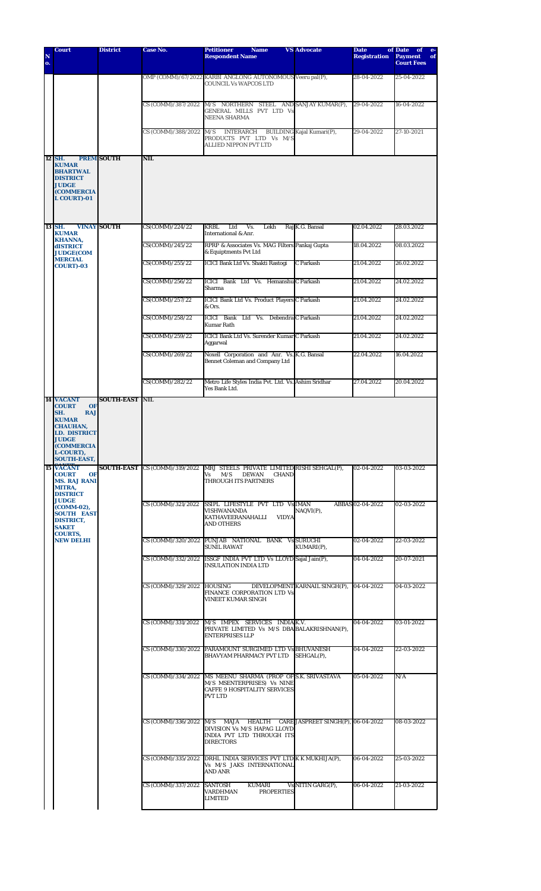| N<br>o. | <b>Court</b>                                                                                                                                         | <b>District</b>    | <b>Case No.</b>            | <b>Petitioner</b><br><b>Name</b><br><b>Respondent Name</b>                                                                                            | <b>VS Advocate</b>            | <b>Date</b><br><b>Registration</b> | of Date<br>of<br><b>Payment</b><br>of<br><b>Court Fees</b> |
|---------|------------------------------------------------------------------------------------------------------------------------------------------------------|--------------------|----------------------------|-------------------------------------------------------------------------------------------------------------------------------------------------------|-------------------------------|------------------------------------|------------------------------------------------------------|
|         |                                                                                                                                                      |                    |                            | OMP (COMM)/67/2022 KARBI ANGLONG AUTONOMOUS Veeru pal(P),<br><b>COUNCIL Vs WAPCOS LTD</b>                                                             |                               | 28-04-2022                         | 25-04-2022                                                 |
|         |                                                                                                                                                      |                    | CS (COMM)/387/2022         | M/S NORTHERN STEEL AND SANJAY KUMAR(P),<br>GENERAL MILLS PVT LTD Vs<br><b>NEENA SHARMA</b>                                                            |                               | 29-04-2022                         | 16-04-2022                                                 |
|         |                                                                                                                                                      |                    | CS (COMM)/388/2022         | M/S<br>INTERARCH<br>PRODUCTS PVT LTD Vs M/S<br><b>ALLIED NIPPON PVT LTD</b>                                                                           | BUILDING Kajal Kumari(P),     | 29-04-2022                         | 27-10-2021                                                 |
|         | 12 SH.                                                                                                                                               | <b>PREM SOUTH</b>  | <b>NIL</b>                 |                                                                                                                                                       |                               |                                    |                                                            |
|         | <b>KUMAR</b><br><b>BHARTWAL</b><br><b>DISTRICT</b><br><b>JUDGE</b><br><b>(COMMERCIA</b><br><b>L COURT)-01</b>                                        |                    |                            |                                                                                                                                                       |                               |                                    |                                                            |
|         | 13 SH.<br><b>KUMAR</b>                                                                                                                               | <b>VINAY SOUTH</b> | CS(COMM)/224/22            | <b>KRBL</b><br>Ltd<br>Vs.<br>Lekh<br><b>International &amp; Anr.</b>                                                                                  | Raj K.G. Bansal               | 02.04.2022                         | 28.03.2022                                                 |
|         | <b>KHANNA,</b><br><b>dISTRICT</b><br><b>JUDGE(COM</b>                                                                                                |                    | CS(COMM)/245/22            | RPRP & Associates Vs. MAG Filters Pankaj Gupta<br>& Equiptments Pvt Ltd                                                                               |                               | 18.04.2022                         | 08.03.2022                                                 |
|         | <b>MERCIAL</b><br><b>COURT)-03</b>                                                                                                                   |                    | CS(COMM)/255/22            | ICICI Bank Ltd Vs. Shakti Rastogi                                                                                                                     | C Parkash                     | 21.04.2022                         | 26.02.2022                                                 |
|         |                                                                                                                                                      |                    | CS(COMM)/256/22            | <b>ICICI Bank Ltd Vs. HemanshulC Parkash</b><br>Sharma                                                                                                |                               | 21.04.2022                         | 24.02.2022                                                 |
|         |                                                                                                                                                      |                    | CS(COMM)/257/22            | <b>ICICI Bank Ltd Vs. Product Players C Parkash</b><br>& Ors.                                                                                         |                               | 21.04.2022                         | 24.02.2022                                                 |
|         |                                                                                                                                                      |                    | CS(COMM)/258/22            | ICICI Bank Ltd Vs. Debendra C Parkash<br>Kumar Rath                                                                                                   |                               | 21.04.2022                         | 24.02.2022                                                 |
|         |                                                                                                                                                      |                    | CS(COMM)/259/22            | ICICI Bank Ltd Vs. Surender Kumar C Parkash<br>Aggarwal                                                                                               |                               | 21.04.2022                         | 24.02.2022                                                 |
|         |                                                                                                                                                      |                    | CS(COMM)/269/22            | Noxell Corporation and Anr. Vs. K.G. Bansal<br><b>Bennet Coleman and Company Ltd</b>                                                                  |                               | 22.04.2022                         | 16.04.2022                                                 |
|         |                                                                                                                                                      |                    | CS(COMM)/282/22            | Metro Life Styles India Pvt. Ltd. Vs. Ashim Sridhar<br>Yes Bank Ltd.                                                                                  |                               | 27.04.2022                         | 20.04.2022                                                 |
|         | 14 VACANT<br><b>COURT</b><br><b>OF</b>                                                                                                               | <b>SOUTH-EAST</b>  | <b>NIL</b>                 |                                                                                                                                                       |                               |                                    |                                                            |
|         | SH.<br><b>RAJ</b><br><b>KUMAR</b><br><b>CHAUHAN.</b><br><b>LD. DISTRICT</b><br><b>JUDGE</b><br><b>(COMMERCIA)</b><br>L-COURT),<br><b>SOUTH-EAST,</b> |                    |                            |                                                                                                                                                       |                               |                                    |                                                            |
|         | <b>15 VACANT</b><br><b>COURT</b><br><b>OF</b><br><b>MS. RAJ RANI</b><br><b>MITRA,</b><br><b>DISTRICT</b>                                             | <b>SOUTH-EAST</b>  | CS (COMM)/319/2022         | MRJ STEELS PRIVATE LIMITED RISHI SEHGAL(P),<br>Vs<br>M/S<br>DEWAN<br><b>CHAND</b><br><b>THROUGH ITS PARTNERS</b>                                      |                               | 02-04-2022                         | 03-03-2022                                                 |
|         | <b>JUDGE</b><br>(COMM-02),<br><b>SOUTH EAST</b><br><b>DISTRICT,</b><br><b>SAKET</b><br><b>COURTS,</b>                                                |                    |                            | CS (COMM)/321/2022 SSIPL LIFESTYLE PVT LTD Vs IMAN<br>VISHWANANDA<br><b>VIDYA</b><br>KATHAVEERANAHALLI<br><b>AND OTHERS</b>                           | NAQVI(P),                     | ABBAS 02-04-2022                   | 02-03-2022                                                 |
|         | <b>NEW DELHI</b>                                                                                                                                     |                    |                            | CS (COMM)/320/2022 PUNJAB NATIONAL BANK Vs SURUCHI<br><b>SUNIL RAWAT</b>                                                                              | KUMARI(P),                    | 02-04-2022                         | 22-03-2022                                                 |
|         |                                                                                                                                                      |                    |                            | CS (COMM)/332/2022 ISSGF INDIA PVT LTD Vs LLOYD Sajal Jain(P),<br><b>INSULATION INDIA LTD</b>                                                         |                               | 04-04-2022                         | 20-07-2021                                                 |
|         |                                                                                                                                                      |                    | CS (COMM)/329/2022 HOUSING | FINANCE CORPORATION LTD Vs<br><b>VINEET KUMAR SINGH</b>                                                                                               | DEVELOPMENT KARNAIL SINGH(P), | 04-04-2022                         | 04-03-2022                                                 |
|         |                                                                                                                                                      |                    |                            | CS (COMM)/331/2022 M/S IMPEX SERVICES INDIAK.V.<br>PRIVATE LIMITED Vs M/S DBA BALAKRISHNAN(P),<br><b>ENTERPRISES LLP</b>                              |                               | 04-04-2022                         | 03-01-2022                                                 |
|         |                                                                                                                                                      |                    |                            | CS (COMM)/330/2022 PARAMOUNT SURGIMED LTD Vs BHUVANESH<br>BHAVYAM PHARMACY PVT LTD                                                                    | SEHGAL(P),                    | 04-04-2022                         | 22-03-2022                                                 |
|         |                                                                                                                                                      |                    |                            | CS (COMM)/334/2022   MS MEENU SHARMA (PROP OF S.K. SRIVASTAVA<br>M/S MSENTERPRISES) Vs NINE<br><b>CAFFE 9 HOSPITALITY SERVICES</b><br><b>PVT LTD</b>  |                               | 05-04-2022                         | N/A                                                        |
|         |                                                                                                                                                      |                    |                            | CS (COMM)/336/2022 M/S MAJA HEALTH CARE JASPREET SINGH(P), 06-04-2022<br>DIVISION Vs M/S HAPAG LLOYD<br>INDIA PVT LTD THROUGH ITS<br><b>DIRECTORS</b> |                               |                                    | 08-03-2022                                                 |
|         |                                                                                                                                                      |                    |                            | CS (COMM)/335/2022 DRHL INDIA SERVICES PVT LTD K K MUKHIJA(P),<br>Vs M/S JAKS INTERNATIONAL<br>AND ANR                                                |                               | 06-04-2022                         | 25-03-2022                                                 |
|         |                                                                                                                                                      |                    | CS (COMM)/337/2022 SANTOSH | KUMARI<br>VARDHMAN<br><b>PROPERTIES</b><br><b>LIMITED</b>                                                                                             | Vs NITIN GARG(P),             | 06-04-2022                         | 21-03-2022                                                 |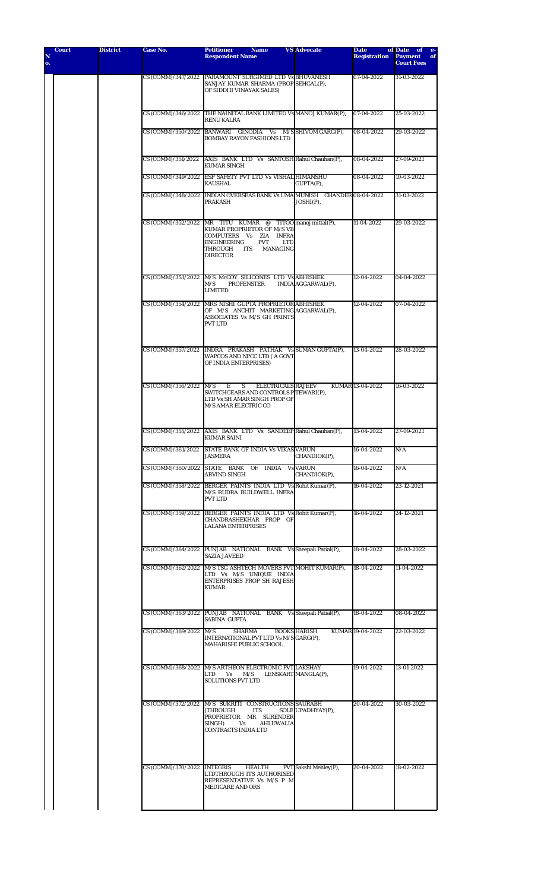| N<br>o. |  |                             | <b>Respondent Name</b>                                                                                                                                                                                                      |                       | <b>Registration</b> | <b>Payment</b><br>of<br><b>Court Fees</b> |
|---------|--|-----------------------------|-----------------------------------------------------------------------------------------------------------------------------------------------------------------------------------------------------------------------------|-----------------------|---------------------|-------------------------------------------|
|         |  |                             | CS (COMM)/347/2022 PARAMOUNT SURGIMED LTD Vs BHUVANESH<br>SANJAY KUMAR SHARMA (PROP SEHGAL(P),<br>OF SIDDHI VINAYAK SALES)                                                                                                  |                       | 07-04-2022          | 31-03-2022                                |
|         |  |                             | CS (COMM)/346/2022 THE NAINITAL BANK LIMITED Vs MANOJ KUMAR(P),<br><b>RENU KALRA</b>                                                                                                                                        |                       | 07-04-2022          | 25-03-2022                                |
|         |  |                             | CS (COMM)/350/2022 BANWARI GINODIA Vs M/SSHIVOM GARG(P),<br><b>BOMBAY RAYON FASHIONS LTD</b>                                                                                                                                |                       | 08-04-2022          | 29-03-2022                                |
|         |  |                             | CS (COMM)/351/2022 AXIS BANK LTD Vs SANTOSH Rahul Chauhan(P),<br><b>KUMAR SINGH</b>                                                                                                                                         |                       | 08-04-2022          | 27-09-2021                                |
|         |  |                             | CS (COMM)/349/2022 ESP SAFETY PVT LTD Vs VISHAL HIMANSHU<br><b>KAUSHAL</b>                                                                                                                                                  | GUPTA(P),             | 08-04-2022          | 10-03-2022                                |
|         |  |                             | CS (COMM)/348/2022 INDIAN OVERSEAS BANK Vs UMA MUNISH CHANDER 08-04-2022<br>PRAKASH                                                                                                                                         | $JOSHI(P)$ ,          |                     | 31-03-2022                                |
|         |  |                             | CS (COMM)/352/2022 MR TITU KUMAR @ TITOO manoj mittal(P),<br>KUMAR PROPRIETOR OF M/S VB<br>COMPUTERS Vs ZIA INFRA<br><b>ENGINEERING</b><br><b>PVT</b><br><b>LTD</b><br>THROUGH<br>ITS<br><b>MANAGING</b><br><b>DIRECTOR</b> |                       | 11-04-2022          | 29-03-2022                                |
|         |  |                             | CS (COMM)/353/2022 M/S McCOY SILICONES LTD Vs ABHISHEK<br>M/S<br><b>PROFENSTER</b><br><b>LIMITED</b>                                                                                                                        | INDIA AGGARWAL(P),    | 12-04-2022          | 04-04-2022                                |
|         |  |                             | CS (COMM)/354/2022 MRS NISHI GUPTA PROPRIETOR ABHISHEK<br>OF M/S ANCHIT MARKETING AGGARWAL(P),<br>ASSOCIATES Vs M/S GH PRINTS<br><b>PVT LTD</b>                                                                             |                       | 12-04-2022          | 07-04-2022                                |
|         |  |                             | CS (COMM)/357/2022 INDRA PRAKASH PATHAK Vs SUMAN GUPTA(P),<br>WAPCOS AND NPCC LTD (A GOVT<br>OF INDIA ENTERPRISES)                                                                                                          |                       | 13-04-2022          | 28-03-2022                                |
|         |  | CS (COMM)/356/2022 M/S      | E<br>S<br><b>ELECTRICALS RAJEEV</b><br>SWITCHGEARS AND CONTROLS PTEWARI(P),<br>LTD Vs SH AMAR SINGH PROP OF<br>M/S AMAR ELECTRIC CO                                                                                         |                       | KUMAR 13-04-2022    | 16-03-2022                                |
|         |  |                             | CS (COMM)/355/2022 AXIS BANK LTD Vs SANDEEP Rahul Chauhan(P),<br><b>KUMAR SAINI</b>                                                                                                                                         |                       | 13-04-2022          | 27-09-2021                                |
|         |  |                             | CS (COMM)/361/2022 STATE BANK OF INDIA Vs VIKAS VARUN<br><b>JASMERA</b>                                                                                                                                                     | CHANDIOK(P),          | 16-04-2022          | N/A                                       |
|         |  |                             | CS (COMM)/360/2022 STATE BANK OF INDIA Vs VARUN<br><b>ARVIND SINGH</b>                                                                                                                                                      | CHANDIOK(P),          | 16-04-2022          | N/A                                       |
|         |  |                             | CS (COMM)/358/2022 BERGER PAINTS INDIA LTD Vs Rohit Kumar(P),<br>M/S RUDRA BUILDWELL INFRA<br><b>PVT LTD</b>                                                                                                                |                       | 16-04-2022          | 23-12-2021                                |
|         |  |                             | CS (COMM)/359/2022 BERGER PAINTS INDIA LTD Vs Rohit Kumar(P),<br>CHANDRASHEKHAR PROP OF<br><b>LALANA ENTERPRISES</b>                                                                                                        |                       | 16-04-2022          | 24-12-2021                                |
|         |  |                             | CS (COMM)/364/2022 PUNJAB NATIONAL BANK Vs Sheepali Patial(P),<br><b>SAZIA JAVEED</b>                                                                                                                                       |                       | 18-04-2022          | 28-03-2022                                |
|         |  |                             | CS (COMM)/362/2022 M/S TSG ASHTECH MOVERS PVT MOHIT KUMAR(P),<br>LTD Vs M/S UNIQUE INDIA<br>ENTERPRISES PROP SH RAJESH<br><b>KUMAR</b>                                                                                      |                       | 18-04-2022          | 11-04-2022                                |
|         |  |                             | CS (COMM)/363/2022 PUNJAB NATIONAL BANK Vs Sheepali Patial(P),<br>SABINA GUPTA                                                                                                                                              |                       | 18-04-2022          | 08-04-2022                                |
|         |  | CS (COMM)/369/2022 M/S      | SHARMA<br>INTERNATIONAL PVT LTD Vs M/S GARG(P),<br>MAHARISHI PUBLIC SCHOOL                                                                                                                                                  | <b>BOOKS HARISH</b>   | KUMAR 19-04-2022    | 22-03-2022                                |
|         |  |                             | CS (COMM)/368/2022 M/S ARTHEON ELECTRONIC PVT LAKSHAY<br>LTD<br>Vs<br>M/S<br><b>SOLUTIONS PVT LTD</b>                                                                                                                       | LENSKART MANGLA(P),   | 19-04-2022          | 13-01-2022                                |
|         |  |                             | CS (COMM)/372/2022  M/S SUKRITI CONSTRUCTIONS SAURABH<br>(THROUGH<br><b>ITS</b><br>PROPRIETOR MR SURENDER<br>SINGH)<br><b>AHLUWALIA</b><br>Vs<br><b>CONTRACTS INDIA LTD</b>                                                 | SOLE UPADHYAY(P),     | 20-04-2022          | 30-03-2022                                |
|         |  | CS (COMM)/370/2022 INTEGRIS | <b>HEALTH</b><br>LTDTHROUGH ITS AUTHORISED<br>REPRESENTATIVE Vs M/S P M<br><b>MEDICARE AND ORS</b>                                                                                                                          | PVT Sakshi Mehley(P), | 20-04-2022          | 18-02-2022                                |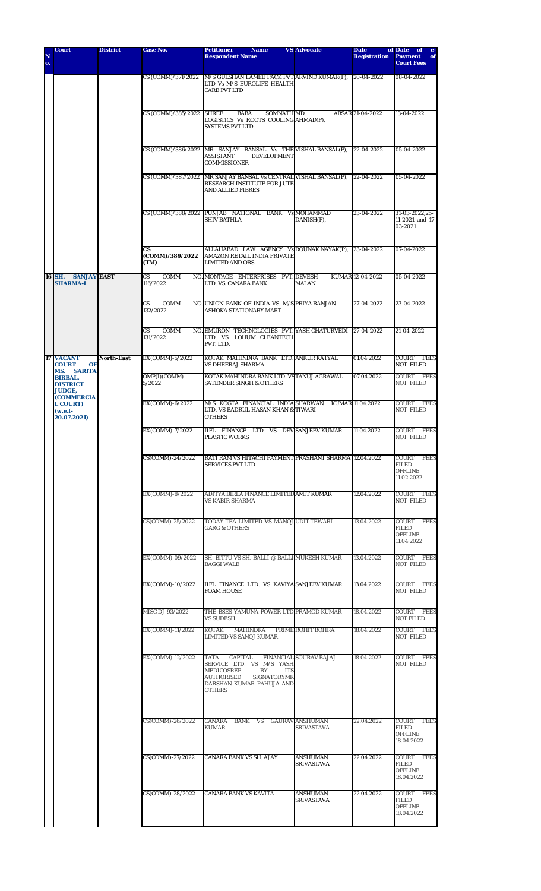| N<br>o. | <b>Court</b>                                                     | <b>District</b>   | <b>Case No.</b>                                   | <b>Petitioner</b><br><b>Name</b><br><b>Respondent Name</b>                                                                                               | <b>VS Advocate</b>                   | <b>Date</b><br><b>Registration</b> | of Date<br>of<br>$e-$<br><b>Payment</b><br>of<br><b>Court Fees</b>   |
|---------|------------------------------------------------------------------|-------------------|---------------------------------------------------|----------------------------------------------------------------------------------------------------------------------------------------------------------|--------------------------------------|------------------------------------|----------------------------------------------------------------------|
|         |                                                                  |                   |                                                   | CS (COMM)/371/2022 M/S GULSHAN LAMEE PACK PVT ARVIND KUMAR(P),<br>LTD Vs M/S EUROLIFE HEALTH<br><b>CARE PVT LTD</b>                                      |                                      | 20-04-2022                         | 08-04-2022                                                           |
|         |                                                                  |                   | CS (COMM)/385/2022 SHREE                          | SOMNATH MD.<br>BABA<br>LOGISTICS Vs ROOTS COOLING AHMAD(P),<br><b>SYSTEMS PVT LTD</b>                                                                    |                                      | ABSAR 21-04-2022                   | 13-04-2022                                                           |
|         |                                                                  |                   |                                                   | CS (COMM)/386/2022 MR SANJAY BANSAL Vs THE VISHAL BANSAL(P), 22-04-2022<br><b>ASSISTANT</b><br><b>DEVELOPMENT</b><br><b>COMMISSIONER</b>                 |                                      |                                    | 05-04-2022                                                           |
|         |                                                                  |                   | CS (COMM)/387/2022                                | MR SANJAY BANSAL Vs CENTRAL VISHAL BANSAL(P),<br>RESEARCH INSTITUTE FOR JUTE<br><b>AND ALLIED FIBRES</b>                                                 |                                      | 22-04-2022                         | 05-04-2022                                                           |
|         |                                                                  |                   |                                                   | CS (COMM)/388/2022 PUNJAB NATIONAL BANK Vs MOHAMMAD<br><b>SHIV BATHLA</b>                                                                                | DANISH(P),                           | 23-04-2022                         | 31-03-2022,25-<br>11-2021 and 17-<br>03-2021                         |
|         |                                                                  |                   | $\mathbf{c}\mathbf{s}$<br>(COMM)/389/2022<br>(TM) | ALLAHABAD LAW AGENCY Vs ROUNAK NAYAK(P), 23-04-2022<br>AMAZON RETAIL INDIA PRIVATE<br><b>LIMITED AND ORS</b>                                             |                                      |                                    | 07-04-2022                                                           |
|         | 16 SH.<br><b>SANJAY EAST</b><br><b>SHARMA-I</b>                  |                   | <b>CS</b><br>COMM<br>116/2022                     | NO. MONTAGE ENTERPRISES PVT. DEVESH<br>LTD. VS. CANARA BANK                                                                                              | <b>MALAN</b>                         | KUMAR 12-04-2022                   | 05-04-2022                                                           |
|         |                                                                  |                   | COMM<br>CS<br>132/2022                            | NO. UNION BANK OF INDIA VS. M/S PRIYA RANJAN<br>ASHOKA STATIONARY MART                                                                                   |                                      | 27-04-2022                         | 23-04-2022                                                           |
|         |                                                                  |                   | COMM<br><b>CS</b><br>131/2022                     | NO. EMURON TECHNOLOGIES PVT. YASH CHATURVEDI 27-04-2022<br>LTD. VS. LOHUM CLEANTECH<br>PVT. LTD.                                                         |                                      |                                    | 21-04-2022                                                           |
|         | 17 VACANT<br><b>COURT</b><br><b>OF</b><br><b>SARITA</b><br>MS.   | <b>North-East</b> | EX(COMM)-5/2022                                   | KOTAK MAHINDRA BANK LTD. ANKURKATYAL<br><b>VS DHEERAJ SHARMA</b>                                                                                         |                                      | 01.04.2022                         | COURT<br>FEES<br><b>NOT FILED</b>                                    |
|         | <b>BIRBAL,</b><br><b>DISTRICT</b><br><b>JUDGE,</b>               |                   | OMP(I)(COMM)-<br>5/2022                           | KOTAK MAHINDRA BANK LTD. VSTANUJ AGRAWAL<br><b>SATENDER SINGH &amp; OTHERS</b>                                                                           |                                      | 07.04.2022                         | COURT FEES<br><b>NOT FILED</b>                                       |
|         | <b>(COMMERCIA</b><br><b>L COURT)</b><br>$(w.e.f-$<br>20.07.2021) |                   | EX(COMM)-6/2022                                   | M/S KOGTA FINANCIAL INDIASHARWAN<br>LTD. VS BADRUL HASAN KHAN & TIWARI<br><b>OTHERS</b>                                                                  |                                      | KUMAR 11.04.2022                   | COURT FEES<br><b>NOT FILED</b>                                       |
|         |                                                                  |                   | EX(COMM)-7/2022                                   | IIFL FINANCE LTD VS DEV SANJEEV KUMAR<br><b>PLASTIC WORKS</b>                                                                                            |                                      | 11.04.2022                         | COURT FEES<br><b>NOT FILED</b>                                       |
|         |                                                                  |                   | CS(COMM)-24/2022                                  | RATI RAM VS HITACHI PAYMENT PRASHANT SHARMA 12.04.2022<br><b>SERVICES PVT LTD</b>                                                                        |                                      |                                    | <b>FEES</b><br>COURT<br>FILED<br><b>OFFLINE</b><br>11.02.2022        |
|         |                                                                  |                   | EX(COMM)-8/2022                                   | ADITYA BIRLA FINANCE LIMITED AMIT KUMAR<br><b>VS KABIR SHARMA</b>                                                                                        |                                      | 12.04.2022                         | COURT FEES<br><b>NOT FILED</b>                                       |
|         |                                                                  |                   | CS(COMM)-25/2022                                  | TODAY TEA LIMITED VS MANOJ UDIT TEWARI<br><b>GARG &amp; OTHERS</b>                                                                                       |                                      | 13.04.2022                         | COURT FEES<br>FILED<br><b>OFFLINE</b><br>11.04.2022                  |
|         |                                                                  |                   | EX(COMM)-09/2022                                  | SH. BITTU VS SH. BALLI @ BALLI MUKESH KUMAR<br><b>BAGGI WALE</b>                                                                                         |                                      | 13.04.2022                         | COURT FEES<br><b>NOT FILED</b>                                       |
|         |                                                                  |                   | EX(COMM)-10/2022                                  | IIFL FINANCE LTD. VS KAVIYA SANJEEV KUMAR<br><b>FOAM HOUSE</b>                                                                                           |                                      | 13.04.2022                         | COURT FEES<br><b>NOT FILED</b>                                       |
|         |                                                                  |                   | MISC DJ-93/2022                                   | THE BSES YAMUNA POWER LTD PRAMOD KUMAR<br><b>VS SUDESH</b>                                                                                               |                                      | 18.04.2022                         | COURT FEES<br><b>NOT FILED</b>                                       |
|         |                                                                  |                   | EX(COMM)-11/2022                                  | <b>KOTAK</b><br>MAHINDRA<br><b>LIMITED VS SANOJ KUMAR</b>                                                                                                | PRIME ROHIT BOHRA                    | 18.04.2022                         | COURT FEES<br><b>NOT FILED</b>                                       |
|         |                                                                  |                   | EX(COMM)-12/2022                                  | CAPITAL<br>TATA<br>SERVICE LTD. VS M/S YASH<br>MEDICOSREP.<br>BY<br><b>ITS</b><br>SIGNATORYMR<br>AUTHORISED<br>DARSHAN KUMAR PAHUJA AND<br><b>OTHERS</b> | <b>FINANCIAL SOURAV BAJAJ</b>        | 18.04.2022                         | COURT FEES<br><b>NOT FILED</b>                                       |
|         |                                                                  |                   | CS(COMM)-26/2022                                  | CANARA BANK VS GAURAVANSHUMAN<br>KUMAR                                                                                                                   | SRIVASTAVA                           | 22.04.2022                         | COURT<br><b>FEES</b><br><b>FILED</b><br><b>OFFLINE</b><br>18.04.2022 |
|         |                                                                  |                   | CS(COMM)-27/2022                                  | <b>CANARA BANK VS SH. AJAY</b>                                                                                                                           | <b>ANSHUMAN</b><br>SRIVASTAVA        | 22.04.2022                         | COURT<br>FEES<br><b>FILED</b><br><b>OFFLINE</b><br>18.04.2022        |
|         |                                                                  |                   | CS(COMM)-28/2022                                  | <b>CANARA BANK VS KAVITA</b>                                                                                                                             | <b>ANSHUMAN</b><br><b>SRIVASTAVA</b> | 22.04.2022                         | COURT<br><b>FEES</b><br><b>FILED</b><br><b>OFFLINE</b><br>18.04.2022 |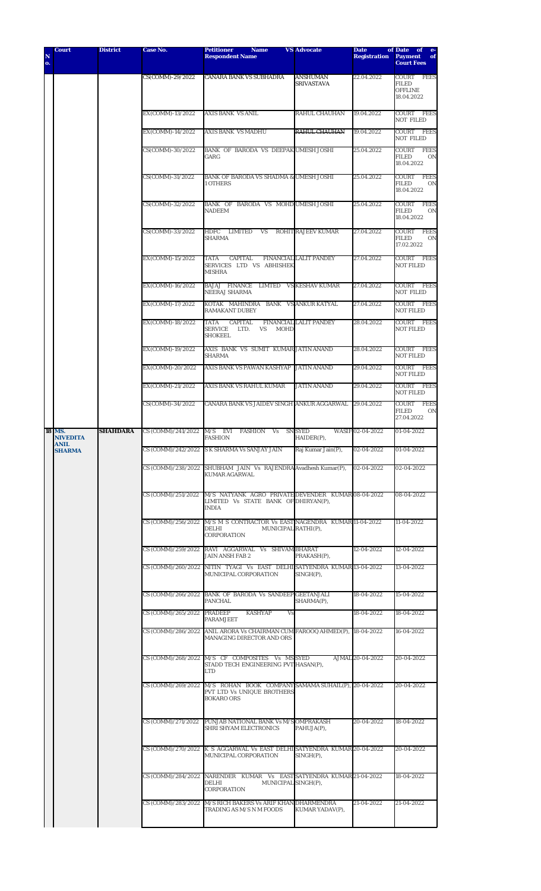| N<br>o. | <b>Court</b>                             | <b>District</b> | <b>Case No.</b>            | <b>Petitioner</b><br><b>Name</b><br><b>Respondent Name</b>                                                                    | <b>VS Advocate</b>                   | <b>Date</b><br><b>Registration</b> | of Date of<br>$-e-$<br><b>Payment</b><br>of<br><b>Court Fees</b>            |
|---------|------------------------------------------|-----------------|----------------------------|-------------------------------------------------------------------------------------------------------------------------------|--------------------------------------|------------------------------------|-----------------------------------------------------------------------------|
|         |                                          |                 | CS(COMM)-29/2022           | <b>CANARA BANK VS SUBHADRA</b>                                                                                                | <b>ANSHUMAN</b><br><b>SRIVASTAVA</b> | 22.04.2022                         | COURT FEES<br><b>FILED</b><br><b>OFFLINE</b><br>18.04.2022                  |
|         |                                          |                 | EX(COMM)-13/2022           | <b>AXIS BANK VS ANIL</b>                                                                                                      | RAHUL CHAUHAN                        | 19.04.2022                         | COURT FEES<br><b>NOT FILED</b>                                              |
|         |                                          |                 | EX(COMM)-14/2022           | <b>AXIS BANK VS MADHU</b>                                                                                                     | <b>RAHUL CHAUHAN</b>                 | 19.04.2022                         | COURT<br><b>FEES</b><br><b>NOT FILED</b>                                    |
|         |                                          |                 | CS(COMM)-30/2022           | BANK OF BARODA VS DEEPAK UMESH JOSHI<br>GARG                                                                                  |                                      | 25.04.2022                         | <b>COURT</b><br><b>FEES</b><br><b>FILED</b><br>0 <sub>N</sub><br>18.04.2022 |
|         |                                          |                 | CS(COMM)-31/2022           | BANK OF BARODA VS SHADMA & UMESH JOSHI<br><b>1 OTHERS</b>                                                                     |                                      | 25.04.2022                         | COURT<br><b>FEES</b><br><b>FILED</b><br>0 <sub>N</sub><br>18.04.2022        |
|         |                                          |                 | CS(COMM)-32/2022           | BANK OF BARODA VS MOHD UMESH JOSHI<br><b>NADEEM</b>                                                                           |                                      | 25.04.2022                         | <b>FEES</b><br><b>COURT</b><br><b>FILED</b><br>0 <sub>N</sub><br>18.04.2022 |
|         |                                          |                 | CS(COMM)-33/2022           | HDFC LIMITED<br><b>VS</b><br><b>SHARMA</b>                                                                                    | <b>ROHIT RAJEEV KUMAR</b>            | 27.04.2022                         | <b>COURT</b><br><b>FEES</b><br><b>FILED</b><br>0 <sub>N</sub><br>17.02.2022 |
|         |                                          |                 | EX(COMM)-15/2022           | <b>TATA</b><br>CAPITAL<br>SERVICES LTD VS ABHISHEK<br><b>MISHRA</b>                                                           | <b>FINANCIAL LALIT PANDEY</b>        | 27.04.2022                         | COURT FEES<br><b>NOT FILED</b>                                              |
|         |                                          |                 | EX(COMM)-16/2022           | BAJAJ FINANCE LIMTED VSKESHAVKUMAR<br>NEERAJ SHARMA                                                                           |                                      | 27.04.2022                         | COURT<br>FEES<br><b>NOT FILED</b>                                           |
|         |                                          |                 | EX(COMM)-17/2022           | KOTAK MAHINDRA BANK VSANKURKATYAL<br><b>RAMAKANT DUBEY</b>                                                                    |                                      | 27.04.2022                         | COURT FEES<br><b>NOT FILED</b>                                              |
|         |                                          |                 | EX(COMM)-18/2022           | <b>TATA</b><br><b>CAPITAL</b><br><b>SERVICE</b><br><b>MOHD</b><br>LTD.<br>VS<br><b>SHOKEEL</b>                                | <b>FINANCIAL LALIT PANDEY</b>        | 28.04.2022                         | COURT FEES<br><b>NOT FILED</b>                                              |
|         |                                          |                 | EX(COMM)-19/2022           | AXIS BANK VS SUMIT KUMAR JATIN ANAND<br><b>SHARMA</b>                                                                         |                                      | 28.04.2022                         | <b>FEES</b><br>COURT<br><b>NOT FILED</b>                                    |
|         |                                          |                 | EX(COMM)-20/2022           | AXIS BANK VS PAWAN KASHYAP                                                                                                    | <b>JATIN ANAND</b>                   | 29.04.2022                         | COURT FEES<br><b>NOT FILED</b>                                              |
|         |                                          |                 | EX(COMM)-21/2022           | AXIS BANK VS RAHUL KUMAR                                                                                                      | <b>JATIN ANAND</b>                   | 29.04.2022                         | COURT FEES<br><b>NOT FILED</b>                                              |
|         |                                          |                 | CS(COMM)-34/2022           | CANARA BANK VS JAIDEV SINGH ANKUR AGGARWAL                                                                                    |                                      | 29.04.2022                         | COURT<br><b>FEES</b><br><b>FILED</b><br>0N<br>27.04.2022                    |
|         | <b>18 MS.</b><br><b>NIVEDITA</b><br>ANIL | <b>SHAHDARA</b> | CS (COMM)/241/2022         | M/S EVI<br><b>FASHION</b><br>Vs<br><b>FASHION</b>                                                                             | <b>SN SYED</b><br>HAIDER(P),         | WASIF 02-04-2022                   | 01-04-2022                                                                  |
|         | <b>SHARMA</b>                            |                 |                            | CS (COMM)/242/2022 S K SHARMA Vs SANJAY JAIN                                                                                  | Raj Kumar Jain(P),                   | 02-04-2022                         | 01-04-2022                                                                  |
|         |                                          |                 |                            | CS (COMM)/238/2022 SHUBHAM JAIN Vs RAJENDRA Avadhesh Kumar(P),<br>KUMAR AGARWAL                                               |                                      | 02-04-2022                         | 02-04-2022                                                                  |
|         |                                          |                 |                            | CS (COMM)/251/2022 M/S NATYANK AGRO PRIVATE DEVENDER KUMAR 08-04-2022<br>LIMITED Vs STATE BANK OF DHIRYAN(P),<br><b>INDIA</b> |                                      |                                    | 08-04-2022                                                                  |
|         |                                          |                 |                            | CS (COMM)/256/2022 M/S M S CONTRACTOR Vs EAST NAGENDRA KUMAR 11-04-2022<br>DELHI<br>MUNICIPAL RATHI(P),<br>CORPORATION        |                                      |                                    | 11-04-2022                                                                  |
|         |                                          |                 |                            | CS (COMM)/259/2022 RAVI AGGARWAL Vs SHIVAM BHARAT<br><b>JAIN ANSH FAB 2</b>                                                   | PRAKASH(P),                          | 12-04-2022                         | 12-04-2022                                                                  |
|         |                                          |                 |                            | CS (COMM)/260/2022 NITIN TYAGI Vs EAST DELHISATYENDRA KUMAR13-04-2022<br>MUNICIPAL CORPORATION                                | $SINGH(P)$ ,                         |                                    | 13-04-2022                                                                  |
|         |                                          |                 |                            | CS (COMM)/266/2022 BANK OF BARODA Vs SANDEEP GEETANJALI<br>PANCHAL                                                            | SHARMA(P),                           | 18-04-2022                         | 15-04-2022                                                                  |
|         |                                          |                 | CS (COMM)/265/2022 PRADEEP | <b>KASHYAP</b><br>Vs<br><b>PARAMJEET</b>                                                                                      |                                      | 18-04-2022                         | 18-04-2022                                                                  |
|         |                                          |                 |                            | CS (COMM)/286/2022 ANIL ARORA Vs CHAIRMAN CUM FAROOQ AHMED(P), 18-04-2022<br>MANAGING DIRECTOR AND ORS                        |                                      |                                    | 16-04-2022                                                                  |
|         |                                          |                 |                            | CS (COMM)/268/2022 M/S CF COMPOSITES Vs MS SYED<br>STADD TECH ENGINEERING PVT HASAN(P),<br>LTD                                |                                      | AJMAL 20-04-2022                   | 20-04-2022                                                                  |
|         |                                          |                 |                            | CS (COMM)/269/2022 M/S ROHAN BOOK COMPANY SAMAMA SUHAIL(P), 20-04-2022<br>PVT LTD Vs UNIQUE BROTHERS<br><b>BOKARO ORS</b>     |                                      |                                    | 20-04-2022                                                                  |
|         |                                          |                 |                            | CS (COMM)/271/2022 PUNJAB NATIONAL BANK Vs M/S OMPRAKASH<br>SHRI SHYAM ELECTRONICS                                            | PAHUJA(P),                           | 20-04-2022                         | 18-04-2022                                                                  |
|         |                                          |                 |                            | CS (COMM)/270/2022 K S AGGARWAL Vs EAST DELHI SATYENDRA KUMAR 20-04-2022<br>MUNICIPAL CORPORATION                             | $SINGH(P)$ ,                         |                                    | 20-04-2022                                                                  |
|         |                                          |                 |                            | CS (COMM)/284/2022 NARENDER KUMAR Vs EAST SATYENDRA KUMAR 21-04-2022<br>DELHI<br>MUNICIPAL SINGH(P),<br><b>CORPORATION</b>    |                                      |                                    | 18-04-2022                                                                  |
|         |                                          |                 |                            | CS (COMM)/283/2022 M/S RICH BAKERS Vs ARIF KHAN DHARMENDRA<br>TRADING AS M/S N M FOODS                                        | KUMAR YADAV(P),                      | 21-04-2022                         | 21-04-2022                                                                  |
|         |                                          |                 |                            |                                                                                                                               |                                      |                                    |                                                                             |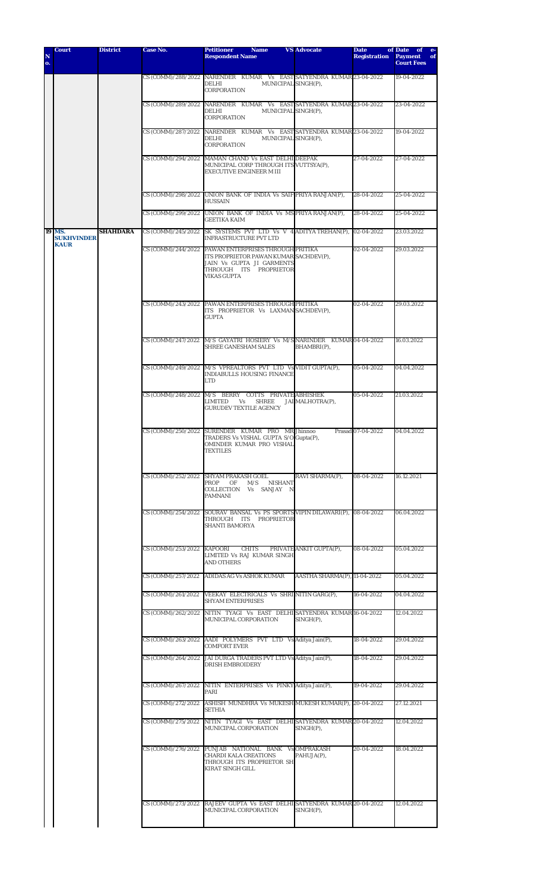| N<br>0. | <b>Court</b>                                      | <b>District</b> | <b>Case No.</b> | <b>Petitioner</b><br><b>Name</b><br><b>Respondent Name</b>                                                                                                                  | <b>VS Advocate</b>           | <b>Date</b><br><b>Registration</b> | of Date of<br><b>Payment</b><br>of<br><b>Court Fees</b> |
|---------|---------------------------------------------------|-----------------|-----------------|-----------------------------------------------------------------------------------------------------------------------------------------------------------------------------|------------------------------|------------------------------------|---------------------------------------------------------|
|         |                                                   |                 |                 | CS (COMM)/288/2022 NARENDER KUMAR Vs EASTSATYENDRA KUMAR 23-04-2022<br>DELHI<br>MUNICIPAL SINGH(P),<br>CORPORATION                                                          |                              |                                    | 19-04-2022                                              |
|         |                                                   |                 |                 | CS (COMM)/289/2022 NARENDER KUMAR Vs EAST SATYENDRA KUMAR 23-04-2022<br>DELHI<br>MUNICIPAL SINGH(P),<br>CORPORATION                                                         |                              |                                    | 23-04-2022                                              |
|         |                                                   |                 |                 | CS (COMM)/287/2022 NARENDER KUMAR Vs EAST SATYENDRA KUMAR 23-04-2022<br>DELHI<br>MUNICIPAL SINGH(P),<br>CORPORATION                                                         |                              |                                    | 19-04-2022                                              |
|         |                                                   |                 |                 | CS (COMM)/294/2022 MAMAN CHAND Vs EAST DELHI DEEPAK<br>MUNICIPAL CORP THROUGH ITS VUTTSYA(P),<br><b>EXECUTIVE ENGINEER M III</b>                                            |                              | 27-04-2022                         | 27-04-2022                                              |
|         |                                                   |                 |                 | CS (COMM)/298/2022 UNION BANK OF INDIA Vs SAIF PRIYA RANJAN(P),<br><b>HUSSAIN</b>                                                                                           |                              | 28-04-2022                         | 25-04-2022                                              |
|         |                                                   |                 |                 | CS (COMM)/299/2022 UNION BANK OF INDIA Vs MS PRIYA RANJAN(P),<br><b>GEETIKA KAIM</b>                                                                                        |                              | 28-04-2022                         | 25-04-2022                                              |
|         | <b>19 MS.</b><br><b>SUKHVINDER</b><br><b>KAUR</b> | <b>SHAHDARA</b> |                 | CS (COMM)/245/2022 SK SYSTEMS PVT LTD Vs V 4 ADITYA TREHAN(P), 02-04-2022<br><b>INFRASTRUCTURE PVT LTD</b>                                                                  |                              |                                    | 23.03.2022                                              |
|         |                                                   |                 |                 | CS (COMM)/244/2022 PAWAN ENTERPRISES THROUGH PRITIKA<br>ITS PROPRIETOR PAWAN KUMAR SACHDEV(P),<br>JAIN Vs GUPTA JI GARMENTS<br>THROUGH ITS PROPRIETOR<br><b>VIKAS GUPTA</b> |                              | 02-04-2022                         | 29.03.2022                                              |
|         |                                                   |                 |                 | CS (COMM)/243/2022 PAWAN ENTERPRISES THROUGH PRITIKA<br>ITS PROPRIETOR Vs LAXMAN SACHDEV(P),<br><b>GUPTA</b>                                                                |                              | 02-04-2022                         | 29.03.2022                                              |
|         |                                                   |                 |                 | CS (COMM)/247/2022 M/S GAYATRI HOSIERY Vs M/S NARINDER KUMAR 04-04-2022<br>SHREE GANESHAM SALES                                                                             | BHAMBRI(P),                  |                                    | 16.03.2022                                              |
|         |                                                   |                 |                 | CS (COMM)/249/2022 M/S VPREALTORS PVT LTD Vs VIDIT GUPTA(P),<br>INDIABULLS HOUSING FINANCE<br>LTD                                                                           |                              | 05-04-2022                         | 04.04.2022                                              |
|         |                                                   |                 |                 | CS (COMM)/248/2022 M/S BERRY COTTS PRIVATE ABHISHEK<br>LIMITED<br>Vs<br>SHREE<br><b>GURUDEV TEXTILE AGENCY</b>                                                              | JAI MALHOTRA(P),             | 05-04-2022                         | 21.03.2022                                              |
|         |                                                   |                 |                 | CS (COMM)/250/2022 SURENDER KUMAR PRO MR Jhinnoo<br>TRADERS Vs VISHAL GUPTA S/O Gupta(P),<br>OMINDER KUMAR PRO VISHAL<br>TEXTILES                                           |                              | Prasad 07-04-2022                  | 04.04.2022                                              |
|         |                                                   |                 |                 | CS (COMM)/252/2022 SHYAM PRAKASH GOEL<br>PROP<br>M/S NISHANT<br>OF<br>COLLECTION Vs SANJAY N<br>PAMNANI                                                                     | RAVI SHARMA(P),              | 08-04-2022                         | 16.12.2021                                              |
|         |                                                   |                 |                 | CS (COMM)/254/2022 SOURAV BANSAL Vs PS SPORTS VIPIN DILAWARI(P), 08-04-2022<br>THROUGH ITS PROPRIETOR<br><b>SHANTI BAMORYA</b>                                              |                              |                                    | 06.04.2022                                              |
|         |                                                   |                 |                 | CS (COMM)/253/2022 KAPOORI CHITS<br>LIMITED Vs RAJ KUMAR SINGH<br><b>AND OTHERS</b>                                                                                         | PRIVATE ANKIT GUPTA(P),      | 08-04-2022                         | 05.04.2022                                              |
|         |                                                   |                 |                 | CS (COMM)/257/2022 ADIDAS AG Vs ASHOK KUMAR                                                                                                                                 | AASTHA SHARMA(P), 11-04-2022 |                                    | 05.04.2022                                              |
|         |                                                   |                 |                 | CS (COMM)/261/2022 VEEKAY ELECTRICALS Vs SHRI NITIN GARG(P),<br><b>SHYAM ENTERPRISES</b>                                                                                    |                              | 16-04-2022                         | 04.04.2022                                              |
|         |                                                   |                 |                 | CS (COMM)/262/2022 NITIN TYAGI Vs EAST DELHISATYENDRA KUMAR16-04-2022<br>MUNICIPAL CORPORATION                                                                              | $SINGH(P)$ ,                 |                                    | 12.04.2022                                              |
|         |                                                   |                 |                 | CS (COMM)/263/2022 AADI POLYMERS PVT LTD Vs Aditya Jain(P),<br><b>COMFORT EVER</b>                                                                                          |                              | 18-04-2022                         | 29.04.2022                                              |
|         |                                                   |                 |                 | CS (COMM)/264/2022 JAI DURGA TRADERS PVT LTD Vs Aditya Jain(P),<br><b>DRISH EMBROIDERY</b>                                                                                  |                              | 18-04-2022                         | 29.04.2022                                              |
|         |                                                   |                 |                 | CS (COMM)/267/2022 NITIN ENTERPRISES Vs PINKY Aditya Jain(P),<br>PARI                                                                                                       |                              | 19-04-2022                         | 29.04.2022                                              |
|         |                                                   |                 |                 | CS (COMM)/272/2022 ASHISH MUNDHRA Vs MUKESH MUKESH KUMAR(P), 20-04-2022<br><b>SETHIA</b>                                                                                    |                              |                                    | 27.12.2021                                              |
|         |                                                   |                 |                 | CS (COMM)/275/2022 NITIN TYAGI Vs EAST DELHISATYENDRA KUMAR 20-04-2022<br>MUNICIPAL CORPORATION                                                                             | $SINGH(P)$ ,                 |                                    | 12.04.2022                                              |
|         |                                                   |                 |                 | CS (COMM)/276/2022 PUNJAB NATIONAL BANK Vs OMPRAKASH<br><b>CHARDI KALA CREATIONS</b><br>THROUGH ITS PROPRIETOR SH<br><b>KIRAT SINGH GILL</b>                                | PAHUJA(P),                   | 20-04-2022                         | 18.04.2022                                              |
|         |                                                   |                 |                 | CS (COMM)/273/2022 RAJEEV GUPTA Vs EAST DELHISATYENDRA KUMAR 20-04-2022<br>MUNICIPAL CORPORATION                                                                            | $SINGH(P)$ ,                 |                                    | 12.04.2022                                              |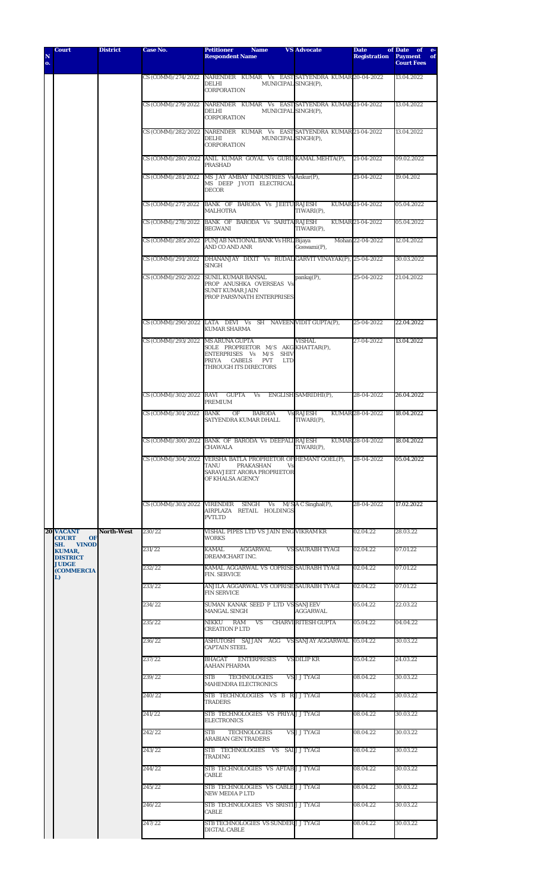| N  | <b>Court</b>                                                         | <b>District</b> | <b>Case No.</b>                   | <b>Petitioner</b><br><b>Name</b><br><b>Respondent Name</b>                                                                                 | <b>VS Advocate</b>             | <b>Date</b><br><b>Registration</b> | of Date<br>of e-<br><b>Payment</b><br>of |
|----|----------------------------------------------------------------------|-----------------|-----------------------------------|--------------------------------------------------------------------------------------------------------------------------------------------|--------------------------------|------------------------------------|------------------------------------------|
| о. |                                                                      |                 |                                   |                                                                                                                                            |                                |                                    | <b>Court Fees</b>                        |
|    |                                                                      |                 |                                   | CS (COMM)/274/2022 NARENDER KUMAR Vs EAST SATYENDRA KUMAR 20-04-2022<br><b>DELHI</b><br>MUNICIPAL SINGH(P),<br>CORPORATION                 |                                |                                    | 13.04.2022                               |
|    |                                                                      |                 |                                   | CS (COMM)/279/2022 NARENDER KUMAR Vs EAST SATYENDRA KUMAR 21-04-2022<br><b>DELHI</b><br>MUNICIPAL SINGH(P),<br>CORPORATION                 |                                |                                    | 13.04.2022                               |
|    |                                                                      |                 |                                   | CS (COMM)/282/2022 NARENDER KUMAR Vs EAST SATYENDRA KUMAR 21-04-2022<br><b>DELHI</b><br>MUNICIPAL SINGH(P),<br><b>CORPORATION</b>          |                                |                                    | 13.04.2022                               |
|    |                                                                      |                 |                                   | CS (COMM)/280/2022 ANIL KUMAR GOYAL Vs GURU KAMAL MEHTA(P),<br><b>PRASHAD</b>                                                              |                                | 21-04-2022                         | 09.02.2022                               |
|    |                                                                      |                 | CS (COMM)/281/2022                | MS JAY AMBAY INDUSTRIES Vs Ankur(P),<br>MS DEEP JYOTI ELECTRICAL<br><b>DECOR</b>                                                           |                                | 21-04-2022                         | 19.04.202                                |
|    |                                                                      |                 |                                   | CS (COMM)/277/2022 BANK OF BARODA Vs JEETURAJESH<br>MALHOTRA                                                                               | TIWARI(P),                     | KUMAR 21-04-2022                   | 05.04.2022                               |
|    |                                                                      |                 |                                   | CS (COMM)/278/2022 BANK OF BARODA Vs SARITA RAJESH<br><b>BEGWANI</b>                                                                       | TIWARI(P),                     | KUMAR 21-04-2022                   | 05.04.2022                               |
|    |                                                                      |                 |                                   | CS (COMM)/285/2022 PUNJAB NATIONAL BANK Vs HRL Bijaya<br>AND CO AND ANR                                                                    | $Goswami(P)$ ,                 | Mohan 22-04-2022                   | 12.04.2022                               |
|    |                                                                      |                 |                                   | CS (COMM)/291/2022 DHANANJAY DIXIT Vs RUDAL GARVIT VINAYAK(P), 25-04-2022<br>SINGH                                                         |                                |                                    | 30.03.2022                               |
|    |                                                                      |                 |                                   | CS (COMM)/292/2022 SUNIL KUMAR BANSAL<br>PROP ANUSHKA OVERSEAS Vs<br><b>SUNIT KUMAR JAIN</b><br>PROP PARSVNATH ENTERPRISES                 | $pankaj(P)$ ,                  | 25-04-2022                         | 21.04.2022                               |
|    |                                                                      |                 |                                   | CS (COMM)/290/2022 LATA DEVI Vs SH NAVEEN VIDIT GUPTA(P),<br><b>KUMAR SHARMA</b>                                                           |                                | 25-04-2022                         | 22.04.2022                               |
|    |                                                                      |                 | CS (COMM)/293/2022 MS ARUNA GUPTA | SOLE PROPRIETOR M/S AKG KHATTAR(P),<br>ENTERPRISES Vs M/S SHIV<br>PRIYA CABELS<br>PVT<br><b>LTD</b><br>THROUGH ITS DIRECTORS               | <b>VISHAL</b>                  | 27-04-2022                         | 13.04.2022                               |
|    |                                                                      |                 | CS (COMM)/302/2022 RAVI GUPTA     | <b>Vs</b><br><b>PREMIUM</b>                                                                                                                | ENGLISH SAMRIDHI(P),           | 28-04-2022                         | 26.04.2022                               |
|    |                                                                      |                 | CS (COMM)/301/2022 BANK           | OF<br><b>BARODA</b><br>SATYENDRA KUMAR DHALL                                                                                               | <b>Vs RAJESH</b><br>TIWARI(P), | KUMAR 28-04-2022                   | 18.04.2022                               |
|    |                                                                      |                 |                                   | CS (COMM)/300/2022 BANK OF BARODA Vs DEEPALI RAJESH<br><b>CHAWALA</b>                                                                      | TIWARI(P),                     | KUMAR 28-04-2022                   | 18.04.2022                               |
|    |                                                                      |                 |                                   | CS (COMM)/304/2022 VERSHA BATLA PROPRIETOR OF HEMANT GOEL(P),<br>TANU<br>PRAKASHAN<br>Vs<br>SARAVJEET ARORA PROPRIETOR<br>OF KHALSA AGENCY |                                | 28-04-2022                         | 05.04.2022                               |
|    |                                                                      |                 |                                   | $CS (COMM)/303/2022$ VIRENDER SINGH Vs $M/SAC$ Singhal(P),<br>AIRPLAZA RETAIL HOLDINGS<br><b>PVTLTD</b>                                    |                                | 28-04-2022                         | 17.02.2022                               |
|    | <b>20 VACANT</b><br><b>COURT</b><br><b>OF</b><br>SH.<br><b>VINOD</b> | North-West      | 230/22                            | VISHAL PIPES LTD VS JAIN ENG VIKRAM KR<br><b>WORKS</b>                                                                                     |                                | 02.04.22                           | 28.03.22                                 |
|    | <b>KUMAR,</b><br><b>DISTRICT</b>                                     |                 | 231/22                            | KAMAL<br>AGGARWAL<br>DREAMCHART INC.                                                                                                       | <b>VS SAURABH TYAGI</b>        | 02.04.22                           | 07.01.22                                 |
|    | <b>JUDGE</b><br><b>(COMMERCIA</b><br>L)                              |                 | 232/22                            | KAMAL AGGARWAL VS COPRISE SAURABH TYAGI<br><b>FIN. SERVICE</b>                                                                             |                                | 02.04.22                           | 07.01.22                                 |
|    |                                                                      |                 | 233/22                            | ANJILA AGGARWAL VS COPRISE SAURABH TYAGI<br><b>FIN SERVICE</b>                                                                             |                                | 02.04.22                           | 07.01.22                                 |
|    |                                                                      |                 | 234/22                            | SUMAN KANAK SEED P LTD VS SANJEEV<br><b>MANGAL SINGH</b>                                                                                   | AGGARWAL                       | 05.04.22                           | 22.03.22                                 |
|    |                                                                      |                 | 235/22                            | RAM<br>NIKKU<br><b>VS</b><br><b>CREATION P LTD</b>                                                                                         | <b>CHARVI RITESH GUPTA</b>     | 05.04.22                           | 04.04.22                                 |
|    |                                                                      |                 | 236/22                            | ASHUTOSH SAJJAN AGG VS\SANJAYAGGARWAL\05.04.22<br><b>CAPTAIN STEEL</b>                                                                     |                                |                                    | 30.03.22                                 |
|    |                                                                      |                 | 237/22                            | BHAGAT<br><b>ENTERPRISES</b><br><b>AAHAN PHARMA</b>                                                                                        | <b>VS DILIP KR</b>             | 05.04.22                           | 24.03.22                                 |
|    |                                                                      |                 | 239/22                            | <b>TECHNOLOGIES</b><br>STB<br>MAHENDRA ELECTRONICS                                                                                         | <b>VS J J TYAGI</b>            | 08.04.22                           | 30.03.22                                 |
|    |                                                                      |                 | 240/22                            | STB TECHNOLOGIES VS B RJJTYAGI<br><b>TRADERS</b>                                                                                           |                                | 08.04.22                           | 30.03.22                                 |
|    |                                                                      |                 | 241/22                            | STB TECHNOLOGIES VS PRIYAJJTYAGI<br><b>ELECTRONICS</b>                                                                                     |                                | 08.04.22                           | 30.03.22                                 |
|    |                                                                      |                 | 242/22                            | <b>STB</b><br><b>TECHNOLOGIES</b><br><b>ARABIAN GEN TRADERS</b>                                                                            | <b>VS J J TYAGI</b>            | 08.04.22                           | 30.03.22                                 |
|    |                                                                      |                 | 243/22                            | STB TECHNOLOGIES VS SAI JJTYAGI<br>TRADING                                                                                                 |                                | 08.04.22                           | 30.03.22                                 |
|    |                                                                      |                 | 244/22                            | STB TECHNOLOGIES VS AFTAB J J TYAGI<br>CABLE                                                                                               |                                | 08.04.22                           | 30.03.22                                 |
|    |                                                                      |                 | 245/22                            | STB TECHNOLOGIES VS CABLE J J TYAGI<br><b>NEW MEDIA P LTD</b>                                                                              |                                | 08.04.22                           | 30.03.22                                 |
|    |                                                                      |                 | 246/22                            | STB TECHNOLOGIES VS SRISTILL J TYAGI<br>CABLE                                                                                              |                                | 08.04.22                           | 30.03.22                                 |
|    |                                                                      |                 | 247/22                            | STB TECHNOLOGIES VS SUNDER J J TYAGI<br><b>DIGTAL CABLE</b>                                                                                |                                | 08.04.22                           | 30.03.22                                 |
|    |                                                                      |                 |                                   |                                                                                                                                            |                                |                                    |                                          |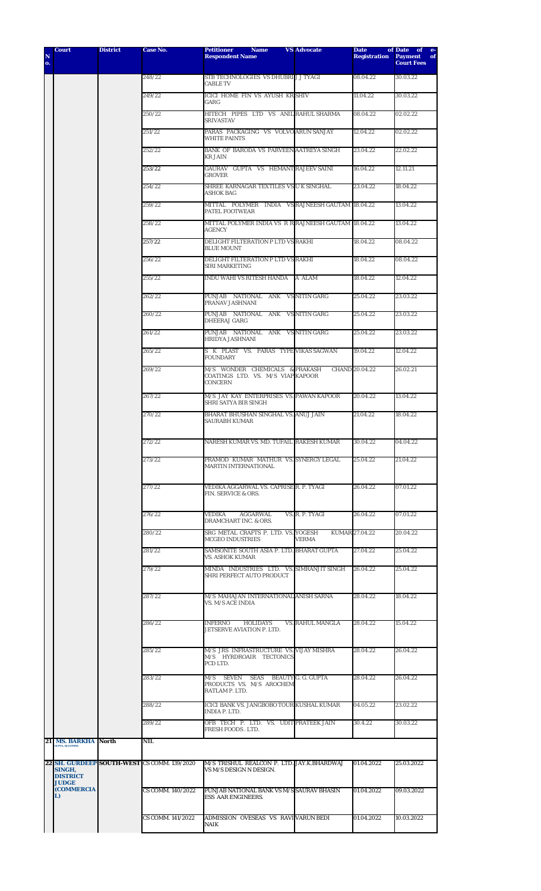| N  | <b>Court</b>                                      | <b>District</b> | Case No.                                    | <b>Petitioner</b><br><b>Name</b><br><b>Respondent Name</b>                            | <b>VS Advocate</b>      | <b>Date</b><br><b>Registration</b> | of Date of e-<br><b>Payment</b><br>of |
|----|---------------------------------------------------|-----------------|---------------------------------------------|---------------------------------------------------------------------------------------|-------------------------|------------------------------------|---------------------------------------|
| о. |                                                   |                 |                                             |                                                                                       |                         |                                    | <b>Court Fees</b>                     |
|    |                                                   |                 | 248/22                                      | STB TECHNOLOGIES VS DHUBRI J J TYAGI<br><b>CABLE TV</b>                               |                         | 08.04.22                           | 30.03.22                              |
|    |                                                   |                 | 249/22                                      | ICICI HOME FIN VS AYUSH KR SHIV<br>GARG                                               |                         | 11.04.22                           | 30.03.22                              |
|    |                                                   |                 | 250/22                                      | HITECH PIPES LTD VS ANIL RAHUL SHARMA<br><b>SRIVASTAV</b>                             |                         | 08.04.22                           | 02.02.22                              |
|    |                                                   |                 | 251/22                                      | PARAS PACKAGING VS VOLVO ARUN SANJAY<br><b>WHITE PAINTS</b>                           |                         | 12.04.22                           | 02.02.22                              |
|    |                                                   |                 | 252/22                                      | BANK OF BARODA VS PARVEEN AATREYA SINGH<br><b>KR JAIN</b>                             |                         | 23.04.22                           | 22.02.22                              |
|    |                                                   |                 | 253/22                                      | GAURAV GUPTA VS HEMANT RAJEEV SAINI<br><b>GROVER</b>                                  |                         | 16.04.22                           | 12.11.21                              |
|    |                                                   |                 | 254/22                                      | SHREE KARNAGAR TEXTILES VS U K SINGHAL<br>ASHOK BAG                                   |                         | 23.04.22                           | 18.04.22                              |
|    |                                                   |                 | 259/22                                      | MITTAL POLYMER INDIA VS RAJNEESH GAUTAM 18.04.22<br>PATEL FOOTWEAR                    |                         |                                    | 13.04.22                              |
|    |                                                   |                 | 258/22                                      | MITTAL POLYMER INDIA VS R R RAJNEESH GAUTAM 18.04.22<br><b>AGENCY</b>                 |                         |                                    | 13.04.22                              |
|    |                                                   |                 | 257/22                                      | DELIGHT FILTERATION P LTD VS RAKHI<br><b>BLUE MOUNT</b>                               |                         | 18.04.22                           | 08.04.22                              |
|    |                                                   |                 | 256/22                                      | DELIGHT FILTERATION P LTD VS RAKHI<br><b>SIRI MARKETING</b>                           |                         | 18.04.22                           | 08.04.22                              |
|    |                                                   |                 | 255/22                                      | INDU WAHI VS RITESH HANDA                                                             | A ALAM                  | 18.04.22                           | 12.04.22                              |
|    |                                                   |                 | 262/22                                      | PUNJAB NATIONAL ANK VSNITINGARG<br>PRANAV JASHNANI                                    |                         | 25.04.22                           | 23.03.22                              |
|    |                                                   |                 | 260/22                                      | PUNJAB NATIONAL ANK VSNITINGARG<br><b>DHEERAJ GARG</b>                                |                         | 25.04.22                           | 23.03.22                              |
|    |                                                   |                 | 261/22                                      | PUNJAB NATIONAL ANK VSNITINGARG<br>HRIDYA JASHNANI                                    |                         | 25.04.22                           | 23.03.22                              |
|    |                                                   |                 | 265/22                                      | S K PLAST VS. PARAS TYPE VIKAS SAGWAN<br><b>FOUNDARY</b>                              |                         | 19.04.22                           | 12.04.22                              |
|    |                                                   |                 | 269/22                                      | M/S WONDER CHEMICALS & PRAKASH<br>COATINGS LTD. VS. M/S VIAP KAPOOR<br><b>CONCERN</b> |                         | CHAND 20.04.22                     | 26.02.21                              |
|    |                                                   |                 | 267/22                                      | M/S JAY KAY ENTERPRISES VS. PAWAN KAPOOR<br>SHRI SATYA BIR SINGH                      |                         | 20.04.22                           | 13.04.22                              |
|    |                                                   |                 | 270/22                                      | BHARAT BHUSHAN SINGHAL VS. ANUJ JAIN<br>SAURABH KUMAR                                 |                         | 21.04.22                           | 18.04.22                              |
|    |                                                   |                 | 272/22                                      | NARESH KUMAR VS. MD. TUFAIL RAKESH KUMAR 30.04.22                                     |                         |                                    | 04.04.22                              |
|    |                                                   |                 | 273/22                                      | PRAMOD KUMAR MATHUR VS. SYNERGY LEGAL<br><b>MARTIN INTERNATIONAL</b>                  |                         | 25.04.22                           | 21.04.22                              |
|    |                                                   |                 | 277/22                                      | VEDIKA AGGARWAL VS. CAPRISE R. P. TYAGI<br>FIN. SERVICE & ORS.                        |                         | 26.04.22                           | 07.01.22                              |
|    |                                                   |                 | 276/22                                      | VEDIKA<br>AGGARWAL.<br>DRAMCHART INC. & ORS.                                          | VS. R. P. TYAGI         | 26.04.22                           | 07.01.22                              |
|    |                                                   |                 | 280/22                                      | SRG METAL CRAFTS P. LTD. VS. YOGESH<br><b>MCGEO INDUSTRIES</b>                        | <b>VERMA</b>            | KUMAR 27.04.22                     | 20.04.22                              |
|    |                                                   |                 | 281/22                                      | SAMSONITE SOUTH ASIA P. LTD. BHARAT GUPTA<br><b>VS. ASHOK KUMAR</b>                   |                         | 27.04.22                           | 25.04.22                              |
|    |                                                   |                 | 279/22                                      | MINDA INDUSTRIES LTD. VS. SIMRANJIT SINGH<br>SHRI PERFECT AUTO PRODUCT                |                         | 26.04.22                           | 25.04.22                              |
|    |                                                   |                 | 287/22                                      | M/S MAHAJAN INTERNATIONAL ANISH SARNA<br><b>VS. M/S ACE INDIA</b>                     |                         | 28.04.22                           | 18.04.22                              |
|    |                                                   |                 | 286/22                                      | INFERNO<br><b>HOLIDAYS</b><br>JETSERVE AVIATION P. LTD.                               | <b>VS. RAHUL MANGLA</b> | 28.04.22                           | 15.04.22                              |
|    |                                                   |                 | 285/22                                      | M/S JRS INFRASTRUCTURE VS. VIJAY MISHRA<br>M/S HYRDROAIR TECTONICS<br>PCD LTD.        |                         | 28.04.22                           | 26.04.22                              |
|    |                                                   |                 | 283/22                                      | SEVEN<br>SEAS BEAUTY G. G. GUPTA<br>M/S<br>PRODUCTS VS. M/S AROCHEM                   |                         | 28.04.22                           | 26.04.22                              |
|    |                                                   |                 | 288/22                                      | RATLAM P. LTD.<br>ICICI BANK VS. JANGBOBO TOUR KUSHAL KUMAR                           |                         | 04.05.22                           | 23.02.22                              |
|    |                                                   |                 | 289/22                                      | INDIA P. LTD.<br>OFB TECH P. LTD. VS. UDIT PRATEEK JAIN<br>FRESH FOODS . LTD.         |                         | 30.4.22                            | 30.03.22                              |
| 21 | <b>MS. BARKHA North</b><br><b>GUPTA, DJ(COMM)</b> |                 | <b>NIL</b>                                  |                                                                                       |                         |                                    |                                       |
|    |                                                   |                 | 22 SH. GURDEEP SOUTH-WEST CS COMM. 139/2020 | M/S TRISHUL REALCON P. LTD. JAY.K.BHARDWAJ                                            |                         | 01.04.2022                         | 25.03.2022                            |
|    | SINGH,<br><b>DISTRICT</b><br><b>JUDGE</b>         |                 |                                             | VS M/S DESIGN N DESIGN.                                                               |                         |                                    |                                       |
|    | <b>(COMMERCIA</b><br>L)                           |                 | CS COMM. 140/2022                           | PUNJAB NATIONAL BANK VS M/S SAURAV BHASIN<br><b>ESS AAR ENGINEERS.</b>                |                         | 01.04.2022                         | 09.03.2022                            |
|    |                                                   |                 | CS COMM. 141/2022                           | ADMISSION OVESEAS VS RAVIVARUN BEDI<br>NAIK                                           |                         | 01.04.2022                         | 10.03.2022                            |
|    |                                                   |                 |                                             |                                                                                       |                         |                                    |                                       |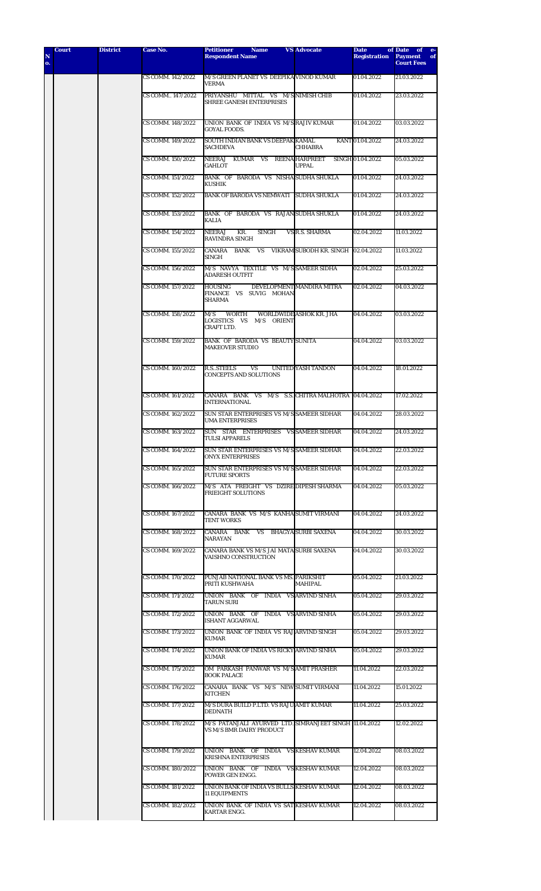| N<br>o. | Court | <b>District</b> | Case No.          | <b>Petitioner</b><br><b>Name</b><br><b>Respondent Name</b>                         | <b>VS Advocate</b>                    | <b>Date</b><br><b>Registration</b> | of Date of<br>$e-$<br><b>Payment</b><br>of<br><b>Court Fees</b> |
|---------|-------|-----------------|-------------------|------------------------------------------------------------------------------------|---------------------------------------|------------------------------------|-----------------------------------------------------------------|
|         |       |                 | CS COMM. 142/2022 | M/S GREEN PLANET VS DEEPIKA VINOD KUMAR<br><b>VERMA</b>                            |                                       | 01.04.2022                         | 21.03.2022                                                      |
|         |       |                 | CS COMM 147/2022  | PRIYANSHU MITTAL VS M/S NIMISH CHIB<br>SHREE GANESH ENTERPRISES                    |                                       | 01.04.2022                         | 23.03.2022                                                      |
|         |       |                 | CS COMM. 148/2022 | UNION BANK OF INDIA VS M/SRAJIV KUMAR<br><b>GOYAL FOODS.</b>                       |                                       | 01.04.2022                         | 03.03.2022                                                      |
|         |       |                 | CS COMM. 149/2022 | SOUTH INDIAN BANK VS DEEPAK KAMAL<br><b>SACHDEVA</b>                               | <b>CHHABRA</b>                        | KANT 01.04.2022                    | 24.03.2022                                                      |
|         |       |                 | CS COMM. 150/2022 | NEERAJ KUMAR VS<br><b>GAHLOT</b>                                                   | <b>REENA HARPREET</b><br><b>UPPAL</b> | SINGH 01.04.2022                   | 05.03.2022                                                      |
|         |       |                 | CS COMM. 151/2022 | BANK OF BARODA VS NISHA SUDHA SHUKLA<br>KUSHIK                                     |                                       | 01.04.2022                         | 24.03.2022                                                      |
|         |       |                 | CS COMM. 152/2022 | BANK OF BARODA VS NEMWATI SUDHA SHUKLA                                             |                                       | 01.04.2022                         | 24.03.2022                                                      |
|         |       |                 | CS COMM. 153/2022 | BANK OF BARODA VS RAJANSUDHA SHUKLA<br>KALIA                                       |                                       | 01.04.2022                         | 24.03.2022                                                      |
|         |       |                 | CS COMM. 154/2022 | <b>NEERAJ</b><br>KR.<br><b>SINGH</b><br><b>RAVINDRA SINGH</b>                      | <b>VS R.S. SHARMA</b>                 | 02.04.2022                         | 11.03.2022                                                      |
|         |       |                 | CS COMM. 155/2022 | CANARA BANK<br><b>VS</b><br><b>SINGH</b>                                           | VIKRAM SUBODH KR. SINGH               | 02.04.2022                         | 11.03.2022                                                      |
|         |       |                 | CS COMM. 156/2022 | M/S NAVYA TEXTILE VS M/SSAMEER SIDHA<br><b>ADARESH OUTFIT</b>                      |                                       | 02.04.2022                         | 25.03.2022                                                      |
|         |       |                 | CS COMM. 157/2022 | <b>HOUSING</b><br>FINANCE VS SUVIG MOHAN<br><b>SHARMA</b>                          | DEVELOPMENT MANDIRA MITRA             | 02.04.2022                         | 04.03.2022                                                      |
|         |       |                 | CS COMM. 158/2022 | M/S<br><b>WORTH</b><br>LOGISTICS VS M/S ORIENT<br><b>CRAFT LTD.</b>                | WORLDWIDE ASHOK KR. JHA               | 04.04.2022                         | 03.03.2022                                                      |
|         |       |                 | CS COMM. 159/2022 | BANK OF BARODA VS BEAUTY SUNITA<br><b>MAKEOVER STUDIO</b>                          |                                       | 04.04.2022                         | 03.03.2022                                                      |
|         |       |                 | CS COMM. 160/2022 | <b>R.S. STEELS</b><br><b>VS</b><br><b>CONCEPTS AND SOLUTIONS</b>                   | <b>UNITED YASH TANDON</b>             | 04.04.2022                         | 18.01.2022                                                      |
|         |       |                 | CS COMM. 161/2022 | CANARA BANK VS M/S S.S. CHITRA MALHOTRA 04.04.2022<br><b>INTERNATIONAL</b>         |                                       |                                    | 17.02.2022                                                      |
|         |       |                 | CS COMM. 162/2022 | SUN STAR ENTERPRISES VS M/S SAMEER SIDHAR<br><b>UMA ENTERPRISES</b>                |                                       | 04.04.2022                         | 28.03.2022                                                      |
|         |       |                 | CS COMM. 163/2022 | SUN STAR ENTERPRISES VS SAMEER SIDHAR<br>TULSI APPARELS                            |                                       | 04.04.2022                         | 24.03.2022                                                      |
|         |       |                 | CS COMM. 164/2022 | SUN STAR ENTERPRISES VS M/S SAMEER SIDHAR<br><b>ONYX ENTERPRISES</b>               |                                       | 04.04.2022                         | 22.03.2022                                                      |
|         |       |                 | CS COMM. 165/2022 | SUN STAR ENTERPRISES VS M/S SAMEER SIDHAR<br><b>FUTURE SPORTS</b>                  |                                       | 04.04.2022                         | 22.03.2022                                                      |
|         |       |                 | CS COMM. 166/2022 | M/S ATA FREIGHT VS DZIRE DIPESH SHARMA<br><b>FRIEIGHT SOLUTIONS</b>                |                                       | 04.04.2022                         | 05.03.2022                                                      |
|         |       |                 | CS COMM. 167/2022 | CANARA BANK VS M/S KANHA SUMIT VIRMANI<br><b>TENT WORKS</b>                        |                                       | 04.04.2022                         | 24.03.2022                                                      |
|         |       |                 | CS COMM. 168/2022 | CANARA BANK VS BHAGYA SURBI SAXENA<br>NARAYAN                                      |                                       | 04.04.2022                         | 30.03.2022                                                      |
|         |       |                 | CS COMM. 169/2022 | CANARA BANK VS M/S JAI MATA SURBI SAXENA<br><b>VAISHNO CONSTRUCTION</b>            |                                       | 04.04.2022                         | 30.03.2022                                                      |
|         |       |                 | CS COMM. 170/2022 | PUNJAB NATIONAL BANK VS MS. PARIKSHIT<br>PRITI KUSHWAHA                            | MAHIPAL                               | 05.04.2022                         | 21.03.2022                                                      |
|         |       |                 | CS COMM. 171/2022 | UNION BANK OF INDIA VS ARVIND SINHA<br><b>TARUN SURI</b>                           |                                       | 05.04.2022                         | 29.03.2022                                                      |
|         |       |                 | CS COMM. 172/2022 | UNION BANK OF INDIA VS ARVIND SINHA<br><b>ISHANT AGGARWAL</b>                      |                                       | 05.04.2022                         | 29.03.2022                                                      |
|         |       |                 | CS COMM. 173/2022 | UNION BANK OF INDIA VS RAJ ARVIND SINGH<br><b>KUMAR</b>                            |                                       | 05.04.2022                         | 29.03.2022                                                      |
|         |       |                 | CS COMM. 174/2022 | UNION BANK OF INDIA VS RICKY ARVIND SINHA<br><b>KUMAR</b>                          |                                       | 05.04.2022                         | 29.03.2022                                                      |
|         |       |                 | CS COMM. 175/2022 | OM PARKASH PANWAR VS M/S AMIT PRASHER<br><b>BOOK PALACE</b>                        |                                       | 11.04.2022                         | 22.03.2022                                                      |
|         |       |                 | CS COMM. 176/2022 | CANARA BANK VS M/S NEW SUMIT VIRMANI<br><b>KITCHEN</b>                             |                                       | 11.04.2022                         | 15.01.2022                                                      |
|         |       |                 | CS COMM. 177/2022 | M/S DURA BUILD P.LTD. VS RAJU AMIT KUMAR<br><b>DEDNATH</b>                         |                                       | 11.04.2022                         | 25.03.2022                                                      |
|         |       |                 | CS COMM. 178/2022 | M/S PATANJALI AYURVED LTD. SIMRANJEET SINGH 11.04.2022<br>VS M/S BMR DAIRY PRODUCT |                                       |                                    | 12.02.2022                                                      |
|         |       |                 | CS COMM. 179/2022 | UNION BANK OF INDIA VSKESHAVKUMAR<br><b>KRISHNA ENTERPRISES</b>                    |                                       | 12.04.2022                         | 08.03.2022                                                      |
|         |       |                 | CS COMM. 180/2022 | UNION BANK OF INDIA VSKESHAVKUMAR<br>POWER GEN ENGG.                               |                                       | 12.04.2022                         | 08.03.2022                                                      |
|         |       |                 | CS COMM. 181/2022 | UNION BANK OF INDIA VS BULLS KESHAV KUMAR<br><b>11 EQUIPMENTS</b>                  |                                       | 12.04.2022                         | 08.03.2022                                                      |
|         |       |                 | CS COMM. 182/2022 | UNION BANK OF INDIA VS SATKESHAVKUMAR<br>KARTAR ENGG.                              |                                       | 12.04.2022                         | 08.03.2022                                                      |
|         |       |                 |                   |                                                                                    |                                       |                                    |                                                                 |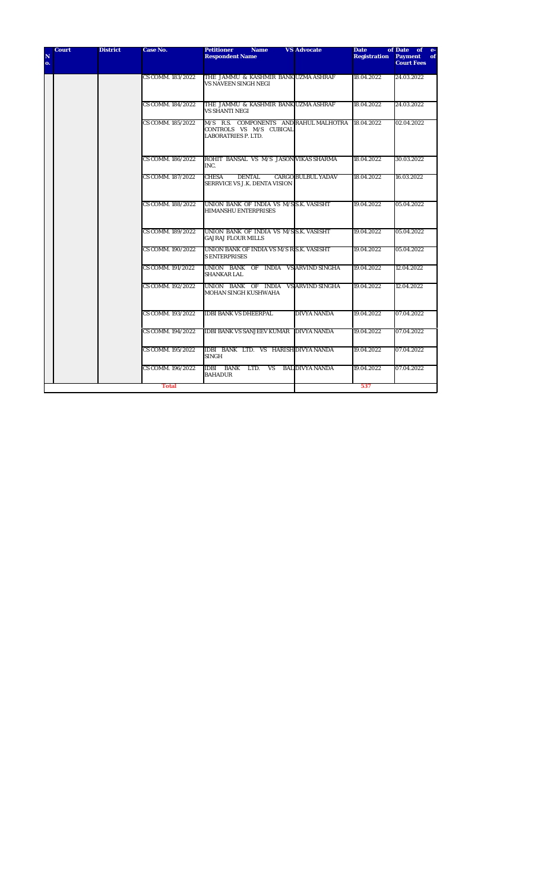| N<br>0. | <b>Court</b> | <b>District</b> | <b>Case No.</b>   | <b>Petitioner</b><br><b>Name</b><br><b>Respondent Name</b>                                      | <b>VS</b> Advocate        | <b>Date</b><br><b>Registration</b> | of Date of e-<br><b>Payment</b><br>of<br><b>Court Fees</b> |
|---------|--------------|-----------------|-------------------|-------------------------------------------------------------------------------------------------|---------------------------|------------------------------------|------------------------------------------------------------|
|         |              |                 | CS COMM. 183/2022 | THE JAMMU & KASHMIR BANK UZMA ASHRAF<br>VS NAVEEN SINGH NEGI                                    |                           | 18.04.2022                         | 24.03.2022                                                 |
|         |              |                 | CS COMM. 184/2022 | THE JAMMU & KASHMIR BANK UZMA ASHRAF<br><b>VS SHANTI NEGI</b>                                   |                           | 18.04.2022                         | 24.03.2022                                                 |
|         |              |                 | CS COMM. 185/2022 | M/S R.S. COMPONENTS AND RAHUL MALHOTRA<br>CONTROLS VS M/S CUBICAL<br><b>LABORATRIES P. LTD.</b> |                           | 18.04.2022                         | 02.04.2022                                                 |
|         |              |                 | CS COMM. 186/2022 | ROHIT BANSAL VS M/S JASON VIKAS SHARMA<br>INC.                                                  |                           | 18.04.2022                         | 30.03.2022                                                 |
|         |              |                 | CS COMM. 187/2022 | <b>CHESA</b><br><b>DENTAL</b><br>SERRVICE VS J.K. DENTA VISION                                  | <b>CARGO BULBUL YADAV</b> | 18.04.2022                         | 16.03.2022                                                 |
|         |              |                 | CS COMM. 188/2022 | UNION BANK OF INDIA VS M/SS.K. VASISHT<br><b>HIMANSHU ENTERPRISES</b>                           |                           | 19.04.2022                         | 05.04.2022                                                 |
|         |              |                 | CS COMM. 189/2022 | UNION BANK OF INDIA VS M/SS.K. VASISHT<br><b>GAJRAJ FLOUR MILLS</b>                             |                           | 19.04.2022                         | 05.04.2022                                                 |
|         |              |                 | CS COMM. 190/2022 | UNION BANK OF INDIA VS M/S R S.K. VASISHT<br><b>S ENTERPRISES</b>                               |                           | 19.04.2022                         | 05.04.2022                                                 |
|         |              |                 | CS COMM. 191/2022 | UNION BANK OF INDIA VS ARVIND SINGHA<br><b>SHANKAR LAL</b>                                      |                           | 19.04.2022                         | 12.04.2022                                                 |
|         |              |                 | CS COMM. 192/2022 | UNION BANK OF INDIA VS ARVIND SINGHA<br><b>MOHAN SINGH KUSHWAHA</b>                             |                           | 19.04.2022                         | 12.04.2022                                                 |
|         |              |                 | CS COMM. 193/2022 | <b>IDBI BANK VS DHEERPAL</b>                                                                    | <b>DIVYA NANDA</b>        | 19.04.2022                         | 07.04.2022                                                 |
|         |              |                 | CS COMM. 194/2022 | <b>IDBI BANK VS SANJEEV KUMAR DIVYA NANDA</b>                                                   |                           | 19.04.2022                         | 07.04.2022                                                 |
|         |              |                 | CS COMM. 195/2022 | IDBI BANK LTD. VS HARISH DIVYA NANDA<br><b>SINGH</b>                                            |                           | 19.04.2022                         | 07.04.2022                                                 |
|         |              |                 | CS COMM. 196/2022 | IDBI BANK LTD.<br>VS<br><b>BAHADUR</b>                                                          | <b>BAL DIVYA NANDA</b>    | 19.04.2022                         | 07.04.2022                                                 |
|         |              |                 | <b>Total</b>      |                                                                                                 |                           | 537                                |                                                            |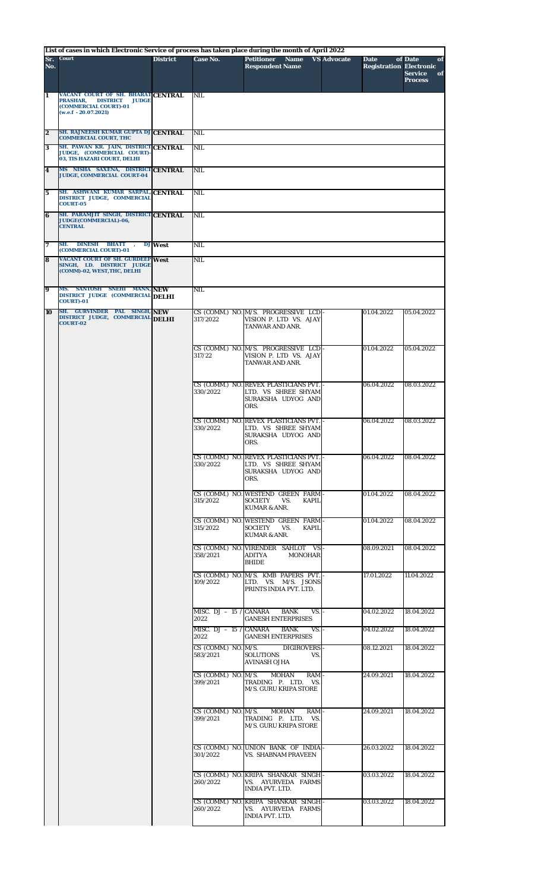## **List of cases in which Electronic Service of process has taken place during the month of April 2022**

|                         | List of cases in which Electronic Service of process has taken place during the month of April 2022                                  |                 |                                  |                                                                                             |                    |                                               |                                                         |
|-------------------------|--------------------------------------------------------------------------------------------------------------------------------------|-----------------|----------------------------------|---------------------------------------------------------------------------------------------|--------------------|-----------------------------------------------|---------------------------------------------------------|
| Sr.<br>No.              | <b>Court</b>                                                                                                                         | <b>District</b> | Case No.                         | <b>Petitioner Name</b><br><b>Respondent Name</b>                                            | <b>VS Advocate</b> | <b>Date</b><br><b>Registration Electronic</b> | of Date<br>of<br><b>Service</b><br>of<br><b>Process</b> |
| 1                       | VACANT COURT OF SH. BHARAT CENTRAL<br>PRASHAR,<br><b>DISTRICT</b><br><b>JUDGE</b><br>(COMMERCIAL COURT)-01<br>$(w.e.f - 20.07.2021)$ |                 | <b>NIL</b>                       |                                                                                             |                    |                                               |                                                         |
| $\overline{2}$          | SH. RAJNEESH KUMAR GUPTA DJ CENTRAL<br><b>COMMERCIAL COURT, THC</b>                                                                  |                 | <b>NIL</b>                       |                                                                                             |                    |                                               |                                                         |
| 3                       | SH. PAWAN KR. JAIN, DISTRICT CENTRAL<br>JUDGE, (COMMERCIAL COURT)-                                                                   |                 | NIL                              |                                                                                             |                    |                                               |                                                         |
| $\overline{\mathbf{4}}$ | 03, TIS HAZARI COURT, DELHI<br>MS NISHA SAXENA, DISTRICT CENTRAL<br><b>JUDGE, COMMERCIAL COURT-04</b>                                |                 | <b>NIL</b>                       |                                                                                             |                    |                                               |                                                         |
| $\bf{5}$                | SH. ASHWANI KUMAR SARPAL, CENTRAL<br>DISTRICT JUDGE, COMMERCIAL<br><b>COURT-05</b>                                                   |                 | <b>NIL</b>                       |                                                                                             |                    |                                               |                                                         |
| 6                       | SH. PARAMJIT SINGH, DISTRICT CENTRAL<br>JUDGE(COMMERCIAL)-06,<br><b>CENTRAL</b>                                                      |                 | <b>NIL</b>                       |                                                                                             |                    |                                               |                                                         |
| 7                       | SH. DINESH BHATT<br>(COMMERCIAL COURT)-01                                                                                            | DJ West         | NIL                              |                                                                                             |                    |                                               |                                                         |
| 8                       | <b>VACANT COURT OF SH. GURDEEP West</b><br>SINGH, LD. DISTRICT JUDGE<br>(COMM)-02, WEST, THC, DELHI                                  |                 | <b>NIL</b>                       |                                                                                             |                    |                                               |                                                         |
| 9                       | MS. SANTOSH SNEHI MANN, NEW<br>DISTRICT JUDGE (COMMERCIAL DELHI<br><b>COURT)-01</b>                                                  |                 | NIL.                             |                                                                                             |                    |                                               |                                                         |
| 10                      | SH. GURVINDER PAL SINGH, NEW<br>DISTRICT JUDGE, COMMERCIAL DELHI                                                                     |                 | 317/2022                         | CS (COMM.) NO. M/S. PROGRESSIVE LCD -<br>VISION P. LTD VS. AJAY                             |                    | 01.04.2022                                    | 05.04.2022                                              |
|                         | <b>COURT-02</b>                                                                                                                      |                 |                                  | TANWAR AND ANR.                                                                             |                    |                                               |                                                         |
|                         |                                                                                                                                      |                 | 317/22                           | CS (COMM.) NO. M/S. PROGRESSIVE LCD.<br>VISION P. LTD VS. AJAY<br>TANWAR AND ANR.           |                    | 01.04.2022                                    | 05.04.2022                                              |
|                         |                                                                                                                                      |                 | 330/2022                         | CS (COMM.) NO. REVEX PLASTICIANS PVT.<br>LTD. VS SHREE SHYAM<br>SURAKSHA UDYOG AND<br>ORS.  |                    | 06.04.2022                                    | 08.03.2022                                              |
|                         |                                                                                                                                      |                 | 330/2022                         | CS (COMM.) NO. REVEX PLASTICIANS PVT.<br>LTD. VS SHREE SHYAM<br>SURAKSHA UDYOG AND<br>ORS.  |                    | 06.04.2022                                    | 08.03.2022                                              |
|                         |                                                                                                                                      |                 | 330/2022                         | CS (COMM.) NO. REVEX PLASTICIANS PVT.<br>LTD. VS SHREE SHYAM<br>SURAKSHA UDYOG AND<br>ORS.  |                    | 06.04.2022                                    | 08.04.2022                                              |
|                         |                                                                                                                                      |                 | 315/2022                         | CS (COMM.) NO. WESTEND GREEN FARM<br><b>SOCIETY</b><br>VS.<br>KAPII.<br>KUMAR & ANR.        |                    | 01.04.2022                                    | 08.04.2022                                              |
|                         |                                                                                                                                      |                 | 315/2022                         | CS (COMM.) NO. WESTEND GREEN FARM-<br><b>SOCIETY</b><br><b>KAPIL</b><br>VS.<br>KUMAR & ANR. |                    | 01.04.2022                                    | 08.04.2022                                              |
|                         |                                                                                                                                      |                 | 358/2021                         | CS (COMM.) NO. VIRENDER SAHLOT VS-<br>ADITYA<br><b>MONOHAR</b><br><b>BHIDE</b>              |                    | 08.09.2021                                    | 08.04.2022                                              |
|                         |                                                                                                                                      |                 | 109/2022                         | CS (COMM.) NO. M/S. KMB PAPERS PVT.<br>LTD. VS. M/S. JSONS<br>PRINTS INDIA PVT. LTD.        |                    | 17.01.2022                                    | 11.04.2022                                              |
|                         |                                                                                                                                      |                 | MISC. $DJ - 15$ / CANARA<br>2022 | <b>BANK</b><br>VS.<br><b>GANESH ENTERPRISES</b>                                             |                    | 04.02.2022                                    | 18.04.2022                                              |
|                         |                                                                                                                                      |                 | MISC. $DJ - 15$ / CANARA<br>2022 | <b>BANK</b><br>VS.<br><b>GANESH ENTERPRISES</b>                                             |                    | 04.02.2022                                    | 18.04.2022                                              |
|                         |                                                                                                                                      |                 | CS (COMM.) NO. M/S.<br>583/2021  | <b>DIGIROVERS</b><br><b>SOLUTIONS</b><br>VS.<br><b>AVINASH OJHA</b>                         |                    | 08.12.2021                                    | 18.04.2022                                              |
|                         |                                                                                                                                      |                 | CS (COMM.) NO. M/S.<br>399/2021  | <b>MOHAN</b><br>RAM<br>TRADING P. LTD.<br>VS.<br><b>M/S. GURU KRIPA STORE</b>               |                    | 24.09.2021                                    | 18.04.2022                                              |
|                         |                                                                                                                                      |                 | CS (COMM.) NO. M/S.<br>399/2021  | <b>MOHAN</b><br>RAM<br>TRADING P. LTD.<br>VS.<br>M/S. GURU KRIPA STORE                      |                    | 24.09.2021                                    | 18.04.2022                                              |
|                         |                                                                                                                                      |                 | 301/2022                         | CS (COMM.) NO. UNION BANK OF INDIA<br><b>VS. SHABNAM PRAVEEN</b>                            |                    | 26.03.2022                                    | 18.04.2022                                              |
|                         |                                                                                                                                      |                 | 260/2022                         | CS (COMM.) NO. KRIPA SHANKAR SINGH<br>VS. AYURVEDA FARMS<br><b>INDIA PVT. LTD.</b>          |                    | 03.03.2022                                    | 18.04.2022                                              |
|                         |                                                                                                                                      |                 | 260/2022                         | CS (COMM.) NO. KRIPA SHANKAR SINGH-<br>VS. AYURVEDA FARMS<br><b>INDIA PVT. LTD.</b>         |                    | 03.03.2022                                    | 18.04.2022                                              |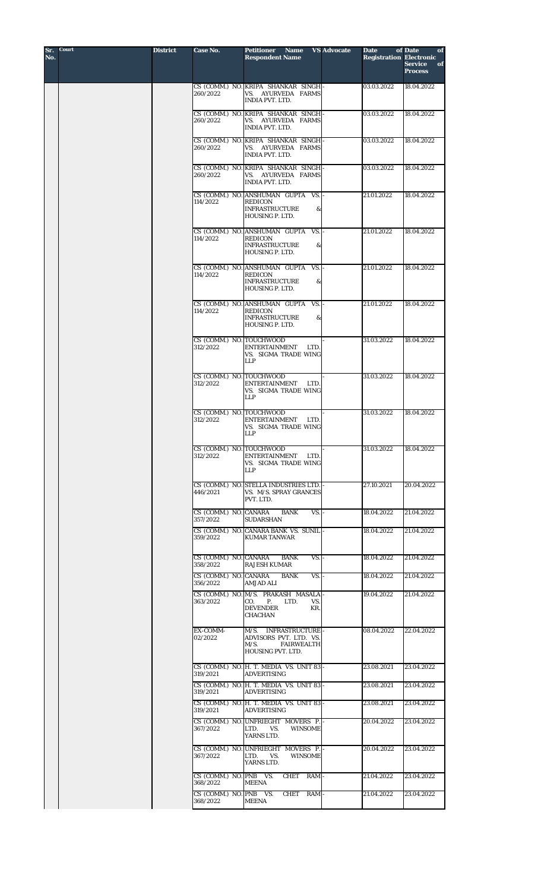| Sr.<br>No. | Court | <b>District</b> | Case No.                                                   | <b>Petitioner</b><br><b>Name</b><br><b>Respondent Name</b>                                              | <b>VS Advocate</b><br><b>Date</b> | of Date<br>of<br><b>Registration Electronic</b><br><b>Service</b><br>of<br><b>Process</b> |
|------------|-------|-----------------|------------------------------------------------------------|---------------------------------------------------------------------------------------------------------|-----------------------------------|-------------------------------------------------------------------------------------------|
|            |       |                 | 260/2022                                                   | CS (COMM.) NO. KRIPA SHANKAR SINGH-<br>VS. AYURVEDA FARMS<br>INDIA PVT. LTD.                            | 03.03.2022                        | 18.04.2022                                                                                |
|            |       |                 | 260/2022                                                   | CS (COMM.) NO. KRIPA SHANKAR SINGH<br>VS. AYURVEDA FARMS<br><b>INDIA PVT. LTD.</b>                      | 03.03.2022                        | 18.04.2022                                                                                |
|            |       |                 | 260/2022                                                   | CS (COMM.) NO. KRIPA SHANKAR SINGH<br>VS. AYURVEDA FARMS<br>INDIA PVT. LTD.                             | 03.03.2022                        | 18.04.2022                                                                                |
|            |       |                 | 260/2022                                                   | CS (COMM.) NO. KRIPA SHANKAR SINGH<br>VS. AYURVEDA FARMS<br><b>INDIA PVT. LTD.</b>                      | 03.03.2022                        | 18.04.2022                                                                                |
|            |       |                 | 114/2022                                                   | CS (COMM.) NO. ANSHUMAN GUPTA VS.  -<br><b>REDICON</b><br><b>INFRASTRUCTURE</b><br>&<br>HOUSING P. LTD. | 21.01.2022                        | 18.04.2022                                                                                |
|            |       |                 | 114/2022                                                   | CS (COMM.) NO. ANSHUMAN GUPTA<br>VS.<br><b>REDICON</b><br><b>INFRASTRUCTURE</b><br>&<br>HOUSING P. LTD. | 21.01.2022                        | 18.04.2022                                                                                |
|            |       |                 | 114/2022                                                   | CS (COMM.) NO. ANSHUMAN GUPTA<br>VS.<br><b>REDICON</b><br><b>INFRASTRUCTURE</b><br>&<br>HOUSING P. LTD. | 21.01.2022                        | 18.04.2022                                                                                |
|            |       |                 | 114/2022                                                   | CS (COMM.) NO. ANSHUMAN GUPTA<br>VS.<br><b>REDICON</b><br><b>INFRASTRUCTURE</b><br>&<br>HOUSING P. LTD. | 21.01.2022                        | 18.04.2022                                                                                |
|            |       |                 | CS (COMM.) NO. TOUCHWOOD<br>312/2022                       | <b>ENTERTAINMENT</b><br><b>LTD</b><br>VS. SIGMA TRADE WING<br><b>LLP</b>                                | 31.03.2022                        | 18.04.2022                                                                                |
|            |       |                 | CS (COMM.) NO. TOUCHWOOD<br>312/2022                       | <b>ENTERTAINMENT</b><br>LTD.<br>VS. SIGMA TRADE WING<br><b>LLP</b>                                      | 31.03.2022                        | 18.04.2022                                                                                |
|            |       |                 | CS (COMM.) NO. TOUCHWOOD<br>312/2022                       | <b>ENTERTAINMENT</b><br><b>LTD</b><br>VS. SIGMA TRADE WING<br><b>LLP</b>                                | 31.03.2022                        | 18.04.2022                                                                                |
|            |       |                 | CS (COMM.) NO. TOUCHWOOD<br>312/2022                       | ENTERTAINMENT<br>LTD.<br><b>VS. SIGMA TRADE WING</b><br><b>LLP</b>                                      | 31.03.2022                        | 18.04.2022                                                                                |
|            |       |                 | 446/2021                                                   | CS (COMM.) NO. STELLA INDUSTRIES LTD.<br>VS. M/S. SPRAY GRANCES<br>PVT. LTD.                            | 27.10.2021                        | 20.04.2022                                                                                |
|            |       |                 | CS (COMM.) NO. CANARA<br>357/2022                          | <b>BANK</b><br>$VS. -$<br><b>SUDARSHAN</b><br>CS (COMM.) NO. CANARA BANK VS. SUNIL-                     | 18.04.2022<br>18.04.2022          | 21.04.2022                                                                                |
|            |       |                 | 359/2022                                                   | <b>KUMAR TANWAR</b>                                                                                     |                                   | 21.04.2022                                                                                |
|            |       |                 | CS (COMM.) NO. CANARA<br>358/2022<br>CS (COMM.) NO. CANARA | <b>BANK</b><br>VS.<br><b>RAJESH KUMAR</b><br>VS.<br><b>BANK</b>                                         | 18.04.2022<br>18.04.2022          | 21.04.2022<br>21.04.2022                                                                  |
|            |       |                 | 356/2022                                                   | AMJAD ALI<br>CS (COMM.) NO. M/S. PRAKASH MASALA                                                         | 19.04.2022                        | 21.04.2022                                                                                |
|            |       |                 | 363/2022                                                   | CO.<br><b>P.</b><br>LTD.<br>VS.<br><b>DEVENDER</b><br>KR.<br><b>CHACHAN</b>                             |                                   |                                                                                           |
|            |       |                 | EX-COMM-<br>02/2022                                        | M/S. INFRASTRUCTURE-<br>ADVISORS PVT. LTD. VS.<br>M/S.<br><b>FAIRWEALTH</b><br>HOUSING PVT. LTD.        | 08.04.2022                        | 22.04.2022                                                                                |
|            |       |                 | 319/2021                                                   | CS (COMM.) NO. H. T. MEDIA VS. UNIT 83-<br><b>ADVERTISING</b>                                           | 23.08.2021                        | 23.04.2022                                                                                |
|            |       |                 | 319/2021                                                   | CS (COMM.) NO. H. T. MEDIA VS. UNIT 83-<br><b>ADVERTISING</b>                                           | 23.08.2021                        | 23.04.2022                                                                                |
|            |       |                 | 319/2021                                                   | CS (COMM.) NO. H. T. MEDIA VS. UNIT 83-<br><b>ADVERTISING</b><br>CS (COMM.) NO. UNFRIEGHT MOVERS P.     | 23.08.2021<br>20.04.2022          | 23.04.2022<br>23.04.2022                                                                  |
|            |       |                 | 367/2022                                                   | LTD.<br>VS.<br><b>WINSOME</b><br>YARNS LTD.                                                             |                                   |                                                                                           |
|            |       |                 | 367/2022                                                   | CS (COMM.) NO. UNFRIEGHT MOVERS P.<br>LTD.<br>VS.<br><b>WINSOME</b><br>YARNS LTD.                       | 20.04.2022                        | 23.04.2022                                                                                |
|            |       |                 | CS (COMM.) NO. PNB VS.<br>368/2022                         | <b>CHET</b><br>$RAM -$<br><b>MEENA</b>                                                                  | 21.04.2022                        | 23.04.2022                                                                                |
|            |       |                 | CS (COMM.) NO. PNB VS.<br>368/2022                         | CHET<br>RAM -<br><b>MEENA</b>                                                                           | 21.04.2022                        | 23.04.2022                                                                                |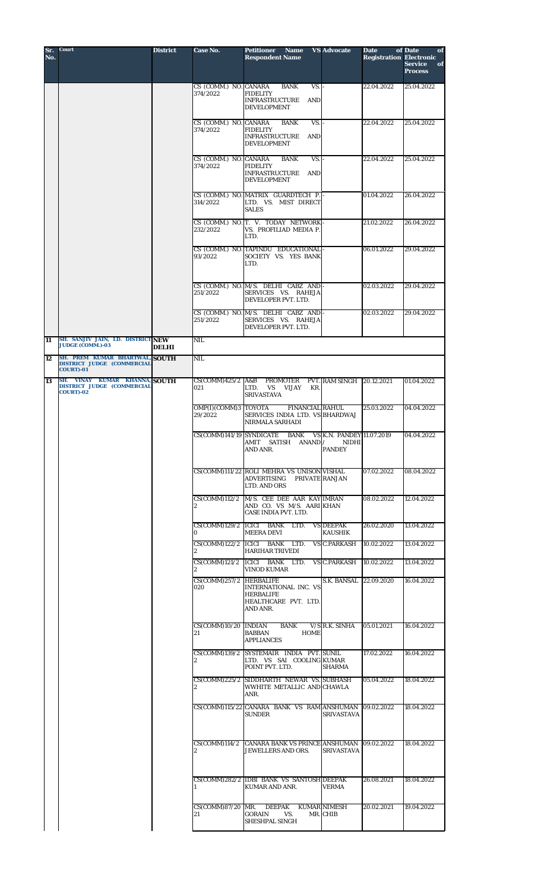| Sr.<br>No.      | Court                                                                                   | <b>District</b> | Case No.                          | <b>Petitioner Name</b><br><b>Respondent Name</b>                                                   | <b>VS Advocate</b>                 | <b>Date</b><br><b>Registration Electronic</b> | of Date<br>of<br><b>Service</b><br>of<br><b>Process</b> |
|-----------------|-----------------------------------------------------------------------------------------|-----------------|-----------------------------------|----------------------------------------------------------------------------------------------------|------------------------------------|-----------------------------------------------|---------------------------------------------------------|
|                 |                                                                                         |                 | CS (COMM.) NO. CANARA<br>374/2022 | VS.<br><b>BANK</b><br><b>FIDELITY</b><br><b>INFRASTRUCTURE</b><br>AND<br><b>DEVELOPMENT</b>        |                                    | 22.04.2022                                    | 25.04.2022                                              |
|                 |                                                                                         |                 | CS (COMM.) NO. CANARA<br>374/2022 | VS.<br><b>BANK</b><br><b>FIDELITY</b><br><b>INFRASTRUCTURE</b><br><b>AND</b><br><b>DEVELOPMENT</b> |                                    | 22.04.2022                                    | 25.04.2022                                              |
|                 |                                                                                         |                 | CS (COMM.) NO. CANARA<br>374/2022 | <b>BANK</b><br>VS.<br><b>FIDELITY</b><br>INFRASTRUCTURE<br>AND<br><b>DEVELOPMENT</b>               |                                    | 22.04.2022                                    | 25.04.2022                                              |
|                 |                                                                                         |                 | 314/2022                          | CS (COMM.) NO. MATRIX GUARDTECH P.<br>LTD. VS. MIST DIRECT<br><b>SALES</b>                         |                                    | 01.04.2022                                    | 26.04.2022                                              |
|                 |                                                                                         |                 | 232/2022                          | CS (COMM.) NO. T. V. TODAY NETWORK-<br>VS. PROFILIAD MEDIA P.<br>LTD.                              |                                    | 21.02.2022                                    | 26.04.2022                                              |
|                 |                                                                                         |                 | 93/2022                           | CS (COMM.) NO. TAPINDU EDUCATIONAL<br>SOCIETY VS. YES BANK<br>LTD.                                 |                                    | 06.01.2022                                    | 29.04.2022                                              |
|                 |                                                                                         |                 | 251/2022                          | CS (COMM.) NO. M/S. DELHI CABZ AND<br>SERVICES VS. RAHEJA<br>DEVELOPER PVT. LTD.                   |                                    | 02.03.2022                                    | 29.04.2022                                              |
|                 |                                                                                         |                 | 251/2022                          | CS (COMM.) NO. M/S. DELHI CABZ AND<br>SERVICES VS. RAHEJA<br>DEVELOPER PVT. LTD.                   |                                    | 02.03.2022                                    | 29.04.2022                                              |
| $\overline{11}$ | SH. SANJIV JAIN, LD. DISTRICT NEW<br><b>JUDGE (COMM.)-03</b>                            | <b>DELHI</b>    | <b>NIL</b>                        |                                                                                                    |                                    |                                               |                                                         |
| 12              | SH. PREM KUMAR BHARTWAL, SOUTH<br><b>DISTRICT JUDGE (COMMERCIAL</b><br><b>COURT)-01</b> |                 | NIL                               |                                                                                                    |                                    |                                               |                                                         |
| 13              | SH. VINAY KUMAR KHANNA, SOUTH<br>DISTRICT JUDGE (COMMERCIAL<br><b>COURT)-02</b>         |                 | $CS(COMM)425/2$ A&B<br>021        | PROMOTER<br>VS<br>LTD.<br>KR.<br>VIJAY<br><b>SRIVASTAVA</b>                                        | <b>PVT. RAM SINGH 20.12.2021</b>   |                                               | 01.04.2022                                              |
|                 |                                                                                         |                 | OMP(I)(COMM)3 TOYOTA<br>29/2022   | <b>FINANCIAL RAHUL</b><br>SERVICES INDIA LTD. VS BHARDWAJ<br>NIRMALA SARHADI                       |                                    | 25.03.2022                                    | 04.04.2022                                              |
|                 |                                                                                         |                 |                                   | CS(COMM)141/19 SYNDICATE BANK VS K.N. PANDEY 11.07.2019<br>AMIT SATISH ANAND / NIDHI<br>AND ANR.   | <b>PANDEY</b>                      |                                               | 04.04.2022                                              |
|                 |                                                                                         |                 |                                   | CS(COMM)111/22 ROLI MEHRA VS UNISON VISHAL<br><b>ADVERTISING</b><br>LTD. AND ORS                   | PRIVATE RANJAN                     | 07.02.2022                                    | 08.04.2022                                              |
|                 |                                                                                         |                 | CS(COMM)112/2                     | M/S. CEE DEE AAR KAY IMRAN<br>AND CO. VS M/S. AARI KHAN<br>CASE INDIA PVT. LTD.                    |                                    | 08.02.2022                                    | 12.04.2022                                              |
|                 |                                                                                         |                 |                                   | CS(COMM)129/2 ICICI BANK LTD.<br><b>MEERA DEVI</b>                                                 | <b>VS DEEPAK</b><br><b>KAUSHIK</b> | 26.02.2020                                    | 13.04.2022                                              |
|                 |                                                                                         |                 | $\mathbf{2}$                      | CS(COMM)122/2 ICICI BANK LTD.<br><b>HARIHAR TRIVEDI</b>                                            | <b>VS C.PARKASH</b>                | 10.02.2022                                    | 13.04.2022                                              |
|                 |                                                                                         |                 | CS(COMM)121/2                     | ICICI BANK LTD.<br><b>VINOD KUMAR</b>                                                              | <b>VS C.PARKASH</b>                | 10.02.2022                                    | 13.04.2022                                              |
|                 |                                                                                         |                 | CS(COMM)257/2 HERBALIFE<br>020    | INTERNATIONAL INC. VS<br><b>HERBALIFE</b><br>HEALTHCARE PVT. LTD.<br>AND ANR.                      | S.K. BANSAL                        | 22.09.2020                                    | 16.04.2022                                              |
|                 |                                                                                         |                 | $CS(COMM)10/20$ INDIAN<br>21      | <b>BANK</b><br><b>BABBAN</b><br><b>HOME</b><br><b>APPLIANCES</b>                                   | V/S R.K. SINHA                     | 05.01.2021                                    | 16.04.2022                                              |
|                 |                                                                                         |                 | 2                                 | CS(COMM)139/2 SYSTEMAIR INDIA PVT. SUNIL<br>LTD. VS SAI COOLING KUMAR<br>POINT PVT. LTD.           | <b>SHARMA</b>                      | 17.02.2022                                    | 16.04.2022                                              |
|                 |                                                                                         |                 | $\mathbf{2}$                      | CS(COMM)225/2 SIDDHARTH NEWAR VS. SUBHASH<br>WWHITE METALLIC AND CHAWLA<br>ANR.                    |                                    | 05.04.2022                                    | 18.04.2022                                              |
|                 |                                                                                         |                 |                                   | CS(COMM)115/22 CANARA BANK VS RAM ANSHUMAN<br><b>SUNDER</b>                                        | <b>SRIVASTAVA</b>                  | 09.02.2022                                    | 18.04.2022                                              |
|                 |                                                                                         |                 | CS(COMM)114/2                     | <b>CANARA BANK VS PRINCE ANSHUMAN</b><br>JEWELLERS AND ORS.                                        | <b>SRIVASTAVA</b>                  | 09.02.2022                                    | 18.04.2022                                              |
|                 |                                                                                         |                 |                                   | CS(COMM)282/2 IDBI BANK VS SANTOSH DEEPAK<br><b>KUMAR AND ANR.</b>                                 | <b>VERMA</b>                       | 26.08.2021                                    | 18.04.2022                                              |
|                 |                                                                                         |                 | $CS(COMM)87/20$ MR.<br>21         | <b>DEEPAK</b><br><b>GORAIN</b><br>VS.<br>SHESHPAL SINGH                                            | <b>KUMAR NIMESH</b><br>MR. CHIB    | 20.02.2021                                    | 19.04.2022                                              |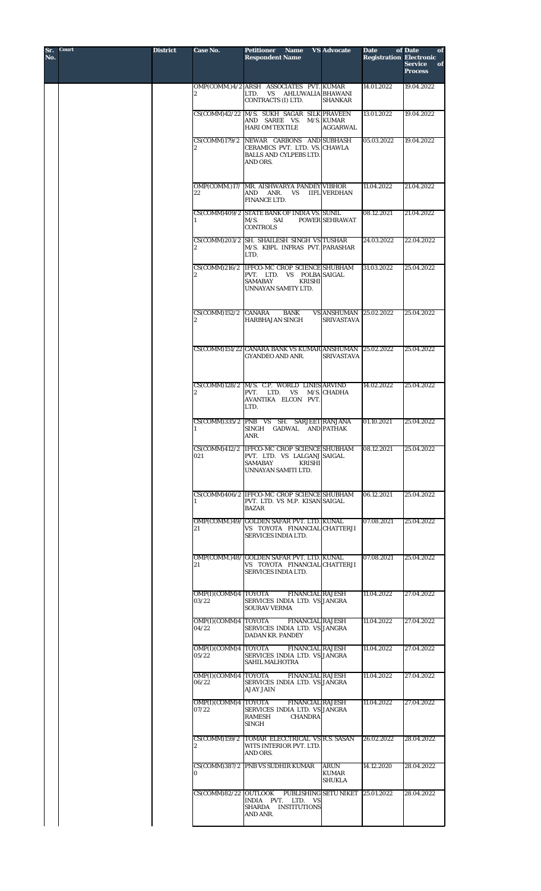| <b>Court</b> | <b>District</b> | <b>Case No.</b>                        | Petitioner<br><b>Name</b><br><b>Respondent Name</b>                                                                                  | <b>VS Advocate</b>                                 | <b>Date</b><br><b>Registration Electronic</b> | of Date<br>of<br><b>Service</b><br>of<br><b>Process</b> |
|--------------|-----------------|----------------------------------------|--------------------------------------------------------------------------------------------------------------------------------------|----------------------------------------------------|-----------------------------------------------|---------------------------------------------------------|
|              |                 | 2                                      | OMP(COMM.)4/2 ARSH ASSOCIATES PVT. KUMAR<br>AHLUWALIA BHAWANI<br>LTD.<br>VS<br>CONTRACTS (I) LTD.                                    | <b>SHANKAR</b>                                     | 14.01.2022                                    | 19.04.2022                                              |
|              |                 |                                        | CS(COMM)42/22 M/S. SUKH SAGAR SILK PRAVEEN<br>AND SAREE VS. M/S. KUMAR<br><b>HARI OM TEXTILE</b>                                     | <b>AGGARWAL</b>                                    | 13.01.2022                                    | 19.04.2022                                              |
|              |                 |                                        | CS(COMM)179/2 NEWAR CARBONS AND SUBHASH<br>CERAMICS PVT. LTD. VS. CHAWLA<br><b>BALLS AND CYLPEBS LTD.</b><br>AND ORS.                |                                                    | 05.03.2022                                    | 19.04.2022                                              |
|              |                 | 22                                     | OMP(COMM.)17/ MR. AISHWARYA PANDEY VIBHOR<br>AND ANR.<br>VS.<br><b>FINANCE LTD.</b>                                                  | <b>IIFL VERDHAN</b>                                | 11.04.2022                                    | 21.04.2022                                              |
|              |                 |                                        | CS(COMM)409/2 STATE BANK OF INDIA VS. SUNIL<br>M/S.<br>SAI<br><b>CONTROLS</b>                                                        | POWER SEHRAWAT                                     | 08.12.2021                                    | 21.04.2022                                              |
|              |                 |                                        | CS(COMM)203/2 SH. SHAILESH SINGH VS TUSHAR<br>M/S. KBPL INFRAS PVT. PARASHAR<br>LTD.                                                 |                                                    | 24.03.2022                                    | 22.04.2022                                              |
|              |                 |                                        | CS(COMM)216/2 IFFCO-MC CROP SCIENCE SHUBHAM<br>PVT. LTD. VS POLBA SAIGAL<br><b>SAMABAY</b><br><b>KRISHI</b><br>UNNAYAN SAMITY LTD.   |                                                    | 31.03.2022                                    | 25.04.2022                                              |
|              |                 | $CS(COMM)152/2$ CANARA<br>$\mathbf{2}$ | BANK<br><b>HARBHAJAN SINGH</b>                                                                                                       | <b>VS ANSHUMAN</b> 25.02.2022<br><b>SRIVASTAVA</b> |                                               | 25.04.2022                                              |
|              |                 |                                        | CS(COMM)151/22 CANARA BANK VS KUMAR ANSHUMAN 25.02.2022<br><b>GYANDEO AND ANR.</b>                                                   | <b>SRIVASTAVA</b>                                  |                                               | 25.04.2022                                              |
|              |                 | 2                                      | CS(COMM)128/2 M/S. C.P. WORLD LINES ARVIND<br>PVT.<br>LTD. VS<br>AVANTIKA ELCON PVT.<br>LTD.                                         | M/S. CHADHA                                        | 14.02.2022                                    | 25.04.2022                                              |
|              |                 |                                        | CS(COMM)335/2 PNB VS SH. SARJEET RANJANA<br>SINGH GADWAL AND PATHAK<br>ANR.                                                          |                                                    | 01.10.2021                                    | 25.04.2022                                              |
|              |                 | 021                                    | CS(COMM)412/2 IFFCO-MC CROP SCIENCE SHUBHAM<br>PVT. LTD. VS LALGANJ SAIGAL<br><b>SAMABAY</b><br><b>KRISHI</b><br>UNNAYAN SAMITI LTD. |                                                    | 08.12.2021                                    | 25.04.2022                                              |
|              |                 |                                        | CS(COMM)406/2 IFFCO-MC CROP SCIENCE SHUBHAM<br>PVT. LTD. VS M.P. KISAN SAIGAL<br><b>BAZAR</b>                                        |                                                    | 06.12.2021                                    | 25.04.2022                                              |
|              |                 | 21                                     | OMP(COMM.)49/ GOLDEN SAFAR PVT. LTD. KUNAL<br>VS TOYOTA FINANCIAL CHATTERJI<br>SERVICES INDIA LTD.                                   |                                                    | 07.08.2021                                    | 25.04.2022                                              |
|              |                 | 21                                     | OMP(COMM.)48/ GOLDEN SAFAR PVT. LTD. KUNAL<br>VS TOYOTA FINANCIAL CHATTERJI<br><b>SERVICES INDIA LTD.</b>                            |                                                    | 07.08.2021                                    | 25.04.2022                                              |
|              |                 | OMP(I)(COMM)4 TOYOTA<br>03/22          | <b>FINANCIAL RAJESH</b><br>SERVICES INDIA LTD. VS JANGRA<br><b>SOURAV VERMA</b>                                                      |                                                    | 11.04.2022                                    | 27.04.2022                                              |
|              |                 | OMP(I)(COMM)4 TOYOTA<br>04/22          | <b>FINANCIAL RAJESH</b><br>SERVICES INDIA LTD. VS JANGRA<br><b>DADAN KR. PANDEY</b>                                                  |                                                    | 11.04.2022                                    | 27.04.2022                                              |
|              |                 | OMP(I)(COMM)4 TOYOTA<br>05/22          | <b>FINANCIAL RAJESH</b><br>SERVICES INDIA LTD. VS JANGRA<br><b>SAHIL MALHOTRA</b>                                                    |                                                    | 11.04.2022                                    | 27.04.2022                                              |
|              |                 | OMP(I)(COMM)4 TOYOTA<br>06/22          | <b>FINANCIAL RAJESH</b><br>SERVICES INDIA LTD. VS JANGRA<br><b>AJAY JAIN</b>                                                         |                                                    | 11.04.2022                                    | 27.04.2022                                              |
|              |                 | OMP(I)(COMM)4 TOYOTA<br>07/22          | <b>FINANCIAL RAJESH</b><br>SERVICES INDIA LTD. VS JANGRA<br><b>RAMESH</b><br><b>CHANDRA</b><br>SINGH                                 |                                                    | 11.04.2022                                    | 27.04.2022                                              |
|              |                 | 2                                      | CS(COMM)159/2 TOMAR ELECCTRICAL VS R.S. SASAN<br>WITS INTERIOR PVT. LTD.<br>AND ORS.                                                 |                                                    | 26.02.2022                                    | 28.04.2022                                              |
|              |                 | 0                                      | CS(COMM)387/2 PNB VS SUDHIR KUMAR                                                                                                    | <b>ARUN</b><br><b>KUMAR</b><br><b>SHUKLA</b>       | 14.12.2020                                    | 28.04.2022                                              |
|              |                 | CS(COMM)82/22 OUTLOOK                  | INDIA PVT. LTD. VS<br>SHARDA INSTITUTIONS<br>AND ANR.                                                                                | PUBLISHING SETU NIKET 25.01.2022                   |                                               | 28.04.2022                                              |
|              |                 |                                        |                                                                                                                                      |                                                    |                                               |                                                         |

**Sr. No.**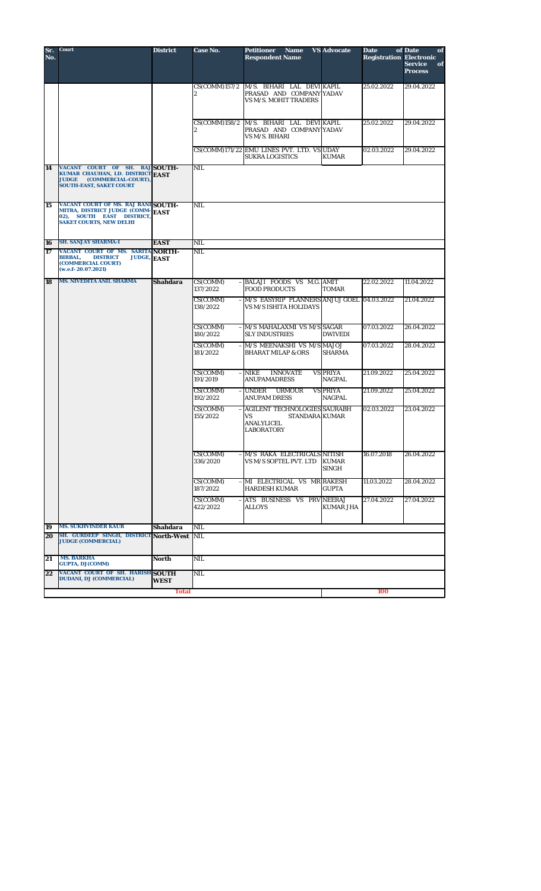| Sr.<br>No. | Court                                                                                                                                      | <b>District</b> | Case No.                                  | Petitioner<br><b>Name</b><br><b>Respondent Name</b>                                              | <b>VS Advocate</b>           | <b>Date</b><br><b>Registration Electronic</b> | of Date<br>of<br><b>Service</b><br>of<br><b>Process</b> |
|------------|--------------------------------------------------------------------------------------------------------------------------------------------|-----------------|-------------------------------------------|--------------------------------------------------------------------------------------------------|------------------------------|-----------------------------------------------|---------------------------------------------------------|
|            |                                                                                                                                            |                 | CS(COMM)157/2<br>2                        | M/S. BIHARI LAL DEVIKAPIL<br>PRASAD AND COMPANY YADAV<br><b>VS M/S. MOHIT TRADERS</b>            |                              | 25.02.2022                                    | 29.04.2022                                              |
|            |                                                                                                                                            |                 |                                           | CS(COMM)158/2 M/S. BIHARI LAL DEVI KAPIL<br>PRASAD AND COMPANY YADAV<br>VS M/S. BIHARI           |                              | 25.02.2022                                    | 29.04.2022                                              |
|            |                                                                                                                                            |                 |                                           | CS(COMM)171/22 EMU LINES PVT. LTD. VS UDAY<br><b>SUKRA LOGISTICS</b>                             | <b>KUMAR</b>                 | 02.03.2022                                    | 29.04.2022                                              |
| 14         | VACANT COURT OF SH. RAJ SOUTH-<br>KUMAR CHAUHAN, LD. DISTRICT EAST<br>(COMMERCIAL-COURT)<br><b>JUDGE</b><br><b>SOUTH-EAST, SAKET COURT</b> |                 | <b>NIL</b>                                |                                                                                                  |                              |                                               |                                                         |
| 15         | VACANT COURT OF MS. RAJ RANI SOUTH-<br>MITRA, DISTRICT JUDGE (COMM-<br>02), SOUTH EAST DISTRICT<br><b>SAKET COURTS, NEW DELHI</b>          | <b>EAST</b>     | <b>NIL</b>                                |                                                                                                  |                              |                                               |                                                         |
| 16         | <b>SH. SANJAY SHARMA-I</b>                                                                                                                 | <b>EAST</b>     | NIL                                       |                                                                                                  |                              |                                               |                                                         |
| 17         | VACANT COURT OF MS. SARITA NORTH-<br><b>BIRBAL,</b><br><b>DISTRICT</b><br><b>JUDGE,</b><br>(COMMERCIAL COURT)<br>(w.e.f. 20.07.2021)       | <b>EAST</b>     | NIL                                       |                                                                                                  |                              |                                               |                                                         |
| 18         | <b>MS. NIVEDITA ANIL SHARMA</b>                                                                                                            | <b>Shahdara</b> | CS(COMM)<br>137/2022                      | BALAJI FOODS VS M.G. AMIT<br><b>FOOD PRODUCTS</b>                                                | <b>TOMAR</b>                 | 22.02.2022                                    | 11.04.2022                                              |
|            |                                                                                                                                            |                 | $\overline{\text{CS}}$ (COMM)<br>138/2022 | - M/S EASYRIP PLANNERS ANJUJ GOEL 04.03.2022<br>VS M/S ISHITA HOLIDAYS                           |                              |                                               | 21.04.2022                                              |
|            |                                                                                                                                            |                 | CS(COMM)<br>180/2022                      | $-$ M/S MAHALAXMI VS M/S SAGAR<br><b>SLY INDUSTRIES</b>                                          | <b>DWIVEDI</b>               | 07.03.2022                                    | 26.04.2022                                              |
|            |                                                                                                                                            |                 | CS(COMM)<br>181/2022                      | M/S MEENAKSHI VS M/S MAJOJ<br><b>BHARAT MILAP &amp; ORS</b>                                      | <b>SHARMA</b>                | 07.03.2022                                    | 28.04.2022                                              |
|            |                                                                                                                                            |                 | CS(COMM)<br>191/2019                      | <b>NIKE</b><br><b>INNOVATE</b><br><b>ANUPAMADRESS</b>                                            | <b>VS PRIYA</b><br>NAGPAL    | 21.09.2022                                    | 25.04.2022                                              |
|            |                                                                                                                                            |                 | CS(COMM)<br>192/2022                      | $-$ UNDER<br><b>URMOUR</b><br><b>ANUPAM DRESS</b>                                                | <b>VS PRIYA</b><br>NAGPAL    | 21.09.2022                                    | 25.04.2022                                              |
|            |                                                                                                                                            |                 | CS(COMM)<br>155/2022                      | - AGILENT TECHNOLOGIES SAURABH<br><b>STANDARA KUMAR</b><br>VS<br>ANALYLICEL<br><b>LABORATORY</b> |                              | 02.03.2022                                    | 23.04.2022                                              |
|            |                                                                                                                                            |                 | CS(COMM)<br>336/2020                      | $ M/S$ RAKA ELECTRICALS NITISH<br>VS M/S SOFTEL PVT. LTD                                         | <b>KUMAR</b><br><b>SINGH</b> | 16.07.2018                                    | 26.04.2022                                              |
|            |                                                                                                                                            |                 | CS(COMM)<br>187/2022                      | $-$ MI ELECTRICAL VS MR RAKESH<br><b>HARDESH KUMAR</b>                                           | <b>GUPTA</b>                 | 11.03.2022                                    | 28.04.2022                                              |
|            |                                                                                                                                            |                 | CS(COMM)<br>422/2022                      | - ATS BUSINESS VS PRV NEERAJ<br>ALLOYS                                                           | <b>KUMAR JHA</b>             | 27.04.2022                                    | 27.04.2022                                              |
| 19         | <b>MS. SUKHVINDER KAUR</b>                                                                                                                 | Shahdara        | <b>NIL</b>                                |                                                                                                  |                              |                                               |                                                         |
| 20         | SH. GURDEEP SINGH, DISTRICT North-West<br><b>JUDGE (COMMERCIAL)</b>                                                                        |                 | <b>NIL</b>                                |                                                                                                  |                              |                                               |                                                         |
| 21         | <b>MS. BARKHA</b><br><b>GUPTA, DJ(COMM)</b>                                                                                                | North           | <b>NIL</b>                                |                                                                                                  |                              |                                               |                                                         |
| 22         | VACANT COURT OF SH. HARISH SOUTH<br><b>DUDANI, DJ (COMMERCIAL)</b>                                                                         | <b>WEST</b>     | NIL                                       |                                                                                                  |                              |                                               |                                                         |
|            |                                                                                                                                            | <b>Total</b>    |                                           |                                                                                                  |                              | 100                                           |                                                         |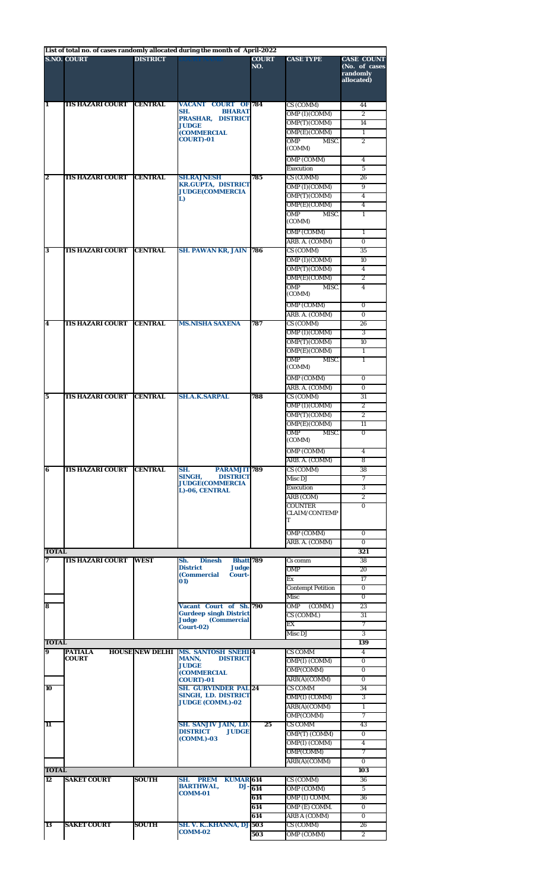|                    | <b>S.NO. COURT</b>      | <b>DISTRICT</b>        | List of total no. of cases randomly allocated during the month of April-2022 | <b>COURT</b><br>NO. | <b>CASE TYPE</b>                    | <b>CASE COUNT</b><br>(No. of cases<br>randomly<br>allocated) |
|--------------------|-------------------------|------------------------|------------------------------------------------------------------------------|---------------------|-------------------------------------|--------------------------------------------------------------|
| 1                  | <b>TIS HAZARI COURT</b> | <b>CENTRAL</b>         | <b>VACANT COURT OF 784</b><br>SH.<br><b>BHARAT</b>                           |                     | CS(GOMM)                            | 44                                                           |
|                    |                         |                        | PRASHAR, DISTRICT                                                            |                     | OMP (I)(COMM)                       | $\overline{2}$                                               |
|                    |                         |                        | <b>JUDGE</b><br><b>(COMMERCIAL</b>                                           |                     | OMP(T)(COMM)<br>OMP(E)(COMM)        | 14<br>$\mathbf{1}$                                           |
|                    |                         |                        | <b>COURT)-01</b>                                                             |                     | OMP<br>MISC.                        | $\overline{2}$                                               |
|                    |                         |                        |                                                                              |                     | (COMM)                              |                                                              |
|                    |                         |                        |                                                                              |                     | OMP (COMM)                          | $\overline{4}$                                               |
| $\boldsymbol{2}$   | <b>TIS HAZARI COURT</b> | <b>CENTRAL</b>         | <b>SH.RAJNESH</b>                                                            | 785                 | Execution<br>CS (COMM)              | 5<br>26                                                      |
|                    |                         |                        | <b>KR.GUPTA, DISTRICT</b>                                                    |                     | OMP (I)(COMM)                       | 9                                                            |
|                    |                         |                        | <b>JUDGE(COMMERCIA</b><br>L)                                                 |                     | OMP(T)(COMM)                        | $\overline{4}$                                               |
|                    |                         |                        |                                                                              |                     | OMP(E)(COMM)                        | 4                                                            |
|                    |                         |                        |                                                                              |                     | OMP<br>MISC.                        | $\mathbf{1}$                                                 |
|                    |                         |                        |                                                                              |                     | (COMM)                              |                                                              |
|                    |                         |                        |                                                                              |                     | <b>OMP (COMM)</b><br>ARB. A. (COMM) | $\mathbf{1}$<br>$\bf{0}$                                     |
| 3                  | <b>TIS HAZARI COURT</b> | <b>CENTRAL</b>         | <b>SH. PAWAN KR, JAIN</b>                                                    | 786                 | CS (COMM)                           | 35                                                           |
|                    |                         |                        |                                                                              |                     | OMP (I)(COMM)                       | 10                                                           |
|                    |                         |                        |                                                                              |                     | OMP(T)(COMM)                        | $\overline{4}$                                               |
|                    |                         |                        |                                                                              |                     | OMP(E)(COMM)                        | $\overline{2}$                                               |
|                    |                         |                        |                                                                              |                     | OMP<br>MISC.<br>(COMM)              | $\overline{4}$                                               |
|                    |                         |                        |                                                                              |                     |                                     |                                                              |
|                    |                         |                        |                                                                              |                     | OMP (COMM)<br>ARB. A. (COMM)        | $\bf{0}$<br>$\bf{0}$                                         |
| 4                  | <b>TIS HAZARI COURT</b> | <b>CENTRAL</b>         | <b>MS.NISHA SAXENA</b>                                                       | 787                 | CS (COMM)                           | 26                                                           |
|                    |                         |                        |                                                                              |                     | OMP (I)(COMM)                       | 3                                                            |
|                    |                         |                        |                                                                              |                     | OMP(T)(COMM)                        | 10                                                           |
|                    |                         |                        |                                                                              |                     | OMP(E)(COMM)                        | $\mathbf{1}$                                                 |
|                    |                         |                        |                                                                              |                     | OMP<br>MISC.<br>(COMM)              | $\mathbf{1}$                                                 |
|                    |                         |                        |                                                                              |                     | OMP (COMM)                          | $\Omega$                                                     |
|                    |                         |                        |                                                                              |                     | ARB. A. (COMM)                      | $\mathbf{0}$                                                 |
| $\mathbf 5$        | <b>TIS HAZARI COURT</b> | <b>CENTRAL</b>         | <b>SH.A.K.SARPAL</b>                                                         | 788                 | CS (COMM)                           | 31                                                           |
|                    |                         |                        |                                                                              |                     | OMP (I)(COMM)                       | $\boldsymbol{2}$                                             |
|                    |                         |                        |                                                                              |                     | OMP(T)(COMM)                        | $\overline{2}$                                               |
|                    |                         |                        |                                                                              |                     | OMP(E)(COMM)                        | 11                                                           |
|                    |                         |                        |                                                                              |                     | OMP<br>MISC.<br>(COMM)              | $\Omega$                                                     |
|                    |                         |                        |                                                                              |                     | OMP (COMM)                          | 4                                                            |
|                    |                         |                        |                                                                              |                     | ARB. A. (COMM)                      | 8                                                            |
| 6                  | <b>TIS HAZARI COURT</b> | <b>CENTRAL</b>         | SH.<br>PARAMJIT 789                                                          |                     | CS (COMM)                           | 38                                                           |
|                    |                         |                        | SINGH.<br><b>DISTRICT</b><br><b>JUDGE(COMMERCIA</b>                          |                     | Misc DJ                             | $\overline{7}$                                               |
|                    |                         |                        | L)-06, CENTRAL                                                               |                     | Execution<br>ARB (COM)              | 3<br>$\mathbf{2}^{\prime}$                                   |
|                    |                         |                        |                                                                              |                     | <b>COUNTER</b>                      | $\Omega$                                                     |
|                    |                         |                        |                                                                              |                     | <b>CLAIM/CONTEMP</b><br>т           |                                                              |
|                    |                         |                        |                                                                              |                     | OMP (COMM)                          | $\bf{0}$                                                     |
|                    |                         |                        |                                                                              |                     | ARB. A. (COMM)                      | $\Omega$                                                     |
| <b>TOTAL</b>       |                         |                        |                                                                              |                     |                                     | 321                                                          |
| 7                  | <b>TIS HAZARI COURT</b> | <b>WEST</b>            | <b>Bhatt</b> 789<br>Sh.<br><b>Dinesh</b>                                     |                     | Cs comm                             | 38                                                           |
|                    |                         |                        | <b>District</b><br><b>Judge</b><br><b>(Commercial</b><br><b>Court-</b>       |                     | OMP                                 | 20                                                           |
|                    |                         |                        | 01)                                                                          |                     | Ex                                  | 17                                                           |
|                    |                         |                        |                                                                              |                     | <b>Contempt Petition</b><br>Misc    | $\bf{0}$<br>$\Omega$                                         |
| 8                  |                         |                        | Vacant Court of Sh. 790                                                      |                     | OMP<br>(COMM.)                      | 23                                                           |
|                    |                         |                        | <b>Gurdeep singh District</b>                                                |                     | CS (COMM.)                          | 31                                                           |
|                    |                         |                        | Judge<br><b>(Commercial</b><br>$Court-02)$                                   |                     | EX                                  | $\tau$                                                       |
|                    |                         |                        |                                                                              |                     | Misc DJ                             | 3                                                            |
| <b>TOTAL</b><br>9  | <b>PATIALA</b>          |                        |                                                                              |                     |                                     | 139<br>$\overline{4}$                                        |
|                    | <b>COURT</b>            | <b>HOUSE NEW DELHI</b> | <b>MS. SANTOSH SNEHI</b> <sup>4</sup><br><b>MANN,</b><br><b>DISTRICT</b>     |                     | CS COMM<br>OMP(I) (COMM)            | $\Omega$                                                     |
|                    |                         |                        | <b>JUDGE</b>                                                                 |                     | OMP(COMM)                           | $\Omega$                                                     |
|                    |                         |                        | <b>(COMMERCIAL</b><br><b>COURT)-01</b>                                       |                     | ARB(A)(COMM)                        | $\Omega$                                                     |
| 10                 |                         |                        | <b>SH. GURVINDER PAL 24</b>                                                  |                     | <b>CS COMM</b>                      | 34                                                           |
|                    |                         |                        | <b>SINGH, LD. DISTRICT</b><br><b>JUDGE (COMM.)-02</b>                        |                     | OMP(I) (COMM)                       | 3                                                            |
|                    |                         |                        |                                                                              |                     | ARB(A)(COMM)                        | $\mathbf{1}$<br>$\overline{7}$                               |
| 11                 |                         |                        | SH. SANJIV JAIN, LD.                                                         | 25                  | OMP(COMM)<br><b>CS COMM</b>         | 43                                                           |
|                    |                         |                        | <b>DISTRICT</b><br><b>JUDGE</b>                                              |                     | OMP(T) (COMM)                       | $\Omega$                                                     |
|                    |                         |                        | (COMM.)-03                                                                   |                     | OMP(I) (COMM)                       | $\overline{\mathbf{4}}$                                      |
|                    |                         |                        |                                                                              |                     | OMP(COMM)                           | $\overline{7}$                                               |
|                    |                         |                        |                                                                              |                     | ARB(A)(COMM)                        | $\bf{0}$                                                     |
| <b>TOTAL</b><br>12 | <b>SAKET COURT</b>      | <b>SOUTH</b>           | SH.<br><b>PREM</b><br><b>KUMAR</b> 614                                       |                     | CS (COMM)                           | 103<br>36                                                    |
|                    |                         |                        | <b>BARTHWAL.</b><br>DJ-                                                      | 614                 | OMP (COMM)                          | 5                                                            |
|                    |                         |                        | <b>COMM-01</b>                                                               | 614                 | OMP (I) COMM.                       | 36                                                           |
|                    |                         |                        |                                                                              |                     |                                     |                                                              |
|                    |                         |                        |                                                                              | 614                 | OMP (E) COMM.                       | $\Omega$                                                     |
|                    |                         |                        |                                                                              | 614                 | ARB A (COMM)                        | 0                                                            |
| 13                 | <b>SAKET COURT</b>      | <b>SOUTH</b>           | SH. V. KKHANNA, DJ 503<br><b>COMM-02</b>                                     |                     | CS (COMM)                           | 26                                                           |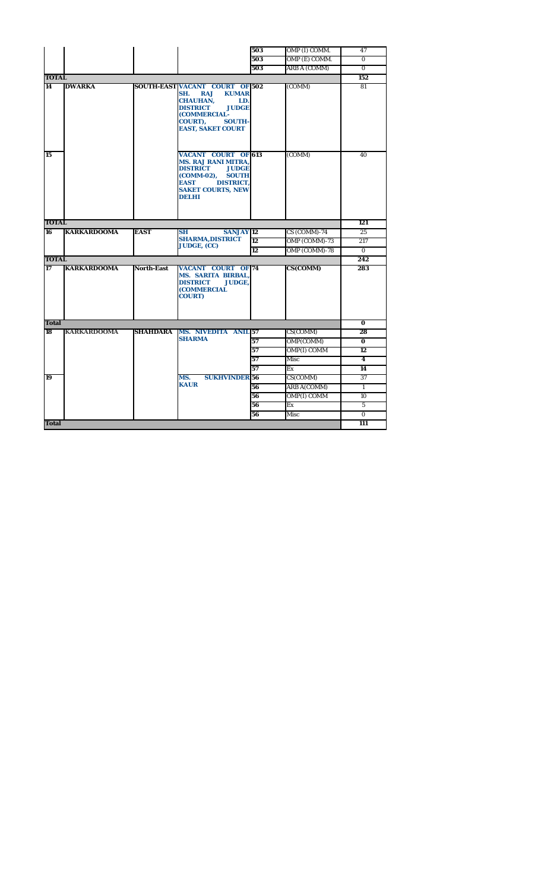|              |                    |                   |                                                                                                                                                                                                                 | 503       | OMP (I) COMM.       | 47             |
|--------------|--------------------|-------------------|-----------------------------------------------------------------------------------------------------------------------------------------------------------------------------------------------------------------|-----------|---------------------|----------------|
|              |                    |                   |                                                                                                                                                                                                                 | 503       | OMP (E) COMM.       | $\bf{0}$       |
|              |                    |                   |                                                                                                                                                                                                                 | 503       | <b>ARB A (COMM)</b> | $\Omega$       |
| <b>TOTAL</b> |                    |                   |                                                                                                                                                                                                                 |           |                     | 152            |
| 14           | <b>DWARKA</b>      |                   | <b>SOUTH-EAST VACANT COURT OF 502</b><br><b>RAJ</b><br><b>KUMAR</b><br>SH.<br><b>CHAUHAN,</b><br>LD.<br><b>DISTRICT</b><br><b>JUDGE</b><br>(COMMERCIAL-<br>COURT),<br><b>SOUTH-</b><br><b>EAST, SAKET COURT</b> |           | (COMM)              | 81             |
| 15           |                    |                   | <b>VACANT COURT OF 613</b><br><b>MS. RAJ RANI MITRA,</b><br><b>DISTRICT</b><br><b>JUDGE</b><br><b>SOUTH</b><br><b>(COMM-02),</b><br><b>EAST</b><br><b>DISTRICT.</b><br><b>SAKET COURTS, NEW</b><br>DELHI        |           | (COMM)              | 40             |
| <b>TOTAL</b> |                    |                   |                                                                                                                                                                                                                 |           |                     | 121            |
| 16           | <b>KARKARDOOMA</b> | <b>EAST</b>       | <b>SH</b><br><b>SANJAY</b> 12                                                                                                                                                                                   |           | CS (COMM)-74        | 25             |
|              |                    |                   | <b>SHARMA, DISTRICT</b><br><b>JUDGE, (CC)</b>                                                                                                                                                                   | <b>12</b> | OMP (COMM)-73       | 217            |
|              |                    |                   |                                                                                                                                                                                                                 | 12        | OMP (COMM)-78       | $\mathbf{0}$   |
| <b>TOTAL</b> |                    |                   |                                                                                                                                                                                                                 |           |                     | 242            |
| 17           | <b>KARKARDOOMA</b> | <b>North-East</b> | <b>VACANT COURT OF 74</b><br><b>MS. SARITA BIRBAL,</b><br><b>DISTRICT</b><br><b>JUDGE.</b><br>(COMMERCIAL<br><b>COURT)</b>                                                                                      |           | CS(COMM)            | 283            |
| <b>Total</b> |                    |                   |                                                                                                                                                                                                                 |           |                     | $\bf{0}$       |
| 18           | <b>KARKARDOOMA</b> | <b>SHAHDARA</b>   | <b>MS. NIVEDITA ANIL 57</b>                                                                                                                                                                                     |           | CS(COMM)            | 28             |
|              |                    |                   | <b>SHARMA</b>                                                                                                                                                                                                   | 57        | OMP(COMM)           | $\bf{0}$       |
|              |                    |                   |                                                                                                                                                                                                                 | 57        | <b>OMP(I) COMM</b>  | 12             |
|              |                    |                   |                                                                                                                                                                                                                 | 57        | Misc                | 4              |
|              |                    |                   |                                                                                                                                                                                                                 | 57        | Ex                  | 14             |
| 19           |                    |                   | MS.<br><b>SUKHVINDER</b> <sub>56</sub>                                                                                                                                                                          |           | CS(COMM)            | 37             |
|              |                    |                   | <b>KAUR</b>                                                                                                                                                                                                     | 56        | <b>ARB A(COMM)</b>  | $\mathbf{1}$   |
|              |                    |                   |                                                                                                                                                                                                                 | 56        | <b>OMP(I) COMM</b>  | 10             |
|              |                    |                   |                                                                                                                                                                                                                 | 56        | Ex                  | $\overline{5}$ |
|              |                    |                   |                                                                                                                                                                                                                 | 56        | Misc                | $\mathbf{0}$   |
| <b>Total</b> |                    |                   |                                                                                                                                                                                                                 |           |                     | 111            |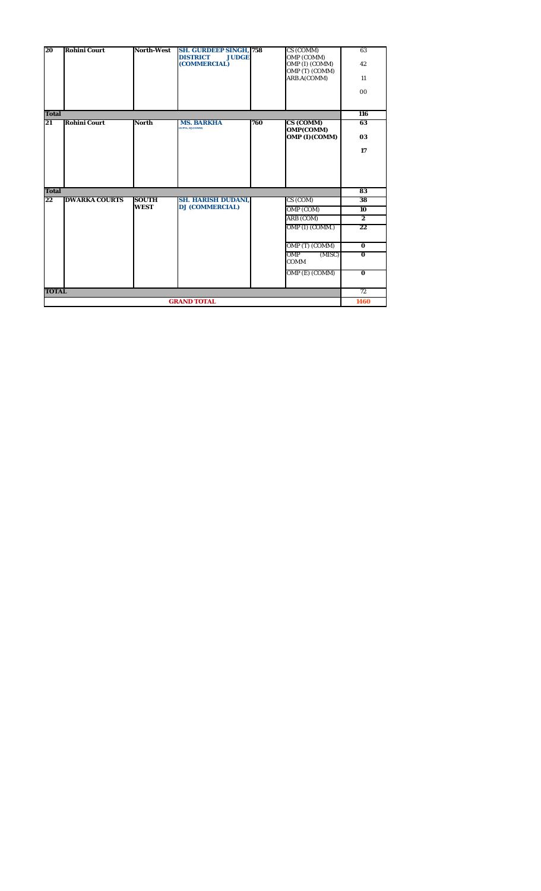| 20           | <b>Rohini Court</b>  | <b>North-West</b> | <b>SH. GURDEEP SINGH, 758</b><br><b>DISTRICT</b><br><b>JUDGE</b> |     | CS (COMM)                    | 63               |
|--------------|----------------------|-------------------|------------------------------------------------------------------|-----|------------------------------|------------------|
|              |                      |                   | (COMMERCIAL)                                                     |     | OMP (COMM)<br>OMP (I) (COMM) | 42               |
|              |                      |                   |                                                                  |     | OMP (T) (COMM)               |                  |
|              |                      |                   |                                                                  |     | ARB.A(COMM)                  | 11               |
|              |                      |                   |                                                                  |     |                              | 0 <sub>0</sub>   |
|              |                      |                   |                                                                  |     |                              |                  |
| <b>Total</b> |                      |                   |                                                                  |     |                              | 116              |
| 21           | <b>Rohini Court</b>  | <b>North</b>      | <b>MS. BARKHA</b><br><b>GUPTA, DJ(COMM)</b>                      | 760 | CS (COMM)                    | 63               |
|              |                      |                   |                                                                  |     | OMP(COMM)<br>OMP (I)(COMM)   | 03               |
|              |                      |                   |                                                                  |     |                              |                  |
|              |                      |                   |                                                                  |     |                              | 17               |
|              |                      |                   |                                                                  |     |                              |                  |
|              |                      |                   |                                                                  |     |                              |                  |
|              |                      |                   |                                                                  |     |                              |                  |
| <b>Total</b> |                      |                   |                                                                  |     |                              | 83               |
| 22           | <b>DWARKA COURTS</b> | <b>SOUTH</b>      | <b>SH. HARISH DUDANI,</b>                                        |     | CS (COM)                     | 38               |
|              |                      | <b>WEST</b>       | <b>DJ (COMMERCIAL)</b>                                           |     | OMP (COM)                    | 10               |
|              |                      |                   |                                                                  |     | ARB (COM)                    | $\boldsymbol{2}$ |
|              |                      |                   |                                                                  |     | OMP (I) (COMM.)              | 22               |
|              |                      |                   |                                                                  |     |                              |                  |
|              |                      |                   |                                                                  |     | OMP (T) (COMM)               | $\mathbf{0}$     |
|              |                      |                   |                                                                  |     | OMP<br>(MISC)<br><b>COMM</b> | $\overline{0}$   |
|              |                      |                   |                                                                  |     |                              |                  |
|              |                      |                   |                                                                  |     | OMP (E) (COMM)               | $\mathbf{0}$     |
|              |                      |                   |                                                                  |     |                              |                  |
| <b>TOTAL</b> |                      |                   |                                                                  |     |                              | 72               |
|              |                      |                   | <b>GRAND TOTAL</b>                                               |     |                              | 1460             |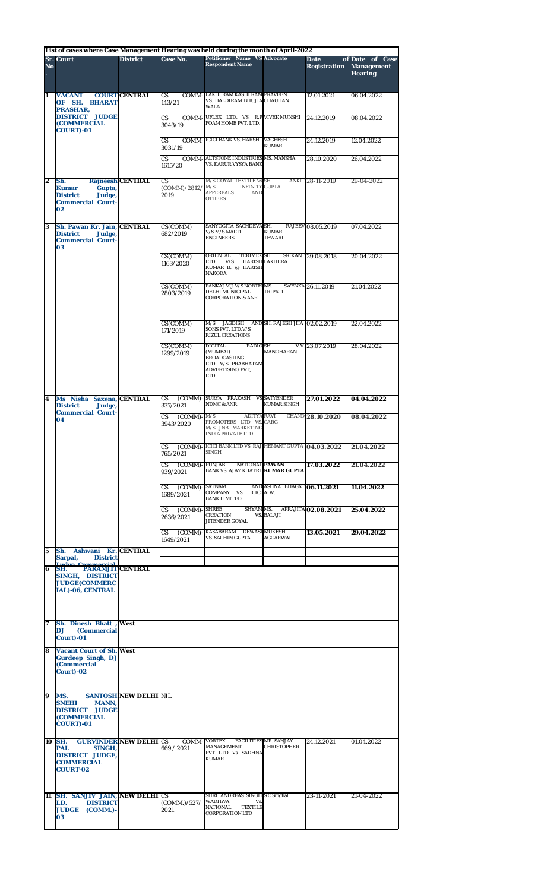|                  |                                                                                                     |                              |                                                           | List of cases where Case Management Hearing was held during the month of April-2022                              |                                                    |                                    |                                                        |  |
|------------------|-----------------------------------------------------------------------------------------------------|------------------------------|-----------------------------------------------------------|------------------------------------------------------------------------------------------------------------------|----------------------------------------------------|------------------------------------|--------------------------------------------------------|--|
| N <sub>o</sub>   | <b>Sr. Court</b>                                                                                    | <b>District</b>              | Case No.                                                  | <b>Petitioner Name VS Advocate</b><br><b>Respondent Name</b>                                                     |                                                    | <b>Date</b><br><b>Registration</b> | of Date of Case<br><b>Management</b><br><b>Hearing</b> |  |
| 1                | <b>VACANT</b><br>OF SH. BHARAT<br>PRASHAR,                                                          | <b>COURT CENTRAL</b>         | CS.<br>143/21                                             | COMM-LAKHI RAM KASHI RAM PRAVEEN<br>VS. HALDIRAM BHUJIA CHAUHAN<br><b>WALA</b>                                   |                                                    | 12.01.2021                         | 06.04.2022                                             |  |
|                  | <b>DISTRICT JUDGE</b><br><b>(COMMERCIAL</b><br><b>COURT)-01</b>                                     |                              | $\overline{\text{CS}}$<br>3043/19                         | COMM-UFLEX LTD. VS. R.P VIVEK MUNSHI<br>FOAM HOME PVT. LTD.                                                      |                                                    | 24.12.2019                         | 08.04.2022                                             |  |
|                  |                                                                                                     |                              | $\mathbf{C}\mathbf{S}$<br>3031/19                         | <b>COMM-ICICI BANK VS. HARSH VAGEESH</b>                                                                         | <b>KUMAR</b>                                       | 24.12.2019                         | 12.04.2022                                             |  |
|                  |                                                                                                     |                              | CS.<br>1615/20                                            | COMM-ALTSTONE INDUSTRIES MS. MANSHA<br>VS. KARUR VYSYA BANK                                                      |                                                    | 28.10.2020                         | 26.04.2022                                             |  |
| $\boldsymbol{2}$ | Sh.<br><b>Kumar</b><br>Gupta,<br>Judge,<br><b>District</b><br><b>Commercial Court-</b><br>02        | <b>Rajneesh CENTRAL</b>      | CS.<br>(COMM)/2812/<br>2019                               | M/S GOYAL TEXTILE Vs SH<br><b>INFINITY GUPTA</b><br>M/S<br><b>APPEREALS</b><br><b>AND</b><br><b>OTHERS</b>       |                                                    | ANKIT 28-11-2019                   | 29-04-2022                                             |  |
| 3                | Sh. Pawan Kr. Jain, CENTRAL<br><b>District</b><br>Judge,<br><b>Commercial Court-</b><br>03          |                              | CS(COMM)<br>682/2019                                      | SANYOGITA SACHDEVA SH.<br>V/S M/S MALTI<br><b>ENGINEERS</b>                                                      | <b>KUMAR</b><br><b>TEWARI</b>                      | RAJEEV 08.05.2019                  | 07.04.2022                                             |  |
|                  |                                                                                                     |                              | CS(COMM)<br>1163/2020                                     | ORIENTAL<br>TERIMEX SH.<br>LTD. V/S<br>KUMAR B. @ HARISH<br><b>NAKODA</b>                                        | <b>HARISH LAKHERA</b>                              | SRIKANT 29.08.2018                 | 20.04.2022                                             |  |
|                  |                                                                                                     |                              | CS(COMM)<br>2803/2019                                     | PANKAJ VIJ V/S NORTH MS.<br>DELHI MUNICIPAL<br><b>CORPORATION &amp; ANR.</b>                                     | <b>TRIPATI</b>                                     | <b>SWENKA 26.11.2019</b>           | 21.04.2022                                             |  |
|                  |                                                                                                     |                              | CS(COMM)<br>171/2019                                      | JAGDISH AND SH. RAJESH JHA 02.02.2019<br>M/S<br>SONS PVT. LTD.V/S<br><b>RIZUL CREATIONS</b>                      |                                                    |                                    | 22.04.2022                                             |  |
|                  |                                                                                                     |                              | CS(COMM)<br>1299/2019                                     | <b>DIGITAL</b><br>RADIO SH.<br>(MUMBAI)<br><b>BROADCASTING</b><br>LTD. V/S PRABHATAM<br>ADVERTISING PVT,<br>LTD. | <b>MANOHARAN</b>                                   | V.V. 23.07.2019                    | 28.04.2022                                             |  |
| 4                | Ms Nisha Saxena, CENTRAL<br><b>District</b><br>Judge,                                               |                              | CS.<br>337/2021                                           | (COMM)-SURYA PRAKASH VSSATYENDER<br><b>NDMC &amp; ANR</b>                                                        | <b>KUMAR SINGH</b>                                 | 27.01.2022                         | 04.04.2022                                             |  |
|                  | <b>Commercial Court-</b><br>04                                                                      |                              | $\mathbf{C}\mathbf{S}$<br>$(COMM)$ -<br>3943/2020         | M/S<br><b>ADITYA RAVI</b><br>PROMOTERS LTD VS. GARG<br>M/S JNB MARKETING<br>INDIA PRIVATE LTD                    |                                                    | CHAND 28.10.2020                   | 08.04.2022                                             |  |
|                  |                                                                                                     |                              | <b>CS</b><br>765/2021                                     | (COMM) ICICI BANK LTD VS. RAJ HEMANT GUPTA 04.03.2022<br><b>SINGH</b>                                            |                                                    |                                    | 21.04.2022                                             |  |
|                  |                                                                                                     |                              | $(COMM) - PUNJAB$<br>CS.<br>939/2021                      | NATIONAL PAWAN<br>BANK VS. AJAY KHATRI KUMAR GUPTA                                                               |                                                    | 17.03.2022                         | 21.04.2022                                             |  |
|                  |                                                                                                     |                              | (COMM) - SATNAM<br>CS<br>1689/2021                        | COMPANY VS. ICICI ADV.<br><b>BANK LIMITED</b>                                                                    | AND ASHNA BHAGAT 06.11.2021                        |                                    | 11.04.2022                                             |  |
|                  |                                                                                                     |                              | (COMM) - SHREE<br>CS.<br>2636/2021                        | SHYAM MS.<br><b>CREATION</b><br>JITENDER GOYAL                                                                   | <b>VS. BALAJI</b>                                  | APRAJITA 02.08.2021                | 25.04.2022                                             |  |
|                  |                                                                                                     |                              | <b>CS</b><br>1649/2021                                    | (COMM)-KASABARAM DEWASI MUKESH<br><b>VS. SACHIN GUPTA</b>                                                        | AGGARWAL                                           | 13.05.2021                         | 29.04.2022                                             |  |
| 5                | Ashwani Kr. CENTRAL<br>Sh.<br>Sarpal,<br><b>District</b><br><b>Commercial</b><br>Indoo              |                              |                                                           |                                                                                                                  |                                                    |                                    |                                                        |  |
| 6                | <b>PARAMJIT CENTRAL</b><br>SH.<br>SINGH, DISTRICT<br><b>JUDGE(COMMERC</b><br>IAL)-06, CENTRAL       |                              |                                                           |                                                                                                                  |                                                    |                                    |                                                        |  |
| 7                | Sh. Dinesh Bhatt, West<br>(Commercial<br>DJ<br>Court)-01                                            |                              |                                                           |                                                                                                                  |                                                    |                                    |                                                        |  |
| 8                | <b>Vacant Court of Sh. West</b><br><b>Gurdeep Singh, DJ</b><br>(Commercial<br>Court)-02             |                              |                                                           |                                                                                                                  |                                                    |                                    |                                                        |  |
| 9                | MS.<br>SNEHI<br><b>MANN.</b><br><b>DISTRICT JUDGE</b><br><b>(COMMERCIAL</b><br><b>COURT)-01</b>     | <b>SANTOSH NEW DELHI NIL</b> |                                                           |                                                                                                                  |                                                    |                                    |                                                        |  |
|                  | 10 SH.<br><b>PAL</b><br>SINGH.<br><b>DISTRICT JUDGE.</b><br><b>COMMERCIAL</b><br><b>COURT-02</b>    |                              | <b>GURVINDER NEW DELHI CS - COMM-VORTEX</b><br>669 / 2021 | <b>MANAGEMENT</b><br>PVT LTD Vs SADHNA<br><b>KUMAR</b>                                                           | <b>FACILITIES MR. SANJAY</b><br><b>CHRISTOPHER</b> | 24.12.2021                         | 01.04.2022                                             |  |
| 11               | <b>SH. SANJIV JAIN, NEW DELHI CS</b><br>LD.<br><b>DISTRICT</b><br><b>JUDGE</b><br>$(COMM.) -$<br>03 |                              | (COMM.)/527/<br>2021                                      | SHRI ANDREAS SINGH S C Singhal<br>WADHWA<br>Vs<br><b>TEXTILE</b><br><b>NATIONAL</b><br><b>CORPORATION LTD</b>    |                                                    | 23-11-2021                         | 21-04-2022                                             |  |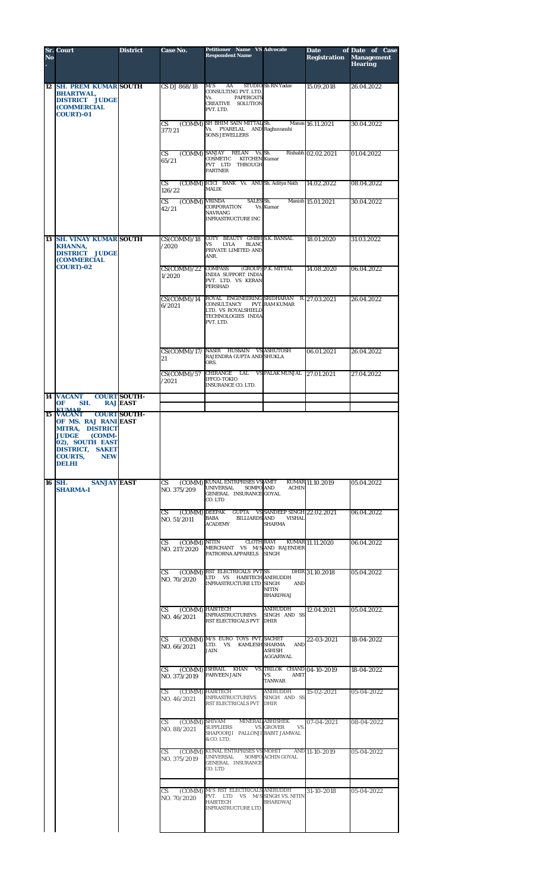| No | <b>Sr. Court</b>                                                                                                                                                           | <b>District</b>                        | Case No.                                   | Petitioner Name VS Advocate<br><b>Respondent Name</b>                                                                                                                                   |                                                 | <b>Date</b><br><b>Registration</b> | of Date of Case<br><b>Management</b><br><b>Hearing</b> |
|----|----------------------------------------------------------------------------------------------------------------------------------------------------------------------------|----------------------------------------|--------------------------------------------|-----------------------------------------------------------------------------------------------------------------------------------------------------------------------------------------|-------------------------------------------------|------------------------------------|--------------------------------------------------------|
|    | <b>12 SH. PREM KUMAR SOUTH</b><br><b>BHARTWAL.</b><br><b>DISTRICT JUDGE</b><br><b>(COMMERCIAL</b><br><b>COURT)-01</b>                                                      |                                        | CS DJ 868/18                               | M/S<br>AA<br>CONSULTING PVT. LTD.<br>Vs.<br><b>PAPERCATS</b><br>CREATIVE SOLUTION<br>PVT. LTD.                                                                                          | STUDIO Sh RN Yadav                              | 15.09.2018                         | 26.04.2022                                             |
|    |                                                                                                                                                                            |                                        | <b>CS</b><br>377/21                        | (COMM) SH BHIM SAIN MITTAL Sh.<br>Vs. PYARELAL AND Raghuvanshi<br><b>SONS JEWELLERS</b>                                                                                                 |                                                 | Manas 16.11.2021                   | 30.04.2022                                             |
|    |                                                                                                                                                                            |                                        | CS<br>65/21                                | (COMM) SANJAY RELAN<br>COSMETIC<br><b>KITCHEN</b> Kumar<br>PVT LTD THROUGH<br><b>PARTNER</b>                                                                                            | Vs. Sh.                                         | Rishabh 02.02.2021                 | 01.04.2022                                             |
|    |                                                                                                                                                                            |                                        | CS<br>126/22                               | (COMM) ICICI BANK Vs. ANUSh. Aditya Nath<br>MALIK                                                                                                                                       |                                                 | 14.02.2022                         | 08.04.2022                                             |
|    |                                                                                                                                                                            |                                        | (COMM) VRINDA<br>CS<br>42/21               | SALES Sh.<br><b>CORPORATION</b><br><b>NAVRANG</b><br><b>INFRASTRUCTURE INC</b>                                                                                                          | Vs. Kumar                                       | Manish 15.01.2021                  | 30.04.2022                                             |
|    | <b>13 SH. VINAY KUMAR SOUTH</b><br><b>KHANNA,</b><br><b>DISTRICT JUDGE</b><br><b>(COMMERCIAL</b>                                                                           |                                        | CS(COMM)/18<br>/2020                       | COTY BEAUTY GMBH S.K. BANSAL<br>LYLA<br><b>BLANC</b><br>VS<br>PRIVATE LIMITED AND<br>ANR.                                                                                               |                                                 | 18.01.2020                         | 31.03.2022                                             |
|    | <b>COURT)-02</b>                                                                                                                                                           |                                        | $CS(\overline{COMM})/22$ COMPASS<br>1/2020 | <b>INDIA SUPPORT INDIA</b><br>PVT. LTD. VS KERAN<br><b>PERSHAD</b>                                                                                                                      | (GROUP) P.K. MITTAL                             | 14.08.2020                         | 06.04.2022                                             |
|    |                                                                                                                                                                            |                                        | CS(COMM)/14<br>6/2021                      | ROYAL ENGINEERING SRIDHARAN<br>CONSULTANCY<br>LTD. VS ROYALSHIELD<br>TECHNOLOGIES INDIA<br>PVT. LTD.                                                                                    | <b>PVT. RAM KUMAR</b>                           | R. 27.03.2021                      | 26.04.2022                                             |
|    |                                                                                                                                                                            |                                        | 21                                         | CS(COMM)/17/ NASIR HUSSAIN VS ASHUTOSH<br>RAJENDRA GUPTA AND SHUKLA<br>ORS.                                                                                                             |                                                 | 06.01.2021                         | 26.04.2022                                             |
|    |                                                                                                                                                                            |                                        | CS(COMM)/57<br>/2021                       | CHIRANGE LAL<br><b>IFFCO-TOKIO</b><br><b>INSURANCE CO. LTD.</b>                                                                                                                         | VS PALAK MUNJAL 27.01.2021                      |                                    | 27.04.2022                                             |
|    | 14 VACANT<br>OF<br>SH.<br><b>KIMAD</b>                                                                                                                                     | <b>COURT SOUTH-</b><br><b>RAJ EAST</b> |                                            |                                                                                                                                                                                         |                                                 |                                    |                                                        |
|    | OF MS. RAJ RANI EAST<br><b>MITRA, DISTRICT</b><br><b>JUDGE</b><br>(COMM-<br>02), SOUTH EAST<br><b>DISTRICT, SAKET</b><br><b>COURTS, NEW</b><br>DELHI<br>16 SH. SANJAY EAST |                                        |                                            |                                                                                                                                                                                         |                                                 |                                    | 05.04.2022                                             |
|    | <b>SHARMA-I</b>                                                                                                                                                            |                                        | NO. 375/209                                | CS (COMM) KUNAL ENTRPRISES VS AMIT KUMAR 11,10.2019<br>NO 375/209 UNIVERSAL SOMPO AND ACHIN<br>GENERAL INSURANCE GOYAL<br>CO. LTD<br>CS (COMM) DEEPAK GUPTA VS SANDEEP SINGH 22.02.2021 |                                                 |                                    |                                                        |
|    |                                                                                                                                                                            |                                        | NO. 51/2011                                | <b>BABA BILLIARDS AND</b><br><b>ACADEMY</b>                                                                                                                                             | <b>VISHAL</b><br><b>SHARMA</b>                  |                                    | 06.04.2022                                             |
|    |                                                                                                                                                                            |                                        | NO. 217/2020                               | CS (COMM) NITIN CLOTH RAVI KUMAR 11.11.2020<br>MERCHANT VS M/S AND RAJENDER<br>PATRORNA APPARELS SINGH                                                                                  |                                                 |                                    | 06.04.2022                                             |
|    |                                                                                                                                                                            |                                        | $\mathbf{CS}$<br>NO. 70/2020               | (COMM) RST ELECTRICALS PVTSS<br>LTD VS HABITECH ANIRUDDH<br><b>INFRASTRUCTURE LTD SINGH</b>                                                                                             | AND<br><b>NITIN</b><br><b>BHARDWAJ</b>          | DHIR 31.10.2018                    | 05.04.2022                                             |
|    |                                                                                                                                                                            |                                        | CS (COMM) HABITECH<br>NO. 46/2021          | INFRASTRUCTUREVS SINGH AND SS<br>RST ELECTRICALS PVT DHIR                                                                                                                               | ANIRUDDH                                        | 12.04.2021                         | 05.04.2022.                                            |
|    |                                                                                                                                                                            |                                        | NO. 66/2021                                | CS (COMM) M/S EURO TOYS PVT. SACHET<br>LTD. VS. KAMLESH SHARMA AND<br><b>JAIN</b>                                                                                                       | <b>ASHISH</b><br>AGGARWAL                       | 22-03-2021                         | 18-04-2022                                             |
|    |                                                                                                                                                                            |                                        | NO. 373/2019                               | CS (COMM) ISHRAIL KHAN VS. TRILOK CHAND 04-10-2019<br>PARVEEN JAIN<br>CS (COMM) HABITECH                                                                                                | VS.<br><b>AMIT</b><br><b>TANWAR</b><br>ANIRUDDH | 15-02-2021                         | 18-04-2022<br>05-04-2022                               |
|    |                                                                                                                                                                            |                                        | NO. 46/2021                                | INFRASTRUCTUREVS SINGH AND SS<br>RST ELECTRICALS PVT DHIR                                                                                                                               |                                                 |                                    |                                                        |
|    |                                                                                                                                                                            |                                        | NO. 88/2021                                | CS (COMM) SHIVAM MINERAL ABHISHEK<br>SUPPLIERS VS. GROVER VS.<br>SHAPOORJI PALLONJI BABIT JAMWAL<br>& CO. LTD.                                                                          |                                                 | 07-04-2021                         | 08-04-2022                                             |
|    |                                                                                                                                                                            |                                        | NO. 375/2019                               | CS (COMM) KUNAL ENTRPRISES VS MOHIT AND 11-10-2019<br>UNIVERSAL SOMPO ACHIN GOYAL<br>GENERAL INSURANCE<br>CO. LTD                                                                       |                                                 |                                    | 05-04-2022                                             |
|    |                                                                                                                                                                            |                                        | NO. 70/2020                                | CS (COMM) M/S RST ELECTRICALS ANIRUDDH<br>PVT. LTD VS M/S SINGH VS. NITIN<br><b>HABITECH</b><br>INFRASTRUCTURE LTD.                                                                     | <b>BHARDWAJ</b>                                 | 31-10-2018                         | 05-04-2022                                             |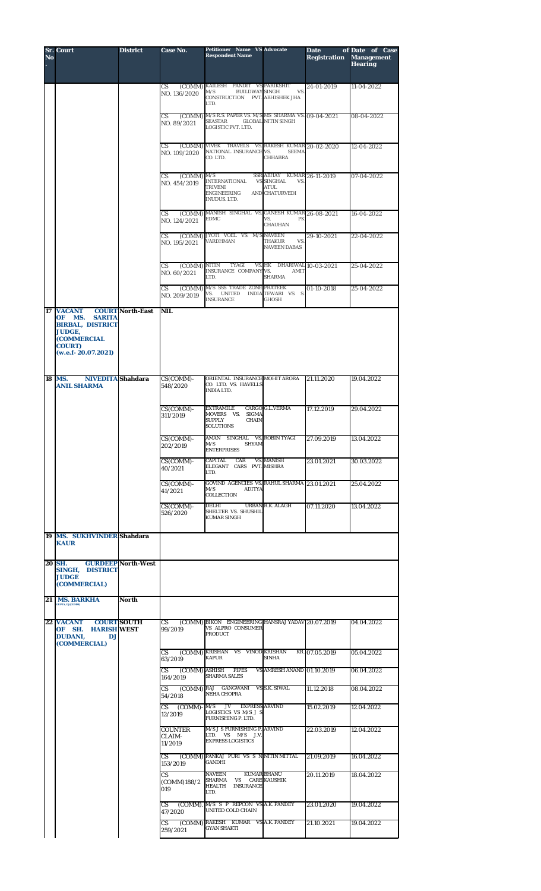| $\overline{\mathbf{N}}$ o | <b>Sr. Court</b>                                                                                                                       | <b>District</b>           | <b>Case No.</b>                            | <b>Petitioner Name VS Advocate</b><br><b>Respondent Name</b>                                                 |                                                                                         | Date<br>Registration | of Date of Case<br><b>Management</b><br><b>Hearing</b> |
|---------------------------|----------------------------------------------------------------------------------------------------------------------------------------|---------------------------|--------------------------------------------|--------------------------------------------------------------------------------------------------------------|-----------------------------------------------------------------------------------------|----------------------|--------------------------------------------------------|
|                           |                                                                                                                                        |                           | CS<br>NO. 136/2020                         | (COMM) KAILESH PANDIT VS PARIKSHIT<br><b>BUILDWAY SINGH</b><br>M/S<br>CONSTRUCTION PVT. ABHISHEK JHA<br>LTD. | VS.                                                                                     | 24-01-2019           | 11-04-2022                                             |
|                           |                                                                                                                                        |                           | (COMM)<br>CS<br>NO. 89/2021                | M/S R.S. PAPER VS. M/S MS SHARMA VS. 09-04-2021<br>SEASTAR<br>LOGISTIC PVT. LTD.                             | <b>GLOBAL NITIN SINGH</b>                                                               |                      | 08-04-2022                                             |
|                           |                                                                                                                                        |                           | CS.<br>NO. 109/2020                        | (COMM) VIVEK TRAVELS VS. RAKESH KUMAR 20-02-2020<br>NATIONAL INSURANCE VS.<br>CO. LTD.                       | <b>SEEMA</b><br><b>CHHABRA</b>                                                          |                      | 12-04-2022                                             |
|                           |                                                                                                                                        |                           | $(COMM)$ M/S<br>CS<br>NO. 454/2019         | <b>INTERNATIONAL</b><br><b>TRIVENI</b><br>ENGINEERING<br>INUDUS. LTD.                                        | SSR ABHAY KUMAR 26-11-2019<br><b>VS SINGHAL</b><br>VS.<br><b>ATUL</b><br>AND CHATURVEDI |                      | 07-04-2022                                             |
|                           |                                                                                                                                        |                           | CS<br>NO. 124/2021                         | (COMM) MANISH SINGHAL VS. GANESH KUMAR 26-08-2021<br><b>EDMC</b>                                             | VS.<br>PK<br><b>CHAUHAN</b>                                                             |                      | 16-04-2022                                             |
|                           |                                                                                                                                        |                           | CS<br>NO. 195/2021                         | (COMM) JYOTI VOEL VS. M/S NAVEEN<br><b>VARDHMAN</b>                                                          | THAKUR<br>VS.<br><b>NAVEEN DABAS</b>                                                    | 29-10-2021           | 22-04-2022                                             |
|                           |                                                                                                                                        |                           | (COMM) NITIN<br>СS<br>NO. 60/2021<br>CS    | TYAGI<br>INSURANCE COMPANY VS.<br>LTD.<br>(COMM) M/S SSS TRADE ZONE PRATEEK                                  | VS. HK DHARIWAL 10-03-2021<br>AMIT<br><b>SHARMA</b>                                     | 01-10-2018           | 25-04-2022<br>25-04-2022                               |
| 17                        | <b>VACANT</b>                                                                                                                          | <b>COURT North-East</b>   | NO. 209/2019<br><b>NIL</b>                 | VS. UNITED INDIA TEWARI VS. S.<br><b>INSURANCE</b>                                                           | <b>GHOSH</b>                                                                            |                      |                                                        |
|                           | MS.<br><b>SARITA</b><br>OF.<br><b>BIRBAL, DISTRICT</b><br><b>JUDGE,</b><br><b>(COMMERCIAL</b><br><b>COURT</b> )<br>(w.e.f. 20.07.2021) |                           |                                            |                                                                                                              |                                                                                         |                      |                                                        |
|                           | <b>NIVEDITA</b> Shahdara<br>18 MS.<br><b>ANIL SHARMA</b>                                                                               |                           | $CS(COMM)$ -<br>548/2020                   | ORIENTAL INSURANCE MOHIT ARORA<br>CO. LTD. VS. HAVELLS<br><b>INDIA LTD.</b>                                  |                                                                                         | 21.11.2020           | 19.04.2022                                             |
|                           |                                                                                                                                        |                           | CS(COMM)-<br>311/2019                      | <b>EXTRAMILE</b><br>MOVERS VS. SIGMA<br><b>SUPPLY</b><br><b>CHAIN</b><br><b>SOLUTIONS</b>                    | <b>CARGO G.L.VERMA</b>                                                                  | 17.12.2019           | 29.04.2022                                             |
|                           |                                                                                                                                        |                           | CS(COMM)-<br>202/2019                      | AMAN SINGHAL VS. ROBIN TYAGI<br>M/S<br><b>SHYAM</b><br><b>ENTERPRISES</b>                                    |                                                                                         | 27.09.2019           | 13.04.2022                                             |
|                           |                                                                                                                                        |                           | $CS$ (COMM) $-$<br>40/2021                 | <b>CAPITAL</b><br>CAR<br>ELEGANT CARS PVT. MISHRA<br>LTD.                                                    | VS. MANISH                                                                              | 23.01.2021           | 30.03.2022                                             |
|                           |                                                                                                                                        |                           | CS(COMM)-<br>41/2021                       | GOVIND AGENCIES VS. RAHUL SHARMA 23.01.2021<br>M/S<br><b>ADITYA</b><br><b>COLLECTION</b>                     |                                                                                         |                      | 25.04.2022                                             |
|                           |                                                                                                                                        |                           | $CS(COMM)$ -<br>526/2020                   | DELHI<br>SHELTER VS. SHUSHIL<br><b>KUMAR SINGH</b>                                                           | <b>URBAN R.K. ALAGH</b>                                                                 | 07.11.2020           | 13.04.2022                                             |
|                           | 19 MS. SUKHVINDER Shahdara<br><b>KAUR</b>                                                                                              |                           |                                            |                                                                                                              |                                                                                         |                      |                                                        |
|                           | <b>20 SH.</b><br>SINGH, DISTRICT<br><b>JUDGE</b><br>(COMMERCIAL)                                                                       | <b>GURDEEP North-West</b> |                                            |                                                                                                              |                                                                                         |                      |                                                        |
| 21                        | <b>MS. BARKHA</b><br><b>GUPTA, DJ(COMM)</b>                                                                                            | <b>North</b>              |                                            |                                                                                                              |                                                                                         |                      |                                                        |
|                           | <b>22 VACANT</b><br>OF SH. HARISH WEST<br>DUDANI,<br><b>DJ</b><br>(COMMERCIAL)                                                         | <b>COURT SOUTH</b>        | CS<br>99/2019                              | (COMM) BIKON ENGINEERING HANSRAJ YADAV 20.07.2019<br>VS ALPRO CONSUMER<br><b>PRODUCT</b>                     |                                                                                         |                      | 04.04.2022                                             |
|                           |                                                                                                                                        |                           | CS.<br>63/2019                             | (COMM) KRISHAN VS VINOD KRISHAN<br><b>KAPUR</b>                                                              | <b>SINHA</b>                                                                            | KR. 07.05.2019       | 05.04.2022                                             |
|                           |                                                                                                                                        |                           | CS.<br>164/2019                            | (COMM) ASHISH<br><b>PIPES</b><br><b>SHARMA SALES</b>                                                         | VS AMRESH ANAND 01.10.2019                                                              |                      | 06.04.2022                                             |
|                           |                                                                                                                                        |                           | <b>CS</b><br>54/2018                       | (COMM) RAJ GANGWANI VS S.K. SIWAL<br><b>NEHA CHOPRA</b>                                                      |                                                                                         | 11.12.2018           | 08.04.2022                                             |
|                           |                                                                                                                                        |                           | $CS$ (COMM)- $M/S$<br>12/2019              | $\mathbf{J}$<br><b>EXPRESS ARVIND</b><br>LOGISTICS VS M/S J S<br>FURNISHING P. LTD.                          |                                                                                         | 15.02.2019           | 12.04.2022                                             |
|                           |                                                                                                                                        |                           | <b>COUNTER</b><br><b>CLAIM-</b><br>11/2019 | M/S J S FURNISHING P. ARVIND<br>LTD. VS M/S J.V.<br><b>EXPRESS LOGISTICS</b>                                 |                                                                                         | 22.03.2019           | 12.04.2022                                             |
|                           |                                                                                                                                        |                           | CS.<br>153/2019                            | (COMM) PANKAJ PURI VS S N NITIN MITTAL<br><b>GANDHI</b>                                                      |                                                                                         | 21.09.2019           | 16.04.2022                                             |
|                           |                                                                                                                                        |                           | CS.<br>(COMM)188/2<br>019                  | <b>NAVEEN</b><br><b>VS</b> CARE KAUSHIK<br><b>SHARMA</b><br>HEALTH INSURANCE<br>LTD.                         | <b>KUMAR BHANU</b>                                                                      | 20.11.2019           | 18.04.2022                                             |
|                           |                                                                                                                                        |                           | CS<br>47/2020                              | (COMM). M/S S P REPCON VS A.K. PANDEY<br>UNITED COLD CHAIN                                                   |                                                                                         | 23.01.2020           | 19.04.2022                                             |
|                           |                                                                                                                                        |                           | CS<br>259/2021                             | (COMM) RAKESH KUMAR VS A.K. PANDEY<br><b>GYAN SHAKTI</b>                                                     |                                                                                         | 21.10.2021           | 19.04.2022                                             |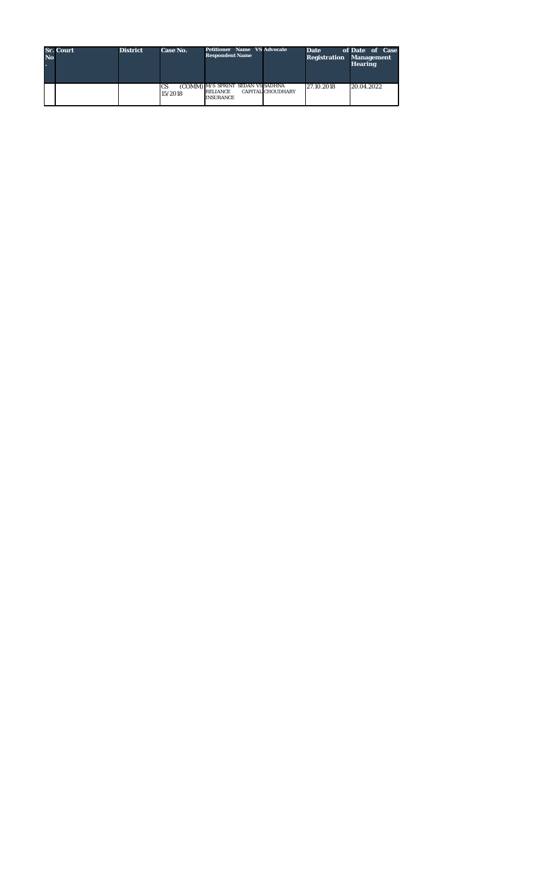| <b>No</b> | <b>Sr. Court</b> | <b>District</b> | Case No.             | <b>Petitioner Name VS Advocate</b><br><b>Respondent Name</b>             |                          | <b>Date</b><br><b>Registration Management</b> | of Date of Case<br><b>Hearing</b> |
|-----------|------------------|-----------------|----------------------|--------------------------------------------------------------------------|--------------------------|-----------------------------------------------|-----------------------------------|
|           |                  |                 | <b>CS</b><br>15/2018 | (COMM) M/S SPRINT SEDAN VS SADHNA<br><b>RELIANCE</b><br><b>INSURANCE</b> | <b>CAPITAL CHOUDHARY</b> | 27.10.2018                                    | 20.04.2022                        |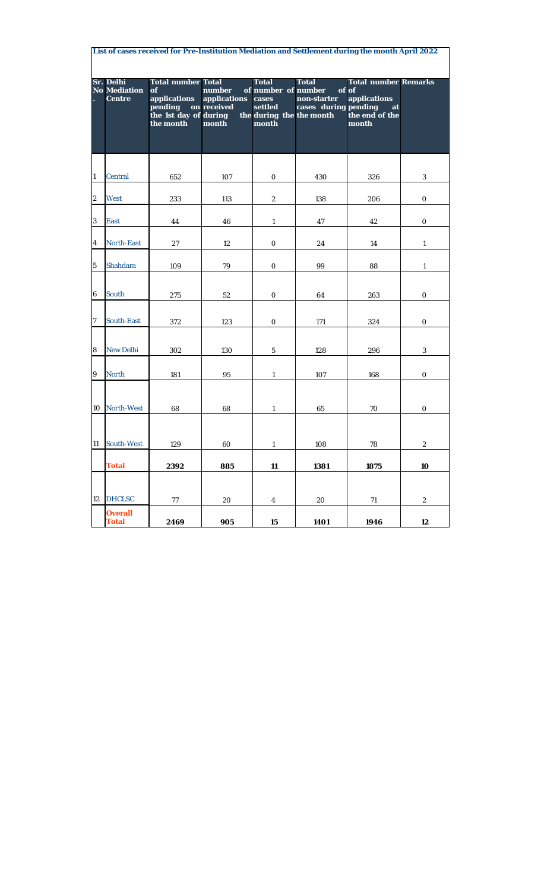|              | List of cases received for Pre-Institution Mediation and Settlement during the month April 2022 |                                                                                                  |                                                |                                                                                              |                                                     |                                                                                       |                           |  |  |  |  |  |  |
|--------------|-------------------------------------------------------------------------------------------------|--------------------------------------------------------------------------------------------------|------------------------------------------------|----------------------------------------------------------------------------------------------|-----------------------------------------------------|---------------------------------------------------------------------------------------|---------------------------|--|--|--|--|--|--|
|              | Sr. Delhi<br><b>No Mediation</b><br><b>Centre</b>                                               | <b>Total number Total</b><br>of<br>applications<br>pending<br>the 1st day of during<br>the month | number<br>applications<br>on received<br>month | <b>Total</b><br>of number of number<br>cases<br>settled<br>the during the the month<br>month | <b>Total</b><br>non-starter<br>cases during pending | <b>Total number Remarks</b><br>of of<br>applications<br>at<br>the end of the<br>month |                           |  |  |  |  |  |  |
| $\mathbf{1}$ | <b>Central</b>                                                                                  | 652                                                                                              | 107                                            | 0                                                                                            | 430                                                 | 326                                                                                   | 3                         |  |  |  |  |  |  |
| 2            | <b>West</b>                                                                                     | 233                                                                                              | 113                                            | $\it 2$                                                                                      | 138                                                 | 206                                                                                   | $\boldsymbol{\theta}$     |  |  |  |  |  |  |
| 3            | <b>East</b>                                                                                     | 44                                                                                               | 46                                             | 1                                                                                            | 47                                                  | 42                                                                                    | $\boldsymbol{\theta}$     |  |  |  |  |  |  |
| 4            | North-East                                                                                      | 27                                                                                               | 12                                             | $\boldsymbol{\theta}$                                                                        | 24                                                  | 14                                                                                    | 1                         |  |  |  |  |  |  |
| 5            | <b>Shahdara</b>                                                                                 | 109                                                                                              | $79\,$                                         | $\mathcal O$                                                                                 | 99                                                  | 88                                                                                    | $\boldsymbol{\mathit{1}}$ |  |  |  |  |  |  |
| 6            | South                                                                                           | 275                                                                                              | 52                                             | 0                                                                                            | 64                                                  | 263                                                                                   | 0                         |  |  |  |  |  |  |
| 7            | <b>South-East</b>                                                                               | 372                                                                                              | 123                                            | 0                                                                                            | 171                                                 | 324                                                                                   | 0                         |  |  |  |  |  |  |
| 8            | New Delhi                                                                                       | 302                                                                                              | 130                                            | $\sqrt{5}$                                                                                   | 128                                                 | 296                                                                                   | $\boldsymbol{\beta}$      |  |  |  |  |  |  |
| 9            | <b>North</b>                                                                                    | 181                                                                                              | 95                                             | $\boldsymbol{\mathit{1}}$                                                                    | 107                                                 | 168                                                                                   | 0                         |  |  |  |  |  |  |
| 10           | <b>North-West</b>                                                                               | 68                                                                                               | 68                                             | 1                                                                                            | 65                                                  | 70                                                                                    | 0                         |  |  |  |  |  |  |
| 11           | South-West                                                                                      | 129                                                                                              | 60                                             | $\mathbf{I}$                                                                                 | 108                                                 | 78                                                                                    | z                         |  |  |  |  |  |  |
|              | <b>Total</b>                                                                                    | 2392                                                                                             | 885                                            | 11                                                                                           | 1381                                                | 1875                                                                                  | 10                        |  |  |  |  |  |  |
| 12           | <b>DHCLSC</b>                                                                                   | 77                                                                                               | 20                                             | $\overline{4}$                                                                               | 20                                                  | 71                                                                                    | $\mathcal Z$              |  |  |  |  |  |  |
|              | <b>Overall</b><br><b>Total</b>                                                                  | 2469                                                                                             | 905                                            | 15                                                                                           | 1401                                                | 1946                                                                                  | 12                        |  |  |  |  |  |  |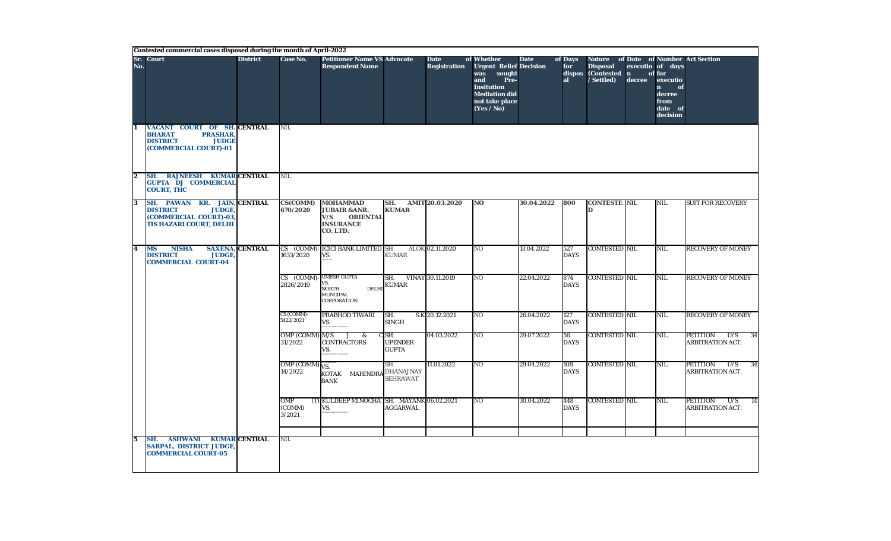|                         | Contested commercial cases disposed during the month of April-2022                                                                           |                        |                                    |                                                                                                       |                                                      |                                    |                                                                                                                                                          |             |                      |                                                                      |        |                                                                                                       |                                                               |
|-------------------------|----------------------------------------------------------------------------------------------------------------------------------------------|------------------------|------------------------------------|-------------------------------------------------------------------------------------------------------|------------------------------------------------------|------------------------------------|----------------------------------------------------------------------------------------------------------------------------------------------------------|-------------|----------------------|----------------------------------------------------------------------|--------|-------------------------------------------------------------------------------------------------------|---------------------------------------------------------------|
| No.                     | Sr. Court                                                                                                                                    | <b>District</b>        | <b>Case No.</b>                    | <b>Petitioner Name VS Advocate</b><br><b>Respondent Name</b>                                          |                                                      | <b>Date</b><br><b>Registration</b> | of Whether<br><b>Urgent Relief Decision</b><br>was<br>sought<br>and<br>Pre-<br><b>Insitution</b><br><b>Mediation did</b><br>not take place<br>(Yes / No) | <b>Date</b> | of Days<br>for<br>al | <b>Nature</b><br><b>Disposal</b><br>dispos (Contested n<br>/Settled) | decree | executio of days<br>of for<br>executio<br>$\mathbf{n}$<br>of<br>decree<br>from<br>date of<br>decision | of Date of Number Act Section                                 |
|                         | <b>VACANT COURT OF SH. CENTRAL</b><br><b>PRASHAR,</b><br><b>BHARAT</b><br><b>DISTRICT</b><br><b>JUDGE</b><br>(COMMERCIAL COURT)-01           |                        | <b>NIL</b>                         |                                                                                                       |                                                      |                                    |                                                                                                                                                          |             |                      |                                                                      |        |                                                                                                       |                                                               |
| 2                       | SH. RAJNEESH KUMAR CENTRAL<br><b>GUPTA DJ COMMERCIAL</b><br><b>COURT, THC</b>                                                                |                        | NIL                                |                                                                                                       |                                                      |                                    |                                                                                                                                                          |             |                      |                                                                      |        |                                                                                                       |                                                               |
| $\overline{\mathbf{3}}$ | <b>KR. JAIN, CENTRAL</b><br><b>SH. PAWAN</b><br><b>JUDGE,</b><br><b>DISTRICT</b><br>(COMMERCIAL COURT)-03,<br><b>TIS HAZARI COURT, DELHI</b> |                        | <b>CS(COMM)</b><br>670/2020        | <b>MOHAMMAD</b><br><b>JUBAIR &amp; ANR.</b><br>V/S<br><b>ORIENTAL</b><br><b>INSURANCE</b><br>CO. LTD. | SH.<br><b>KUMAR</b>                                  | <b>AMIT 20.03.2020</b>             | N <sub>O</sub>                                                                                                                                           | 30.04.2022  | 800                  | <b>CONTESTE NIL</b><br>D                                             |        | NIL                                                                                                   | <b>SUIT FOR RECOVERY</b>                                      |
| 4                       | <b>NISHA</b><br><b>MS</b><br><b>DISTRICT</b><br><b>JUDGE.</b><br><b>COMMERCIAL COURT-04</b>                                                  | <b>SAXENA, CENTRAL</b> | 1633/2020                          | CS (COMM)-ICICI BANK LIMITED SH<br>VS.                                                                | <b>KUMAR</b>                                         | ALOK 02.11.2020                    | N <sub>O</sub>                                                                                                                                           | 13.04.2022  | 527<br><b>DAYS</b>   | <b>CONTESTED NIL</b>                                                 |        | NIL                                                                                                   | <b>RECOVERY OF MONEY</b>                                      |
|                         |                                                                                                                                              |                        | CS (COMM)-UMESH GUPTA<br>2826/2019 | VS.<br>NORTH<br><b>DELHI</b><br><b>MUNCIPAL</b><br>CORPORATION                                        | SH.<br><b>KUMAR</b>                                  | VINAY 30.11.2019                   | N <sub>O</sub>                                                                                                                                           | 22.04.2022  | 874<br><b>DAYS</b>   | <b>CONTESTED NIL</b>                                                 |        | NIL                                                                                                   | <b>RECOVERY OF MONEY</b>                                      |
|                         |                                                                                                                                              |                        | CS (COMM)-<br>5422/2021            | PRABHOD TIWARI<br>VS.                                                                                 | SH.<br><b>SINGH</b>                                  | S.K 20.12.2021                     | N <sub>O</sub>                                                                                                                                           | 26.04.2022  | 127<br><b>DAYS</b>   | <b>CONTESTED NIL</b>                                                 |        | NIL                                                                                                   | <b>RECOVERY OF MONEY</b>                                      |
|                         |                                                                                                                                              |                        | OMP (COMM) M/S<br>31/2022          | J<br>$\boldsymbol{\&}$<br><b>CONTRACTORS</b><br>VS.                                                   | $C$ <sub>SH.</sub><br><b>UPENDER</b><br><b>GUPTA</b> | 04.03.2022                         | N <sub>O</sub>                                                                                                                                           | 29.07.2022  | 56<br><b>DAYS</b>    | <b>CONTESTED NIL</b>                                                 |        | NIL                                                                                                   | <b>PETITION</b><br>U/S<br>34<br>ARBITRATION ACT.              |
|                         |                                                                                                                                              |                        | OMP (COMM) VS.<br>14/2022          | KOTAK MAHINDRA DHANAJNAY<br><b>BANK</b>                                                               | SH.<br><b>SEHRAWAT</b>                               | 11.01.2022                         | $\overline{N}$                                                                                                                                           | 29.04.2022  | 108<br><b>DAYS</b>   | <b>CONTESTED NIL</b>                                                 |        | NIL                                                                                                   | PETITION<br>U/S<br>34<br>ARBITRATION ACT.                     |
|                         |                                                                                                                                              |                        | OMP<br>(COMM)<br>3/2021            | (T) KULDEEP MINOCHA SH. MAYANK 06.02.2021<br>VS.                                                      | <b>AGGARWAL</b>                                      |                                    | NO                                                                                                                                                       | 30.04.2022  | 448<br><b>DAYS</b>   | <b>CONTESTED NIL</b>                                                 |        | NIL                                                                                                   | <b>PETITION</b><br>U/S<br>$\overline{14}$<br>ARBITRATION ACT. |
| $\sqrt{5}$              | <b>ASHWANI KUMAR CENTRAL</b><br>SH.<br><b>SARPAL, DISTRICT JUDGE,</b><br><b>COMMERCIAL COURT-05</b>                                          |                        | NIL                                |                                                                                                       |                                                      |                                    |                                                                                                                                                          |             |                      |                                                                      |        |                                                                                                       |                                                               |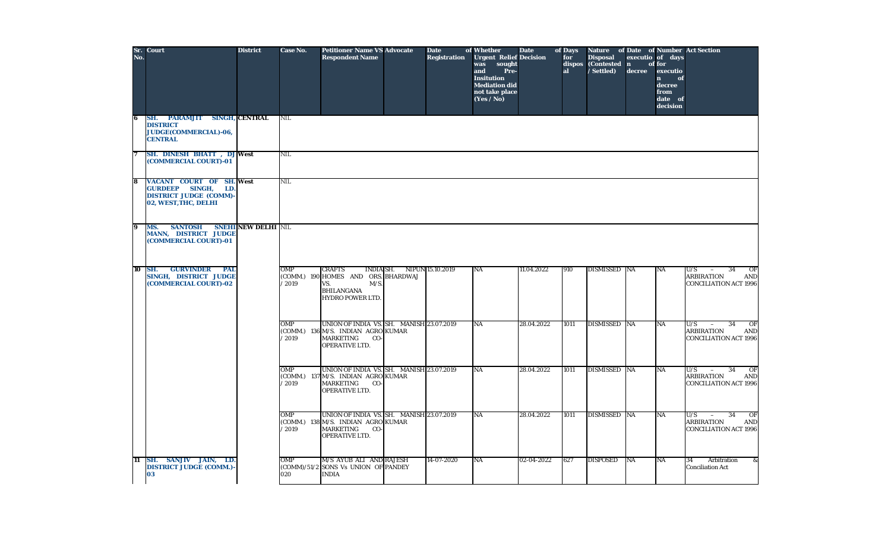| No.                     | Sr. Court                                                                                                                  | <b>District</b>            | <b>Case No.</b> | <b>Petitioner Name VS Advocate</b><br><b>Respondent Name</b>                                                                       |                                   | <b>Date</b><br><b>Registration</b> | of Whether<br><b>Urgent Relief Decision</b><br>sought<br>was<br>Pre-<br>and<br><b>Insitution</b><br><b>Mediation did</b><br>not take place<br>(Yes / No) | <b>Date</b> | of Days<br>for<br>dispos<br>al | <b>Disposal</b><br>(Contested n<br>/ Settled) | decree    | executio of days<br>of for<br>executio<br>$\mathbf{n}$<br>of<br>decree<br>from<br>date of<br>decision | Nature of Date of Number Act Section                                                                              |
|-------------------------|----------------------------------------------------------------------------------------------------------------------------|----------------------------|-----------------|------------------------------------------------------------------------------------------------------------------------------------|-----------------------------------|------------------------------------|----------------------------------------------------------------------------------------------------------------------------------------------------------|-------------|--------------------------------|-----------------------------------------------|-----------|-------------------------------------------------------------------------------------------------------|-------------------------------------------------------------------------------------------------------------------|
| 6                       | <b>PARAMJIT SINGH, CENTRAL</b><br>SH.<br><b>DISTRICT</b><br>JUDGE(COMMERCIAL)-06,<br><b>CENTRAL</b>                        |                            | <b>NIL</b>      |                                                                                                                                    |                                   |                                    |                                                                                                                                                          |             |                                |                                               |           |                                                                                                       |                                                                                                                   |
| 7                       | SH. DINESH BHATT, DJ West<br>(COMMERCIAL COURT)-01                                                                         |                            | <b>NIL</b>      |                                                                                                                                    |                                   |                                    |                                                                                                                                                          |             |                                |                                               |           |                                                                                                       |                                                                                                                   |
| $\overline{\mathbf{8}}$ | <b>VACANT COURT OF SH. West</b><br><b>GURDEEP</b><br>SINGH,<br>LD.<br><b>DISTRICT JUDGE (COMM)</b><br>02, WEST, THC, DELHI |                            | <b>NIL</b>      |                                                                                                                                    |                                   |                                    |                                                                                                                                                          |             |                                |                                               |           |                                                                                                       |                                                                                                                   |
| $\overline{9}$          | <b>SANTOSH</b><br>MS.<br><b>MANN, DISTRICT JUDGE</b><br>(COMMERCIAL COURT)-01                                              | <b>SNEHI NEW DELHI NIL</b> |                 |                                                                                                                                    |                                   |                                    |                                                                                                                                                          |             |                                |                                               |           |                                                                                                       |                                                                                                                   |
| 10                      | SH.<br><b>GURVINDER</b><br><b>PAL</b><br><b>SINGH, DISTRICT JUDGE</b><br>(COMMERCIAL COURT)-02                             |                            | OMP<br>/2019    | <b>CRAFTS</b><br>(COMM.) 190 HOMES AND ORS. BHARDWAJ<br>$M/S$ .<br>VS.<br><b>BHILANGANA</b><br><b>HYDRO POWER LTD.</b>             | <b>INDIA SH.</b> NIPUN 15.10.2019 |                                    | NA                                                                                                                                                       | 11.04.2022  | 910                            | <b>DISMISSED NA</b>                           |           | NA                                                                                                    | OF<br>U/S<br>34<br>$\sim$<br><b>ARBIRATION</b><br><b>AND</b><br><b>CONCILIATION ACT 1996</b>                      |
|                         |                                                                                                                            |                            | OMP<br>/2019    | UNION OF INDIA VS. SH. MANISH 23.07.2019<br>(COMM.) 136 M/S. INDIAN AGRO KUMAR<br><b>MARKETING</b><br>CO-<br>OPERATIVE LTD.        |                                   |                                    | <b>NA</b>                                                                                                                                                | 28.04.2022  | 1011                           | <b>DISMISSED NA</b>                           |           | NA                                                                                                    | $\overline{OF}$<br>U/S<br>34<br>$\overline{a}$<br><b>ARBIRATION</b><br><b>AND</b><br><b>CONCILIATION ACT 1996</b> |
|                         |                                                                                                                            |                            | OMP<br>/2019    | UNION OF INDIA VS. SH. MANISH 23.07.2019<br>(COMM.) 137 M/S. INDIAN AGRO KUMAR<br><b>MARKETING</b><br>CO-<br>OPERATIVE LTD.        |                                   |                                    | $\overline{\text{NA}}$                                                                                                                                   | 28.04.2022  | 1011                           | DISMISSED NA                                  |           | NA                                                                                                    | U/S<br>34<br>$\overline{OF}$<br>$\sim$<br><b>ARBIRATION</b><br><b>AND</b><br><b>CONCILIATION ACT 1996</b>         |
|                         |                                                                                                                            |                            | OMP<br>'2019    | UNION OF INDIA VS. SH. MANISH 23.07.2019<br>(COMM.) 138 M/S. INDIAN AGRO KUMAR<br><b>MARKETING</b><br>CO-<br><b>OPERATIVE LTD.</b> |                                   |                                    | $\overline{\text{NA}}$                                                                                                                                   | 28.04.2022  | 1011                           | <b>DISMISSED NA</b>                           |           | NA                                                                                                    | 34<br>$\overline{OF}$<br>U/S<br>$\sim$<br><b>ARBIRATION</b><br><b>AND</b><br><b>CONCILIATION ACT 1996</b>         |
| 11                      | SANJIV JAIN, LD.<br>SH.<br><b>DISTRICT JUDGE (COMM.)</b><br>03                                                             |                            | OMP<br>020      | M/S AYUB ALI AND RAJESH<br>(COMM)/51/2 SONS Vs UNION OF PANDEY<br><b>INDIA</b>                                                     |                                   | $14 - 07 - 2020$                   | NA                                                                                                                                                       | 02-04-2022  | 627                            | <b>DISPOSED</b>                               | <b>NA</b> | NA                                                                                                    | 34<br>$\boldsymbol{\&}$<br>Arbitration<br><b>Conciliation Act</b>                                                 |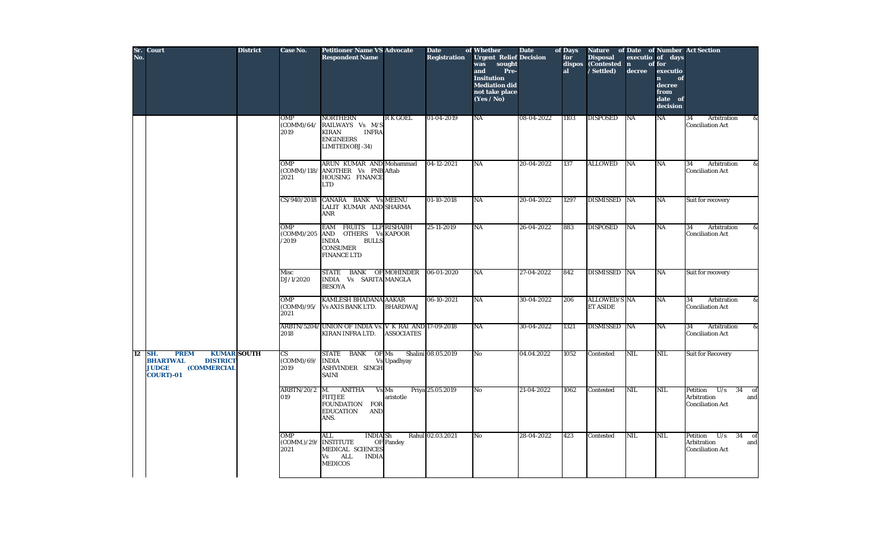| No. | Sr. Court                                                                                                                                | <b>District</b> | Case No.                        | <b>Petitioner Name VS Advocate</b><br><b>Respondent Name</b>                                                            |                    | <b>Date</b><br><b>Registration</b> | of Whether<br><b>Urgent Relief Decision</b><br>was<br>sought<br>and<br>Pre-<br><b>Insitution</b><br><b>Mediation did</b><br>not take place<br>(Yes / No) | <b>Date</b> | of Days<br>for<br>dispos<br>al | Nature of Date of Number Act Section<br><b>Disposal</b><br>(Contested n<br>/ Settled) | executio of days<br>decree | of for<br>executio<br>$\mathbf{n}$<br>of<br>decree<br>from<br>date of<br>decision |                                                                              |
|-----|------------------------------------------------------------------------------------------------------------------------------------------|-----------------|---------------------------------|-------------------------------------------------------------------------------------------------------------------------|--------------------|------------------------------------|----------------------------------------------------------------------------------------------------------------------------------------------------------|-------------|--------------------------------|---------------------------------------------------------------------------------------|----------------------------|-----------------------------------------------------------------------------------|------------------------------------------------------------------------------|
|     |                                                                                                                                          |                 | OMP<br>(COMM)/64/<br>2019       | <b>NORTHERN</b><br>RAILWAYS Vs M/S<br><b>KIRAN</b><br><b>INFRA</b><br><b>ENGINEERS</b><br>LIMITED(OBJ-34)               | <b>RK GOEL</b>     | 01-04-2019                         | NA                                                                                                                                                       | 08-04-2022  | 1103                           | <b>DISPOSED</b>                                                                       | NA                         | NA                                                                                | 34<br>Arbitration<br>&<br><b>Conciliation Act</b>                            |
|     |                                                                                                                                          |                 | OMP<br>(COMM)/118/<br>2021      | ARUN KUMAR AND Mohammad<br>ANOTHER Vs PNB Aftab<br>HOUSING FINANCE<br><b>LTD</b>                                        |                    | 04-12-2021                         | NA                                                                                                                                                       | 20-04-2022  | 137                            | <b>ALLOWED</b>                                                                        | NA                         | NA                                                                                | 34<br>Arbitration<br>&<br><b>Conciliation Act</b>                            |
|     |                                                                                                                                          |                 | CS/940/2018                     | CANARA BANK Vs MEENU<br>LALIT KUMAR AND SHARMA<br>ANR                                                                   |                    | $01 - 10 - 2018$                   | NA                                                                                                                                                       | 20-04-2022  | 1297                           | <b>DISMISSED NA</b>                                                                   |                            | <b>NA</b>                                                                         | Suit for recovery                                                            |
|     |                                                                                                                                          |                 | OMP<br>(COMM)/205<br>/2019      | EAM FRUITS LLP RISHABH<br>AND OTHERS Vs KAPOOR<br><b>INDIA</b><br><b>BULLS</b><br><b>CONSUMER</b><br><b>FINANCE LTD</b> |                    | 25-11-2019                         | NA                                                                                                                                                       | 26-04-2022  | 883                            | <b>DISPOSED</b>                                                                       | <b>NA</b>                  | <b>NA</b>                                                                         | 34<br>Arbitration<br>&<br><b>Conciliation Act</b>                            |
|     |                                                                                                                                          |                 | Misc<br>DJ/1/2020               | STATE BANK OF MOHINDER<br>INDIA Vs SARITA MANGLA<br><b>BESOYA</b>                                                       |                    | 06-01-2020                         | NA                                                                                                                                                       | 27-04-2022  | 842                            | DISMISSED NA                                                                          |                            | NA                                                                                | Suit for recovery                                                            |
|     |                                                                                                                                          |                 | OMP<br>(COMM)/95/<br>2021       | KAMLESH BHADANA AAKAR<br><b>Vs AXIS BANK LTD.</b>                                                                       | <b>BHARDWAJ</b>    | 06-10-2021                         | NA                                                                                                                                                       | 30-04-2022  | 206                            | <b>ALLOWED/S NA</b><br><b>ET ASIDE</b>                                                |                            | NA                                                                                | 34<br>Arbitration<br>&<br><b>Conciliation Act</b>                            |
|     |                                                                                                                                          |                 | 2018                            | ARBTN/5204/ UNION OF INDIA Vs. V K RAI AND 17-09-2018<br>KIRAN INFRA LTD.                                               | <b>ASSOCIATES</b>  |                                    | <b>NA</b>                                                                                                                                                | 30-04-2022  | 1321                           | DISMISSED NA                                                                          |                            | <b>NA</b>                                                                         | Arbitration<br>&<br>34<br><b>Conciliation Act</b>                            |
| 12  | <b>KUMAR SOUTH</b><br>SH.<br><b>PREM</b><br><b>DISTRICT</b><br><b>BHARTWAL</b><br><b>JUDGE</b><br><b>(COMMERCIAL</b><br><b>COURT)-01</b> |                 | <b>CS</b><br>(COMM)/69/<br>2019 | STATE BANK OF Ms<br><b>INDIA</b><br>ASHVINDER SINGH<br><b>SAINI</b>                                                     | <b>Vs</b> Upadhyay | Shalini 08.05.2019                 | No                                                                                                                                                       | 04.04.2022  | 1052                           | Contested                                                                             | <b>NIL</b>                 | NIL                                                                               | <b>Suit for Recovery</b>                                                     |
|     |                                                                                                                                          |                 | <b>ARBTN/20/2</b><br>019        | <b>ANITHA</b><br>M.<br>Vs Ms<br><b>FIITJEE</b><br>FOUNDATION FOR<br><b>EDUCATION</b><br><b>AND</b><br>ANS.              | aristotle          | Priya 25.05.2019                   | No                                                                                                                                                       | 21-04-2022  | 1062                           | Contested                                                                             | <b>NIL</b>                 | NIL                                                                               | Petition<br>U/s<br>34<br>of<br>Arbitration<br>and<br><b>Conciliation Act</b> |
|     |                                                                                                                                          |                 | OMP<br>(COMM.)/29<br>2021       | ALL<br>INDIA Sh<br><b>INSTITUTE</b><br>MEDICAL SCIENCES<br><b>INDIA</b><br>ALL<br>Vs<br><b>MEDICOS</b>                  | OF Pandey          | Rahul 02.03.2021                   | No.                                                                                                                                                      | 28-04-2022  | 423                            | Contested                                                                             | <b>NIL</b>                 | NIL                                                                               | Petition<br>U/s<br>$34$ of<br>Arbitration<br>and<br><b>Conciliation Act</b>  |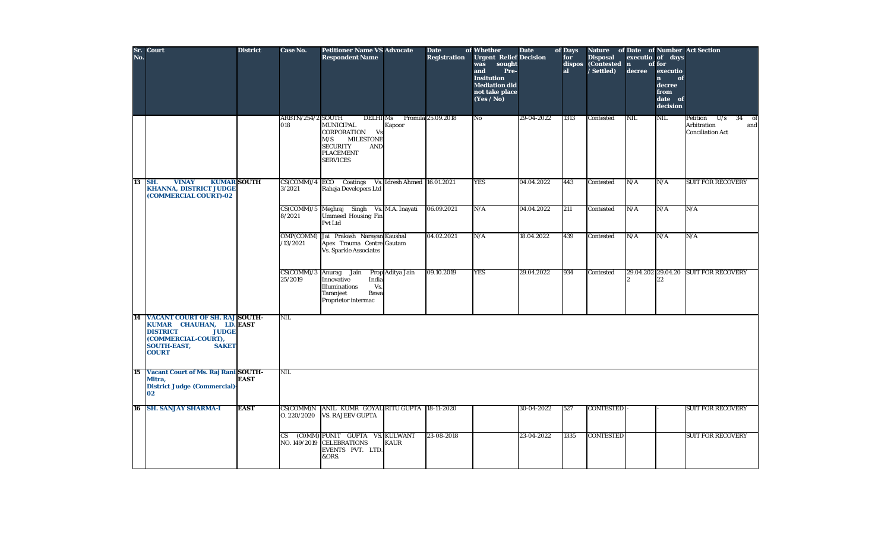| No. | Sr. Court                                                                                                                                                                        | <b>District</b> | Case No.                  | <b>Petitioner Name VS Advocate</b><br><b>Respondent Name</b>                                                                                                          | <b>Date</b><br><b>Registration</b> | of Whether<br><b>Urgent Relief Decision</b><br>sought<br>was<br>and<br>Pre-<br><b>Insitution</b><br><b>Mediation did</b><br>not take place<br>(Yes / No) | <b>Date</b> | of Days<br>for<br>dispos<br>al | <b>Disposal</b><br>(Contested n<br>/Settled) | decree     | executio of days<br>of for<br>executio<br>$\mathbf{n}$<br>of<br>decree<br>from<br>date of<br>decision | <b>Nature of Date of Number Act Section</b>                                  |
|-----|----------------------------------------------------------------------------------------------------------------------------------------------------------------------------------|-----------------|---------------------------|-----------------------------------------------------------------------------------------------------------------------------------------------------------------------|------------------------------------|----------------------------------------------------------------------------------------------------------------------------------------------------------|-------------|--------------------------------|----------------------------------------------|------------|-------------------------------------------------------------------------------------------------------|------------------------------------------------------------------------------|
|     |                                                                                                                                                                                  |                 | ARBTN/254/2 SOUTH<br>018  | <b>DELHI</b> Ms<br><b>MUNICIPAL</b><br>Kapoor<br>CORPORATION<br>Vs<br>M/S<br><b>MILESTONE</b><br><b>SECURITY</b><br><b>AND</b><br><b>PLACEMENT</b><br><b>SERVICES</b> | Promila 25.09.2018                 | No                                                                                                                                                       | 29-04-2022  | 1313                           | Contested                                    | <b>NIL</b> | NIL                                                                                                   | U/s<br>Petition<br>34<br>of<br>Arbitration<br>and<br><b>Conciliation Act</b> |
| 13  | <b>KUMAR SOUTH</b><br><b>VINAY</b><br>SH.<br><b>KHANNA, DISTRICT JUDGE</b><br>(COMMERCIAL COURT)-02                                                                              |                 | 3/2021                    | $CS(COMM)/4$ ECO Coatings<br>Raheja Developers Ltd                                                                                                                    | Vs. Idresh Ahmed 16.01.2021        | <b>YES</b>                                                                                                                                               | 04.04.2022  | 443                            | Contested                                    | N/A        | N/A                                                                                                   | <b>SUIT FOR RECOVERY</b>                                                     |
|     |                                                                                                                                                                                  |                 | 8/2021                    | CS(COMM)/5 Meghraj Singh Vs. M.A. Inayati<br>Ummeed Housing Fin<br>Pvt Ltd                                                                                            | 06.09.2021                         | N/A                                                                                                                                                      | 04.04.2022  | 211                            | Contested                                    | N/A        | N/A                                                                                                   | N/A                                                                          |
|     |                                                                                                                                                                                  |                 | OMP(COMM)<br>/13/2021     | Jai Prakash Narayan Kaushal<br>Apex Trauma Centre Gautam<br><b>Vs. Sparkle Associates</b>                                                                             | 04.02.2021                         | N/A                                                                                                                                                      | 18.04.2022  | 439                            | Contested                                    | N/A        | N/A                                                                                                   | N/A                                                                          |
|     |                                                                                                                                                                                  |                 | 25/2019                   | $CS(COMM)/3$ Anurag Jain<br>Prop Aditya Jain<br>Innovative<br>India<br>Vs.<br>Illuminations<br><b>Bawa</b><br>Taranjeet<br>Proprietor intermac                        | 09.10.2019                         | <b>YES</b>                                                                                                                                               | 29.04.2022  | 934                            | Contested                                    |            | 22                                                                                                    | 29.04.202 29.04.20 SUIT FOR RECOVERY                                         |
| 14  | <b>VACANT COURT OF SH. RAJ SOUTH-</b><br>KUMAR CHAUHAN, LD. EAST<br><b>JUDGE</b><br><b>DISTRICT</b><br>(COMMERCIAL-COURT),<br><b>SOUTH-EAST,</b><br><b>SAKET</b><br><b>COURT</b> |                 | <b>NIL</b>                |                                                                                                                                                                       |                                    |                                                                                                                                                          |             |                                |                                              |            |                                                                                                       |                                                                              |
| 15  | Vacant Court of Ms. Raj Rani SOUTH-<br>Mitra,<br><b>District Judge (Commercial)</b><br>02                                                                                        | <b>EAST</b>     | <b>NIL</b>                |                                                                                                                                                                       |                                    |                                                                                                                                                          |             |                                |                                              |            |                                                                                                       |                                                                              |
| 16  | <b>SH. SANJAY SHARMA-I</b>                                                                                                                                                       | <b>EAST</b>     | CS(COMM)N<br>0.220/2020   | ANIL KUMR GOYAL RITU GUPTA<br><b>VS. RAJEEV GUPTA</b>                                                                                                                 | 18-11-2020                         |                                                                                                                                                          | 30-04-2022  | 527                            | <b>CONTESTED</b>                             |            |                                                                                                       | <b>SUIT FOR RECOVERY</b>                                                     |
|     |                                                                                                                                                                                  |                 | <b>CS</b><br>NO. 149/2019 | (COMM) PUNIT GUPTA VS. KULWANT<br><b>CELEBRATIONS</b><br><b>KAUR</b><br>EVENTS PVT. LTD.<br>&ORS.                                                                     | 23-08-2018                         |                                                                                                                                                          | 23-04-2022  | 1335                           | <b>CONTESTED</b>                             |            |                                                                                                       | <b>SUIT FOR RECOVERY</b>                                                     |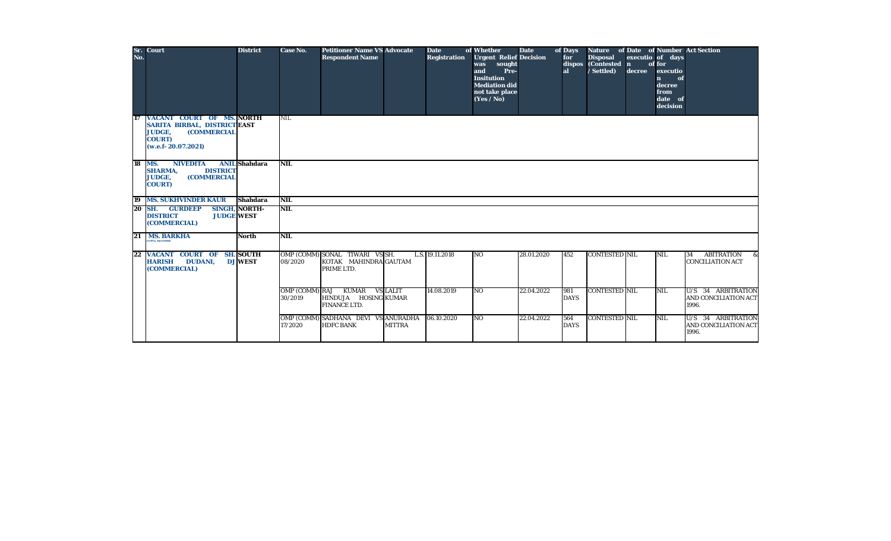| No.    | Sr. Court                                                                                                                                       | <b>District</b>      | <b>Case No.</b> | <b>Petitioner Name VS Advocate</b><br><b>Respondent Name</b>                 |               | <b>Date</b><br><b>Registration</b> | of Whether<br><b>Urgent Relief Decision</b><br>was sought<br>and<br>Pre-<br><b>Insitution</b><br><b>Mediation did</b><br>not take place<br>(Yes / No) | <b>Date</b> | of Days<br>for<br>dispos<br>al | Nature of Date of Number Act Section<br><b>Disposal</b><br>(Contested n<br>/ Settled) | decree | executio of days<br>of for<br>executio<br>of<br>$\mathbf{n}$<br>decree<br>from<br>date of<br>decision |                                                     |
|--------|-------------------------------------------------------------------------------------------------------------------------------------------------|----------------------|-----------------|------------------------------------------------------------------------------|---------------|------------------------------------|-------------------------------------------------------------------------------------------------------------------------------------------------------|-------------|--------------------------------|---------------------------------------------------------------------------------------|--------|-------------------------------------------------------------------------------------------------------|-----------------------------------------------------|
| 17     | VACANT COURT OF MS. NORTH<br><b>SARITA BIRBAL, DISTRICT EAST</b><br><b>(COMMERCIAL</b><br><b>JUDGE,</b><br><b>COURT)</b><br>(w.e.f. 20.07.2021) |                      | <b>NIL</b>      |                                                                              |               |                                    |                                                                                                                                                       |             |                                |                                                                                       |        |                                                                                                       |                                                     |
| 18 MS. | <b>NIVEDITA</b><br><b>DISTRICT</b><br><b>SHARMA,</b><br><b>JUDGE,</b><br><b>(COMMERCIAL</b><br><b>COURT)</b>                                    | <b>ANIL</b> Shahdara | <b>NIL</b>      |                                                                              |               |                                    |                                                                                                                                                       |             |                                |                                                                                       |        |                                                                                                       |                                                     |
| 19     | <b>MS. SUKHVINDER KAUR</b>                                                                                                                      | <b>Shahdara</b>      | <b>NIL</b>      |                                                                              |               |                                    |                                                                                                                                                       |             |                                |                                                                                       |        |                                                                                                       |                                                     |
|        | <b>20 SH. GURDEEP</b><br><b>DISTRICT</b><br><b>JUDGE WEST</b><br>(COMMERCIAL)                                                                   | <b>SINGH, NORTH-</b> | <b>NIL</b>      |                                                                              |               |                                    |                                                                                                                                                       |             |                                |                                                                                       |        |                                                                                                       |                                                     |
| 21     | <b>MS. BARKHA</b><br><b>GUPTA, DJ(COMM)</b>                                                                                                     | <b>North</b>         | <b>NIL</b>      |                                                                              |               |                                    |                                                                                                                                                       |             |                                |                                                                                       |        |                                                                                                       |                                                     |
| 22     | <b>VACANT COURT OF SH. SOUTH</b><br><b>HARISH</b><br><b>DUDANI,</b><br>(COMMERCIAL)                                                             | <b>DJ WEST</b>       | 08/2020         | OMP (COMM) SONAL TIWARI VS SH.<br>KOTAK MAHINDRA GAUTAM<br>PRIME LTD.        |               | L.S. 19.11.2018                    | N <sub>O</sub>                                                                                                                                        | 28.01.2020  | 452                            | <b>CONTESTED NIL</b>                                                                  |        | <b>NIL</b>                                                                                            | ABITRATION &<br>34<br><b>CONCILIATION ACT</b>       |
|        |                                                                                                                                                 |                      | 30/2019         | OMP (COMM) RAJ KUMAR VS LALIT<br>HINDUJA HOSING KUMAR<br><b>FINANCE LTD.</b> |               | 14.08.2019                         | N <sub>O</sub>                                                                                                                                        | 22.04.2022  | 981<br><b>DAYS</b>             | <b>CONTESTED NIL</b>                                                                  |        | NIL                                                                                                   | U/S 34 ARBITRATION<br>AND CONCILIATION ACT<br>1996. |
|        |                                                                                                                                                 |                      | 17/2020         | OMP (COMM) SADHANA DEVI VS ANURADHA<br><b>HDFC BANK</b>                      | <b>MITTRA</b> | 06.10.2020                         | N <sub>O</sub>                                                                                                                                        | 22.04.2022  | 564<br><b>DAYS</b>             | <b>CONTESTED NIL</b>                                                                  |        | NIL                                                                                                   | U/S 34 ARBITRATION<br>AND CONCILIATION ACT<br>1996. |